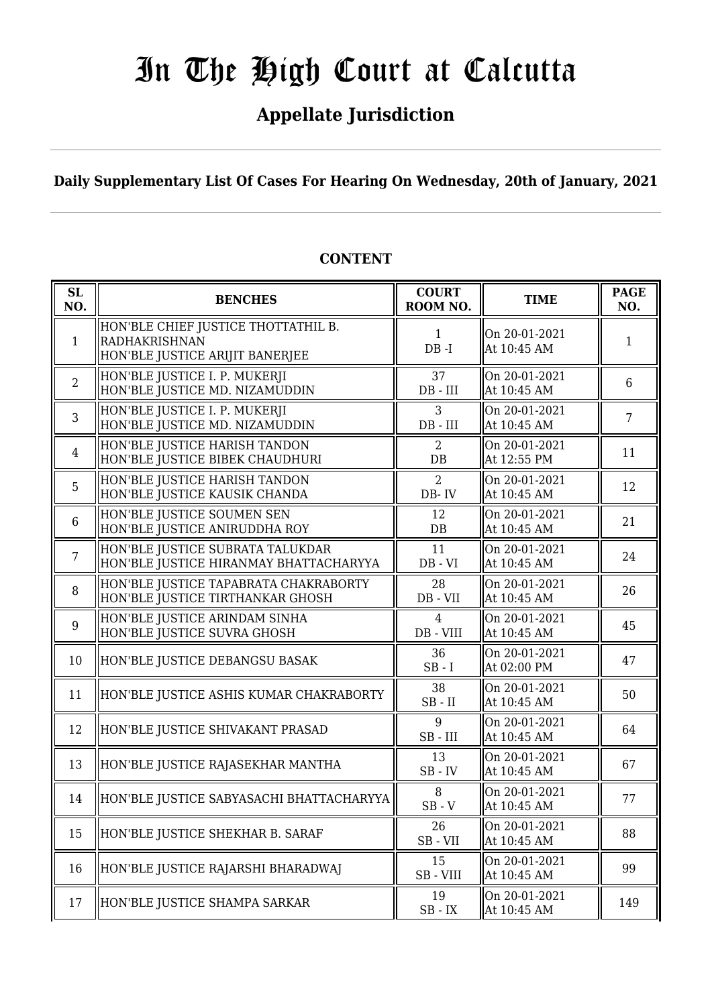## **Appellate Jurisdiction**

**Daily Supplementary List Of Cases For Hearing On Wednesday, 20th of January, 2021**

| <b>SL</b><br>NO. | <b>BENCHES</b>                                                                          | <b>COURT</b><br>ROOM NO.        | <b>TIME</b>                  | <b>PAGE</b><br>NO. |
|------------------|-----------------------------------------------------------------------------------------|---------------------------------|------------------------------|--------------------|
| $\mathbf{1}$     | HON'BLE CHIEF JUSTICE THOTTATHIL B.<br>RADHAKRISHNAN<br>HON'BLE JUSTICE ARIJIT BANERJEE | $\mathbf{1}$<br>$DB - I$        | On 20-01-2021<br>At 10:45 AM | 1                  |
| 2                | HON'BLE JUSTICE I. P. MUKERJI<br>HON'BLE JUSTICE MD. NIZAMUDDIN                         | 37<br>$DB$ - $III$              | On 20-01-2021<br>At 10:45 AM | 6                  |
| 3                | HON'BLE JUSTICE I. P. MUKERJI<br>HON'BLE JUSTICE MD. NIZAMUDDIN                         | 3<br>$DB$ - $III$               | On 20-01-2021<br>At 10:45 AM | $\overline{7}$     |
| $\overline{4}$   | HON'BLE JUSTICE HARISH TANDON<br>HON'BLE JUSTICE BIBEK CHAUDHURI                        | $\overline{2}$<br>DB            | On 20-01-2021<br>At 12:55 PM | 11                 |
| 5                | HON'BLE JUSTICE HARISH TANDON<br>HON'BLE JUSTICE KAUSIK CHANDA                          | 2<br>DB-IV                      | On 20-01-2021<br>At 10:45 AM | 12                 |
| 6                | HON'BLE JUSTICE SOUMEN SEN<br>HON'BLE JUSTICE ANIRUDDHA ROY                             | 12<br>$DB$                      | On 20-01-2021<br>At 10:45 AM | 21                 |
| $\overline{7}$   | HON'BLE JUSTICE SUBRATA TALUKDAR<br>HON'BLE JUSTICE HIRANMAY BHATTACHARYYA              | 11<br>$DB - VI$                 | On 20-01-2021<br>At 10:45 AM | 24                 |
| 8                | HON'BLE JUSTICE TAPABRATA CHAKRABORTY<br>HON'BLE JUSTICE TIRTHANKAR GHOSH               | 28<br>DB - VII                  | On 20-01-2021<br>At 10:45 AM | 26                 |
| 9                | HON'BLE JUSTICE ARINDAM SINHA<br>HON'BLE JUSTICE SUVRA GHOSH                            | $\overline{4}$<br>DB - VIII     | On 20-01-2021<br>At 10:45 AM | 45                 |
| 10               | HON'BLE JUSTICE DEBANGSU BASAK                                                          | 36<br>$SB - I$                  | On 20-01-2021<br>At 02:00 PM | 47                 |
| 11               | HON'BLE JUSTICE ASHIS KUMAR CHAKRABORTY                                                 | 38<br>$SB$ - $II$               | On 20-01-2021<br>At 10:45 AM | 50                 |
| 12               | HON'BLE JUSTICE SHIVAKANT PRASAD                                                        | 9<br>SB-III                     | On 20-01-2021<br>At 10:45 AM | 64                 |
| 13               | HON'BLE JUSTICE RAJASEKHAR MANTHA                                                       | 13<br>$SB$ - $IV$               | On 20-01-2021<br>At 10:45 AM | 67                 |
| 14               | HON'BLE JUSTICE SABYASACHI BHATTACHARYYA                                                | 8<br>$SB - V$                   | On 20-01-2021<br>At 10:45 AM | 77                 |
| 15               | HON'BLE JUSTICE SHEKHAR B. SARAF                                                        | 26<br>SB-VII                    | On 20-01-2021<br>At 10:45 AM | 88                 |
| 16               | HON'BLE JUSTICE RAJARSHI BHARADWAJ                                                      | 15<br>SB-VIII                   | On 20-01-2021<br>At 10:45 AM | 99                 |
| 17               | HON'BLE JUSTICE SHAMPA SARKAR                                                           | 19<br>$\text{SB}$ - $\text{IX}$ | On 20-01-2021<br>At 10:45 AM | 149                |

#### **CONTENT**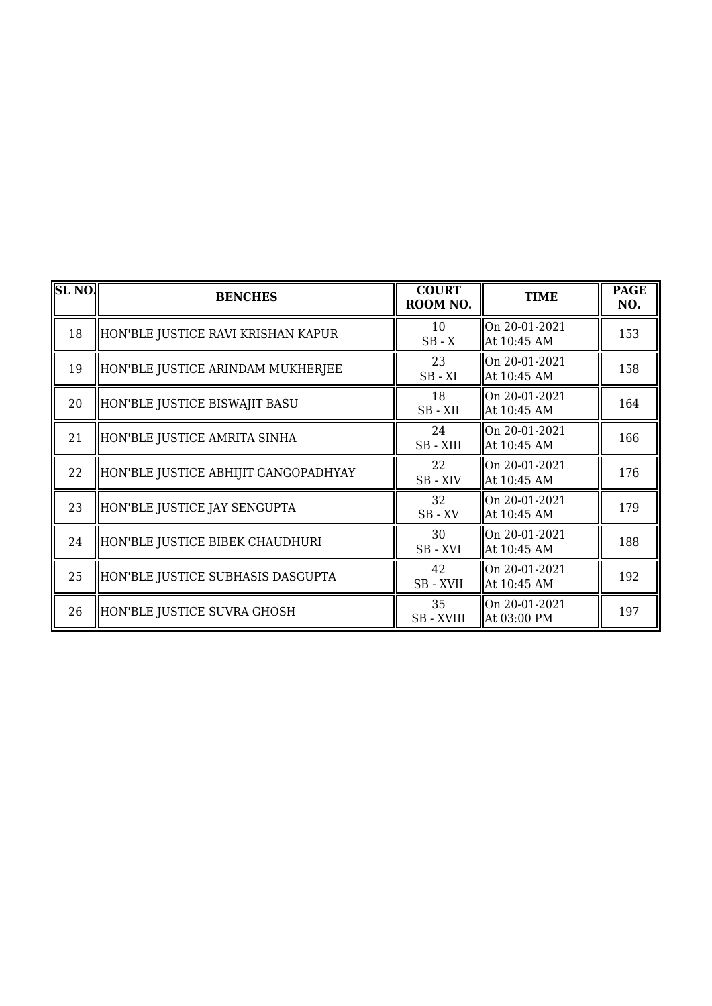| <b>SL NO.</b> | <b>BENCHES</b>                       | <b>COURT</b><br>ROOM NO. | <b>TIME</b>                  | <b>PAGE</b><br>NO. |
|---------------|--------------------------------------|--------------------------|------------------------------|--------------------|
| 18            | HON'BLE JUSTICE RAVI KRISHAN KAPUR   | 10<br>$SB - X$           | On 20-01-2021<br>At 10:45 AM | 153                |
| 19            | HON'BLE JUSTICE ARINDAM MUKHERJEE    | 23<br>$SB - XI$          | On 20-01-2021<br>At 10:45 AM | 158                |
| 20            | HON'BLE JUSTICE BISWAJIT BASU        | 18<br>$SB - XII$         | On 20-01-2021<br>At 10:45 AM | 164                |
| 21            | HON'BLE JUSTICE AMRITA SINHA         | 24<br>SB - XIII          | On 20-01-2021<br>At 10:45 AM | 166                |
| 22            | HON'BLE JUSTICE ABHIJIT GANGOPADHYAY | 22<br>SB-XIV             | On 20-01-2021<br>At 10:45 AM | 176                |
| 23            | HON'BLE JUSTICE JAY SENGUPTA         | 32<br>$SB$ - $XV$        | On 20-01-2021<br>At 10:45 AM | 179                |
| 24            | HON'BLE JUSTICE BIBEK CHAUDHURI      | 30<br>SB-XVI             | On 20-01-2021<br>At 10:45 AM | 188                |
| 25            | HON'BLE JUSTICE SUBHASIS DASGUPTA    | 42<br>SB-XVII            | On 20-01-2021<br>At 10:45 AM | 192                |
| 26            | HON'BLE JUSTICE SUVRA GHOSH          | 35<br><b>SB-XVIII</b>    | On 20-01-2021<br>At 03:00 PM | 197                |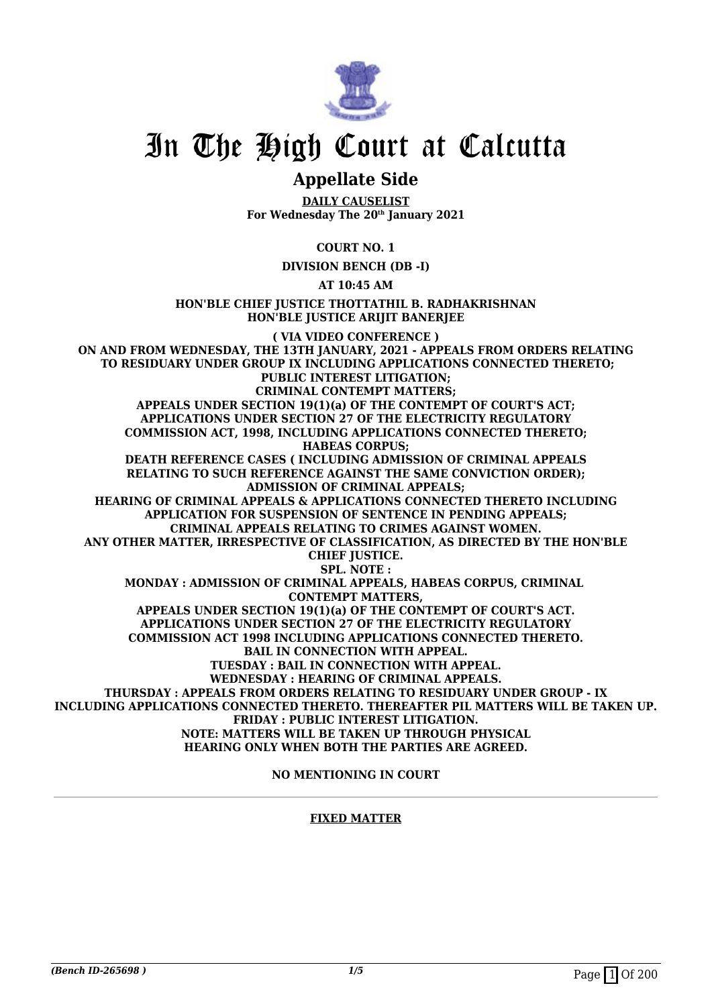

## **Appellate Side**

**DAILY CAUSELIST For Wednesday The 20th January 2021**

**COURT NO. 1**

**DIVISION BENCH (DB -I)**

**AT 10:45 AM**

**HON'BLE CHIEF JUSTICE THOTTATHIL B. RADHAKRISHNAN HON'BLE JUSTICE ARIJIT BANERJEE**

**( VIA VIDEO CONFERENCE ) ON AND FROM WEDNESDAY, THE 13TH JANUARY, 2021 - APPEALS FROM ORDERS RELATING TO RESIDUARY UNDER GROUP IX INCLUDING APPLICATIONS CONNECTED THERETO; PUBLIC INTEREST LITIGATION; CRIMINAL CONTEMPT MATTERS; APPEALS UNDER SECTION 19(1)(a) OF THE CONTEMPT OF COURT'S ACT; APPLICATIONS UNDER SECTION 27 OF THE ELECTRICITY REGULATORY COMMISSION ACT, 1998, INCLUDING APPLICATIONS CONNECTED THERETO; HABEAS CORPUS; DEATH REFERENCE CASES ( INCLUDING ADMISSION OF CRIMINAL APPEALS RELATING TO SUCH REFERENCE AGAINST THE SAME CONVICTION ORDER); ADMISSION OF CRIMINAL APPEALS; HEARING OF CRIMINAL APPEALS & APPLICATIONS CONNECTED THERETO INCLUDING APPLICATION FOR SUSPENSION OF SENTENCE IN PENDING APPEALS; CRIMINAL APPEALS RELATING TO CRIMES AGAINST WOMEN. ANY OTHER MATTER, IRRESPECTIVE OF CLASSIFICATION, AS DIRECTED BY THE HON'BLE CHIEF JUSTICE. SPL. NOTE : MONDAY : ADMISSION OF CRIMINAL APPEALS, HABEAS CORPUS, CRIMINAL CONTEMPT MATTERS, APPEALS UNDER SECTION 19(1)(a) OF THE CONTEMPT OF COURT'S ACT. APPLICATIONS UNDER SECTION 27 OF THE ELECTRICITY REGULATORY COMMISSION ACT 1998 INCLUDING APPLICATIONS CONNECTED THERETO. BAIL IN CONNECTION WITH APPEAL. TUESDAY : BAIL IN CONNECTION WITH APPEAL. WEDNESDAY : HEARING OF CRIMINAL APPEALS. THURSDAY : APPEALS FROM ORDERS RELATING TO RESIDUARY UNDER GROUP - IX INCLUDING APPLICATIONS CONNECTED THERETO. THEREAFTER PIL MATTERS WILL BE TAKEN UP. FRIDAY : PUBLIC INTEREST LITIGATION. NOTE: MATTERS WILL BE TAKEN UP THROUGH PHYSICAL HEARING ONLY WHEN BOTH THE PARTIES ARE AGREED.**

**NO MENTIONING IN COURT**

#### **FIXED MATTER**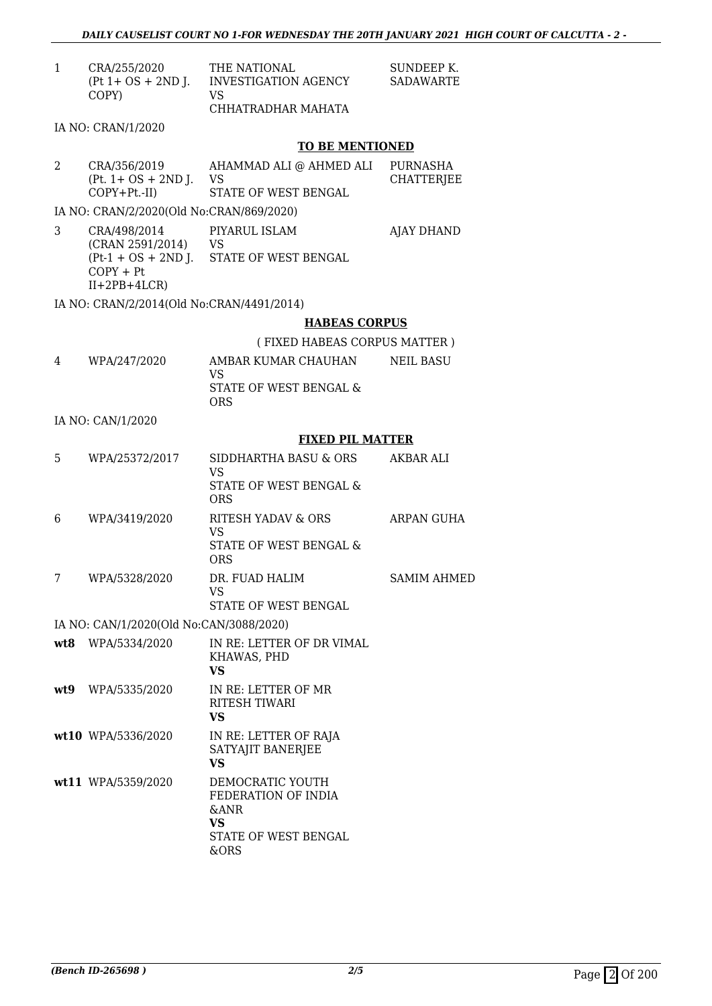| CRA/255/2020<br>$(Pt 1 + OS + 2ND J.$<br>COPY) | THE NATIONAL<br>VS                                                                                                                                     | SUNDEEP K.<br><b>SADAWARTE</b>                                                                                                                                                                                                                                                                                                                                                                               |
|------------------------------------------------|--------------------------------------------------------------------------------------------------------------------------------------------------------|--------------------------------------------------------------------------------------------------------------------------------------------------------------------------------------------------------------------------------------------------------------------------------------------------------------------------------------------------------------------------------------------------------------|
|                                                | CHHATRADHAR MAHATA                                                                                                                                     |                                                                                                                                                                                                                                                                                                                                                                                                              |
|                                                |                                                                                                                                                        |                                                                                                                                                                                                                                                                                                                                                                                                              |
|                                                |                                                                                                                                                        |                                                                                                                                                                                                                                                                                                                                                                                                              |
| $(Pt. 1 + OS + 2ND J.$                         | <b>VS</b>                                                                                                                                              | PURNASHA<br>CHATTERJEE                                                                                                                                                                                                                                                                                                                                                                                       |
|                                                |                                                                                                                                                        |                                                                                                                                                                                                                                                                                                                                                                                                              |
|                                                |                                                                                                                                                        | <b>AJAY DHAND</b>                                                                                                                                                                                                                                                                                                                                                                                            |
| $COPY + Pt$<br>$II+2PB+4LCR$                   |                                                                                                                                                        |                                                                                                                                                                                                                                                                                                                                                                                                              |
|                                                |                                                                                                                                                        |                                                                                                                                                                                                                                                                                                                                                                                                              |
|                                                | <b>HABEAS CORPUS</b>                                                                                                                                   |                                                                                                                                                                                                                                                                                                                                                                                                              |
|                                                | (FIXED HABEAS CORPUS MATTER)                                                                                                                           |                                                                                                                                                                                                                                                                                                                                                                                                              |
| WPA/247/2020                                   | AMBAR KUMAR CHAUHAN                                                                                                                                    | <b>NEIL BASU</b>                                                                                                                                                                                                                                                                                                                                                                                             |
|                                                | STATE OF WEST BENGAL &<br><b>ORS</b>                                                                                                                   |                                                                                                                                                                                                                                                                                                                                                                                                              |
|                                                |                                                                                                                                                        |                                                                                                                                                                                                                                                                                                                                                                                                              |
|                                                | <b>FIXED PIL MATTER</b>                                                                                                                                |                                                                                                                                                                                                                                                                                                                                                                                                              |
| WPA/25372/2017                                 | SIDDHARTHA BASU & ORS<br><b>VS</b>                                                                                                                     | AKBAR ALI                                                                                                                                                                                                                                                                                                                                                                                                    |
|                                                | <b>ORS</b>                                                                                                                                             |                                                                                                                                                                                                                                                                                                                                                                                                              |
| WPA/3419/2020                                  | RITESH YADAV & ORS                                                                                                                                     | <b>ARPAN GUHA</b>                                                                                                                                                                                                                                                                                                                                                                                            |
|                                                | STATE OF WEST BENGAL &<br><b>ORS</b>                                                                                                                   |                                                                                                                                                                                                                                                                                                                                                                                                              |
| WPA/5328/2020                                  | DR. FUAD HALIM                                                                                                                                         | <b>SAMIM AHMED</b>                                                                                                                                                                                                                                                                                                                                                                                           |
|                                                |                                                                                                                                                        |                                                                                                                                                                                                                                                                                                                                                                                                              |
|                                                |                                                                                                                                                        |                                                                                                                                                                                                                                                                                                                                                                                                              |
|                                                | IN RE: LETTER OF DR VIMAL                                                                                                                              |                                                                                                                                                                                                                                                                                                                                                                                                              |
|                                                | KHAWAS, PHD<br><b>VS</b>                                                                                                                               |                                                                                                                                                                                                                                                                                                                                                                                                              |
| WPA/5335/2020                                  | IN RE: LETTER OF MR<br><b>RITESH TIWARI</b><br><b>VS</b>                                                                                               |                                                                                                                                                                                                                                                                                                                                                                                                              |
|                                                | IN RE: LETTER OF RAJA<br>SATYAJIT BANERJEE<br><b>VS</b>                                                                                                |                                                                                                                                                                                                                                                                                                                                                                                                              |
|                                                | DEMOCRATIC YOUTH<br>FEDERATION OF INDIA<br>&ANR<br><b>VS</b><br>STATE OF WEST BENGAL<br>&ORS                                                           |                                                                                                                                                                                                                                                                                                                                                                                                              |
|                                                | IA NO: CRAN/1/2020<br>CRA/356/2019<br>$COPY+Pt.-II)$<br>CRA/498/2014<br>IA NO: CAN/1/2020<br>WPA/5334/2020<br>wt10 WPA/5336/2020<br>wt11 WPA/5359/2020 | INVESTIGATION AGENCY<br><b>TO BE MENTIONED</b><br>AHAMMAD ALI @ AHMED ALI<br>STATE OF WEST BENGAL<br>IA NO: CRAN/2/2020(Old No:CRAN/869/2020)<br>PIYARUL ISLAM<br>(CRAN 2591/2014) VS<br>(Pt-1 + OS + 2ND J. STATE OF WEST BENGAL<br>IA NO: CRAN/2/2014(Old No:CRAN/4491/2014)<br><b>VS</b><br>STATE OF WEST BENGAL &<br><b>VS</b><br>VS.<br>STATE OF WEST BENGAL<br>IA NO: CAN/1/2020(Old No:CAN/3088/2020) |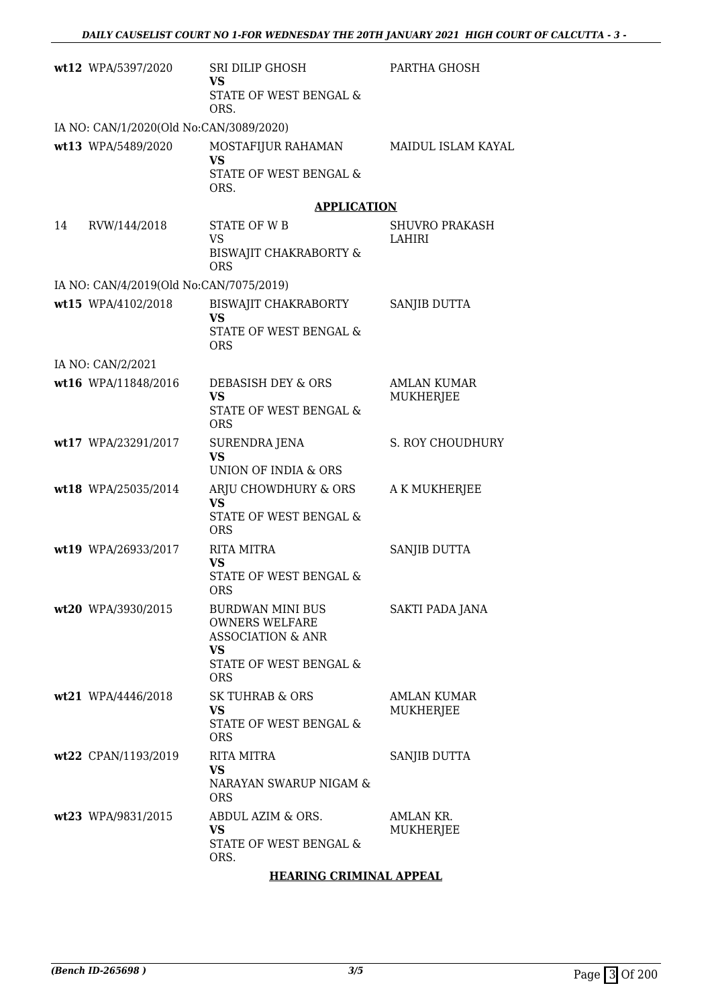|    | wt12 WPA/5397/2020                      | SRI DILIP GHOSH<br>VS<br>STATE OF WEST BENGAL &                                        | PARTHA GHOSH                  |
|----|-----------------------------------------|----------------------------------------------------------------------------------------|-------------------------------|
|    |                                         | ORS.                                                                                   |                               |
|    | IA NO: CAN/1/2020(Old No:CAN/3089/2020) |                                                                                        |                               |
|    | wt13 WPA/5489/2020                      | MOSTAFIJUR RAHAMAN<br><b>VS</b>                                                        | <b>MAIDUL ISLAM KAYAL</b>     |
|    |                                         | STATE OF WEST BENGAL &<br>ORS.                                                         |                               |
|    |                                         | <b>APPLICATION</b>                                                                     |                               |
| 14 | RVW/144/2018                            | <b>STATE OF WB</b><br><b>VS</b><br>BISWAJIT CHAKRABORTY &                              | SHUVRO PRAKASH<br>LAHIRI      |
|    |                                         | <b>ORS</b>                                                                             |                               |
|    | IA NO: CAN/4/2019(Old No:CAN/7075/2019) |                                                                                        |                               |
|    | wt15 WPA/4102/2018                      | BISWAJIT CHAKRABORTY<br><b>VS</b>                                                      | <b>SANJIB DUTTA</b>           |
|    |                                         | <b>STATE OF WEST BENGAL &amp;</b><br><b>ORS</b>                                        |                               |
|    | IA NO: CAN/2/2021                       |                                                                                        |                               |
|    | wt16 WPA/11848/2016                     | DEBASISH DEY & ORS<br><b>VS</b>                                                        | AMLAN KUMAR<br>MUKHERJEE      |
|    |                                         | STATE OF WEST BENGAL &<br><b>ORS</b>                                                   |                               |
|    | wt17 WPA/23291/2017                     | SURENDRA JENA                                                                          | S. ROY CHOUDHURY              |
|    |                                         | <b>VS</b><br>UNION OF INDIA & ORS                                                      |                               |
|    | wt18 WPA/25035/2014                     | ARJU CHOWDHURY & ORS                                                                   | A K MUKHERJEE                 |
|    |                                         | <b>VS</b><br>STATE OF WEST BENGAL &<br><b>ORS</b>                                      |                               |
|    | wt19 WPA/26933/2017                     | <b>RITA MITRA</b>                                                                      | SANJIB DUTTA                  |
|    |                                         | <b>VS</b><br><b>STATE OF WEST BENGAL &amp;</b>                                         |                               |
|    |                                         | ORS                                                                                    |                               |
|    | wt20 WPA/3930/2015                      | BURDWAN MINI BUS<br><b>OWNERS WELFARE</b><br><b>ASSOCIATION &amp; ANR</b><br><b>VS</b> | SAKTI PADA JANA               |
|    |                                         | STATE OF WEST BENGAL &<br><b>ORS</b>                                                   |                               |
|    | wt21 WPA/4446/2018                      | SK TUHRAB & ORS                                                                        | <b>AMLAN KUMAR</b>            |
|    |                                         | <b>VS</b><br><b>STATE OF WEST BENGAL &amp;</b><br><b>ORS</b>                           | MUKHERJEE                     |
|    | wt22 CPAN/1193/2019                     | RITA MITRA                                                                             | SANJIB DUTTA                  |
|    |                                         | <b>VS</b>                                                                              |                               |
|    |                                         | NARAYAN SWARUP NIGAM &<br><b>ORS</b>                                                   |                               |
|    | wt23 WPA/9831/2015                      | ABDUL AZIM & ORS.<br><b>VS</b>                                                         | AMLAN KR.<br><b>MUKHERJEE</b> |
|    |                                         | STATE OF WEST BENGAL &<br>ORS.                                                         |                               |
|    |                                         | <b>HEARING CRIMINAL APPEAL</b>                                                         |                               |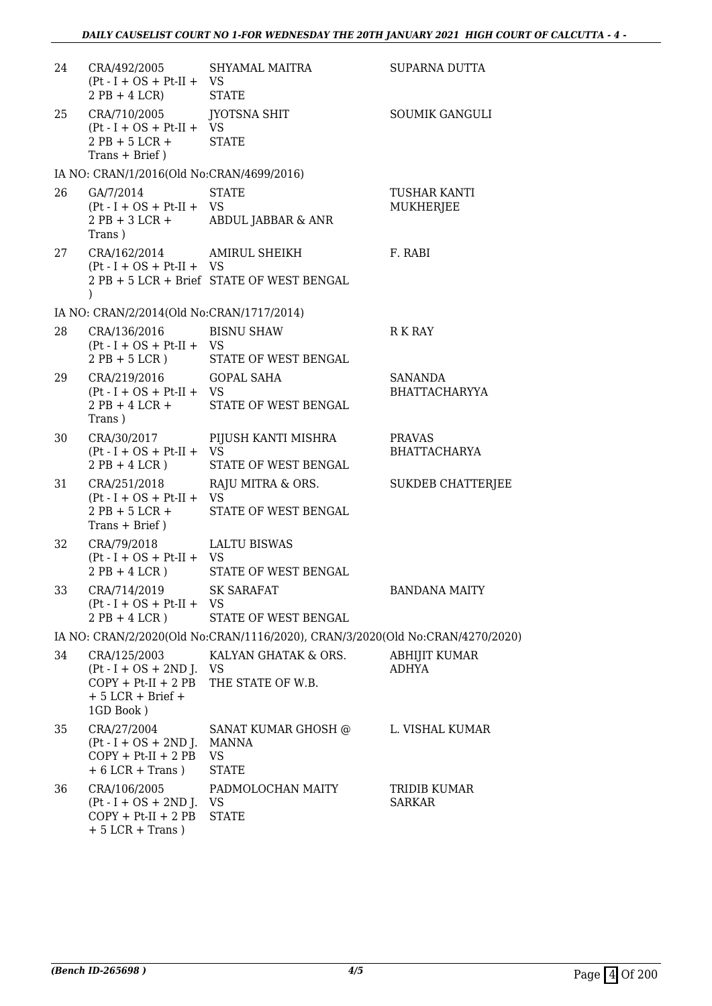| 24 | CRA/492/2005 SHYAMAL MAITRA<br>$(Pt - I + OS + Pt-II + VS)$<br>$2PB + 4LCR$ STATE                          |                                                                               | SUPARNA DUTTA                        |
|----|------------------------------------------------------------------------------------------------------------|-------------------------------------------------------------------------------|--------------------------------------|
| 25 | CRA/710/2005 JYOTSNA SHIT<br>$(Pt - I + OS + Pt-II + VS)$<br>$2$ PB + 5 LCR +<br>$Trans + Brief)$          | <b>STATE</b>                                                                  | <b>SOUMIK GANGULI</b>                |
|    | IA NO: CRAN/1/2016(Old No:CRAN/4699/2016)                                                                  |                                                                               |                                      |
| 26 | GA/7/2014<br>$(Pt - I + OS + Pt-II + VS)$<br>Trans)                                                        | <b>STATE</b><br>2 PB + 3 LCR + ABDUL JABBAR & ANR                             | TUSHAR KANTI<br><b>MUKHERJEE</b>     |
| 27 | CRA/162/2014 AMIRUL SHEIKH<br>$(Pt - I + OS + Pt-II + VS)$<br>$\mathcal{E}$                                | 2 PB + 5 LCR + Brief STATE OF WEST BENGAL                                     | F. RABI                              |
|    | IA NO: CRAN/2/2014(Old No:CRAN/1717/2014)                                                                  |                                                                               |                                      |
| 28 | CRA/136/2016 BISNU SHAW<br>$(Pt - I + OS + Pt-II + VS)$                                                    | 2 PB + 5 LCR ) STATE OF WEST BENGAL                                           | R K RAY                              |
| 29 | CRA/219/2016 GOPAL SAHA<br>$(Pt - I + OS + Pt-II + VS)$<br>Trans)                                          | 2 PB + 4 LCR + STATE OF WEST BENGAL                                           | SANANDA<br><b>BHATTACHARYYA</b>      |
| 30 | CRA/30/2017<br>$(Pt - I + OS + Pt-II + VS)$<br>$2PB + 4LCR$ )                                              | PIJUSH KANTI MISHRA<br>STATE OF WEST BENGAL                                   | <b>PRAVAS</b><br><b>BHATTACHARYA</b> |
| 31 | $(Pt - I + OS + Pt-II + VS)$<br>2 PB + 5 LCR +<br>$Trans + Brief)$                                         | CRA/251/2018 RAJU MITRA & ORS.<br>STATE OF WEST BENGAL                        | <b>SUKDEB CHATTERJEE</b>             |
| 32 | CRA/79/2018<br>$(Pt - I + OS + Pt-II + VS)$<br>$2PB + 4LCR$ )                                              | <b>LALTU BISWAS</b><br>STATE OF WEST BENGAL                                   |                                      |
| 33 | CRA/714/2019 SK SARAFAT<br>$(Pt - I + OS + Pt-II + VS)$<br>$2PB + 4LCR$ )                                  | STATE OF WEST BENGAL                                                          | <b>BANDANA MAITY</b>                 |
|    |                                                                                                            | IA NO: CRAN/2/2020(Old No:CRAN/1116/2020), CRAN/3/2020(Old No:CRAN/4270/2020) |                                      |
| 34 | CRA/125/2003<br>$(Pt - I + OS + 2ND J. VS$<br>$COPY + Pt-II + 2 PB$<br>$+5$ LCR $+$ Brief $+$<br>1GD Book) | KALYAN GHATAK & ORS.<br>THE STATE OF W.B.                                     | ABHIJIT KUMAR<br>ADHYA               |
| 35 | CRA/27/2004<br>$(Pt - I + OS + 2ND J. MANNA)$<br>$COPY + Pt-II + 2 PB$<br>$+6$ LCR $+$ Trans)              | SANAT KUMAR GHOSH @<br>VS<br><b>STATE</b>                                     | L. VISHAL KUMAR                      |
| 36 | CRA/106/2005<br>$(Pt - I + OS + 2ND J. VS$<br>$COPY + Pt-II + 2 PB$                                        | PADMOLOCHAN MAITY<br><b>STATE</b>                                             | TRIDIB KUMAR<br><b>SARKAR</b>        |

+ 5 LCR + Trans )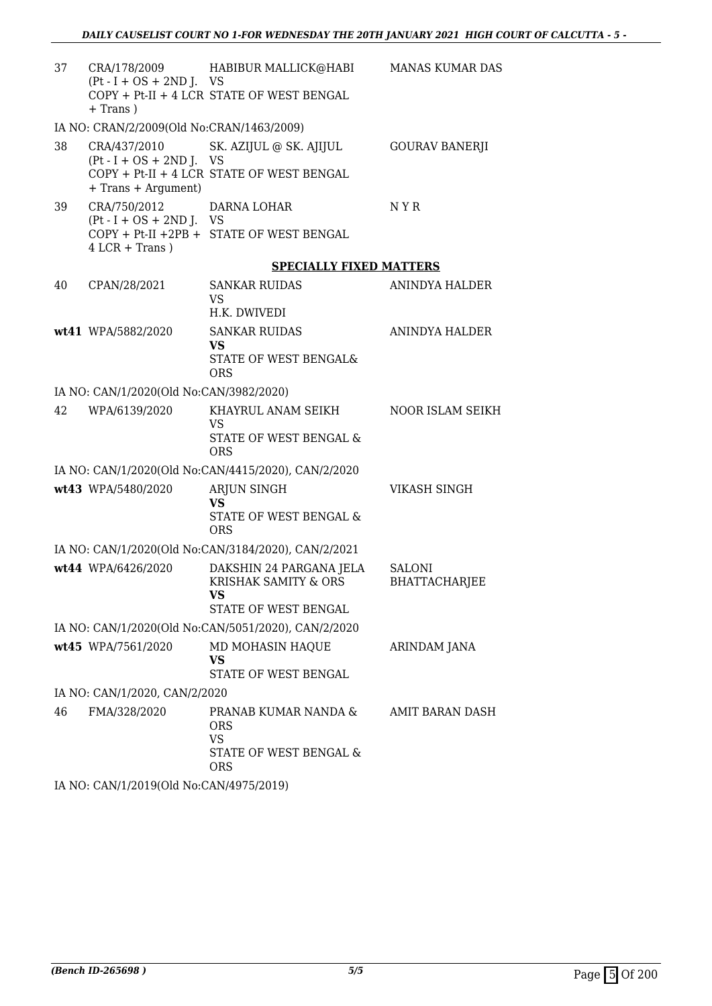| CRA/178/2009<br>+ Trans)            |                                                                                          | <b>MANAS KUMAR DAS</b>                                                                                                                                                                                                                                                                                                                                                                                                                                                                                                                                    |
|-------------------------------------|------------------------------------------------------------------------------------------|-----------------------------------------------------------------------------------------------------------------------------------------------------------------------------------------------------------------------------------------------------------------------------------------------------------------------------------------------------------------------------------------------------------------------------------------------------------------------------------------------------------------------------------------------------------|
|                                     |                                                                                          |                                                                                                                                                                                                                                                                                                                                                                                                                                                                                                                                                           |
| CRA/437/2010<br>+ Trans + Argument) | SK. AZIJUL @ SK. AJIJUL                                                                  | <b>GOURAV BANERJI</b>                                                                                                                                                                                                                                                                                                                                                                                                                                                                                                                                     |
| CRA/750/2012<br>$4 LCR + Trans)$    | DARNA LOHAR                                                                              | N Y R                                                                                                                                                                                                                                                                                                                                                                                                                                                                                                                                                     |
|                                     | <b>SPECIALLY FIXED MATTERS</b>                                                           |                                                                                                                                                                                                                                                                                                                                                                                                                                                                                                                                                           |
| CPAN/28/2021                        | <b>SANKAR RUIDAS</b><br><b>VS</b><br>H.K. DWIVEDI                                        | ANINDYA HALDER                                                                                                                                                                                                                                                                                                                                                                                                                                                                                                                                            |
| wt41 WPA/5882/2020                  | <b>SANKAR RUIDAS</b><br><b>VS</b><br>STATE OF WEST BENGAL&<br><b>ORS</b>                 | ANINDYA HALDER                                                                                                                                                                                                                                                                                                                                                                                                                                                                                                                                            |
|                                     |                                                                                          |                                                                                                                                                                                                                                                                                                                                                                                                                                                                                                                                                           |
| WPA/6139/2020                       | KHAYRUL ANAM SEIKH<br><b>VS</b><br>STATE OF WEST BENGAL &                                | <b>NOOR ISLAM SEIKH</b>                                                                                                                                                                                                                                                                                                                                                                                                                                                                                                                                   |
|                                     |                                                                                          |                                                                                                                                                                                                                                                                                                                                                                                                                                                                                                                                                           |
| wt43 WPA/5480/2020                  | <b>ARJUN SINGH</b><br><b>VS</b><br>STATE OF WEST BENGAL &<br><b>ORS</b>                  | <b>VIKASH SINGH</b>                                                                                                                                                                                                                                                                                                                                                                                                                                                                                                                                       |
|                                     |                                                                                          |                                                                                                                                                                                                                                                                                                                                                                                                                                                                                                                                                           |
| wt44 WPA/6426/2020                  | DAKSHIN 24 PARGANA JELA<br><b>KRISHAK SAMITY &amp; ORS</b><br>VS<br>STATE OF WEST BENGAL | <b>SALONI</b><br><b>BHATTACHARJEE</b>                                                                                                                                                                                                                                                                                                                                                                                                                                                                                                                     |
|                                     |                                                                                          |                                                                                                                                                                                                                                                                                                                                                                                                                                                                                                                                                           |
| wt45 WPA/7561/2020                  | MD MOHASIN HAQUE<br>VS<br>STATE OF WEST BENGAL                                           | ARINDAM JANA                                                                                                                                                                                                                                                                                                                                                                                                                                                                                                                                              |
|                                     |                                                                                          |                                                                                                                                                                                                                                                                                                                                                                                                                                                                                                                                                           |
| FMA/328/2020                        | PRANAB KUMAR NANDA &<br><b>ORS</b><br><b>VS</b><br>STATE OF WEST BENGAL &<br><b>ORS</b>  | AMIT BARAN DASH                                                                                                                                                                                                                                                                                                                                                                                                                                                                                                                                           |
|                                     |                                                                                          | HABIBUR MALLICK@HABI<br>$(Pt - I + OS + 2ND J. VS$<br>COPY + Pt-II + 4 LCR STATE OF WEST BENGAL<br>IA NO: CRAN/2/2009(Old No:CRAN/1463/2009)<br>$(Pt - I + OS + 2ND J. VS$<br>COPY + Pt-II + 4 LCR STATE OF WEST BENGAL<br>$(Pt - I + OS + 2ND J. VS$<br>COPY + Pt-II +2PB + STATE OF WEST BENGAL<br>IA NO: CAN/1/2020(Old No:CAN/3982/2020)<br>ORS<br>IA NO: CAN/1/2020(Old No:CAN/4415/2020), CAN/2/2020<br>IA NO: CAN/1/2020(Old No:CAN/3184/2020), CAN/2/2021<br>IA NO: CAN/1/2020(Old No:CAN/5051/2020), CAN/2/2020<br>IA NO: CAN/1/2020, CAN/2/2020 |

IA NO: CAN/1/2019(Old No:CAN/4975/2019)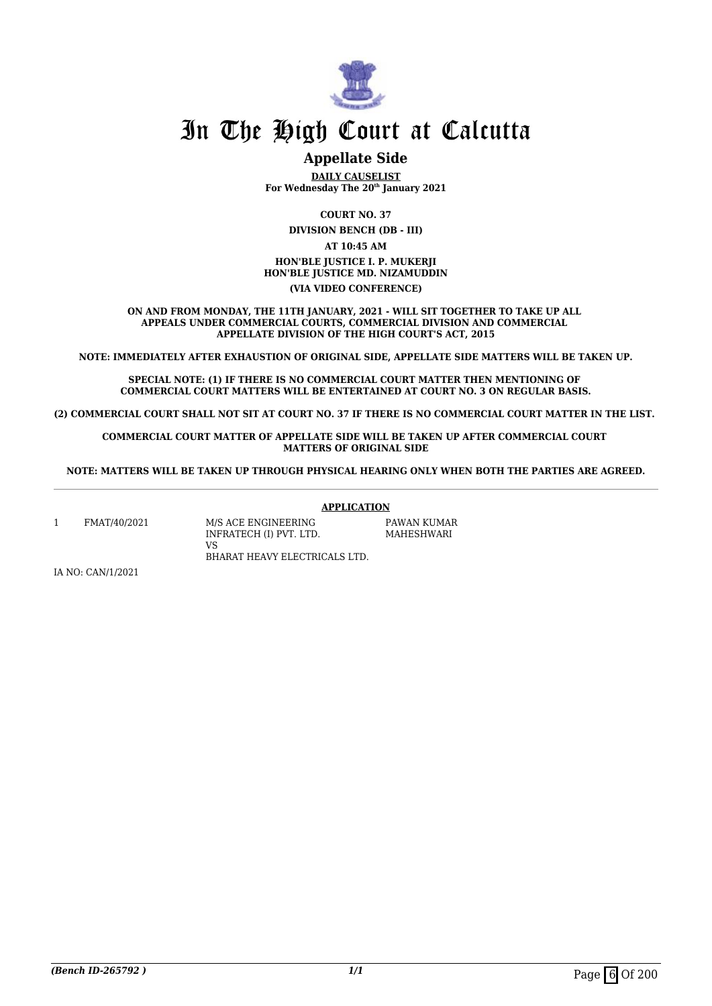

#### **Appellate Side**

**DAILY CAUSELIST For Wednesday The 20th January 2021**

**COURT NO. 37**

**DIVISION BENCH (DB - III)**

**AT 10:45 AM HON'BLE JUSTICE I. P. MUKERJI HON'BLE JUSTICE MD. NIZAMUDDIN (VIA VIDEO CONFERENCE)**

**ON AND FROM MONDAY, THE 11TH JANUARY, 2021 - WILL SIT TOGETHER TO TAKE UP ALL APPEALS UNDER COMMERCIAL COURTS, COMMERCIAL DIVISION AND COMMERCIAL APPELLATE DIVISION OF THE HIGH COURT'S ACT, 2015**

**NOTE: IMMEDIATELY AFTER EXHAUSTION OF ORIGINAL SIDE, APPELLATE SIDE MATTERS WILL BE TAKEN UP.**

**SPECIAL NOTE: (1) IF THERE IS NO COMMERCIAL COURT MATTER THEN MENTIONING OF COMMERCIAL COURT MATTERS WILL BE ENTERTAINED AT COURT NO. 3 ON REGULAR BASIS.**

**(2) COMMERCIAL COURT SHALL NOT SIT AT COURT NO. 37 IF THERE IS NO COMMERCIAL COURT MATTER IN THE LIST.** 

**COMMERCIAL COURT MATTER OF APPELLATE SIDE WILL BE TAKEN UP AFTER COMMERCIAL COURT MATTERS OF ORIGINAL SIDE**

**NOTE: MATTERS WILL BE TAKEN UP THROUGH PHYSICAL HEARING ONLY WHEN BOTH THE PARTIES ARE AGREED.**

**APPLICATION**

1 FMAT/40/2021 M/S ACE ENGINEERING

INFRATECH (I) PVT. LTD. VS BHARAT HEAVY ELECTRICALS LTD.

PAWAN KUMAR MAHESHWARI

IA NO: CAN/1/2021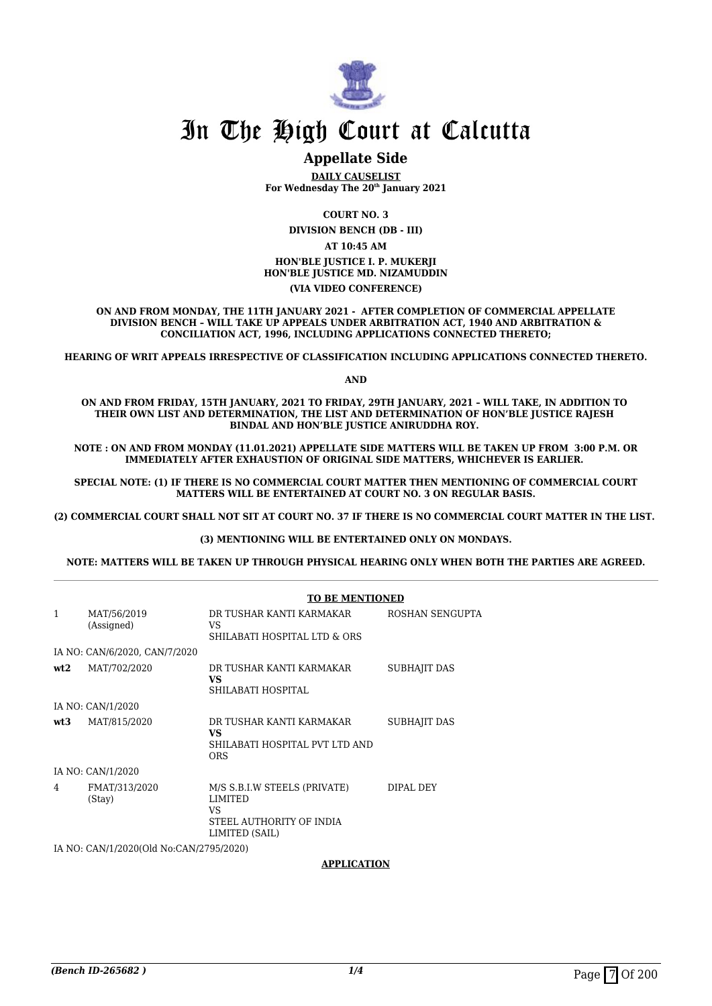

#### **Appellate Side**

**DAILY CAUSELIST For Wednesday The 20th January 2021**

**COURT NO. 3**

**DIVISION BENCH (DB - III)**

**AT 10:45 AM HON'BLE JUSTICE I. P. MUKERJI HON'BLE JUSTICE MD. NIZAMUDDIN (VIA VIDEO CONFERENCE)**

**ON AND FROM MONDAY, THE 11TH JANUARY 2021 - AFTER COMPLETION OF COMMERCIAL APPELLATE DIVISION BENCH – WILL TAKE UP APPEALS UNDER ARBITRATION ACT, 1940 AND ARBITRATION & CONCILIATION ACT, 1996, INCLUDING APPLICATIONS CONNECTED THERETO;**

**HEARING OF WRIT APPEALS IRRESPECTIVE OF CLASSIFICATION INCLUDING APPLICATIONS CONNECTED THERETO.**

**AND**

**ON AND FROM FRIDAY, 15TH JANUARY, 2021 TO FRIDAY, 29TH JANUARY, 2021 – WILL TAKE, IN ADDITION TO THEIR OWN LIST AND DETERMINATION, THE LIST AND DETERMINATION OF HON'BLE JUSTICE RAJESH BINDAL AND HON'BLE JUSTICE ANIRUDDHA ROY.** 

**NOTE : ON AND FROM MONDAY (11.01.2021) APPELLATE SIDE MATTERS WILL BE TAKEN UP FROM 3:00 P.M. OR IMMEDIATELY AFTER EXHAUSTION OF ORIGINAL SIDE MATTERS, WHICHEVER IS EARLIER.** 

**SPECIAL NOTE: (1) IF THERE IS NO COMMERCIAL COURT MATTER THEN MENTIONING OF COMMERCIAL COURT MATTERS WILL BE ENTERTAINED AT COURT NO. 3 ON REGULAR BASIS.**

**(2) COMMERCIAL COURT SHALL NOT SIT AT COURT NO. 37 IF THERE IS NO COMMERCIAL COURT MATTER IN THE LIST.** 

**(3) MENTIONING WILL BE ENTERTAINED ONLY ON MONDAYS.**

**NOTE: MATTERS WILL BE TAKEN UP THROUGH PHYSICAL HEARING ONLY WHEN BOTH THE PARTIES ARE AGREED.**

|              |                                         | <b>TO BE MENTIONED</b>                                                                             |                 |  |
|--------------|-----------------------------------------|----------------------------------------------------------------------------------------------------|-----------------|--|
| $\mathbf{1}$ | MAT/56/2019<br>(Assigned)               | DR TUSHAR KANTI KARMAKAR<br>VS<br>SHILABATI HOSPITAL LTD & ORS                                     | ROSHAN SENGUPTA |  |
|              | IA NO: CAN/6/2020, CAN/7/2020           |                                                                                                    |                 |  |
| wt2          | MAT/702/2020                            | DR TUSHAR KANTI KARMAKAR<br>VS.<br>SHILABATI HOSPITAL                                              | SUBHAJIT DAS    |  |
|              | IA NO: CAN/1/2020                       |                                                                                                    |                 |  |
| wt:3         | MAT/815/2020                            | DR TUSHAR KANTI KARMAKAR<br>VS.<br>SHILABATI HOSPITAL PVT LTD AND<br><b>ORS</b>                    | SUBHAJIT DAS    |  |
|              | IA NO: CAN/1/2020                       |                                                                                                    |                 |  |
| 4            | FMAT/313/2020<br>(Stay)                 | M/S S.B.I.W STEELS (PRIVATE)<br><b>LIMITED</b><br>VS<br>STEEL AUTHORITY OF INDIA<br>LIMITED (SAIL) | DIPAL DEY       |  |
|              | IA NO: CAN/1/2020(Old No:CAN/2795/2020) |                                                                                                    |                 |  |

**APPLICATION**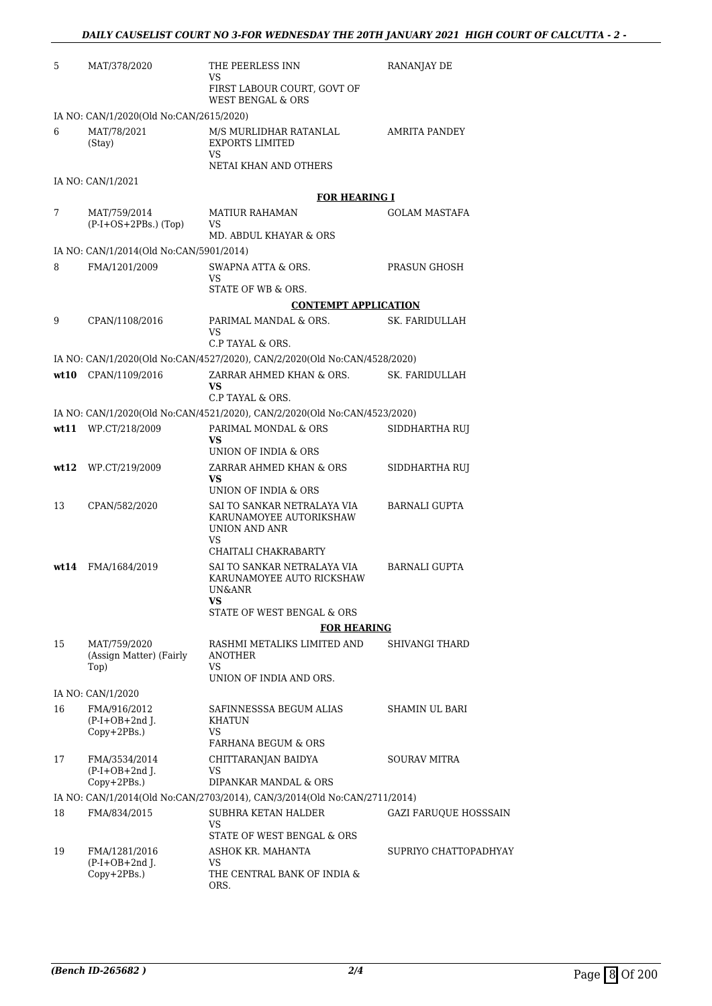| 5  | MAT/378/2020                                        | THE PEERLESS INN<br><b>VS</b>                                                                                                | RANANJAY DE           |
|----|-----------------------------------------------------|------------------------------------------------------------------------------------------------------------------------------|-----------------------|
|    |                                                     | FIRST LABOUR COURT, GOVT OF<br><b>WEST BENGAL &amp; ORS</b>                                                                  |                       |
|    | IA NO: CAN/1/2020(Old No:CAN/2615/2020)             |                                                                                                                              |                       |
| 6  | MAT/78/2021<br>(Stay)                               | M/S MURLIDHAR RATANLAL<br><b>EXPORTS LIMITED</b><br>VS<br>NETAI KHAN AND OTHERS                                              | AMRITA PANDEY         |
|    | IA NO: CAN/1/2021                                   |                                                                                                                              |                       |
|    |                                                     | <b>FOR HEARING I</b>                                                                                                         |                       |
| 7  | MAT/759/2014<br>$(P-I+OS+2PBs.)$ (Top)              | <b>MATIUR RAHAMAN</b><br>VS.<br>MD. ABDUL KHAYAR & ORS                                                                       | <b>GOLAM MASTAFA</b>  |
|    | IA NO: CAN/1/2014(Old No:CAN/5901/2014)             |                                                                                                                              |                       |
| 8  | FMA/1201/2009                                       | SWAPNA ATTA & ORS.<br>VS.<br>STATE OF WB & ORS.                                                                              | PRASUN GHOSH          |
|    |                                                     | <b>CONTEMPT APPLICATION</b>                                                                                                  |                       |
| 9  | CPAN/1108/2016                                      | PARIMAL MANDAL & ORS.                                                                                                        | SK. FARIDULLAH        |
|    |                                                     | VS<br>C.P TAYAL & ORS.                                                                                                       |                       |
|    |                                                     | IA NO: CAN/1/2020(Old No:CAN/4527/2020), CAN/2/2020(Old No:CAN/4528/2020)                                                    |                       |
|    | wt10 CPAN/1109/2016                                 | ZARRAR AHMED KHAN & ORS.<br>VS<br>C.P TAYAL & ORS.                                                                           | SK. FARIDULLAH        |
|    |                                                     | IA NO: CAN/1/2020(Old No:CAN/4521/2020), CAN/2/2020(Old No:CAN/4523/2020)                                                    |                       |
|    | wt11 WP.CT/218/2009                                 | PARIMAL MONDAL & ORS                                                                                                         | SIDDHARTHA RUJ        |
|    |                                                     | VS.<br>UNION OF INDIA & ORS                                                                                                  |                       |
|    | $wt12$ WP.CT/219/2009                               | ZARRAR AHMED KHAN & ORS                                                                                                      | SIDDHARTHA RUJ        |
|    |                                                     | VS<br>UNION OF INDIA & ORS                                                                                                   |                       |
| 13 | CPAN/582/2020                                       | SAI TO SANKAR NETRALAYA VIA<br>KARUNAMOYEE AUTORIKSHAW<br>UNION AND ANR<br>VS.<br>CHAITALI CHAKRABARTY                       | <b>BARNALI GUPTA</b>  |
|    | wt14 FMA/1684/2019                                  | SAI TO SANKAR NETRALAYA VIA<br>KARUNAMOYEE AUTO RICKSHAW<br>UN&ANR<br>VS<br>STATE OF WEST BENGAL & ORS<br><b>FOR HEARING</b> | <b>BARNALI GUPTA</b>  |
| 15 | MAT/759/2020                                        | RASHMI METALIKS LIMITED AND                                                                                                  | SHIVANGI THARD        |
|    | (Assign Matter) (Fairly<br>Top)                     | <b>ANOTHER</b><br>VS                                                                                                         |                       |
|    |                                                     | UNION OF INDIA AND ORS.                                                                                                      |                       |
| 16 | IA NO: CAN/1/2020<br>FMA/916/2012                   | SAFINNESSSA BEGUM ALIAS                                                                                                      | SHAMIN UL BARI        |
|    | $(P-I+OB+2nd$ J.<br>Copy+2PBs.)                     | <b>KHATUN</b><br>VS.                                                                                                         |                       |
|    |                                                     | FARHANA BEGUM & ORS                                                                                                          |                       |
| 17 | FMA/3534/2014<br>$(P-I+OB+2nd$ J.<br>$Copy+2PBs.$ ) | CHITTARANJAN BAIDYA<br>VS<br>DIPANKAR MANDAL & ORS                                                                           | <b>SOURAV MITRA</b>   |
|    |                                                     | IA NO: CAN/1/2014(Old No:CAN/2703/2014), CAN/3/2014(Old No:CAN/2711/2014)                                                    |                       |
| 18 | FMA/834/2015                                        | SUBHRA KETAN HALDER                                                                                                          | GAZI FARUQUE HOSSSAIN |
|    |                                                     | VS<br>STATE OF WEST BENGAL & ORS                                                                                             |                       |
| 19 | FMA/1281/2016                                       | ASHOK KR. MAHANTA                                                                                                            | SUPRIYO CHATTOPADHYAY |
|    | $(P-I+OB+2nd$ J.<br>$Copy+2PBs.$ )                  | VS<br>THE CENTRAL BANK OF INDIA &<br>ORS.                                                                                    |                       |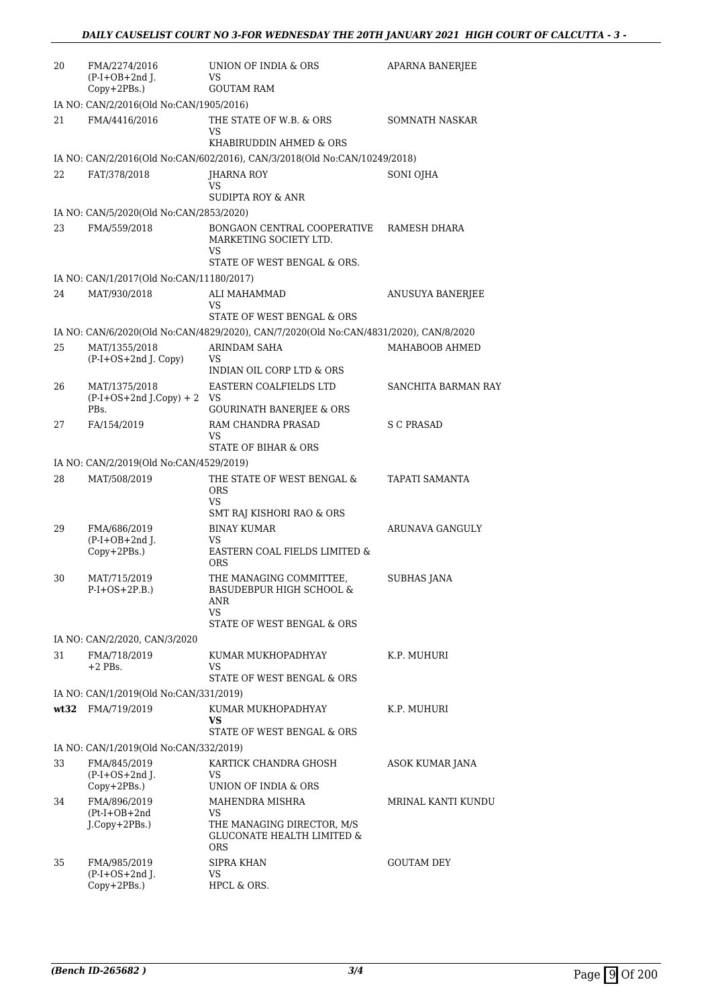| 20 | FMA/2274/2016<br>$(P-I+OB+2nd I.$<br>$Copy+2PBs.$ ) | UNION OF INDIA & ORS<br>VS<br><b>GOUTAM RAM</b>                                                            | APARNA BANERJEE       |
|----|-----------------------------------------------------|------------------------------------------------------------------------------------------------------------|-----------------------|
|    | IA NO: CAN/2/2016(Old No:CAN/1905/2016)             |                                                                                                            |                       |
| 21 | FMA/4416/2016                                       | THE STATE OF W.B. & ORS<br>VS                                                                              | SOMNATH NASKAR        |
|    |                                                     | KHABIRUDDIN AHMED & ORS                                                                                    |                       |
| 22 | FAT/378/2018                                        | IA NO: CAN/2/2016(Old No:CAN/602/2016), CAN/3/2018(Old No:CAN/10249/2018)<br>JHARNA ROY                    | SONI OJHA             |
|    |                                                     | VS<br><b>SUDIPTA ROY &amp; ANR</b>                                                                         |                       |
|    | IA NO: CAN/5/2020(Old No:CAN/2853/2020)             |                                                                                                            |                       |
| 23 | FMA/559/2018                                        | BONGAON CENTRAL COOPERATIVE<br>MARKETING SOCIETY LTD.<br>VS                                                | RAMESH DHARA          |
|    |                                                     | STATE OF WEST BENGAL & ORS.                                                                                |                       |
|    | IA NO: CAN/1/2017(Old No:CAN/11180/2017)            |                                                                                                            |                       |
| 24 | MAT/930/2018                                        | <b>ALI MAHAMMAD</b><br>VS<br>STATE OF WEST BENGAL & ORS                                                    | ANUSUYA BANERJEE      |
|    |                                                     | IA NO: CAN/6/2020(Old No:CAN/4829/2020), CAN/7/2020(Old No:CAN/4831/2020), CAN/8/2020                      |                       |
| 25 | MAT/1355/2018<br>$(P-I+OS+2nd J. Copy)$             | ARINDAM SAHA<br>VS.<br>INDIAN OIL CORP LTD & ORS                                                           | MAHABOOB AHMED        |
| 26 | MAT/1375/2018<br>$(P-I+OS+2nd J.Copy) + 2$<br>PBs.  | EASTERN COALFIELDS LTD<br>VS<br><b>GOURINATH BANERJEE &amp; ORS</b>                                        | SANCHITA BARMAN RAY   |
| 27 | FA/154/2019                                         | RAM CHANDRA PRASAD<br>VS                                                                                   | S C PRASAD            |
|    |                                                     | STATE OF BIHAR & ORS                                                                                       |                       |
|    | IA NO: CAN/2/2019(Old No:CAN/4529/2019)             |                                                                                                            |                       |
| 28 | MAT/508/2019                                        | THE STATE OF WEST BENGAL &<br>ORS<br>VS<br>SMT RAJ KISHORI RAO & ORS                                       | <b>TAPATI SAMANTA</b> |
| 29 | FMA/686/2019                                        | BINAY KUMAR                                                                                                | ARUNAVA GANGULY       |
|    | $(P-I+OB+2nd$ J.<br>Copy+2PBs.)                     | VS.<br>EASTERN COAL FIELDS LIMITED &<br>ORS                                                                |                       |
| 30 | MAT/715/2019<br>$P-I+OS+2P.B.)$                     | THE MANAGING COMMITTEE,<br>BASUDEBPUR HIGH SCHOOL &<br>ANR<br>VS.<br>STATE OF WEST BENGAL & ORS            | SUBHAS JANA           |
|    | IA NO: CAN/2/2020, CAN/3/2020                       |                                                                                                            |                       |
| 31 | FMA/718/2019<br>$+2$ PBs.                           | KUMAR MUKHOPADHYAY<br>VS.                                                                                  | K.P. MUHURI           |
|    |                                                     | STATE OF WEST BENGAL & ORS                                                                                 |                       |
|    | IA NO: CAN/1/2019(Old No:CAN/331/2019)              |                                                                                                            |                       |
|    | wt32 FMA/719/2019                                   | KUMAR MUKHOPADHYAY<br>VS<br>STATE OF WEST BENGAL & ORS                                                     | K.P. MUHURI           |
|    | IA NO: CAN/1/2019(Old No:CAN/332/2019)              |                                                                                                            |                       |
| 33 | FMA/845/2019                                        | KARTICK CHANDRA GHOSH                                                                                      | ASOK KUMAR JANA       |
|    | $(P-I+OS+2nd$ J.<br>Copy+2PBs.)                     | VS.<br>UNION OF INDIA & ORS                                                                                |                       |
| 34 | FMA/896/2019<br>$(Pt-I+OB+2nd$<br>J.Copy+2PBs.)     | MAHENDRA MISHRA<br>VS<br>THE MANAGING DIRECTOR, M/S<br><b>GLUCONATE HEALTH LIMITED &amp;</b><br><b>ORS</b> | MRINAL KANTI KUNDU    |
| 35 | FMA/985/2019<br>$(P-I+OS+2nd$ J.<br>Copy+2PBs.)     | SIPRA KHAN<br>VS<br>HPCL & ORS.                                                                            | <b>GOUTAM DEY</b>     |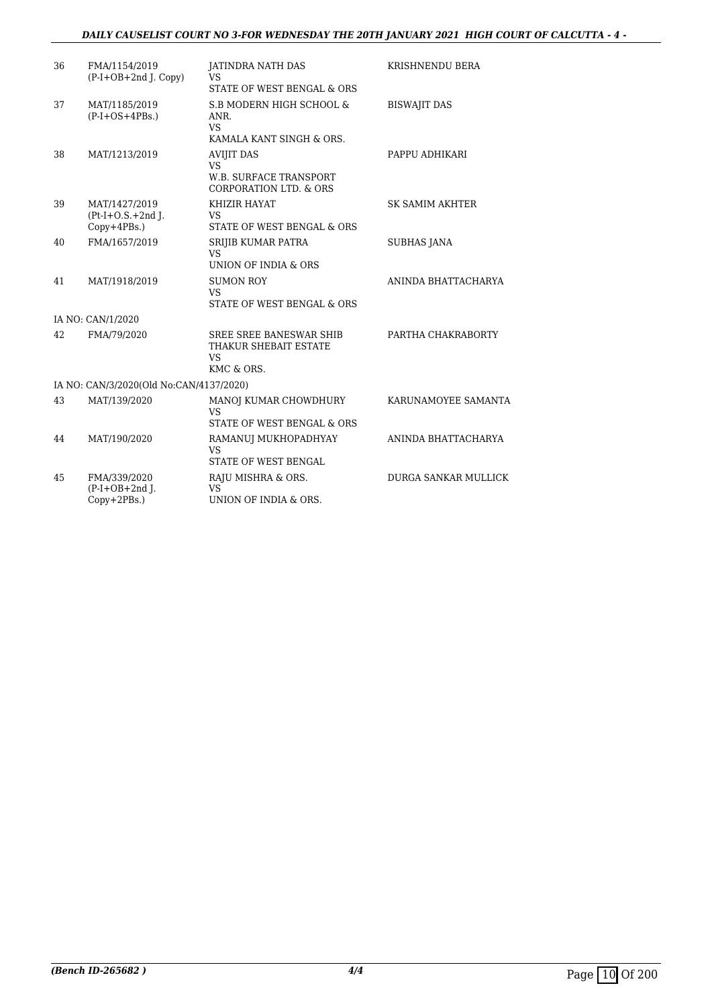#### *DAILY CAUSELIST COURT NO 3-FOR WEDNESDAY THE 20TH JANUARY 2021 HIGH COURT OF CALCUTTA - 4 -*

| 36 | FMA/1154/2019<br>$(P-I+OB+2nd$ J. Copy)             | <b>JATINDRA NATH DAS</b><br><b>VS</b><br>STATE OF WEST BENGAL & ORS                                  | KRISHNENDU BERA             |
|----|-----------------------------------------------------|------------------------------------------------------------------------------------------------------|-----------------------------|
| 37 | MAT/1185/2019<br>$(P-I+OS+4PBs.)$                   | S.B MODERN HIGH SCHOOL &<br>ANR.<br><b>VS</b><br>KAMALA KANT SINGH & ORS.                            | <b>BISWAJIT DAS</b>         |
| 38 | MAT/1213/2019                                       | <b>AVIJIT DAS</b><br><b>VS</b><br><b>W.B. SURFACE TRANSPORT</b><br><b>CORPORATION LTD. &amp; ORS</b> | PAPPU ADHIKARI              |
| 39 | MAT/1427/2019<br>$(Pt-I+O.S.+2nd I.$<br>Copy+4PBs.) | KHIZIR HAYAT<br>VS<br>STATE OF WEST BENGAL & ORS                                                     | <b>SK SAMIM AKHTER</b>      |
| 40 | FMA/1657/2019                                       | SRIJIB KUMAR PATRA<br><b>VS</b><br>UNION OF INDIA & ORS                                              | SUBHAS JANA                 |
| 41 | MAT/1918/2019                                       | <b>SUMON ROY</b><br><b>VS</b><br>STATE OF WEST BENGAL & ORS                                          | ANINDA BHATTACHARYA         |
|    | IA NO: CAN/1/2020                                   |                                                                                                      |                             |
| 42 | FMA/79/2020                                         | SREE SREE BANESWAR SHIB<br>THAKUR SHEBAIT ESTATE<br>VS<br>KMC & ORS.                                 | PARTHA CHAKRABORTY          |
|    | IA NO: CAN/3/2020(Old No:CAN/4137/2020)             |                                                                                                      |                             |
| 43 | MAT/139/2020                                        | MANOJ KUMAR CHOWDHURY<br><b>VS</b><br>STATE OF WEST BENGAL & ORS                                     | KARUNAMOYEE SAMANTA         |
| 44 | MAT/190/2020                                        | RAMANUJ MUKHOPADHYAY<br>VS<br>STATE OF WEST BENGAL                                                   | ANINDA BHATTACHARYA         |
| 45 | FMA/339/2020<br>$(P-I+OB+2nd I.$<br>$Copy+2PBs.$ )  | RAJU MISHRA & ORS.<br>VS<br>UNION OF INDIA & ORS.                                                    | <b>DURGA SANKAR MULLICK</b> |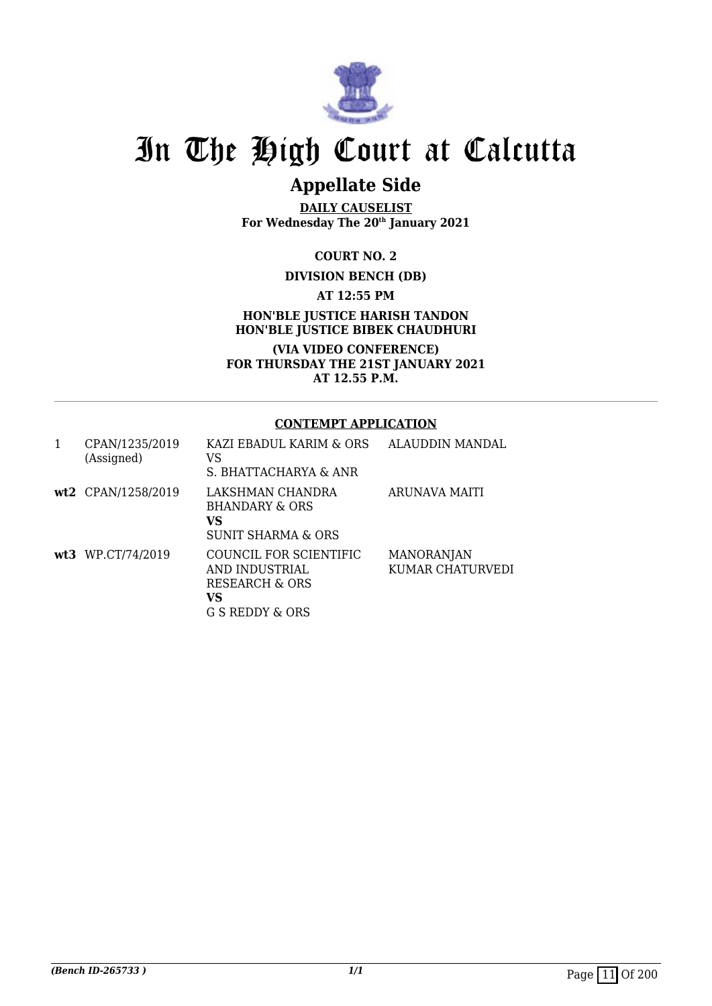

## **Appellate Side**

**DAILY CAUSELIST For Wednesday The 20th January 2021**

**COURT NO. 2**

#### **DIVISION BENCH (DB)**

**AT 12:55 PM**

**HON'BLE JUSTICE HARISH TANDON HON'BLE JUSTICE BIBEK CHAUDHURI**

**(VIA VIDEO CONFERENCE) FOR THURSDAY THE 21ST JANUARY 2021 AT 12.55 P.M.**

#### **CONTEMPT APPLICATION**

| 1 | CPAN/1235/2019<br>(Assigned) | KAZI EBADUL KARIM & ORS<br>VS<br>S. BHATTACHARYA & ANR                              | ALAUDDIN MANDAL                |
|---|------------------------------|-------------------------------------------------------------------------------------|--------------------------------|
|   | wt2 CPAN/1258/2019           | LAKSHMAN CHANDRA<br><b>BHANDARY &amp; ORS</b><br>VS<br>SUNIT SHARMA & ORS           | ARUNAVA MAITI                  |
|   | wt3 WP.CT/74/2019            | COUNCIL FOR SCIENTIFIC<br>AND INDUSTRIAL<br>RESEARCH & ORS<br>VS<br>G S REDDY & ORS | MANORANJAN<br>KUMAR CHATURVEDI |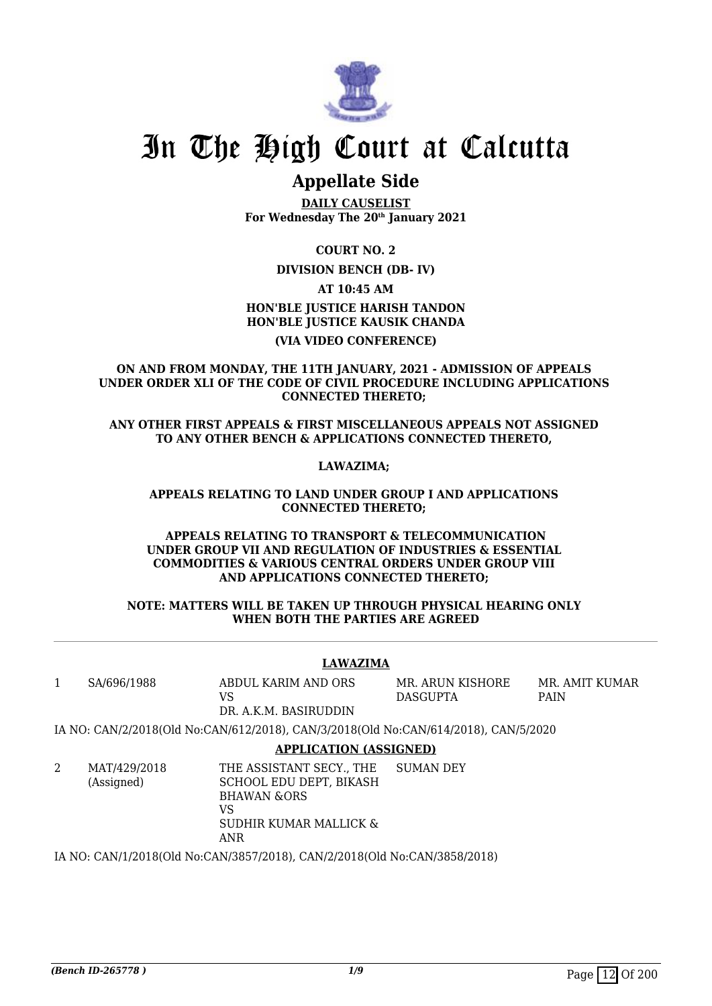

### **Appellate Side**

**DAILY CAUSELIST For Wednesday The 20th January 2021**

#### **COURT NO. 2**

**DIVISION BENCH (DB- IV)**

**AT 10:45 AM**

#### **HON'BLE JUSTICE HARISH TANDON HON'BLE JUSTICE KAUSIK CHANDA**

#### **(VIA VIDEO CONFERENCE)**

**ON AND FROM MONDAY, THE 11TH JANUARY, 2021 - ADMISSION OF APPEALS UNDER ORDER XLI OF THE CODE OF CIVIL PROCEDURE INCLUDING APPLICATIONS CONNECTED THERETO;** 

**ANY OTHER FIRST APPEALS & FIRST MISCELLANEOUS APPEALS NOT ASSIGNED TO ANY OTHER BENCH & APPLICATIONS CONNECTED THERETO,** 

**LAWAZIMA;** 

#### **APPEALS RELATING TO LAND UNDER GROUP I AND APPLICATIONS CONNECTED THERETO;**

#### **APPEALS RELATING TO TRANSPORT & TELECOMMUNICATION UNDER GROUP VII AND REGULATION OF INDUSTRIES & ESSENTIAL COMMODITIES & VARIOUS CENTRAL ORDERS UNDER GROUP VIII AND APPLICATIONS CONNECTED THERETO;**

#### **NOTE: MATTERS WILL BE TAKEN UP THROUGH PHYSICAL HEARING ONLY WHEN BOTH THE PARTIES ARE AGREED**

#### **LAWAZIMA**

1 SA/696/1988 ABDUL KARIM AND ORS VS

MR. ARUN KISHORE DASGUPTA

MR. AMIT KUMAR PAIN

DR. A.K.M. BASIRUDDIN IA NO: CAN/2/2018(Old No:CAN/612/2018), CAN/3/2018(Old No:CAN/614/2018), CAN/5/2020

#### **APPLICATION (ASSIGNED)**

2 MAT/429/2018 (Assigned)

THE ASSISTANT SECY., THE SCHOOL EDU DEPT, BIKASH BHAWAN &ORS VS SUDHIR KUMAR MALLICK & ANR SUMAN DEY

IA NO: CAN/1/2018(Old No:CAN/3857/2018), CAN/2/2018(Old No:CAN/3858/2018)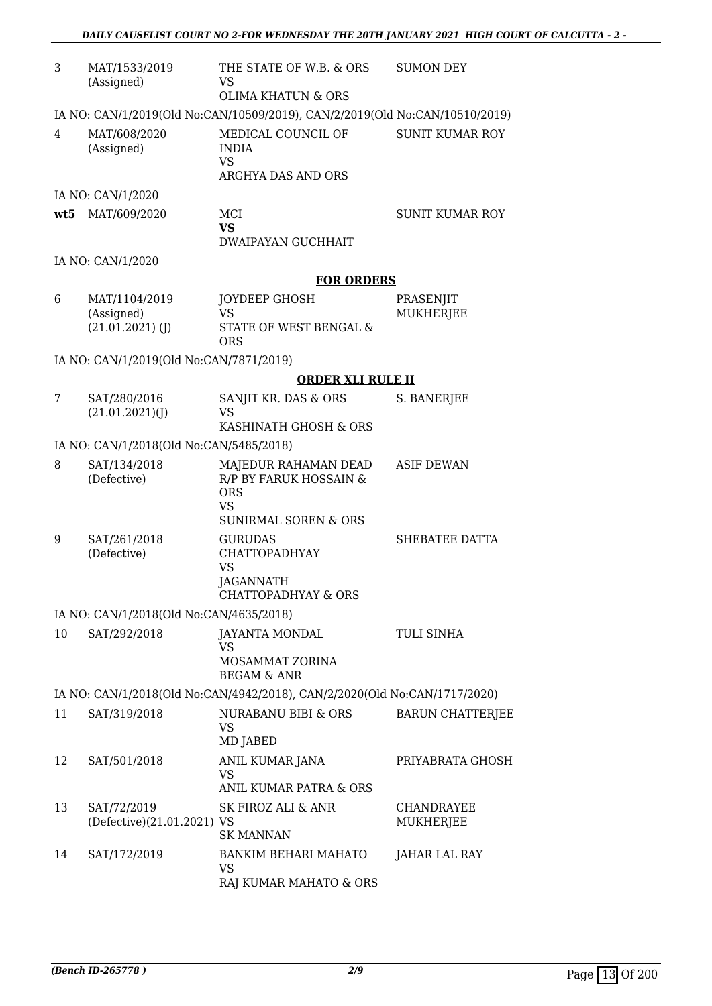| 3   | MAT/1533/2019<br>(Assigned)               | THE STATE OF W.B. & ORS<br>VS<br><b>OLIMA KHATUN &amp; ORS</b>              | <b>SUMON DEY</b>               |
|-----|-------------------------------------------|-----------------------------------------------------------------------------|--------------------------------|
|     |                                           | IA NO: CAN/1/2019(Old No:CAN/10509/2019), CAN/2/2019(Old No:CAN/10510/2019) |                                |
| 4   | MAT/608/2020<br>(Assigned)                | MEDICAL COUNCIL OF<br><b>INDIA</b>                                          | <b>SUNIT KUMAR ROY</b>         |
|     |                                           | <b>VS</b><br>ARGHYA DAS AND ORS                                             |                                |
|     | IA NO: CAN/1/2020                         |                                                                             |                                |
| wt5 | MAT/609/2020                              | MCI<br><b>VS</b>                                                            | <b>SUNIT KUMAR ROY</b>         |
|     |                                           | <b>DWAIPAYAN GUCHHAIT</b>                                                   |                                |
|     | IA NO: CAN/1/2020                         |                                                                             |                                |
|     |                                           | <b>FOR ORDERS</b>                                                           |                                |
| 6   | MAT/1104/2019<br>(Assigned)               | JOYDEEP GHOSH<br><b>VS</b>                                                  | PRASENJIT<br><b>MUKHERJEE</b>  |
|     | $(21.01.2021)$ (J)                        | STATE OF WEST BENGAL &<br><b>ORS</b>                                        |                                |
|     | IA NO: CAN/1/2019(Old No:CAN/7871/2019)   |                                                                             |                                |
|     |                                           | <b>ORDER XLI RULE II</b>                                                    |                                |
| 7   | SAT/280/2016<br>(21.01.2021)(J)           | SANJIT KR. DAS & ORS<br>VS                                                  | S. BANERJEE                    |
|     |                                           | KASHINATH GHOSH & ORS                                                       |                                |
|     | IA NO: CAN/1/2018(Old No:CAN/5485/2018)   |                                                                             |                                |
| 8   | SAT/134/2018<br>(Defective)               | MAJEDUR RAHAMAN DEAD<br>R/P BY FARUK HOSSAIN &<br><b>ORS</b><br><b>VS</b>   | <b>ASIF DEWAN</b>              |
|     |                                           | <b>SUNIRMAL SOREN &amp; ORS</b>                                             |                                |
| 9   | SAT/261/2018<br>(Defective)               | <b>GURUDAS</b><br><b>CHATTOPADHYAY</b><br><b>VS</b><br>JAGANNATH            | SHEBATEE DATTA                 |
|     |                                           | <b>CHATTOPADHYAY &amp; ORS</b>                                              |                                |
|     | IA NO: CAN/1/2018(Old No:CAN/4635/2018)   |                                                                             |                                |
| 10  | SAT/292/2018                              | JAYANTA MONDAL<br>VS<br>MOSAMMAT ZORINA                                     | <b>TULI SINHA</b>              |
|     |                                           | <b>BEGAM &amp; ANR</b>                                                      |                                |
|     |                                           | IA NO: CAN/1/2018(Old No:CAN/4942/2018), CAN/2/2020(Old No:CAN/1717/2020)   |                                |
| 11  | SAT/319/2018                              | <b>NURABANU BIBI &amp; ORS</b><br><b>VS</b><br>MD JABED                     | <b>BARUN CHATTERJEE</b>        |
| 12  | SAT/501/2018                              | ANIL KUMAR JANA<br><b>VS</b><br>ANIL KUMAR PATRA & ORS                      | PRIYABRATA GHOSH               |
| 13  | SAT/72/2019<br>(Defective)(21.01.2021) VS | SK FIROZ ALI & ANR<br><b>SK MANNAN</b>                                      | <b>CHANDRAYEE</b><br>MUKHERJEE |
| 14  | SAT/172/2019                              | <b>BANKIM BEHARI MAHATO</b><br>VS<br>RAJ KUMAR MAHATO & ORS                 | JAHAR LAL RAY                  |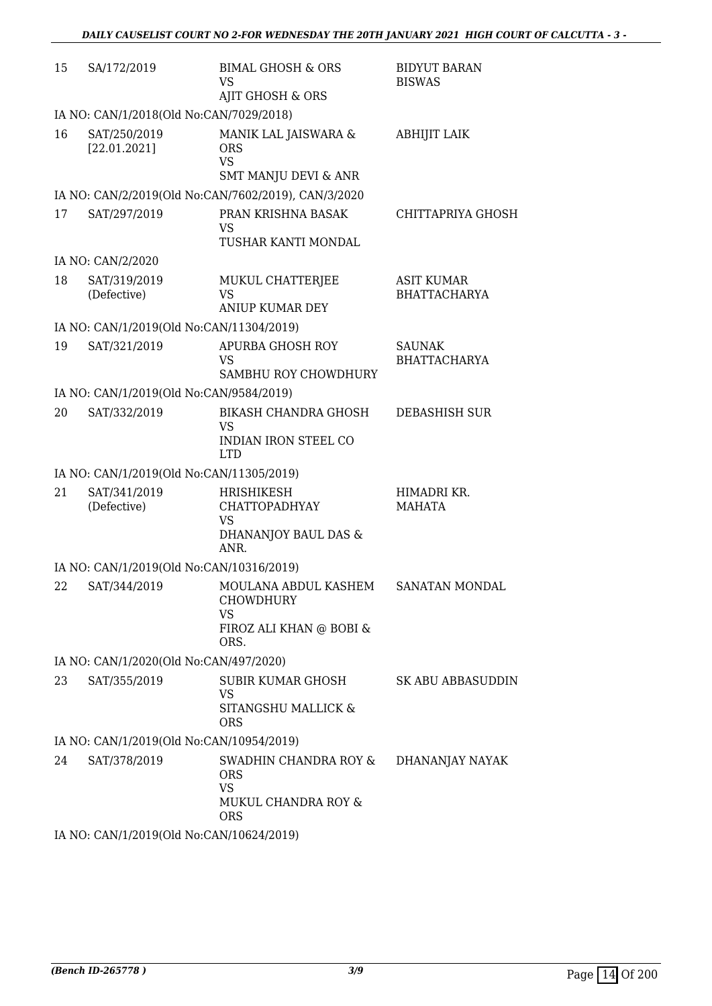| 15 | SA/172/2019                              | <b>BIMAL GHOSH &amp; ORS</b><br><b>VS</b><br>AJIT GHOSH & ORS                         | <b>BIDYUT BARAN</b><br><b>BISWAS</b> |
|----|------------------------------------------|---------------------------------------------------------------------------------------|--------------------------------------|
|    | IA NO: CAN/1/2018(Old No:CAN/7029/2018)  |                                                                                       |                                      |
| 16 | SAT/250/2019<br>[22.01.2021]             | MANIK LAL JAISWARA &<br><b>ORS</b><br><b>VS</b><br><b>SMT MANJU DEVI &amp; ANR</b>    | ABHIJIT LAIK                         |
|    |                                          | IA NO: CAN/2/2019(Old No:CAN/7602/2019), CAN/3/2020                                   |                                      |
| 17 | SAT/297/2019                             | PRAN KRISHNA BASAK<br>VS<br>TUSHAR KANTI MONDAL                                       | CHITTAPRIYA GHOSH                    |
|    | IA NO: CAN/2/2020                        |                                                                                       |                                      |
| 18 | SAT/319/2019<br>(Defective)              | MUKUL CHATTERJEE<br><b>VS</b><br><b>ANIUP KUMAR DEY</b>                               | ASIT KUMAR<br><b>BHATTACHARYA</b>    |
|    | IA NO: CAN/1/2019(Old No:CAN/11304/2019) |                                                                                       |                                      |
| 19 | SAT/321/2019                             | <b>APURBA GHOSH ROY</b><br><b>VS</b><br>SAMBHU ROY CHOWDHURY                          | <b>SAUNAK</b><br><b>BHATTACHARYA</b> |
|    | IA NO: CAN/1/2019(Old No:CAN/9584/2019)  |                                                                                       |                                      |
| 20 | SAT/332/2019                             | BIKASH CHANDRA GHOSH<br><b>VS</b><br><b>INDIAN IRON STEEL CO</b><br><b>LTD</b>        | DEBASHISH SUR                        |
|    | IA NO: CAN/1/2019(Old No:CAN/11305/2019) |                                                                                       |                                      |
| 21 | SAT/341/2019<br>(Defective)              | HRISHIKESH<br><b>CHATTOPADHYAY</b><br><b>VS</b><br>DHANANJOY BAUL DAS &<br>ANR.       | HIMADRI KR.<br>MAHATA                |
|    | IA NO: CAN/1/2019(Old No:CAN/10316/2019) |                                                                                       |                                      |
| 22 | SAT/344/2019                             | MOULANA ABDUL KASHEM<br>CHOWDHURY<br><b>VS</b><br>FIROZ ALI KHAN @ BOBI &<br>ORS.     | SANATAN MONDAL                       |
|    | IA NO: CAN/1/2020(Old No:CAN/497/2020)   |                                                                                       |                                      |
| 23 | SAT/355/2019                             | SUBIR KUMAR GHOSH<br>VS<br>SITANGSHU MALLICK &<br><b>ORS</b>                          | SK ABU ABBASUDDIN                    |
|    | IA NO: CAN/1/2019(Old No:CAN/10954/2019) |                                                                                       |                                      |
| 24 | SAT/378/2019                             | SWADHIN CHANDRA ROY &<br><b>ORS</b><br><b>VS</b><br>MUKUL CHANDRA ROY &<br><b>ORS</b> | DHANANJAY NAYAK                      |
|    | IA NO: CAN/1/2019(Old No:CAN/10624/2019) |                                                                                       |                                      |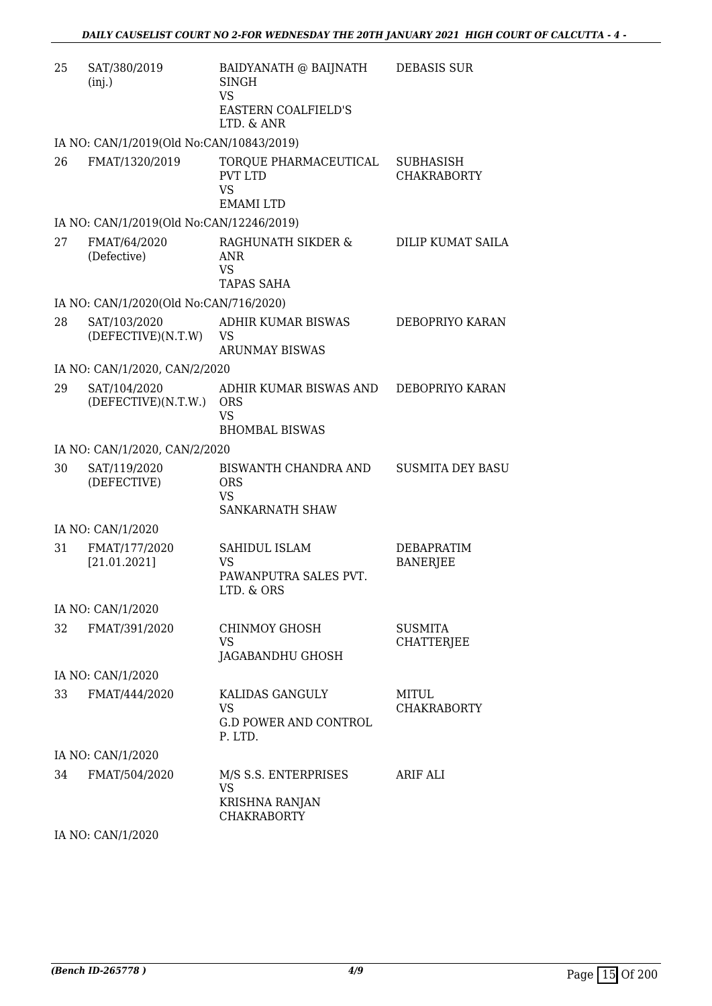| 25 | SAT/380/2019<br>(inj.)                                     | BAIDYANATH @ BAIJNATH<br><b>SINGH</b><br><b>VS</b><br><b>EASTERN COALFIELD'S</b> | <b>DEBASIS SUR</b>                     |
|----|------------------------------------------------------------|----------------------------------------------------------------------------------|----------------------------------------|
|    |                                                            | LTD. & ANR                                                                       |                                        |
| 26 | IA NO: CAN/1/2019(Old No:CAN/10843/2019)<br>FMAT/1320/2019 | TORQUE PHARMACEUTICAL<br><b>PVT LTD</b><br><b>VS</b><br><b>EMAMI LTD</b>         | <b>SUBHASISH</b><br><b>CHAKRABORTY</b> |
|    | IA NO: CAN/1/2019(Old No:CAN/12246/2019)                   |                                                                                  |                                        |
| 27 | FMAT/64/2020<br>(Defective)                                | RAGHUNATH SIKDER &<br><b>ANR</b><br><b>VS</b><br><b>TAPAS SAHA</b>               | DILIP KUMAT SAILA                      |
|    | IA NO: CAN/1/2020(Old No:CAN/716/2020)                     |                                                                                  |                                        |
| 28 | SAT/103/2020<br>(DEFECTIVE)(N.T.W)                         | ADHIR KUMAR BISWAS<br><b>VS</b><br><b>ARUNMAY BISWAS</b>                         | DEBOPRIYO KARAN                        |
|    | IA NO: CAN/1/2020, CAN/2/2020                              |                                                                                  |                                        |
| 29 | SAT/104/2020<br>(DEFECTIVE)(N.T.W.)                        | ADHIR KUMAR BISWAS AND<br><b>ORS</b><br><b>VS</b><br><b>BHOMBAL BISWAS</b>       | DEBOPRIYO KARAN                        |
|    | IA NO: CAN/1/2020, CAN/2/2020                              |                                                                                  |                                        |
| 30 | SAT/119/2020<br>(DEFECTIVE)                                | BISWANTH CHANDRA AND<br><b>ORS</b><br>VS.<br><b>SANKARNATH SHAW</b>              | <b>SUSMITA DEY BASU</b>                |
|    | IA NO: CAN/1/2020                                          |                                                                                  |                                        |
| 31 | FMAT/177/2020<br>[21.01.2021]                              | SAHIDUL ISLAM<br>VS<br>PAWANPUTRA SALES PVT.<br>LTD. & ORS                       | <b>DEBAPRATIM</b><br><b>BANERJEE</b>   |
|    | IA NO: CAN/1/2020                                          |                                                                                  |                                        |
| 32 | FMAT/391/2020                                              | CHINMOY GHOSH<br><b>VS</b><br>JAGABANDHU GHOSH                                   | <b>SUSMITA</b><br><b>CHATTERJEE</b>    |
|    | IA NO: CAN/1/2020                                          |                                                                                  |                                        |
| 33 | FMAT/444/2020                                              | KALIDAS GANGULY<br><b>VS</b><br><b>G.D POWER AND CONTROL</b><br>P. LTD.          | MITUL<br><b>CHAKRABORTY</b>            |
|    | IA NO: CAN/1/2020                                          |                                                                                  |                                        |
| 34 | FMAT/504/2020                                              | M/S S.S. ENTERPRISES<br><b>VS</b><br><b>KRISHNA RANJAN</b><br><b>CHAKRABORTY</b> | ARIF ALI                               |

IA NO: CAN/1/2020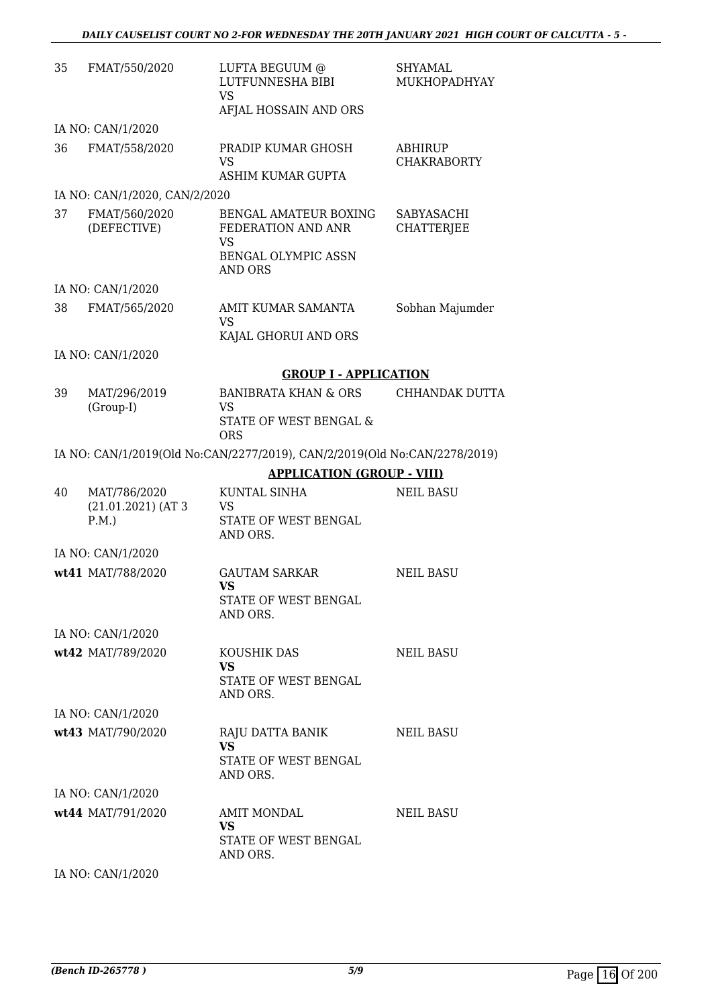| 35 | FMAT/550/2020                                 | LUFTA BEGUUM @<br>LUTFUNNESHA BIBI<br><b>VS</b><br>AFJAL HOSSAIN AND ORS                                 | <b>SHYAMAL</b><br>MUKHOPADHYAY  |
|----|-----------------------------------------------|----------------------------------------------------------------------------------------------------------|---------------------------------|
|    | IA NO: CAN/1/2020                             |                                                                                                          |                                 |
| 36 | FMAT/558/2020                                 | PRADIP KUMAR GHOSH<br><b>VS</b><br>ASHIM KUMAR GUPTA                                                     | ABHIRUP<br><b>CHAKRABORTY</b>   |
|    | IA NO: CAN/1/2020, CAN/2/2020                 |                                                                                                          |                                 |
| 37 | FMAT/560/2020<br>(DEFECTIVE)                  | <b>BENGAL AMATEUR BOXING</b><br>FEDERATION AND ANR<br><b>VS</b><br>BENGAL OLYMPIC ASSN<br><b>AND ORS</b> | SABYASACHI<br><b>CHATTERJEE</b> |
|    | IA NO: CAN/1/2020                             |                                                                                                          |                                 |
| 38 | FMAT/565/2020                                 | AMIT KUMAR SAMANTA<br><b>VS</b><br>KAJAL GHORUI AND ORS                                                  | Sobhan Majumder                 |
|    | IA NO: CAN/1/2020                             |                                                                                                          |                                 |
|    |                                               | <b>GROUP I - APPLICATION</b>                                                                             |                                 |
| 39 | MAT/296/2019<br>(Group-I)                     | <b>BANIBRATA KHAN &amp; ORS</b><br><b>VS</b><br>STATE OF WEST BENGAL &<br><b>ORS</b>                     | CHHANDAK DUTTA                  |
|    |                                               | IA NO: CAN/1/2019(Old No:CAN/2277/2019), CAN/2/2019(Old No:CAN/2278/2019)                                |                                 |
|    |                                               | <b>APPLICATION (GROUP - VIII)</b>                                                                        |                                 |
| 40 | MAT/786/2020<br>$(21.01.2021)$ (AT 3)<br>P.M. | <b>KUNTAL SINHA</b><br>VS<br>STATE OF WEST BENGAL<br>AND ORS.                                            | <b>NEIL BASU</b>                |
|    | IA NO: CAN/1/2020                             |                                                                                                          |                                 |
|    | wt41 MAT/788/2020                             | <b>GAUTAM SARKAR</b><br>VS<br>STATE OF WEST BENGAL<br>AND ORS.                                           | <b>NEIL BASU</b>                |
|    | IA NO: CAN/1/2020                             |                                                                                                          |                                 |
|    | wt42 MAT/789/2020                             | KOUSHIK DAS<br><b>VS</b><br>STATE OF WEST BENGAL<br>AND ORS.                                             | <b>NEIL BASU</b>                |
|    | IA NO: CAN/1/2020                             |                                                                                                          |                                 |
|    | wt43 MAT/790/2020                             | RAJU DATTA BANIK<br><b>VS</b><br>STATE OF WEST BENGAL<br>AND ORS.                                        | NEIL BASU                       |
|    | IA NO: CAN/1/2020                             |                                                                                                          |                                 |
|    | wt44 MAT/791/2020                             | <b>AMIT MONDAL</b><br><b>VS</b><br>STATE OF WEST BENGAL<br>AND ORS.                                      | <b>NEIL BASU</b>                |
|    | IA NO: CAN/1/2020                             |                                                                                                          |                                 |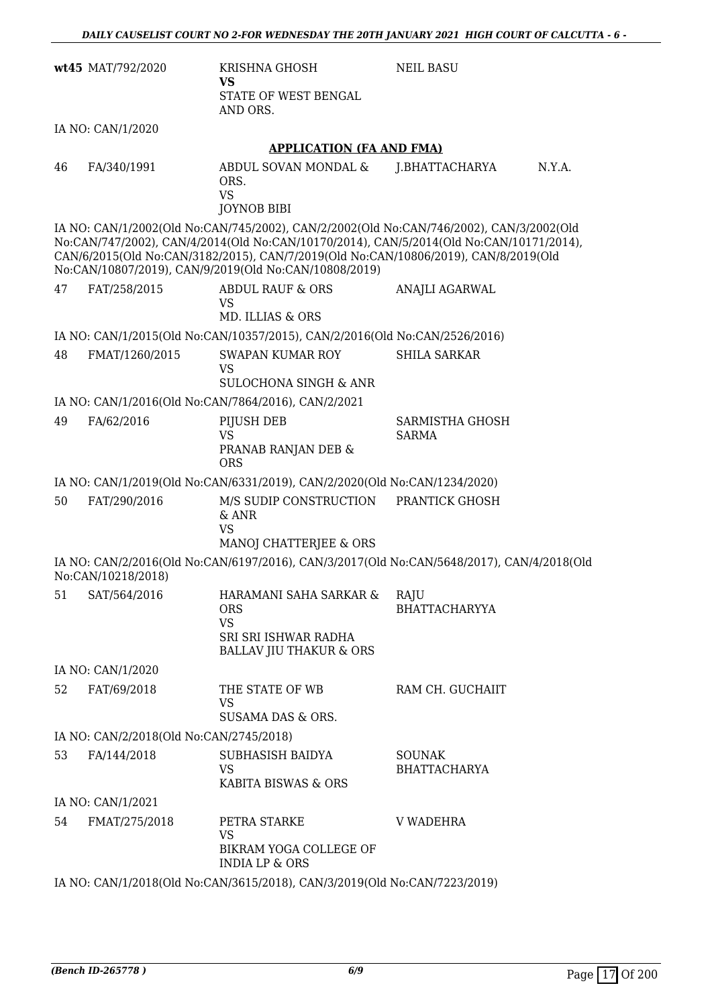|    | wt45 MAT/792/2020                       | KRISHNA GHOSH<br><b>VS</b><br>STATE OF WEST BENGAL<br>AND ORS.                                                                               | <b>NEIL BASU</b>                                                                                                                                                                   |
|----|-----------------------------------------|----------------------------------------------------------------------------------------------------------------------------------------------|------------------------------------------------------------------------------------------------------------------------------------------------------------------------------------|
|    | IA NO: CAN/1/2020                       |                                                                                                                                              |                                                                                                                                                                                    |
|    |                                         | <b>APPLICATION (FA AND FMA)</b>                                                                                                              |                                                                                                                                                                                    |
| 46 | FA/340/1991                             | ABDUL SOVAN MONDAL &<br>ORS.<br><b>VS</b><br><b>JOYNOB BIBI</b>                                                                              | N.Y.A.<br>J.BHATTACHARYA                                                                                                                                                           |
|    |                                         | CAN/6/2015(Old No:CAN/3182/2015), CAN/7/2019(Old No:CAN/10806/2019), CAN/8/2019(Old<br>No:CAN/10807/2019), CAN/9/2019(Old No:CAN/10808/2019) | IA NO: CAN/1/2002(Old No:CAN/745/2002), CAN/2/2002(Old No:CAN/746/2002), CAN/3/2002(Old<br>No:CAN/747/2002), CAN/4/2014(Old No:CAN/10170/2014), CAN/5/2014(Old No:CAN/10171/2014), |
| 47 | FAT/258/2015                            | <b>ABDUL RAUF &amp; ORS</b><br><b>VS</b><br>MD. ILLIAS & ORS                                                                                 | ANAJLI AGARWAL                                                                                                                                                                     |
|    |                                         | IA NO: CAN/1/2015(Old No:CAN/10357/2015), CAN/2/2016(Old No:CAN/2526/2016)                                                                   |                                                                                                                                                                                    |
| 48 | FMAT/1260/2015                          | SWAPAN KUMAR ROY<br><b>VS</b>                                                                                                                | <b>SHILA SARKAR</b>                                                                                                                                                                |
|    |                                         | <b>SULOCHONA SINGH &amp; ANR</b>                                                                                                             |                                                                                                                                                                                    |
|    |                                         | IA NO: CAN/1/2016(Old No:CAN/7864/2016), CAN/2/2021                                                                                          |                                                                                                                                                                                    |
| 49 | FA/62/2016                              | PIJUSH DEB<br><b>VS</b><br>PRANAB RANJAN DEB &                                                                                               | SARMISTHA GHOSH<br><b>SARMA</b>                                                                                                                                                    |
|    |                                         | <b>ORS</b>                                                                                                                                   |                                                                                                                                                                                    |
|    |                                         | IA NO: CAN/1/2019(Old No:CAN/6331/2019), CAN/2/2020(Old No:CAN/1234/2020)                                                                    |                                                                                                                                                                                    |
| 50 | FAT/290/2016                            | M/S SUDIP CONSTRUCTION<br>& ANR<br><b>VS</b><br>MANOJ CHATTERJEE & ORS                                                                       | PRANTICK GHOSH                                                                                                                                                                     |
|    | No:CAN/10218/2018)                      |                                                                                                                                              | IA NO: CAN/2/2016(Old No:CAN/6197/2016), CAN/3/2017(Old No:CAN/5648/2017), CAN/4/2018(Old                                                                                          |
|    | 51 SAT/564/2016                         | HARAMANI SAHA SARKAR & RAJU<br><b>ORS</b><br><b>VS</b><br>SRI SRI ISHWAR RADHA                                                               | <b>BHATTACHARYYA</b>                                                                                                                                                               |
|    |                                         | <b>BALLAV JIU THAKUR &amp; ORS</b>                                                                                                           |                                                                                                                                                                                    |
|    | IA NO: CAN/1/2020                       |                                                                                                                                              |                                                                                                                                                                                    |
| 52 | FAT/69/2018                             | THE STATE OF WB<br><b>VS</b><br>SUSAMA DAS & ORS.                                                                                            | RAM CH. GUCHAIIT                                                                                                                                                                   |
|    | IA NO: CAN/2/2018(Old No:CAN/2745/2018) |                                                                                                                                              |                                                                                                                                                                                    |
| 53 | FA/144/2018                             | SUBHASISH BAIDYA<br><b>VS</b><br>KABITA BISWAS & ORS                                                                                         | <b>SOUNAK</b><br><b>BHATTACHARYA</b>                                                                                                                                               |
|    | IA NO: CAN/1/2021                       |                                                                                                                                              |                                                                                                                                                                                    |
| 54 | FMAT/275/2018                           | PETRA STARKE<br>VS<br>BIKRAM YOGA COLLEGE OF<br><b>INDIA LP &amp; ORS</b>                                                                    | <b>V WADEHRA</b>                                                                                                                                                                   |
|    |                                         | IA NO: CAN/1/2018(Old No:CAN/3615/2018), CAN/3/2019(Old No:CAN/7223/2019)                                                                    |                                                                                                                                                                                    |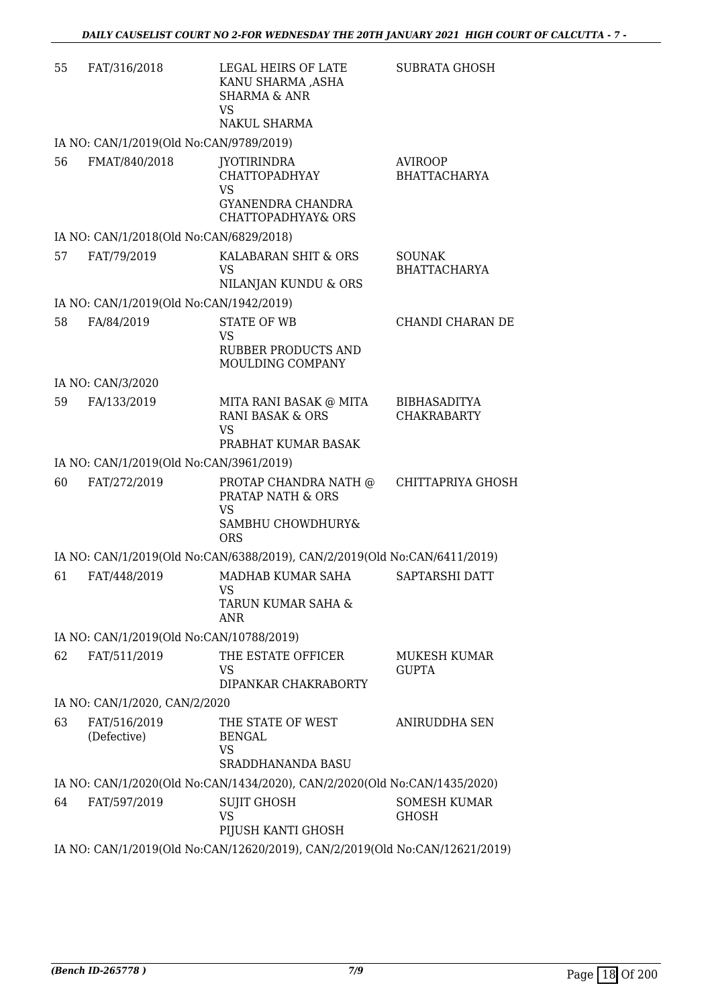| 55 | FAT/316/2018                             | LEGAL HEIRS OF LATE<br>KANU SHARMA ,ASHA<br><b>SHARMA &amp; ANR</b><br><b>VS</b><br>NAKUL SHARMA              | <b>SUBRATA GHOSH</b>                      |
|----|------------------------------------------|---------------------------------------------------------------------------------------------------------------|-------------------------------------------|
|    | IA NO: CAN/1/2019(Old No:CAN/9789/2019)  |                                                                                                               |                                           |
| 56 | FMAT/840/2018                            | <b>JYOTIRINDRA</b><br><b>CHATTOPADHYAY</b><br><b>VS</b><br>GYANENDRA CHANDRA<br><b>CHATTOPADHYAY&amp; ORS</b> | <b>AVIROOP</b><br><b>BHATTACHARYA</b>     |
|    | IA NO: CAN/1/2018(Old No:CAN/6829/2018)  |                                                                                                               |                                           |
| 57 | FAT/79/2019                              | KALABARAN SHIT & ORS<br><b>VS</b><br>NILANJAN KUNDU & ORS                                                     | <b>SOUNAK</b><br><b>BHATTACHARYA</b>      |
|    | IA NO: CAN/1/2019(Old No:CAN/1942/2019)  |                                                                                                               |                                           |
| 58 | FA/84/2019                               | <b>STATE OF WB</b><br><b>VS</b><br><b>RUBBER PRODUCTS AND</b><br>MOULDING COMPANY                             | CHANDI CHARAN DE                          |
|    | IA NO: CAN/3/2020                        |                                                                                                               |                                           |
| 59 | FA/133/2019                              | MITA RANI BASAK @ MITA<br><b>RANI BASAK &amp; ORS</b><br><b>VS</b><br>PRABHAT KUMAR BASAK                     | <b>BIBHASADITYA</b><br><b>CHAKRABARTY</b> |
|    | IA NO: CAN/1/2019(Old No:CAN/3961/2019)  |                                                                                                               |                                           |
| 60 | FAT/272/2019                             | PROTAP CHANDRA NATH @<br>PRATAP NATH & ORS<br><b>VS</b><br>SAMBHU CHOWDHURY&<br><b>ORS</b>                    | CHITTAPRIYA GHOSH                         |
|    |                                          | IA NO: CAN/1/2019(Old No:CAN/6388/2019), CAN/2/2019(Old No:CAN/6411/2019)                                     |                                           |
| 61 | FAT/448/2019                             | MADHAB KUMAR SAHA<br><b>VS</b><br>TARUN KUMAR SAHA &<br>ANR                                                   | SAPTARSHI DATT                            |
|    | IA NO: CAN/1/2019(Old No:CAN/10788/2019) |                                                                                                               |                                           |
| 62 | FAT/511/2019                             | THE ESTATE OFFICER<br>VS<br>DIPANKAR CHAKRABORTY                                                              | <b>MUKESH KUMAR</b><br><b>GUPTA</b>       |
|    | IA NO: CAN/1/2020, CAN/2/2020            |                                                                                                               |                                           |
| 63 | FAT/516/2019<br>(Defective)              | THE STATE OF WEST<br><b>BENGAL</b><br>VS<br><b>SRADDHANANDA BASU</b>                                          | ANIRUDDHA SEN                             |
|    |                                          | IA NO: CAN/1/2020(Old No:CAN/1434/2020), CAN/2/2020(Old No:CAN/1435/2020)                                     |                                           |
| 64 | FAT/597/2019                             | <b>SUJIT GHOSH</b><br><b>VS</b><br>PIJUSH KANTI GHOSH                                                         | <b>SOMESH KUMAR</b><br><b>GHOSH</b>       |
|    |                                          | IA NO: CAN/1/2019(Old No:CAN/12620/2019), CAN/2/2019(Old No:CAN/12621/2019)                                   |                                           |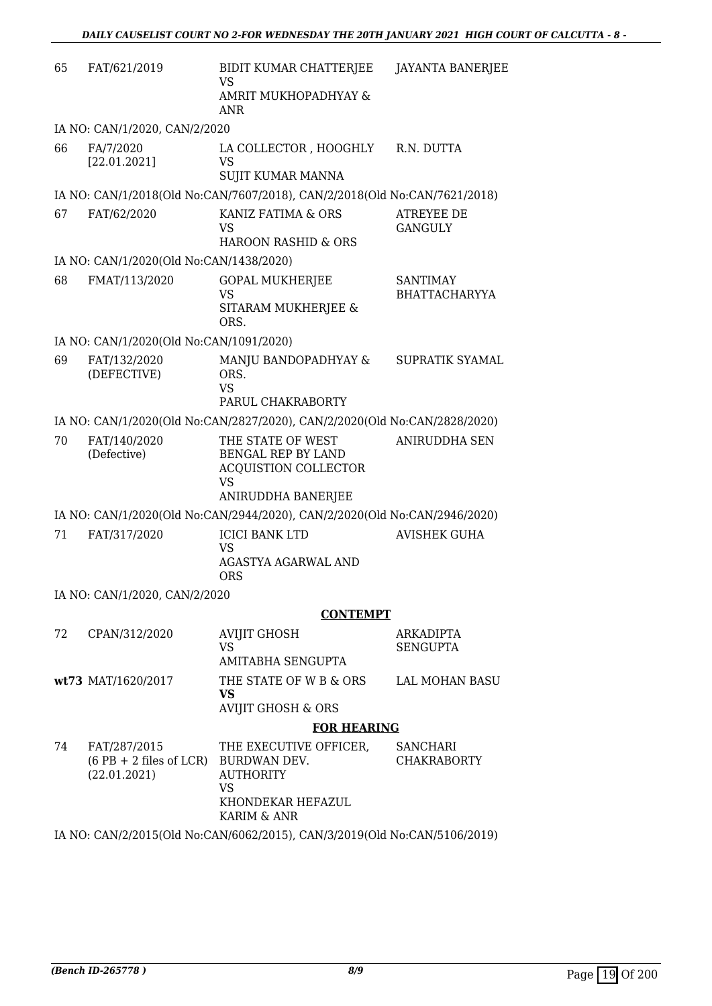| 65 | FAT/621/2019                                              | BIDIT KUMAR CHATTERJEE<br>VS<br>AMRIT MUKHOPADHYAY &                         | <b>JAYANTA BANERJEE</b>          |
|----|-----------------------------------------------------------|------------------------------------------------------------------------------|----------------------------------|
|    |                                                           | <b>ANR</b>                                                                   |                                  |
|    | IA NO: CAN/1/2020, CAN/2/2020                             |                                                                              |                                  |
| 66 | FA/7/2020<br>[22.01.2021]                                 | LA COLLECTOR , HOOGHLY<br>VS<br><b>SUJIT KUMAR MANNA</b>                     | R.N. DUTTA                       |
|    |                                                           |                                                                              |                                  |
|    |                                                           | IA NO: CAN/1/2018(Old No:CAN/7607/2018), CAN/2/2018(Old No:CAN/7621/2018)    |                                  |
| 67 | FAT/62/2020                                               | KANIZ FATIMA & ORS<br>VS<br><b>HAROON RASHID &amp; ORS</b>                   | ATREYEE DE<br><b>GANGULY</b>     |
|    | IA NO: CAN/1/2020(Old No:CAN/1438/2020)                   |                                                                              |                                  |
| 68 |                                                           |                                                                              |                                  |
|    | FMAT/113/2020                                             | <b>GOPAL MUKHERJEE</b><br>VS                                                 | <b>SANTIMAY</b><br>BHATTACHARYYA |
|    |                                                           | SITARAM MUKHERJEE &<br>ORS.                                                  |                                  |
|    | IA NO: CAN/1/2020(Old No:CAN/1091/2020)                   |                                                                              |                                  |
| 69 | FAT/132/2020<br>(DEFECTIVE)                               | MANJU BANDOPADHYAY &<br>ORS.<br><b>VS</b>                                    | <b>SUPRATIK SYAMAL</b>           |
|    |                                                           | PARUL CHAKRABORTY                                                            |                                  |
|    |                                                           | IA NO: CAN/1/2020(Old No:CAN/2827/2020), CAN/2/2020(Old No:CAN/2828/2020)    |                                  |
| 70 | FAT/140/2020<br>(Defective)                               | THE STATE OF WEST<br>BENGAL REP BY LAND<br><b>ACQUISTION COLLECTOR</b><br>VS | <b>ANIRUDDHA SEN</b>             |
|    |                                                           | ANIRUDDHA BANERJEE                                                           |                                  |
|    |                                                           | IA NO: CAN/1/2020(Old No:CAN/2944/2020), CAN/2/2020(Old No:CAN/2946/2020)    |                                  |
| 71 | FAT/317/2020                                              | <b>ICICI BANK LTD</b><br>VS                                                  | <b>AVISHEK GUHA</b>              |
|    |                                                           | AGASTYA AGARWAL AND<br><b>ORS</b>                                            |                                  |
|    | IA NO: CAN/1/2020, CAN/2/2020                             |                                                                              |                                  |
|    |                                                           | <b>CONTEMPT</b>                                                              |                                  |
| 72 | CPAN/312/2020                                             | <b>AVIJIT GHOSH</b>                                                          | <b>ARKADIPTA</b>                 |
|    |                                                           | VS.<br>AMITABHA SENGUPTA                                                     | <b>SENGUPTA</b>                  |
|    | wt73 MAT/1620/2017                                        | THE STATE OF W B & ORS<br><b>VS</b>                                          | <b>LAL MOHAN BASU</b>            |
|    |                                                           | <b>AVIJIT GHOSH &amp; ORS</b>                                                |                                  |
|    |                                                           | <b>FOR HEARING</b>                                                           |                                  |
| 74 | FAT/287/2015<br>$(6$ PB + 2 files of LCR)<br>(22.01.2021) | THE EXECUTIVE OFFICER,<br>BURDWAN DEV.<br><b>AUTHORITY</b><br>VS             | SANCHARI<br><b>CHAKRABORTY</b>   |
|    |                                                           | KHONDEKAR HEFAZUL<br>KARIM & ANR                                             |                                  |

IA NO: CAN/2/2015(Old No:CAN/6062/2015), CAN/3/2019(Old No:CAN/5106/2019)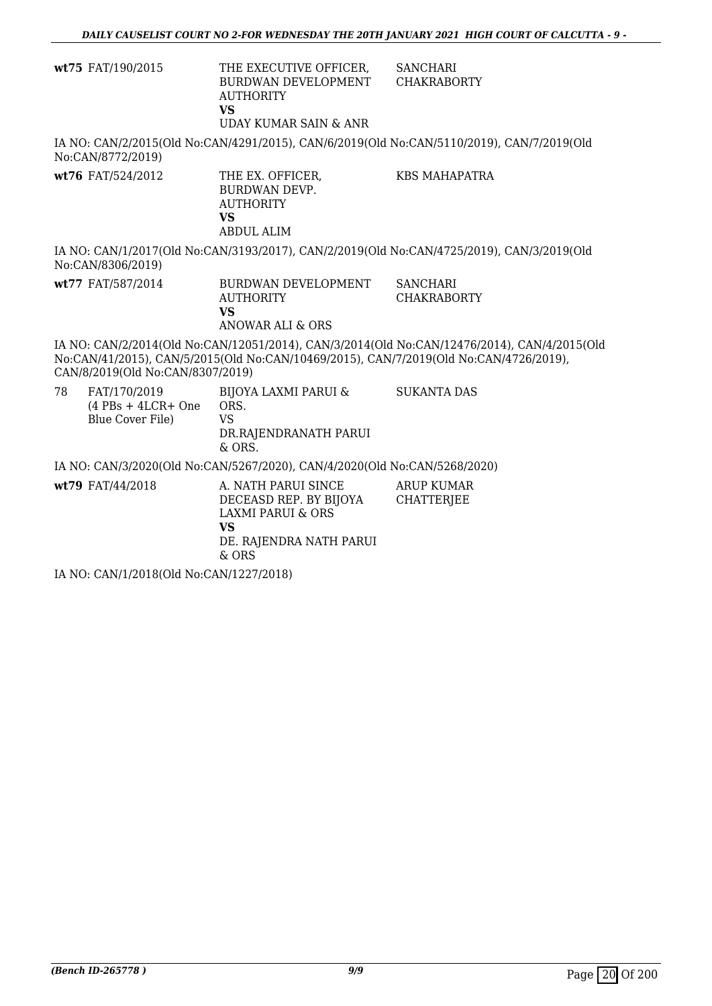|    | wt75 FAT/190/2015                                        | THE EXECUTIVE OFFICER,<br>BURDWAN DEVELOPMENT<br><b>AUTHORITY</b><br><b>VS</b><br><b>UDAY KUMAR SAIN &amp; ANR</b>               | <b>SANCHARI</b><br><b>CHAKRABORTY</b>                                                                                                                                                |  |
|----|----------------------------------------------------------|----------------------------------------------------------------------------------------------------------------------------------|--------------------------------------------------------------------------------------------------------------------------------------------------------------------------------------|--|
|    | No:CAN/8772/2019)                                        |                                                                                                                                  | IA NO: CAN/2/2015(Old No:CAN/4291/2015), CAN/6/2019(Old No:CAN/5110/2019), CAN/7/2019(Old                                                                                            |  |
|    | wt76 FAT/524/2012                                        | THE EX. OFFICER,<br><b>BURDWAN DEVP.</b><br><b>AUTHORITY</b><br><b>VS</b><br><b>ABDUL ALIM</b>                                   | <b>KBS MAHAPATRA</b>                                                                                                                                                                 |  |
|    | No:CAN/8306/2019)                                        |                                                                                                                                  | IA NO: CAN/1/2017(Old No:CAN/3193/2017), CAN/2/2019(Old No:CAN/4725/2019), CAN/3/2019(Old                                                                                            |  |
|    | wt77 FAT/587/2014                                        | BURDWAN DEVELOPMENT<br><b>AUTHORITY</b><br><b>VS</b><br><b>ANOWAR ALI &amp; ORS</b>                                              | <b>SANCHARI</b><br><b>CHAKRABORTY</b>                                                                                                                                                |  |
|    | CAN/8/2019(Old No:CAN/8307/2019)                         |                                                                                                                                  | IA NO: CAN/2/2014(Old No:CAN/12051/2014), CAN/3/2014(Old No:CAN/12476/2014), CAN/4/2015(Old<br>No:CAN/41/2015), CAN/5/2015(Old No:CAN/10469/2015), CAN/7/2019(Old No:CAN/4726/2019), |  |
| 78 | FAT/170/2019<br>$(4$ PBs + 4LCR+ One<br>Blue Cover File) | BIJOYA LAXMI PARUI &<br>ORS.<br><b>VS</b><br>DR.RAJENDRANATH PARUI<br>& ORS.                                                     | <b>SUKANTA DAS</b>                                                                                                                                                                   |  |
|    |                                                          | IA NO: CAN/3/2020(Old No:CAN/5267/2020), CAN/4/2020(Old No:CAN/5268/2020)                                                        |                                                                                                                                                                                      |  |
|    | wt79 FAT/44/2018                                         | A. NATH PARUI SINCE<br>DECEASD REP. BY BIJOYA<br><b>LAXMI PARUI &amp; ORS</b><br><b>VS</b><br>DE. RAJENDRA NATH PARUI<br>$&$ ORS | <b>ARUP KUMAR</b><br><b>CHATTERJEE</b>                                                                                                                                               |  |
|    | IA NO CANTA PO10(OLINE CANTA 227/2010)                   |                                                                                                                                  |                                                                                                                                                                                      |  |

IA NO: CAN/1/2018(Old No:CAN/1227/2018)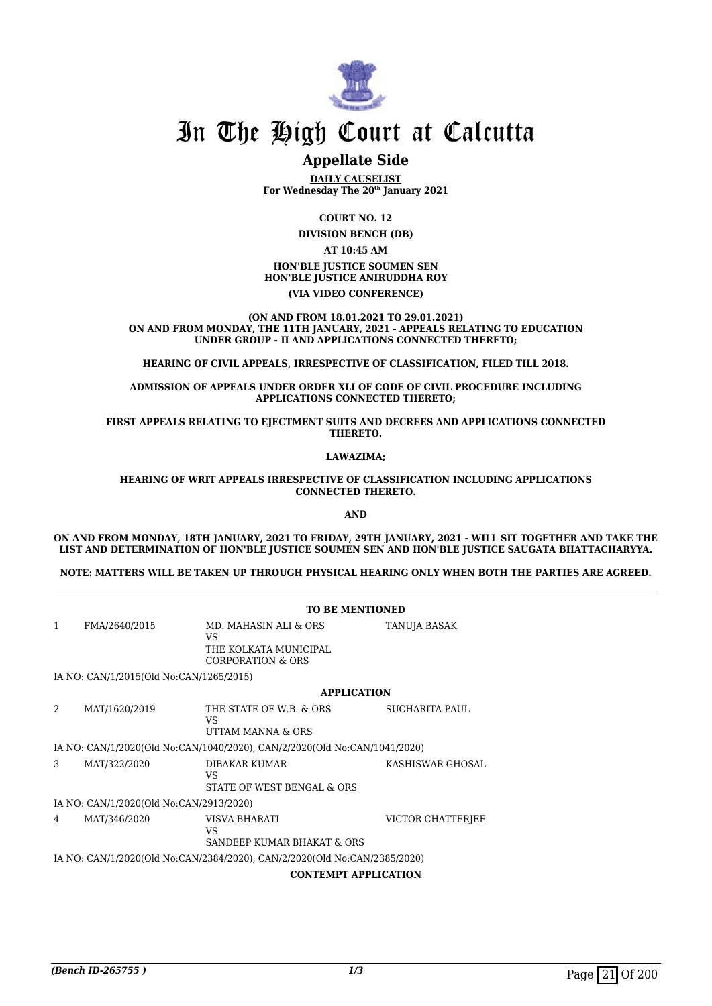

### **Appellate Side**

**DAILY CAUSELIST For Wednesday The 20th January 2021**

> **COURT NO. 12 DIVISION BENCH (DB)**

> > **AT 10:45 AM**

#### **HON'BLE JUSTICE SOUMEN SEN HON'BLE JUSTICE ANIRUDDHA ROY (VIA VIDEO CONFERENCE)**

**(ON AND FROM 18.01.2021 TO 29.01.2021) ON AND FROM MONDAY, THE 11TH JANUARY, 2021 - APPEALS RELATING TO EDUCATION UNDER GROUP - II AND APPLICATIONS CONNECTED THERETO;**

**HEARING OF CIVIL APPEALS, IRRESPECTIVE OF CLASSIFICATION, FILED TILL 2018.**

**ADMISSION OF APPEALS UNDER ORDER XLI OF CODE OF CIVIL PROCEDURE INCLUDING APPLICATIONS CONNECTED THERETO;**

**FIRST APPEALS RELATING TO EJECTMENT SUITS AND DECREES AND APPLICATIONS CONNECTED THERETO.**

**LAWAZIMA;**

**HEARING OF WRIT APPEALS IRRESPECTIVE OF CLASSIFICATION INCLUDING APPLICATIONS CONNECTED THERETO.**

**AND**

**ON AND FROM MONDAY, 18TH JANUARY, 2021 TO FRIDAY, 29TH JANUARY, 2021 - WILL SIT TOGETHER AND TAKE THE LIST AND DETERMINATION OF HON'BLE JUSTICE SOUMEN SEN AND HON'BLE JUSTICE SAUGATA BHATTACHARYYA.**

**NOTE: MATTERS WILL BE TAKEN UP THROUGH PHYSICAL HEARING ONLY WHEN BOTH THE PARTIES ARE AGREED.**

|              | <b>TO BE MENTIONED</b>                                                                                   |                                                                                      |                     |  |
|--------------|----------------------------------------------------------------------------------------------------------|--------------------------------------------------------------------------------------|---------------------|--|
| $\mathbf{1}$ | FMA/2640/2015                                                                                            | MD. MAHASIN ALI & ORS<br>VS<br>THE KOLKATA MUNICIPAL<br><b>CORPORATION &amp; ORS</b> | <b>TANUJA BASAK</b> |  |
|              | IA NO: CAN/1/2015(Old No:CAN/1265/2015)                                                                  |                                                                                      |                     |  |
|              |                                                                                                          | <b>APPLICATION</b>                                                                   |                     |  |
| 2            | MAT/1620/2019                                                                                            | THE STATE OF W.B. & ORS<br>VS.<br>UTTAM MANNA & ORS                                  | SUCHARITA PAUL      |  |
|              |                                                                                                          | IA NO: CAN/1/2020(Old No:CAN/1040/2020), CAN/2/2020(Old No:CAN/1041/2020)            |                     |  |
| 3            | MAT/322/2020                                                                                             | DIBAKAR KUMAR<br>VS.<br>STATE OF WEST BENGAL & ORS                                   | KASHISWAR GHOSAL    |  |
|              | IA NO: CAN/1/2020(Old No:CAN/2913/2020)                                                                  |                                                                                      |                     |  |
| 4            | MAT/346/2020                                                                                             | VISVA BHARATI<br>VS.<br>SANDEEP KUMAR BHAKAT & ORS                                   | VICTOR CHATTERJEE   |  |
|              | IA NO: CAN/1/2020(Old No:CAN/2384/2020), CAN/2/2020(Old No:CAN/2385/2020)<br><b>CONTEMPT APPLICATION</b> |                                                                                      |                     |  |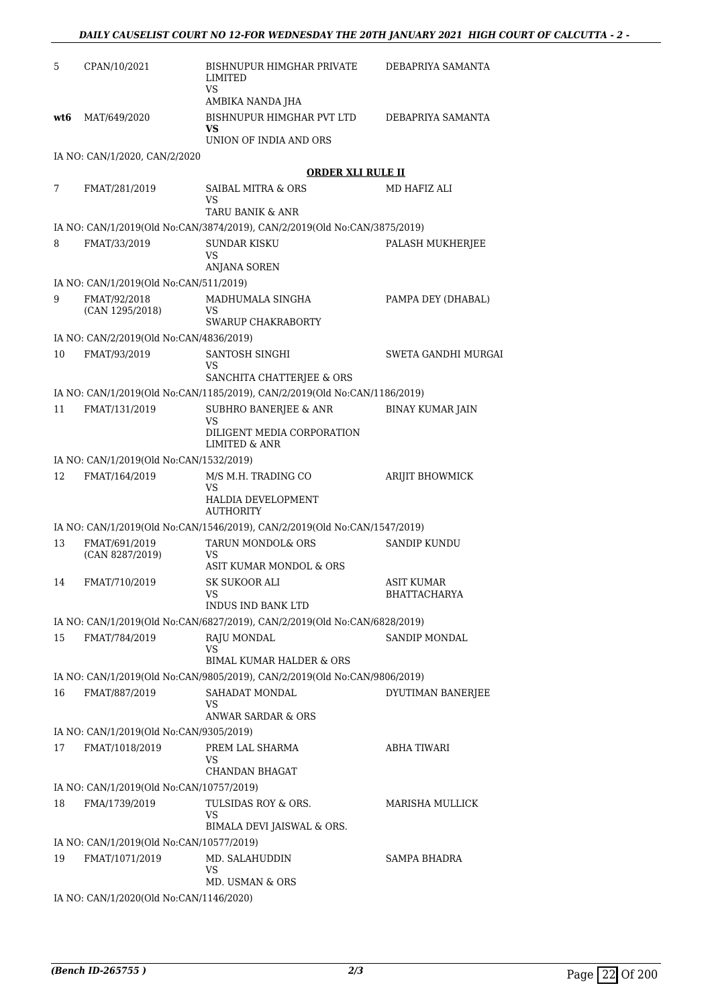| 5   | CPAN/10/2021                             | BISHNUPUR HIMGHAR PRIVATE<br><b>LIMITED</b><br>VS                                           | DEBAPRIYA SAMANTA       |
|-----|------------------------------------------|---------------------------------------------------------------------------------------------|-------------------------|
|     |                                          | AMBIKA NANDA JHA                                                                            |                         |
| wt6 | MAT/649/2020                             | BISHNUPUR HIMGHAR PVT LTD<br>VS<br>UNION OF INDIA AND ORS                                   | DEBAPRIYA SAMANTA       |
|     | IA NO: CAN/1/2020, CAN/2/2020            |                                                                                             |                         |
|     |                                          | <b>ORDER XLI RULE II</b>                                                                    |                         |
| 7   | FMAT/281/2019                            | SAIBAL MITRA & ORS                                                                          | MD HAFIZ ALI            |
|     |                                          | VS                                                                                          |                         |
|     |                                          | TARU BANIK & ANR                                                                            |                         |
|     |                                          | IA NO: CAN/1/2019(Old No:CAN/3874/2019), CAN/2/2019(Old No:CAN/3875/2019)                   |                         |
| 8   | FMAT/33/2019                             | SUNDAR KISKU<br>VS<br><b>ANJANA SOREN</b>                                                   | PALASH MUKHERJEE        |
|     | IA NO: CAN/1/2019(Old No:CAN/511/2019)   |                                                                                             |                         |
| 9   | FMAT/92/2018<br>(CAN 1295/2018)          | MADHUMALA SINGHA<br>VS                                                                      | PAMPA DEY (DHABAL)      |
|     |                                          | SWARUP CHAKRABORTY                                                                          |                         |
|     | IA NO: CAN/2/2019(Old No:CAN/4836/2019)  |                                                                                             |                         |
| 10  | FMAT/93/2019                             | SANTOSH SINGHI<br>VS<br>SANCHITA CHATTERJEE & ORS                                           | SWETA GANDHI MURGAI     |
|     |                                          | IA NO: CAN/1/2019(Old No:CAN/1185/2019), CAN/2/2019(Old No:CAN/1186/2019)                   |                         |
| 11  | FMAT/131/2019                            | SUBHRO BANERJEE & ANR<br>VS                                                                 | <b>BINAY KUMAR JAIN</b> |
|     |                                          | DILIGENT MEDIA CORPORATION<br>LIMITED & ANR                                                 |                         |
|     | IA NO: CAN/1/2019(Old No:CAN/1532/2019)  |                                                                                             |                         |
| 12  | FMAT/164/2019                            | M/S M.H. TRADING CO<br>VS<br>HALDIA DEVELOPMENT<br><b>AUTHORITY</b>                         | ARIJIT BHOWMICK         |
|     |                                          | IA NO: CAN/1/2019(Old No:CAN/1546/2019), CAN/2/2019(Old No:CAN/1547/2019)                   |                         |
| 13  | FMAT/691/2019<br>(CAN 8287/2019)         | TARUN MONDOL& ORS<br>VS                                                                     | SANDIP KUNDU            |
| 14  | FMAT/710/2019                            | ASIT KUMAR MONDOL & ORS<br>SK SUKOOR ALI                                                    | ASIT KUMAR              |
|     |                                          | VS.<br>INDUS IND BANK LTD                                                                   | BHATTACHARYA            |
|     |                                          | IA NO: CAN/1/2019(Old No:CAN/6827/2019), CAN/2/2019(Old No:CAN/6828/2019)                   |                         |
| 15  | FMAT/784/2019                            | RAJU MONDAL<br>VS                                                                           | SANDIP MONDAL           |
|     |                                          | BIMAL KUMAR HALDER & ORS                                                                    |                         |
| 16  | FMAT/887/2019                            | IA NO: CAN/1/2019(Old No:CAN/9805/2019), CAN/2/2019(Old No:CAN/9806/2019)<br>SAHADAT MONDAL | DYUTIMAN BANERJEE       |
|     |                                          | VS<br>ANWAR SARDAR & ORS                                                                    |                         |
|     | IA NO: CAN/1/2019(Old No:CAN/9305/2019)  |                                                                                             |                         |
| 17  | FMAT/1018/2019                           | PREM LAL SHARMA<br>VS<br>CHANDAN BHAGAT                                                     | ABHA TIWARI             |
|     | IA NO: CAN/1/2019(Old No:CAN/10757/2019) |                                                                                             |                         |
| 18  | FMA/1739/2019                            | TULSIDAS ROY & ORS.                                                                         | MARISHA MULLICK         |
|     |                                          | VS<br>BIMALA DEVI JAISWAL & ORS.                                                            |                         |
|     | IA NO: CAN/1/2019(Old No:CAN/10577/2019) |                                                                                             |                         |
| 19  | FMAT/1071/2019                           | MD. SALAHUDDIN<br>VS<br>MD. USMAN & ORS                                                     | SAMPA BHADRA            |
|     | IA NO: CAN/1/2020(Old No:CAN/1146/2020)  |                                                                                             |                         |
|     |                                          |                                                                                             |                         |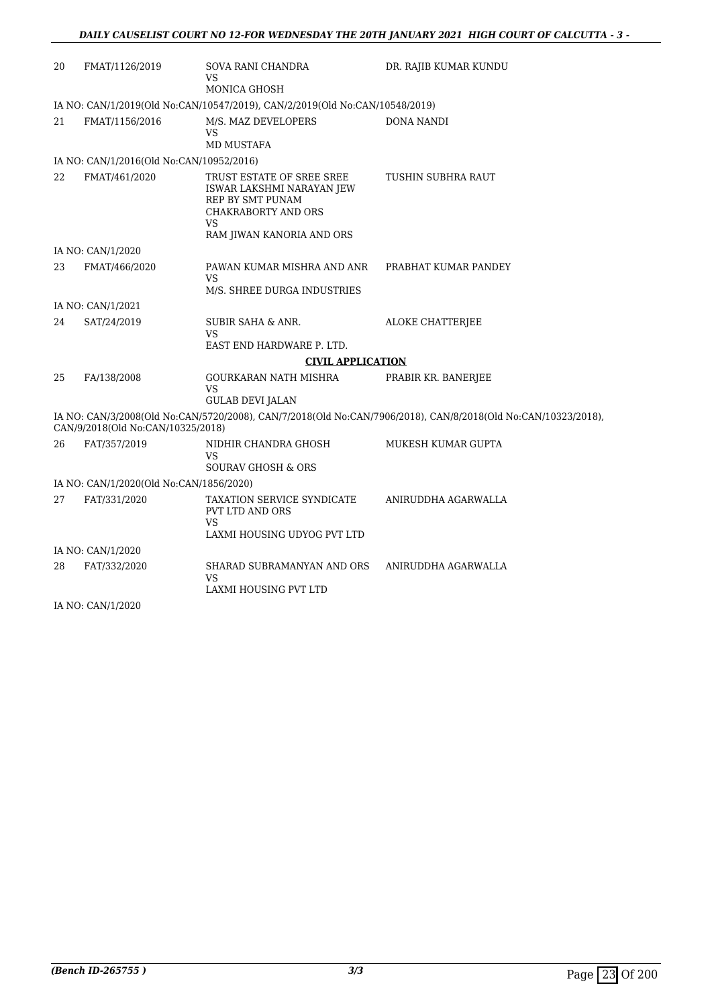| 20 | FMAT/1126/2019                                            | SOVA RANI CHANDRA<br>VS<br>MONICA GHOSH                                     | DR. RAJIB KUMAR KUNDU                                                                                         |
|----|-----------------------------------------------------------|-----------------------------------------------------------------------------|---------------------------------------------------------------------------------------------------------------|
|    |                                                           | IA NO: CAN/1/2019(Old No:CAN/10547/2019), CAN/2/2019(Old No:CAN/10548/2019) |                                                                                                               |
| 21 | FMAT/1156/2016                                            | M/S. MAZ DEVELOPERS<br><b>VS</b><br><b>MD MUSTAFA</b>                       | DONA NANDI                                                                                                    |
|    |                                                           |                                                                             |                                                                                                               |
| 22 | IA NO: CAN/1/2016(Old No:CAN/10952/2016)<br>FMAT/461/2020 | TRUST ESTATE OF SREE SREE                                                   | TUSHIN SUBHRA RAUT                                                                                            |
|    |                                                           | ISWAR LAKSHMI NARAYAN JEW<br>REP BY SMT PUNAM<br>CHAKRABORTY AND ORS<br>VS  |                                                                                                               |
|    |                                                           | RAM JIWAN KANORIA AND ORS                                                   |                                                                                                               |
|    | IA NO: CAN/1/2020                                         |                                                                             |                                                                                                               |
| 23 | FMAT/466/2020                                             | PAWAN KUMAR MISHRA AND ANR<br><b>VS</b>                                     | PRABHAT KUMAR PANDEY                                                                                          |
|    |                                                           | M/S. SHREE DURGA INDUSTRIES                                                 |                                                                                                               |
|    | IA NO: CAN/1/2021                                         |                                                                             |                                                                                                               |
| 24 | SAT/24/2019                                               | <b>SUBIR SAHA &amp; ANR.</b><br><b>VS</b>                                   | ALOKE CHATTERJEE                                                                                              |
|    |                                                           | EAST END HARDWARE P. LTD.                                                   |                                                                                                               |
|    |                                                           | <b>CIVIL APPLICATION</b>                                                    |                                                                                                               |
| 25 | FA/138/2008                                               | GOURKARAN NATH MISHRA<br>VS<br><b>GULAB DEVI JALAN</b>                      | PRABIR KR. BANERJEE                                                                                           |
|    |                                                           |                                                                             | IA NO: CAN/3/2008(Old No:CAN/5720/2008), CAN/7/2018(Old No:CAN/7906/2018), CAN/8/2018(Old No:CAN/10323/2018), |
|    | CAN/9/2018(Old No:CAN/10325/2018)                         |                                                                             |                                                                                                               |
| 26 | FAT/357/2019                                              | NIDHIR CHANDRA GHOSH<br>VS                                                  | MUKESH KUMAR GUPTA                                                                                            |
|    |                                                           | <b>SOURAV GHOSH &amp; ORS</b>                                               |                                                                                                               |
|    | IA NO: CAN/1/2020(Old No:CAN/1856/2020)                   |                                                                             |                                                                                                               |
| 27 | FAT/331/2020                                              | TAXATION SERVICE SYNDICATE<br>PVT LTD AND ORS<br><b>VS</b>                  | ANIRUDDHA AGARWALLA                                                                                           |
|    |                                                           | LAXMI HOUSING UDYOG PVT LTD                                                 |                                                                                                               |
|    | IA NO: CAN/1/2020                                         |                                                                             |                                                                                                               |
| 28 | FAT/332/2020                                              | SHARAD SUBRAMANYAN AND ORS<br>VS                                            | ANIRUDDHA AGARWALLA                                                                                           |
|    |                                                           | LAXMI HOUSING PVT LTD                                                       |                                                                                                               |

IA NO: CAN/1/2020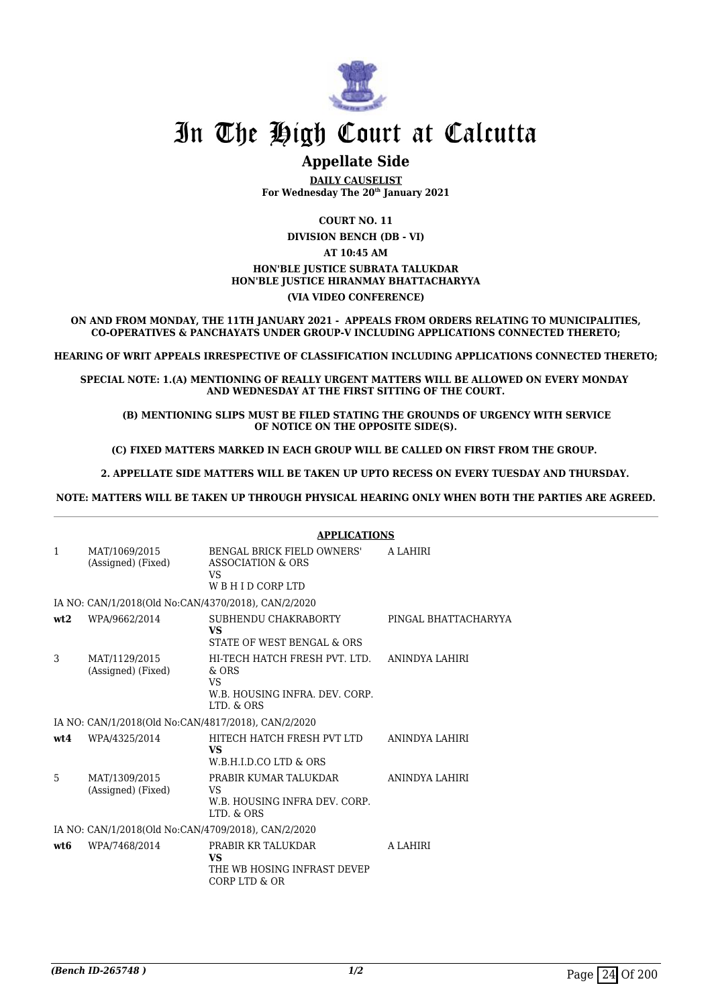

### **Appellate Side**

**DAILY CAUSELIST For Wednesday The 20th January 2021**

**COURT NO. 11**

**DIVISION BENCH (DB - VI) AT 10:45 AM**

#### **HON'BLE JUSTICE SUBRATA TALUKDAR HON'BLE JUSTICE HIRANMAY BHATTACHARYYA (VIA VIDEO CONFERENCE)**

**ON AND FROM MONDAY, THE 11TH JANUARY 2021 - APPEALS FROM ORDERS RELATING TO MUNICIPALITIES, CO-OPERATIVES & PANCHAYATS UNDER GROUP-V INCLUDING APPLICATIONS CONNECTED THERETO;**

**HEARING OF WRIT APPEALS IRRESPECTIVE OF CLASSIFICATION INCLUDING APPLICATIONS CONNECTED THERETO;**

**SPECIAL NOTE: 1.(A) MENTIONING OF REALLY URGENT MATTERS WILL BE ALLOWED ON EVERY MONDAY AND WEDNESDAY AT THE FIRST SITTING OF THE COURT.**

 **(B) MENTIONING SLIPS MUST BE FILED STATING THE GROUNDS OF URGENCY WITH SERVICE OF NOTICE ON THE OPPOSITE SIDE(S).**

**(C) FIXED MATTERS MARKED IN EACH GROUP WILL BE CALLED ON FIRST FROM THE GROUP.** 

 **2. APPELLATE SIDE MATTERS WILL BE TAKEN UP UPTO RECESS ON EVERY TUESDAY AND THURSDAY.** 

**NOTE: MATTERS WILL BE TAKEN UP THROUGH PHYSICAL HEARING ONLY WHEN BOTH THE PARTIES ARE AGREED.**

|                                                     |                                                     | <b>APPLICATIONS</b>                                                                                   |                      |  |
|-----------------------------------------------------|-----------------------------------------------------|-------------------------------------------------------------------------------------------------------|----------------------|--|
| 1                                                   | MAT/1069/2015<br>(Assigned) (Fixed)                 | BENGAL BRICK FIELD OWNERS'<br>ASSOCIATION & ORS<br>VS<br>WBHIDCORPLTD                                 | A LAHIRI             |  |
|                                                     | IA NO: CAN/1/2018(Old No:CAN/4370/2018), CAN/2/2020 |                                                                                                       |                      |  |
| wt2                                                 | WPA/9662/2014                                       | SUBHENDU CHAKRABORTY<br><b>VS</b><br>STATE OF WEST BENGAL & ORS                                       | PINGAL BHATTACHARYYA |  |
| 3                                                   | MAT/1129/2015<br>(Assigned) (Fixed)                 | HI-TECH HATCH FRESH PVT. LTD.<br>$&$ ORS<br><b>VS</b><br>W.B. HOUSING INFRA. DEV. CORP.<br>LTD. & ORS | ANINDYA LAHIRI       |  |
|                                                     | IA NO: CAN/1/2018(Old No:CAN/4817/2018), CAN/2/2020 |                                                                                                       |                      |  |
| wt4                                                 | WPA/4325/2014                                       | HITECH HATCH FRESH PVT LTD<br><b>VS</b><br>W.B.H.I.D.CO LTD & ORS                                     | ANINDYA LAHIRI       |  |
| 5                                                   | MAT/1309/2015<br>(Assigned) (Fixed)                 | PRABIR KUMAR TALUKDAR<br>VS<br>W.B. HOUSING INFRA DEV. CORP.<br>LTD. & ORS                            | ANINDYA LAHIRI       |  |
| IA NO: CAN/1/2018(Old No:CAN/4709/2018), CAN/2/2020 |                                                     |                                                                                                       |                      |  |
| wt <sub>6</sub>                                     | WPA/7468/2014                                       | PRABIR KR TALUKDAR<br><b>VS</b><br>THE WB HOSING INFRAST DEVEP<br>CORP LTD & OR                       | A LAHIRI             |  |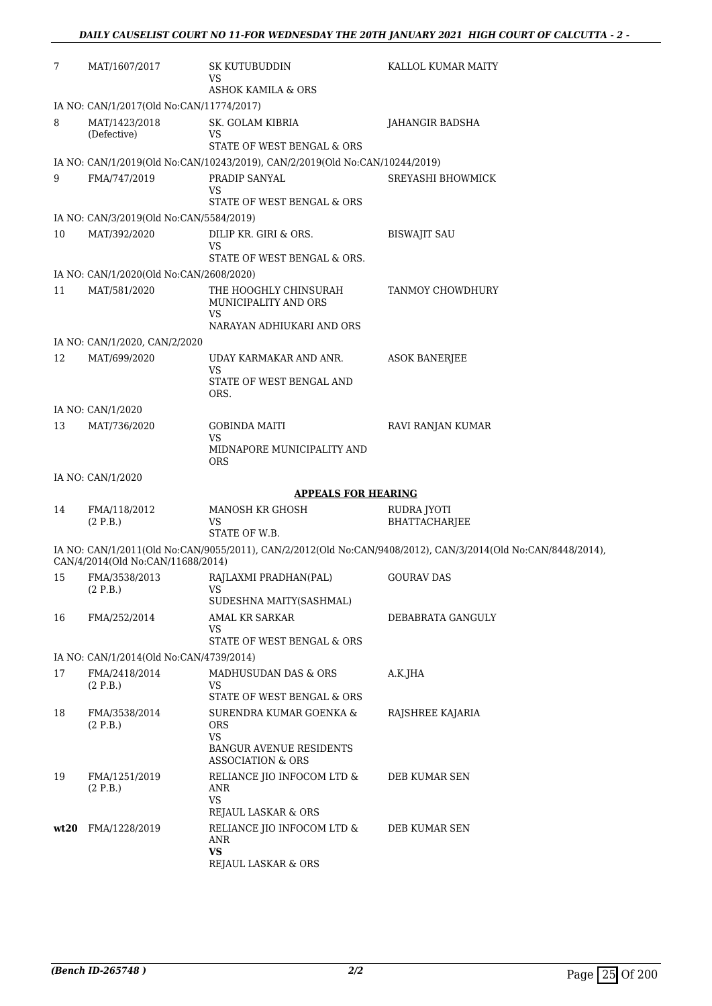| 7    | MAT/1607/2017                                            | SK KUTUBUDDIN<br>VS                                                                                           | KALLOL KUMAR MAITY                                                                                           |
|------|----------------------------------------------------------|---------------------------------------------------------------------------------------------------------------|--------------------------------------------------------------------------------------------------------------|
|      |                                                          | <b>ASHOK KAMILA &amp; ORS</b>                                                                                 |                                                                                                              |
|      | IA NO: CAN/1/2017(Old No:CAN/11774/2017)                 |                                                                                                               |                                                                                                              |
| 8    | MAT/1423/2018<br>(Defective)                             | SK. GOLAM KIBRIA<br>VS<br>STATE OF WEST BENGAL & ORS                                                          | JAHANGIR BADSHA                                                                                              |
|      |                                                          | IA NO: CAN/1/2019(Old No:CAN/10243/2019), CAN/2/2019(Old No:CAN/10244/2019)                                   |                                                                                                              |
| 9    | FMA/747/2019                                             | PRADIP SANYAL                                                                                                 | SREYASHI BHOWMICK                                                                                            |
|      |                                                          | VS<br>STATE OF WEST BENGAL & ORS                                                                              |                                                                                                              |
|      | IA NO: CAN/3/2019(Old No:CAN/5584/2019)                  |                                                                                                               |                                                                                                              |
| 10   | MAT/392/2020                                             | DILIP KR. GIRI & ORS.<br>VS<br>STATE OF WEST BENGAL & ORS.                                                    | <b>BISWAJIT SAU</b>                                                                                          |
|      | IA NO: CAN/1/2020(Old No:CAN/2608/2020)                  |                                                                                                               |                                                                                                              |
| 11   | MAT/581/2020                                             | THE HOOGHLY CHINSURAH<br>MUNICIPALITY AND ORS<br>VS<br>NARAYAN ADHIUKARI AND ORS                              | TANMOY CHOWDHURY                                                                                             |
|      | IA NO: CAN/1/2020, CAN/2/2020                            |                                                                                                               |                                                                                                              |
| 12   | MAT/699/2020                                             | UDAY KARMAKAR AND ANR.                                                                                        | <b>ASOK BANERJEE</b>                                                                                         |
|      |                                                          | VS<br>STATE OF WEST BENGAL AND<br>ORS.                                                                        |                                                                                                              |
|      | IA NO: CAN/1/2020                                        |                                                                                                               |                                                                                                              |
| 13   | MAT/736/2020                                             | <b>GOBINDA MAITI</b><br>VS<br>MIDNAPORE MUNICIPALITY AND                                                      | RAVI RANJAN KUMAR                                                                                            |
|      |                                                          | <b>ORS</b>                                                                                                    |                                                                                                              |
|      | IA NO: CAN/1/2020                                        |                                                                                                               |                                                                                                              |
|      |                                                          | <b>APPEALS FOR HEARING</b>                                                                                    |                                                                                                              |
| 14   | FMA/118/2012<br>(2 P.B.)                                 | <b>MANOSH KR GHOSH</b><br>VS<br>STATE OF W.B.                                                                 | RUDRA JYOTI<br><b>BHATTACHARJEE</b>                                                                          |
|      | CAN/4/2014(Old No:CAN/11688/2014)                        |                                                                                                               | IA NO: CAN/1/2011(Old No:CAN/9055/2011), CAN/2/2012(Old No:CAN/9408/2012), CAN/3/2014(Old No:CAN/8448/2014), |
| 15   | FMA/3538/2013<br>(2 P.B.)                                | RAJLAXMI PRADHAN(PAL)<br>VS                                                                                   | <b>GOURAV DAS</b>                                                                                            |
|      |                                                          | SUDESHNA MAITY(SASHMAL)                                                                                       |                                                                                                              |
| 16   | FMA/252/2014                                             | <b>AMAL KR SARKAR</b><br>VS                                                                                   | DEBABRATA GANGULY                                                                                            |
|      |                                                          | STATE OF WEST BENGAL & ORS                                                                                    |                                                                                                              |
| 17   | IA NO: CAN/1/2014(Old No:CAN/4739/2014)<br>FMA/2418/2014 | MADHUSUDAN DAS & ORS                                                                                          | A.K.JHA                                                                                                      |
|      | (2 P.B.)                                                 | VS<br>STATE OF WEST BENGAL & ORS                                                                              |                                                                                                              |
| 18   | FMA/3538/2014<br>(2 P.B.)                                | SURENDRA KUMAR GOENKA &<br>ORS<br><b>VS</b><br><b>BANGUR AVENUE RESIDENTS</b><br><b>ASSOCIATION &amp; ORS</b> | RAJSHREE KAJARIA                                                                                             |
| 19   | FMA/1251/2019<br>(2 P.B.)                                | RELIANCE JIO INFOCOM LTD &<br>ANR<br><b>VS</b>                                                                | DEB KUMAR SEN                                                                                                |
|      |                                                          | REJAUL LASKAR & ORS                                                                                           |                                                                                                              |
| wt20 | FMA/1228/2019                                            | RELIANCE JIO INFOCOM LTD &<br>ANR<br><b>VS</b>                                                                | DEB KUMAR SEN                                                                                                |
|      |                                                          | REJAUL LASKAR & ORS                                                                                           |                                                                                                              |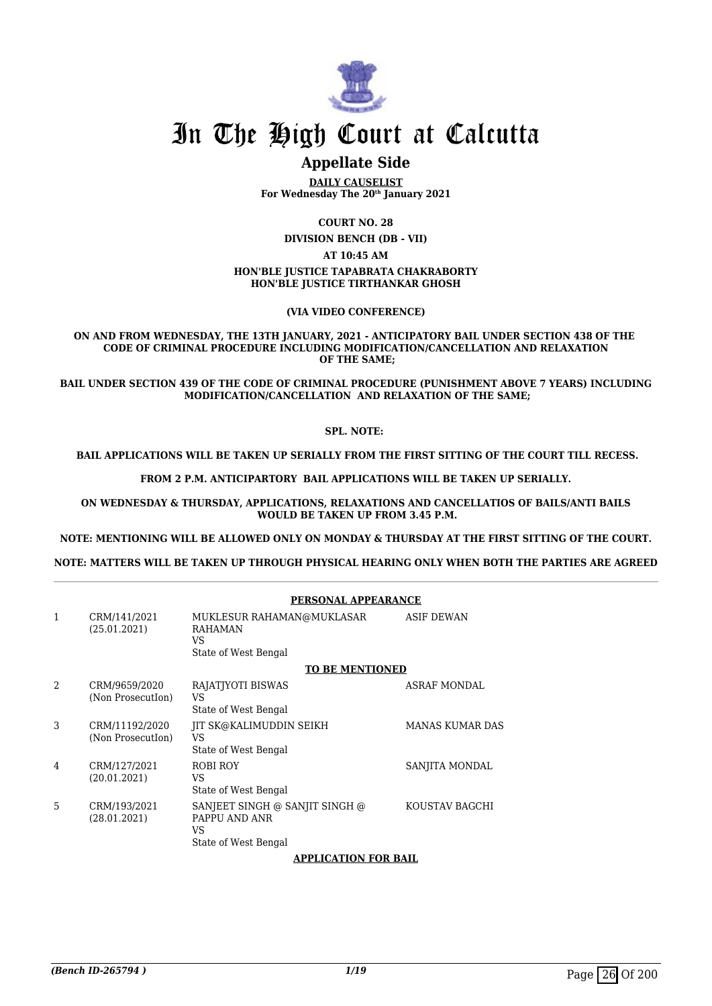

### **Appellate Side**

**DAILY CAUSELIST For Wednesday The 20th January 2021**

**COURT NO. 28**

**DIVISION BENCH (DB - VII)**

**AT 10:45 AM**

#### **HON'BLE JUSTICE TAPABRATA CHAKRABORTY HON'BLE JUSTICE TIRTHANKAR GHOSH**

**(VIA VIDEO CONFERENCE)**

#### **ON AND FROM WEDNESDAY, THE 13TH JANUARY, 2021 - ANTICIPATORY BAIL UNDER SECTION 438 OF THE CODE OF CRIMINAL PROCEDURE INCLUDING MODIFICATION/CANCELLATION AND RELAXATION OF THE SAME;**

**BAIL UNDER SECTION 439 OF THE CODE OF CRIMINAL PROCEDURE (PUNISHMENT ABOVE 7 YEARS) INCLUDING MODIFICATION/CANCELLATION AND RELAXATION OF THE SAME;**

#### **SPL. NOTE:**

#### **BAIL APPLICATIONS WILL BE TAKEN UP SERIALLY FROM THE FIRST SITTING OF THE COURT TILL RECESS.**

**FROM 2 P.M. ANTICIPARTORY BAIL APPLICATIONS WILL BE TAKEN UP SERIALLY.**

**ON WEDNESDAY & THURSDAY, APPLICATIONS, RELAXATIONS AND CANCELLATIOS OF BAILS/ANTI BAILS WOULD BE TAKEN UP FROM 3.45 P.M.**

**NOTE: MENTIONING WILL BE ALLOWED ONLY ON MONDAY & THURSDAY AT THE FIRST SITTING OF THE COURT.**

**NOTE: MATTERS WILL BE TAKEN UP THROUGH PHYSICAL HEARING ONLY WHEN BOTH THE PARTIES ARE AGREED**

|                |                                     | PERSONAL APPEARANCE                                                           |                        |
|----------------|-------------------------------------|-------------------------------------------------------------------------------|------------------------|
| 1              | CRM/141/2021<br>(25.01.2021)        | MUKLESUR RAHAMAN@MUKLASAR<br><b>RAHAMAN</b><br>VS<br>State of West Bengal     | <b>ASIF DEWAN</b>      |
|                |                                     | <b>TO BE MENTIONED</b>                                                        |                        |
| $\mathfrak{D}$ | CRM/9659/2020<br>(Non Prosecution)  | RAJATJYOTI BISWAS<br>VS<br>State of West Bengal                               | <b>ASRAF MONDAL</b>    |
| 3              | CRM/11192/2020<br>(Non Prosecution) | IIT SK@KALIMUDDIN SEIKH<br>VS<br>State of West Bengal                         | <b>MANAS KUMAR DAS</b> |
| $\overline{4}$ | CRM/127/2021<br>(20.01.2021)        | ROBI ROY<br>VS<br>State of West Bengal                                        | SANJITA MONDAL         |
| 5              | CRM/193/2021<br>(28.01.2021)        | SANJEET SINGH @ SANJIT SINGH @<br>PAPPU AND ANR<br>VS<br>State of West Bengal | KOUSTAV BAGCHI         |
|                |                                     | APPLICATION FOR BAIL                                                          |                        |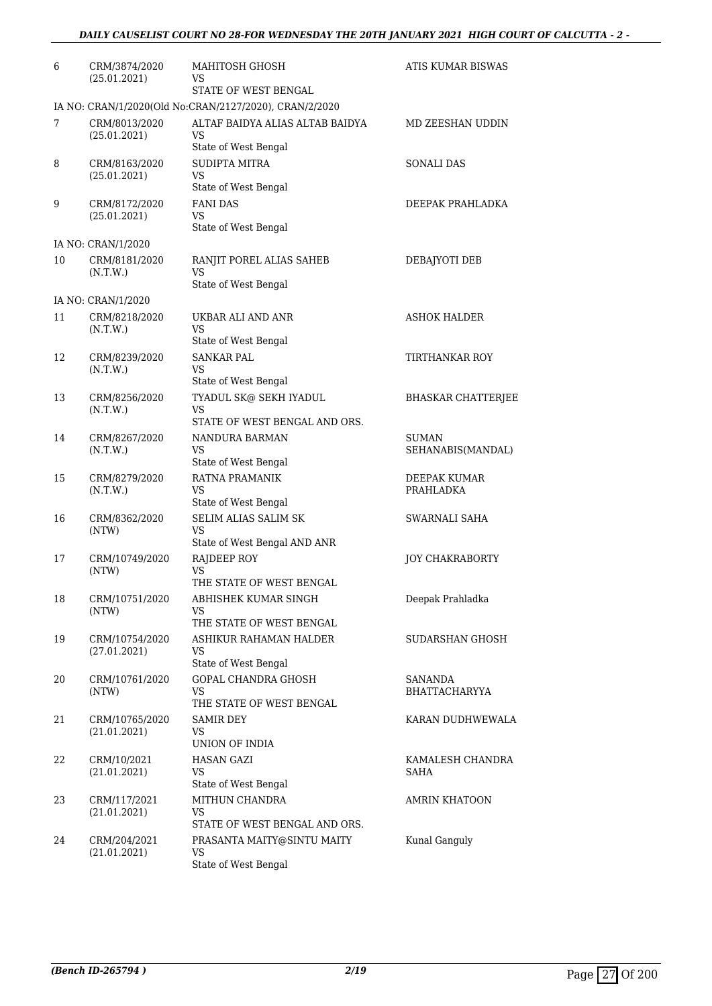| 6  | CRM/3874/2020<br>(25.01.2021)  | MAHITOSH GHOSH<br>VS<br>STATE OF WEST BENGAL                            | ATIS KUMAR BISWAS                      |
|----|--------------------------------|-------------------------------------------------------------------------|----------------------------------------|
|    |                                | IA NO: CRAN/1/2020(Old No:CRAN/2127/2020), CRAN/2/2020                  |                                        |
| 7  | CRM/8013/2020<br>(25.01.2021)  | ALTAF BAIDYA ALIAS ALTAB BAIDYA<br>VS<br>State of West Bengal           | MD ZEESHAN UDDIN                       |
| 8  | CRM/8163/2020<br>(25.01.2021)  | SUDIPTA MITRA<br>VS.<br>State of West Bengal                            | <b>SONALI DAS</b>                      |
| 9  | CRM/8172/2020<br>(25.01.2021)  | <b>FANI DAS</b><br>VS<br>State of West Bengal                           | DEEPAK PRAHLADKA                       |
|    | IA NO: CRAN/1/2020             |                                                                         |                                        |
| 10 | CRM/8181/2020<br>(N.T.W.)      | RANJIT POREL ALIAS SAHEB<br>VS<br>State of West Bengal                  | DEBAJYOTI DEB                          |
|    | IA NO: CRAN/1/2020             |                                                                         |                                        |
| 11 | CRM/8218/2020<br>(N.T.W.)      | UKBAR ALI AND ANR<br>VS                                                 | <b>ASHOK HALDER</b>                    |
| 12 | CRM/8239/2020<br>(N.T.W.)      | State of West Bengal<br><b>SANKAR PAL</b><br>VS<br>State of West Bengal | TIRTHANKAR ROY                         |
| 13 | CRM/8256/2020<br>(N.T.W.)      | TYADUL SK@ SEKH IYADUL<br><b>VS</b><br>STATE OF WEST BENGAL AND ORS.    | <b>BHASKAR CHATTERJEE</b>              |
| 14 | CRM/8267/2020<br>(N.T.W.)      | NANDURA BARMAN<br>VS<br>State of West Bengal                            | SUMAN<br>SEHANABIS(MANDAL)             |
| 15 | CRM/8279/2020<br>(N.T.W.)      | RATNA PRAMANIK<br>VS<br>State of West Bengal                            | DEEPAK KUMAR<br>PRAHLADKA              |
| 16 | CRM/8362/2020<br>(NTW)         | <b>SELIM ALIAS SALIM SK</b><br>VS<br>State of West Bengal AND ANR       | SWARNALI SAHA                          |
| 17 | CRM/10749/2020<br>(NTW)        | RAJDEEP ROY<br>VS<br>THE STATE OF WEST BENGAL                           | <b>JOY CHAKRABORTY</b>                 |
| 18 | CRM/10751/2020<br>(NTW)        | ABHISHEK KUMAR SINGH<br>VS<br>THE STATE OF WEST BENGAL                  | Deepak Prahladka                       |
| 19 | CRM/10754/2020<br>(27.01.2021) | ASHIKUR RAHAMAN HALDER<br>VS<br>State of West Bengal                    | SUDARSHAN GHOSH                        |
| 20 | CRM/10761/2020<br>(NTW)        | <b>GOPAL CHANDRA GHOSH</b><br>VS<br>THE STATE OF WEST BENGAL            | <b>SANANDA</b><br><b>BHATTACHARYYA</b> |
| 21 | CRM/10765/2020<br>(21.01.2021) | SAMIR DEY<br>VS<br>UNION OF INDIA                                       | KARAN DUDHWEWALA                       |
| 22 | CRM/10/2021<br>(21.01.2021)    | <b>HASAN GAZI</b><br>VS.<br>State of West Bengal                        | KAMALESH CHANDRA<br><b>SAHA</b>        |
| 23 | CRM/117/2021<br>(21.01.2021)   | MITHUN CHANDRA<br><b>VS</b><br>STATE OF WEST BENGAL AND ORS.            | AMRIN KHATOON                          |
| 24 | CRM/204/2021<br>(21.01.2021)   | PRASANTA MAITY@SINTU MAITY<br>VS<br>State of West Bengal                | Kunal Ganguly                          |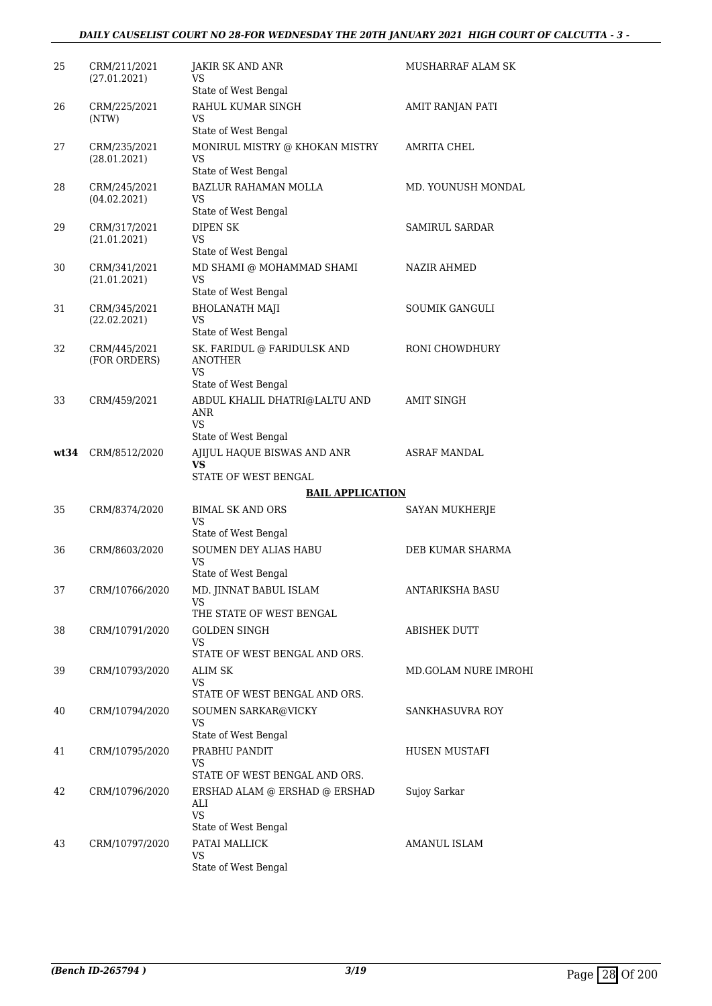#### *DAILY CAUSELIST COURT NO 28-FOR WEDNESDAY THE 20TH JANUARY 2021 HIGH COURT OF CALCUTTA - 3 -*

| 25   | CRM/211/2021<br>(27.01.2021) | JAKIR SK AND ANR<br>VS<br>State of West Bengal                                    | MUSHARRAF ALAM SK     |
|------|------------------------------|-----------------------------------------------------------------------------------|-----------------------|
| 26   | CRM/225/2021<br>(NTW)        | RAHUL KUMAR SINGH<br>VS                                                           | AMIT RANJAN PATI      |
| 27   | CRM/235/2021<br>(28.01.2021) | State of West Bengal<br>MONIRUL MISTRY @ KHOKAN MISTRY<br>VS                      | <b>AMRITA CHEL</b>    |
| 28   | CRM/245/2021<br>(04.02.2021) | State of West Bengal<br><b>BAZLUR RAHAMAN MOLLA</b><br>VS<br>State of West Bengal | MD. YOUNUSH MONDAL    |
| 29   | CRM/317/2021<br>(21.01.2021) | <b>DIPEN SK</b><br>VS                                                             | <b>SAMIRUL SARDAR</b> |
| 30   | CRM/341/2021<br>(21.01.2021) | State of West Bengal<br>MD SHAMI @ MOHAMMAD SHAMI<br>VS                           | NAZIR AHMED           |
| 31   | CRM/345/2021<br>(22.02.2021) | State of West Bengal<br><b>BHOLANATH MAJI</b><br><b>VS</b>                        | SOUMIK GANGULI        |
| 32   | CRM/445/2021<br>(FOR ORDERS) | State of West Bengal<br>SK. FARIDUL @ FARIDULSK AND<br><b>ANOTHER</b>             | RONI CHOWDHURY        |
|      |                              | <b>VS</b><br>State of West Bengal                                                 |                       |
| 33   | CRM/459/2021                 | ABDUL KHALIL DHATRI@LALTU AND<br>ANR<br>VS                                        | <b>AMIT SINGH</b>     |
|      |                              | State of West Bengal                                                              |                       |
| wt34 | CRM/8512/2020                | AJIJUL HAQUE BISWAS AND ANR<br>VS<br>STATE OF WEST BENGAL                         | ASRAF MANDAL          |
|      |                              | <b>BAIL APPLICATION</b>                                                           |                       |
| 35   | CRM/8374/2020                | <b>BIMAL SK AND ORS</b><br>VS<br>State of West Bengal                             | SAYAN MUKHERJE        |
| 36   | CRM/8603/2020                | <b>SOUMEN DEY ALIAS HABU</b><br>VS                                                | DEB KUMAR SHARMA      |
| 37   | CRM/10766/2020               | State of West Bengal<br>MD. JINNAT BABUL ISLAM<br>VS                              | ANTARIKSHA BASU       |
| 38   | CRM/10791/2020               | THE STATE OF WEST BENGAL<br><b>GOLDEN SINGH</b><br>VS                             | ABISHEK DUTT          |
| 39   | CRM/10793/2020               | STATE OF WEST BENGAL AND ORS.<br><b>ALIM SK</b><br>VS                             | MD.GOLAM NURE IMROHI  |
| 40   | CRM/10794/2020               | STATE OF WEST BENGAL AND ORS.<br>SOUMEN SARKAR@VICKY<br>VS                        | SANKHASUVRA ROY       |
| 41   | CRM/10795/2020               | State of West Bengal<br>PRABHU PANDIT<br>VS<br>STATE OF WEST BENGAL AND ORS.      | HUSEN MUSTAFI         |
| 42   | CRM/10796/2020               | ERSHAD ALAM @ ERSHAD @ ERSHAD<br>ALI<br><b>VS</b>                                 | Sujoy Sarkar          |
|      |                              | State of West Bengal                                                              |                       |
| 43   | CRM/10797/2020               | PATAI MALLICK<br>VS.<br>State of West Bengal                                      | AMANUL ISLAM          |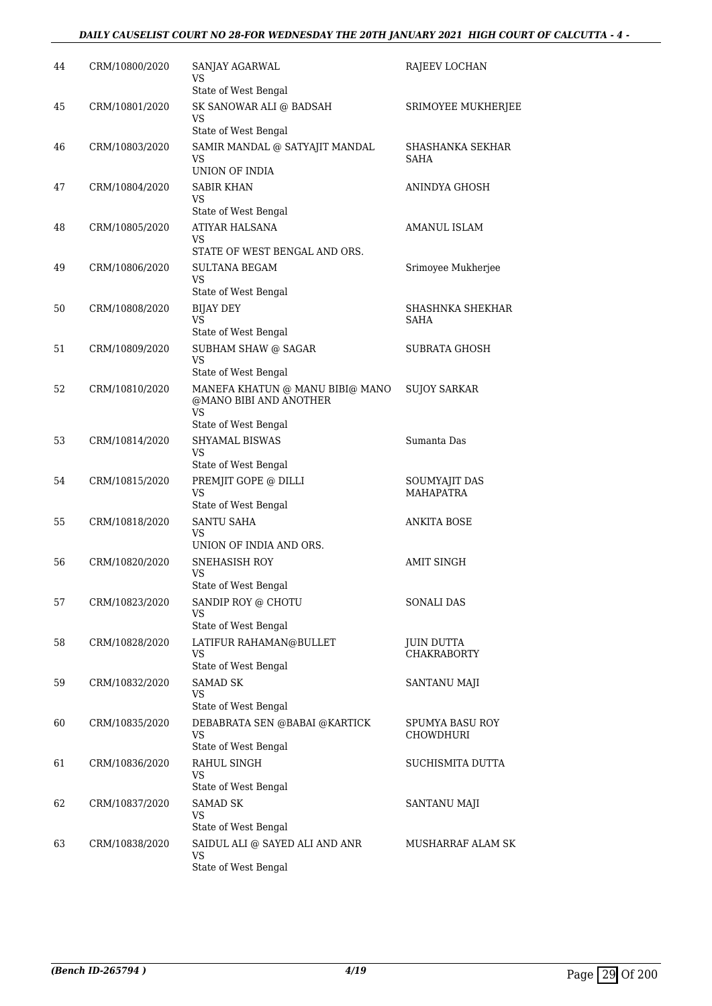#### *DAILY CAUSELIST COURT NO 28-FOR WEDNESDAY THE 20TH JANUARY 2021 HIGH COURT OF CALCUTTA - 4 -*

| 44 | CRM/10800/2020 | SANJAY AGARWAL<br>VS                                  | RAJEEV LOCHAN                           |
|----|----------------|-------------------------------------------------------|-----------------------------------------|
|    |                | State of West Bengal                                  |                                         |
| 45 | CRM/10801/2020 | SK SANOWAR ALI @ BADSAH<br>VS                         | SRIMOYEE MUKHERJEE                      |
|    |                | State of West Bengal                                  |                                         |
| 46 | CRM/10803/2020 | SAMIR MANDAL @ SATYAJIT MANDAL<br>VS                  | SHASHANKA SEKHAR<br><b>SAHA</b>         |
|    |                | UNION OF INDIA                                        |                                         |
| 47 | CRM/10804/2020 | <b>SABIR KHAN</b><br>VS                               | ANINDYA GHOSH                           |
|    |                | State of West Bengal                                  |                                         |
| 48 | CRM/10805/2020 | ATIYAR HALSANA<br>VS                                  | AMANUL ISLAM                            |
|    |                | STATE OF WEST BENGAL AND ORS.                         |                                         |
| 49 | CRM/10806/2020 | SULTANA BEGAM<br>VS                                   | Srimoyee Mukherjee                      |
|    |                | State of West Bengal                                  | SHASHNKA SHEKHAR                        |
| 50 | CRM/10808/2020 | <b>BIJAY DEY</b><br><b>VS</b><br>State of West Bengal | <b>SAHA</b>                             |
| 51 | CRM/10809/2020 | SUBHAM SHAW @ SAGAR                                   | SUBRATA GHOSH                           |
|    |                | VS<br>State of West Bengal                            |                                         |
| 52 | CRM/10810/2020 | MANEFA KHATUN @ MANU BIBI@ MANO                       | <b>SUJOY SARKAR</b>                     |
|    |                | @MANO BIBI AND ANOTHER<br>VS                          |                                         |
|    |                | State of West Bengal                                  |                                         |
| 53 | CRM/10814/2020 | SHYAMAL BISWAS<br>VS                                  | Sumanta Das                             |
|    |                | State of West Bengal                                  |                                         |
| 54 | CRM/10815/2020 | PREMJIT GOPE @ DILLI<br>VS                            | SOUMYAJIT DAS<br><b>MAHAPATRA</b>       |
| 55 | CRM/10818/2020 | State of West Bengal<br><b>SANTU SAHA</b>             | <b>ANKITA BOSE</b>                      |
|    |                | VS<br>UNION OF INDIA AND ORS.                         |                                         |
| 56 | CRM/10820/2020 | <b>SNEHASISH ROY</b>                                  | <b>AMIT SINGH</b>                       |
|    |                | VS<br>State of West Bengal                            |                                         |
| 57 | CRM/10823/2020 | SANDIP ROY @ CHOTU                                    | SONALI DAS                              |
|    |                | VS                                                    |                                         |
|    |                | State of West Bengal                                  |                                         |
| 58 | CRM/10828/2020 | LATIFUR RAHAMAN@BULLET<br>VS                          | <b>JUIN DUTTA</b><br><b>CHAKRABORTY</b> |
|    |                | State of West Bengal                                  |                                         |
| 59 | CRM/10832/2020 | <b>SAMAD SK</b><br>VS<br>State of West Bengal         | SANTANU MAJI                            |
| 60 | CRM/10835/2020 | DEBABRATA SEN @BABAI @KARTICK                         | SPUMYA BASU ROY                         |
|    |                | VS<br>State of West Bengal                            | CHOWDHURI                               |
| 61 | CRM/10836/2020 | RAHUL SINGH                                           | SUCHISMITA DUTTA                        |
|    |                | VS<br>State of West Bengal                            |                                         |
| 62 | CRM/10837/2020 | <b>SAMAD SK</b>                                       | SANTANU MAJI                            |
|    |                | VS<br>State of West Bengal                            |                                         |
| 63 | CRM/10838/2020 | SAIDUL ALI @ SAYED ALI AND ANR                        | MUSHARRAF ALAM SK                       |
|    |                | VS<br>State of West Bengal                            |                                         |
|    |                |                                                       |                                         |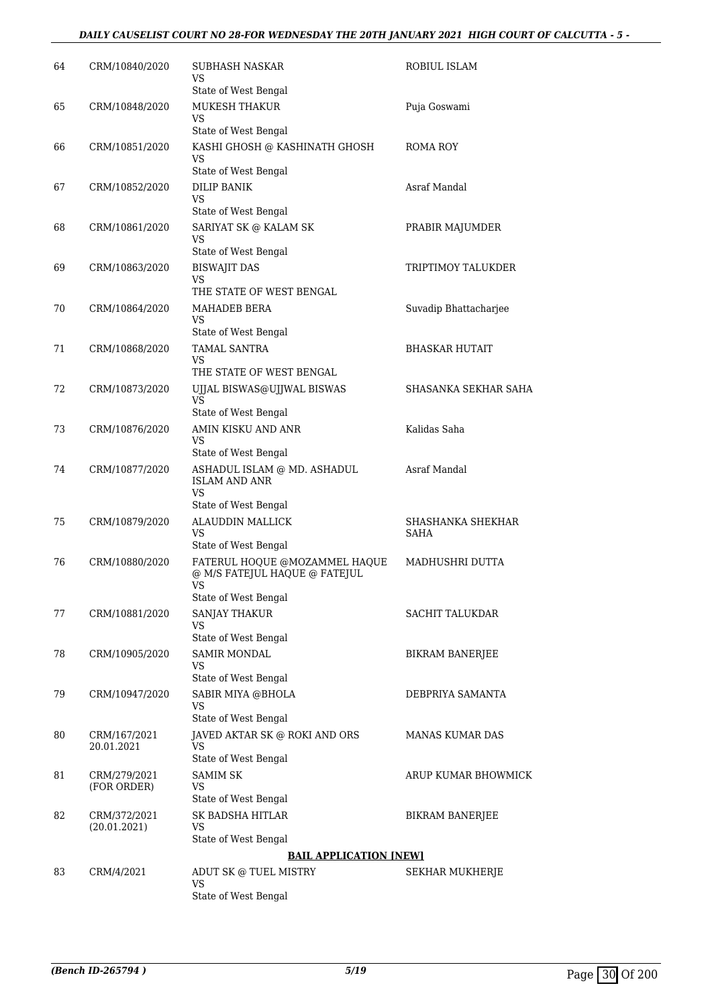#### *DAILY CAUSELIST COURT NO 28-FOR WEDNESDAY THE 20TH JANUARY 2021 HIGH COURT OF CALCUTTA - 5 -*

| 64 | CRM/10840/2020               | <b>SUBHASH NASKAR</b><br>VS                                                                         | ROBIUL ISLAM              |
|----|------------------------------|-----------------------------------------------------------------------------------------------------|---------------------------|
| 65 | CRM/10848/2020               | State of West Bengal<br>MUKESH THAKUR<br>VS                                                         | Puja Goswami              |
| 66 | CRM/10851/2020               | State of West Bengal<br>KASHI GHOSH @ KASHINATH GHOSH<br>VS                                         | <b>ROMA ROY</b>           |
| 67 | CRM/10852/2020               | State of West Bengal<br><b>DILIP BANIK</b><br>VS<br>State of West Bengal                            | Asraf Mandal              |
| 68 | CRM/10861/2020               | SARIYAT SK @ KALAM SK<br>VS<br>State of West Bengal                                                 | PRABIR MAJUMDER           |
| 69 | CRM/10863/2020               | <b>BISWAJIT DAS</b><br>VS<br>THE STATE OF WEST BENGAL                                               | TRIPTIMOY TALUKDER        |
| 70 | CRM/10864/2020               | <b>MAHADEB BERA</b><br>VS<br>State of West Bengal                                                   | Suvadip Bhattacharjee     |
| 71 | CRM/10868/2020               | <b>TAMAL SANTRA</b><br>VS<br>THE STATE OF WEST BENGAL                                               | <b>BHASKAR HUTAIT</b>     |
| 72 | CRM/10873/2020               | UJJAL BISWAS@UJJWAL BISWAS<br><b>VS</b><br>State of West Bengal                                     | SHASANKA SEKHAR SAHA      |
| 73 | CRM/10876/2020               | AMIN KISKU AND ANR<br>VS<br>State of West Bengal                                                    | Kalidas Saha              |
| 74 | CRM/10877/2020               | ASHADUL ISLAM @ MD. ASHADUL<br><b>ISLAM AND ANR</b><br><b>VS</b>                                    | Asraf Mandal              |
| 75 | CRM/10879/2020               | State of West Bengal<br>ALAUDDIN MALLICK<br>VS<br>State of West Bengal                              | SHASHANKA SHEKHAR<br>SAHA |
| 76 | CRM/10880/2020               | FATERUL HOQUE @MOZAMMEL HAQUE<br>@ M/S FATEJUL HAQUE @ FATEJUL<br><b>VS</b><br>State of West Bengal | MADHUSHRI DUTTA           |
| 77 | CRM/10881/2020               | <b>SANJAY THAKUR</b><br>VS<br>State of West Bengal                                                  | <b>SACHIT TALUKDAR</b>    |
| 78 | CRM/10905/2020               | <b>SAMIR MONDAL</b><br>VS<br>State of West Bengal                                                   | BIKRAM BANERJEE           |
| 79 | CRM/10947/2020               | SABIR MIYA @BHOLA<br><b>VS</b><br>State of West Bengal                                              | DEBPRIYA SAMANTA          |
| 80 | CRM/167/2021<br>20.01.2021   | JAVED AKTAR SK @ ROKI AND ORS<br>VS<br>State of West Bengal                                         | MANAS KUMAR DAS           |
| 81 | CRM/279/2021<br>(FOR ORDER)  | <b>SAMIM SK</b><br>VS<br>State of West Bengal                                                       | ARUP KUMAR BHOWMICK       |
| 82 | CRM/372/2021<br>(20.01.2021) | SK BADSHA HITLAR<br>VS<br>State of West Bengal                                                      | <b>BIKRAM BANERJEE</b>    |
|    |                              | <b>BAIL APPLICATION [NEW]</b>                                                                       |                           |
| 83 | CRM/4/2021                   | ADUT SK @ TUEL MISTRY<br>VS<br>State of West Bengal                                                 | SEKHAR MUKHERJE           |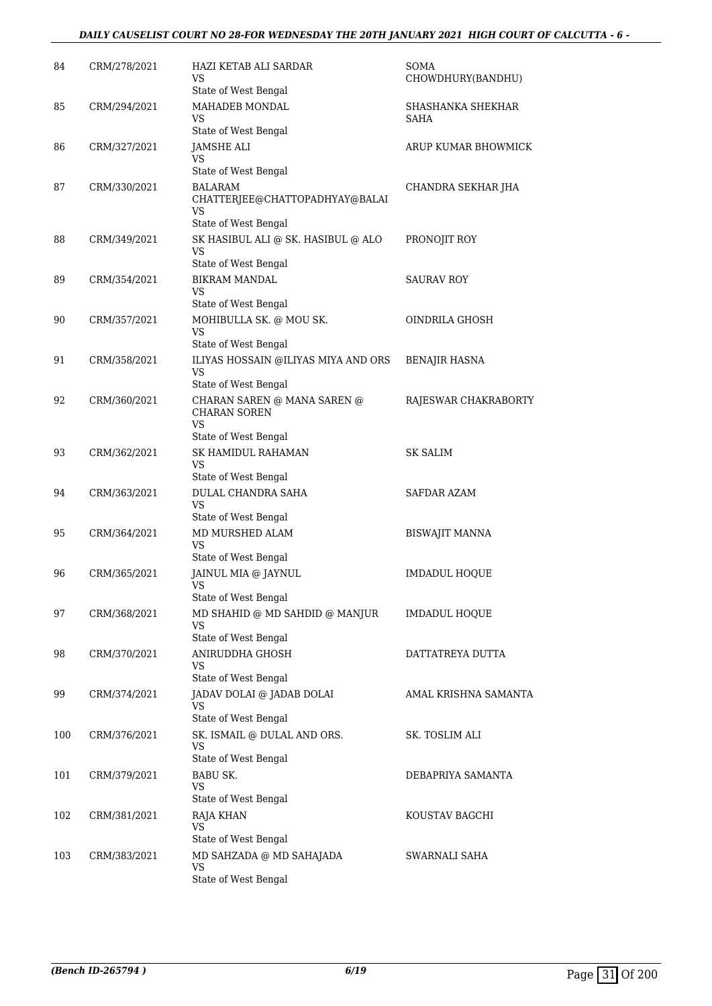| 84  | CRM/278/2021 | HAZI KETAB ALI SARDAR<br>VS<br>State of West Bengal                                             | SOMA<br>CHOWDHURY(BANDHU) |
|-----|--------------|-------------------------------------------------------------------------------------------------|---------------------------|
| 85  | CRM/294/2021 | MAHADEB MONDAL<br>VS<br>State of West Bengal                                                    | SHASHANKA SHEKHAR<br>SAHA |
| 86  | CRM/327/2021 | JAMSHE ALI<br><b>VS</b>                                                                         | ARUP KUMAR BHOWMICK       |
| 87  | CRM/330/2021 | State of West Bengal<br><b>BALARAM</b><br>CHATTERJEE@CHATTOPADHYAY@BALAI<br>VS                  | CHANDRA SEKHAR JHA        |
| 88  | CRM/349/2021 | State of West Bengal<br>SK HASIBUL ALI @ SK. HASIBUL @ ALO<br><b>VS</b><br>State of West Bengal | PRONOJIT ROY              |
| 89  | CRM/354/2021 | <b>BIKRAM MANDAL</b><br><b>VS</b><br>State of West Bengal                                       | <b>SAURAV ROY</b>         |
| 90  | CRM/357/2021 | MOHIBULLA SK. @ MOU SK.<br><b>VS</b>                                                            | OINDRILA GHOSH            |
| 91  | CRM/358/2021 | State of West Bengal<br>ILIYAS HOSSAIN @ILIYAS MIYA AND ORS<br><b>VS</b>                        | <b>BENAJIR HASNA</b>      |
| 92  | CRM/360/2021 | State of West Bengal<br>CHARAN SAREN @ MANA SAREN @<br><b>CHARAN SOREN</b><br><b>VS</b>         | RAJESWAR CHAKRABORTY      |
| 93  | CRM/362/2021 | State of West Bengal<br><b>SK HAMIDUL RAHAMAN</b><br><b>VS</b><br>State of West Bengal          | <b>SK SALIM</b>           |
| 94  | CRM/363/2021 | <b>DULAL CHANDRA SAHA</b><br><b>VS</b>                                                          | SAFDAR AZAM               |
| 95  | CRM/364/2021 | State of West Bengal<br>MD MURSHED ALAM<br>VS<br>State of West Bengal                           | BISWAJIT MANNA            |
| 96  | CRM/365/2021 | JAINUL MIA @ JAYNUL<br><b>VS</b><br>State of West Bengal                                        | <b>IMDADUL HOQUE</b>      |
| 97  | CRM/368/2021 | MD SHAHID @ MD SAHDID @ MANJUR<br>VS                                                            | IMDADUL HOQUE             |
| 98  | CRM/370/2021 | State of West Bengal<br>ANIRUDDHA GHOSH<br>VS                                                   | DATTATREYA DUTTA          |
| 99  | CRM/374/2021 | State of West Bengal<br>JADAV DOLAI @ JADAB DOLAI<br>VS                                         | AMAL KRISHNA SAMANTA      |
| 100 | CRM/376/2021 | State of West Bengal<br>SK. ISMAIL @ DULAL AND ORS.<br>VS                                       | SK. TOSLIM ALI            |
| 101 | CRM/379/2021 | State of West Bengal<br><b>BABU SK.</b><br>VS                                                   | DEBAPRIYA SAMANTA         |
| 102 | CRM/381/2021 | State of West Bengal<br><b>RAJA KHAN</b><br>VS                                                  | KOUSTAV BAGCHI            |
| 103 | CRM/383/2021 | State of West Bengal<br>MD SAHZADA @ MD SAHAJADA<br>VS<br>State of West Bengal                  | SWARNALI SAHA             |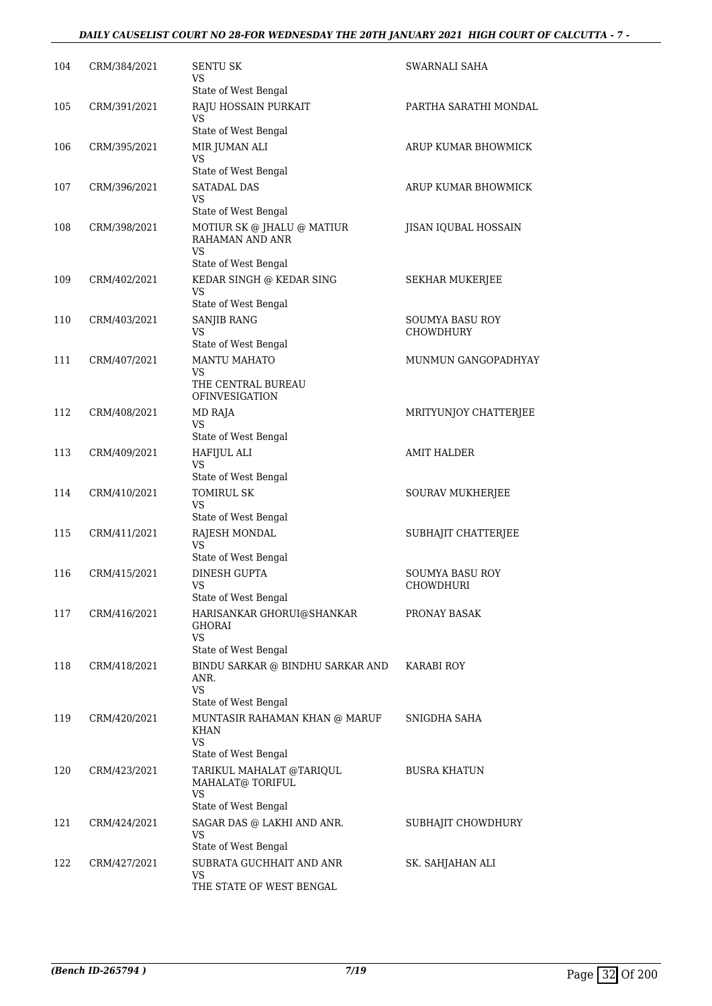#### *DAILY CAUSELIST COURT NO 28-FOR WEDNESDAY THE 20TH JANUARY 2021 HIGH COURT OF CALCUTTA - 7 -*

| 104 | CRM/384/2021 | SENTU SK<br>VS                                                                | SWARNALI SAHA          |
|-----|--------------|-------------------------------------------------------------------------------|------------------------|
| 105 | CRM/391/2021 | State of West Bengal<br>RAJU HOSSAIN PURKAIT                                  | PARTHA SARATHI MONDAL  |
|     |              | VS                                                                            |                        |
| 106 | CRM/395/2021 | State of West Bengal<br>MIR JUMAN ALI                                         | ARUP KUMAR BHOWMICK    |
|     |              | VS                                                                            |                        |
|     |              | State of West Bengal                                                          |                        |
| 107 | CRM/396/2021 | <b>SATADAL DAS</b><br>VS<br>State of West Bengal                              | ARUP KUMAR BHOWMICK    |
| 108 | CRM/398/2021 | MOTIUR SK @ JHALU @ MATIUR<br>RAHAMAN AND ANR<br>VS                           | JISAN IQUBAL HOSSAIN   |
|     |              | State of West Bengal                                                          |                        |
| 109 | CRM/402/2021 | KEDAR SINGH @ KEDAR SING<br>VS<br>State of West Bengal                        | SEKHAR MUKERJEE        |
| 110 | CRM/403/2021 | <b>SANJIB RANG</b>                                                            | SOUMYA BASU ROY        |
|     |              | VS                                                                            | <b>CHOWDHURY</b>       |
|     |              | State of West Bengal                                                          |                        |
| 111 | CRM/407/2021 | <b>MANTU MAHATO</b><br>VS<br>THE CENTRAL BUREAU<br><b>OFINVESIGATION</b>      | MUNMUN GANGOPADHYAY    |
| 112 | CRM/408/2021 | MD RAJA<br>VS                                                                 | MRITYUNJOY CHATTERJEE  |
|     |              | State of West Bengal                                                          |                        |
| 113 | CRM/409/2021 | HAFIJUL ALI<br>VS<br>State of West Bengal                                     | AMIT HALDER            |
| 114 | CRM/410/2021 | TOMIRUL SK                                                                    | SOURAV MUKHERJEE       |
|     |              | VS                                                                            |                        |
| 115 | CRM/411/2021 | State of West Bengal<br>RAJESH MONDAL                                         | SUBHAJIT CHATTERJEE    |
|     |              | VS<br>State of West Bengal                                                    |                        |
| 116 | CRM/415/2021 | <b>DINESH GUPTA</b>                                                           | <b>SOUMYA BASU ROY</b> |
|     |              | VS<br>State of West Bengal                                                    | CHOWDHURI              |
| 117 | CRM/416/2021 | HARISANKAR GHORUI@SHANKAR<br>GHORAI<br>VS                                     | PRONAY BASAK           |
|     |              | State of West Bengal                                                          |                        |
| 118 | CRM/418/2021 | BINDU SARKAR @ BINDHU SARKAR AND<br>ANR.<br><b>VS</b><br>State of West Bengal | <b>KARABI ROY</b>      |
| 119 | CRM/420/2021 | MUNTASIR RAHAMAN KHAN @ MARUF<br>KHAN<br><b>VS</b>                            | SNIGDHA SAHA           |
| 120 | CRM/423/2021 | State of West Bengal<br>TARIKUL MAHALAT @TARIQUL                              | <b>BUSRA KHATUN</b>    |
|     |              | MAHALAT@ TORIFUL<br>VS                                                        |                        |
| 121 | CRM/424/2021 | State of West Bengal<br>SAGAR DAS @ LAKHI AND ANR.                            | SUBHAJIT CHOWDHURY     |
|     |              | VS                                                                            |                        |
|     |              | State of West Bengal                                                          |                        |
| 122 | CRM/427/2021 | SUBRATA GUCHHAIT AND ANR<br>VS                                                | SK. SAHJAHAN ALI       |
|     |              | THE STATE OF WEST BENGAL                                                      |                        |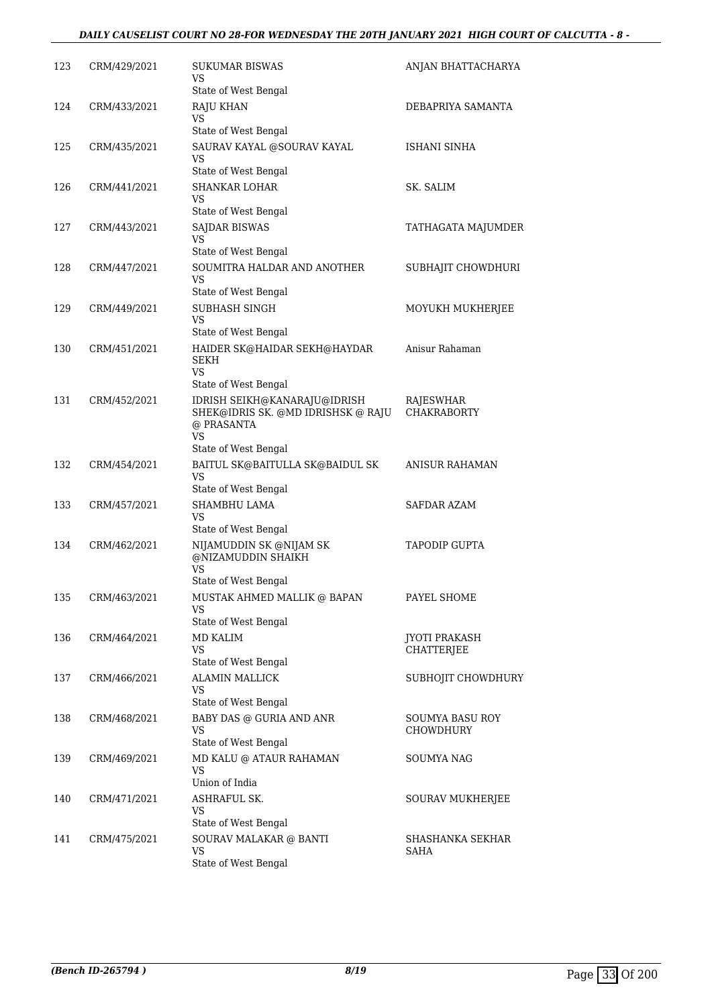#### *DAILY CAUSELIST COURT NO 28-FOR WEDNESDAY THE 20TH JANUARY 2021 HIGH COURT OF CALCUTTA - 8 -*

| 123 | CRM/429/2021 | SUKUMAR BISWAS<br>VS                                                                   | ANJAN BHATTACHARYA                  |
|-----|--------------|----------------------------------------------------------------------------------------|-------------------------------------|
|     |              | State of West Bengal                                                                   |                                     |
| 124 | CRM/433/2021 | <b>RAJU KHAN</b><br>VS                                                                 | DEBAPRIYA SAMANTA                   |
|     |              | State of West Bengal                                                                   |                                     |
| 125 | CRM/435/2021 | SAURAV KAYAL @SOURAV KAYAL<br>VS                                                       | ISHANI SINHA                        |
|     |              | State of West Bengal                                                                   |                                     |
| 126 | CRM/441/2021 | <b>SHANKAR LOHAR</b><br>VS                                                             | SK. SALIM                           |
|     |              | State of West Bengal                                                                   |                                     |
| 127 | CRM/443/2021 | <b>SAJDAR BISWAS</b><br>VS                                                             | TATHAGATA MAJUMDER                  |
|     |              | State of West Bengal                                                                   |                                     |
| 128 | CRM/447/2021 | SOUMITRA HALDAR AND ANOTHER<br>VS                                                      | SUBHAJIT CHOWDHURI                  |
|     |              | State of West Bengal                                                                   |                                     |
| 129 | CRM/449/2021 | SUBHASH SINGH<br>VS<br>State of West Bengal                                            | MOYUKH MUKHERJEE                    |
|     | CRM/451/2021 |                                                                                        | Anisur Rahaman                      |
| 130 |              | HAIDER SK@HAIDAR SEKH@HAYDAR<br><b>SEKH</b><br>VS                                      |                                     |
|     |              | State of West Bengal                                                                   |                                     |
| 131 | CRM/452/2021 | IDRISH SEIKH@KANARAJU@IDRISH<br>SHEK@IDRIS SK. @MD IDRISHSK @ RAJU<br>@ PRASANTA<br>VS | RAJESWHAR<br><b>CHAKRABORTY</b>     |
|     |              | State of West Bengal                                                                   |                                     |
| 132 | CRM/454/2021 | BAITUL SK@BAITULLA SK@BAIDUL SK<br>VS                                                  | ANISUR RAHAMAN                      |
|     |              | State of West Bengal                                                                   |                                     |
| 133 | CRM/457/2021 | SHAMBHU LAMA<br>VS<br>State of West Bengal                                             | SAFDAR AZAM                         |
| 134 | CRM/462/2021 | NIJAMUDDIN SK @NIJAM SK<br>@NIZAMUDDIN SHAIKH<br>VS                                    | TAPODIP GUPTA                       |
|     |              | State of West Bengal                                                                   |                                     |
| 135 | CRM/463/2021 | MUSTAK AHMED MALLIK @ BAPAN<br>VS                                                      | PAYEL SHOME                         |
|     |              | State of West Bengal                                                                   |                                     |
| 136 | CRM/464/2021 | <b>MD KALIM</b><br>VS                                                                  | <b>JYOTI PRAKASH</b><br>CHATTERJEE  |
|     |              | State of West Bengal                                                                   |                                     |
| 137 | CRM/466/2021 | <b>ALAMIN MALLICK</b><br>VS                                                            | SUBHOJIT CHOWDHURY                  |
|     |              | State of West Bengal                                                                   |                                     |
| 138 | CRM/468/2021 | BABY DAS @ GURIA AND ANR<br>VS<br>State of West Bengal                                 | <b>SOUMYA BASU ROY</b><br>CHOWDHURY |
| 139 | CRM/469/2021 | MD KALU @ ATAUR RAHAMAN                                                                | SOUMYA NAG                          |
|     |              | VS<br>Union of India                                                                   |                                     |
| 140 | CRM/471/2021 | ASHRAFUL SK.                                                                           | SOURAV MUKHERJEE                    |
|     |              | VS<br>State of West Bengal                                                             |                                     |
| 141 | CRM/475/2021 | SOURAV MALAKAR @ BANTI                                                                 | SHASHANKA SEKHAR                    |
|     |              | <b>VS</b><br>State of West Bengal                                                      | SAHA                                |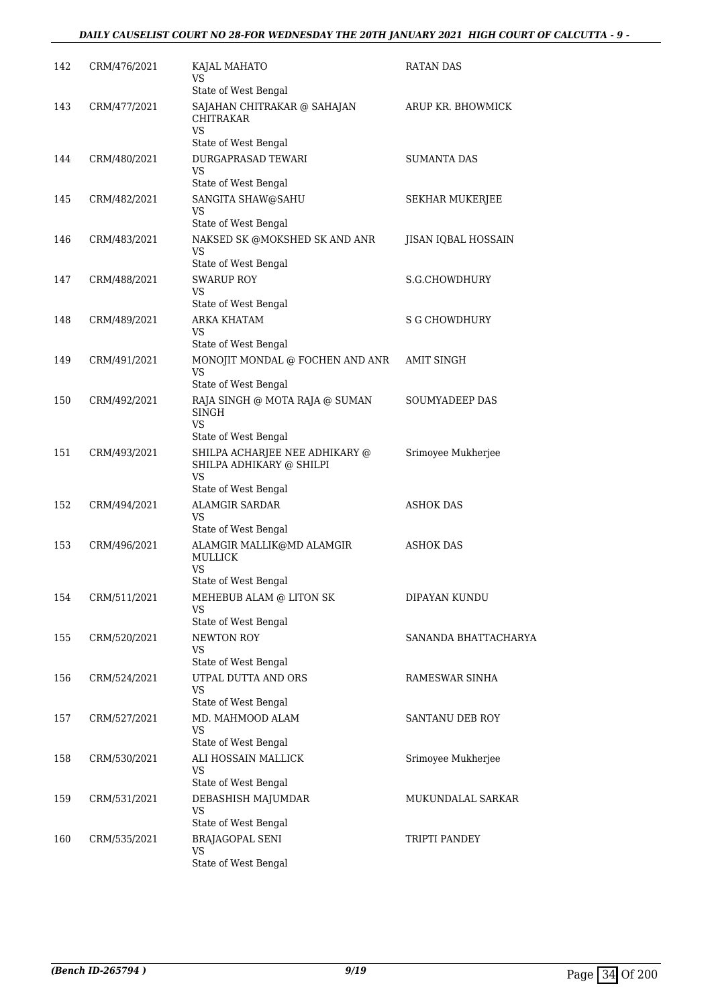| 142 | CRM/476/2021 | KAJAL MAHATO<br>VS<br>State of West Bengal                                | RATAN DAS              |
|-----|--------------|---------------------------------------------------------------------------|------------------------|
| 143 | CRM/477/2021 | SAJAHAN CHITRAKAR @ SAHAJAN<br>CHITRAKAR<br><b>VS</b>                     | ARUP KR. BHOWMICK      |
|     |              | State of West Bengal                                                      |                        |
| 144 | CRM/480/2021 | DURGAPRASAD TEWARI<br>VS                                                  | <b>SUMANTA DAS</b>     |
|     |              | State of West Bengal                                                      |                        |
| 145 | CRM/482/2021 | SANGITA SHAW@SAHU<br>VS<br>State of West Bengal                           | <b>SEKHAR MUKERJEE</b> |
| 146 | CRM/483/2021 | NAKSED SK @MOKSHED SK AND ANR                                             | JISAN IQBAL HOSSAIN    |
|     |              | VS<br>State of West Bengal                                                |                        |
| 147 | CRM/488/2021 | <b>SWARUP ROY</b>                                                         | S.G.CHOWDHURY          |
|     |              | VS                                                                        |                        |
|     |              | State of West Bengal                                                      |                        |
| 148 | CRM/489/2021 | <b>ARKA KHATAM</b><br>VS<br>State of West Bengal                          | <b>S G CHOWDHURY</b>   |
| 149 | CRM/491/2021 | MONOJIT MONDAL @ FOCHEN AND ANR                                           | <b>AMIT SINGH</b>      |
|     |              | VS                                                                        |                        |
|     |              | State of West Bengal                                                      |                        |
| 150 | CRM/492/2021 | RAJA SINGH @ MOTA RAJA @ SUMAN<br>SINGH<br><b>VS</b>                      | <b>SOUMYADEEP DAS</b>  |
|     |              | State of West Bengal                                                      |                        |
| 151 | CRM/493/2021 | SHILPA ACHARJEE NEE ADHIKARY @<br>SHILPA ADHIKARY @ SHILPI<br>VS          | Srimoyee Mukherjee     |
|     |              | State of West Bengal                                                      |                        |
| 152 | CRM/494/2021 | <b>ALAMGIR SARDAR</b><br>VS                                               | ASHOK DAS              |
|     |              | State of West Bengal                                                      |                        |
| 153 | CRM/496/2021 | ALAMGIR MALLIK@MD ALAMGIR<br><b>MULLICK</b><br>VS<br>State of West Bengal | <b>ASHOK DAS</b>       |
| 154 | CRM/511/2021 | MEHEBUB ALAM @ LITON SK                                                   | DIPAYAN KUNDU          |
|     |              | VS<br>State of West Bengal                                                |                        |
|     |              |                                                                           | SANANDA BHATTACHARYA   |
| 155 | CRM/520/2021 | NEWTON ROY<br>VS                                                          |                        |
|     |              | State of West Bengal                                                      |                        |
| 156 | CRM/524/2021 | UTPAL DUTTA AND ORS<br>VS                                                 | RAMESWAR SINHA         |
|     |              | State of West Bengal                                                      |                        |
| 157 | CRM/527/2021 | MD. MAHMOOD ALAM<br><b>VS</b><br>State of West Bengal                     | SANTANU DEB ROY        |
|     |              |                                                                           |                        |
| 158 | CRM/530/2021 | ALI HOSSAIN MALLICK<br>VS<br>State of West Bengal                         | Srimoyee Mukherjee     |
| 159 | CRM/531/2021 | DEBASHISH MAJUMDAR                                                        | MUKUNDALAL SARKAR      |
|     |              | VS                                                                        |                        |
|     |              | State of West Bengal                                                      |                        |
| 160 | CRM/535/2021 | <b>BRAJAGOPAL SENI</b><br>VS                                              | TRIPTI PANDEY          |
|     |              | State of West Bengal                                                      |                        |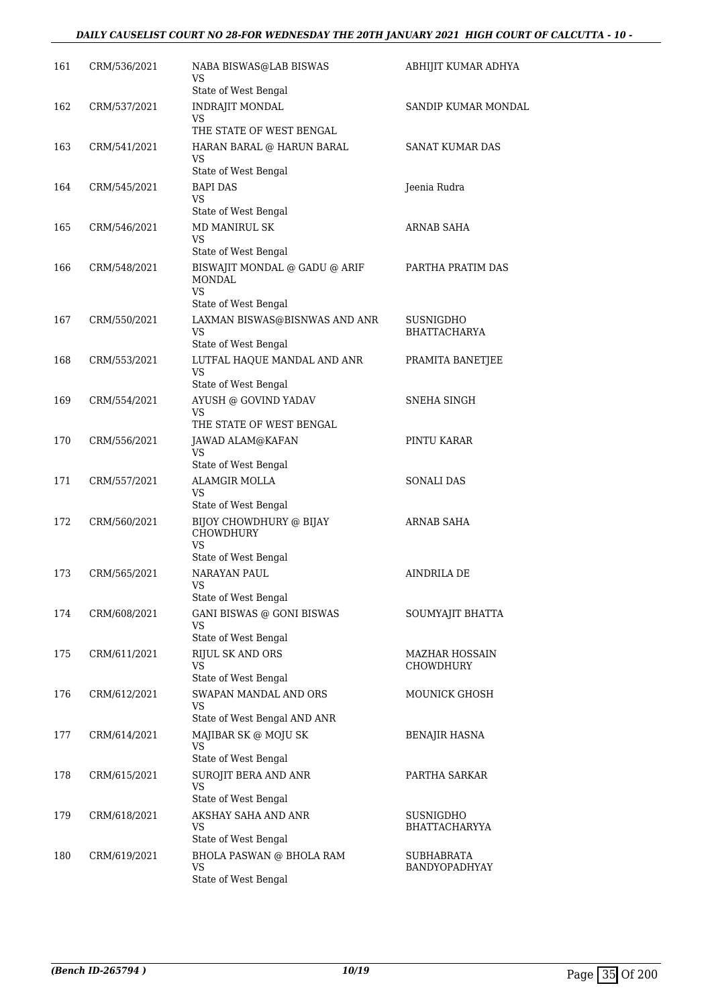### *DAILY CAUSELIST COURT NO 28-FOR WEDNESDAY THE 20TH JANUARY 2021 HIGH COURT OF CALCUTTA - 10 -*

| 161 | CRM/536/2021 | NABA BISWAS@LAB BISWAS<br>VS                                                                             | ABHIJIT KUMAR ADHYA                |
|-----|--------------|----------------------------------------------------------------------------------------------------------|------------------------------------|
| 162 | CRM/537/2021 | State of West Bengal<br>INDRAJIT MONDAL<br>VS                                                            | SANDIP KUMAR MONDAL                |
| 163 | CRM/541/2021 | THE STATE OF WEST BENGAL<br>HARAN BARAL @ HARUN BARAL<br>VS                                              | SANAT KUMAR DAS                    |
| 164 | CRM/545/2021 | State of West Bengal<br><b>BAPI DAS</b><br>VS                                                            | Jeenia Rudra                       |
| 165 | CRM/546/2021 | State of West Bengal<br><b>MD MANIRUL SK</b><br>VS                                                       | ARNAB SAHA                         |
| 166 | CRM/548/2021 | State of West Bengal<br>BISWAJIT MONDAL @ GADU @ ARIF<br>MONDAL                                          | PARTHA PRATIM DAS                  |
|     |              | VS<br>State of West Bengal                                                                               |                                    |
| 167 | CRM/550/2021 | LAXMAN BISWAS@BISNWAS AND ANR<br>VS<br>State of West Bengal                                              | SUSNIGDHO<br><b>BHATTACHARYA</b>   |
| 168 | CRM/553/2021 | LUTFAL HAQUE MANDAL AND ANR<br><b>VS</b><br>State of West Bengal                                         | PRAMITA BANETJEE                   |
| 169 | CRM/554/2021 | AYUSH @ GOVIND YADAV<br>VS<br>THE STATE OF WEST BENGAL                                                   | SNEHA SINGH                        |
| 170 | CRM/556/2021 | JAWAD ALAM@KAFAN<br>VS                                                                                   | PINTU KARAR                        |
| 171 | CRM/557/2021 | State of West Bengal<br><b>ALAMGIR MOLLA</b><br>VS                                                       | SONALI DAS                         |
| 172 | CRM/560/2021 | State of West Bengal<br>BIJOY CHOWDHURY @ BIJAY<br><b>CHOWDHURY</b><br><b>VS</b><br>State of West Bengal | ARNAB SAHA                         |
| 173 | CRM/565/2021 | NARAYAN PAUL<br>VS<br>State of West Bengal                                                               | AINDRILA DE                        |
| 174 | CRM/608/2021 | <b>GANI BISWAS @ GONI BISWAS</b><br>VS<br>State of West Bengal                                           | SOUMYAJIT BHATTA                   |
| 175 | CRM/611/2021 | RIJUL SK AND ORS<br><b>VS</b><br>State of West Bengal                                                    | MAZHAR HOSSAIN<br><b>CHOWDHURY</b> |
| 176 | CRM/612/2021 | SWAPAN MANDAL AND ORS<br>VS<br>State of West Bengal AND ANR                                              | MOUNICK GHOSH                      |
| 177 | CRM/614/2021 | MAJIBAR SK @ MOJU SK<br>VS<br>State of West Bengal                                                       | BENAJIR HASNA                      |
| 178 | CRM/615/2021 | SUROJIT BERA AND ANR<br>VS                                                                               | PARTHA SARKAR                      |
| 179 | CRM/618/2021 | State of West Bengal<br>AKSHAY SAHA AND ANR<br>VS                                                        | SUSNIGDHO<br><b>BHATTACHARYYA</b>  |
| 180 | CRM/619/2021 | State of West Bengal<br>BHOLA PASWAN @ BHOLA RAM<br>VS<br>State of West Bengal                           | <b>SUBHABRATA</b><br>BANDYOPADHYAY |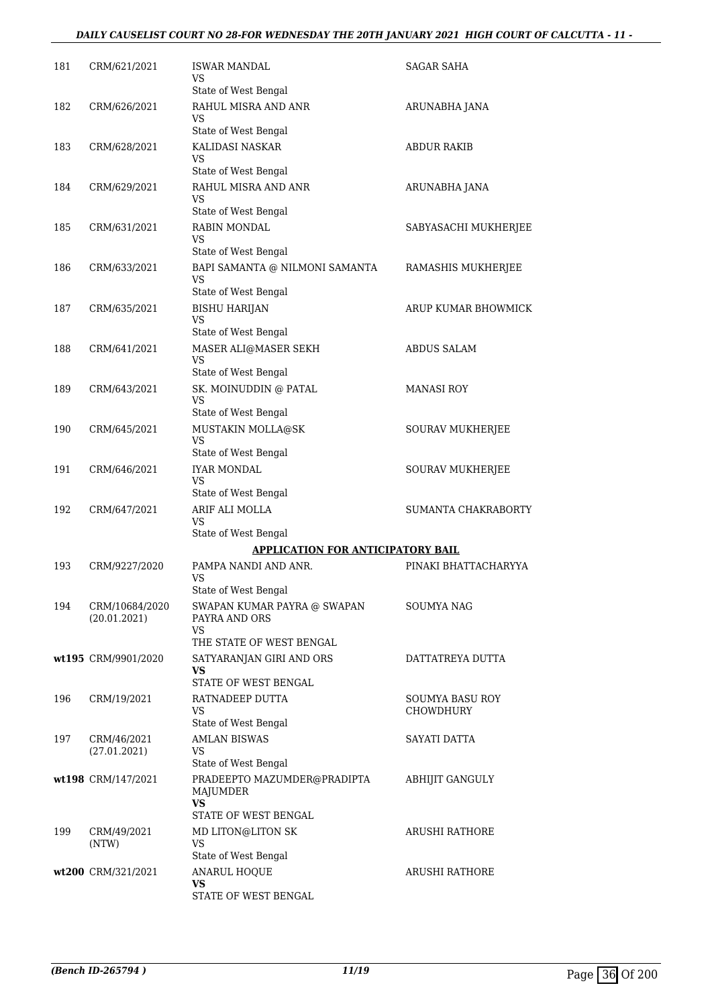### *DAILY CAUSELIST COURT NO 28-FOR WEDNESDAY THE 20TH JANUARY 2021 HIGH COURT OF CALCUTTA - 11 -*

| 181 | CRM/621/2021                   | <b>ISWAR MANDAL</b><br>VS<br>State of West Bengal                                 | <b>SAGAR SAHA</b>                   |
|-----|--------------------------------|-----------------------------------------------------------------------------------|-------------------------------------|
| 182 | CRM/626/2021                   | RAHUL MISRA AND ANR<br>VS                                                         | ARUNABHA JANA                       |
| 183 | CRM/628/2021                   | State of West Bengal<br>KALIDASI NASKAR<br>VS                                     | ABDUR RAKIB                         |
| 184 | CRM/629/2021                   | State of West Bengal<br>RAHUL MISRA AND ANR<br>VS                                 | ARUNABHA JANA                       |
| 185 | CRM/631/2021                   | State of West Bengal<br><b>RABIN MONDAL</b><br>VS                                 | SABYASACHI MUKHERJEE                |
| 186 | CRM/633/2021                   | State of West Bengal<br>BAPI SAMANTA @ NILMONI SAMANTA<br>VS                      | RAMASHIS MUKHERJEE                  |
| 187 | CRM/635/2021                   | State of West Bengal<br><b>BISHU HARIJAN</b><br><b>VS</b>                         | ARUP KUMAR BHOWMICK                 |
| 188 | CRM/641/2021                   | State of West Bengal<br>MASER ALI@MASER SEKH<br><b>VS</b><br>State of West Bengal | <b>ABDUS SALAM</b>                  |
| 189 | CRM/643/2021                   | SK. MOINUDDIN @ PATAL<br><b>VS</b><br>State of West Bengal                        | <b>MANASI ROY</b>                   |
| 190 | CRM/645/2021                   | MUSTAKIN MOLLA@SK<br>VS<br>State of West Bengal                                   | SOURAV MUKHERJEE                    |
| 191 | CRM/646/2021                   | <b>IYAR MONDAL</b><br>VS<br>State of West Bengal                                  | SOURAV MUKHERJEE                    |
| 192 | CRM/647/2021                   | ARIF ALI MOLLA<br>VS                                                              | SUMANTA CHAKRABORTY                 |
|     |                                | State of West Bengal<br><b>APPLICATION FOR ANTICIPATORY BAIL</b>                  |                                     |
| 193 | CRM/9227/2020                  | PAMPA NANDI AND ANR.<br>VS                                                        | PINAKI BHATTACHARYYA                |
| 194 | CRM/10684/2020<br>(20.01.2021) | State of West Bengal<br>SWAPAN KUMAR PAYRA @ SWAPAN<br>PAYRA AND ORS<br>VS.       | SOUMYA NAG                          |
|     | wt195 CRM/9901/2020            | THE STATE OF WEST BENGAL<br>SATYARANJAN GIRI AND ORS<br>VS                        | DATTATREYA DUTTA                    |
| 196 | CRM/19/2021                    | STATE OF WEST BENGAL<br>RATNADEEP DUTTA<br>VS<br>State of West Bengal             | SOUMYA BASU ROY<br><b>CHOWDHURY</b> |
| 197 | CRM/46/2021<br>(27.01.2021)    | <b>AMLAN BISWAS</b><br>VS<br>State of West Bengal                                 | SAYATI DATTA                        |
|     | wt198 CRM/147/2021             | PRADEEPTO MAZUMDER@PRADIPTA<br>MAJUMDER<br><b>VS</b><br>STATE OF WEST BENGAL      | ABHIJIT GANGULY                     |
| 199 | CRM/49/2021<br>(NTW)           | MD LITON@LITON SK<br>VS<br>State of West Bengal                                   | ARUSHI RATHORE                      |
|     | wt200 CRM/321/2021             | <b>ANARUL HOQUE</b><br>VS<br>STATE OF WEST BENGAL                                 | ARUSHI RATHORE                      |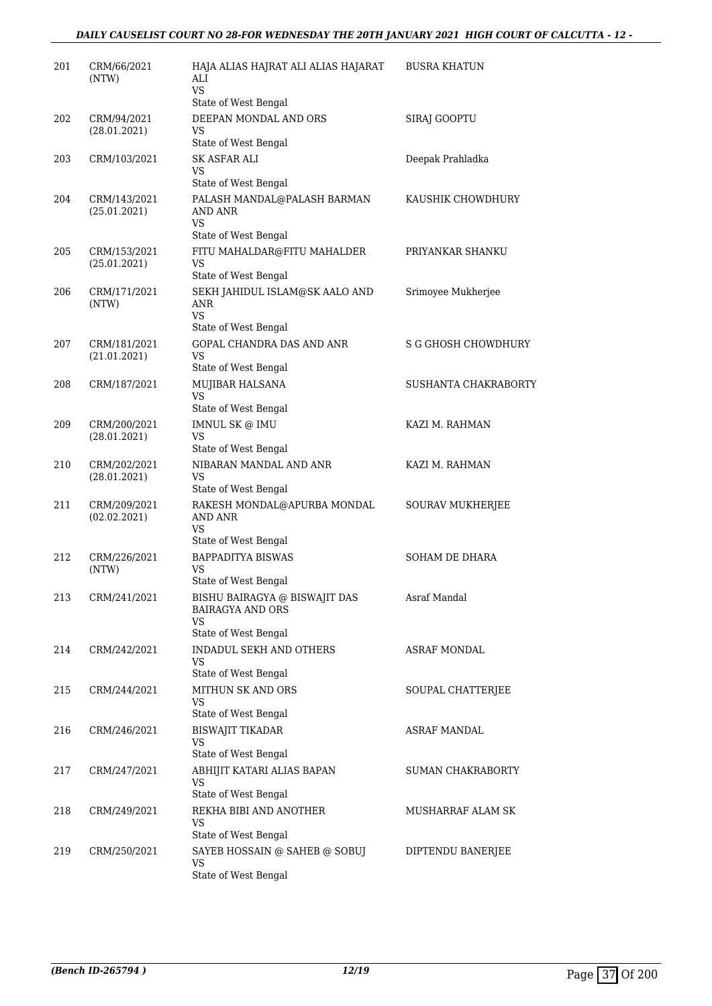### *DAILY CAUSELIST COURT NO 28-FOR WEDNESDAY THE 20TH JANUARY 2021 HIGH COURT OF CALCUTTA - 12 -*

| 201 | CRM/66/2021<br>(NTW)         | HAJA ALIAS HAJRAT ALI ALIAS HAJARAT<br>ALI<br>VS.<br>State of West Bengal              | <b>BUSRA KHATUN</b>        |
|-----|------------------------------|----------------------------------------------------------------------------------------|----------------------------|
| 202 | CRM/94/2021<br>(28.01.2021)  | DEEPAN MONDAL AND ORS<br>VS<br>State of West Bengal                                    | <b>SIRAJ GOOPTU</b>        |
| 203 | CRM/103/2021                 | SK ASFAR ALI<br>VS                                                                     | Deepak Prahladka           |
| 204 | CRM/143/2021<br>(25.01.2021) | State of West Bengal<br>PALASH MANDAL@PALASH BARMAN<br>AND ANR<br><b>VS</b>            | KAUSHIK CHOWDHURY          |
|     |                              | State of West Bengal                                                                   |                            |
| 205 | CRM/153/2021<br>(25.01.2021) | FITU MAHALDAR@FITU MAHALDER<br>VS<br>State of West Bengal                              | PRIYANKAR SHANKU           |
| 206 | CRM/171/2021<br>(NTW)        | SEKH JAHIDUL ISLAM@SK AALO AND<br>ANR<br><b>VS</b><br>State of West Bengal             | Srimoyee Mukherjee         |
| 207 | CRM/181/2021<br>(21.01.2021) | <b>GOPAL CHANDRA DAS AND ANR</b><br>VS<br>State of West Bengal                         | <b>S G GHOSH CHOWDHURY</b> |
| 208 | CRM/187/2021                 | MUJIBAR HALSANA<br><b>VS</b>                                                           | SUSHANTA CHAKRABORTY       |
|     |                              | State of West Bengal                                                                   |                            |
| 209 | CRM/200/2021<br>(28.01.2021) | IMNUL SK @ IMU<br>VS<br>State of West Bengal                                           | KAZI M. RAHMAN             |
| 210 | CRM/202/2021<br>(28.01.2021) | NIBARAN MANDAL AND ANR<br>VS<br>State of West Bengal                                   | KAZI M. RAHMAN             |
| 211 | CRM/209/2021<br>(02.02.2021) | RAKESH MONDAL@APURBA MONDAL<br>AND ANR<br>VS<br>State of West Bengal                   | SOURAV MUKHERJEE           |
| 212 | CRM/226/2021<br>(NTW)        | <b>BAPPADITYA BISWAS</b><br>VS                                                         | <b>SOHAM DE DHARA</b>      |
| 213 | CRM/241/2021                 | State of West Bengal<br>BISHU BAIRAGYA @ BISWAJIT DAS<br><b>BAIRAGYA AND ORS</b><br>VS | Asraf Mandal               |
|     |                              | State of West Bengal                                                                   |                            |
| 214 | CRM/242/2021                 | INDADUL SEKH AND OTHERS<br>VS<br>State of West Bengal                                  | ASRAF MONDAL               |
| 215 | CRM/244/2021                 | MITHUN SK AND ORS<br>VS<br>State of West Bengal                                        | SOUPAL CHATTERJEE          |
| 216 | CRM/246/2021                 | <b>BISWAJIT TIKADAR</b><br>VS                                                          | <b>ASRAF MANDAL</b>        |
| 217 | CRM/247/2021                 | State of West Bengal<br>ABHIJIT KATARI ALIAS BAPAN<br>VS                               | SUMAN CHAKRABORTY          |
| 218 | CRM/249/2021                 | State of West Bengal<br>REKHA BIBI AND ANOTHER<br>VS                                   | MUSHARRAF ALAM SK          |
| 219 | CRM/250/2021                 | State of West Bengal<br>SAYEB HOSSAIN @ SAHEB @ SOBUJ<br>VS<br>State of West Bengal    | DIPTENDU BANERJEE          |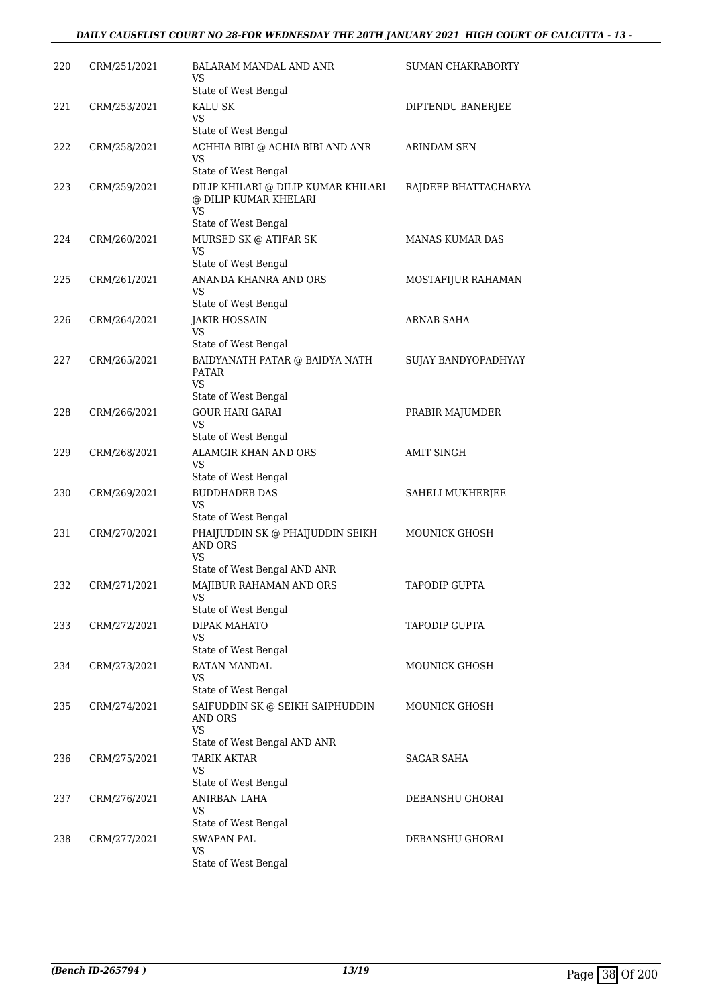### *DAILY CAUSELIST COURT NO 28-FOR WEDNESDAY THE 20TH JANUARY 2021 HIGH COURT OF CALCUTTA - 13 -*

| 220 | CRM/251/2021 | BALARAM MANDAL AND ANR<br>VS<br>State of West Bengal                                              | SUMAN CHAKRABORTY      |
|-----|--------------|---------------------------------------------------------------------------------------------------|------------------------|
| 221 | CRM/253/2021 | KALU SK<br>VS                                                                                     | DIPTENDU BANERJEE      |
| 222 | CRM/258/2021 | State of West Bengal<br>ACHHIA BIBI @ ACHIA BIBI AND ANR<br>VS.                                   | ARINDAM SEN            |
| 223 | CRM/259/2021 | State of West Bengal<br>DILIP KHILARI @ DILIP KUMAR KHILARI<br>@ DILIP KUMAR KHELARI<br><b>VS</b> | RAJDEEP BHATTACHARYA   |
| 224 | CRM/260/2021 | State of West Bengal<br>MURSED SK @ ATIFAR SK<br>VS                                               | <b>MANAS KUMAR DAS</b> |
| 225 | CRM/261/2021 | State of West Bengal<br>ANANDA KHANRA AND ORS                                                     | MOSTAFIJUR RAHAMAN     |
| 226 |              | VS.<br>State of West Bengal                                                                       |                        |
|     | CRM/264/2021 | <b>JAKIR HOSSAIN</b><br>VS<br>State of West Bengal                                                | <b>ARNAB SAHA</b>      |
| 227 | CRM/265/2021 | BAIDYANATH PATAR @ BAIDYA NATH<br><b>PATAR</b><br>VS<br>State of West Bengal                      | SUJAY BANDYOPADHYAY    |
| 228 | CRM/266/2021 | <b>GOUR HARI GARAI</b><br>VS                                                                      | PRABIR MAJUMDER        |
| 229 | CRM/268/2021 | State of West Bengal<br>ALAMGIR KHAN AND ORS<br>VS                                                | <b>AMIT SINGH</b>      |
| 230 | CRM/269/2021 | State of West Bengal<br><b>BUDDHADEB DAS</b><br>VS                                                | SAHELI MUKHERJEE       |
| 231 | CRM/270/2021 | State of West Bengal<br>PHAIJUDDIN SK @ PHAIJUDDIN SEIKH<br><b>AND ORS</b><br><b>VS</b>           | <b>MOUNICK GHOSH</b>   |
| 232 | CRM/271/2021 | State of West Bengal AND ANR<br>MAJIBUR RAHAMAN AND ORS<br>VS                                     | TAPODIP GUPTA          |
| 233 | CRM/272/2021 | State of West Bengal<br>DIPAK MAHATO<br>VS                                                        | TAPODIP GUPTA          |
| 234 | CRM/273/2021 | State of West Bengal<br>RATAN MANDAL<br>VS                                                        | MOUNICK GHOSH          |
| 235 | CRM/274/2021 | State of West Bengal<br>SAIFUDDIN SK @ SEIKH SAIPHUDDIN<br><b>AND ORS</b><br>VS                   | MOUNICK GHOSH          |
| 236 | CRM/275/2021 | State of West Bengal AND ANR<br><b>TARIK AKTAR</b><br>VS<br>State of West Bengal                  | SAGAR SAHA             |
| 237 | CRM/276/2021 | ANIRBAN LAHA<br>VS<br>State of West Bengal                                                        | DEBANSHU GHORAI        |
| 238 | CRM/277/2021 | <b>SWAPAN PAL</b><br>VS<br>State of West Bengal                                                   | DEBANSHU GHORAI        |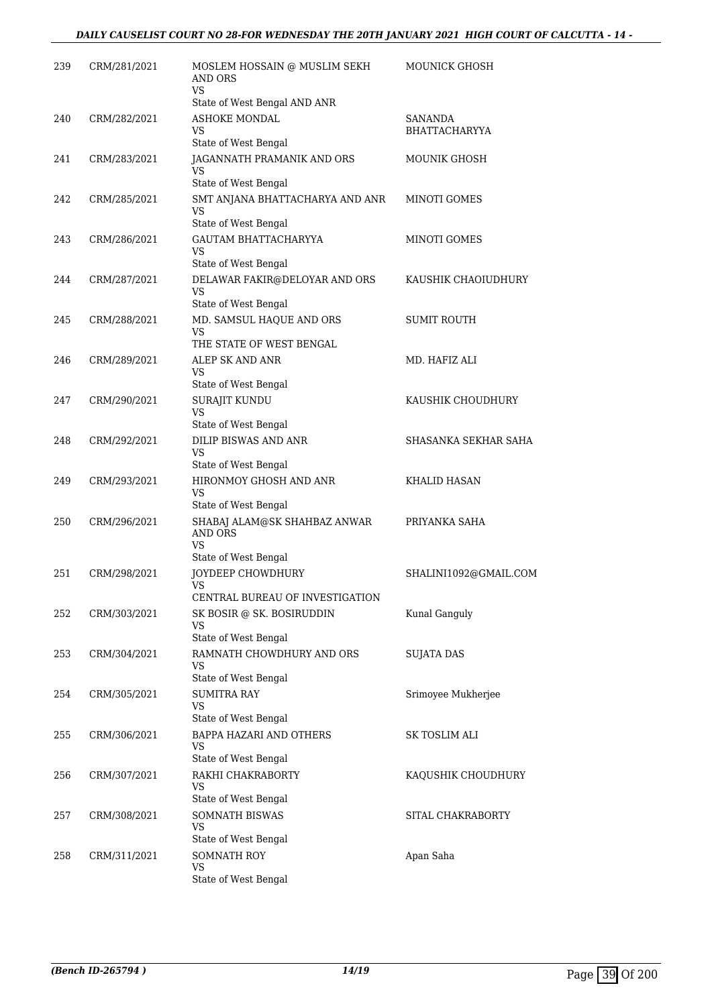| 239 | CRM/281/2021 | MOSLEM HOSSAIN @ MUSLIM SEKH<br><b>AND ORS</b><br>VS.                        | <b>MOUNICK GHOSH</b>  |
|-----|--------------|------------------------------------------------------------------------------|-----------------------|
| 240 | CRM/282/2021 | State of West Bengal AND ANR<br><b>ASHOKE MONDAL</b>                         | <b>SANANDA</b>        |
|     |              | VS                                                                           | <b>BHATTACHARYYA</b>  |
| 241 | CRM/283/2021 | State of West Bengal<br>JAGANNATH PRAMANIK AND ORS<br>VS                     | MOUNIK GHOSH          |
|     |              | State of West Bengal                                                         |                       |
| 242 | CRM/285/2021 | SMT ANJANA BHATTACHARYA AND ANR<br>VS<br>State of West Bengal                | MINOTI GOMES          |
| 243 | CRM/286/2021 | GAUTAM BHATTACHARYYA<br><b>VS</b><br>State of West Bengal                    | MINOTI GOMES          |
| 244 | CRM/287/2021 | DELAWAR FAKIR@DELOYAR AND ORS<br><b>VS</b>                                   | KAUSHIK CHAOIUDHURY   |
| 245 | CRM/288/2021 | State of West Bengal<br>MD. SAMSUL HAQUE AND ORS<br><b>VS</b>                | <b>SUMIT ROUTH</b>    |
|     |              | THE STATE OF WEST BENGAL                                                     |                       |
| 246 | CRM/289/2021 | ALEP SK AND ANR<br>VS                                                        | MD. HAFIZ ALI         |
|     |              | State of West Bengal                                                         |                       |
| 247 | CRM/290/2021 | SURAJIT KUNDU<br>VS                                                          | KAUSHIK CHOUDHURY     |
|     |              | State of West Bengal                                                         |                       |
| 248 | CRM/292/2021 | DILIP BISWAS AND ANR<br><b>VS</b><br>State of West Bengal                    | SHASANKA SEKHAR SAHA  |
| 249 | CRM/293/2021 | HIRONMOY GHOSH AND ANR<br>VS<br>State of West Bengal                         | <b>KHALID HASAN</b>   |
| 250 | CRM/296/2021 | SHABAJ ALAM@SK SHAHBAZ ANWAR<br>AND ORS<br><b>VS</b><br>State of West Bengal | PRIYANKA SAHA         |
| 251 | CRM/298/2021 | JOYDEEP CHOWDHURY<br><b>VS</b><br>CENTRAL BUREAU OF INVESTIGATION            | SHALINI1092@GMAIL.COM |
| 252 | CRM/303/2021 | SK BOSIR @ SK. BOSIRUDDIN<br>VS                                              | Kunal Ganguly         |
|     |              | State of West Bengal                                                         |                       |
| 253 | CRM/304/2021 | RAMNATH CHOWDHURY AND ORS<br>VS<br>State of West Bengal                      | <b>SUJATA DAS</b>     |
| 254 | CRM/305/2021 | <b>SUMITRA RAY</b><br>VS                                                     | Srimoyee Mukherjee    |
|     |              | State of West Bengal                                                         |                       |
| 255 | CRM/306/2021 | BAPPA HAZARI AND OTHERS<br>VS<br>State of West Bengal                        | SK TOSLIM ALI         |
| 256 | CRM/307/2021 | RAKHI CHAKRABORTY<br>VS                                                      | KAQUSHIK CHOUDHURY    |
|     |              | State of West Bengal                                                         |                       |
| 257 | CRM/308/2021 | SOMNATH BISWAS<br><b>VS</b><br>State of West Bengal                          | SITAL CHAKRABORTY     |
| 258 | CRM/311/2021 | <b>SOMNATH ROY</b>                                                           | Apan Saha             |
|     |              | VS<br>State of West Bengal                                                   |                       |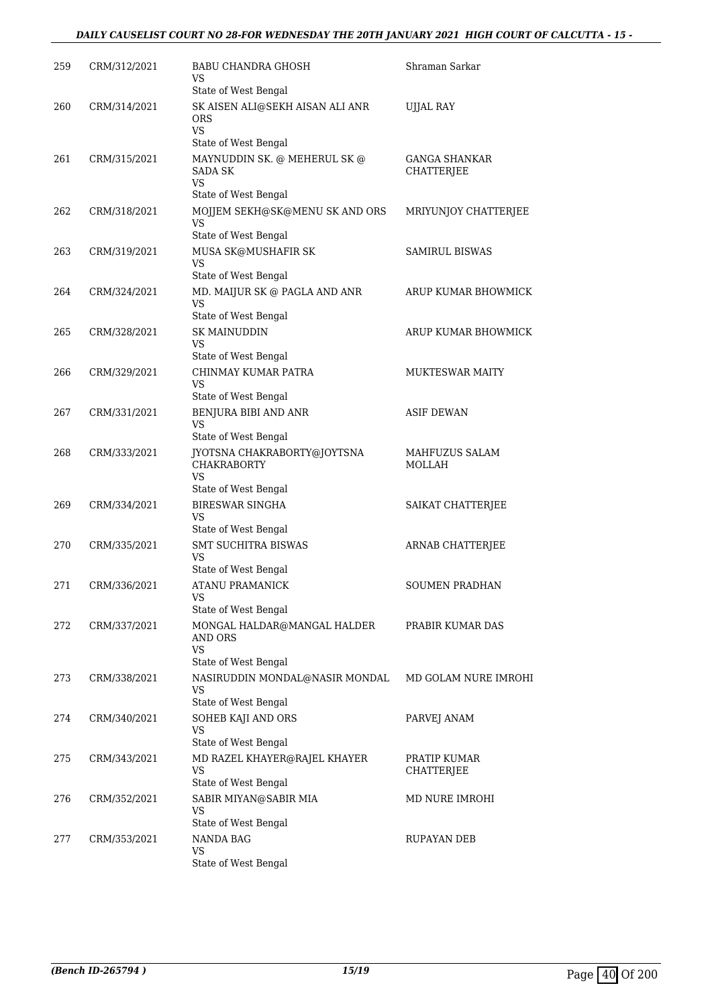### *DAILY CAUSELIST COURT NO 28-FOR WEDNESDAY THE 20TH JANUARY 2021 HIGH COURT OF CALCUTTA - 15 -*

| 259 | CRM/312/2021 | BABU CHANDRA GHOSH<br>VS                                     | Shraman Sarkar                     |
|-----|--------------|--------------------------------------------------------------|------------------------------------|
|     |              | State of West Bengal                                         |                                    |
| 260 | CRM/314/2021 | SK AISEN ALI@SEKH AISAN ALI ANR<br><b>ORS</b><br><b>VS</b>   | <b>UJJAL RAY</b>                   |
|     |              | State of West Bengal                                         |                                    |
| 261 | CRM/315/2021 | MAYNUDDIN SK. @ MEHERUL SK @<br>SADA SK<br>VS                | <b>GANGA SHANKAR</b><br>CHATTERJEE |
|     |              | State of West Bengal                                         |                                    |
| 262 | CRM/318/2021 | MOJJEM SEKH@SK@MENU SK AND ORS<br>VS<br>State of West Bengal | MRIYUNJOY CHATTERJEE               |
| 263 | CRM/319/2021 | MUSA SK@MUSHAFIR SK                                          | <b>SAMIRUL BISWAS</b>              |
|     |              | VS<br>State of West Bengal                                   |                                    |
| 264 | CRM/324/2021 | MD. MAIJUR SK @ PAGLA AND ANR<br>VS                          | ARUP KUMAR BHOWMICK                |
|     |              | State of West Bengal                                         |                                    |
| 265 | CRM/328/2021 | <b>SK MAINUDDIN</b><br>VS<br>State of West Bengal            | ARUP KUMAR BHOWMICK                |
| 266 | CRM/329/2021 | CHINMAY KUMAR PATRA                                          | <b>MUKTESWAR MAITY</b>             |
|     |              | VS<br>State of West Bengal                                   |                                    |
| 267 | CRM/331/2021 | BENJURA BIBI AND ANR                                         | <b>ASIF DEWAN</b>                  |
|     |              | VS                                                           |                                    |
|     |              | State of West Bengal                                         |                                    |
| 268 | CRM/333/2021 | JYOTSNA CHAKRABORTY@JOYTSNA<br><b>CHAKRABORTY</b><br>VS      | MAHFUZUS SALAM<br><b>MOLLAH</b>    |
|     |              | State of West Bengal                                         |                                    |
| 269 | CRM/334/2021 | <b>BIRESWAR SINGHA</b><br>VS                                 | SAIKAT CHATTERJEE                  |
|     |              | State of West Bengal                                         |                                    |
| 270 | CRM/335/2021 | <b>SMT SUCHITRA BISWAS</b><br>VS<br>State of West Bengal     | ARNAB CHATTERJEE                   |
| 271 | CRM/336/2021 | <b>ATANU PRAMANICK</b>                                       | SOUMEN PRADHAN                     |
|     |              | VS                                                           |                                    |
|     |              | State of West Bengal                                         |                                    |
| 272 | CRM/337/2021 | MONGAL HALDAR@MANGAL HALDER<br><b>AND ORS</b><br><b>VS</b>   | PRABIR KUMAR DAS                   |
|     |              | State of West Bengal                                         |                                    |
| 273 | CRM/338/2021 | NASIRUDDIN MONDAL@NASIR MONDAL<br>VS                         | MD GOLAM NURE IMROHI               |
|     |              | State of West Bengal                                         |                                    |
| 274 | CRM/340/2021 | SOHEB KAJI AND ORS<br><b>VS</b><br>State of West Bengal      | PARVEJ ANAM                        |
| 275 | CRM/343/2021 | MD RAZEL KHAYER@RAJEL KHAYER                                 | PRATIP KUMAR                       |
|     |              | VS<br>State of West Bengal                                   | CHATTERJEE                         |
| 276 | CRM/352/2021 | SABIR MIYAN@SABIR MIA                                        | MD NURE IMROHI                     |
|     |              | VS<br>State of West Bengal                                   |                                    |
|     |              |                                                              |                                    |
| 277 | CRM/353/2021 | <b>NANDA BAG</b><br>VS<br>State of West Bengal               | <b>RUPAYAN DEB</b>                 |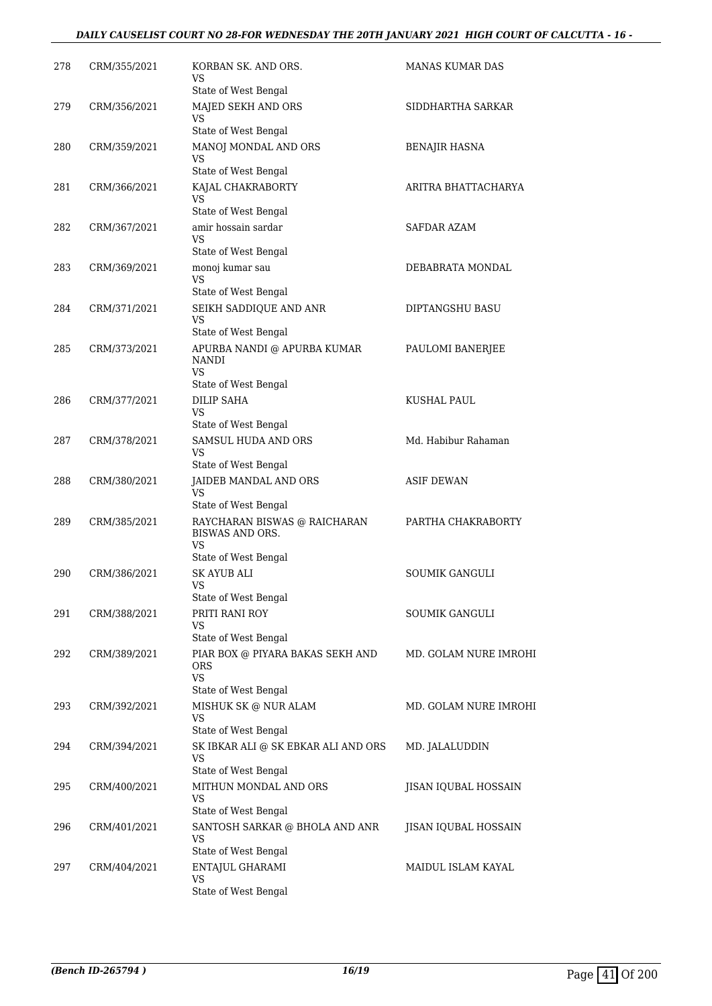### *DAILY CAUSELIST COURT NO 28-FOR WEDNESDAY THE 20TH JANUARY 2021 HIGH COURT OF CALCUTTA - 16 -*

| 278 | CRM/355/2021 | KORBAN SK. AND ORS.<br>VS                                         | MANAS KUMAR DAS       |
|-----|--------------|-------------------------------------------------------------------|-----------------------|
| 279 | CRM/356/2021 | State of West Bengal<br>MAJED SEKH AND ORS                        | SIDDHARTHA SARKAR     |
|     |              | VS<br>State of West Bengal                                        |                       |
| 280 | CRM/359/2021 | MANOJ MONDAL AND ORS<br>VS                                        | BENAJIR HASNA         |
|     |              | State of West Bengal                                              |                       |
| 281 | CRM/366/2021 | KAJAL CHAKRABORTY<br><b>VS</b><br>State of West Bengal            | ARITRA BHATTACHARYA   |
| 282 | CRM/367/2021 | amir hossain sardar                                               | SAFDAR AZAM           |
|     |              | VS<br>State of West Bengal                                        |                       |
| 283 | CRM/369/2021 | monoj kumar sau                                                   | DEBABRATA MONDAL      |
|     |              | <b>VS</b><br>State of West Bengal                                 |                       |
| 284 | CRM/371/2021 | SEIKH SADDIQUE AND ANR<br>VS                                      | DIPTANGSHU BASU       |
|     |              | State of West Bengal                                              |                       |
| 285 | CRM/373/2021 | APURBA NANDI @ APURBA KUMAR<br><b>NANDI</b><br>VS                 | PAULOMI BANERJEE      |
|     |              | State of West Bengal                                              |                       |
| 286 | CRM/377/2021 | <b>DILIP SAHA</b><br>VS<br>State of West Bengal                   | KUSHAL PAUL           |
| 287 | CRM/378/2021 | SAMSUL HUDA AND ORS                                               | Md. Habibur Rahaman   |
|     |              | VS<br>State of West Bengal                                        |                       |
| 288 | CRM/380/2021 | JAIDEB MANDAL AND ORS                                             | <b>ASIF DEWAN</b>     |
|     |              | VS<br>State of West Bengal                                        |                       |
| 289 | CRM/385/2021 | RAYCHARAN BISWAS @ RAICHARAN<br><b>BISWAS AND ORS.</b>            | PARTHA CHAKRABORTY    |
|     |              | VS<br>State of West Bengal                                        |                       |
| 290 | CRM/386/2021 | <b>SK AYUB ALI</b>                                                | <b>SOUMIK GANGULI</b> |
|     |              | VS<br>State of West Bengal                                        |                       |
| 291 | CRM/388/2021 | PRITI RANI ROY                                                    | SOUMIK GANGULI        |
|     |              | VS<br>State of West Bengal                                        |                       |
| 292 | CRM/389/2021 | PIAR BOX @ PIYARA BAKAS SEKH AND                                  | MD. GOLAM NURE IMROHI |
|     |              | <b>ORS</b><br><b>VS</b>                                           |                       |
|     |              | State of West Bengal                                              |                       |
| 293 | CRM/392/2021 | MISHUK SK @ NUR ALAM<br><b>VS</b>                                 | MD. GOLAM NURE IMROHI |
|     |              | State of West Bengal                                              |                       |
| 294 | CRM/394/2021 | SK IBKAR ALI @ SK EBKAR ALI AND ORS<br>VS<br>State of West Bengal | MD. JALALUDDIN        |
| 295 | CRM/400/2021 | MITHUN MONDAL AND ORS                                             | JISAN IQUBAL HOSSAIN  |
|     |              | VS<br>State of West Bengal                                        |                       |
| 296 | CRM/401/2021 | SANTOSH SARKAR @ BHOLA AND ANR                                    | JISAN IQUBAL HOSSAIN  |
|     |              | VS<br>State of West Bengal                                        |                       |
| 297 | CRM/404/2021 | ENTAJUL GHARAMI                                                   | MAIDUL ISLAM KAYAL    |
|     |              | VS<br>State of West Bengal                                        |                       |
|     |              |                                                                   |                       |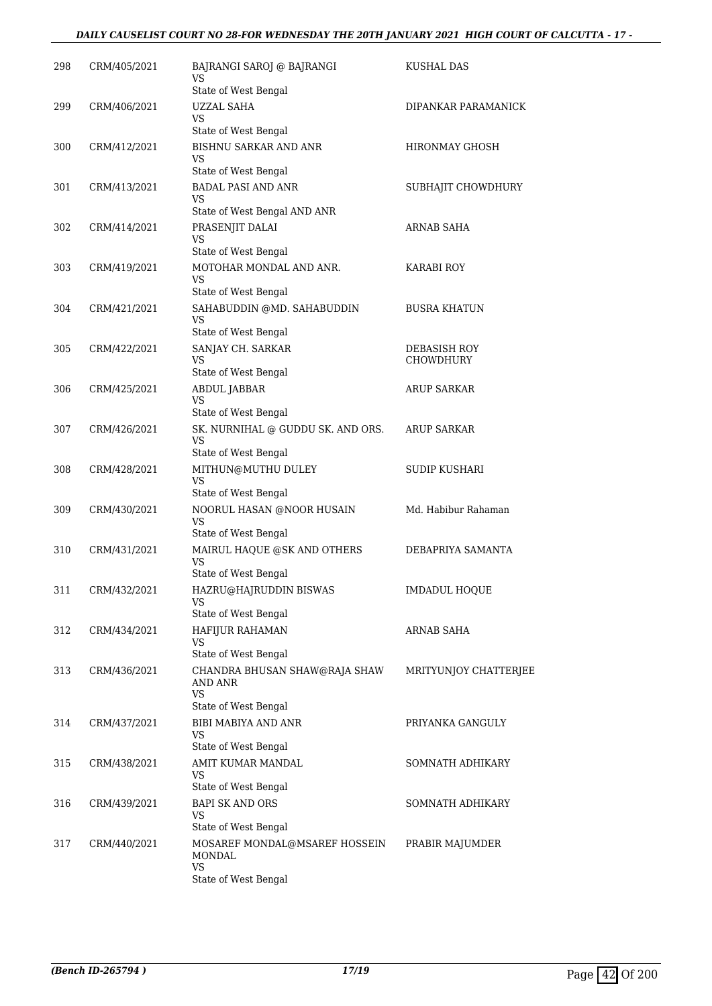### *DAILY CAUSELIST COURT NO 28-FOR WEDNESDAY THE 20TH JANUARY 2021 HIGH COURT OF CALCUTTA - 17 -*

| 298 | CRM/405/2021 | BAJRANGI SAROJ @ BAJRANGI<br>VS                                        | KUSHAL DAS                |
|-----|--------------|------------------------------------------------------------------------|---------------------------|
| 299 | CRM/406/2021 | State of West Bengal<br><b>UZZAL SAHA</b>                              | DIPANKAR PARAMANICK       |
|     |              | VS<br>State of West Bengal                                             |                           |
| 300 | CRM/412/2021 | BISHNU SARKAR AND ANR<br>VS                                            | HIRONMAY GHOSH            |
|     |              | State of West Bengal                                                   |                           |
| 301 | CRM/413/2021 | <b>BADAL PASI AND ANR</b><br>VS<br>State of West Bengal AND ANR        | SUBHAJIT CHOWDHURY        |
| 302 | CRM/414/2021 | PRASENJIT DALAI<br>VS                                                  | <b>ARNAB SAHA</b>         |
|     |              | State of West Bengal                                                   |                           |
| 303 | CRM/419/2021 | MOTOHAR MONDAL AND ANR.<br>VS<br>State of West Bengal                  | KARABI ROY                |
| 304 | CRM/421/2021 | SAHABUDDIN @MD. SAHABUDDIN<br>VS<br>State of West Bengal               | <b>BUSRA KHATUN</b>       |
| 305 | CRM/422/2021 | SANJAY CH. SARKAR<br>VS                                                | DEBASISH ROY<br>CHOWDHURY |
|     |              | State of West Bengal                                                   |                           |
| 306 | CRM/425/2021 | ABDUL JABBAR<br><b>VS</b><br>State of West Bengal                      | <b>ARUP SARKAR</b>        |
| 307 | CRM/426/2021 | SK. NURNIHAL @ GUDDU SK. AND ORS.<br><b>VS</b><br>State of West Bengal | <b>ARUP SARKAR</b>        |
| 308 | CRM/428/2021 | MITHUN@MUTHU DULEY<br>VS                                               | <b>SUDIP KUSHARI</b>      |
|     |              | State of West Bengal                                                   |                           |
| 309 | CRM/430/2021 | NOORUL HASAN @NOOR HUSAIN<br>VS<br>State of West Bengal                | Md. Habibur Rahaman       |
| 310 | CRM/431/2021 | MAIRUL HAQUE @SK AND OTHERS<br>VS                                      | DEBAPRIYA SAMANTA         |
|     |              | State of West Bengal                                                   |                           |
| 311 | CRM/432/2021 | HAZRU@HAJRUDDIN BISWAS<br>VS<br>State of West Bengal                   | <b>IMDADUL HOQUE</b>      |
| 312 | CRM/434/2021 | HAFIJUR RAHAMAN<br>VS                                                  | ARNAB SAHA                |
|     |              | State of West Bengal                                                   |                           |
| 313 | CRM/436/2021 | CHANDRA BHUSAN SHAW@RAJA SHAW<br>AND ANR<br><b>VS</b>                  | MRITYUNJOY CHATTERJEE     |
|     |              | State of West Bengal                                                   |                           |
| 314 | CRM/437/2021 | <b>BIBI MABIYA AND ANR</b><br>VS<br>State of West Bengal               | PRIYANKA GANGULY          |
| 315 | CRM/438/2021 | AMIT KUMAR MANDAL                                                      | SOMNATH ADHIKARY          |
|     |              | VS<br>State of West Bengal                                             |                           |
| 316 | CRM/439/2021 | <b>BAPI SK AND ORS</b><br>VS                                           | SOMNATH ADHIKARY          |
|     |              | State of West Bengal                                                   |                           |
| 317 | CRM/440/2021 | MOSAREF MONDAL@MSAREF HOSSEIN<br>MONDAL<br>VS.                         | PRABIR MAJUMDER           |
|     |              | State of West Bengal                                                   |                           |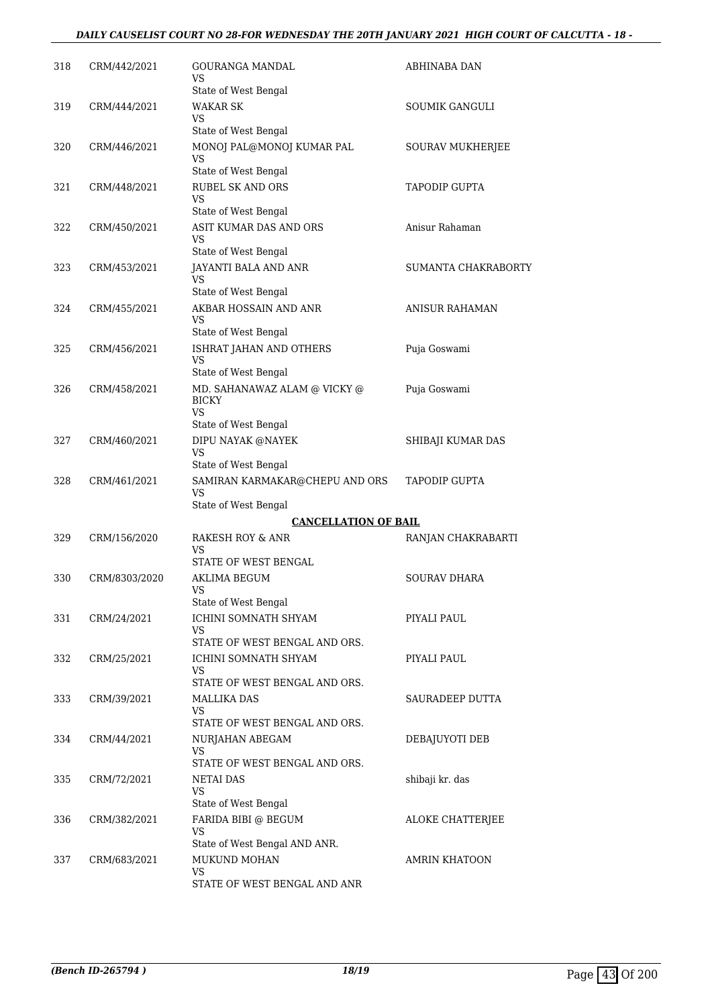### *DAILY CAUSELIST COURT NO 28-FOR WEDNESDAY THE 20TH JANUARY 2021 HIGH COURT OF CALCUTTA - 18 -*

| 318 | CRM/442/2021  | GOURANGA MANDAL<br>VS                                       | ABHINABA DAN          |
|-----|---------------|-------------------------------------------------------------|-----------------------|
| 319 | CRM/444/2021  | State of West Bengal<br><b>WAKAR SK</b><br>VS               | SOUMIK GANGULI        |
|     |               | State of West Bengal                                        |                       |
| 320 | CRM/446/2021  | MONOJ PAL@MONOJ KUMAR PAL<br>VS                             | SOURAV MUKHERJEE      |
|     |               | State of West Bengal                                        |                       |
| 321 | CRM/448/2021  | RUBEL SK AND ORS<br>VS<br>State of West Bengal              | <b>TAPODIP GUPTA</b>  |
| 322 | CRM/450/2021  | ASIT KUMAR DAS AND ORS<br>VS                                | Anisur Rahaman        |
|     |               | State of West Bengal                                        |                       |
| 323 | CRM/453/2021  | JAYANTI BALA AND ANR<br>VS                                  | SUMANTA CHAKRABORTY   |
|     |               | State of West Bengal                                        |                       |
| 324 | CRM/455/2021  | AKBAR HOSSAIN AND ANR<br>VS<br>State of West Bengal         | <b>ANISUR RAHAMAN</b> |
| 325 | CRM/456/2021  | ISHRAT JAHAN AND OTHERS                                     | Puja Goswami          |
|     |               | VS<br>State of West Bengal                                  |                       |
| 326 | CRM/458/2021  | MD. SAHANAWAZ ALAM $\circledcirc$ VICKY $\circledcirc$      | Puja Goswami          |
|     |               | <b>BICKY</b><br>VS                                          |                       |
|     |               | State of West Bengal                                        |                       |
| 327 | CRM/460/2021  | DIPU NAYAK @NAYEK<br>VS                                     | SHIBAJI KUMAR DAS     |
| 328 | CRM/461/2021  | State of West Bengal<br>SAMIRAN KARMAKAR@CHEPU AND ORS      | TAPODIP GUPTA         |
|     |               | VS<br>State of West Bengal                                  |                       |
|     |               | <b>CANCELLATION OF BAIL</b>                                 |                       |
| 329 | CRM/156/2020  | RAKESH ROY & ANR<br>VS                                      | RANJAN CHAKRABARTI    |
|     |               | STATE OF WEST BENGAL                                        |                       |
| 330 | CRM/8303/2020 | AKLIMA BEGUM<br>vs<br>State of West Bengal                  | <b>SOURAV DHARA</b>   |
| 331 | CRM/24/2021   | ICHINI SOMNATH SHYAM                                        | PIYALI PAUL           |
|     |               | VS                                                          |                       |
|     |               | STATE OF WEST BENGAL AND ORS.                               | PIYALI PAUL           |
| 332 | CRM/25/2021   | ICHINI SOMNATH SHYAM<br>VS<br>STATE OF WEST BENGAL AND ORS. |                       |
| 333 | CRM/39/2021   | MALLIKA DAS                                                 | SAURADEEP DUTTA       |
|     |               | VS<br>STATE OF WEST BENGAL AND ORS.                         |                       |
| 334 | CRM/44/2021   | NURJAHAN ABEGAM                                             | DEBAJUYOTI DEB        |
|     |               | VS<br>STATE OF WEST BENGAL AND ORS.                         |                       |
|     | CRM/72/2021   | <b>NETAI DAS</b>                                            |                       |
| 335 |               | <b>VS</b>                                                   | shibaji kr. das       |
| 336 | CRM/382/2021  | State of West Bengal<br>FARIDA BIBI @ BEGUM                 | ALOKE CHATTERJEE      |
|     |               | VS<br>State of West Bengal AND ANR.                         |                       |
| 337 | CRM/683/2021  | MUKUND MOHAN                                                | AMRIN KHATOON         |
|     |               | <b>VS</b><br>STATE OF WEST BENGAL AND ANR                   |                       |
|     |               |                                                             |                       |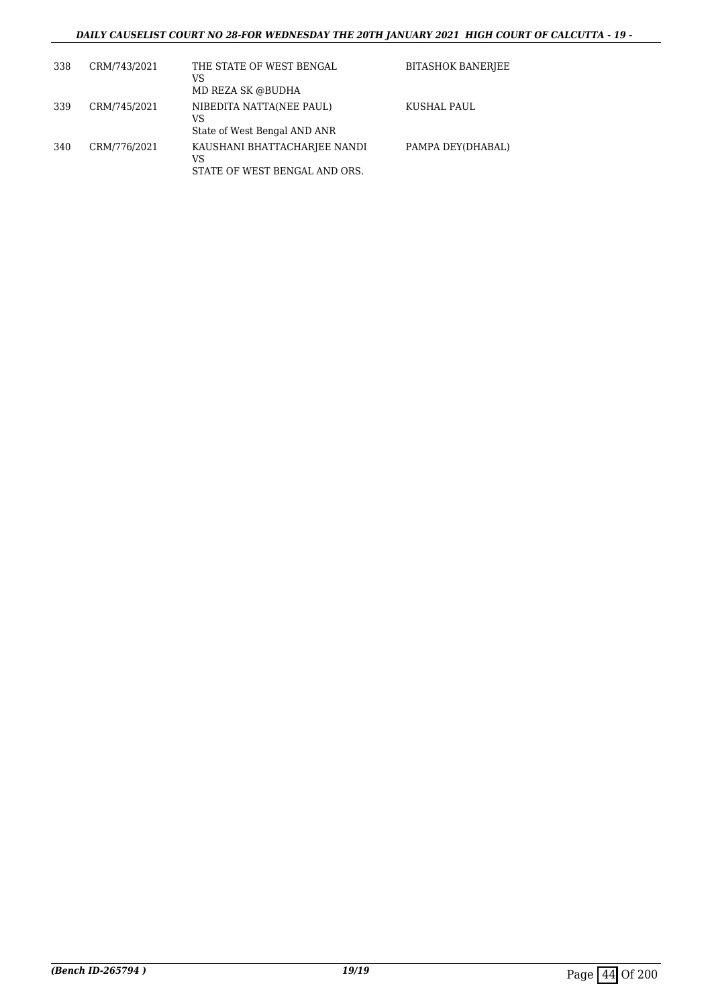### *DAILY CAUSELIST COURT NO 28-FOR WEDNESDAY THE 20TH JANUARY 2021 HIGH COURT OF CALCUTTA - 19 -*

| 338 | CRM/743/2021 | THE STATE OF WEST BENGAL<br>VS<br>MD REZA SK @BUDHA                 | <b>BITASHOK BANERJEE</b> |
|-----|--------------|---------------------------------------------------------------------|--------------------------|
| 339 | CRM/745/2021 | NIBEDITA NATTA(NEE PAUL)<br>VS<br>State of West Bengal AND ANR      | KUSHAL PAUL              |
| 340 | CRM/776/2021 | KAUSHANI BHATTACHARJEE NANDI<br>VS<br>STATE OF WEST BENGAL AND ORS. | PAMPA DEY(DHABAL)        |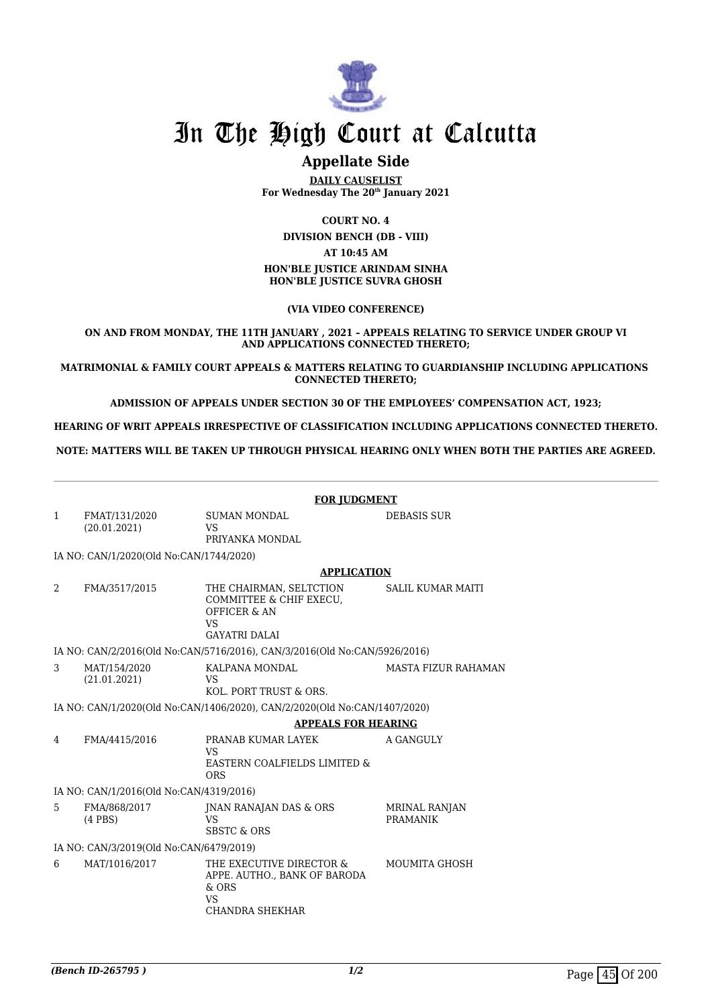

### **Appellate Side**

**DAILY CAUSELIST For Wednesday The 20th January 2021**

**COURT NO. 4**

**DIVISION BENCH (DB - VIII) AT 10:45 AM HON'BLE JUSTICE ARINDAM SINHA**

**HON'BLE JUSTICE SUVRA GHOSH**

**(VIA VIDEO CONFERENCE)**

**ON AND FROM MONDAY, THE 11TH JANUARY , 2021 – APPEALS RELATING TO SERVICE UNDER GROUP VI AND APPLICATIONS CONNECTED THERETO;**

**MATRIMONIAL & FAMILY COURT APPEALS & MATTERS RELATING TO GUARDIANSHIP INCLUDING APPLICATIONS CONNECTED THERETO;**

**ADMISSION OF APPEALS UNDER SECTION 30 OF THE EMPLOYEES' COMPENSATION ACT, 1923;**

**HEARING OF WRIT APPEALS IRRESPECTIVE OF CLASSIFICATION INCLUDING APPLICATIONS CONNECTED THERETO.**

**NOTE: MATTERS WILL BE TAKEN UP THROUGH PHYSICAL HEARING ONLY WHEN BOTH THE PARTIES ARE AGREED.**

|    | <b>FOR JUDGMENT</b>                     |                                                                                                                    |                                         |  |  |
|----|-----------------------------------------|--------------------------------------------------------------------------------------------------------------------|-----------------------------------------|--|--|
| 1  | FMAT/131/2020<br>(20.01.2021)           | <b>SUMAN MONDAL</b><br>VS<br>PRIYANKA MONDAL                                                                       | <b>DEBASIS SUR</b>                      |  |  |
|    | IA NO: CAN/1/2020(Old No:CAN/1744/2020) |                                                                                                                    |                                         |  |  |
|    |                                         | <b>APPLICATION</b>                                                                                                 |                                         |  |  |
| 2  | FMA/3517/2015                           | THE CHAIRMAN, SELTCTION<br>COMMITTEE & CHIF EXECU,<br><b>OFFICER &amp; AN</b><br><b>VS</b><br><b>GAYATRI DALAI</b> | <b>SALIL KUMAR MAITI</b>                |  |  |
|    |                                         | IA NO: CAN/2/2016(Old No:CAN/5716/2016), CAN/3/2016(Old No:CAN/5926/2016)                                          |                                         |  |  |
| 3  | MAT/154/2020<br>(21.01.2021)            | KALPANA MONDAL<br><b>VS</b><br>KOL. PORT TRUST & ORS.                                                              | <b>MASTA FIZUR RAHAMAN</b>              |  |  |
|    |                                         | IA NO: CAN/1/2020(Old No:CAN/1406/2020), CAN/2/2020(Old No:CAN/1407/2020)                                          |                                         |  |  |
|    |                                         | <b>APPEALS FOR HEARING</b>                                                                                         |                                         |  |  |
| 4  | FMA/4415/2016                           | PRANAB KUMAR LAYEK<br><b>VS</b><br>EASTERN COALFIELDS LIMITED &<br><b>ORS</b>                                      | A GANGULY                               |  |  |
|    | IA NO: CAN/1/2016(Old No:CAN/4319/2016) |                                                                                                                    |                                         |  |  |
| 5. | FMA/868/2017<br>$(4$ PBS $)$            | JNAN RANAJAN DAS & ORS<br><b>VS</b><br><b>SBSTC &amp; ORS</b>                                                      | <b>MRINAL RANJAN</b><br><b>PRAMANIK</b> |  |  |
|    | IA NO: CAN/3/2019(Old No:CAN/6479/2019) |                                                                                                                    |                                         |  |  |
| 6  | MAT/1016/2017                           | THE EXECUTIVE DIRECTOR &<br>APPE. AUTHO., BANK OF BARODA<br>$&$ ORS<br><b>VS</b><br><b>CHANDRA SHEKHAR</b>         | <b>MOUMITA GHOSH</b>                    |  |  |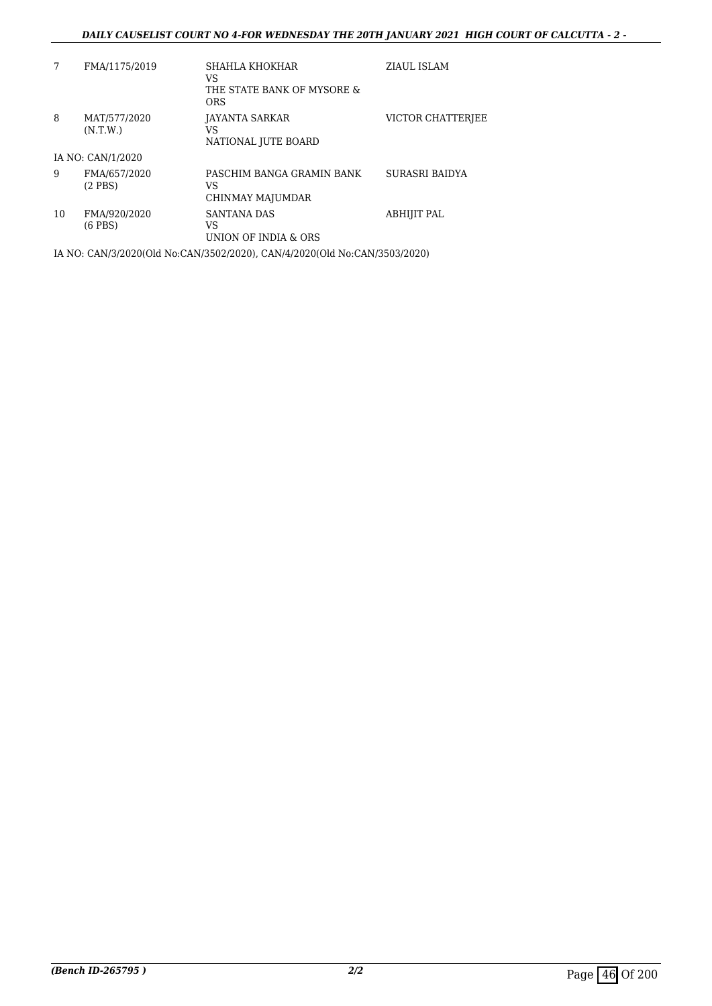### *DAILY CAUSELIST COURT NO 4-FOR WEDNESDAY THE 20TH JANUARY 2021 HIGH COURT OF CALCUTTA - 2 -*

|    | FMA/1175/2019                | SHAHLA KHOKHAR<br>VS<br>THE STATE BANK OF MYSORE &<br><b>ORS</b> | ZIAUL ISLAM       |
|----|------------------------------|------------------------------------------------------------------|-------------------|
| 8  | MAT/577/2020<br>(N.T.W.)     | JAYANTA SARKAR<br>VS<br>NATIONAL JUTE BOARD                      | VICTOR CHATTERIEE |
|    | IA NO: CAN/1/2020            |                                                                  |                   |
| 9  | FMA/657/2020<br>$(2$ PBS $)$ | PASCHIM BANGA GRAMIN BANK<br>VS<br>CHINMAY MAJUMDAR              | SURASRI BAIDYA    |
| 10 | FMA/920/2020<br>$(6$ PBS $)$ | SANTANA DAS<br>VS<br>UNION OF INDIA & ORS                        | ABHIJIT PAL       |

IA NO: CAN/3/2020(Old No:CAN/3502/2020), CAN/4/2020(Old No:CAN/3503/2020)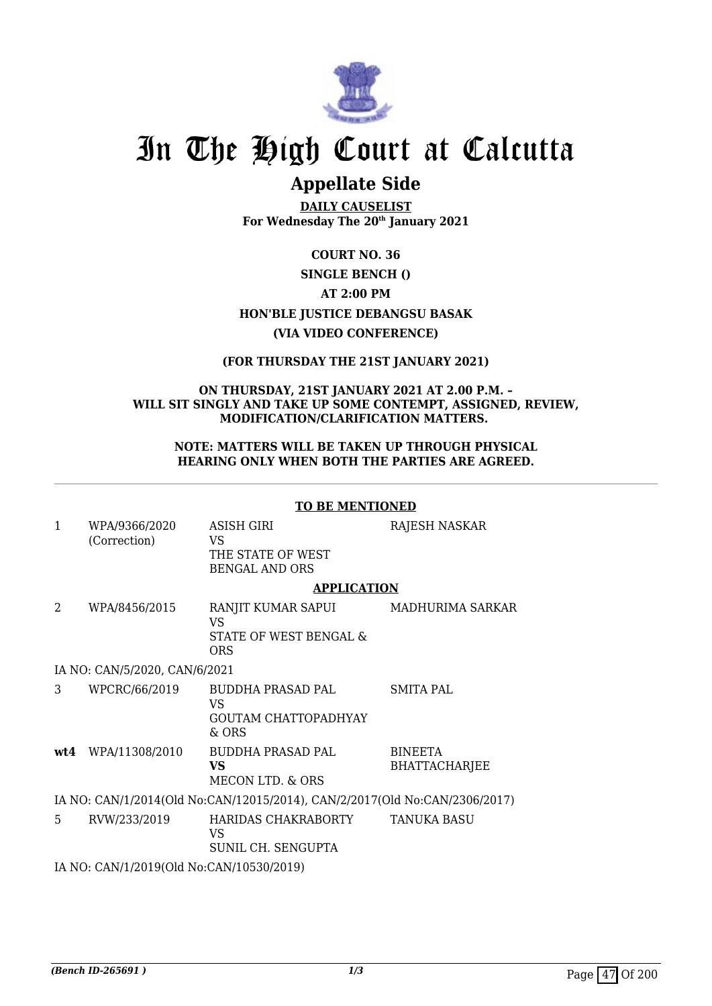

## **Appellate Side**

**DAILY CAUSELIST For Wednesday The 20th January 2021**

### **COURT NO. 36**

### **SINGLE BENCH () AT 2:00 PM HON'BLE JUSTICE DEBANGSU BASAK (VIA VIDEO CONFERENCE)**

### **(FOR THURSDAY THE 21ST JANUARY 2021)**

### **ON THURSDAY, 21ST JANUARY 2021 AT 2.00 P.M. – WILL SIT SINGLY AND TAKE UP SOME CONTEMPT, ASSIGNED, REVIEW, MODIFICATION/CLARIFICATION MATTERS.**

### **NOTE: MATTERS WILL BE TAKEN UP THROUGH PHYSICAL HEARING ONLY WHEN BOTH THE PARTIES ARE AGREED.**

### **TO BE MENTIONED**

| $\mathbf{1}$                             | WPA/9366/2020<br>(Correction)                                              | ASISH GIRI<br>VS<br>THE STATE OF WEST<br><b>BENGAL AND ORS</b>         | RAJESH NASKAR                          |  |  |
|------------------------------------------|----------------------------------------------------------------------------|------------------------------------------------------------------------|----------------------------------------|--|--|
|                                          |                                                                            | <b>APPLICATION</b>                                                     |                                        |  |  |
| 2                                        | WPA/8456/2015                                                              | RANJIT KUMAR SAPUI<br>V <sub>S</sub><br>STATE OF WEST BENGAL &<br>ORS. | MADHURIMA SARKAR                       |  |  |
|                                          | IA NO: CAN/5/2020, CAN/6/2021                                              |                                                                        |                                        |  |  |
| 3                                        | WPCRC/66/2019                                                              | BUDDHA PRASAD PAL<br>VS<br><b>GOUTAM CHATTOPADHYAY</b><br>& ORS        | SMITA PAL                              |  |  |
|                                          | $wt4$ WPA/11308/2010                                                       | BUDDHA PRASAD PAL<br>VS.<br>MECON LTD. & ORS                           | <b>BINEETA</b><br><b>BHATTACHARJEE</b> |  |  |
|                                          | IA NO: CAN/1/2014(Old No:CAN/12015/2014), CAN/2/2017(Old No:CAN/2306/2017) |                                                                        |                                        |  |  |
| 5.                                       | RVW/233/2019                                                               | HARIDAS CHAKRABORTY TANUKA BASU<br>VS<br>SUNIL CH. SENGUPTA            |                                        |  |  |
| IA NO: CAN/1/2019(Old No:CAN/10530/2019) |                                                                            |                                                                        |                                        |  |  |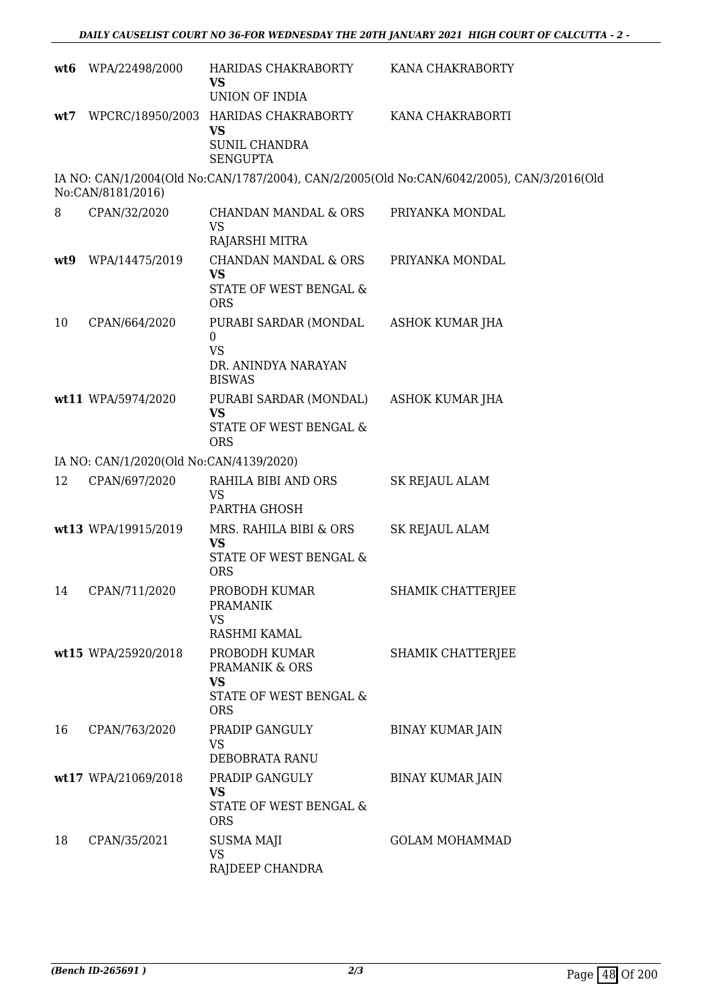|     | wt6 WPA/22498/2000                      | HARIDAS CHAKRABORTY<br><b>VS</b><br>UNION OF INDIA                                     | KANA CHAKRABORTY                                                                          |
|-----|-----------------------------------------|----------------------------------------------------------------------------------------|-------------------------------------------------------------------------------------------|
| wt7 |                                         | WPCRC/18950/2003 HARIDAS CHAKRABORTY<br>VS<br><b>SUNIL CHANDRA</b><br><b>SENGUPTA</b>  | KANA CHAKRABORTI                                                                          |
|     | No:CAN/8181/2016)                       |                                                                                        | IA NO: CAN/1/2004(Old No:CAN/1787/2004), CAN/2/2005(Old No:CAN/6042/2005), CAN/3/2016(Old |
| 8   | CPAN/32/2020                            | CHANDAN MANDAL & ORS<br><b>VS</b><br>RAJARSHI MITRA                                    | PRIYANKA MONDAL                                                                           |
| wt9 | WPA/14475/2019                          | <b>CHANDAN MANDAL &amp; ORS</b><br><b>VS</b><br>STATE OF WEST BENGAL &<br><b>ORS</b>   | PRIYANKA MONDAL                                                                           |
| 10  | CPAN/664/2020                           | PURABI SARDAR (MONDAL<br>$\Omega$<br><b>VS</b><br>DR. ANINDYA NARAYAN<br><b>BISWAS</b> | ASHOK KUMAR JHA                                                                           |
|     | wt11 WPA/5974/2020                      | PURABI SARDAR (MONDAL)<br><b>VS</b><br>STATE OF WEST BENGAL &<br><b>ORS</b>            | ASHOK KUMAR JHA                                                                           |
|     | IA NO: CAN/1/2020(Old No:CAN/4139/2020) |                                                                                        |                                                                                           |
| 12  | CPAN/697/2020                           | RAHILA BIBI AND ORS<br><b>VS</b><br>PARTHA GHOSH                                       | <b>SK REJAUL ALAM</b>                                                                     |
|     | wt13 WPA/19915/2019                     | MRS. RAHILA BIBI & ORS<br><b>VS</b><br>STATE OF WEST BENGAL &<br><b>ORS</b>            | <b>SK REJAUL ALAM</b>                                                                     |
|     | 14 CPAN/711/2020                        | PROBODH KUMAR<br><b>PRAMANIK</b><br><b>VS</b><br>RASHMI KAMAL                          | SHAMIK CHATTERJEE                                                                         |
|     | wt15 WPA/25920/2018                     | PROBODH KUMAR<br>PRAMANIK & ORS<br><b>VS</b><br>STATE OF WEST BENGAL &<br><b>ORS</b>   | SHAMIK CHATTERJEE                                                                         |
| 16  | CPAN/763/2020                           | PRADIP GANGULY<br><b>VS</b><br>DEBOBRATA RANU                                          | <b>BINAY KUMAR JAIN</b>                                                                   |
|     | wt17 WPA/21069/2018                     | PRADIP GANGULY<br><b>VS</b><br>STATE OF WEST BENGAL &<br><b>ORS</b>                    | <b>BINAY KUMAR JAIN</b>                                                                   |
| 18  | CPAN/35/2021                            | <b>SUSMA MAJI</b><br>VS<br>RAJDEEP CHANDRA                                             | <b>GOLAM MOHAMMAD</b>                                                                     |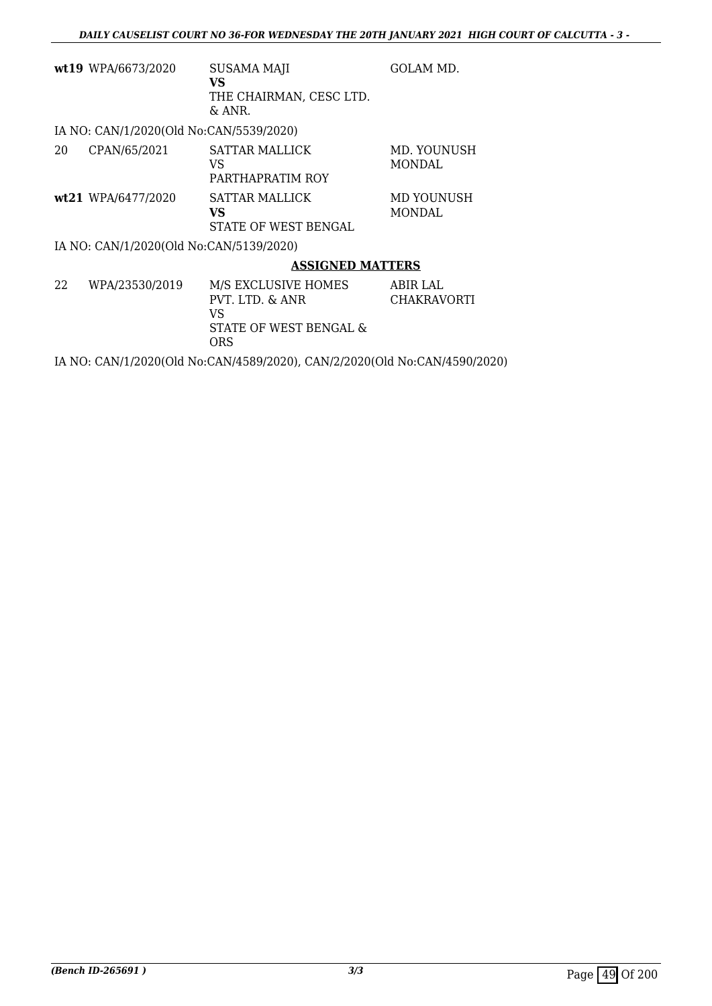|    | wt19 WPA/6673/2020                      | <b>SUSAMA MAJI</b><br>VS<br>THE CHAIRMAN, CESC LTD.<br>& ANR. | GOLAM MD.                      |
|----|-----------------------------------------|---------------------------------------------------------------|--------------------------------|
|    | IA NO: CAN/1/2020(Old No:CAN/5539/2020) |                                                               |                                |
| 20 | CPAN/65/2021                            | <b>SATTAR MALLICK</b><br>VS<br>PARTHAPRATIM ROY               | MD. YOUNUSH<br><b>MONDAL</b>   |
|    | wt21 WPA/6477/2020                      | <b>SATTAR MALLICK</b><br>VS<br>STATE OF WEST BENGAL           | MD YOUNUSH<br><b>MONDAL</b>    |
|    | IA NO: CAN/1/2020(Old No:CAN/5139/2020) |                                                               |                                |
|    |                                         | <b>ASSIGNED MATTERS</b>                                       |                                |
| 22 | WPA/23530/2019                          | M/S EXCLUSIVE HOMES<br>PVT. LTD. & ANR<br>VS                  | ABIR LAL<br><b>CHAKRAVORTI</b> |

VS STATE OF WEST BENGAL & ORS

IA NO: CAN/1/2020(Old No:CAN/4589/2020), CAN/2/2020(Old No:CAN/4590/2020)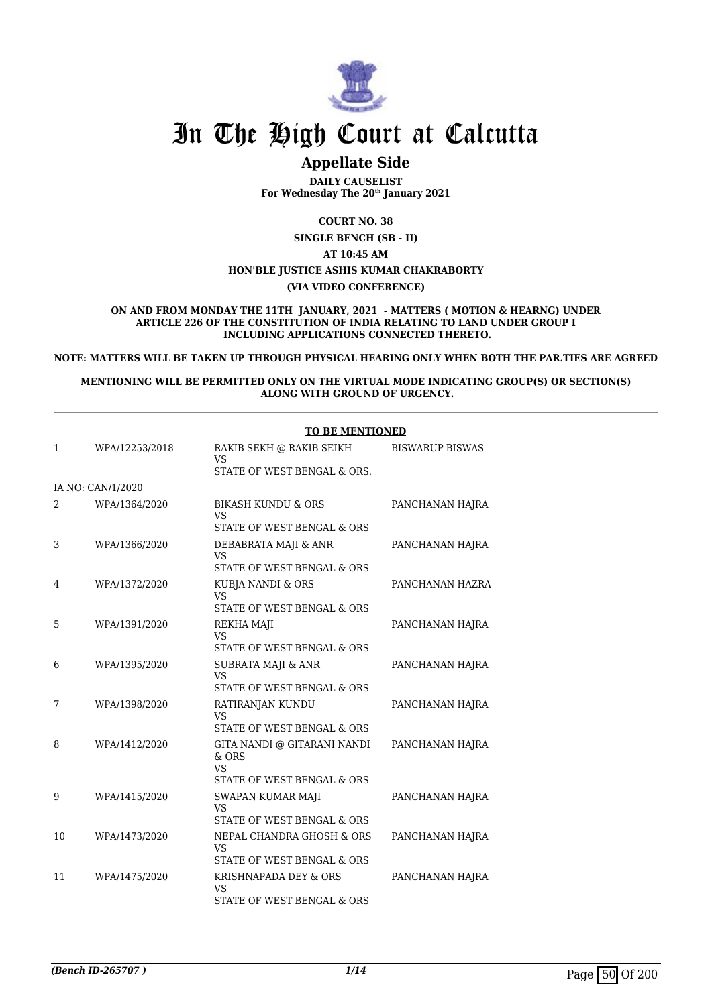

## **Appellate Side**

**DAILY CAUSELIST For Wednesday The 20th January 2021**

**COURT NO. 38**

**SINGLE BENCH (SB - II)**

**AT 10:45 AM HON'BLE JUSTICE ASHIS KUMAR CHAKRABORTY**

**(VIA VIDEO CONFERENCE)**

**ON AND FROM MONDAY THE 11TH JANUARY, 2021 - MATTERS ( MOTION & HEARNG) UNDER ARTICLE 226 OF THE CONSTITUTION OF INDIA RELATING TO LAND UNDER GROUP I INCLUDING APPLICATIONS CONNECTED THERETO.**

**NOTE: MATTERS WILL BE TAKEN UP THROUGH PHYSICAL HEARING ONLY WHEN BOTH THE PAR.TIES ARE AGREED**

**MENTIONING WILL BE PERMITTED ONLY ON THE VIRTUAL MODE INDICATING GROUP(S) OR SECTION(S) ALONG WITH GROUND OF URGENCY.**

|    |                   | <b>TO BE MENTIONED</b>                                           |                        |
|----|-------------------|------------------------------------------------------------------|------------------------|
| 1  | WPA/12253/2018    | RAKIB SEKH @ RAKIB SEIKH<br>VS<br>STATE OF WEST BENGAL & ORS.    | <b>BISWARUP BISWAS</b> |
|    | IA NO: CAN/1/2020 |                                                                  |                        |
|    |                   |                                                                  |                        |
| 2  | WPA/1364/2020     | <b>BIKASH KUNDU &amp; ORS</b><br>VS                              | PANCHANAN HAJRA        |
|    |                   | STATE OF WEST BENGAL & ORS                                       |                        |
| 3  | WPA/1366/2020     | DEBABRATA MAJI & ANR<br>VS                                       | PANCHANAN HAJRA        |
|    |                   | STATE OF WEST BENGAL & ORS                                       |                        |
| 4  | WPA/1372/2020     | KUBJA NANDI & ORS<br>VS                                          | PANCHANAN HAZRA        |
|    |                   | STATE OF WEST BENGAL & ORS                                       |                        |
| 5  | WPA/1391/2020     | REKHA MAJI<br><b>VS</b><br>STATE OF WEST BENGAL & ORS            | PANCHANAN HAJRA        |
|    |                   |                                                                  |                        |
| 6  | WPA/1395/2020     | SUBRATA MAJI & ANR<br><b>VS</b>                                  | PANCHANAN HAJRA        |
|    |                   | STATE OF WEST BENGAL & ORS                                       |                        |
| 7  | WPA/1398/2020     | RATIRANJAN KUNDU<br><b>VS</b><br>STATE OF WEST BENGAL & ORS      | PANCHANAN HAJRA        |
|    |                   |                                                                  |                        |
| 8  | WPA/1412/2020     | GITA NANDI @ GITARANI NANDI<br>$&$ ORS<br><b>VS</b>              | PANCHANAN HAJRA        |
|    |                   | STATE OF WEST BENGAL & ORS                                       |                        |
| 9  | WPA/1415/2020     | SWAPAN KUMAR MAJI<br><b>VS</b>                                   | PANCHANAN HAJRA        |
|    |                   | STATE OF WEST BENGAL & ORS                                       |                        |
| 10 | WPA/1473/2020     | NEPAL CHANDRA GHOSH & ORS<br>VS                                  | PANCHANAN HAJRA        |
|    |                   | STATE OF WEST BENGAL & ORS                                       |                        |
| 11 | WPA/1475/2020     | KRISHNAPADA DEY & ORS<br><b>VS</b><br>STATE OF WEST BENGAL & ORS | PANCHANAN HAJRA        |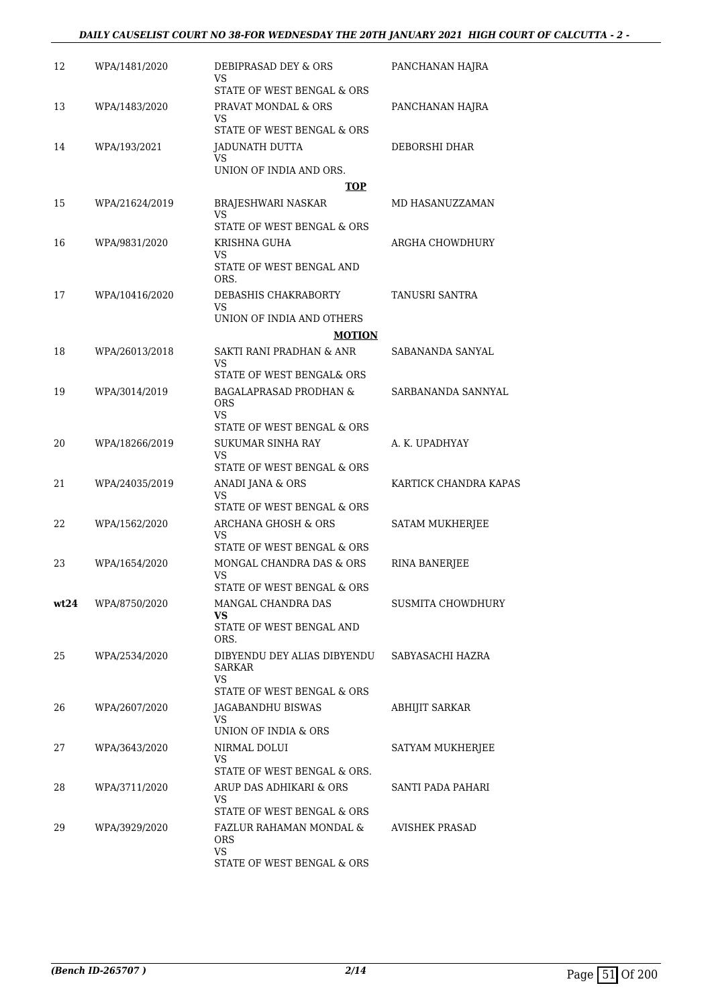| 12   | WPA/1481/2020  | DEBIPRASAD DEY & ORS<br>VS                                   | PANCHANAN HAJRA       |
|------|----------------|--------------------------------------------------------------|-----------------------|
|      |                | STATE OF WEST BENGAL & ORS                                   |                       |
| 13   | WPA/1483/2020  | PRAVAT MONDAL & ORS<br>VS                                    | PANCHANAN HAJRA       |
|      |                | STATE OF WEST BENGAL & ORS                                   |                       |
| 14   | WPA/193/2021   | JADUNATH DUTTA<br>VS                                         | DEBORSHI DHAR         |
|      |                | UNION OF INDIA AND ORS.                                      |                       |
|      |                | TOP                                                          |                       |
| 15   | WPA/21624/2019 | BRAJESHWARI NASKAR<br>VS                                     | MD HASANUZZAMAN       |
|      |                | STATE OF WEST BENGAL & ORS                                   |                       |
| 16   | WPA/9831/2020  | KRISHNA GUHA                                                 | ARGHA CHOWDHURY       |
|      |                | VS<br>STATE OF WEST BENGAL AND<br>ORS.                       |                       |
| 17   | WPA/10416/2020 | DEBASHIS CHAKRABORTY<br>VS                                   | TANUSRI SANTRA        |
|      |                | UNION OF INDIA AND OTHERS                                    |                       |
|      |                | <b>MOTION</b>                                                |                       |
| 18   | WPA/26013/2018 | SAKTI RANI PRADHAN & ANR<br>VS                               | SABANANDA SANYAL      |
|      |                | STATE OF WEST BENGAL& ORS                                    |                       |
| 19   | WPA/3014/2019  | <b>BAGALAPRASAD PRODHAN &amp;</b><br>ORS                     | SARBANANDA SANNYAL    |
|      |                | VS.<br>STATE OF WEST BENGAL & ORS                            |                       |
| 20   | WPA/18266/2019 | <b>SUKUMAR SINHA RAY</b>                                     | A. K. UPADHYAY        |
|      |                | VS<br>STATE OF WEST BENGAL & ORS                             |                       |
| 21   | WPA/24035/2019 | ANADI JANA & ORS                                             | KARTICK CHANDRA KAPAS |
|      |                | VS                                                           |                       |
| 22   |                | STATE OF WEST BENGAL & ORS<br><b>ARCHANA GHOSH &amp; ORS</b> |                       |
|      | WPA/1562/2020  | VS                                                           | SATAM MUKHERJEE       |
|      |                | STATE OF WEST BENGAL & ORS                                   |                       |
| 23   | WPA/1654/2020  | MONGAL CHANDRA DAS & ORS<br>VS                               | <b>RINA BANERJEE</b>  |
|      |                | STATE OF WEST BENGAL & ORS                                   |                       |
| wt24 | WPA/8750/2020  | MANGAL CHANDRA DAS<br>VS.                                    | SUSMITA CHOWDHURY     |
|      |                | STATE OF WEST BENGAL AND<br>ORS.                             |                       |
| 25   | WPA/2534/2020  | DIBYENDU DEY ALIAS DIBYENDU<br>SARKAR                        | SABYASACHI HAZRA      |
|      |                | VS<br>STATE OF WEST BENGAL & ORS                             |                       |
| 26   | WPA/2607/2020  | JAGABANDHU BISWAS                                            | <b>ABHIJIT SARKAR</b> |
|      |                | VS.<br>UNION OF INDIA & ORS                                  |                       |
| 27   | WPA/3643/2020  | NIRMAL DOLUI                                                 | SATYAM MUKHERJEE      |
|      |                | VS<br>STATE OF WEST BENGAL & ORS.                            |                       |
| 28   | WPA/3711/2020  | ARUP DAS ADHIKARI & ORS                                      | SANTI PADA PAHARI     |
|      |                | VS                                                           |                       |
|      |                | STATE OF WEST BENGAL & ORS                                   |                       |
| 29   | WPA/3929/2020  | FAZLUR RAHAMAN MONDAL &<br><b>ORS</b><br><b>VS</b>           | AVISHEK PRASAD        |
|      |                | STATE OF WEST BENGAL & ORS                                   |                       |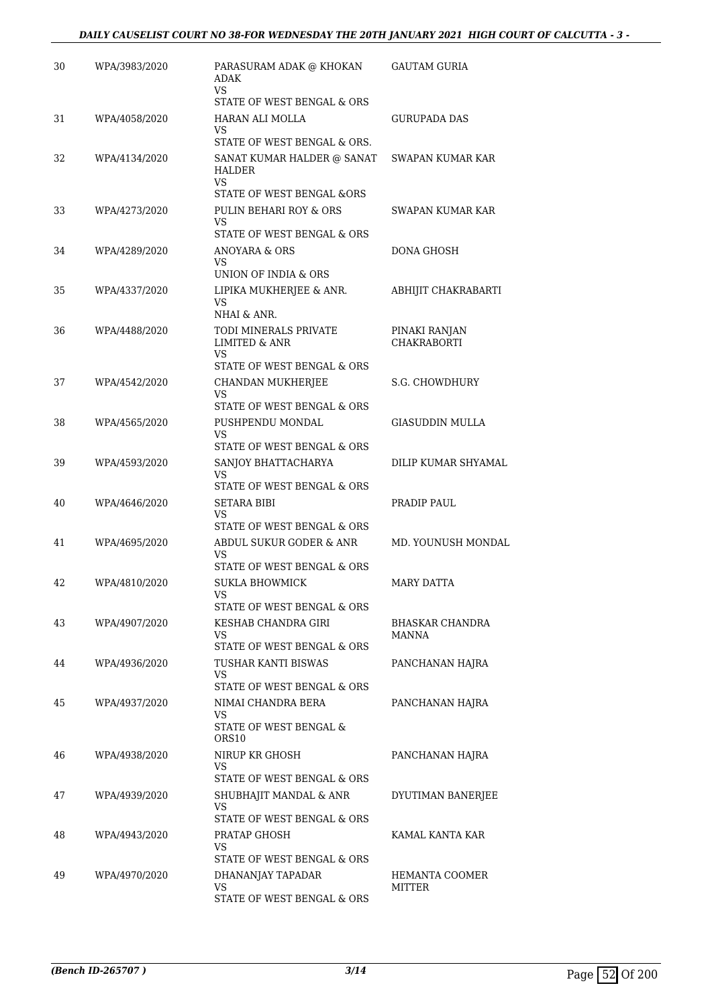| 30 | WPA/3983/2020 | PARASURAM ADAK @ KHOKAN<br><b>ADAK</b><br><b>VS</b>        | <b>GAUTAM GURIA</b>      |
|----|---------------|------------------------------------------------------------|--------------------------|
|    |               | STATE OF WEST BENGAL & ORS                                 |                          |
| 31 | WPA/4058/2020 | HARAN ALI MOLLA<br>VS                                      | GURUPADA DAS             |
|    |               | STATE OF WEST BENGAL & ORS.                                |                          |
| 32 | WPA/4134/2020 | SANAT KUMAR HALDER @ SANAT<br>HALDER<br>VS                 | <b>SWAPAN KUMAR KAR</b>  |
|    |               | STATE OF WEST BENGAL &ORS                                  |                          |
| 33 | WPA/4273/2020 | PULIN BEHARI ROY & ORS<br>VS<br>STATE OF WEST BENGAL & ORS | <b>SWAPAN KUMAR KAR</b>  |
| 34 | WPA/4289/2020 | ANOYARA & ORS                                              | DONA GHOSH               |
|    |               | VS<br>UNION OF INDIA & ORS                                 |                          |
| 35 | WPA/4337/2020 | LIPIKA MUKHERJEE & ANR.                                    | ABHIJIT CHAKRABARTI      |
|    |               | VS<br>NHAI & ANR.                                          |                          |
| 36 | WPA/4488/2020 | TODI MINERALS PRIVATE                                      | PINAKI RANJAN            |
|    |               | <b>LIMITED &amp; ANR</b><br>VS                             | <b>CHAKRABORTI</b>       |
|    |               | STATE OF WEST BENGAL & ORS                                 |                          |
| 37 | WPA/4542/2020 | <b>CHANDAN MUKHERJEE</b><br>VS                             | S.G. CHOWDHURY           |
|    |               | STATE OF WEST BENGAL & ORS                                 |                          |
| 38 | WPA/4565/2020 | PUSHPENDU MONDAL                                           | GIASUDDIN MULLA          |
|    |               | VS<br>STATE OF WEST BENGAL & ORS                           |                          |
| 39 | WPA/4593/2020 | SANJOY BHATTACHARYA                                        | DILIP KUMAR SHYAMAL      |
|    |               | VS<br>STATE OF WEST BENGAL & ORS                           |                          |
| 40 | WPA/4646/2020 | SETARA BIBI                                                | PRADIP PAUL              |
|    |               | VS<br>STATE OF WEST BENGAL & ORS                           |                          |
| 41 | WPA/4695/2020 | ABDUL SUKUR GODER & ANR                                    | MD. YOUNUSH MONDAL       |
|    |               | VS                                                         |                          |
|    |               | STATE OF WEST BENGAL & ORS                                 |                          |
| 42 | WPA/4810/2020 | <b>SUKLA BHOWMICK</b>                                      | <b>MARY DATTA</b>        |
|    |               | STATE OF WEST BENGAL & ORS                                 |                          |
| 43 | WPA/4907/2020 | KESHAB CHANDRA GIRI                                        | BHASKAR CHANDRA          |
|    |               | VS<br>STATE OF WEST BENGAL & ORS                           | MANNA                    |
| 44 | WPA/4936/2020 | TUSHAR KANTI BISWAS                                        | PANCHANAN HAJRA          |
|    |               | VS<br>STATE OF WEST BENGAL & ORS                           |                          |
| 45 | WPA/4937/2020 | NIMAI CHANDRA BERA                                         | PANCHANAN HAJRA          |
|    |               | VS                                                         |                          |
|    |               | STATE OF WEST BENGAL &<br>ORS10                            |                          |
| 46 | WPA/4938/2020 | NIRUP KR GHOSH                                             | PANCHANAN HAJRA          |
|    |               | VS<br>STATE OF WEST BENGAL & ORS                           |                          |
| 47 | WPA/4939/2020 | SHUBHAJIT MANDAL & ANR                                     | DYUTIMAN BANERJEE        |
|    |               | VS                                                         |                          |
|    |               | STATE OF WEST BENGAL & ORS                                 |                          |
| 48 | WPA/4943/2020 | PRATAP GHOSH<br>VS                                         | KAMAL KANTA KAR          |
|    |               | STATE OF WEST BENGAL & ORS                                 |                          |
| 49 | WPA/4970/2020 | DHANANJAY TAPADAR<br>VS                                    | HEMANTA COOMER<br>MITTER |
|    |               | STATE OF WEST BENGAL & ORS                                 |                          |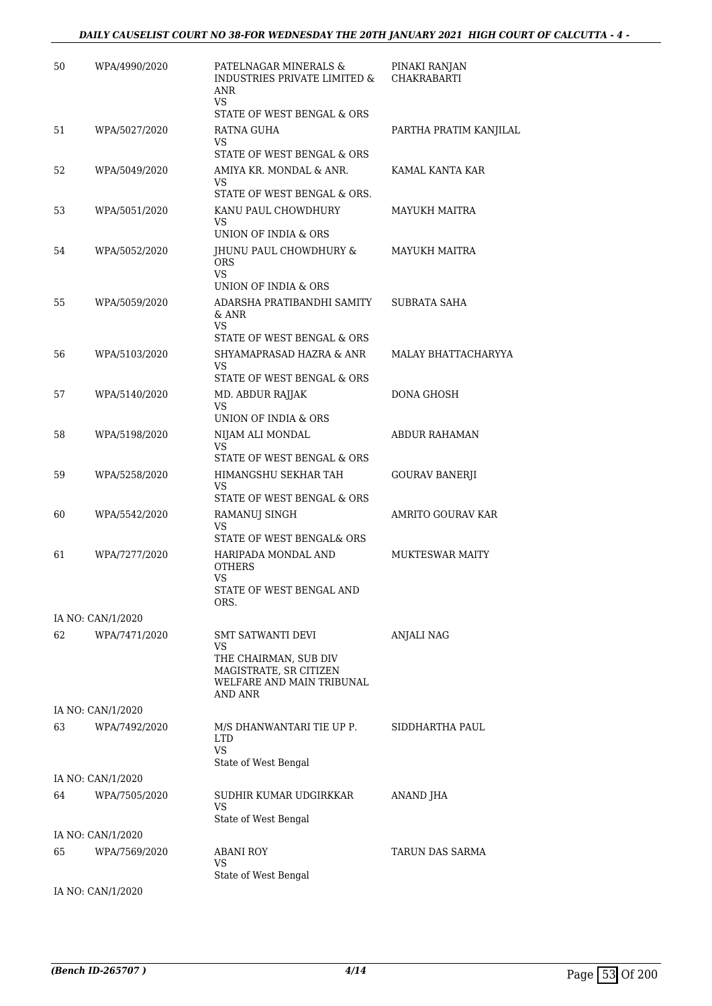| 50 | WPA/4990/2020     | PATELNAGAR MINERALS &<br><b>INDUSTRIES PRIVATE LIMITED &amp;</b><br><b>ANR</b><br>VS    | PINAKI RANJAN<br><b>CHAKRABARTI</b> |
|----|-------------------|-----------------------------------------------------------------------------------------|-------------------------------------|
|    |                   | STATE OF WEST BENGAL & ORS                                                              |                                     |
| 51 | WPA/5027/2020     | RATNA GUHA                                                                              | PARTHA PRATIM KANJILAL              |
|    |                   | VS.<br>STATE OF WEST BENGAL & ORS                                                       |                                     |
| 52 | WPA/5049/2020     | AMIYA KR. MONDAL & ANR.<br>VS                                                           | KAMAL KANTA KAR                     |
|    |                   | STATE OF WEST BENGAL & ORS.                                                             |                                     |
| 53 | WPA/5051/2020     | KANU PAUL CHOWDHURY<br>VS.<br>UNION OF INDIA & ORS                                      | MAYUKH MAITRA                       |
| 54 | WPA/5052/2020     | JHUNU PAUL CHOWDHURY &<br><b>ORS</b><br><b>VS</b><br>UNION OF INDIA & ORS               | <b>MAYUKH MAITRA</b>                |
| 55 | WPA/5059/2020     | ADARSHA PRATIBANDHI SAMITY<br>& ANR<br>VS.<br>STATE OF WEST BENGAL & ORS                | SUBRATA SAHA                        |
| 56 | WPA/5103/2020     | SHYAMAPRASAD HAZRA & ANR                                                                | MALAY BHATTACHARYYA                 |
|    |                   | <b>VS</b><br>STATE OF WEST BENGAL & ORS                                                 |                                     |
| 57 | WPA/5140/2020     | MD. ABDUR RAJJAK                                                                        | DONA GHOSH                          |
|    |                   | <b>VS</b><br>UNION OF INDIA & ORS                                                       |                                     |
| 58 | WPA/5198/2020     | NIJAM ALI MONDAL                                                                        | <b>ABDUR RAHAMAN</b>                |
|    |                   | <b>VS</b><br>STATE OF WEST BENGAL & ORS                                                 |                                     |
| 59 | WPA/5258/2020     | HIMANGSHU SEKHAR TAH<br>VS                                                              | GOURAV BANERJI                      |
|    |                   | STATE OF WEST BENGAL & ORS                                                              |                                     |
| 60 | WPA/5542/2020     | RAMANUJ SINGH<br>VS                                                                     | AMRITO GOURAV KAR                   |
|    |                   | STATE OF WEST BENGAL& ORS                                                               |                                     |
| 61 | WPA/7277/2020     | HARIPADA MONDAL AND<br><b>OTHERS</b><br><b>VS</b>                                       | <b>MUKTESWAR MAITY</b>              |
|    |                   | STATE OF WEST BENGAL AND<br>ORS.                                                        |                                     |
|    | IA NO: CAN/1/2020 |                                                                                         |                                     |
| 62 | WPA/7471/2020     | SMT SATWANTI DEVI<br>VS                                                                 | <b>ANJALI NAG</b>                   |
|    |                   | THE CHAIRMAN, SUB DIV<br>MAGISTRATE, SR CITIZEN<br>WELFARE AND MAIN TRIBUNAL<br>AND ANR |                                     |
|    | IA NO: CAN/1/2020 |                                                                                         |                                     |
| 63 | WPA/7492/2020     | M/S DHANWANTARI TIE UP P.<br><b>LTD</b><br>VS.<br>State of West Bengal                  | SIDDHARTHA PAUL                     |
|    | IA NO: CAN/1/2020 |                                                                                         |                                     |
| 64 | WPA/7505/2020     | SUDHIR KUMAR UDGIRKKAR                                                                  | ANAND JHA                           |
|    |                   | VS<br>State of West Bengal                                                              |                                     |
|    | IA NO: CAN/1/2020 |                                                                                         |                                     |
| 65 | WPA/7569/2020     | ABANI ROY<br>VS                                                                         | TARUN DAS SARMA                     |
|    |                   | State of West Bengal                                                                    |                                     |
|    | IA NO: CAN/1/2020 |                                                                                         |                                     |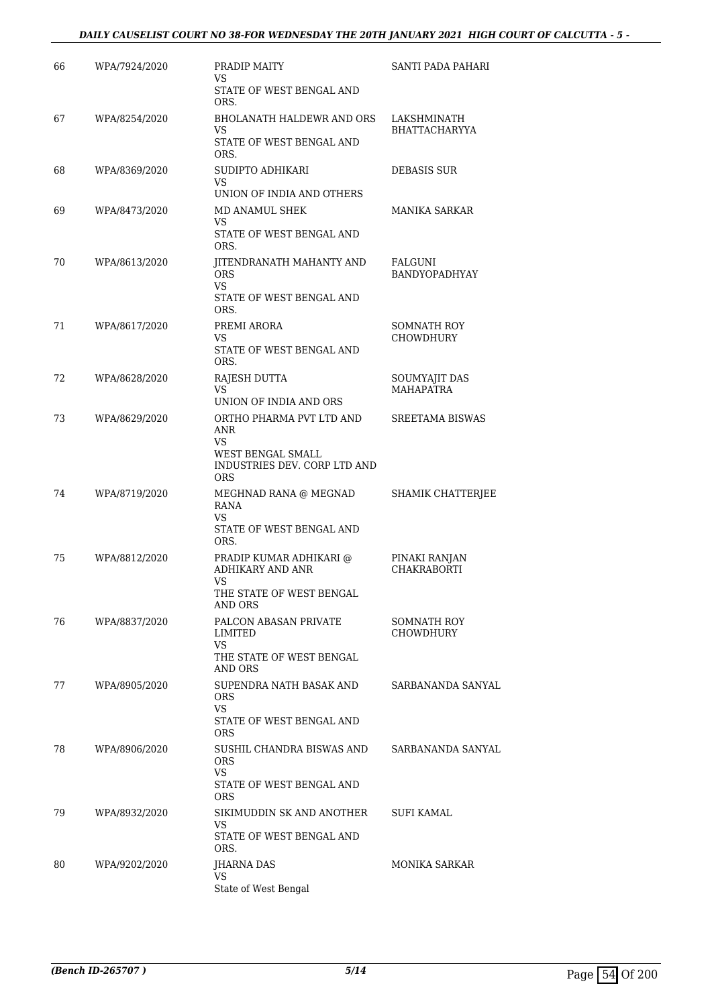### *DAILY CAUSELIST COURT NO 38-FOR WEDNESDAY THE 20TH JANUARY 2021 HIGH COURT OF CALCUTTA - 5 -*

| 66 | WPA/7924/2020 | PRADIP MAITY                                                                                             | SANTI PADA PAHARI                        |
|----|---------------|----------------------------------------------------------------------------------------------------------|------------------------------------------|
|    |               | VS<br>STATE OF WEST BENGAL AND<br>ORS.                                                                   |                                          |
| 67 | WPA/8254/2020 | <b>BHOLANATH HALDEWR AND ORS</b><br>VS<br>STATE OF WEST BENGAL AND<br>ORS.                               | LAKSHMINATH<br><b>BHATTACHARYYA</b>      |
| 68 | WPA/8369/2020 | SUDIPTO ADHIKARI<br>VS<br>UNION OF INDIA AND OTHERS                                                      | <b>DEBASIS SUR</b>                       |
| 69 | WPA/8473/2020 | MD ANAMUL SHEK<br>VS<br>STATE OF WEST BENGAL AND<br>ORS.                                                 | MANIKA SARKAR                            |
| 70 | WPA/8613/2020 | JITENDRANATH MAHANTY AND<br><b>ORS</b><br>VS.<br>STATE OF WEST BENGAL AND<br>ORS.                        | FALGUNI<br><b>BANDYOPADHYAY</b>          |
| 71 | WPA/8617/2020 | PREMI ARORA<br>VS<br>STATE OF WEST BENGAL AND<br>ORS.                                                    | SOMNATH ROY<br><b>CHOWDHURY</b>          |
| 72 | WPA/8628/2020 | RAJESH DUTTA<br>VS<br>UNION OF INDIA AND ORS                                                             | <b>SOUMYAJIT DAS</b><br><b>MAHAPATRA</b> |
| 73 | WPA/8629/2020 | ORTHO PHARMA PVT LTD AND<br>ANR<br>VS<br>WEST BENGAL SMALL<br>INDUSTRIES DEV. CORP LTD AND<br><b>ORS</b> | SREETAMA BISWAS                          |
| 74 | WPA/8719/2020 | MEGHNAD RANA @ MEGNAD<br>RANA<br>VS.<br>STATE OF WEST BENGAL AND<br>ORS.                                 | SHAMIK CHATTERJEE                        |
| 75 | WPA/8812/2020 | PRADIP KUMAR ADHIKARI @<br>ADHIKARY AND ANR<br>VS<br>THE STATE OF WEST BENGAL<br>AND ORS                 | PINAKI RANJAN<br><b>CHAKRABORTI</b>      |
| 76 | WPA/8837/2020 | PALCON ABASAN PRIVATE<br>LIMITED<br>VS.<br>THE STATE OF WEST BENGAL                                      | SOMNATH ROY<br>CHOWDHURY                 |
| 77 | WPA/8905/2020 | AND ORS<br>SUPENDRA NATH BASAK AND<br><b>ORS</b><br><b>VS</b><br>STATE OF WEST BENGAL AND<br>ORS         | SARBANANDA SANYAL                        |
| 78 | WPA/8906/2020 | SUSHIL CHANDRA BISWAS AND<br><b>ORS</b><br><b>VS</b><br>STATE OF WEST BENGAL AND<br><b>ORS</b>           | SARBANANDA SANYAL                        |
| 79 | WPA/8932/2020 | SIKIMUDDIN SK AND ANOTHER<br>VS.<br>STATE OF WEST BENGAL AND<br>ORS.                                     | SUFI KAMAL                               |
| 80 | WPA/9202/2020 | JHARNA DAS<br>VS.<br>State of West Bengal                                                                | MONIKA SARKAR                            |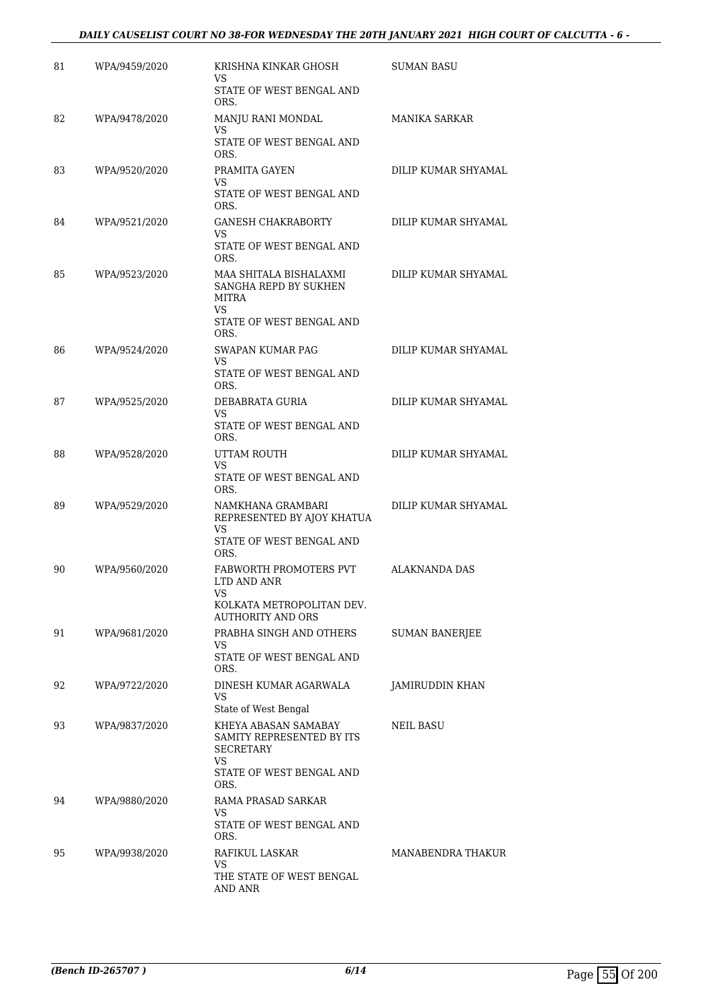### *DAILY CAUSELIST COURT NO 38-FOR WEDNESDAY THE 20TH JANUARY 2021 HIGH COURT OF CALCUTTA - 6 -*

| 81 | WPA/9459/2020 | KRISHNA KINKAR GHOSH<br>VS.<br>STATE OF WEST BENGAL AND<br>ORS.                                           | <b>SUMAN BASU</b>     |
|----|---------------|-----------------------------------------------------------------------------------------------------------|-----------------------|
| 82 | WPA/9478/2020 | MANJU RANI MONDAL<br>VS<br>STATE OF WEST BENGAL AND<br>ORS.                                               | <b>MANIKA SARKAR</b>  |
| 83 | WPA/9520/2020 | PRAMITA GAYEN<br>VS<br>STATE OF WEST BENGAL AND<br>ORS.                                                   | DILIP KUMAR SHYAMAL   |
| 84 | WPA/9521/2020 | <b>GANESH CHAKRABORTY</b><br>VS.<br>STATE OF WEST BENGAL AND<br>ORS.                                      | DILIP KUMAR SHYAMAL   |
| 85 | WPA/9523/2020 | MAA SHITALA BISHALAXMI<br>SANGHA REPD BY SUKHEN<br>MITRA<br>VS<br>STATE OF WEST BENGAL AND<br>ORS.        | DILIP KUMAR SHYAMAL   |
| 86 | WPA/9524/2020 | <b>SWAPAN KUMAR PAG</b><br>VS<br>STATE OF WEST BENGAL AND<br>ORS.                                         | DILIP KUMAR SHYAMAL   |
| 87 | WPA/9525/2020 | DEBABRATA GURIA<br>VS<br>STATE OF WEST BENGAL AND<br>ORS.                                                 | DILIP KUMAR SHYAMAL   |
| 88 | WPA/9528/2020 | UTTAM ROUTH<br>VS<br>STATE OF WEST BENGAL AND<br>ORS.                                                     | DILIP KUMAR SHYAMAL   |
| 89 | WPA/9529/2020 | NAMKHANA GRAMBARI<br>REPRESENTED BY AJOY KHATUA<br>VS<br>STATE OF WEST BENGAL AND<br>ORS.                 | DILIP KUMAR SHYAMAL   |
| 90 | WPA/9560/2020 | FABWORTH PROMOTERS PVT<br>LTD AND ANR<br>VS<br>KOLKATA METROPOLITAN DEV.<br><b>AUTHORITY AND ORS</b>      | ALAKNANDA DAS         |
| 91 | WPA/9681/2020 | PRABHA SINGH AND OTHERS<br>VS.<br>STATE OF WEST BENGAL AND<br>ORS.                                        | <b>SUMAN BANERJEE</b> |
| 92 | WPA/9722/2020 | DINESH KUMAR AGARWALA<br>VS<br>State of West Bengal                                                       | JAMIRUDDIN KHAN       |
| 93 | WPA/9837/2020 | KHEYA ABASAN SAMABAY<br>SAMITY REPRESENTED BY ITS<br>SECRETARY<br>VS.<br>STATE OF WEST BENGAL AND<br>ORS. | NEIL BASU             |
| 94 | WPA/9880/2020 | RAMA PRASAD SARKAR<br>VS.<br>STATE OF WEST BENGAL AND<br>ORS.                                             |                       |
| 95 | WPA/9938/2020 | RAFIKUL LASKAR<br>VS.<br>THE STATE OF WEST BENGAL<br>AND ANR                                              | MANABENDRA THAKUR     |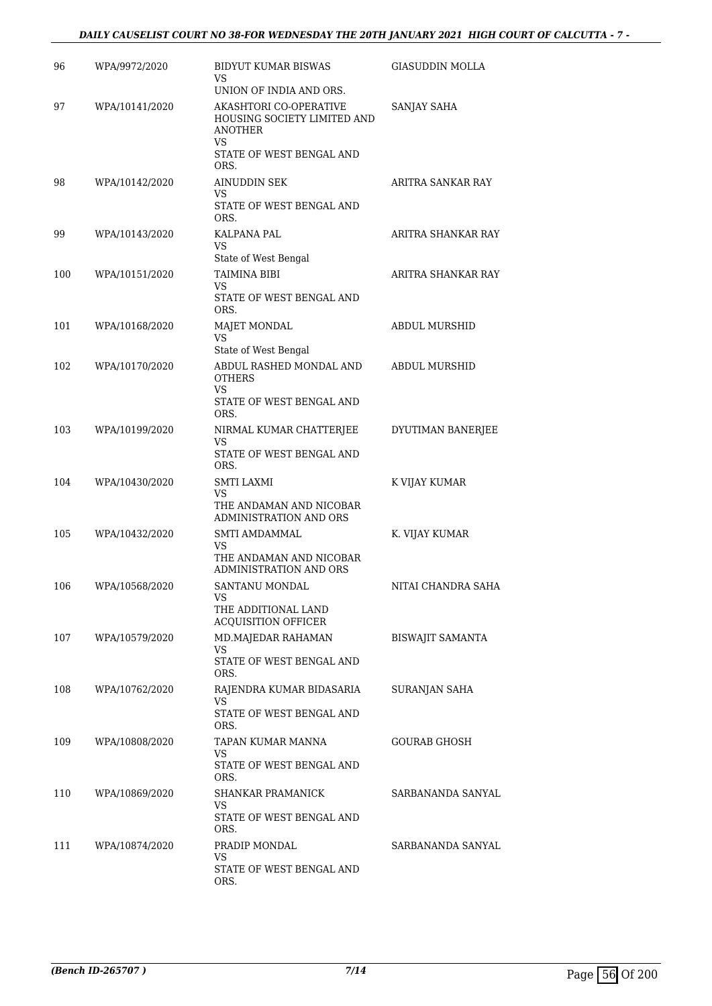| 96  | WPA/9972/2020  | BIDYUT KUMAR BISWAS<br>VS<br>UNION OF INDIA AND ORS.                                  | <b>GIASUDDIN MOLLA</b> |
|-----|----------------|---------------------------------------------------------------------------------------|------------------------|
| 97  | WPA/10141/2020 | AKASHTORI CO-OPERATIVE<br>HOUSING SOCIETY LIMITED AND<br>ANOTHER                      | SANJAY SAHA            |
|     |                | VS<br>STATE OF WEST BENGAL AND<br>ORS.                                                |                        |
| 98  | WPA/10142/2020 | AINUDDIN SEK<br>VS                                                                    | ARITRA SANKAR RAY      |
|     |                | STATE OF WEST BENGAL AND<br>ORS.                                                      |                        |
| 99  | WPA/10143/2020 | KALPANA PAL<br>VS                                                                     | ARITRA SHANKAR RAY     |
| 100 | WPA/10151/2020 | State of West Bengal<br><b>TAIMINA BIBI</b><br>VS<br>STATE OF WEST BENGAL AND<br>ORS. | ARITRA SHANKAR RAY     |
| 101 | WPA/10168/2020 | <b>MAJET MONDAL</b><br><b>VS</b><br>State of West Bengal                              | ABDUL MURSHID          |
| 102 | WPA/10170/2020 | ABDUL RASHED MONDAL AND<br><b>OTHERS</b><br>VS.<br>STATE OF WEST BENGAL AND<br>ORS.   | <b>ABDUL MURSHID</b>   |
| 103 | WPA/10199/2020 | NIRMAL KUMAR CHATTERJEE<br><b>VS</b><br>STATE OF WEST BENGAL AND<br>ORS.              | DYUTIMAN BANERJEE      |
| 104 | WPA/10430/2020 | <b>SMTI LAXMI</b><br>VS<br>THE ANDAMAN AND NICOBAR<br>ADMINISTRATION AND ORS          | K VIJAY KUMAR          |
| 105 | WPA/10432/2020 | SMTI AMDAMMAL<br><b>VS</b><br>THE ANDAMAN AND NICOBAR<br>ADMINISTRATION AND ORS       | K. VIJAY KUMAR         |
| 106 | WPA/10568/2020 | SANTANU MONDAL<br>VS<br>THE ADDITIONAL LAND<br>ACQUISITION OFFICER                    | NITAI CHANDRA SAHA     |
| 107 | WPA/10579/2020 | MD.MAJEDAR RAHAMAN<br>VS<br>STATE OF WEST BENGAL AND<br>ORS.                          | BISWAJIT SAMANTA       |
| 108 | WPA/10762/2020 | RAJENDRA KUMAR BIDASARIA<br>VS<br>STATE OF WEST BENGAL AND<br>ORS.                    | SURANJAN SAHA          |
| 109 | WPA/10808/2020 | TAPAN KUMAR MANNA<br>VS<br>STATE OF WEST BENGAL AND<br>ORS.                           | GOURAB GHOSH           |
| 110 | WPA/10869/2020 | SHANKAR PRAMANICK<br>VS<br>STATE OF WEST BENGAL AND<br>ORS.                           | SARBANANDA SANYAL      |
| 111 | WPA/10874/2020 | PRADIP MONDAL<br>VS<br>STATE OF WEST BENGAL AND<br>ORS.                               | SARBANANDA SANYAL      |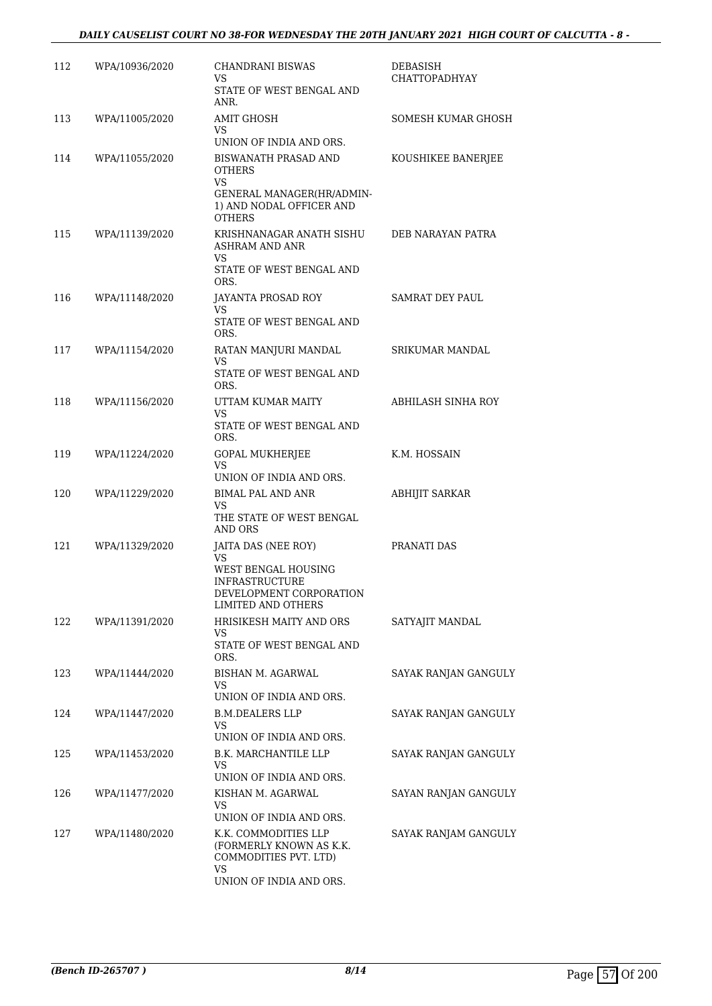| 112 | WPA/10936/2020 | <b>CHANDRANI BISWAS</b><br>VS<br>STATE OF WEST BENGAL AND<br>ANR.                                                           | DEBASISH<br><b>CHATTOPADHYAY</b> |
|-----|----------------|-----------------------------------------------------------------------------------------------------------------------------|----------------------------------|
| 113 | WPA/11005/2020 | AMIT GHOSH<br>VS<br>UNION OF INDIA AND ORS.                                                                                 | SOMESH KUMAR GHOSH               |
| 114 | WPA/11055/2020 | BISWANATH PRASAD AND<br>OTHERS<br><b>VS</b><br>GENERAL MANAGER(HR/ADMIN-<br>1) AND NODAL OFFICER AND<br><b>OTHERS</b>       | KOUSHIKEE BANERJEE               |
| 115 | WPA/11139/2020 | KRISHNANAGAR ANATH SISHU<br>ASHRAM AND ANR<br>VS<br>STATE OF WEST BENGAL AND<br>ORS.                                        | DEB NARAYAN PATRA                |
| 116 | WPA/11148/2020 | JAYANTA PROSAD ROY<br>VS.<br>STATE OF WEST BENGAL AND<br>ORS.                                                               | <b>SAMRAT DEY PAUL</b>           |
| 117 | WPA/11154/2020 | RATAN MANJURI MANDAL<br><b>VS</b><br>STATE OF WEST BENGAL AND<br>ORS.                                                       | <b>SRIKUMAR MANDAL</b>           |
| 118 | WPA/11156/2020 | UTTAM KUMAR MAITY<br>VS<br>STATE OF WEST BENGAL AND<br>ORS.                                                                 | ABHILASH SINHA ROY               |
| 119 | WPA/11224/2020 | GOPAL MUKHERJEE<br>VS<br>UNION OF INDIA AND ORS.                                                                            | K.M. HOSSAIN                     |
| 120 | WPA/11229/2020 | BIMAL PAL AND ANR<br><b>VS</b><br>THE STATE OF WEST BENGAL<br>AND ORS                                                       | ABHIJIT SARKAR                   |
| 121 | WPA/11329/2020 | JAITA DAS (NEE ROY)<br>VS.<br>WEST BENGAL HOUSING<br><b>INFRASTRUCTURE</b><br>DEVELOPMENT CORPORATION<br>LIMITED AND OTHERS | PRANATI DAS                      |
| 122 | WPA/11391/2020 | HRISIKESH MAITY AND ORS<br>VS.<br>STATE OF WEST BENGAL AND<br>ORS.                                                          | SATYAJIT MANDAL                  |
| 123 | WPA/11444/2020 | BISHAN M. AGARWAL<br>VS.<br>UNION OF INDIA AND ORS.                                                                         | SAYAK RANJAN GANGULY             |
| 124 | WPA/11447/2020 | <b>B.M.DEALERS LLP</b><br>VS<br>UNION OF INDIA AND ORS.                                                                     | SAYAK RANJAN GANGULY             |
| 125 | WPA/11453/2020 | B.K. MARCHANTILE LLP<br>VS<br>UNION OF INDIA AND ORS.                                                                       | SAYAK RANJAN GANGULY             |
| 126 | WPA/11477/2020 | KISHAN M. AGARWAL<br>VS.<br>UNION OF INDIA AND ORS.                                                                         | SAYAN RANJAN GANGULY             |
| 127 | WPA/11480/2020 | K.K. COMMODITIES LLP<br>(FORMERLY KNOWN AS K.K.<br>COMMODITIES PVT. LTD)<br>VS.<br>UNION OF INDIA AND ORS.                  | SAYAK RANJAM GANGULY             |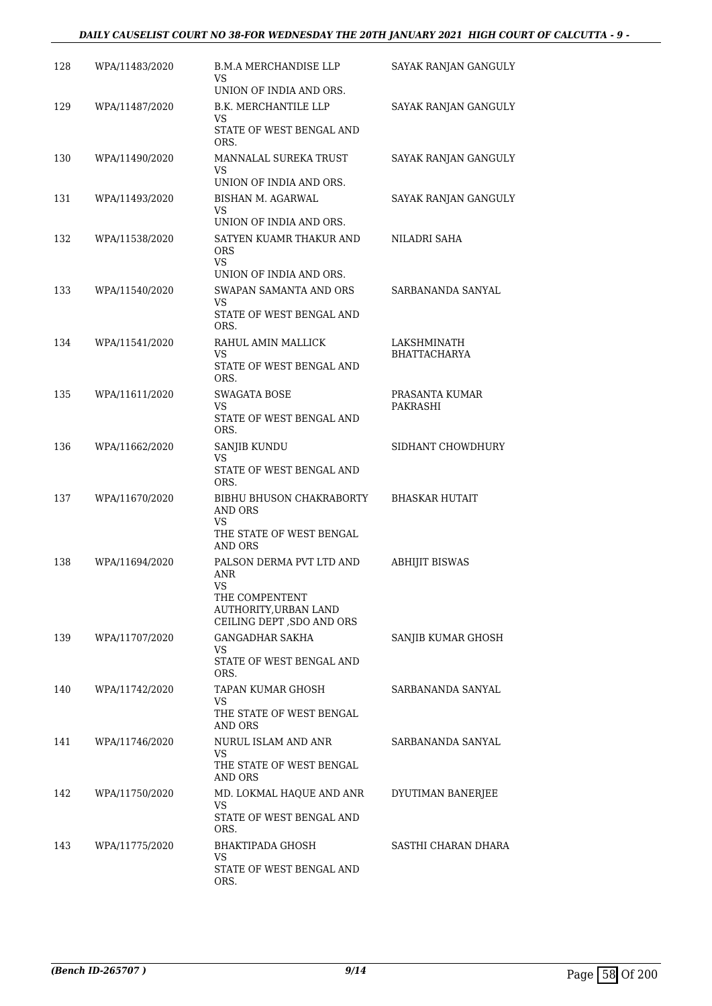### *DAILY CAUSELIST COURT NO 38-FOR WEDNESDAY THE 20TH JANUARY 2021 HIGH COURT OF CALCUTTA - 9 -*

| 128 | WPA/11483/2020 | <b>B.M.A MERCHANDISE LLP</b><br>VS<br>UNION OF INDIA AND ORS.                                                  | SAYAK RANJAN GANGULY        |
|-----|----------------|----------------------------------------------------------------------------------------------------------------|-----------------------------|
| 129 | WPA/11487/2020 | <b>B.K. MERCHANTILE LLP</b><br>VS.<br>STATE OF WEST BENGAL AND<br>ORS.                                         | SAYAK RANJAN GANGULY        |
| 130 | WPA/11490/2020 | MANNALAL SUREKA TRUST<br>VS<br>UNION OF INDIA AND ORS.                                                         | SAYAK RANJAN GANGULY        |
| 131 | WPA/11493/2020 | <b>BISHAN M. AGARWAL</b><br>VS<br>UNION OF INDIA AND ORS.                                                      | SAYAK RANJAN GANGULY        |
| 132 | WPA/11538/2020 | SATYEN KUAMR THAKUR AND<br><b>ORS</b><br><b>VS</b><br>UNION OF INDIA AND ORS.                                  | NILADRI SAHA                |
| 133 | WPA/11540/2020 | SWAPAN SAMANTA AND ORS<br>VS<br>STATE OF WEST BENGAL AND<br>ORS.                                               | SARBANANDA SANYAL           |
| 134 | WPA/11541/2020 | RAHUL AMIN MALLICK<br>VS<br>STATE OF WEST BENGAL AND<br>ORS.                                                   | LAKSHMINATH<br>BHATTACHARYA |
| 135 | WPA/11611/2020 | <b>SWAGATA BOSE</b><br>VS<br>STATE OF WEST BENGAL AND<br>ORS.                                                  | PRASANTA KUMAR<br>PAKRASHI  |
| 136 | WPA/11662/2020 | SANJIB KUNDU<br>VS<br>STATE OF WEST BENGAL AND<br>ORS.                                                         | SIDHANT CHOWDHURY           |
| 137 | WPA/11670/2020 | BIBHU BHUSON CHAKRABORTY<br>AND ORS<br>VS<br>THE STATE OF WEST BENGAL<br>AND ORS                               | <b>BHASKAR HUTAIT</b>       |
| 138 | WPA/11694/2020 | PALSON DERMA PVT LTD AND<br>ANR<br>VS<br>THE COMPENTENT<br>AUTHORITY, URBAN LAND<br>CEILING DEPT , SDO AND ORS | <b>ABHIJIT BISWAS</b>       |
| 139 | WPA/11707/2020 | <b>GANGADHAR SAKHA</b><br>VS.<br>STATE OF WEST BENGAL AND<br>ORS.                                              | SANJIB KUMAR GHOSH          |
| 140 | WPA/11742/2020 | TAPAN KUMAR GHOSH<br>VS<br>THE STATE OF WEST BENGAL<br>AND ORS                                                 | SARBANANDA SANYAL           |
| 141 | WPA/11746/2020 | NURUL ISLAM AND ANR<br>VS.<br>THE STATE OF WEST BENGAL<br>AND ORS                                              | SARBANANDA SANYAL           |
| 142 | WPA/11750/2020 | MD. LOKMAL HAQUE AND ANR<br>VS<br>STATE OF WEST BENGAL AND<br>ORS.                                             | DYUTIMAN BANERJEE           |
| 143 | WPA/11775/2020 | BHAKTIPADA GHOSH<br>VS<br>STATE OF WEST BENGAL AND<br>ORS.                                                     | SASTHI CHARAN DHARA         |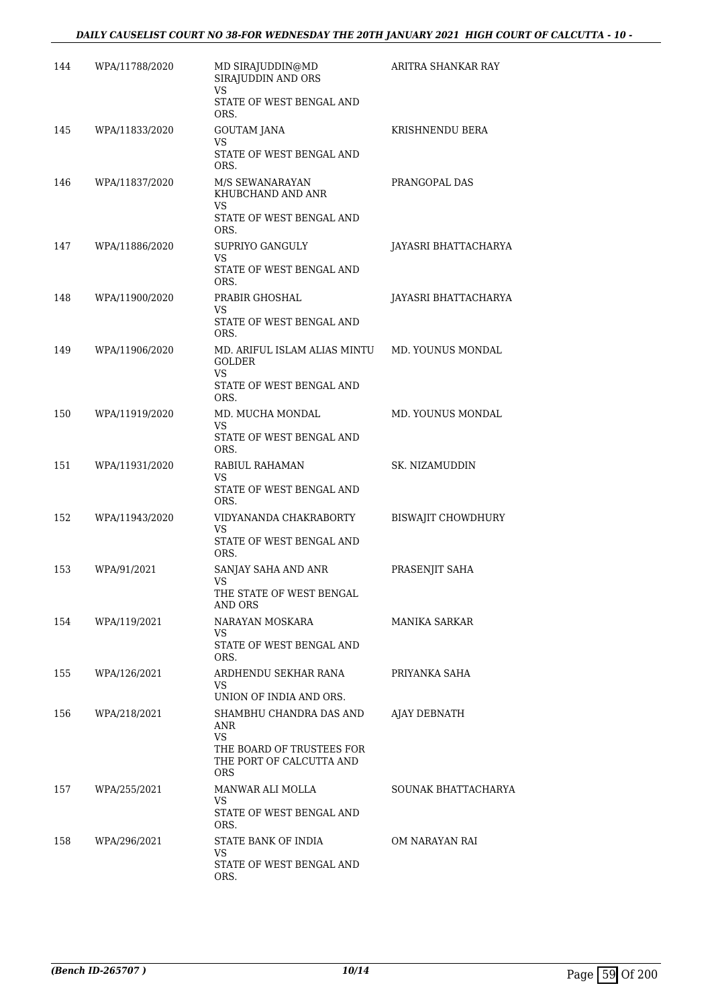| 144 | WPA/11788/2020   | MD SIRAJUDDIN@MD<br>SIRAJUDDIN AND ORS<br><b>VS</b>                                     | ARITRA SHANKAR RAY   |
|-----|------------------|-----------------------------------------------------------------------------------------|----------------------|
|     |                  | STATE OF WEST BENGAL AND<br>ORS.                                                        |                      |
| 145 | WPA/11833/2020   | GOUTAM JANA                                                                             | KRISHNENDU BERA      |
|     |                  | VS<br>STATE OF WEST BENGAL AND<br>ORS.                                                  |                      |
| 146 | WPA/11837/2020   | M/S SEWANARAYAN<br>KHUBCHAND AND ANR<br>VS<br>STATE OF WEST BENGAL AND<br>ORS.          | PRANGOPAL DAS        |
| 147 | WPA/11886/2020   | SUPRIYO GANGULY<br>VS<br>STATE OF WEST BENGAL AND<br>ORS.                               | JAYASRI BHATTACHARYA |
| 148 | WPA/11900/2020   | PRABIR GHOSHAL<br>VS<br>STATE OF WEST BENGAL AND<br>ORS.                                | JAYASRI BHATTACHARYA |
| 149 | WPA/11906/2020   | MD. ARIFUL ISLAM ALIAS MINTU<br><b>GOLDER</b><br>VS<br>STATE OF WEST BENGAL AND<br>ORS. | MD. YOUNUS MONDAL    |
| 150 | WPA/11919/2020   | MD. MUCHA MONDAL                                                                        | MD. YOUNUS MONDAL    |
|     |                  | VS.<br>STATE OF WEST BENGAL AND<br>ORS.                                                 |                      |
| 151 | WPA/11931/2020   | RABIUL RAHAMAN<br>VS<br>STATE OF WEST BENGAL AND                                        | SK. NIZAMUDDIN       |
|     |                  | ORS.                                                                                    |                      |
| 152 | WPA/11943/2020   | VIDYANANDA CHAKRABORTY<br>VS<br>STATE OF WEST BENGAL AND                                | BISWAJIT CHOWDHURY   |
| 153 | WPA/91/2021      | ORS.<br>SANJAY SAHA AND ANR<br>VS                                                       | PRASENJIT SAHA       |
|     |                  | THE STATE OF WEST BENGAL<br>AND ORS                                                     |                      |
|     | 154 WPA/119/2021 | NARAYAN MOSKARA<br><b>VS</b>                                                            | MANIKA SARKAR        |
|     |                  | STATE OF WEST BENGAL AND<br>ORS.                                                        |                      |
| 155 | WPA/126/2021     | ARDHENDU SEKHAR RANA<br>VS.<br>UNION OF INDIA AND ORS.                                  | PRIYANKA SAHA        |
| 156 | WPA/218/2021     | SHAMBHU CHANDRA DAS AND                                                                 | AJAY DEBNATH         |
|     |                  | ANR<br>VS<br>THE BOARD OF TRUSTEES FOR<br>THE PORT OF CALCUTTA AND<br><b>ORS</b>        |                      |
| 157 | WPA/255/2021     | MANWAR ALI MOLLA<br>VS.<br>STATE OF WEST BENGAL AND                                     | SOUNAK BHATTACHARYA  |
| 158 | WPA/296/2021     | ORS.<br>STATE BANK OF INDIA                                                             | OM NARAYAN RAI       |
|     |                  | VS.<br>STATE OF WEST BENGAL AND<br>ORS.                                                 |                      |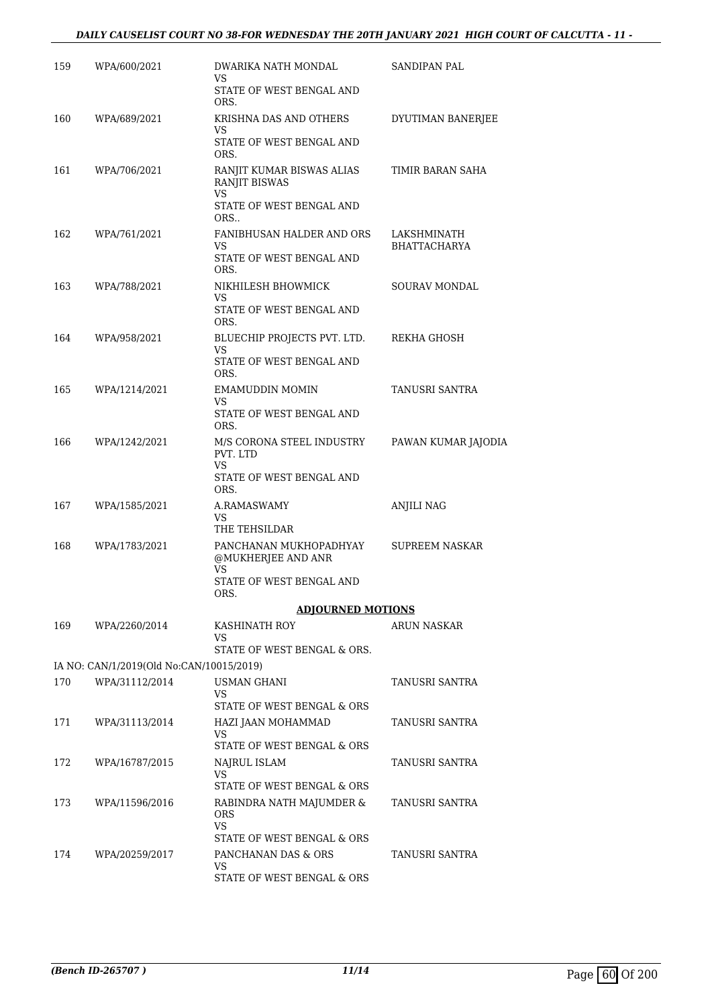### *DAILY CAUSELIST COURT NO 38-FOR WEDNESDAY THE 20TH JANUARY 2021 HIGH COURT OF CALCUTTA - 11 -*

| 159 | WPA/600/2021                             | DWARIKA NATH MONDAL<br>VS.                                                          | SANDIPAN PAL                       |
|-----|------------------------------------------|-------------------------------------------------------------------------------------|------------------------------------|
|     |                                          | STATE OF WEST BENGAL AND<br>ORS.                                                    |                                    |
| 160 | WPA/689/2021                             | KRISHNA DAS AND OTHERS<br>VS                                                        | DYUTIMAN BANERJEE                  |
|     |                                          | STATE OF WEST BENGAL AND<br>ORS.                                                    |                                    |
| 161 | WPA/706/2021                             | RANJIT KUMAR BISWAS ALIAS<br><b>RANJIT BISWAS</b><br>VS<br>STATE OF WEST BENGAL AND | TIMIR BARAN SAHA                   |
|     |                                          | ORS                                                                                 |                                    |
| 162 | WPA/761/2021                             | FANIBHUSAN HALDER AND ORS<br>VS<br>STATE OF WEST BENGAL AND<br>ORS.                 | LAKSHMINATH<br><b>BHATTACHARYA</b> |
| 163 | WPA/788/2021                             | NIKHILESH BHOWMICK                                                                  | <b>SOURAV MONDAL</b>               |
|     |                                          | VS.<br>STATE OF WEST BENGAL AND<br>ORS.                                             |                                    |
| 164 | WPA/958/2021                             | BLUECHIP PROJECTS PVT. LTD.                                                         | REKHA GHOSH                        |
|     |                                          | VS<br>STATE OF WEST BENGAL AND<br>ORS.                                              |                                    |
| 165 | WPA/1214/2021                            | <b>EMAMUDDIN MOMIN</b>                                                              | TANUSRI SANTRA                     |
|     |                                          | VS.<br>STATE OF WEST BENGAL AND<br>ORS.                                             |                                    |
| 166 | WPA/1242/2021                            | M/S CORONA STEEL INDUSTRY<br>PVT. LTD<br>VS                                         | PAWAN KUMAR JAJODIA                |
|     |                                          | STATE OF WEST BENGAL AND<br>ORS.                                                    |                                    |
| 167 | WPA/1585/2021                            | A.RAMASWAMY<br>VS.                                                                  | <b>ANJILI NAG</b>                  |
| 168 | WPA/1783/2021                            | THE TEHSILDAR<br>PANCHANAN MUKHOPADHYAY                                             | SUPREEM NASKAR                     |
|     |                                          | @MUKHERJEE AND ANR<br>VS                                                            |                                    |
|     |                                          | STATE OF WEST BENGAL AND<br>ORS.                                                    |                                    |
|     |                                          | <b>ADJOURNED MOTIONS</b>                                                            |                                    |
| 169 | WPA/2260/2014                            | KASHINATH ROY<br>VS.                                                                | <b>ARUN NASKAR</b>                 |
|     | IA NO: CAN/1/2019(Old No:CAN/10015/2019) | STATE OF WEST BENGAL & ORS.                                                         |                                    |
| 170 | WPA/31112/2014                           | USMAN GHANI                                                                         | TANUSRI SANTRA                     |
|     |                                          | VS.<br>STATE OF WEST BENGAL & ORS                                                   |                                    |
| 171 | WPA/31113/2014                           | HAZI JAAN MOHAMMAD                                                                  | TANUSRI SANTRA                     |
|     |                                          | VS.<br>STATE OF WEST BENGAL & ORS                                                   |                                    |
| 172 | WPA/16787/2015                           | NAJRUL ISLAM<br>VS                                                                  | TANUSRI SANTRA                     |
| 173 | WPA/11596/2016                           | STATE OF WEST BENGAL & ORS                                                          | TANUSRI SANTRA                     |
|     |                                          | RABINDRA NATH MAJUMDER &<br><b>ORS</b><br><b>VS</b>                                 |                                    |
| 174 | WPA/20259/2017                           | STATE OF WEST BENGAL & ORS<br>PANCHANAN DAS & ORS                                   | TANUSRI SANTRA                     |
|     |                                          | VS.<br>STATE OF WEST BENGAL & ORS                                                   |                                    |
|     |                                          |                                                                                     |                                    |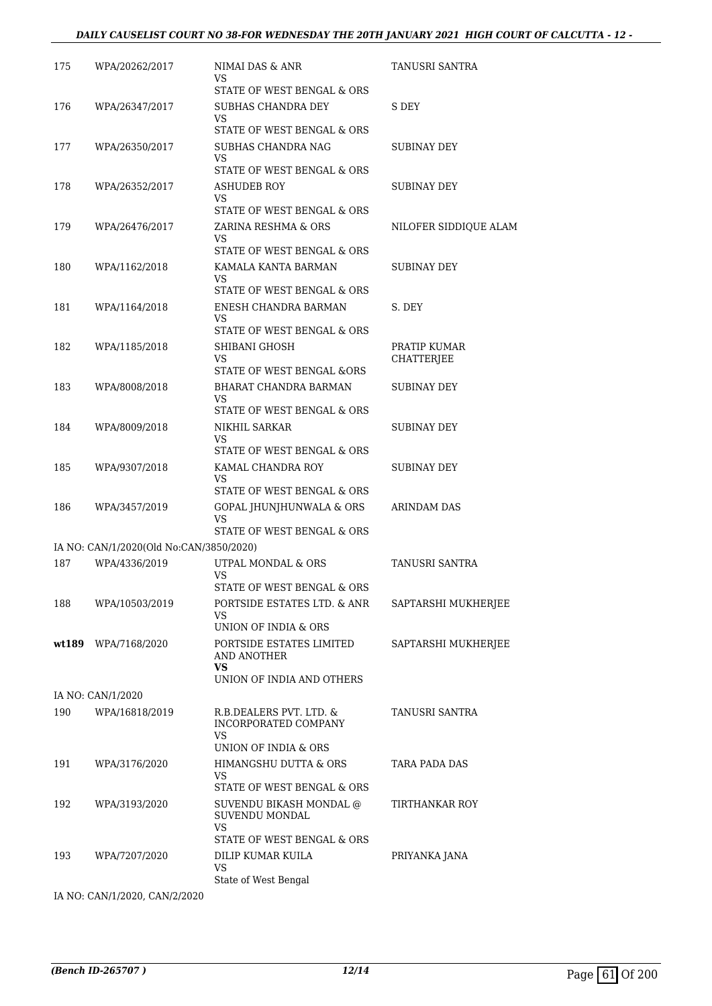#### *DAILY CAUSELIST COURT NO 38-FOR WEDNESDAY THE 20TH JANUARY 2021 HIGH COURT OF CALCUTTA - 12 -*

| 175 | WPA/20262/2017                          | NIMAI DAS & ANR<br>VS                                                                  | TANUSRI SANTRA             |
|-----|-----------------------------------------|----------------------------------------------------------------------------------------|----------------------------|
| 176 | WPA/26347/2017                          | STATE OF WEST BENGAL & ORS<br>SUBHAS CHANDRA DEY<br>VS                                 | S DEY                      |
| 177 | WPA/26350/2017                          | STATE OF WEST BENGAL & ORS<br>SUBHAS CHANDRA NAG<br>VS                                 | SUBINAY DEY                |
| 178 | WPA/26352/2017                          | STATE OF WEST BENGAL & ORS<br><b>ASHUDEB ROY</b><br>VS                                 | SUBINAY DEY                |
| 179 | WPA/26476/2017                          | STATE OF WEST BENGAL & ORS<br>ZARINA RESHMA & ORS<br>VS                                | NILOFER SIDDIOUE ALAM      |
| 180 | WPA/1162/2018                           | STATE OF WEST BENGAL & ORS<br>KAMALA KANTA BARMAN<br>VS                                | SUBINAY DEY                |
| 181 | WPA/1164/2018                           | STATE OF WEST BENGAL & ORS<br>ENESH CHANDRA BARMAN<br>VS                               | S. DEY                     |
| 182 | WPA/1185/2018                           | STATE OF WEST BENGAL & ORS<br>SHIBANI GHOSH<br>VS                                      | PRATIP KUMAR<br>CHATTERJEE |
| 183 | WPA/8008/2018                           | STATE OF WEST BENGAL &ORS<br>BHARAT CHANDRA BARMAN<br>VS<br>STATE OF WEST BENGAL & ORS | SUBINAY DEY                |
| 184 | WPA/8009/2018                           | NIKHIL SARKAR<br>VS<br>STATE OF WEST BENGAL & ORS                                      | SUBINAY DEY                |
| 185 | WPA/9307/2018                           | KAMAL CHANDRA ROY<br>VS<br>STATE OF WEST BENGAL & ORS                                  | SUBINAY DEY                |
| 186 | WPA/3457/2019                           | GOPAL JHUNJHUNWALA & ORS<br>VS<br>STATE OF WEST BENGAL & ORS                           | ARINDAM DAS                |
|     | IA NO: CAN/1/2020(Old No:CAN/3850/2020) |                                                                                        |                            |
| 187 | WPA/4336/2019                           | UTPAL MONDAL & ORS                                                                     | TANUSRI SANTRA             |
|     |                                         | VS<br>STATE OF WEST BENGAL & ORS                                                       |                            |
| 188 | WPA/10503/2019                          | PORTSIDE ESTATES LTD. & ANR<br>VS                                                      | SAPTARSHI MUKHERJEE        |
|     | wt189 WPA/7168/2020                     | UNION OF INDIA & ORS<br>PORTSIDE ESTATES LIMITED<br>AND ANOTHER<br>VS.                 | SAPTARSHI MUKHERJEE        |
|     |                                         | UNION OF INDIA AND OTHERS                                                              |                            |
|     | IA NO: CAN/1/2020                       |                                                                                        |                            |
| 190 | WPA/16818/2019                          | R.B.DEALERS PVT. LTD. &<br>INCORPORATED COMPANY<br>VS<br>UNION OF INDIA & ORS          | <b>TANUSRI SANTRA</b>      |
| 191 | WPA/3176/2020                           | HIMANGSHU DUTTA & ORS<br>VS<br>STATE OF WEST BENGAL & ORS                              | TARA PADA DAS              |
| 192 | WPA/3193/2020                           | SUVENDU BIKASH MONDAL @<br>SUVENDU MONDAL<br>VS.                                       | TIRTHANKAR ROY             |
| 193 | WPA/7207/2020                           | STATE OF WEST BENGAL & ORS<br>DILIP KUMAR KUILA<br>VS                                  | PRIYANKA JANA              |
|     | IA NO: CAN/1/2020, CAN/2/2020           | State of West Bengal                                                                   |                            |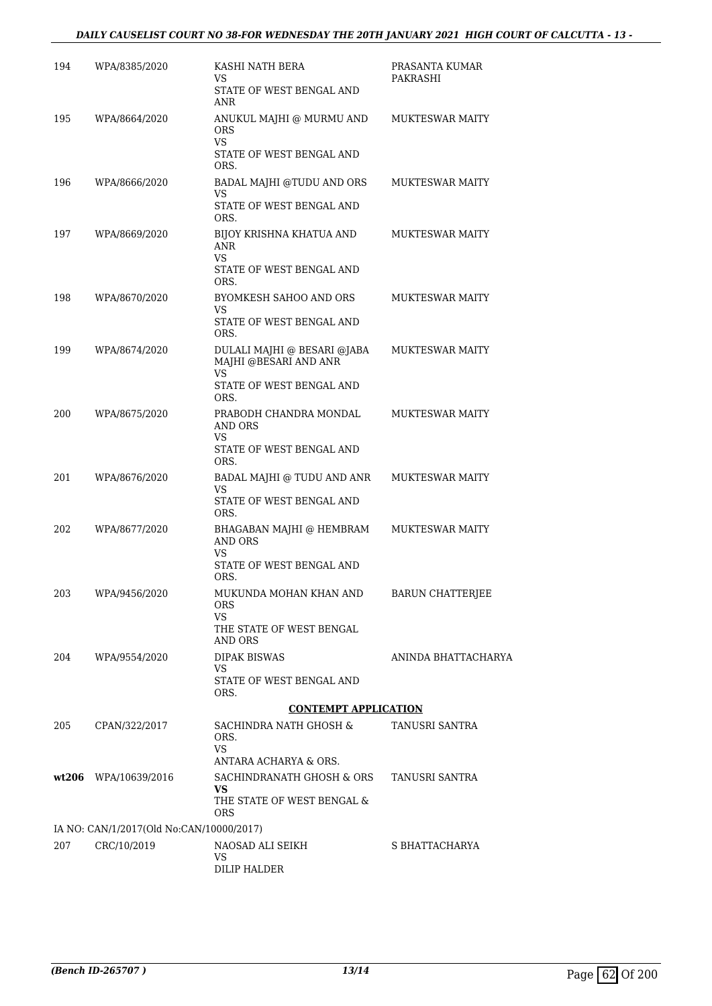### *DAILY CAUSELIST COURT NO 38-FOR WEDNESDAY THE 20TH JANUARY 2021 HIGH COURT OF CALCUTTA - 13 -*

| 194 | WPA/8385/2020                            | KASHI NATH BERA<br>VS<br>STATE OF WEST BENGAL AND<br><b>ANR</b>                                 | PRASANTA KUMAR<br>PAKRASHI |
|-----|------------------------------------------|-------------------------------------------------------------------------------------------------|----------------------------|
| 195 | WPA/8664/2020                            | ANUKUL MAJHI @ MURMU AND<br><b>ORS</b><br>VS<br>STATE OF WEST BENGAL AND<br>ORS.                | <b>MUKTESWAR MAITY</b>     |
| 196 | WPA/8666/2020                            | BADAL MAJHI @TUDU AND ORS<br>VS<br>STATE OF WEST BENGAL AND<br>ORS.                             | <b>MUKTESWAR MAITY</b>     |
| 197 | WPA/8669/2020                            | BIJOY KRISHNA KHATUA AND<br><b>ANR</b><br><b>VS</b><br>STATE OF WEST BENGAL AND<br>ORS.         | <b>MUKTESWAR MAITY</b>     |
| 198 | WPA/8670/2020                            | BYOMKESH SAHOO AND ORS<br>VS<br>STATE OF WEST BENGAL AND<br>ORS.                                | <b>MUKTESWAR MAITY</b>     |
| 199 | WPA/8674/2020                            | DULALI MAJHI @ BESARI @JABA<br>MAJHI @BESARI AND ANR<br>VS.<br>STATE OF WEST BENGAL AND<br>ORS. | <b>MUKTESWAR MAITY</b>     |
| 200 | WPA/8675/2020                            | PRABODH CHANDRA MONDAL<br>AND ORS<br>VS<br>STATE OF WEST BENGAL AND<br>ORS.                     | <b>MUKTESWAR MAITY</b>     |
| 201 | WPA/8676/2020                            | BADAL MAJHI @ TUDU AND ANR<br><b>VS</b><br>STATE OF WEST BENGAL AND<br>ORS.                     | <b>MUKTESWAR MAITY</b>     |
| 202 | WPA/8677/2020                            | BHAGABAN MAJHI @ HEMBRAM<br><b>AND ORS</b><br>VS<br>STATE OF WEST BENGAL AND<br>ORS.            | <b>MUKTESWAR MAITY</b>     |
| 203 | WPA/9456/2020                            | MUKUNDA MOHAN KHAN AND<br><b>ORS</b><br>VS.<br>THE STATE OF WEST BENGAL                         | BARUN CHATTERJEE           |
| 204 | WPA/9554/2020                            | AND ORS<br><b>DIPAK BISWAS</b><br>VS<br>STATE OF WEST BENGAL AND<br>ORS.                        | ANINDA BHATTACHARYA        |
|     |                                          | <b>CONTEMPT APPLICATION</b>                                                                     |                            |
| 205 | CPAN/322/2017                            | SACHINDRA NATH GHOSH &<br>ORS.<br><b>VS</b><br>ANTARA ACHARYA & ORS.                            | TANUSRI SANTRA             |
|     | wt206 WPA/10639/2016                     | SACHINDRANATH GHOSH & ORS<br>VS.<br>THE STATE OF WEST BENGAL &<br><b>ORS</b>                    | TANUSRI SANTRA             |
|     | IA NO: CAN/1/2017(Old No:CAN/10000/2017) |                                                                                                 |                            |
| 207 | CRC/10/2019                              | NAOSAD ALI SEIKH<br>VS.<br>DILIP HALDER                                                         | S BHATTACHARYA             |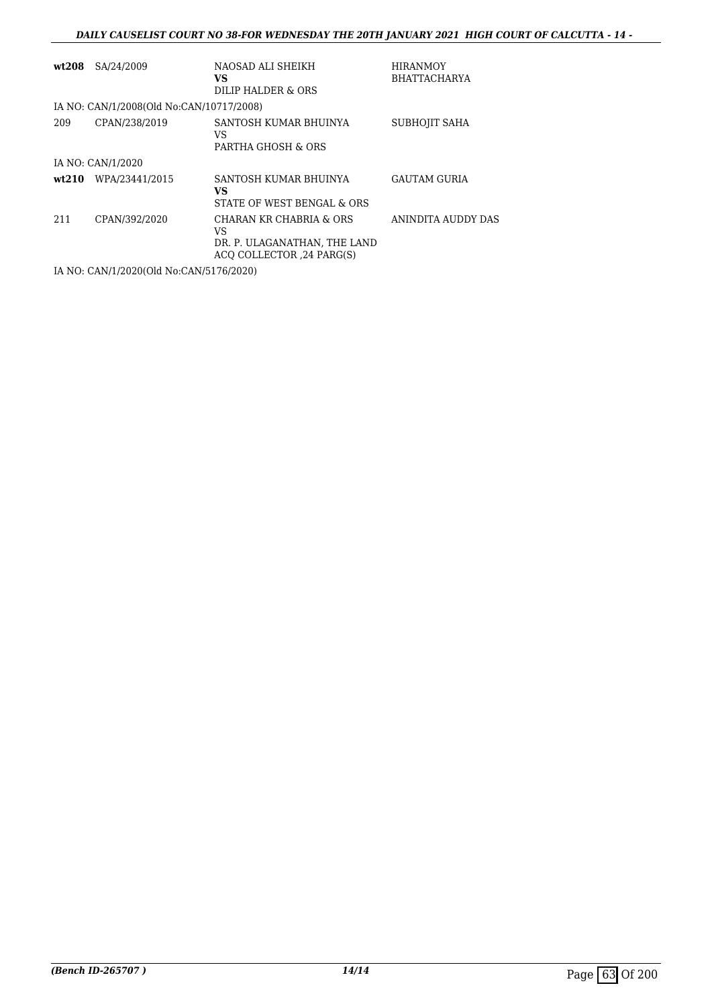### *DAILY CAUSELIST COURT NO 38-FOR WEDNESDAY THE 20TH JANUARY 2021 HIGH COURT OF CALCUTTA - 14 -*

| wt208 | SA/24/2009                               | NAOSAD ALI SHEIKH<br>VS<br>DILIP HALDER & ORS                                              | <b>HIRANMOY</b><br><b>BHATTACHARYA</b> |
|-------|------------------------------------------|--------------------------------------------------------------------------------------------|----------------------------------------|
|       | IA NO: CAN/1/2008(Old No:CAN/10717/2008) |                                                                                            |                                        |
| 209   | CPAN/238/2019                            | SANTOSH KUMAR BHUINYA<br>VS<br>PARTHA GHOSH & ORS                                          | SUBHOJIT SAHA                          |
|       | IA NO: CAN/1/2020                        |                                                                                            |                                        |
|       | wt210 WPA/23441/2015                     | SANTOSH KUMAR BHUINYA<br>VS<br>STATE OF WEST BENGAL & ORS                                  | <b>GAUTAM GURIA</b>                    |
| 211   | CPAN/392/2020                            | CHARAN KR CHABRIA & ORS<br>VS<br>DR. P. ULAGANATHAN, THE LAND<br>ACO COLLECTOR ,24 PARG(S) | ANINDITA AUDDY DAS                     |

IA NO: CAN/1/2020(Old No:CAN/5176/2020)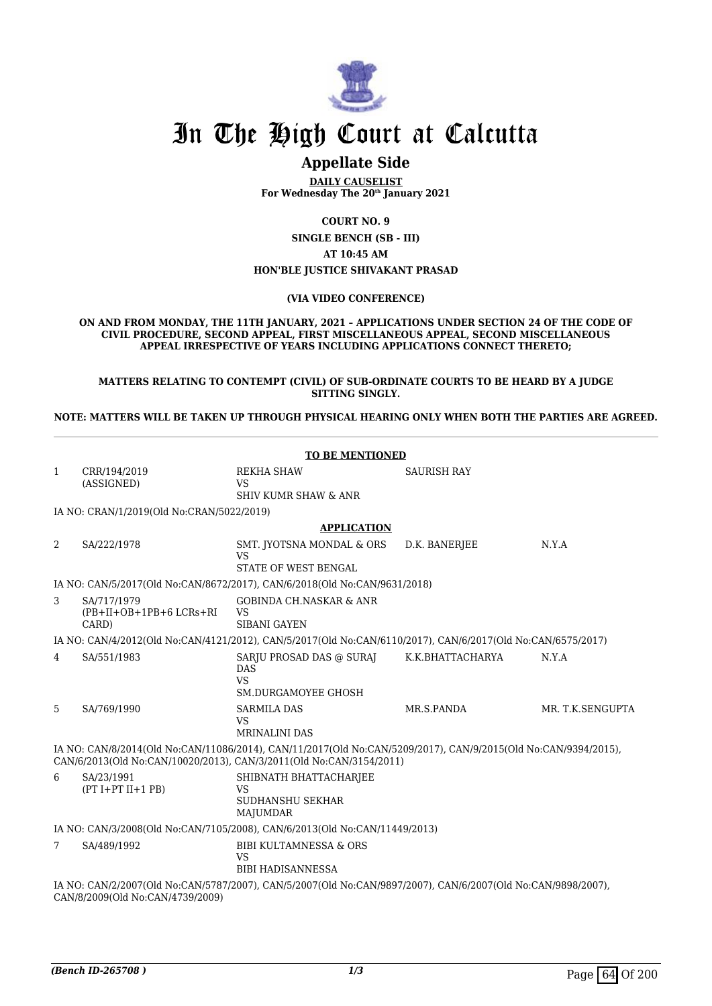

## **Appellate Side**

**DAILY CAUSELIST For Wednesday The 20th January 2021**

**COURT NO. 9**

**SINGLE BENCH (SB - III) AT 10:45 AM HON'BLE JUSTICE SHIVAKANT PRASAD**

#### **(VIA VIDEO CONFERENCE)**

**ON AND FROM MONDAY, THE 11TH JANUARY, 2021 – APPLICATIONS UNDER SECTION 24 OF THE CODE OF CIVIL PROCEDURE, SECOND APPEAL, FIRST MISCELLANEOUS APPEAL, SECOND MISCELLANEOUS APPEAL IRRESPECTIVE OF YEARS INCLUDING APPLICATIONS CONNECT THERETO;**

**MATTERS RELATING TO CONTEMPT (CIVIL) OF SUB-ORDINATE COURTS TO BE HEARD BY A JUDGE SITTING SINGLY.**

**NOTE: MATTERS WILL BE TAKEN UP THROUGH PHYSICAL HEARING ONLY WHEN BOTH THE PARTIES ARE AGREED.**

|                | <b>TO BE MENTIONED</b>                                                                                                                           |                                                                                                                                                                                       |                    |                  |  |
|----------------|--------------------------------------------------------------------------------------------------------------------------------------------------|---------------------------------------------------------------------------------------------------------------------------------------------------------------------------------------|--------------------|------------------|--|
| $\mathbf{1}$   | CRR/194/2019<br>(ASSIGNED)                                                                                                                       | <b>REKHA SHAW</b><br>VS                                                                                                                                                               | <b>SAURISH RAY</b> |                  |  |
|                |                                                                                                                                                  | <b>SHIV KUMR SHAW &amp; ANR</b>                                                                                                                                                       |                    |                  |  |
|                | IA NO: CRAN/1/2019(Old No:CRAN/5022/2019)                                                                                                        |                                                                                                                                                                                       |                    |                  |  |
|                |                                                                                                                                                  | <b>APPLICATION</b>                                                                                                                                                                    |                    |                  |  |
| 2              | SA/222/1978                                                                                                                                      | SMT. JYOTSNA MONDAL & ORS<br><b>VS</b><br><b>STATE OF WEST BENGAL</b>                                                                                                                 | D.K. BANERJEE      | N.Y.A            |  |
|                |                                                                                                                                                  | IA NO: CAN/5/2017(Old No:CAN/8672/2017), CAN/6/2018(Old No:CAN/9631/2018)                                                                                                             |                    |                  |  |
| 3              | SA/717/1979<br>$(PB+II+OB+1PB+6LCRs+RI$<br>CARD)                                                                                                 | <b>GOBINDA CH.NASKAR &amp; ANR</b><br><b>VS</b><br><b>SIBANI GAYEN</b>                                                                                                                |                    |                  |  |
|                |                                                                                                                                                  | IA NO: CAN/4/2012(Old No:CAN/4121/2012), CAN/5/2017(Old No:CAN/6110/2017), CAN/6/2017(Old No:CAN/6575/2017)                                                                           |                    |                  |  |
| $\overline{4}$ | SA/551/1983                                                                                                                                      | SARJU PROSAD DAS @ SURAJ<br><b>DAS</b><br><b>VS</b><br><b>SM.DURGAMOYEE GHOSH</b>                                                                                                     | K.K.BHATTACHARYA   | N.Y.A            |  |
| 5              | SA/769/1990                                                                                                                                      | <b>SARMILA DAS</b><br><b>VS</b><br><b>MRINALINI DAS</b>                                                                                                                               | MR.S.PANDA         | MR. T.K.SENGUPTA |  |
|                |                                                                                                                                                  | IA NO: CAN/8/2014(Old No:CAN/11086/2014), CAN/11/2017(Old No:CAN/5209/2017), CAN/9/2015(Old No:CAN/9394/2015),<br>CAN/6/2013(Old No:CAN/10020/2013), CAN/3/2011(Old No:CAN/3154/2011) |                    |                  |  |
| 6              | SA/23/1991<br>$(PT I+PT II+1 PB)$                                                                                                                | SHIBNATH BHATTACHARJEE<br><b>VS</b><br><b>SUDHANSHU SEKHAR</b><br>MAJUMDAR                                                                                                            |                    |                  |  |
|                | IA NO: CAN/3/2008(Old No:CAN/7105/2008), CAN/6/2013(Old No:CAN/11449/2013)                                                                       |                                                                                                                                                                                       |                    |                  |  |
| 7              | SA/489/1992                                                                                                                                      | <b>BIBI KULTAMNESSA &amp; ORS</b><br><b>VS</b><br><b>BIBI HADISANNESSA</b>                                                                                                            |                    |                  |  |
|                | IA NO: CAN/2/2007(Old No:CAN/5787/2007), CAN/5/2007(Old No:CAN/9897/2007), CAN/6/2007(Old No:CAN/9898/2007),<br>CAN/8/2009(Old No:CAN/4739/2009) |                                                                                                                                                                                       |                    |                  |  |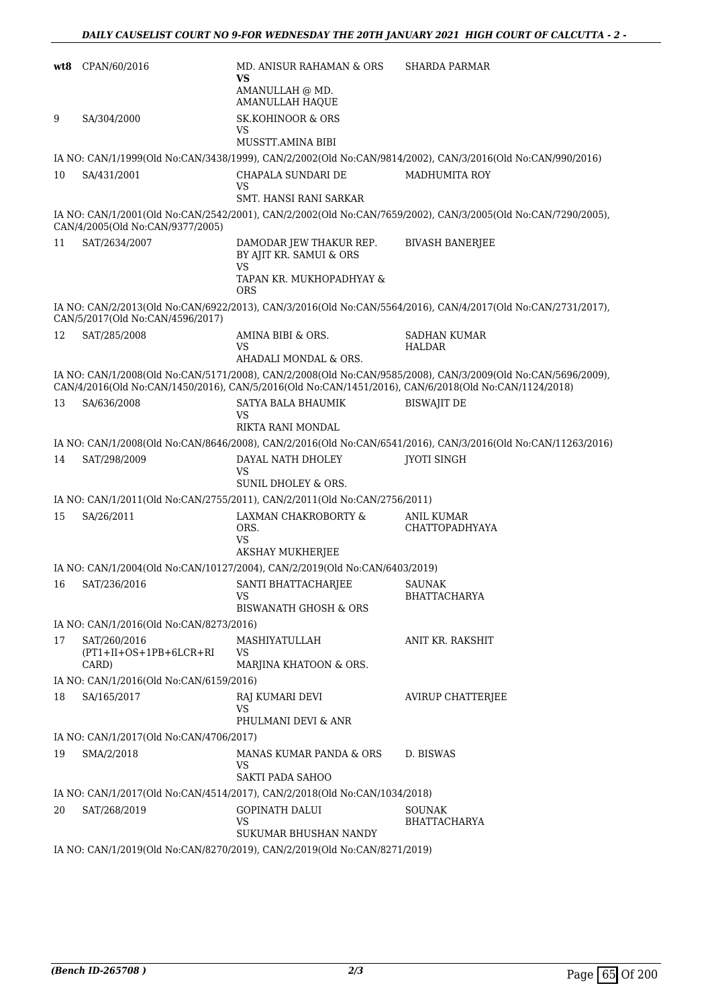| wt8 | CPAN/60/2016                                       | MD. ANISUR RAHAMAN & ORS<br>VS<br>AMANULLAH @ MD.<br><b>AMANULLAH HAQUE</b>                        | <b>SHARDA PARMAR</b>                                                                                                                                                                                                 |
|-----|----------------------------------------------------|----------------------------------------------------------------------------------------------------|----------------------------------------------------------------------------------------------------------------------------------------------------------------------------------------------------------------------|
| 9   | SA/304/2000                                        | <b>SK.KOHINOOR &amp; ORS</b><br>VS                                                                 |                                                                                                                                                                                                                      |
|     |                                                    | MUSSTT.AMINA BIBI                                                                                  |                                                                                                                                                                                                                      |
|     |                                                    |                                                                                                    | IA NO: CAN/1/1999(Old No:CAN/3438/1999), CAN/2/2002(Old No:CAN/9814/2002), CAN/3/2016(Old No:CAN/990/2016)                                                                                                           |
| 10  | SA/431/2001                                        | CHAPALA SUNDARI DE<br>VS<br>SMT. HANSI RANI SARKAR                                                 | <b>MADHUMITA ROY</b>                                                                                                                                                                                                 |
|     | CAN/4/2005(Old No:CAN/9377/2005)                   |                                                                                                    | IA NO: CAN/1/2001(Old No:CAN/2542/2001), CAN/2/2002(Old No:CAN/7659/2002), CAN/3/2005(Old No:CAN/7290/2005),                                                                                                         |
| 11  | SAT/2634/2007                                      | DAMODAR JEW THAKUR REP.<br>BY AJIT KR. SAMUI & ORS<br><b>VS</b>                                    | <b>BIVASH BANERJEE</b>                                                                                                                                                                                               |
|     |                                                    | TAPAN KR. MUKHOPADHYAY &<br><b>ORS</b>                                                             |                                                                                                                                                                                                                      |
|     | CAN/5/2017(Old No:CAN/4596/2017)                   |                                                                                                    | IA NO: CAN/2/2013(Old No:CAN/6922/2013), CAN/3/2016(Old No:CAN/5564/2016), CAN/4/2017(Old No:CAN/2731/2017),                                                                                                         |
| 12  | SAT/285/2008                                       | AMINA BIBI & ORS.<br>VS<br>AHADALI MONDAL & ORS.                                                   | <b>SADHAN KUMAR</b><br><b>HALDAR</b>                                                                                                                                                                                 |
|     |                                                    |                                                                                                    | IA NO: CAN/1/2008(Old No:CAN/5171/2008), CAN/2/2008(Old No:CAN/9585/2008), CAN/3/2009(Old No:CAN/5696/2009),<br>CAN/4/2016(Old No:CAN/1450/2016), CAN/5/2016(Old No:CAN/1451/2016), CAN/6/2018(Old No:CAN/1124/2018) |
| 13  | SA/636/2008                                        | SATYA BALA BHAUMIK<br>VS<br><b>RIKTA RANI MONDAL</b>                                               | <b>BISWAJIT DE</b>                                                                                                                                                                                                   |
|     |                                                    |                                                                                                    | IA NO: CAN/1/2008(Old No:CAN/8646/2008), CAN/2/2016(Old No:CAN/6541/2016), CAN/3/2016(Old No:CAN/11263/2016)                                                                                                         |
| 14  | SAT/298/2009                                       | DAYAL NATH DHOLEY                                                                                  | <b>JYOTI SINGH</b>                                                                                                                                                                                                   |
|     |                                                    | VS<br>SUNIL DHOLEY & ORS.                                                                          |                                                                                                                                                                                                                      |
|     |                                                    | IA NO: CAN/1/2011(Old No:CAN/2755/2011), CAN/2/2011(Old No:CAN/2756/2011)                          |                                                                                                                                                                                                                      |
| 15  | SA/26/2011                                         | LAXMAN CHAKROBORTY &<br>ORS.<br>VS                                                                 | ANIL KUMAR<br>CHATTOPADHYAYA                                                                                                                                                                                         |
|     |                                                    | AKSHAY MUKHERJEE                                                                                   |                                                                                                                                                                                                                      |
|     |                                                    | IA NO: CAN/1/2004(Old No:CAN/10127/2004), CAN/2/2019(Old No:CAN/6403/2019)                         |                                                                                                                                                                                                                      |
| 16  | SAT/236/2016                                       | SANTI BHATTACHARJEE<br>vs                                                                          | <b>SAUNAK</b><br><b>BHATTACHARYA</b>                                                                                                                                                                                 |
|     |                                                    | <b>BISWANATH GHOSH &amp; ORS</b>                                                                   |                                                                                                                                                                                                                      |
|     | IA NO: CAN/1/2016(Old No:CAN/8273/2016)            |                                                                                                    |                                                                                                                                                                                                                      |
| 17  | SAT/260/2016<br>$(PT1+II+OS+1PB+6LCR+RI)$<br>CARD) | MASHIYATULLAH<br>VS<br>MARJINA KHATOON & ORS.                                                      | ANIT KR. RAKSHIT                                                                                                                                                                                                     |
|     | IA NO: CAN/1/2016(Old No:CAN/6159/2016)            |                                                                                                    |                                                                                                                                                                                                                      |
| 18  | SA/165/2017                                        | RAJ KUMARI DEVI<br>VS                                                                              | AVIRUP CHATTERJEE                                                                                                                                                                                                    |
|     |                                                    | PHULMANI DEVI & ANR                                                                                |                                                                                                                                                                                                                      |
|     | IA NO: CAN/1/2017(Old No:CAN/4706/2017)            |                                                                                                    |                                                                                                                                                                                                                      |
| 19  | SMA/2/2018                                         | MANAS KUMAR PANDA & ORS<br>VS<br>SAKTI PADA SAHOO                                                  | D. BISWAS                                                                                                                                                                                                            |
|     |                                                    | IA NO: CAN/1/2017(Old No:CAN/4514/2017), CAN/2/2018(Old No:CAN/1034/2018)                          |                                                                                                                                                                                                                      |
| 20  | SAT/268/2019                                       | <b>GOPINATH DALUI</b><br><b>VS</b>                                                                 | SOUNAK<br>BHATTACHARYA                                                                                                                                                                                               |
|     |                                                    | SUKUMAR BHUSHAN NANDY<br>IA NO: CAN/1/2019(Old No:CAN/8270/2019), CAN/2/2019(Old No:CAN/8271/2019) |                                                                                                                                                                                                                      |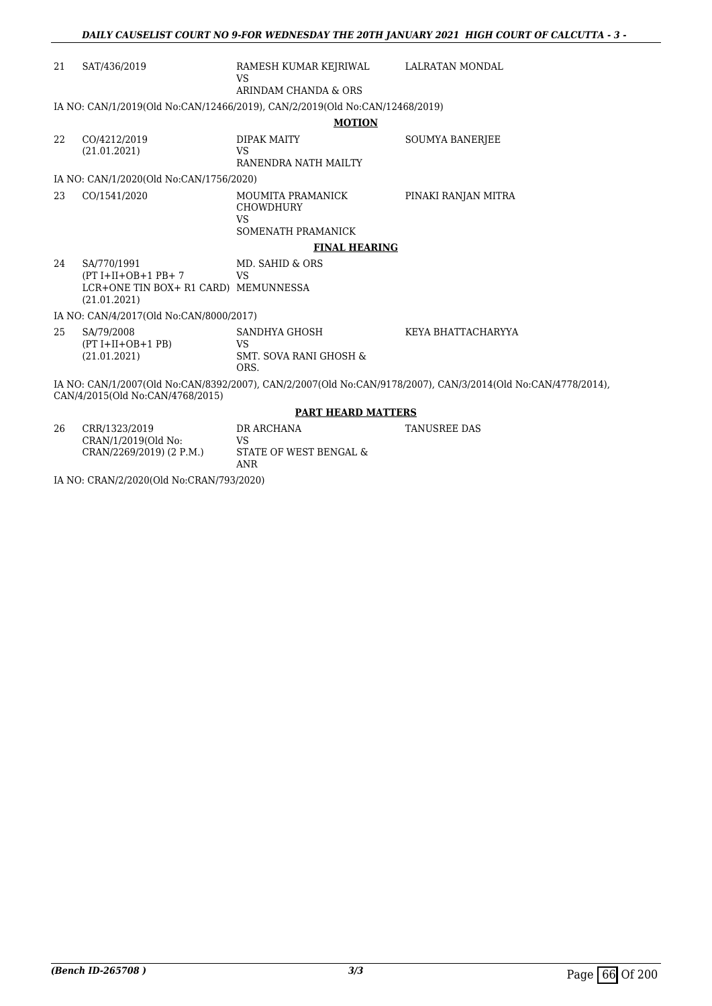| 21 | SAT/436/2019                                                                                | RAMESH KUMAR KEJRIWAL LALRATAN MONDAL<br>VS                                 |                                                                                                              |
|----|---------------------------------------------------------------------------------------------|-----------------------------------------------------------------------------|--------------------------------------------------------------------------------------------------------------|
|    |                                                                                             | ARINDAM CHANDA & ORS                                                        |                                                                                                              |
|    |                                                                                             | IA NO: CAN/1/2019(Old No:CAN/12466/2019), CAN/2/2019(Old No:CAN/12468/2019) |                                                                                                              |
|    |                                                                                             | <b>MOTION</b>                                                               |                                                                                                              |
| 22 | CO/4212/2019<br>(21.01.2021)                                                                | DIPAK MAITY<br><b>VS</b><br>RANENDRA NATH MAILTY                            | <b>SOUMYA BANERJEE</b>                                                                                       |
|    | IA NO: CAN/1/2020(Old No:CAN/1756/2020)                                                     |                                                                             |                                                                                                              |
| 23 | CO/1541/2020                                                                                | MOUMITA PRAMANICK<br><b>CHOWDHURY</b><br>VS<br>SOMENATH PRAMANICK           | PINAKI RANJAN MITRA                                                                                          |
|    |                                                                                             | <b>FINAL HEARING</b>                                                        |                                                                                                              |
| 24 | SA/770/1991<br>$(PT I+II+OB+1 PB+7$<br>LCR+ONE TIN BOX+ R1 CARD) MEMUNNESSA<br>(21.01.2021) | MD. SAHID & ORS<br><b>VS</b>                                                |                                                                                                              |
|    | IA NO: CAN/4/2017(Old No:CAN/8000/2017)                                                     |                                                                             |                                                                                                              |
| 25 | SA/79/2008<br>$(PT I+II+OB+1 PB)$<br>(21.01.2021)                                           | SANDHYA GHOSH<br><b>VS</b><br><b>SMT. SOVA RANI GHOSH &amp;</b><br>ORS.     | KEYA BHATTACHARYYA                                                                                           |
|    | CAN/4/2015(Old No:CAN/4768/2015)                                                            |                                                                             | IA NO: CAN/1/2007(Old No:CAN/8392/2007), CAN/2/2007(Old No:CAN/9178/2007), CAN/3/2014(Old No:CAN/4778/2014), |
|    |                                                                                             | <b>PART HEARD MATTERS</b>                                                   |                                                                                                              |
| 26 | CRR/1323/2019<br>CRAN/1/2019(Old No:                                                        | DR ARCHANA<br>VS                                                            | <b>TANUSREE DAS</b>                                                                                          |

CRAN/2269/2019) (2 P.M.) STATE OF WEST BENGAL & ANR

IA NO: CRAN/2/2020(Old No:CRAN/793/2020)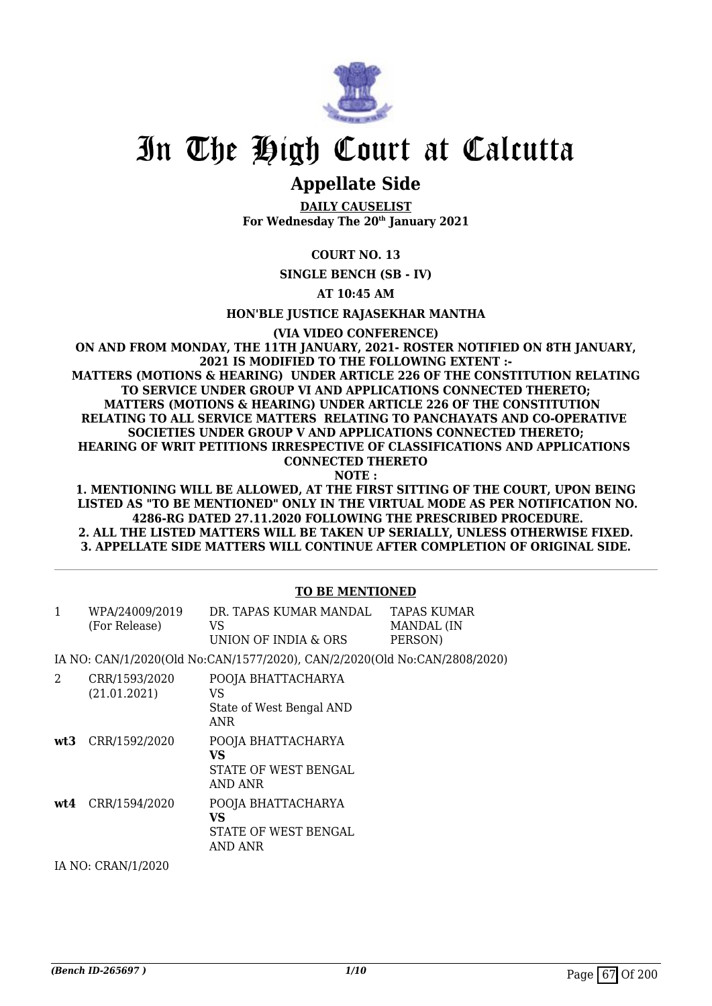

## **Appellate Side**

**DAILY CAUSELIST For Wednesday The 20th January 2021**

### **COURT NO. 13**

**SINGLE BENCH (SB - IV)**

**AT 10:45 AM**

**HON'BLE JUSTICE RAJASEKHAR MANTHA**

**(VIA VIDEO CONFERENCE)**

**ON AND FROM MONDAY, THE 11TH JANUARY, 2021- ROSTER NOTIFIED ON 8TH JANUARY, 2021 IS MODIFIED TO THE FOLLOWING EXTENT :- MATTERS (MOTIONS & HEARING) UNDER ARTICLE 226 OF THE CONSTITUTION RELATING TO SERVICE UNDER GROUP VI AND APPLICATIONS CONNECTED THERETO; MATTERS (MOTIONS & HEARING) UNDER ARTICLE 226 OF THE CONSTITUTION RELATING TO ALL SERVICE MATTERS RELATING TO PANCHAYATS AND CO-OPERATIVE SOCIETIES UNDER GROUP V AND APPLICATIONS CONNECTED THERETO; HEARING OF WRIT PETITIONS IRRESPECTIVE OF CLASSIFICATIONS AND APPLICATIONS CONNECTED THERETO**

**NOTE :**

**1. MENTIONING WILL BE ALLOWED, AT THE FIRST SITTING OF THE COURT, UPON BEING LISTED AS "TO BE MENTIONED" ONLY IN THE VIRTUAL MODE AS PER NOTIFICATION NO. 4286-RG DATED 27.11.2020 FOLLOWING THE PRESCRIBED PROCEDURE. 2. ALL THE LISTED MATTERS WILL BE TAKEN UP SERIALLY, UNLESS OTHERWISE FIXED. 3. APPELLATE SIDE MATTERS WILL CONTINUE AFTER COMPLETION OF ORIGINAL SIDE.**

### **TO BE MENTIONED**

| WPA/24009/2019<br>(For Release) | DR. TAPAS KUMAR MANDAL<br>VS.<br>UNION OF INDIA & ORS | TAPAS KUMAR<br>MANDAL (IN<br>PERSON) |
|---------------------------------|-------------------------------------------------------|--------------------------------------|
|                                 |                                                       |                                      |

IA NO: CAN/1/2020(Old No:CAN/1577/2020), CAN/2/2020(Old No:CAN/2808/2020)

2 CRR/1593/2020 (21.01.2021) POOJA BHATTACHARYA VS State of West Bengal AND ANR **wt3** CRR/1592/2020 POOJA BHATTACHARYA **VS** STATE OF WEST BENGAL AND ANR **wt4** CRR/1594/2020 POOJA BHATTACHARYA **VS** STATE OF WEST BENGAL AND ANR

IA NO: CRAN/1/2020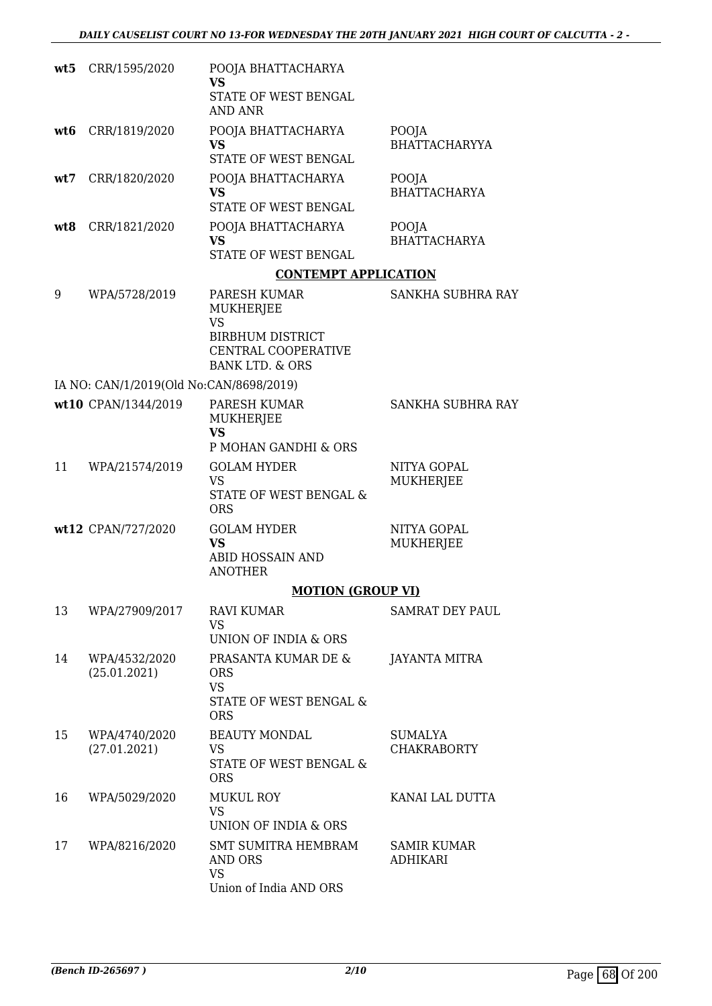| wt5 | CRR/1595/2020                           | POOJA BHATTACHARYA<br><b>VS</b><br>STATE OF WEST BENGAL<br><b>AND ANR</b>                                                     |                                       |
|-----|-----------------------------------------|-------------------------------------------------------------------------------------------------------------------------------|---------------------------------------|
| wt6 | CRR/1819/2020                           | POOJA BHATTACHARYA<br><b>VS</b><br>STATE OF WEST BENGAL                                                                       | POOJA<br><b>BHATTACHARYYA</b>         |
| wt7 | CRR/1820/2020                           | POOJA BHATTACHARYA<br><b>VS</b><br>STATE OF WEST BENGAL                                                                       | POOJA<br><b>BHATTACHARYA</b>          |
| wt8 | CRR/1821/2020                           | POOJA BHATTACHARYA<br>VS<br>STATE OF WEST BENGAL                                                                              | POOJA<br><b>BHATTACHARYA</b>          |
|     |                                         | <b>CONTEMPT APPLICATION</b>                                                                                                   |                                       |
| 9   | WPA/5728/2019                           | PARESH KUMAR<br><b>MUKHERJEE</b><br><b>VS</b><br><b>BIRBHUM DISTRICT</b><br>CENTRAL COOPERATIVE<br><b>BANK LTD. &amp; ORS</b> | SANKHA SUBHRA RAY                     |
|     | IA NO: CAN/1/2019(Old No:CAN/8698/2019) |                                                                                                                               |                                       |
|     | wt10 CPAN/1344/2019                     | PARESH KUMAR<br>MUKHERJEE<br><b>VS</b><br>P MOHAN GANDHI & ORS                                                                | SANKHA SUBHRA RAY                     |
| 11  | WPA/21574/2019                          | <b>GOLAM HYDER</b><br><b>VS</b><br>STATE OF WEST BENGAL &<br><b>ORS</b>                                                       | NITYA GOPAL<br>MUKHERJEE              |
|     | wt12 CPAN/727/2020                      | <b>GOLAM HYDER</b><br><b>VS</b><br>ABID HOSSAIN AND<br><b>ANOTHER</b>                                                         | NITYA GOPAL<br>MUKHERJEE              |
|     |                                         | <b>MOTION (GROUP VI)</b>                                                                                                      |                                       |
| 13  | WPA/27909/2017                          | <b>RAVI KUMAR</b><br><b>VS</b><br>UNION OF INDIA & ORS                                                                        | SAMRAT DEY PAUL                       |
| 14  | WPA/4532/2020<br>(25.01.2021)           | PRASANTA KUMAR DE &<br><b>ORS</b><br><b>VS</b><br>STATE OF WEST BENGAL &<br><b>ORS</b>                                        | <b>JAYANTA MITRA</b>                  |
| 15  | WPA/4740/2020<br>(27.01.2021)           | <b>BEAUTY MONDAL</b><br>VS<br>STATE OF WEST BENGAL &<br><b>ORS</b>                                                            | SUMALYA<br><b>CHAKRABORTY</b>         |
| 16  | WPA/5029/2020                           | MUKUL ROY<br><b>VS</b><br>UNION OF INDIA & ORS                                                                                | KANAI LAL DUTTA                       |
| 17  | WPA/8216/2020                           | <b>SMT SUMITRA HEMBRAM</b><br>AND ORS<br><b>VS</b><br>Union of India AND ORS                                                  | <b>SAMIR KUMAR</b><br><b>ADHIKARI</b> |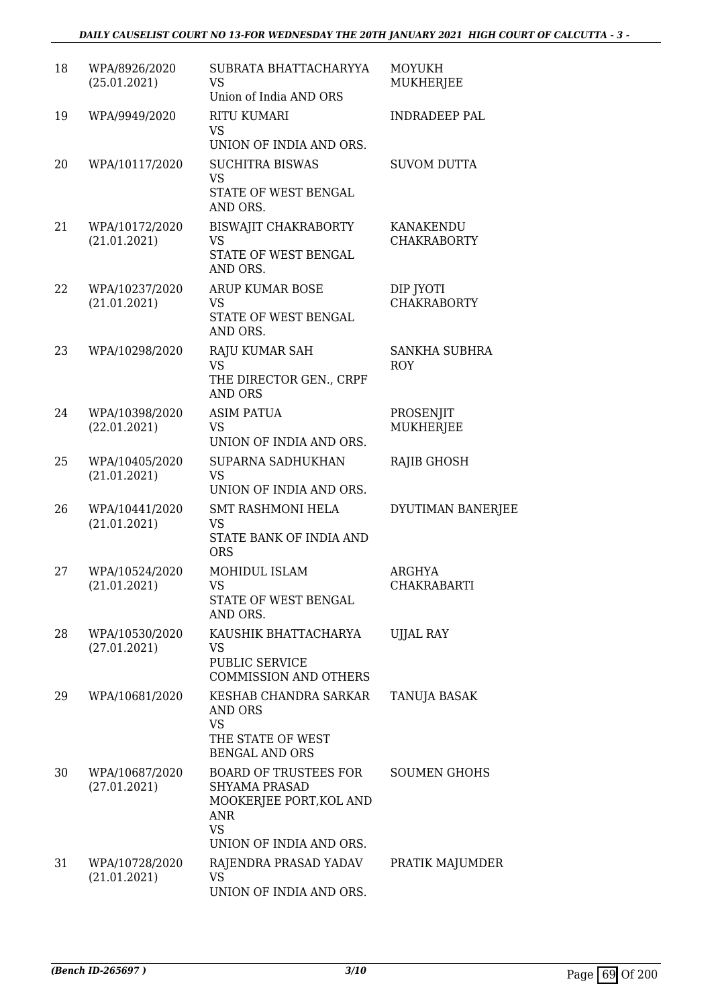### *DAILY CAUSELIST COURT NO 13-FOR WEDNESDAY THE 20TH JANUARY 2021 HIGH COURT OF CALCUTTA - 3 -*

| 18 | WPA/8926/2020<br>(25.01.2021)  | SUBRATA BHATTACHARYYA<br><b>VS</b><br>Union of India AND ORS                                               | <b>MOYUKH</b><br>MUKHERJEE         |
|----|--------------------------------|------------------------------------------------------------------------------------------------------------|------------------------------------|
| 19 | WPA/9949/2020                  | <b>RITU KUMARI</b><br><b>VS</b><br>UNION OF INDIA AND ORS.                                                 | <b>INDRADEEP PAL</b>               |
| 20 | WPA/10117/2020                 | <b>SUCHITRA BISWAS</b><br><b>VS</b><br>STATE OF WEST BENGAL<br>AND ORS.                                    | <b>SUVOM DUTTA</b>                 |
| 21 | WPA/10172/2020<br>(21.01.2021) | <b>BISWAJIT CHAKRABORTY</b><br><b>VS</b><br>STATE OF WEST BENGAL<br>AND ORS.                               | KANAKENDU<br><b>CHAKRABORTY</b>    |
| 22 | WPA/10237/2020<br>(21.01.2021) | ARUP KUMAR BOSE<br><b>VS</b><br>STATE OF WEST BENGAL<br>AND ORS.                                           | DIP JYOTI<br><b>CHAKRABORTY</b>    |
| 23 | WPA/10298/2020                 | RAJU KUMAR SAH<br><b>VS</b><br>THE DIRECTOR GEN., CRPF<br><b>AND ORS</b>                                   | <b>SANKHA SUBHRA</b><br><b>ROY</b> |
| 24 | WPA/10398/2020<br>(22.01.2021) | <b>ASIM PATUA</b><br><b>VS</b><br>UNION OF INDIA AND ORS.                                                  | PROSENJIT<br>MUKHERJEE             |
| 25 | WPA/10405/2020<br>(21.01.2021) | SUPARNA SADHUKHAN<br><b>VS</b><br>UNION OF INDIA AND ORS.                                                  | RAJIB GHOSH                        |
| 26 | WPA/10441/2020<br>(21.01.2021) | <b>SMT RASHMONI HELA</b><br><b>VS</b><br>STATE BANK OF INDIA AND<br><b>ORS</b>                             | DYUTIMAN BANERJEE                  |
| 27 | WPA/10524/2020<br>(21.01.2021) | MOHIDUL ISLAM<br><b>VS</b><br>STATE OF WEST BENGAL<br>AND ORS.                                             | ARGHYA<br><b>CHAKRABARTI</b>       |
| 28 | WPA/10530/2020<br>(27.01.2021) | KAUSHIK BHATTACHARYA<br>VS<br>PUBLIC SERVICE<br><b>COMMISSION AND OTHERS</b>                               | <b>UIJAL RAY</b>                   |
| 29 | WPA/10681/2020                 | KESHAB CHANDRA SARKAR<br>AND ORS<br><b>VS</b><br>THE STATE OF WEST<br><b>BENGAL AND ORS</b>                | TANUJA BASAK                       |
| 30 | WPA/10687/2020<br>(27.01.2021) | <b>BOARD OF TRUSTEES FOR</b><br><b>SHYAMA PRASAD</b><br>MOOKERJEE PORT, KOL AND<br><b>ANR</b><br><b>VS</b> | <b>SOUMEN GHOHS</b>                |
| 31 | WPA/10728/2020<br>(21.01.2021) | UNION OF INDIA AND ORS.<br>RAJENDRA PRASAD YADAV<br><b>VS</b><br>UNION OF INDIA AND ORS.                   | PRATIK MAJUMDER                    |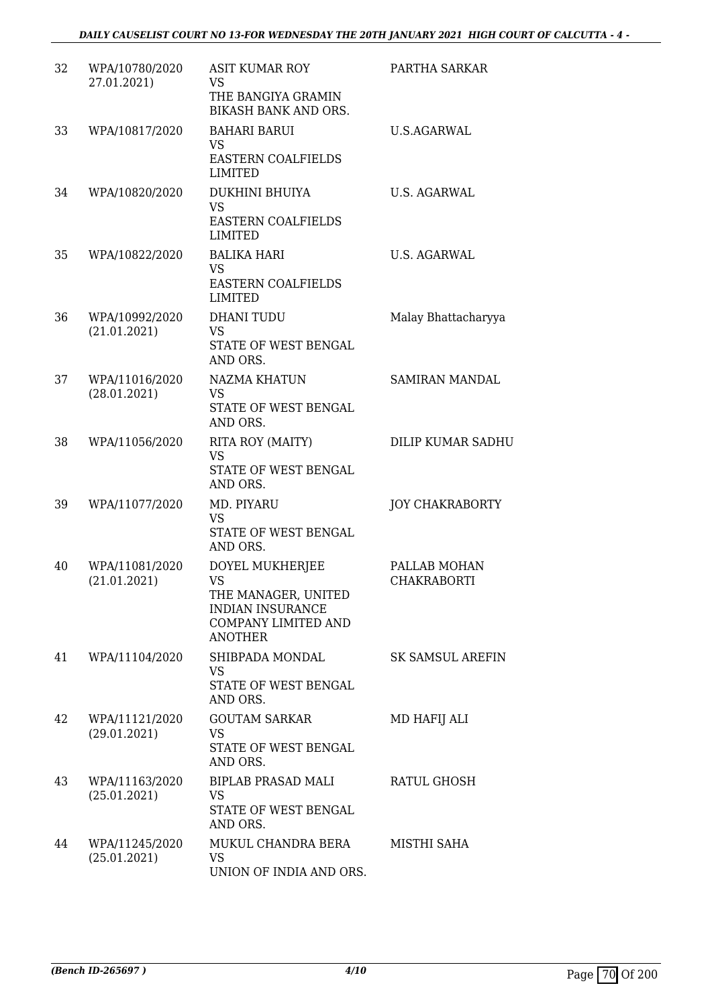| 32 | WPA/10780/2020<br>27.01.2021)  | <b>ASIT KUMAR ROY</b><br><b>VS</b><br>THE BANGIYA GRAMIN<br>BIKASH BANK AND ORS.                                               | PARTHA SARKAR                      |
|----|--------------------------------|--------------------------------------------------------------------------------------------------------------------------------|------------------------------------|
| 33 | WPA/10817/2020                 | <b>BAHARI BARUI</b><br>VS<br><b>EASTERN COALFIELDS</b><br><b>LIMITED</b>                                                       | <b>U.S.AGARWAL</b>                 |
| 34 | WPA/10820/2020                 | DUKHINI BHUIYA<br><b>VS</b><br>EASTERN COALFIELDS<br><b>LIMITED</b>                                                            | <b>U.S. AGARWAL</b>                |
| 35 | WPA/10822/2020                 | <b>BALIKA HARI</b><br><b>VS</b><br><b>EASTERN COALFIELDS</b><br>LIMITED                                                        | U.S. AGARWAL                       |
| 36 | WPA/10992/2020<br>(21.01.2021) | <b>DHANI TUDU</b><br><b>VS</b><br>STATE OF WEST BENGAL<br>AND ORS.                                                             | Malay Bhattacharyya                |
| 37 | WPA/11016/2020<br>(28.01.2021) | NAZMA KHATUN<br><b>VS</b><br>STATE OF WEST BENGAL<br>AND ORS.                                                                  | <b>SAMIRAN MANDAL</b>              |
| 38 | WPA/11056/2020                 | RITA ROY (MAITY)<br><b>VS</b><br>STATE OF WEST BENGAL<br>AND ORS.                                                              | <b>DILIP KUMAR SADHU</b>           |
| 39 | WPA/11077/2020                 | MD. PIYARU<br><b>VS</b><br>STATE OF WEST BENGAL<br>AND ORS.                                                                    | <b>JOY CHAKRABORTY</b>             |
| 40 | WPA/11081/2020<br>(21.01.2021) | DOYEL MUKHERJEE<br><b>VS</b><br>THE MANAGER, UNITED<br><b>INDIAN INSURANCE</b><br><b>COMPANY LIMITED AND</b><br><b>ANOTHER</b> | PALLAB MOHAN<br><b>CHAKRABORTI</b> |
| 41 | WPA/11104/2020                 | SHIBPADA MONDAL<br>VS<br>STATE OF WEST BENGAL<br>AND ORS.                                                                      | <b>SK SAMSUL AREFIN</b>            |
| 42 | WPA/11121/2020<br>(29.01.2021) | <b>GOUTAM SARKAR</b><br><b>VS</b><br>STATE OF WEST BENGAL<br>AND ORS.                                                          | MD HAFIJ ALI                       |
| 43 | WPA/11163/2020<br>(25.01.2021) | <b>BIPLAB PRASAD MALI</b><br>VS<br>STATE OF WEST BENGAL<br>AND ORS.                                                            | RATUL GHOSH                        |
| 44 | WPA/11245/2020<br>(25.01.2021) | MUKUL CHANDRA BERA<br><b>VS</b><br>UNION OF INDIA AND ORS.                                                                     | MISTHI SAHA                        |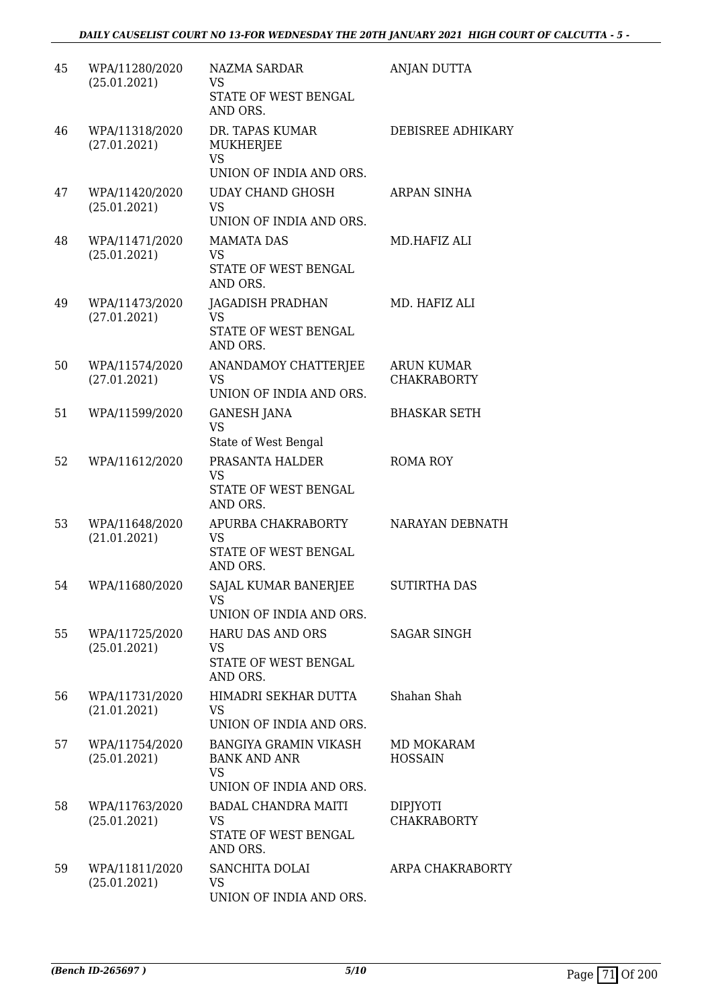| 45 | WPA/11280/2020<br>(25.01.2021) | NAZMA SARDAR<br>VS<br>STATE OF WEST BENGAL<br>AND ORS.                                      | ANJAN DUTTA                           |
|----|--------------------------------|---------------------------------------------------------------------------------------------|---------------------------------------|
| 46 | WPA/11318/2020<br>(27.01.2021) | DR. TAPAS KUMAR<br>MUKHERJEE<br><b>VS</b>                                                   | <b>DEBISREE ADHIKARY</b>              |
| 47 | WPA/11420/2020<br>(25.01.2021) | UNION OF INDIA AND ORS.<br><b>UDAY CHAND GHOSH</b><br><b>VS</b><br>UNION OF INDIA AND ORS.  | ARPAN SINHA                           |
| 48 | WPA/11471/2020<br>(25.01.2021) | <b>MAMATA DAS</b><br>VS<br>STATE OF WEST BENGAL<br>AND ORS.                                 | MD.HAFIZ ALI                          |
| 49 | WPA/11473/2020<br>(27.01.2021) | <b>JAGADISH PRADHAN</b><br>VS<br>STATE OF WEST BENGAL<br>AND ORS.                           | MD. HAFIZ ALI                         |
| 50 | WPA/11574/2020<br>(27.01.2021) | ANANDAMOY CHATTERJEE<br><b>VS</b><br>UNION OF INDIA AND ORS.                                | ARUN KUMAR<br><b>CHAKRABORTY</b>      |
| 51 | WPA/11599/2020                 | <b>GANESH JANA</b><br><b>VS</b><br>State of West Bengal                                     | <b>BHASKAR SETH</b>                   |
| 52 | WPA/11612/2020                 | PRASANTA HALDER<br><b>VS</b><br>STATE OF WEST BENGAL<br>AND ORS.                            | <b>ROMA ROY</b>                       |
| 53 | WPA/11648/2020<br>(21.01.2021) | APURBA CHAKRABORTY<br>VS<br>STATE OF WEST BENGAL<br>AND ORS.                                | NARAYAN DEBNATH                       |
| 54 | WPA/11680/2020                 | SAJAL KUMAR BANERJEE<br><b>VS</b><br>UNION OF INDIA AND ORS.                                | <b>SUTIRTHA DAS</b>                   |
| 55 | WPA/11725/2020<br>(25.01.2021) | <b>HARU DAS AND ORS</b><br>VS<br>STATE OF WEST BENGAL<br>AND ORS.                           | SAGAR SINGH                           |
| 56 | WPA/11731/2020<br>(21.01.2021) | HIMADRI SEKHAR DUTTA<br>VS<br>UNION OF INDIA AND ORS.                                       | Shahan Shah                           |
| 57 | WPA/11754/2020<br>(25.01.2021) | <b>BANGIYA GRAMIN VIKASH</b><br><b>BANK AND ANR</b><br><b>VS</b><br>UNION OF INDIA AND ORS. | MD MOKARAM<br><b>HOSSAIN</b>          |
| 58 | WPA/11763/2020<br>(25.01.2021) | <b>BADAL CHANDRA MAITI</b><br>VS<br>STATE OF WEST BENGAL<br>AND ORS.                        | <b>DIPJYOTI</b><br><b>CHAKRABORTY</b> |
| 59 | WPA/11811/2020<br>(25.01.2021) | SANCHITA DOLAI<br>VS<br>UNION OF INDIA AND ORS.                                             | ARPA CHAKRABORTY                      |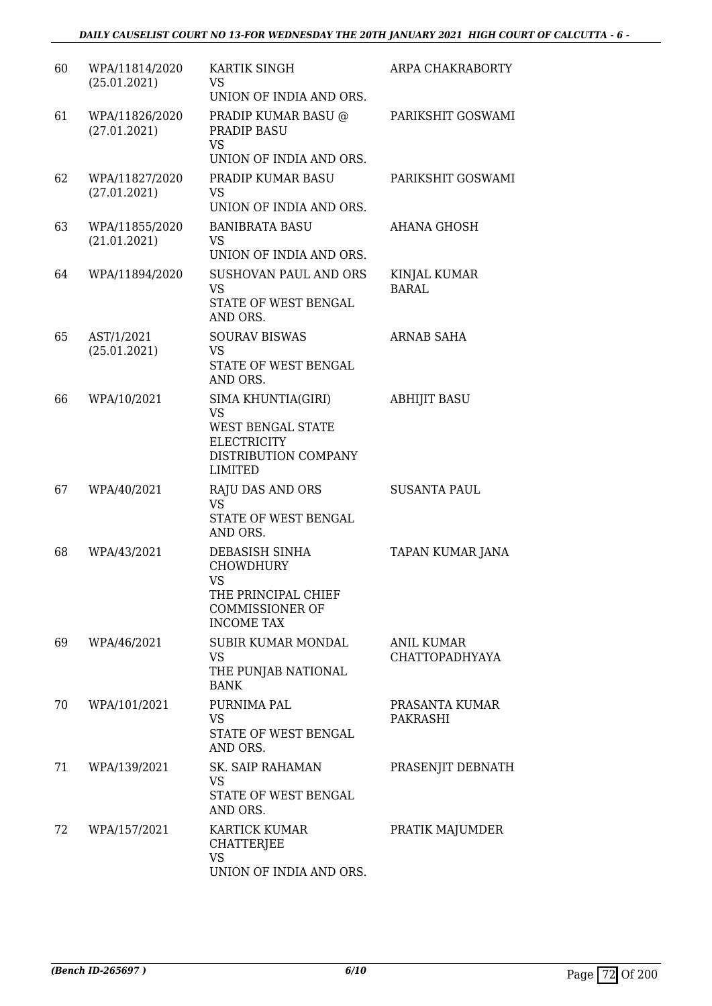| 60 | WPA/11814/2020<br>(25.01.2021) | KARTIK SINGH<br><b>VS</b><br>UNION OF INDIA AND ORS.                                                                        | ARPA CHAKRABORTY                    |
|----|--------------------------------|-----------------------------------------------------------------------------------------------------------------------------|-------------------------------------|
| 61 | WPA/11826/2020<br>(27.01.2021) | PRADIP KUMAR BASU @<br>PRADIP BASU<br><b>VS</b><br>UNION OF INDIA AND ORS.                                                  | PARIKSHIT GOSWAMI                   |
| 62 | WPA/11827/2020<br>(27.01.2021) | PRADIP KUMAR BASU<br><b>VS</b><br>UNION OF INDIA AND ORS.                                                                   | PARIKSHIT GOSWAMI                   |
| 63 | WPA/11855/2020<br>(21.01.2021) | <b>BANIBRATA BASU</b><br>VS<br>UNION OF INDIA AND ORS.                                                                      | AHANA GHOSH                         |
| 64 | WPA/11894/2020                 | SUSHOVAN PAUL AND ORS<br><b>VS</b><br>STATE OF WEST BENGAL<br>AND ORS.                                                      | KINJAL KUMAR<br><b>BARAL</b>        |
| 65 | AST/1/2021<br>(25.01.2021)     | <b>SOURAV BISWAS</b><br><b>VS</b><br>STATE OF WEST BENGAL<br>AND ORS.                                                       | ARNAB SAHA                          |
| 66 | WPA/10/2021                    | SIMA KHUNTIA(GIRI)<br><b>VS</b><br><b>WEST BENGAL STATE</b><br><b>ELECTRICITY</b><br>DISTRIBUTION COMPANY<br><b>LIMITED</b> | <b>ABHIJIT BASU</b>                 |
| 67 | WPA/40/2021                    | <b>RAJU DAS AND ORS</b><br><b>VS</b><br>STATE OF WEST BENGAL<br>AND ORS.                                                    | <b>SUSANTA PAUL</b>                 |
| 68 | WPA/43/2021                    | DEBASISH SINHA<br><b>CHOWDHURY</b><br>VS<br>THE PRINCIPAL CHIEF<br><b>COMMISSIONER OF</b><br><b>INCOME TAX</b>              | TAPAN KUMAR JANA                    |
| 69 | WPA/46/2021                    | <b>SUBIR KUMAR MONDAL</b><br><b>VS</b><br>THE PUNJAB NATIONAL<br><b>BANK</b>                                                | ANIL KUMAR<br><b>CHATTOPADHYAYA</b> |
| 70 | WPA/101/2021                   | PURNIMA PAL<br><b>VS</b><br>STATE OF WEST BENGAL<br>AND ORS.                                                                | PRASANTA KUMAR<br>PAKRASHI          |
| 71 | WPA/139/2021                   | <b>SK. SAIP RAHAMAN</b><br><b>VS</b><br>STATE OF WEST BENGAL<br>AND ORS.                                                    | PRASENJIT DEBNATH                   |
| 72 | WPA/157/2021                   | <b>KARTICK KUMAR</b><br><b>CHATTERJEE</b><br><b>VS</b><br>UNION OF INDIA AND ORS.                                           | PRATIK MAJUMDER                     |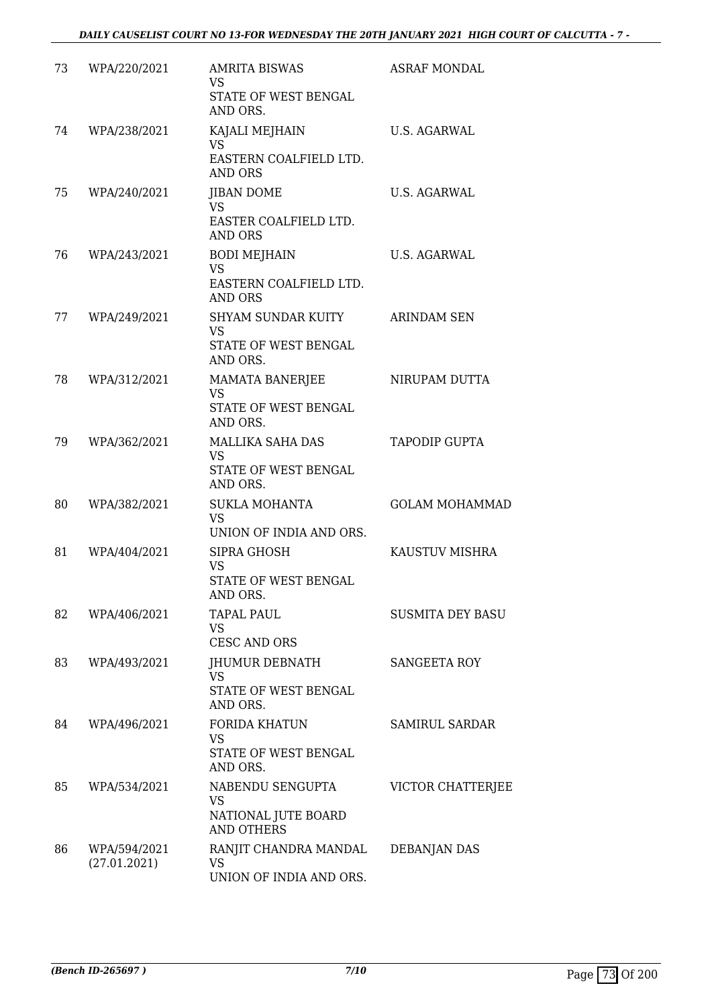| 73 | WPA/220/2021                 | <b>AMRITA BISWAS</b><br><b>VS</b><br>STATE OF WEST BENGAL<br>AND ORS.        | <b>ASRAF MONDAL</b>     |
|----|------------------------------|------------------------------------------------------------------------------|-------------------------|
| 74 | WPA/238/2021                 | KAJALI MEJHAIN<br><b>VS</b><br>EASTERN COALFIELD LTD.<br><b>AND ORS</b>      | <b>U.S. AGARWAL</b>     |
| 75 | WPA/240/2021                 | <b>JIBAN DOME</b><br><b>VS</b><br>EASTER COALFIELD LTD.<br><b>AND ORS</b>    | <b>U.S. AGARWAL</b>     |
| 76 | WPA/243/2021                 | <b>BODI MEJHAIN</b><br><b>VS</b><br>EASTERN COALFIELD LTD.<br><b>AND ORS</b> | U.S. AGARWAL            |
| 77 | WPA/249/2021                 | SHYAM SUNDAR KUITY<br><b>VS</b><br>STATE OF WEST BENGAL<br>AND ORS.          | <b>ARINDAM SEN</b>      |
| 78 | WPA/312/2021                 | <b>MAMATA BANERJEE</b><br><b>VS</b><br>STATE OF WEST BENGAL<br>AND ORS.      | NIRUPAM DUTTA           |
| 79 | WPA/362/2021                 | MALLIKA SAHA DAS<br>VS<br>STATE OF WEST BENGAL<br>AND ORS.                   | TAPODIP GUPTA           |
| 80 | WPA/382/2021                 | <b>SUKLA MOHANTA</b><br><b>VS</b><br>UNION OF INDIA AND ORS.                 | <b>GOLAM MOHAMMAD</b>   |
| 81 | WPA/404/2021                 | SIPRA GHOSH<br>VS<br>STATE OF WEST BENGAL<br>AND ORS.                        | KAUSTUV MISHRA          |
| 82 | WPA/406/2021                 | TAPAL PAUL<br><b>VS</b><br><b>CESC AND ORS</b>                               | <b>SUSMITA DEY BASU</b> |
| 83 | WPA/493/2021                 | JHUMUR DEBNATH<br><b>VS</b><br>STATE OF WEST BENGAL<br>AND ORS.              | <b>SANGEETA ROY</b>     |
| 84 | WPA/496/2021                 | <b>FORIDA KHATUN</b><br><b>VS</b><br>STATE OF WEST BENGAL<br>AND ORS.        | <b>SAMIRUL SARDAR</b>   |
| 85 | WPA/534/2021                 | NABENDU SENGUPTA<br><b>VS</b><br>NATIONAL JUTE BOARD<br><b>AND OTHERS</b>    | VICTOR CHATTERJEE       |
| 86 | WPA/594/2021<br>(27.01.2021) | RANJIT CHANDRA MANDAL<br>VS<br>UNION OF INDIA AND ORS.                       | DEBANJAN DAS            |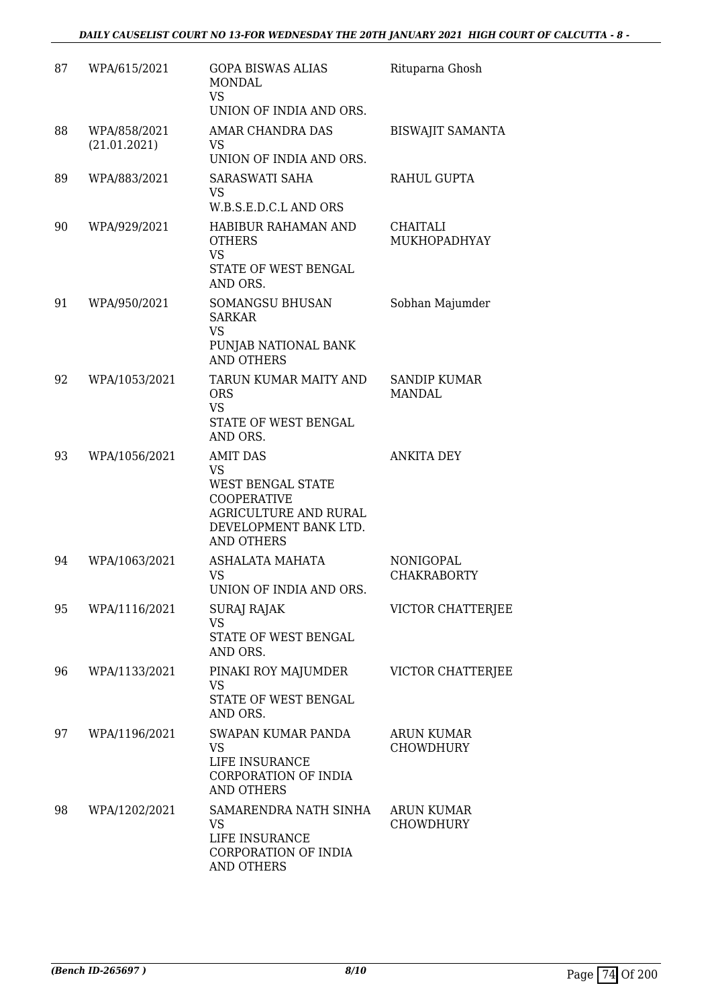| 87 | WPA/615/2021                 | <b>GOPA BISWAS ALIAS</b><br><b>MONDAL</b><br><b>VS</b><br>UNION OF INDIA AND ORS.                                                                     | Rituparna Ghosh                       |
|----|------------------------------|-------------------------------------------------------------------------------------------------------------------------------------------------------|---------------------------------------|
| 88 | WPA/858/2021<br>(21.01.2021) | <b>AMAR CHANDRA DAS</b><br>VS.<br>UNION OF INDIA AND ORS.                                                                                             | <b>BISWAJIT SAMANTA</b>               |
| 89 | WPA/883/2021                 | SARASWATI SAHA<br>VS<br>W.B.S.E.D.C.L AND ORS                                                                                                         | RAHUL GUPTA                           |
| 90 | WPA/929/2021                 | HABIBUR RAHAMAN AND<br><b>OTHERS</b><br><b>VS</b><br>STATE OF WEST BENGAL<br>AND ORS.                                                                 | CHAITALI<br>MUKHOPADHYAY              |
| 91 | WPA/950/2021                 | <b>SOMANGSU BHUSAN</b><br><b>SARKAR</b><br><b>VS</b><br>PUNJAB NATIONAL BANK<br><b>AND OTHERS</b>                                                     | Sobhan Majumder                       |
| 92 | WPA/1053/2021                | TARUN KUMAR MAITY AND<br><b>ORS</b><br><b>VS</b><br>STATE OF WEST BENGAL<br>AND ORS.                                                                  | SANDIP KUMAR<br>MANDAL                |
| 93 | WPA/1056/2021                | <b>AMIT DAS</b><br><b>VS</b><br>WEST BENGAL STATE<br><b>COOPERATIVE</b><br><b>AGRICULTURE AND RURAL</b><br>DEVELOPMENT BANK LTD.<br><b>AND OTHERS</b> | <b>ANKITA DEY</b>                     |
| 94 | WPA/1063/2021                | ASHALATA MAHATA<br><b>VS</b><br>UNION OF INDIA AND ORS.                                                                                               | NONIGOPAL<br><b>CHAKRABORTY</b>       |
| 95 | WPA/1116/2021                | <b>SURAJ RAJAK</b><br><b>VS</b><br>STATE OF WEST BENGAL<br>AND ORS.                                                                                   | VICTOR CHATTERJEE                     |
| 96 | WPA/1133/2021                | PINAKI ROY MAJUMDER<br><b>VS</b><br>STATE OF WEST BENGAL<br>AND ORS.                                                                                  | <b>VICTOR CHATTERJEE</b>              |
| 97 | WPA/1196/2021                | SWAPAN KUMAR PANDA<br><b>VS</b><br>LIFE INSURANCE<br>CORPORATION OF INDIA<br><b>AND OTHERS</b>                                                        | <b>ARUN KUMAR</b><br><b>CHOWDHURY</b> |
| 98 | WPA/1202/2021                | SAMARENDRA NATH SINHA<br><b>VS</b><br>LIFE INSURANCE<br>CORPORATION OF INDIA<br><b>AND OTHERS</b>                                                     | <b>ARUN KUMAR</b><br><b>CHOWDHURY</b> |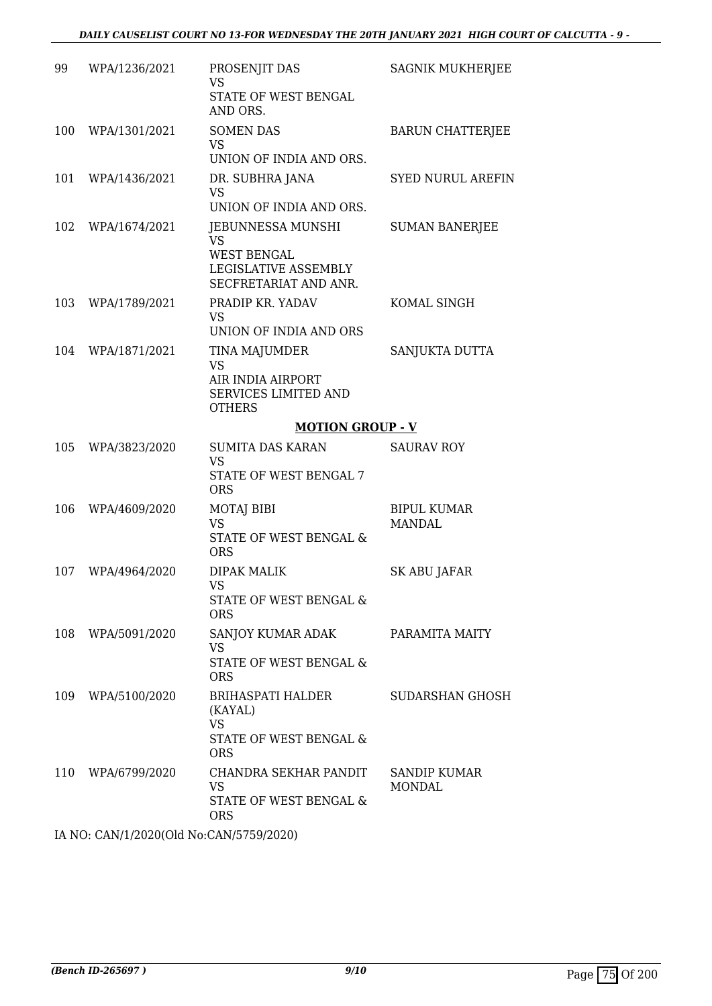| 99  | WPA/1236/2021     | PROSENJIT DAS<br><b>VS</b><br>STATE OF WEST BENGAL<br>AND ORS.                                 | <b>SAGNIK MUKHERJEE</b>      |
|-----|-------------------|------------------------------------------------------------------------------------------------|------------------------------|
| 100 | WPA/1301/2021     | <b>SOMEN DAS</b><br>VS<br>UNION OF INDIA AND ORS.                                              | <b>BARUN CHATTERJEE</b>      |
| 101 | WPA/1436/2021     | DR. SUBHRA JANA<br>VS<br>UNION OF INDIA AND ORS.                                               | <b>SYED NURUL AREFIN</b>     |
| 102 | WPA/1674/2021     | JEBUNNESSA MUNSHI<br>VS<br><b>WEST BENGAL</b><br>LEGISLATIVE ASSEMBLY<br>SECFRETARIAT AND ANR. | <b>SUMAN BANERJEE</b>        |
| 103 | WPA/1789/2021     | PRADIP KR. YADAV<br><b>VS</b><br>UNION OF INDIA AND ORS                                        | KOMAL SINGH                  |
|     | 104 WPA/1871/2021 | TINA MAJUMDER<br>VS<br>AIR INDIA AIRPORT<br><b>SERVICES LIMITED AND</b><br><b>OTHERS</b>       | SANJUKTA DUTTA               |
|     |                   | <b>MOTION GROUP - V</b>                                                                        |                              |
| 105 | WPA/3823/2020     | <b>SUMITA DAS KARAN</b><br><b>VS</b><br>STATE OF WEST BENGAL 7<br><b>ORS</b>                   | <b>SAURAV ROY</b>            |
| 106 | WPA/4609/2020     | MOTAJ BIBI<br><b>VS</b><br>STATE OF WEST BENGAL &                                              | <b>BIPUL KUMAR</b><br>MANDAL |
|     |                   | <b>ORS</b>                                                                                     |                              |
| 107 | WPA/4964/2020     | <b>DIPAK MALIK</b><br>VS<br>STATE OF WEST BENGAL &<br><b>ORS</b>                               | SK ABU JAFAR                 |
|     | 108 WPA/5091/2020 | SANJOY KUMAR ADAK<br>VS<br>STATE OF WEST BENGAL &<br><b>ORS</b>                                | PARAMITA MAITY               |
| 109 | WPA/5100/2020     | BRIHASPATI HALDER<br>(KAYAL)<br><b>VS</b><br>STATE OF WEST BENGAL &<br><b>ORS</b>              | SUDARSHAN GHOSH              |

IA NO: CAN/1/2020(Old No:CAN/5759/2020)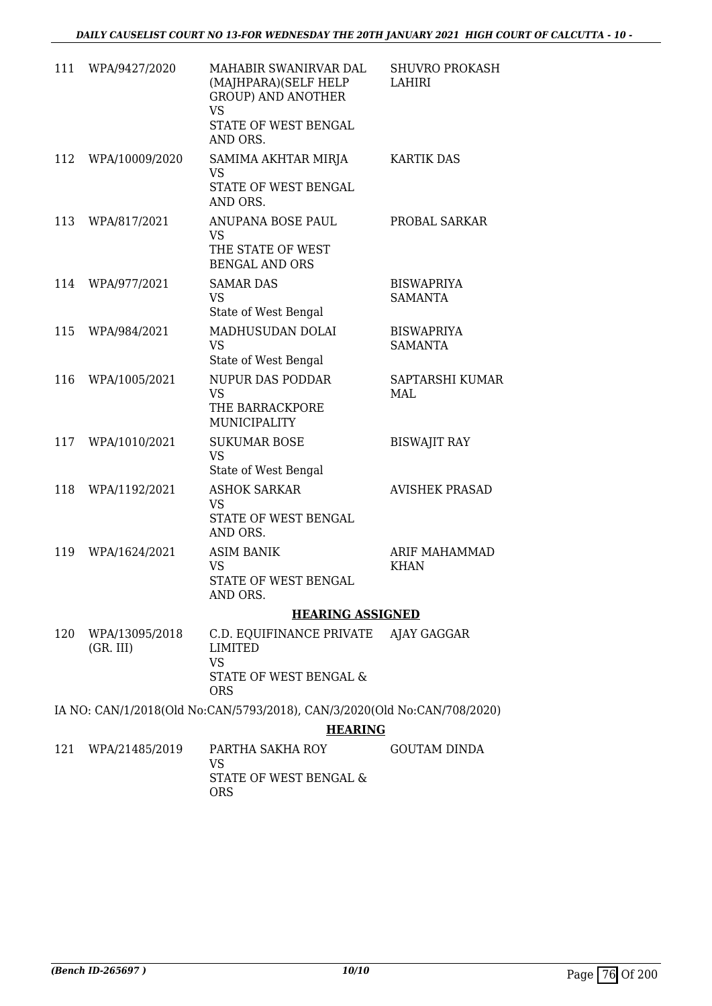| 111 | WPA/9427/2020               | MAHABIR SWANIRVAR DAL<br>(MAJHPARA)(SELF HELP<br><b>GROUP) AND ANOTHER</b><br>VS | SHUVRO PROKASH<br>LAHIRI            |
|-----|-----------------------------|----------------------------------------------------------------------------------|-------------------------------------|
|     |                             | STATE OF WEST BENGAL<br>AND ORS.                                                 |                                     |
| 112 | WPA/10009/2020              | SAMIMA AKHTAR MIRJA<br><b>VS</b>                                                 | <b>KARTIK DAS</b>                   |
|     |                             | STATE OF WEST BENGAL<br>AND ORS.                                                 |                                     |
| 113 | WPA/817/2021                | ANUPANA BOSE PAUL<br><b>VS</b><br>THE STATE OF WEST<br><b>BENGAL AND ORS</b>     | PROBAL SARKAR                       |
| 114 | WPA/977/2021                | <b>SAMAR DAS</b>                                                                 | <b>BISWAPRIYA</b>                   |
|     |                             | VS<br>State of West Bengal                                                       | <b>SAMANTA</b>                      |
| 115 | WPA/984/2021                | MADHUSUDAN DOLAI<br><b>VS</b><br>State of West Bengal                            | <b>BISWAPRIYA</b><br><b>SAMANTA</b> |
| 116 | WPA/1005/2021               | <b>NUPUR DAS PODDAR</b><br><b>VS</b><br>THE BARRACKPORE<br>MUNICIPALITY          | SAPTARSHI KUMAR<br>MAL              |
| 117 | WPA/1010/2021               | <b>SUKUMAR BOSE</b><br><b>VS</b><br>State of West Bengal                         | <b>BISWAJIT RAY</b>                 |
| 118 | WPA/1192/2021               | <b>ASHOK SARKAR</b><br><b>VS</b><br>STATE OF WEST BENGAL<br>AND ORS.             | <b>AVISHEK PRASAD</b>               |
| 119 | WPA/1624/2021               | <b>ASIM BANIK</b><br>VS                                                          | ARIF MAHAMMAD<br><b>KHAN</b>        |
|     |                             | STATE OF WEST BENGAL<br>AND ORS.                                                 |                                     |
|     |                             | <b>HEARING ASSIGNED</b>                                                          |                                     |
| 120 | WPA/13095/2018<br>(GR. III) | C.D. EQUIFINANCE PRIVATE AJAY GAGGAR<br><b>LIMITED</b><br><b>VS</b>              |                                     |
|     |                             | STATE OF WEST BENGAL &<br><b>ORS</b>                                             |                                     |
|     |                             | IA NO: CAN/1/2018(Old No:CAN/5793/2018), CAN/3/2020(Old No:CAN/708/2020)         |                                     |
|     |                             | <b>HEARING</b>                                                                   |                                     |
| 121 | WPA/21485/2019              | PARTHA SAKHA ROY<br>VS                                                           | <b>GOUTAM DINDA</b>                 |
|     |                             | STATE OF WEST BENGAL &                                                           |                                     |

ORS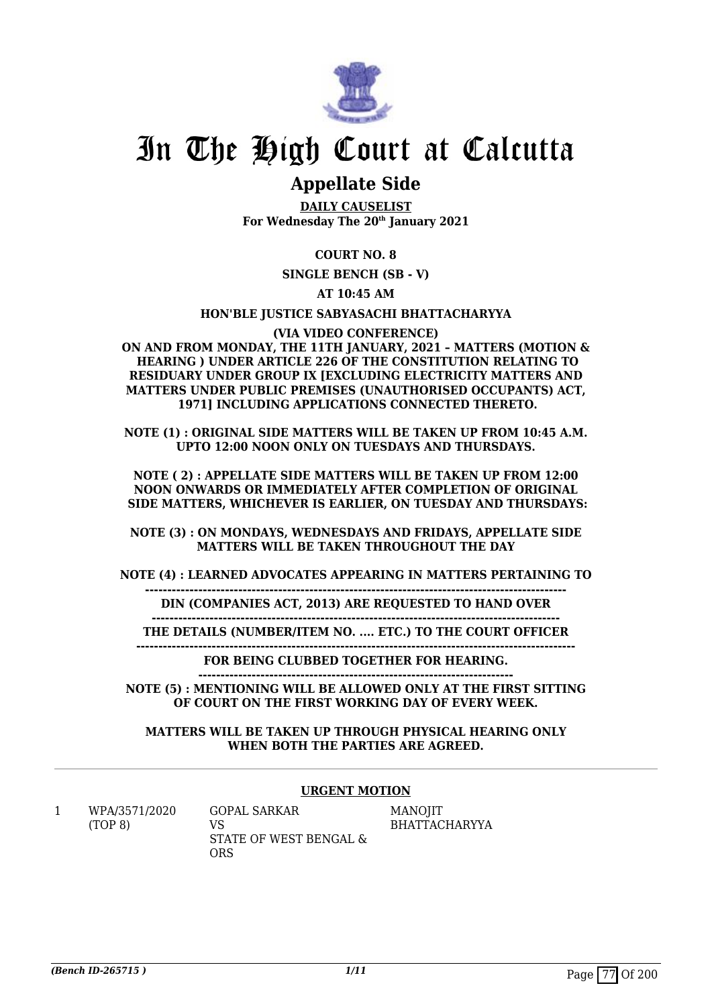

# In The High Court at Calcutta

## **Appellate Side**

**DAILY CAUSELIST For Wednesday The 20th January 2021**

## **COURT NO. 8**

**SINGLE BENCH (SB - V)**

## **AT 10:45 AM**

## **HON'BLE JUSTICE SABYASACHI BHATTACHARYYA**

**(VIA VIDEO CONFERENCE) ON AND FROM MONDAY, THE 11TH JANUARY, 2021 – MATTERS (MOTION & HEARING ) UNDER ARTICLE 226 OF THE CONSTITUTION RELATING TO RESIDUARY UNDER GROUP IX [EXCLUDING ELECTRICITY MATTERS AND MATTERS UNDER PUBLIC PREMISES (UNAUTHORISED OCCUPANTS) ACT, 1971] INCLUDING APPLICATIONS CONNECTED THERETO.**

**NOTE (1) : ORIGINAL SIDE MATTERS WILL BE TAKEN UP FROM 10:45 A.M. UPTO 12:00 NOON ONLY ON TUESDAYS AND THURSDAYS.**

**NOTE ( 2) : APPELLATE SIDE MATTERS WILL BE TAKEN UP FROM 12:00 NOON ONWARDS OR IMMEDIATELY AFTER COMPLETION OF ORIGINAL SIDE MATTERS, WHICHEVER IS EARLIER, ON TUESDAY AND THURSDAYS:**

**NOTE (3) : ON MONDAYS, WEDNESDAYS AND FRIDAYS, APPELLATE SIDE MATTERS WILL BE TAKEN THROUGHOUT THE DAY**

**NOTE (4) : LEARNED ADVOCATES APPEARING IN MATTERS PERTAINING TO**

**----------------------------------------------------------------------------------------------- DIN (COMPANIES ACT, 2013) ARE REQUESTED TO HAND OVER**

**--------------------------------------------------------------------------------------------**

**THE DETAILS (NUMBER/ITEM NO. .... ETC.) TO THE COURT OFFICER ---------------------------------------------------------------------------------------------------**

**FOR BEING CLUBBED TOGETHER FOR HEARING.**

**----------------------------------------------------------------------- NOTE (5) : MENTIONING WILL BE ALLOWED ONLY AT THE FIRST SITTING OF COURT ON THE FIRST WORKING DAY OF EVERY WEEK.**

**MATTERS WILL BE TAKEN UP THROUGH PHYSICAL HEARING ONLY WHEN BOTH THE PARTIES ARE AGREED.**

## **URGENT MOTION**

1 WPA/3571/2020 (TOP 8)

GOPAL SARKAR VS STATE OF WEST BENGAL & ORS

MANOJIT BHATTACHARYYA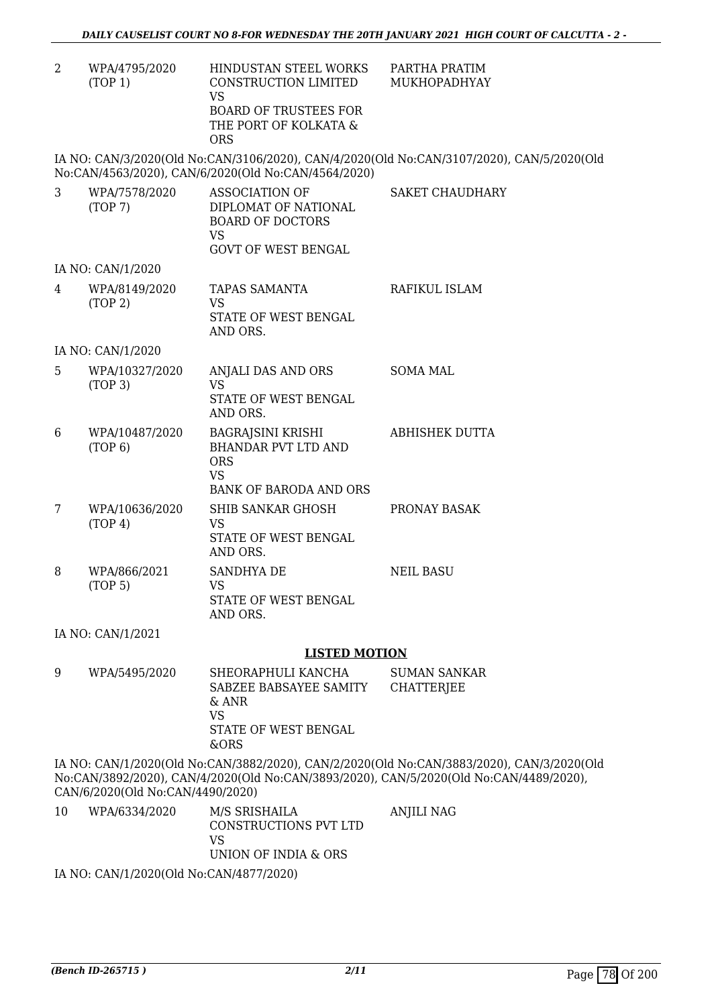PARTHA PRATIM MUKHOPADHYAY

2 WPA/4795/2020 (TOP 1) HINDUSTAN STEEL WORKS CONSTRUCTION LIMITED VS BOARD OF TRUSTEES FOR THE PORT OF KOLKATA & ORS

IA NO: CAN/3/2020(Old No:CAN/3106/2020), CAN/4/2020(Old No:CAN/3107/2020), CAN/5/2020(Old No:CAN/4563/2020), CAN/6/2020(Old No:CAN/4564/2020)

| 3 | WPA/7578/2020<br>(TOP7)             | <b>ASSOCIATION OF</b><br>DIPLOMAT OF NATIONAL<br><b>BOARD OF DOCTORS</b><br><b>VS</b><br><b>GOVT OF WEST BENGAL</b> | <b>SAKET CHAUDHARY</b> |
|---|-------------------------------------|---------------------------------------------------------------------------------------------------------------------|------------------------|
|   | IA NO: CAN/1/2020                   |                                                                                                                     |                        |
| 4 | WPA/8149/2020<br>(TOP 2)            | <b>TAPAS SAMANTA</b><br><b>VS</b><br>STATE OF WEST BENGAL<br>AND ORS.                                               | RAFIKUL ISLAM          |
|   | IA NO: CAN/1/2020                   |                                                                                                                     |                        |
| 5 | WPA/10327/2020<br>(TOP 3)           | ANJALI DAS AND ORS<br><b>VS</b><br>STATE OF WEST BENGAL<br>AND ORS.                                                 | <b>SOMA MAL</b>        |
| 6 | WPA/10487/2020<br>(TOP 6)           | <b>BAGRAJSINI KRISHI</b><br><b>BHANDAR PVT LTD AND</b><br><b>ORS</b><br><b>VS</b><br><b>BANK OF BARODA AND ORS</b>  | <b>ABHISHEK DUTTA</b>  |
| 7 | WPA/10636/2020<br>(TOP 4)           | SHIB SANKAR GHOSH<br>VS.<br>STATE OF WEST BENGAL<br>AND ORS.                                                        | PRONAY BASAK           |
| 8 | WPA/866/2021<br>(TOP <sub>5</sub> ) | SANDHYA DE<br><b>VS</b><br>STATE OF WEST BENGAL<br>AND ORS.                                                         | <b>NEIL BASU</b>       |
|   | IA NO: CAN/1/2021                   |                                                                                                                     |                        |

#### **LISTED MOTION**

9 WPA/5495/2020 SHEORAPHULI KANCHA SABZEE BABSAYEE SAMITY & ANR VS STATE OF WEST BENGAL &ORS SUMAN SANKAR **CHATTERJEE** 

IA NO: CAN/1/2020(Old No:CAN/3882/2020), CAN/2/2020(Old No:CAN/3883/2020), CAN/3/2020(Old No:CAN/3892/2020), CAN/4/2020(Old No:CAN/3893/2020), CAN/5/2020(Old No:CAN/4489/2020), CAN/6/2020(Old No:CAN/4490/2020)

10 WPA/6334/2020 M/S SRISHAILA CONSTRUCTIONS PVT LTD VS UNION OF INDIA & ORS ANJILI NAG

IA NO: CAN/1/2020(Old No:CAN/4877/2020)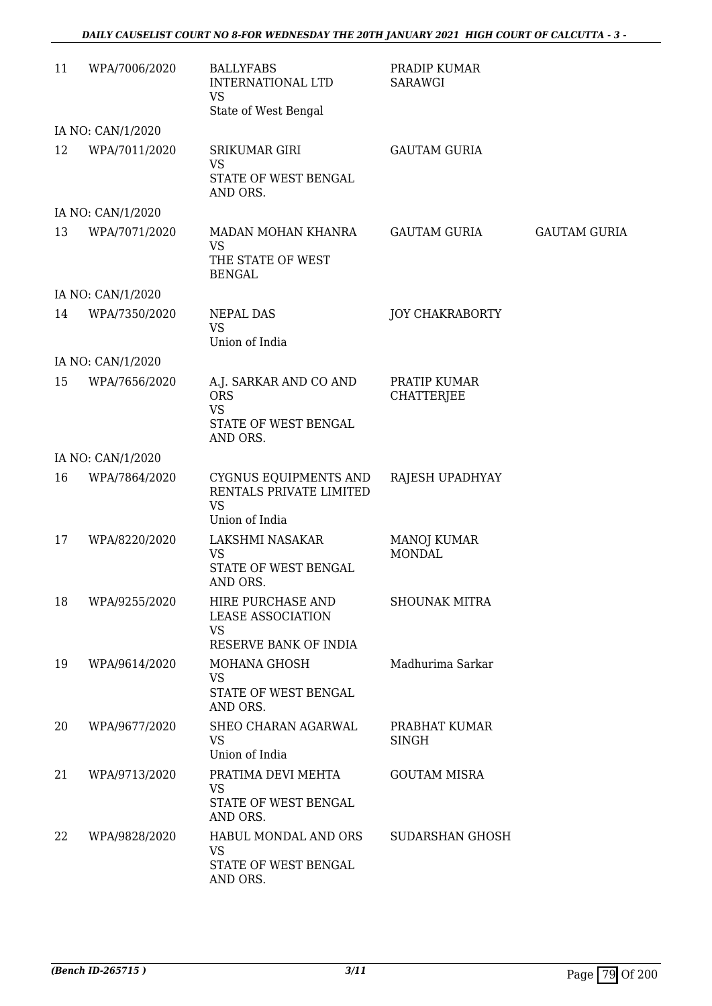## *DAILY CAUSELIST COURT NO 8-FOR WEDNESDAY THE 20TH JANUARY 2021 HIGH COURT OF CALCUTTA - 3 -*

| 11 | WPA/7006/2020     | <b>BALLYFABS</b><br><b>INTERNATIONAL LTD</b><br><b>VS</b><br>State of West Bengal     | PRADIP KUMAR<br><b>SARAWGI</b>      |                     |
|----|-------------------|---------------------------------------------------------------------------------------|-------------------------------------|---------------------|
|    | IA NO: CAN/1/2020 |                                                                                       |                                     |                     |
| 12 | WPA/7011/2020     | SRIKUMAR GIRI<br><b>VS</b><br>STATE OF WEST BENGAL<br>AND ORS.                        | <b>GAUTAM GURIA</b>                 |                     |
|    | IA NO: CAN/1/2020 |                                                                                       |                                     |                     |
| 13 | WPA/7071/2020     | MADAN MOHAN KHANRA<br><b>VS</b><br>THE STATE OF WEST<br><b>BENGAL</b>                 | <b>GAUTAM GURIA</b>                 | <b>GAUTAM GURIA</b> |
|    | IA NO: CAN/1/2020 |                                                                                       |                                     |                     |
| 14 | WPA/7350/2020     | NEPAL DAS<br><b>VS</b><br>Union of India                                              | <b>JOY CHAKRABORTY</b>              |                     |
|    | IA NO: CAN/1/2020 |                                                                                       |                                     |                     |
| 15 | WPA/7656/2020     | A.J. SARKAR AND CO AND<br><b>ORS</b><br><b>VS</b><br>STATE OF WEST BENGAL<br>AND ORS. | PRATIP KUMAR<br><b>CHATTERJEE</b>   |                     |
|    | IA NO: CAN/1/2020 |                                                                                       |                                     |                     |
| 16 | WPA/7864/2020     | CYGNUS EQUIPMENTS AND<br>RENTALS PRIVATE LIMITED<br><b>VS</b><br>Union of India       | RAJESH UPADHYAY                     |                     |
| 17 | WPA/8220/2020     | LAKSHMI NASAKAR<br><b>VS</b><br>STATE OF WEST BENGAL<br>AND ORS.                      | <b>MANOJ KUMAR</b><br><b>MONDAL</b> |                     |
| 18 | WPA/9255/2020     | HIRE PURCHASE AND<br><b>LEASE ASSOCIATION</b><br><b>VS</b><br>RESERVE BANK OF INDIA   | <b>SHOUNAK MITRA</b>                |                     |
| 19 | WPA/9614/2020     | MOHANA GHOSH<br><b>VS</b><br>STATE OF WEST BENGAL<br>AND ORS.                         | Madhurima Sarkar                    |                     |
| 20 | WPA/9677/2020     | SHEO CHARAN AGARWAL<br><b>VS</b><br>Union of India                                    | PRABHAT KUMAR<br><b>SINGH</b>       |                     |
| 21 | WPA/9713/2020     | PRATIMA DEVI MEHTA<br><b>VS</b><br>STATE OF WEST BENGAL<br>AND ORS.                   | <b>GOUTAM MISRA</b>                 |                     |
| 22 | WPA/9828/2020     | HABUL MONDAL AND ORS<br><b>VS</b><br>STATE OF WEST BENGAL<br>AND ORS.                 | SUDARSHAN GHOSH                     |                     |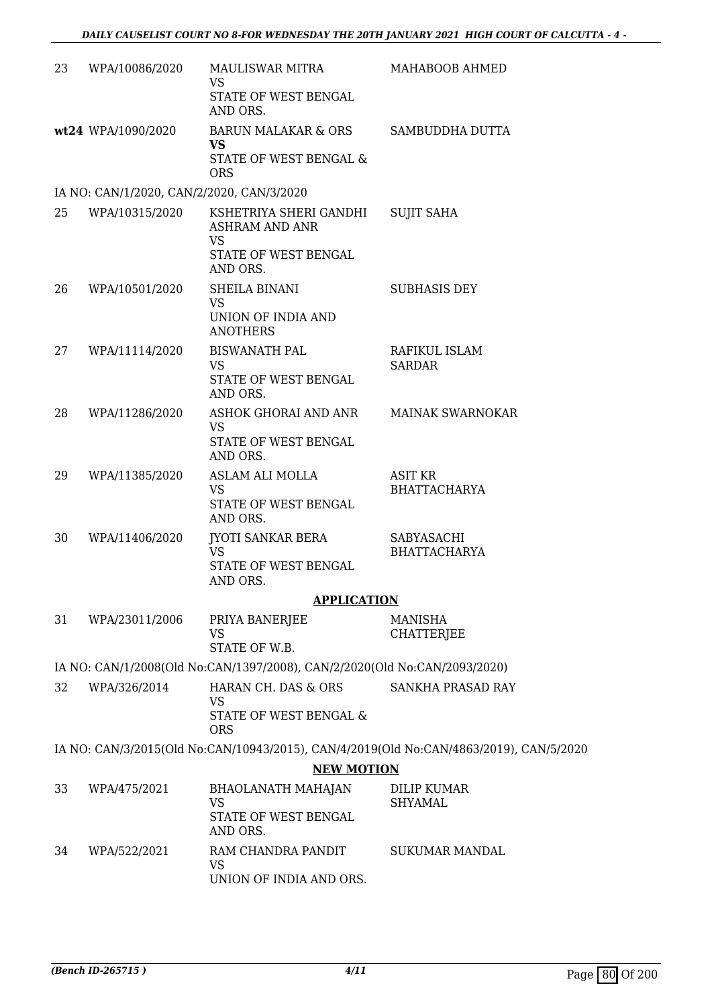| 23 | WPA/10086/2020                            | MAULISWAR MITRA<br><b>VS</b>                                              | MAHABOOB AHMED                                                                         |
|----|-------------------------------------------|---------------------------------------------------------------------------|----------------------------------------------------------------------------------------|
|    |                                           | STATE OF WEST BENGAL<br>AND ORS.                                          |                                                                                        |
|    | wt24 WPA/1090/2020                        | <b>BARUN MALAKAR &amp; ORS</b><br><b>VS</b><br>STATE OF WEST BENGAL &     | SAMBUDDHA DUTTA                                                                        |
|    |                                           | <b>ORS</b>                                                                |                                                                                        |
|    | IA NO: CAN/1/2020, CAN/2/2020, CAN/3/2020 |                                                                           |                                                                                        |
| 25 | WPA/10315/2020                            | KSHETRIYA SHERI GANDHI<br><b>ASHRAM AND ANR</b><br>VS                     | <b>SUJIT SAHA</b>                                                                      |
|    |                                           | STATE OF WEST BENGAL<br>AND ORS.                                          |                                                                                        |
| 26 | WPA/10501/2020                            | SHEILA BINANI<br><b>VS</b>                                                | <b>SUBHASIS DEY</b>                                                                    |
|    |                                           | UNION OF INDIA AND<br><b>ANOTHERS</b>                                     |                                                                                        |
| 27 | WPA/11114/2020                            | <b>BISWANATH PAL</b><br><b>VS</b>                                         | RAFIKUL ISLAM<br><b>SARDAR</b>                                                         |
|    |                                           | STATE OF WEST BENGAL<br>AND ORS.                                          |                                                                                        |
| 28 | WPA/11286/2020                            | ASHOK GHORAI AND ANR<br><b>VS</b>                                         | <b>MAINAK SWARNOKAR</b>                                                                |
|    |                                           | STATE OF WEST BENGAL<br>AND ORS.                                          |                                                                                        |
| 29 | WPA/11385/2020                            | ASLAM ALI MOLLA<br><b>VS</b>                                              | ASIT KR<br><b>BHATTACHARYA</b>                                                         |
|    |                                           | STATE OF WEST BENGAL<br>AND ORS.                                          |                                                                                        |
| 30 | WPA/11406/2020                            | JYOTI SANKAR BERA<br><b>VS</b>                                            | SABYASACHI<br><b>BHATTACHARYA</b>                                                      |
|    |                                           | STATE OF WEST BENGAL<br>AND ORS.                                          |                                                                                        |
|    |                                           | <b>APPLICATION</b>                                                        |                                                                                        |
| 31 | WPA/23011/2006                            | PRIYA BANERJEE<br>VS<br>STATE OF W.B.                                     | MANISHA<br><b>CHATTERJEE</b>                                                           |
|    |                                           | IA NO: CAN/1/2008(Old No:CAN/1397/2008), CAN/2/2020(Old No:CAN/2093/2020) |                                                                                        |
| 32 | WPA/326/2014                              | HARAN CH. DAS & ORS                                                       | SANKHA PRASAD RAY                                                                      |
|    |                                           | <b>VS</b><br>STATE OF WEST BENGAL &<br><b>ORS</b>                         |                                                                                        |
|    |                                           |                                                                           | IA NO: CAN/3/2015(Old No:CAN/10943/2015), CAN/4/2019(Old No:CAN/4863/2019), CAN/5/2020 |
|    |                                           | <b>NEW MOTION</b>                                                         |                                                                                        |
| 33 | WPA/475/2021                              | BHAOLANATH MAHAJAN<br><b>VS</b>                                           | <b>DILIP KUMAR</b>                                                                     |
|    |                                           | STATE OF WEST BENGAL<br>AND ORS.                                          | <b>SHYAMAL</b>                                                                         |
| 34 | WPA/522/2021                              | RAM CHANDRA PANDIT<br><b>VS</b>                                           | <b>SUKUMAR MANDAL</b>                                                                  |

UNION OF INDIA AND ORS.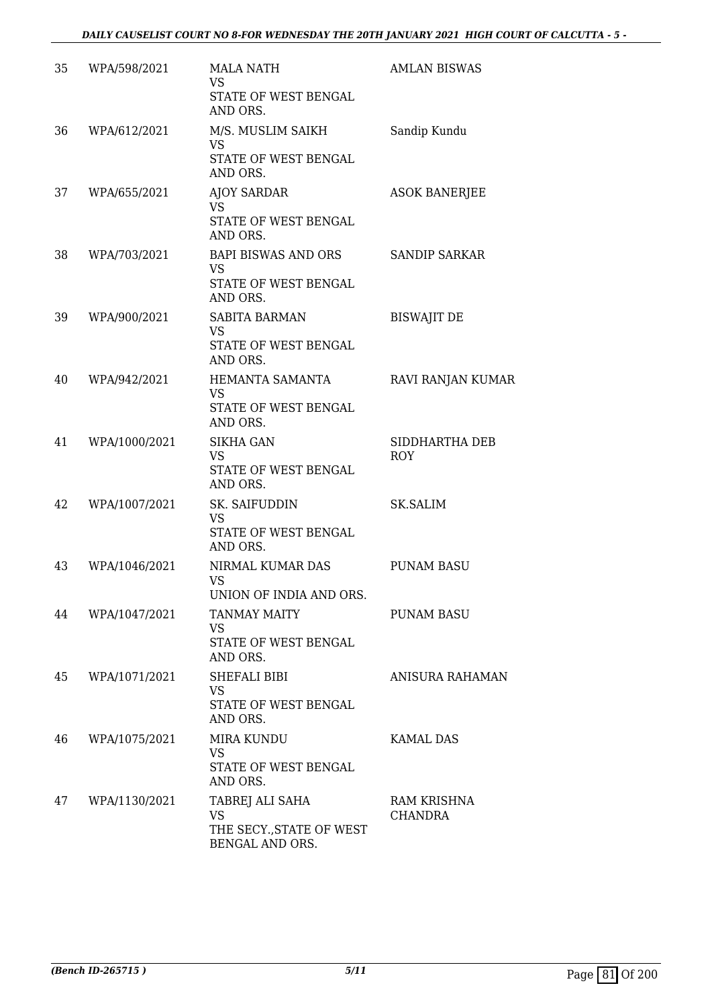| 35 | WPA/598/2021  | <b>MALA NATH</b><br><b>VS</b><br>STATE OF WEST BENGAL<br>AND ORS.           | <b>AMLAN BISWAS</b>           |
|----|---------------|-----------------------------------------------------------------------------|-------------------------------|
| 36 | WPA/612/2021  | M/S. MUSLIM SAIKH<br><b>VS</b><br>STATE OF WEST BENGAL<br>AND ORS.          | Sandip Kundu                  |
| 37 | WPA/655/2021  | <b>AJOY SARDAR</b><br><b>VS</b><br>STATE OF WEST BENGAL<br>AND ORS.         | <b>ASOK BANERJEE</b>          |
| 38 | WPA/703/2021  | <b>BAPI BISWAS AND ORS</b><br><b>VS</b><br>STATE OF WEST BENGAL<br>AND ORS. | <b>SANDIP SARKAR</b>          |
| 39 | WPA/900/2021  | <b>SABITA BARMAN</b><br><b>VS</b><br>STATE OF WEST BENGAL<br>AND ORS.       | <b>BISWAJIT DE</b>            |
| 40 | WPA/942/2021  | HEMANTA SAMANTA<br><b>VS</b><br>STATE OF WEST BENGAL<br>AND ORS.            | RAVI RANJAN KUMAR             |
| 41 | WPA/1000/2021 | <b>SIKHA GAN</b><br><b>VS</b><br>STATE OF WEST BENGAL<br>AND ORS.           | SIDDHARTHA DEB<br><b>ROY</b>  |
| 42 | WPA/1007/2021 | SK. SAIFUDDIN<br><b>VS</b><br>STATE OF WEST BENGAL<br>AND ORS.              | <b>SK.SALIM</b>               |
| 43 | WPA/1046/2021 | NIRMAL KUMAR DAS<br>VS<br>UNION OF INDIA AND ORS.                           | <b>PUNAM BASU</b>             |
| 44 | WPA/1047/2021 | <b>TANMAY MAITY</b><br><b>VS</b><br>STATE OF WEST BENGAL<br>AND ORS.        | <b>PUNAM BASU</b>             |
| 45 | WPA/1071/2021 | SHEFALI BIBI<br><b>VS</b><br>STATE OF WEST BENGAL<br>AND ORS.               | ANISURA RAHAMAN               |
| 46 | WPA/1075/2021 | <b>MIRA KUNDU</b><br>VS<br>STATE OF WEST BENGAL<br>AND ORS.                 | <b>KAMAL DAS</b>              |
| 47 | WPA/1130/2021 | TABREJ ALI SAHA<br><b>VS</b><br>THE SECY., STATE OF WEST<br>BENGAL AND ORS. | RAM KRISHNA<br><b>CHANDRA</b> |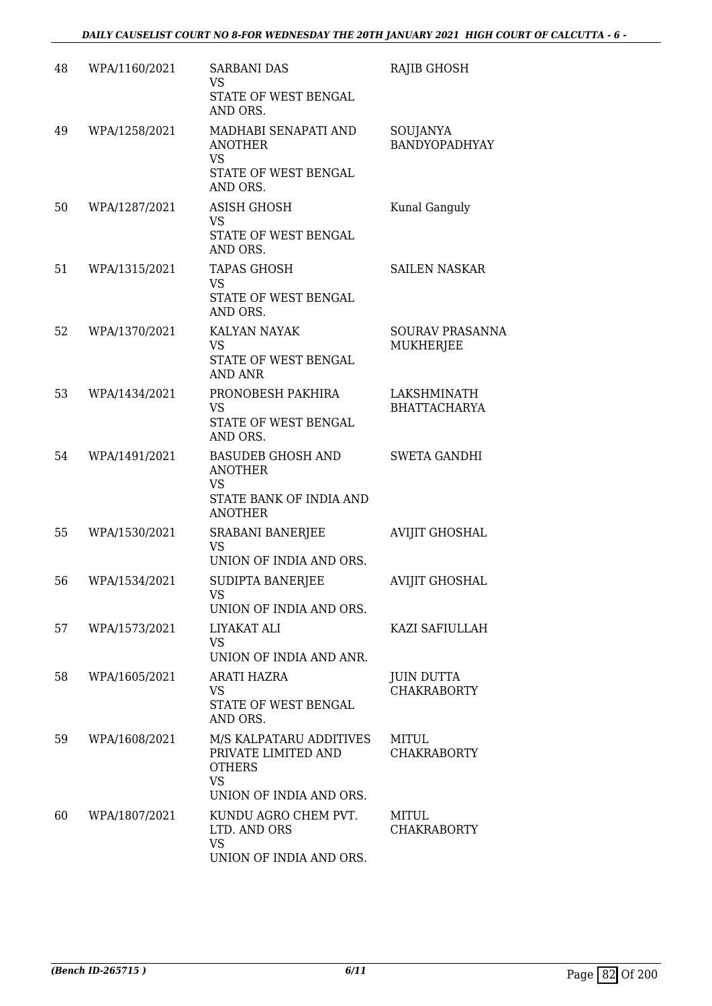| 48 | WPA/1160/2021 | <b>SARBANI DAS</b><br><b>VS</b><br>STATE OF WEST BENGAL<br>AND ORS.                                     | RAJIB GHOSH                             |
|----|---------------|---------------------------------------------------------------------------------------------------------|-----------------------------------------|
| 49 | WPA/1258/2021 | MADHABI SENAPATI AND<br><b>ANOTHER</b><br><b>VS</b><br>STATE OF WEST BENGAL<br>AND ORS.                 | SOUJANYA<br>BANDYOPADHYAY               |
| 50 | WPA/1287/2021 | <b>ASISH GHOSH</b><br><b>VS</b><br>STATE OF WEST BENGAL<br>AND ORS.                                     | Kunal Ganguly                           |
| 51 | WPA/1315/2021 | <b>TAPAS GHOSH</b><br>VS<br>STATE OF WEST BENGAL<br>AND ORS.                                            | SAILEN NASKAR                           |
| 52 | WPA/1370/2021 | <b>KALYAN NAYAK</b><br><b>VS</b><br>STATE OF WEST BENGAL<br><b>AND ANR</b>                              | <b>SOURAV PRASANNA</b><br>MUKHERJEE     |
| 53 | WPA/1434/2021 | PRONOBESH PAKHIRA<br><b>VS</b><br>STATE OF WEST BENGAL<br>AND ORS.                                      | LAKSHMINATH<br><b>BHATTACHARYA</b>      |
| 54 | WPA/1491/2021 | <b>BASUDEB GHOSH AND</b><br><b>ANOTHER</b><br>VS<br>STATE BANK OF INDIA AND<br><b>ANOTHER</b>           | <b>SWETA GANDHI</b>                     |
| 55 | WPA/1530/2021 | SRABANI BANERJEE<br><b>VS</b><br>UNION OF INDIA AND ORS.                                                | <b>AVIJIT GHOSHAL</b>                   |
| 56 | WPA/1534/2021 | SUDIPTA BANERJEE<br>VS<br>UNION OF INDIA AND ORS.                                                       | <b>AVIJIT GHOSHAL</b>                   |
| 57 | WPA/1573/2021 | LIYAKAT ALI<br><b>VS</b><br>UNION OF INDIA AND ANR.                                                     | KAZI SAFIULLAH                          |
| 58 | WPA/1605/2021 | ARATI HAZRA<br><b>VS</b><br>STATE OF WEST BENGAL<br>AND ORS.                                            | <b>JUIN DUTTA</b><br><b>CHAKRABORTY</b> |
| 59 | WPA/1608/2021 | M/S KALPATARU ADDITIVES<br>PRIVATE LIMITED AND<br><b>OTHERS</b><br><b>VS</b><br>UNION OF INDIA AND ORS. | MITUL<br><b>CHAKRABORTY</b>             |
| 60 | WPA/1807/2021 | KUNDU AGRO CHEM PVT.<br>LTD. AND ORS<br><b>VS</b><br>UNION OF INDIA AND ORS.                            | MITUL<br><b>CHAKRABORTY</b>             |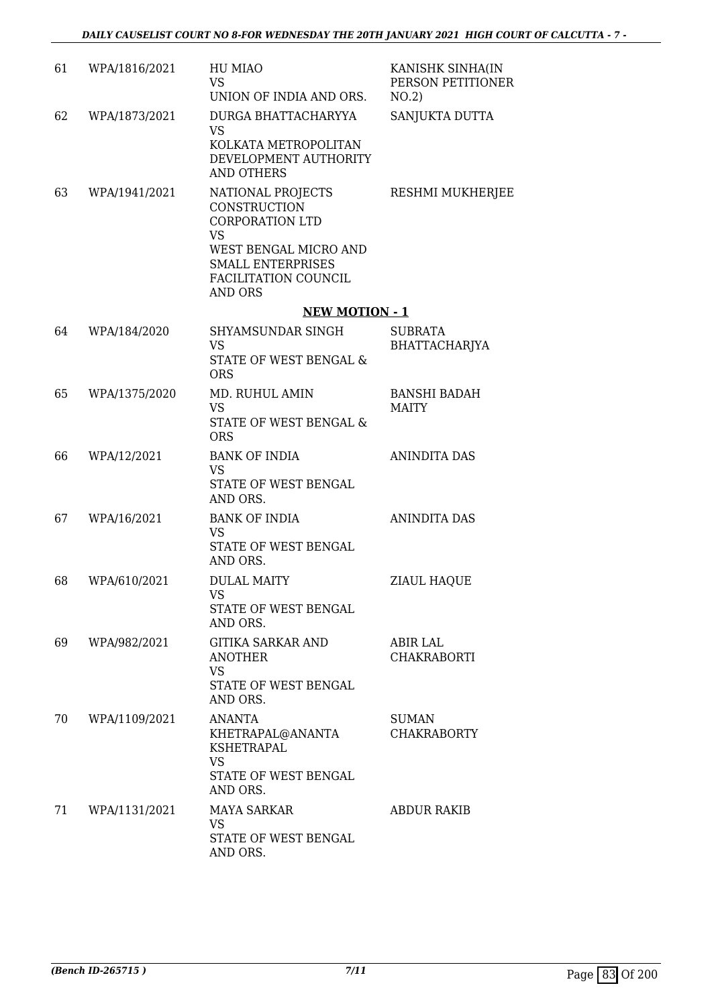| 61 | WPA/1816/2021 | HU MIAO<br><b>VS</b><br>UNION OF INDIA AND ORS.                                                                                                                         | KANISHK SINHA(IN<br>PERSON PETITIONER<br>NO.2) |
|----|---------------|-------------------------------------------------------------------------------------------------------------------------------------------------------------------------|------------------------------------------------|
| 62 | WPA/1873/2021 | DURGA BHATTACHARYYA<br><b>VS</b><br>KOLKATA METROPOLITAN<br>DEVELOPMENT AUTHORITY<br><b>AND OTHERS</b>                                                                  | SANJUKTA DUTTA                                 |
| 63 | WPA/1941/2021 | NATIONAL PROJECTS<br><b>CONSTRUCTION</b><br><b>CORPORATION LTD</b><br><b>VS</b><br>WEST BENGAL MICRO AND<br><b>SMALL ENTERPRISES</b><br>FACILITATION COUNCIL<br>AND ORS | RESHMI MUKHERJEE                               |
|    |               | <b>NEW MOTION - 1</b>                                                                                                                                                   |                                                |
| 64 | WPA/184/2020  | SHYAMSUNDAR SINGH<br><b>VS</b><br>STATE OF WEST BENGAL &<br><b>ORS</b>                                                                                                  | <b>SUBRATA</b><br>BHATTACHARJYA                |
| 65 | WPA/1375/2020 | MD. RUHUL AMIN<br>VS.<br>STATE OF WEST BENGAL &<br><b>ORS</b>                                                                                                           | <b>BANSHI BADAH</b><br><b>MAITY</b>            |
| 66 | WPA/12/2021   | <b>BANK OF INDIA</b><br><b>VS</b><br>STATE OF WEST BENGAL<br>AND ORS.                                                                                                   | <b>ANINDITA DAS</b>                            |
| 67 | WPA/16/2021   | <b>BANK OF INDIA</b><br><b>VS</b><br>STATE OF WEST BENGAL<br>AND ORS.                                                                                                   | <b>ANINDITA DAS</b>                            |
| 68 | WPA/610/2021  | <b>DULAL MAITY</b><br>VS<br>STATE OF WEST BENGAL<br>AND ORS.                                                                                                            | ZIAUL HAQUE                                    |
| 69 | WPA/982/2021  | GITIKA SARKAR AND<br><b>ANOTHER</b><br><b>VS</b><br>STATE OF WEST BENGAL<br>AND ORS.                                                                                    | ABIR LAL<br><b>CHAKRABORTI</b>                 |
| 70 | WPA/1109/2021 | <b>ANANTA</b><br>KHETRAPAL@ANANTA<br>KSHETRAPAL<br><b>VS</b><br>STATE OF WEST BENGAL<br>AND ORS.                                                                        | SUMAN<br><b>CHAKRABORTY</b>                    |
| 71 | WPA/1131/2021 | MAYA SARKAR<br><b>VS</b><br>STATE OF WEST BENGAL<br>AND ORS.                                                                                                            | <b>ABDUR RAKIB</b>                             |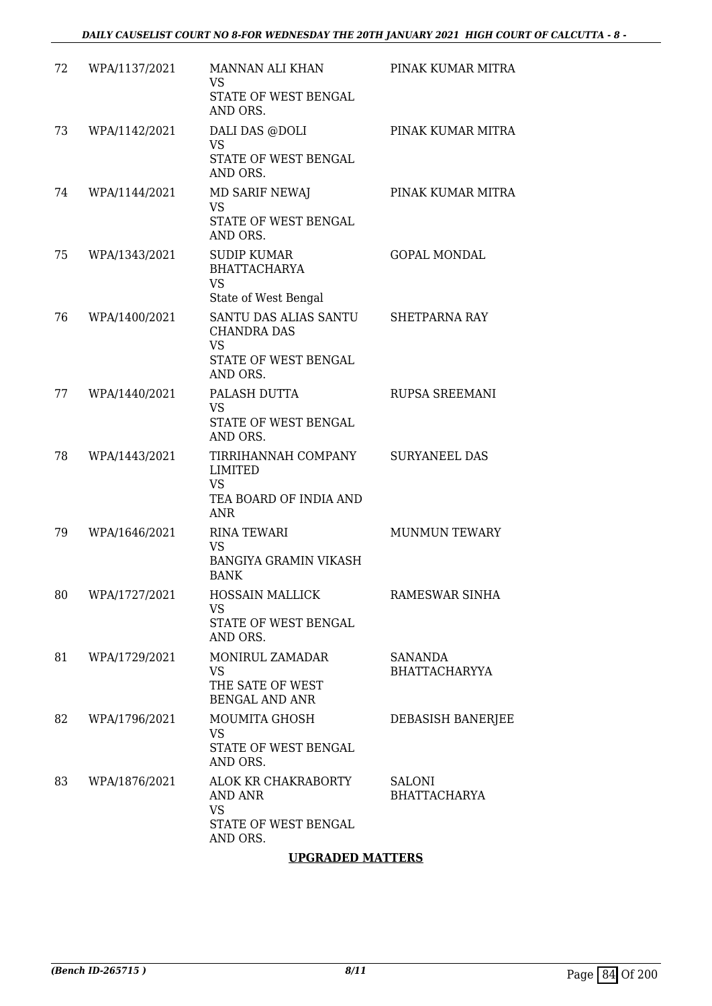| 72 | WPA/1137/2021 | MANNAN ALI KHAN<br>VS<br>STATE OF WEST BENGAL<br>AND ORS.                                    | PINAK KUMAR MITRA                    |
|----|---------------|----------------------------------------------------------------------------------------------|--------------------------------------|
| 73 | WPA/1142/2021 | DALI DAS @DOLI<br><b>VS</b><br>STATE OF WEST BENGAL<br>AND ORS.                              | PINAK KUMAR MITRA                    |
| 74 | WPA/1144/2021 | <b>MD SARIF NEWAJ</b><br><b>VS</b><br>STATE OF WEST BENGAL<br>AND ORS.                       | PINAK KUMAR MITRA                    |
| 75 | WPA/1343/2021 | SUDIP KUMAR<br><b>BHATTACHARYA</b><br><b>VS</b><br>State of West Bengal                      | <b>GOPAL MONDAL</b>                  |
| 76 | WPA/1400/2021 | SANTU DAS ALIAS SANTU<br><b>CHANDRA DAS</b><br><b>VS</b><br>STATE OF WEST BENGAL<br>AND ORS. | <b>SHETPARNA RAY</b>                 |
| 77 | WPA/1440/2021 | PALASH DUTTA<br><b>VS</b><br>STATE OF WEST BENGAL<br>AND ORS.                                | RUPSA SREEMANI                       |
| 78 | WPA/1443/2021 | TIRRIHANNAH COMPANY<br><b>LIMITED</b><br><b>VS</b><br>TEA BOARD OF INDIA AND<br><b>ANR</b>   | <b>SURYANEEL DAS</b>                 |
| 79 | WPA/1646/2021 | <b>RINA TEWARI</b><br><b>VS</b><br><b>BANGIYA GRAMIN VIKASH</b><br><b>BANK</b>               | <b>MUNMUN TEWARY</b>                 |
| 80 | WPA/1727/2021 | <b>HOSSAIN MALLICK</b><br><b>VS</b><br>STATE OF WEST BENGAL<br>AND ORS.                      | RAMESWAR SINHA                       |
| 81 | WPA/1729/2021 | MONIRUL ZAMADAR<br><b>VS</b><br>THE SATE OF WEST<br><b>BENGAL AND ANR</b>                    | SANANDA<br><b>BHATTACHARYYA</b>      |
| 82 | WPA/1796/2021 | MOUMITA GHOSH<br><b>VS</b><br>STATE OF WEST BENGAL<br>AND ORS.                               | DEBASISH BANERJEE                    |
| 83 | WPA/1876/2021 | ALOK KR CHAKRABORTY<br>AND ANR<br><b>VS</b><br>STATE OF WEST BENGAL<br>AND ORS.              | <b>SALONI</b><br><b>BHATTACHARYA</b> |

## **UPGRADED MATTERS**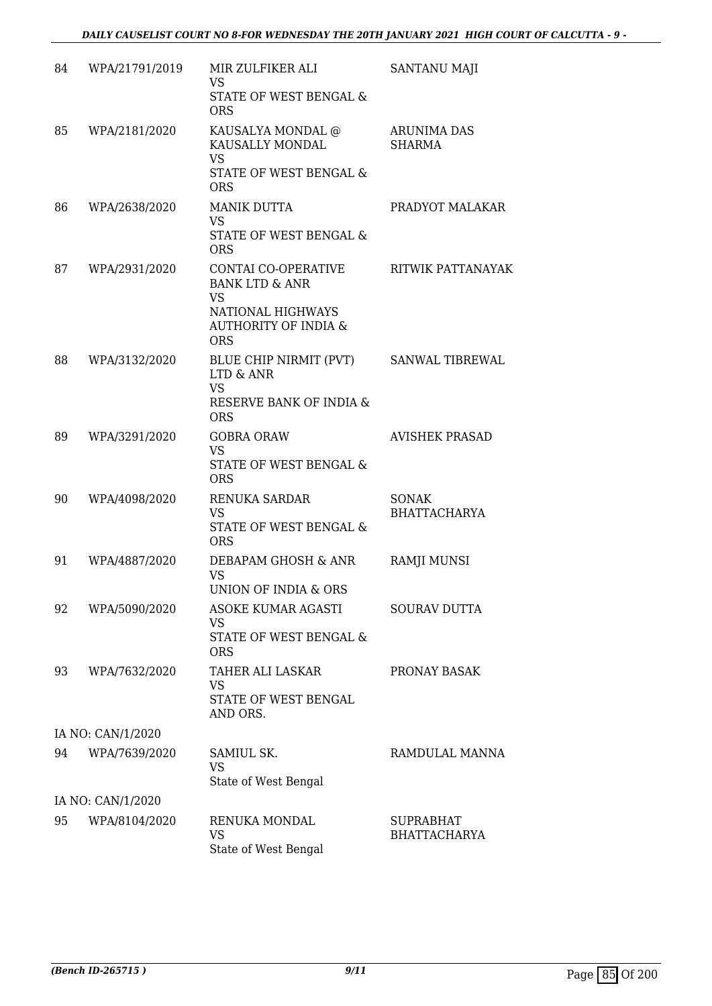| 84 | WPA/21791/2019    | MIR ZULFIKER ALI<br><b>VS</b><br>STATE OF WEST BENGAL &<br><b>ORS</b>                                                               | <b>SANTANU MAJI</b>                     |
|----|-------------------|-------------------------------------------------------------------------------------------------------------------------------------|-----------------------------------------|
| 85 | WPA/2181/2020     | KAUSALYA MONDAL @<br>KAUSALLY MONDAL<br><b>VS</b><br>STATE OF WEST BENGAL &<br><b>ORS</b>                                           | ARUNIMA DAS<br><b>SHARMA</b>            |
| 86 | WPA/2638/2020     | <b>MANIK DUTTA</b><br>VS<br>STATE OF WEST BENGAL &<br><b>ORS</b>                                                                    | PRADYOT MALAKAR                         |
| 87 | WPA/2931/2020     | CONTAI CO-OPERATIVE<br><b>BANK LTD &amp; ANR</b><br><b>VS</b><br>NATIONAL HIGHWAYS<br><b>AUTHORITY OF INDIA &amp;</b><br><b>ORS</b> | RITWIK PATTANAYAK                       |
| 88 | WPA/3132/2020     | BLUE CHIP NIRMIT (PVT)<br><b>LTD &amp; ANR</b><br><b>VS</b><br>RESERVE BANK OF INDIA &<br><b>ORS</b>                                | SANWAL TIBREWAL                         |
| 89 | WPA/3291/2020     | <b>GOBRA ORAW</b><br><b>VS</b><br>STATE OF WEST BENGAL &<br><b>ORS</b>                                                              | <b>AVISHEK PRASAD</b>                   |
| 90 | WPA/4098/2020     | <b>RENUKA SARDAR</b><br><b>VS</b><br>STATE OF WEST BENGAL &<br><b>ORS</b>                                                           | SONAK<br><b>BHATTACHARYA</b>            |
| 91 | WPA/4887/2020     | DEBAPAM GHOSH & ANR<br><b>VS</b><br>UNION OF INDIA & ORS                                                                            | <b>RAMJI MUNSI</b>                      |
| 92 | WPA/5090/2020     | <b>ASOKE KUMAR AGASTI</b><br>VS<br>STATE OF WEST BENGAL &<br><b>ORS</b>                                                             | <b>SOURAV DUTTA</b>                     |
| 93 | WPA/7632/2020     | TAHER ALI LASKAR<br><b>VS</b><br>STATE OF WEST BENGAL<br>AND ORS.                                                                   | PRONAY BASAK                            |
|    | IA NO: CAN/1/2020 |                                                                                                                                     |                                         |
| 94 | WPA/7639/2020     | SAMIUL SK.<br><b>VS</b><br>State of West Bengal                                                                                     | RAMDULAL MANNA                          |
|    | IA NO: CAN/1/2020 |                                                                                                                                     |                                         |
| 95 | WPA/8104/2020     | RENUKA MONDAL<br><b>VS</b><br>State of West Bengal                                                                                  | <b>SUPRABHAT</b><br><b>BHATTACHARYA</b> |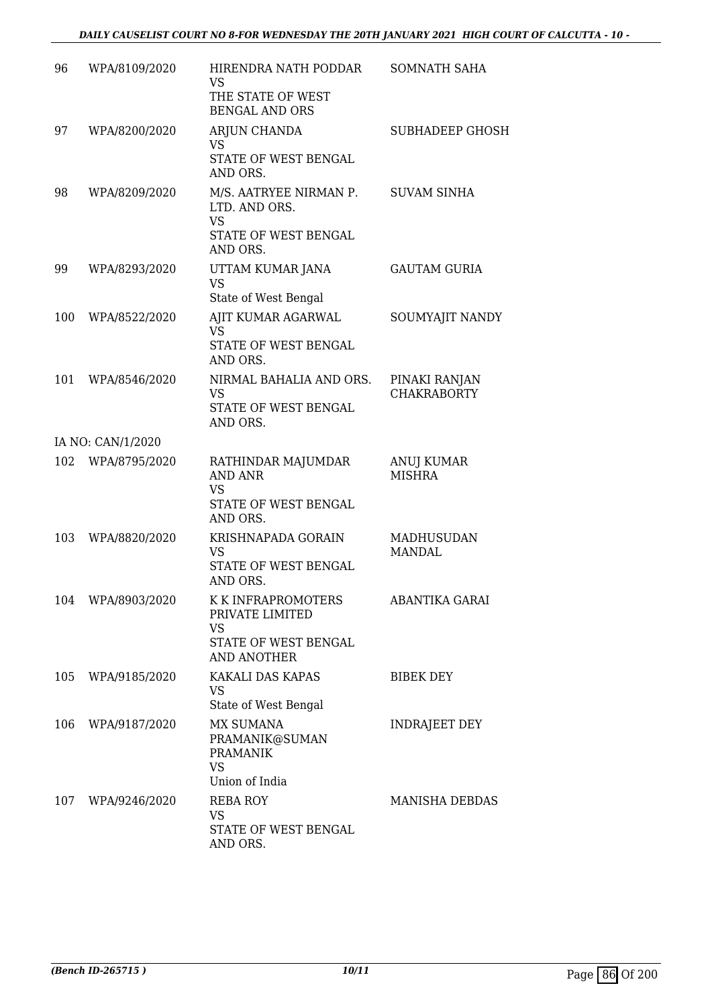| 96  | WPA/8109/2020     | HIRENDRA NATH PODDAR<br><b>VS</b><br>THE STATE OF WEST<br><b>BENGAL AND ORS</b>                  | <b>SOMNATH SAHA</b>                 |
|-----|-------------------|--------------------------------------------------------------------------------------------------|-------------------------------------|
| 97  | WPA/8200/2020     | ARJUN CHANDA<br><b>VS</b><br>STATE OF WEST BENGAL<br>AND ORS.                                    | <b>SUBHADEEP GHOSH</b>              |
| 98  | WPA/8209/2020     | M/S. AATRYEE NIRMAN P.<br>LTD. AND ORS.<br><b>VS</b><br>STATE OF WEST BENGAL<br>AND ORS.         | <b>SUVAM SINHA</b>                  |
| 99  | WPA/8293/2020     | UTTAM KUMAR JANA<br>VS<br>State of West Bengal                                                   | <b>GAUTAM GURIA</b>                 |
| 100 | WPA/8522/2020     | AJIT KUMAR AGARWAL<br><b>VS</b><br>STATE OF WEST BENGAL<br>AND ORS.                              | SOUMYAJIT NANDY                     |
| 101 | WPA/8546/2020     | NIRMAL BAHALIA AND ORS.<br><b>VS</b><br>STATE OF WEST BENGAL<br>AND ORS.                         | PINAKI RANJAN<br><b>CHAKRABORTY</b> |
|     | IA NO: CAN/1/2020 |                                                                                                  |                                     |
|     | 102 WPA/8795/2020 | RATHINDAR MAJUMDAR<br><b>AND ANR</b><br><b>VS</b><br>STATE OF WEST BENGAL<br>AND ORS.            | ANUJ KUMAR<br><b>MISHRA</b>         |
| 103 | WPA/8820/2020     | KRISHNAPADA GORAIN<br><b>VS</b><br>STATE OF WEST BENGAL<br>AND ORS.                              | <b>MADHUSUDAN</b><br><b>MANDAL</b>  |
| 104 | WPA/8903/2020     | K K INFRAPROMOTERS<br>PRIVATE LIMITED<br><b>VS</b><br>STATE OF WEST BENGAL<br><b>AND ANOTHER</b> | ABANTIKA GARAI                      |
| 105 | WPA/9185/2020     | KAKALI DAS KAPAS<br>VS<br>State of West Bengal                                                   | <b>BIBEK DEY</b>                    |
| 106 | WPA/9187/2020     | <b>MX SUMANA</b><br>PRAMANIK@SUMAN<br><b>PRAMANIK</b><br><b>VS</b><br>Union of India             | INDRAJEET DEY                       |
| 107 | WPA/9246/2020     | REBA ROY<br><b>VS</b><br>STATE OF WEST BENGAL<br>AND ORS.                                        | MANISHA DEBDAS                      |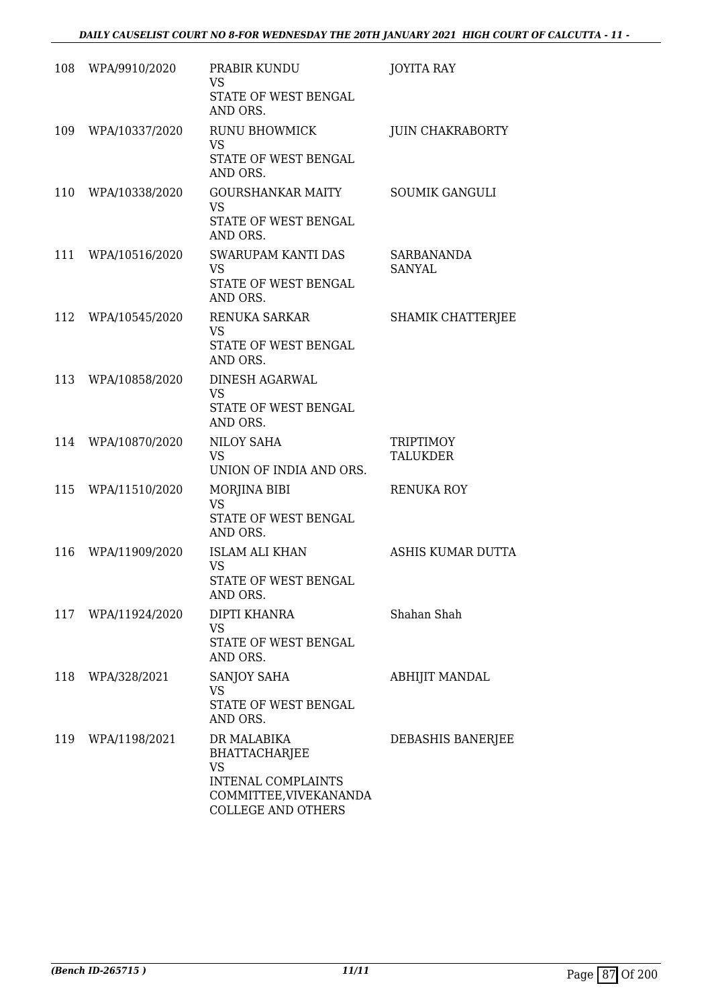| 108 | WPA/9910/2020      | PRABIR KUNDU<br>VS<br>STATE OF WEST BENGAL<br>AND ORS.                                                                               | <b>JOYITA RAY</b>        |
|-----|--------------------|--------------------------------------------------------------------------------------------------------------------------------------|--------------------------|
| 109 | WPA/10337/2020     | <b>RUNU BHOWMICK</b><br><b>VS</b><br>STATE OF WEST BENGAL<br>AND ORS.                                                                | <b>JUIN CHAKRABORTY</b>  |
| 110 | WPA/10338/2020     | <b>GOURSHANKAR MAITY</b><br><b>VS</b><br>STATE OF WEST BENGAL<br>AND ORS.                                                            | <b>SOUMIK GANGULI</b>    |
| 111 | WPA/10516/2020     | SWARUPAM KANTI DAS<br><b>VS</b><br>STATE OF WEST BENGAL<br>AND ORS.                                                                  | SARBANANDA<br>SANYAL     |
| 112 | WPA/10545/2020     | RENUKA SARKAR<br><b>VS</b><br>STATE OF WEST BENGAL<br>AND ORS.                                                                       | <b>SHAMIK CHATTERJEE</b> |
| 113 | WPA/10858/2020     | <b>DINESH AGARWAL</b><br><b>VS</b><br>STATE OF WEST BENGAL<br>AND ORS.                                                               |                          |
| 114 | WPA/10870/2020     | NILOY SAHA<br><b>VS</b><br>UNION OF INDIA AND ORS.                                                                                   | TRIPTIMOY<br>TALUKDER    |
| 115 | WPA/11510/2020     | MORJINA BIBI<br><b>VS</b><br>STATE OF WEST BENGAL<br>AND ORS.                                                                        | <b>RENUKA ROY</b>        |
| 116 | WPA/11909/2020     | <b>ISLAM ALI KHAN</b><br><b>VS</b><br>STATE OF WEST BENGAL<br>AND ORS.                                                               | ASHIS KUMAR DUTTA        |
|     | 117 WPA/11924/2020 | <b>DIPTI KHANRA</b><br><b>VS</b><br>STATE OF WEST BENGAL<br>AND ORS.                                                                 | Shahan Shah              |
| 118 | WPA/328/2021       | SANJOY SAHA<br>VS<br>STATE OF WEST BENGAL<br>AND ORS.                                                                                | <b>ABHIJIT MANDAL</b>    |
| 119 | WPA/1198/2021      | DR MALABIKA<br><b>BHATTACHARJEE</b><br><b>VS</b><br><b>INTENAL COMPLAINTS</b><br>COMMITTEE, VIVEKANANDA<br><b>COLLEGE AND OTHERS</b> | DEBASHIS BANERJEE        |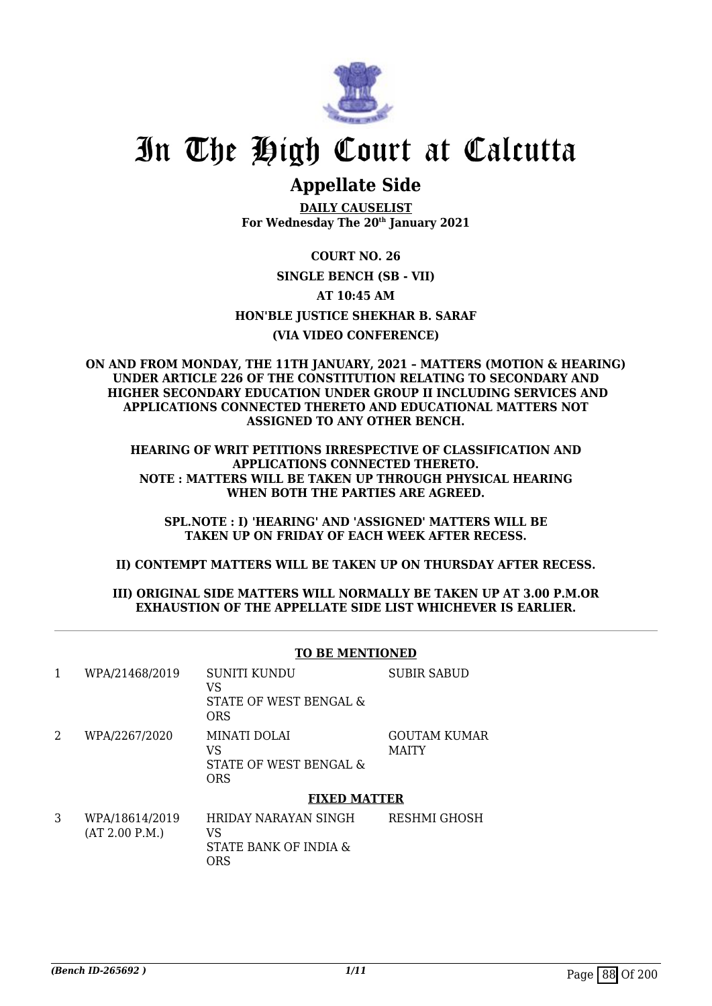

# In The High Court at Calcutta

## **Appellate Side**

**DAILY CAUSELIST For Wednesday The 20th January 2021**

**COURT NO. 26 SINGLE BENCH (SB - VII) AT 10:45 AM HON'BLE JUSTICE SHEKHAR B. SARAF (VIA VIDEO CONFERENCE)**

## **ON AND FROM MONDAY, THE 11TH JANUARY, 2021 – MATTERS (MOTION & HEARING) UNDER ARTICLE 226 OF THE CONSTITUTION RELATING TO SECONDARY AND HIGHER SECONDARY EDUCATION UNDER GROUP II INCLUDING SERVICES AND APPLICATIONS CONNECTED THERETO AND EDUCATIONAL MATTERS NOT ASSIGNED TO ANY OTHER BENCH.**

**HEARING OF WRIT PETITIONS IRRESPECTIVE OF CLASSIFICATION AND APPLICATIONS CONNECTED THERETO. NOTE : MATTERS WILL BE TAKEN UP THROUGH PHYSICAL HEARING WHEN BOTH THE PARTIES ARE AGREED.**

**SPL.NOTE : I) 'HEARING' AND 'ASSIGNED' MATTERS WILL BE TAKEN UP ON FRIDAY OF EACH WEEK AFTER RECESS.**

**II) CONTEMPT MATTERS WILL BE TAKEN UP ON THURSDAY AFTER RECESS.**

## **III) ORIGINAL SIDE MATTERS WILL NORMALLY BE TAKEN UP AT 3.00 P.M.OR EXHAUSTION OF THE APPELLATE SIDE LIST WHICHEVER IS EARLIER.**

|   | <b>TO BE MENTIONED</b>           |                                                                   |                                     |  |
|---|----------------------------------|-------------------------------------------------------------------|-------------------------------------|--|
| 1 | WPA/21468/2019                   | SUNITI KUNDU<br>VS<br>STATE OF WEST BENGAL &<br><b>ORS</b>        | <b>SUBIR SABUD</b>                  |  |
| 2 | WPA/2267/2020                    | MINATI DOLAI<br>VS<br>STATE OF WEST BENGAL &<br><b>ORS</b>        | <b>GOUTAM KUMAR</b><br><b>MAITY</b> |  |
|   | <b>FIXED MATTER</b>              |                                                                   |                                     |  |
| 3 | WPA/18614/2019<br>(AT 2.00 P.M.) | HRIDAY NARAYAN SINGH<br>VS<br>STATE BANK OF INDIA &<br><b>ORS</b> | RESHMI GHOSH                        |  |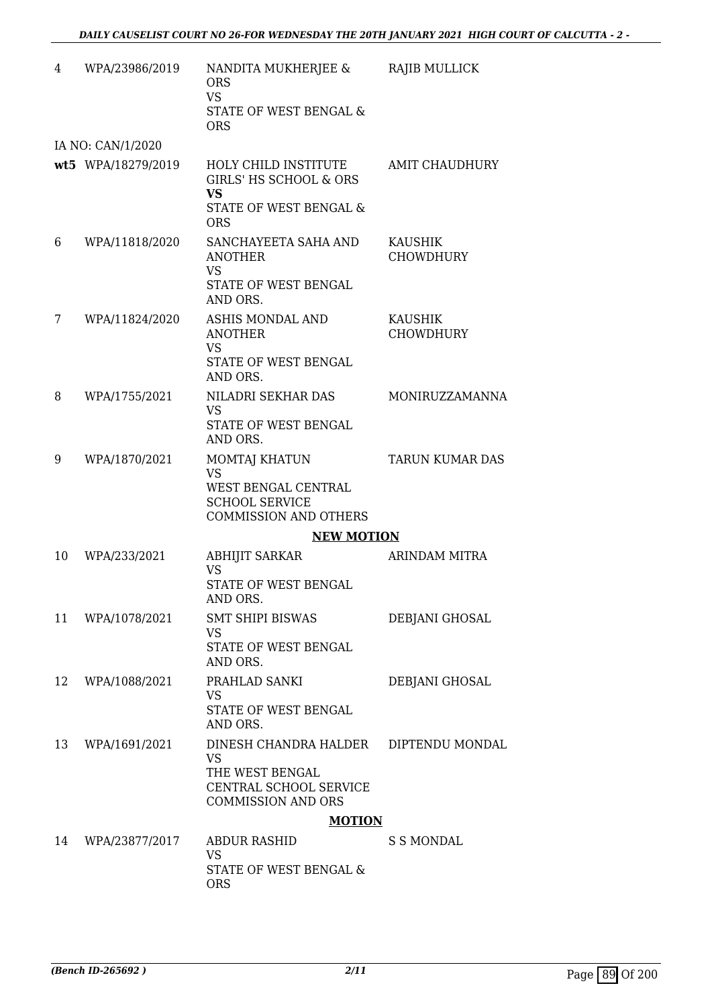| 4  | WPA/23986/2019     | NANDITA MUKHERJEE &<br><b>ORS</b><br><b>VS</b><br>STATE OF WEST BENGAL &<br><b>ORS</b>                                       | RAJIB MULLICK               |
|----|--------------------|------------------------------------------------------------------------------------------------------------------------------|-----------------------------|
|    | IA NO: CAN/1/2020  |                                                                                                                              |                             |
|    | wt5 WPA/18279/2019 | <b>HOLY CHILD INSTITUTE</b><br><b>GIRLS' HS SCHOOL &amp; ORS</b><br><b>VS</b><br>STATE OF WEST BENGAL &                      | <b>AMIT CHAUDHURY</b>       |
| 6  | WPA/11818/2020     | <b>ORS</b><br>SANCHAYEETA SAHA AND                                                                                           | KAUSHIK                     |
|    |                    | <b>ANOTHER</b><br><b>VS</b><br>STATE OF WEST BENGAL<br>AND ORS.                                                              | <b>CHOWDHURY</b>            |
| 7  | WPA/11824/2020     | ASHIS MONDAL AND<br><b>ANOTHER</b><br><b>VS</b><br><b>STATE OF WEST BENGAL</b>                                               | KAUSHIK<br><b>CHOWDHURY</b> |
|    |                    | AND ORS.                                                                                                                     |                             |
| 8  | WPA/1755/2021      | NILADRI SEKHAR DAS<br><b>VS</b><br>STATE OF WEST BENGAL                                                                      | MONIRUZZAMANNA              |
|    |                    | AND ORS.                                                                                                                     |                             |
| 9  | WPA/1870/2021      | MOMTAJ KHATUN<br><b>VS</b><br>WEST BENGAL CENTRAL<br><b>SCHOOL SERVICE</b><br><b>COMMISSION AND OTHERS</b>                   | <b>TARUN KUMAR DAS</b>      |
|    |                    | <b>NEW MOTION</b>                                                                                                            |                             |
| 10 | WPA/233/2021       | <b>ABHIJIT SARKAR</b><br><b>VS</b><br>STATE OF WEST BENGAL<br>AND ORS.                                                       | ARINDAM MITRA               |
| 11 | WPA/1078/2021      | SMT SHIPI BISWAS<br><b>VS</b><br>STATE OF WEST BENGAL<br>AND ORS.                                                            | DEBJANI GHOSAL              |
| 12 | WPA/1088/2021      | PRAHLAD SANKI<br><b>VS</b><br>STATE OF WEST BENGAL<br>AND ORS.                                                               | DEBJANI GHOSAL              |
| 13 | WPA/1691/2021      | DINESH CHANDRA HALDER DIPTENDU MONDAL<br><b>VS</b><br>THE WEST BENGAL<br>CENTRAL SCHOOL SERVICE<br><b>COMMISSION AND ORS</b> |                             |
|    |                    | <b>MOTION</b>                                                                                                                |                             |
| 14 | WPA/23877/2017     | <b>ABDUR RASHID</b><br><b>VS</b><br>STATE OF WEST BENGAL &<br><b>ORS</b>                                                     | S S MONDAL                  |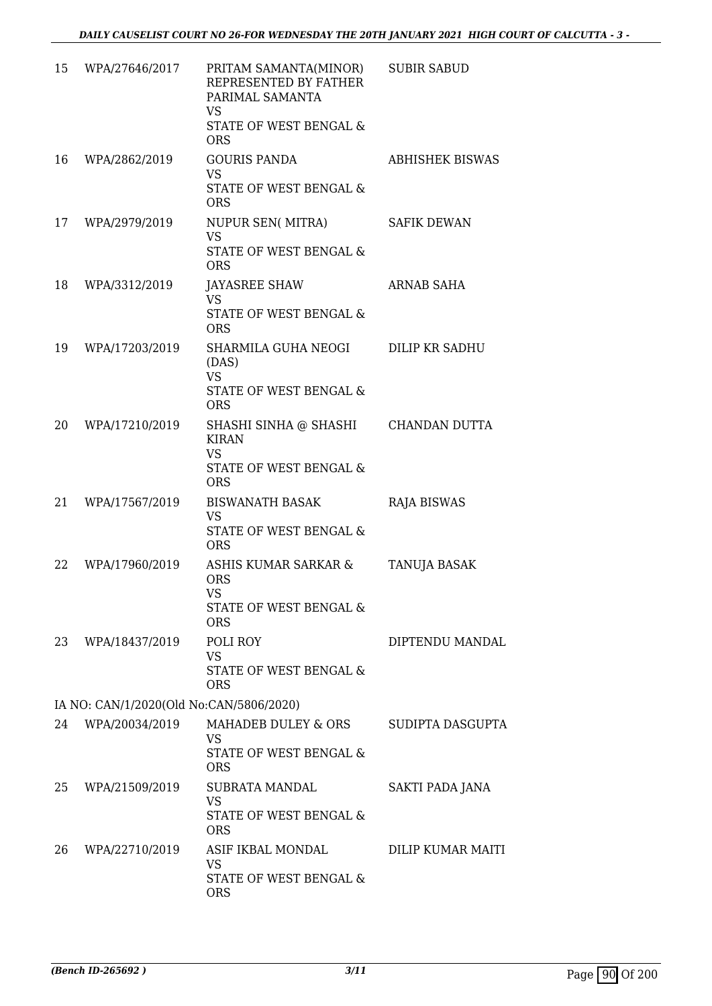| 15 | WPA/27646/2017                          | PRITAM SAMANTA(MINOR)<br>REPRESENTED BY FATHER<br>PARIMAL SAMANTA<br><b>VS</b><br>STATE OF WEST BENGAL &<br><b>ORS</b> | <b>SUBIR SABUD</b>     |
|----|-----------------------------------------|------------------------------------------------------------------------------------------------------------------------|------------------------|
| 16 | WPA/2862/2019                           | <b>GOURIS PANDA</b><br><b>VS</b><br>STATE OF WEST BENGAL &<br><b>ORS</b>                                               | <b>ABHISHEK BISWAS</b> |
| 17 | WPA/2979/2019                           | NUPUR SEN( MITRA)<br><b>VS</b><br>STATE OF WEST BENGAL &<br><b>ORS</b>                                                 | <b>SAFIK DEWAN</b>     |
| 18 | WPA/3312/2019                           | JAYASREE SHAW<br><b>VS</b><br>STATE OF WEST BENGAL &<br><b>ORS</b>                                                     | ARNAB SAHA             |
| 19 | WPA/17203/2019                          | SHARMILA GUHA NEOGI<br>(DAS)<br><b>VS</b><br>STATE OF WEST BENGAL &                                                    | DILIP KR SADHU         |
| 20 | WPA/17210/2019                          | <b>ORS</b><br>SHASHI SINHA @ SHASHI<br><b>KIRAN</b><br><b>VS</b><br>STATE OF WEST BENGAL &<br><b>ORS</b>               | CHANDAN DUTTA          |
| 21 | WPA/17567/2019                          | <b>BISWANATH BASAK</b><br><b>VS</b><br>STATE OF WEST BENGAL &<br><b>ORS</b>                                            | <b>RAJA BISWAS</b>     |
| 22 | WPA/17960/2019                          | ASHIS KUMAR SARKAR &<br><b>ORS</b><br><b>VS</b><br>STATE OF WEST BENGAL &<br><b>ORS</b>                                | <b>TANUJA BASAK</b>    |
| 23 | WPA/18437/2019                          | POLI ROY<br><b>VS</b><br><b>STATE OF WEST BENGAL &amp;</b><br><b>ORS</b>                                               | DIPTENDU MANDAL        |
|    | IA NO: CAN/1/2020(Old No:CAN/5806/2020) |                                                                                                                        |                        |
| 24 | WPA/20034/2019                          | MAHADEB DULEY & ORS<br><b>VS</b><br>STATE OF WEST BENGAL &<br><b>ORS</b>                                               | SUDIPTA DASGUPTA       |
| 25 | WPA/21509/2019                          | <b>SUBRATA MANDAL</b><br><b>VS</b><br>STATE OF WEST BENGAL &<br><b>ORS</b>                                             | <b>SAKTI PADA JANA</b> |
| 26 | WPA/22710/2019                          | ASIF IKBAL MONDAL<br><b>VS</b><br>STATE OF WEST BENGAL &<br><b>ORS</b>                                                 | DILIP KUMAR MAITI      |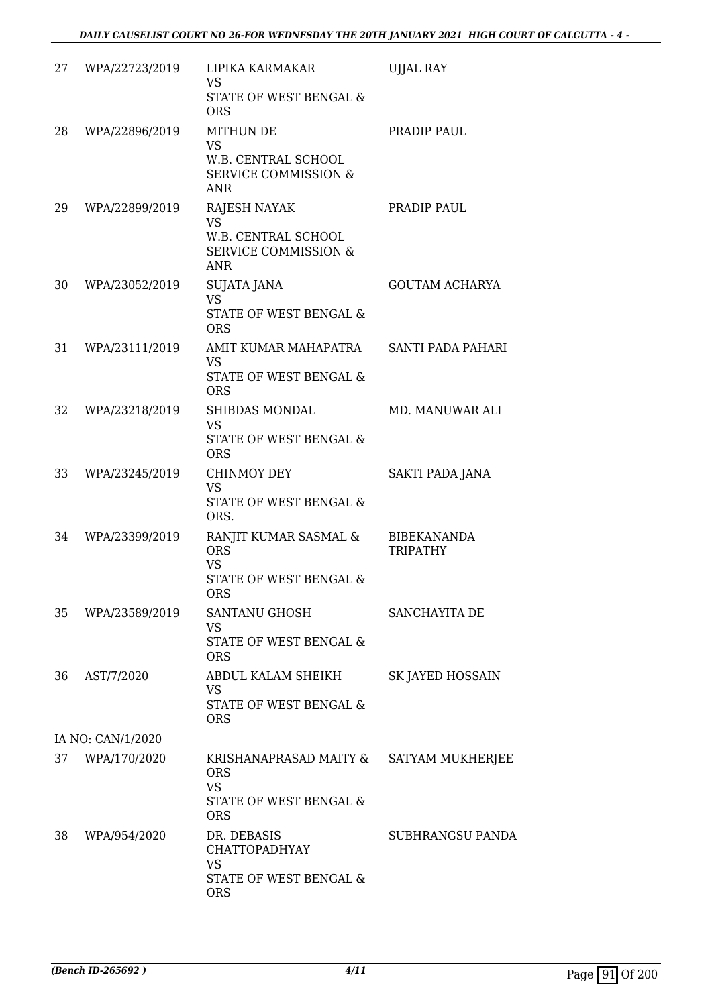| 27 | WPA/22723/2019    | LIPIKA KARMAKAR<br><b>VS</b><br>STATE OF WEST BENGAL &<br><b>ORS</b>                                     | <b>UJJAL RAY</b>                      |
|----|-------------------|----------------------------------------------------------------------------------------------------------|---------------------------------------|
| 28 | WPA/22896/2019    | <b>MITHUN DE</b><br><b>VS</b><br>W.B. CENTRAL SCHOOL<br><b>SERVICE COMMISSION &amp;</b><br><b>ANR</b>    | PRADIP PAUL                           |
| 29 | WPA/22899/2019    | <b>RAJESH NAYAK</b><br><b>VS</b><br>W.B. CENTRAL SCHOOL<br><b>SERVICE COMMISSION &amp;</b><br><b>ANR</b> | PRADIP PAUL                           |
| 30 | WPA/23052/2019    | <b>SUJATA JANA</b><br><b>VS</b><br>STATE OF WEST BENGAL &<br><b>ORS</b>                                  | <b>GOUTAM ACHARYA</b>                 |
| 31 | WPA/23111/2019    | AMIT KUMAR MAHAPATRA<br><b>VS</b><br><b>STATE OF WEST BENGAL &amp;</b><br><b>ORS</b>                     | SANTI PADA PAHARI                     |
| 32 | WPA/23218/2019    | SHIBDAS MONDAL<br><b>VS</b><br><b>STATE OF WEST BENGAL &amp;</b><br><b>ORS</b>                           | MD. MANUWAR ALI                       |
| 33 | WPA/23245/2019    | <b>CHINMOY DEY</b><br><b>VS</b><br>STATE OF WEST BENGAL &<br>ORS.                                        | SAKTI PADA JANA                       |
| 34 | WPA/23399/2019    | RANJIT KUMAR SASMAL &<br><b>ORS</b><br><b>VS</b><br><b>STATE OF WEST BENGAL &amp;</b><br><b>ORS</b>      | <b>BIBEKANANDA</b><br><b>TRIPATHY</b> |
| 35 | WPA/23589/2019    | SANTANU GHOSH<br><b>VS</b><br>STATE OF WEST BENGAL &<br><b>ORS</b>                                       | SANCHAYITA DE                         |
| 36 | AST/7/2020        | ABDUL KALAM SHEIKH<br><b>VS</b><br>STATE OF WEST BENGAL &<br><b>ORS</b>                                  | <b>SK JAYED HOSSAIN</b>               |
|    | IA NO: CAN/1/2020 |                                                                                                          |                                       |
| 37 | WPA/170/2020      | KRISHANAPRASAD MAITY &<br><b>ORS</b><br><b>VS</b><br>STATE OF WEST BENGAL &<br><b>ORS</b>                | SATYAM MUKHERJEE                      |
| 38 | WPA/954/2020      | DR. DEBASIS<br><b>CHATTOPADHYAY</b><br><b>VS</b><br>STATE OF WEST BENGAL &<br><b>ORS</b>                 | SUBHRANGSU PANDA                      |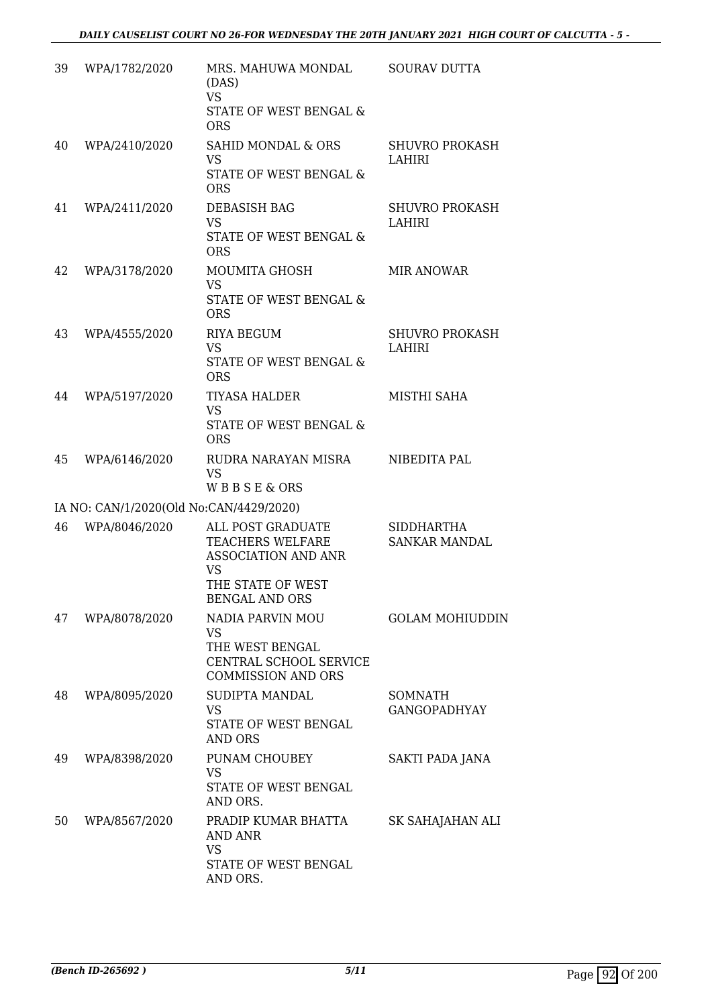| 39 | WPA/1782/2020                           | MRS. MAHUWA MONDAL<br>(DAS)<br><b>VS</b><br>STATE OF WEST BENGAL &<br><b>ORS</b>                                                      | <b>SOURAV DUTTA</b>                       |
|----|-----------------------------------------|---------------------------------------------------------------------------------------------------------------------------------------|-------------------------------------------|
| 40 | WPA/2410/2020                           | SAHID MONDAL & ORS<br><b>VS</b><br>STATE OF WEST BENGAL &                                                                             | <b>SHUVRO PROKASH</b><br>LAHIRI           |
| 41 | WPA/2411/2020                           | <b>ORS</b><br>DEBASISH BAG<br><b>VS</b><br>STATE OF WEST BENGAL &<br><b>ORS</b>                                                       | <b>SHUVRO PROKASH</b><br>LAHIRI           |
| 42 | WPA/3178/2020                           | MOUMITA GHOSH<br><b>VS</b><br><b>STATE OF WEST BENGAL &amp;</b><br><b>ORS</b>                                                         | <b>MIR ANOWAR</b>                         |
| 43 | WPA/4555/2020                           | <b>RIYA BEGUM</b><br><b>VS</b><br>STATE OF WEST BENGAL &<br><b>ORS</b>                                                                | <b>SHUVRO PROKASH</b><br><b>LAHIRI</b>    |
| 44 | WPA/5197/2020                           | <b>TIYASA HALDER</b><br><b>VS</b><br>STATE OF WEST BENGAL &<br><b>ORS</b>                                                             | MISTHI SAHA                               |
| 45 | WPA/6146/2020                           | RUDRA NARAYAN MISRA<br><b>VS</b><br>WBBSE&ORS                                                                                         | NIBEDITA PAL                              |
|    | IA NO: CAN/1/2020(Old No:CAN/4429/2020) |                                                                                                                                       |                                           |
| 46 | WPA/8046/2020                           | ALL POST GRADUATE<br><b>TEACHERS WELFARE</b><br><b>ASSOCIATION AND ANR</b><br><b>VS</b><br>THE STATE OF WEST<br><b>BENGAL AND ORS</b> | <b>SIDDHARTHA</b><br><b>SANKAR MANDAL</b> |
| 47 | WPA/8078/2020                           | NADIA PARVIN MOU<br><b>VS</b><br>THE WEST BENGAL<br>CENTRAL SCHOOL SERVICE<br><b>COMMISSION AND ORS</b>                               | <b>GOLAM MOHIUDDIN</b>                    |
| 48 | WPA/8095/2020                           | SUDIPTA MANDAL<br><b>VS</b><br>STATE OF WEST BENGAL<br><b>AND ORS</b>                                                                 | <b>SOMNATH</b><br><b>GANGOPADHYAY</b>     |
| 49 | WPA/8398/2020                           | PUNAM CHOUBEY<br><b>VS</b><br>STATE OF WEST BENGAL<br>AND ORS.                                                                        | SAKTI PADA JANA                           |
| 50 | WPA/8567/2020                           | PRADIP KUMAR BHATTA<br>AND ANR<br><b>VS</b><br>STATE OF WEST BENGAL<br>AND ORS.                                                       | SK SAHAJAHAN ALI                          |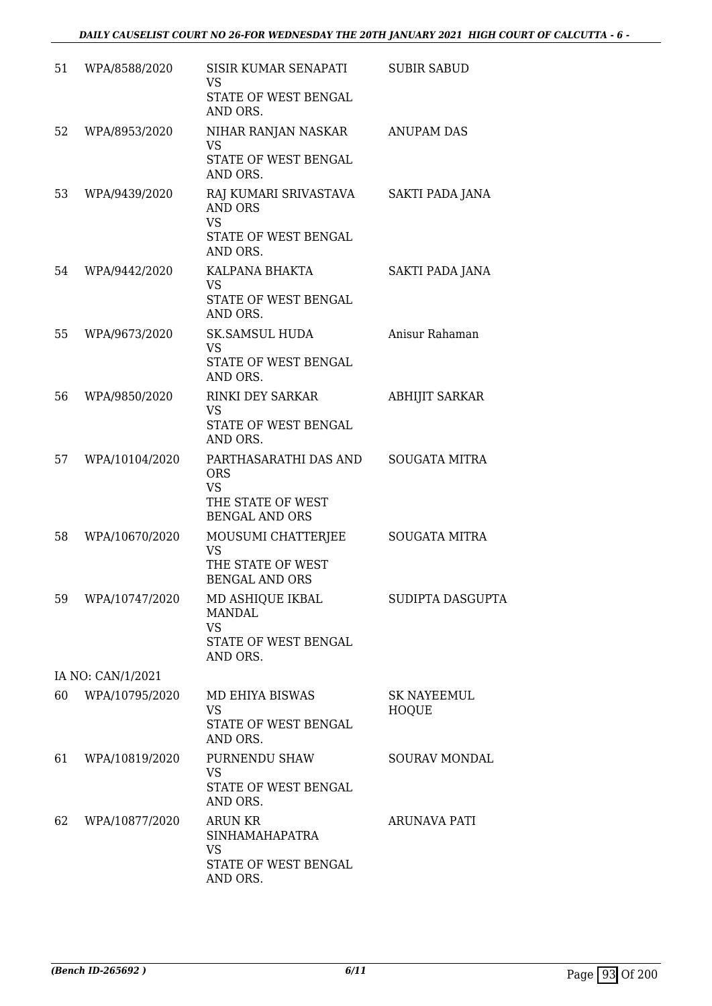| 51 | WPA/8588/2020     | SISIR KUMAR SENAPATI<br>VS                              | <b>SUBIR SABUD</b>                 |
|----|-------------------|---------------------------------------------------------|------------------------------------|
|    |                   | STATE OF WEST BENGAL<br>AND ORS.                        |                                    |
| 52 | WPA/8953/2020     | NIHAR RANJAN NASKAR<br><b>VS</b>                        | <b>ANUPAM DAS</b>                  |
|    |                   | STATE OF WEST BENGAL<br>AND ORS.                        |                                    |
| 53 | WPA/9439/2020     | RAJ KUMARI SRIVASTAVA<br>AND ORS<br><b>VS</b>           | SAKTI PADA JANA                    |
|    |                   | STATE OF WEST BENGAL<br>AND ORS.                        |                                    |
| 54 | WPA/9442/2020     | KALPANA BHAKTA<br>VS                                    | SAKTI PADA JANA                    |
|    |                   | STATE OF WEST BENGAL<br>AND ORS.                        |                                    |
| 55 | WPA/9673/2020     | <b>SK.SAMSUL HUDA</b><br>VS                             | Anisur Rahaman                     |
|    |                   | <b>STATE OF WEST BENGAL</b><br>AND ORS.                 |                                    |
| 56 | WPA/9850/2020     | <b>RINKI DEY SARKAR</b><br>VS                           | <b>ABHIJIT SARKAR</b>              |
|    |                   | STATE OF WEST BENGAL<br>AND ORS.                        |                                    |
| 57 | WPA/10104/2020    | PARTHASARATHI DAS AND<br><b>ORS</b>                     | <b>SOUGATA MITRA</b>               |
|    |                   | <b>VS</b><br>THE STATE OF WEST<br><b>BENGAL AND ORS</b> |                                    |
| 58 | WPA/10670/2020    | MOUSUMI CHATTERJEE<br>VS                                | <b>SOUGATA MITRA</b>               |
|    |                   | THE STATE OF WEST<br><b>BENGAL AND ORS</b>              |                                    |
| 59 | WPA/10747/2020    | MD ASHIQUE IKBAL<br><b>MANDAL</b>                       | SUDIPTA DASGUPTA                   |
|    |                   | <b>VS</b><br>STATE OF WEST BENGAL<br>AND ORS.           |                                    |
|    | IA NO: CAN/1/2021 |                                                         |                                    |
| 60 | WPA/10795/2020    | MD EHIYA BISWAS<br><b>VS</b>                            | <b>SK NAYEEMUL</b><br><b>HOQUE</b> |
|    |                   | <b>STATE OF WEST BENGAL</b><br>AND ORS.                 |                                    |
| 61 | WPA/10819/2020    | PURNENDU SHAW<br><b>VS</b>                              | <b>SOURAV MONDAL</b>               |
|    |                   | STATE OF WEST BENGAL<br>AND ORS.                        |                                    |
| 62 | WPA/10877/2020    | <b>ARUN KR</b><br><b>SINHAMAHAPATRA</b>                 | <b>ARUNAVA PATI</b>                |
|    |                   | <b>VS</b><br>STATE OF WEST BENGAL<br>AND ORS.           |                                    |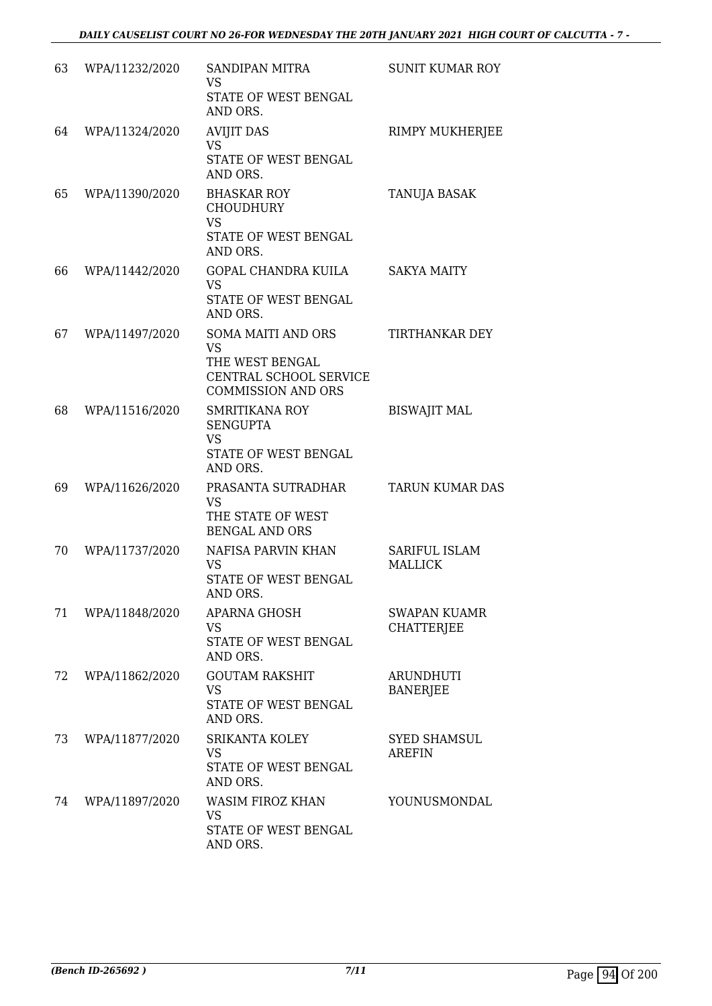| 63 | WPA/11232/2020 | <b>SANDIPAN MITRA</b><br><b>VS</b><br>STATE OF WEST BENGAL<br>AND ORS.                                           | <b>SUNIT KUMAR ROY</b>               |
|----|----------------|------------------------------------------------------------------------------------------------------------------|--------------------------------------|
| 64 | WPA/11324/2020 | <b>AVIJIT DAS</b><br><b>VS</b><br>STATE OF WEST BENGAL<br>AND ORS.                                               | RIMPY MUKHERJEE                      |
| 65 | WPA/11390/2020 | <b>BHASKAR ROY</b><br><b>CHOUDHURY</b><br><b>VS</b><br>STATE OF WEST BENGAL<br>AND ORS.                          | TANUJA BASAK                         |
| 66 | WPA/11442/2020 | GOPAL CHANDRA KUILA<br>VS<br>STATE OF WEST BENGAL<br>AND ORS.                                                    | <b>SAKYA MAITY</b>                   |
| 67 | WPA/11497/2020 | <b>SOMA MAITI AND ORS</b><br><b>VS</b><br>THE WEST BENGAL<br>CENTRAL SCHOOL SERVICE<br><b>COMMISSION AND ORS</b> | TIRTHANKAR DEY                       |
| 68 | WPA/11516/2020 | <b>SMRITIKANA ROY</b><br><b>SENGUPTA</b><br><b>VS</b><br>STATE OF WEST BENGAL<br>AND ORS.                        | <b>BISWAJIT MAL</b>                  |
| 69 | WPA/11626/2020 | PRASANTA SUTRADHAR<br>VS<br>THE STATE OF WEST<br><b>BENGAL AND ORS</b>                                           | <b>TARUN KUMAR DAS</b>               |
| 70 | WPA/11737/2020 | NAFISA PARVIN KHAN<br>VS<br>STATE OF WEST BENGAL<br>AND ORS.                                                     | SARIFUL ISLAM<br><b>MALLICK</b>      |
| 71 | WPA/11848/2020 | APARNA GHOSH<br>VS<br>STATE OF WEST BENGAL<br>AND ORS.                                                           | SWAPAN KUAMR<br><b>CHATTERJEE</b>    |
| 72 | WPA/11862/2020 | <b>GOUTAM RAKSHIT</b><br><b>VS</b><br>STATE OF WEST BENGAL<br>AND ORS.                                           | <b>ARUNDHUTI</b><br><b>BANERJEE</b>  |
| 73 | WPA/11877/2020 | SRIKANTA KOLEY<br>VS<br>STATE OF WEST BENGAL<br>AND ORS.                                                         | <b>SYED SHAMSUL</b><br><b>AREFIN</b> |
| 74 | WPA/11897/2020 | WASIM FIROZ KHAN<br><b>VS</b><br>STATE OF WEST BENGAL<br>AND ORS.                                                | YOUNUSMONDAL                         |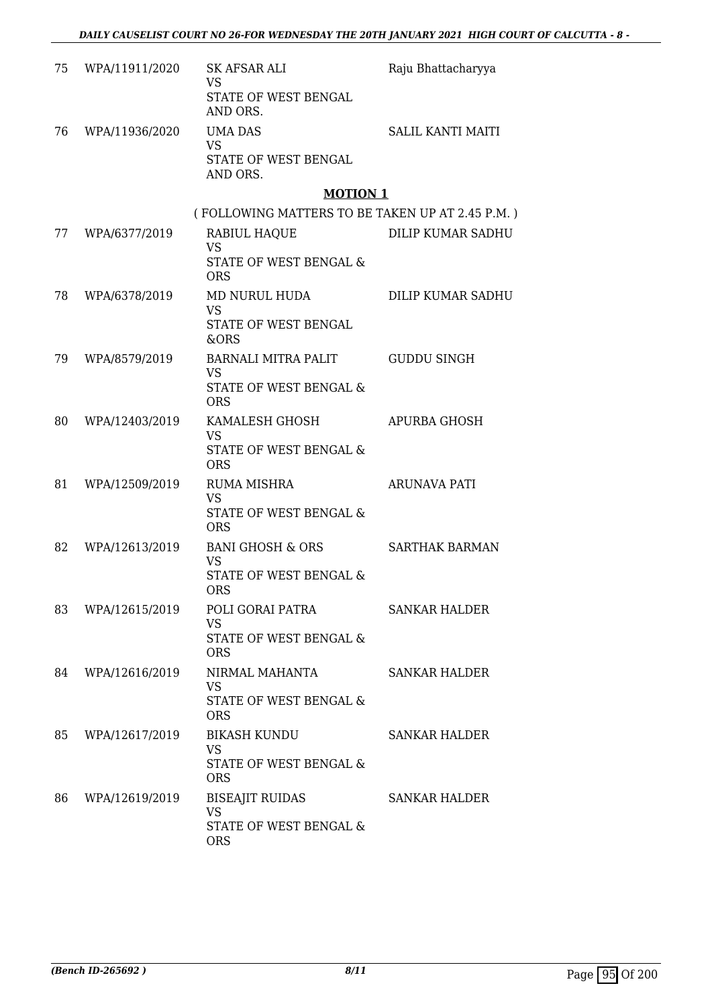| 75 | WPA/11911/2020 | SK AFSAR ALI<br><b>VS</b><br>STATE OF WEST BENGAL<br>AND ORS.                | Raju Bhattacharyya       |
|----|----------------|------------------------------------------------------------------------------|--------------------------|
| 76 | WPA/11936/2020 | UMA DAS<br><b>VS</b><br>STATE OF WEST BENGAL<br>AND ORS.                     | <b>SALIL KANTI MAITI</b> |
|    |                | <b>MOTION 1</b>                                                              |                          |
|    |                | (FOLLOWING MATTERS TO BE TAKEN UP AT 2.45 P.M.)                              |                          |
| 77 | WPA/6377/2019  | RABIUL HAQUE<br><b>VS</b><br>STATE OF WEST BENGAL &<br><b>ORS</b>            | DILIP KUMAR SADHU        |
| 78 | WPA/6378/2019  | MD NURUL HUDA<br><b>VS</b><br>STATE OF WEST BENGAL<br>&ORS                   | DILIP KUMAR SADHU        |
| 79 | WPA/8579/2019  | BARNALI MITRA PALIT<br>VS<br><b>STATE OF WEST BENGAL &amp;</b><br><b>ORS</b> | <b>GUDDU SINGH</b>       |
| 80 | WPA/12403/2019 | KAMALESH GHOSH<br><b>VS</b><br>STATE OF WEST BENGAL &<br><b>ORS</b>          | APURBA GHOSH             |
| 81 | WPA/12509/2019 | <b>RUMA MISHRA</b><br><b>VS</b><br>STATE OF WEST BENGAL &<br><b>ORS</b>      | <b>ARUNAVA PATI</b>      |
| 82 | WPA/12613/2019 | BANI GHOSH & ORS<br><b>VS</b><br>STATE OF WEST BENGAL &<br><b>ORS</b>        | <b>SARTHAK BARMAN</b>    |
| 83 | WPA/12615/2019 | POLI GORAI PATRA<br>VS<br><b>STATE OF WEST BENGAL &amp;</b><br><b>ORS</b>    | <b>SANKAR HALDER</b>     |
| 84 | WPA/12616/2019 | NIRMAL MAHANTA<br><b>VS</b><br>STATE OF WEST BENGAL &<br><b>ORS</b>          | <b>SANKAR HALDER</b>     |
| 85 | WPA/12617/2019 | <b>BIKASH KUNDU</b><br>VS.<br>STATE OF WEST BENGAL &<br><b>ORS</b>           | <b>SANKAR HALDER</b>     |
| 86 | WPA/12619/2019 | <b>BISEAJIT RUIDAS</b><br>VS<br>STATE OF WEST BENGAL &<br><b>ORS</b>         | SANKAR HALDER            |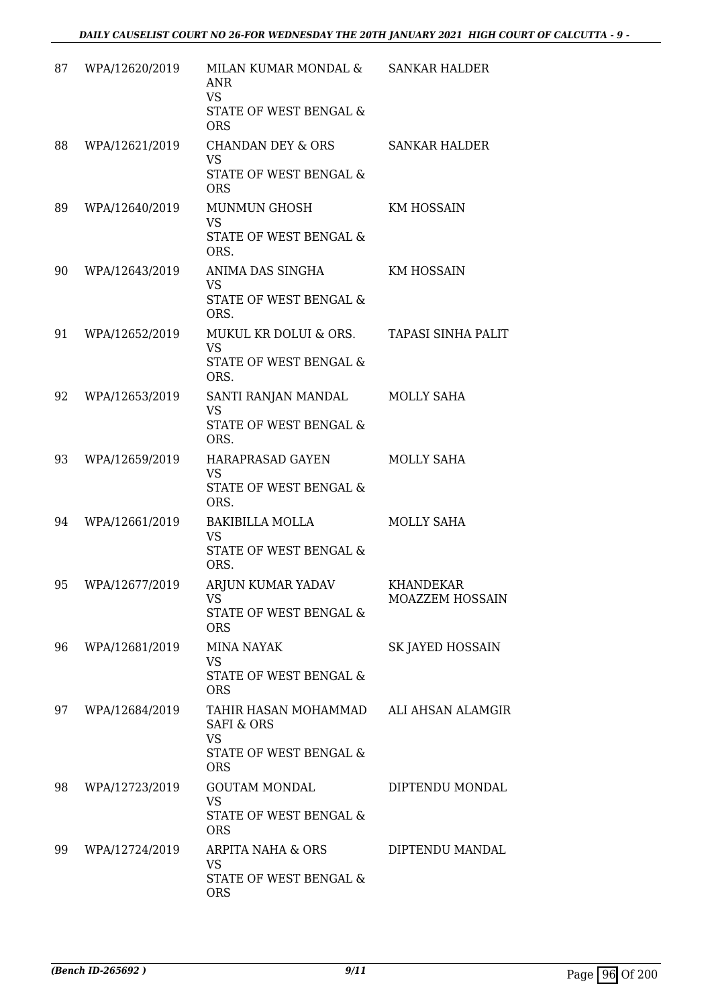| 87 | WPA/12620/2019 | MILAN KUMAR MONDAL &<br><b>ANR</b><br><b>VS</b><br>STATE OF WEST BENGAL &<br><b>ORS</b>            | <b>SANKAR HALDER</b>                |
|----|----------------|----------------------------------------------------------------------------------------------------|-------------------------------------|
| 88 | WPA/12621/2019 | <b>CHANDAN DEY &amp; ORS</b><br><b>VS</b><br>STATE OF WEST BENGAL &<br><b>ORS</b>                  | <b>SANKAR HALDER</b>                |
| 89 | WPA/12640/2019 | <b>MUNMUN GHOSH</b><br><b>VS</b><br>STATE OF WEST BENGAL &<br>ORS.                                 | <b>KM HOSSAIN</b>                   |
| 90 | WPA/12643/2019 | ANIMA DAS SINGHA<br>VS.<br>STATE OF WEST BENGAL &<br>ORS.                                          | <b>KM HOSSAIN</b>                   |
| 91 | WPA/12652/2019 | MUKUL KR DOLUI & ORS.<br><b>VS</b><br><b>STATE OF WEST BENGAL &amp;</b><br>ORS.                    | <b>TAPASI SINHA PALIT</b>           |
| 92 | WPA/12653/2019 | SANTI RANJAN MANDAL<br><b>VS</b><br>STATE OF WEST BENGAL &<br>ORS.                                 | <b>MOLLY SAHA</b>                   |
| 93 | WPA/12659/2019 | HARAPRASAD GAYEN<br><b>VS</b><br>STATE OF WEST BENGAL &<br>ORS.                                    | <b>MOLLY SAHA</b>                   |
| 94 | WPA/12661/2019 | <b>BAKIBILLA MOLLA</b><br><b>VS</b><br>STATE OF WEST BENGAL &<br>ORS.                              | MOLLY SAHA                          |
| 95 | WPA/12677/2019 | ARJUN KUMAR YADAV<br>VS<br>STATE OF WEST BENGAL &<br><b>ORS</b>                                    | <b>KHANDEKAR</b><br>MOAZZEM HOSSAIN |
| 96 | WPA/12681/2019 | <b>MINA NAYAK</b><br><b>VS</b><br>STATE OF WEST BENGAL &<br><b>ORS</b>                             | SK JAYED HOSSAIN                    |
| 97 | WPA/12684/2019 | TAHIR HASAN MOHAMMAD<br><b>SAFI &amp; ORS</b><br><b>VS</b><br>STATE OF WEST BENGAL &<br><b>ORS</b> | ALI AHSAN ALAMGIR                   |
| 98 | WPA/12723/2019 | <b>GOUTAM MONDAL</b><br><b>VS</b><br>STATE OF WEST BENGAL &<br><b>ORS</b>                          | DIPTENDU MONDAL                     |
| 99 | WPA/12724/2019 | ARPITA NAHA & ORS<br><b>VS</b><br>STATE OF WEST BENGAL &<br><b>ORS</b>                             | DIPTENDU MANDAL                     |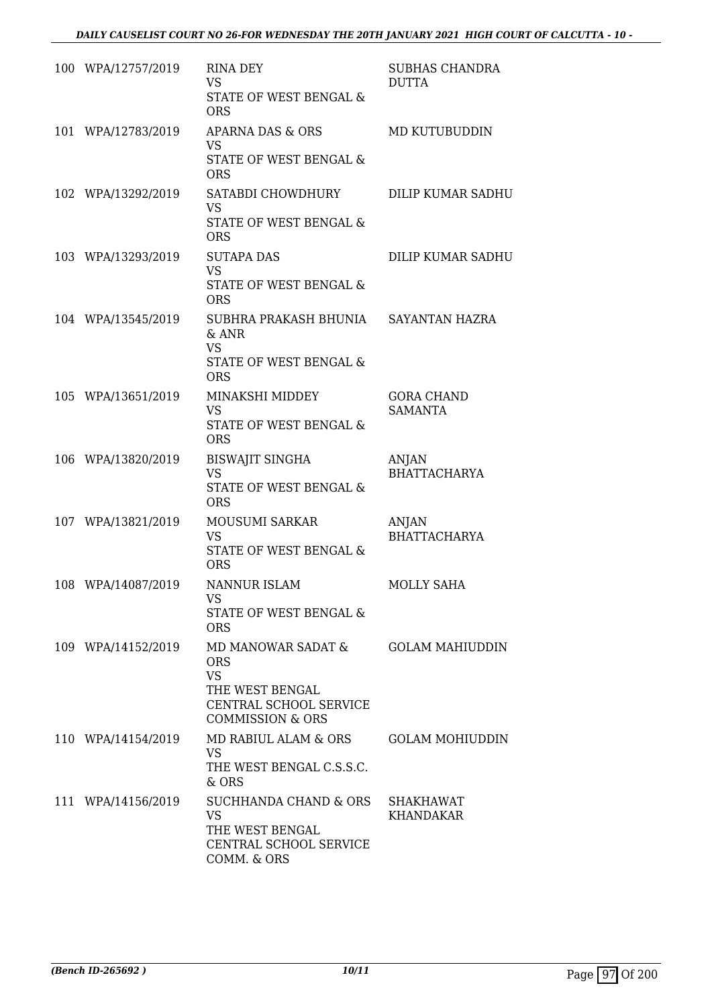| 100 WPA/12757/2019 | <b>RINA DEY</b><br>VS.<br>STATE OF WEST BENGAL &<br><b>ORS</b>                                                            | <b>SUBHAS CHANDRA</b><br><b>DUTTA</b> |
|--------------------|---------------------------------------------------------------------------------------------------------------------------|---------------------------------------|
| 101 WPA/12783/2019 | APARNA DAS & ORS<br><b>VS</b><br>STATE OF WEST BENGAL &<br><b>ORS</b>                                                     | MD KUTUBUDDIN                         |
| 102 WPA/13292/2019 | SATABDI CHOWDHURY<br><b>VS</b><br>STATE OF WEST BENGAL &<br><b>ORS</b>                                                    | DILIP KUMAR SADHU                     |
| 103 WPA/13293/2019 | <b>SUTAPA DAS</b><br><b>VS</b><br>STATE OF WEST BENGAL &<br><b>ORS</b>                                                    | DILIP KUMAR SADHU                     |
| 104 WPA/13545/2019 | SUBHRA PRAKASH BHUNIA SAYANTAN HAZRA<br>$&$ ANR<br><b>VS</b><br>STATE OF WEST BENGAL &<br><b>ORS</b>                      |                                       |
| 105 WPA/13651/2019 | MINAKSHI MIDDEY<br><b>VS</b><br>STATE OF WEST BENGAL &<br><b>ORS</b>                                                      | <b>GORA CHAND</b><br><b>SAMANTA</b>   |
| 106 WPA/13820/2019 | <b>BISWAJIT SINGHA</b><br><b>VS</b><br>STATE OF WEST BENGAL &<br><b>ORS</b>                                               | <b>ANJAN</b><br><b>BHATTACHARYA</b>   |
| 107 WPA/13821/2019 | MOUSUMI SARKAR<br><b>VS</b><br>STATE OF WEST BENGAL &<br><b>ORS</b>                                                       | ANJAN<br><b>BHATTACHARYA</b>          |
| 108 WPA/14087/2019 | NANNUR ISLAM<br><b>VS</b><br>STATE OF WEST BENGAL &<br><b>ORS</b>                                                         | <b>MOLLY SAHA</b>                     |
| 109 WPA/14152/2019 | MD MANOWAR SADAT &<br><b>ORS</b><br><b>VS</b><br>THE WEST BENGAL<br>CENTRAL SCHOOL SERVICE<br><b>COMMISSION &amp; ORS</b> | <b>GOLAM MAHIUDDIN</b>                |
| 110 WPA/14154/2019 | MD RABIUL ALAM & ORS<br><b>VS</b><br>THE WEST BENGAL C.S.S.C.<br>& ORS                                                    | <b>GOLAM MOHIUDDIN</b>                |
| 111 WPA/14156/2019 | SUCHHANDA CHAND & ORS<br><b>VS</b><br>THE WEST BENGAL<br>CENTRAL SCHOOL SERVICE<br>COMM. & ORS                            | SHAKHAWAT<br><b>KHANDAKAR</b>         |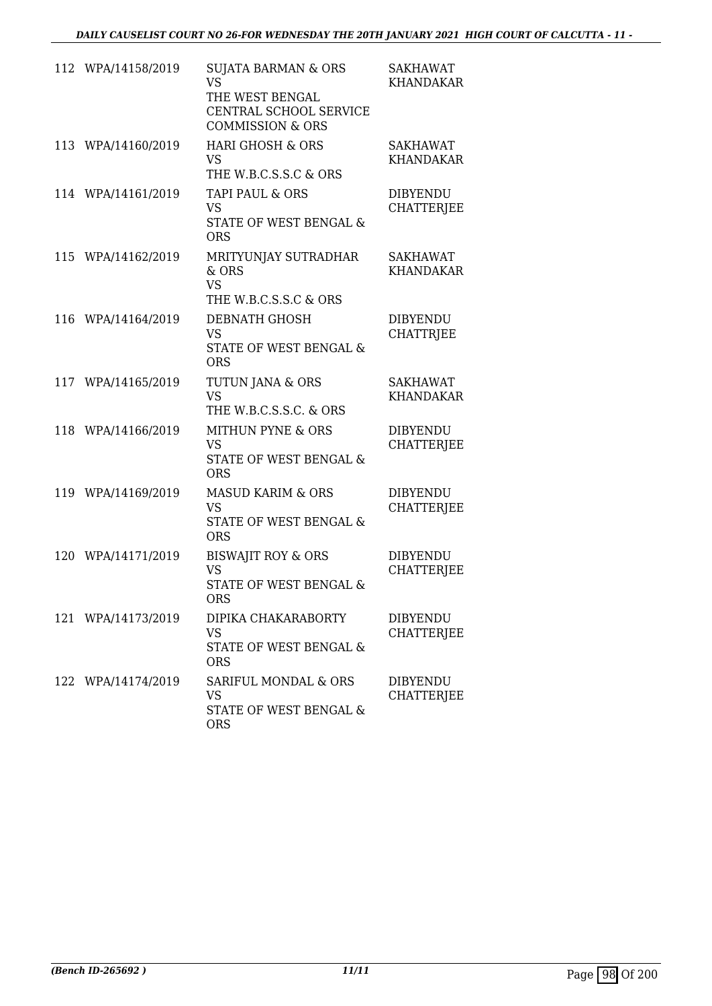|     | 112 WPA/14158/2019 | <b>SUJATA BARMAN &amp; ORS</b><br><b>VS</b><br>THE WEST BENGAL<br>CENTRAL SCHOOL SERVICE<br><b>COMMISSION &amp; ORS</b> | <b>SAKHAWAT</b><br><b>KHANDAKAR</b>  |
|-----|--------------------|-------------------------------------------------------------------------------------------------------------------------|--------------------------------------|
| 113 | WPA/14160/2019     | <b>HARI GHOSH &amp; ORS</b><br><b>VS</b><br>THE W.B.C.S.S.C & ORS                                                       | SAKHAWAT<br><b>KHANDAKAR</b>         |
|     | 114 WPA/14161/2019 | TAPI PAUL & ORS<br><b>VS</b><br>STATE OF WEST BENGAL &<br><b>ORS</b>                                                    | <b>DIBYENDU</b><br><b>CHATTERJEE</b> |
|     | 115 WPA/14162/2019 | MRITYUNJAY SUTRADHAR<br>& ORS<br><b>VS</b><br>THE W.B.C.S.S.C & ORS                                                     | <b>SAKHAWAT</b><br><b>KHANDAKAR</b>  |
| 116 | WPA/14164/2019     | DEBNATH GHOSH<br><b>VS</b><br><b>STATE OF WEST BENGAL &amp;</b><br><b>ORS</b>                                           | <b>DIBYENDU</b><br><b>CHATTRJEE</b>  |
| 117 | WPA/14165/2019     | TUTUN JANA & ORS<br><b>VS</b><br>THE W.B.C.S.S.C. & ORS                                                                 | <b>SAKHAWAT</b><br><b>KHANDAKAR</b>  |
| 118 | WPA/14166/2019     | <b>MITHUN PYNE &amp; ORS</b><br><b>VS</b><br>STATE OF WEST BENGAL &<br><b>ORS</b>                                       | <b>DIBYENDU</b><br><b>CHATTERJEE</b> |
|     | 119 WPA/14169/2019 | <b>MASUD KARIM &amp; ORS</b><br><b>VS</b><br>STATE OF WEST BENGAL &<br><b>ORS</b>                                       | <b>DIBYENDU</b><br><b>CHATTERJEE</b> |
|     | 120 WPA/14171/2019 | <b>BISWAJIT ROY &amp; ORS</b><br><b>VS</b><br>STATE OF WEST BENGAL &<br><b>ORS</b>                                      | <b>DIBYENDU</b><br><b>CHATTERJEE</b> |
|     | 121 WPA/14173/2019 | DIPIKA CHAKARABORTY<br><b>VS</b><br>STATE OF WEST BENGAL &<br><b>ORS</b>                                                | <b>DIBYENDU</b><br><b>CHATTERJEE</b> |
|     | 122 WPA/14174/2019 | SARIFUL MONDAL & ORS<br><b>VS</b><br>STATE OF WEST BENGAL &<br><b>ORS</b>                                               | <b>DIBYENDU</b><br><b>CHATTERJEE</b> |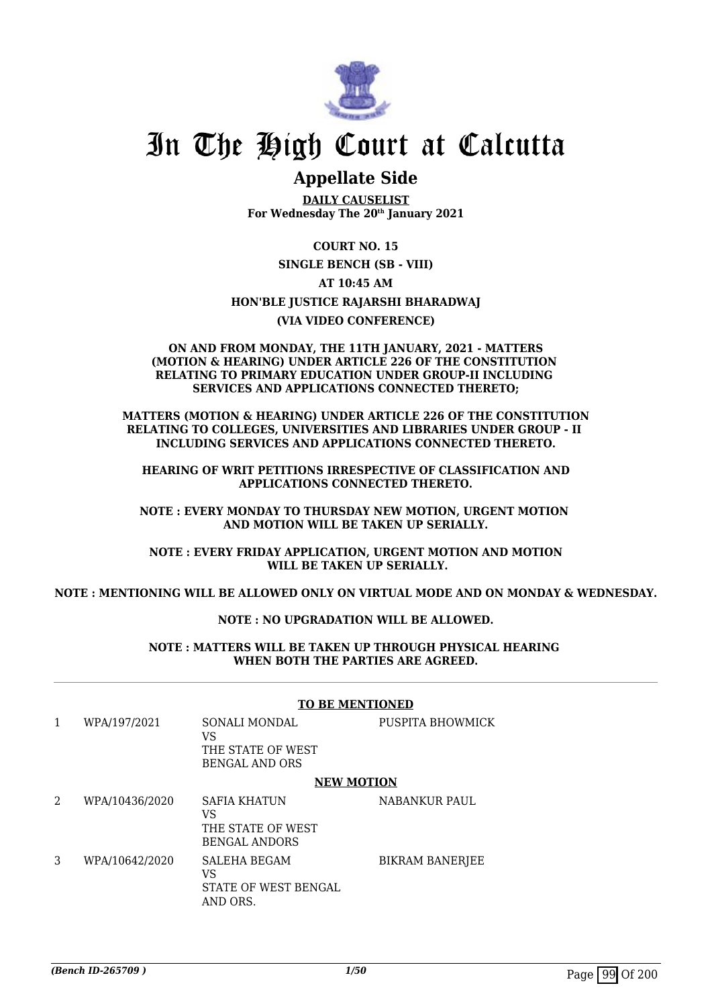

# In The High Court at Calcutta

## **Appellate Side**

**DAILY CAUSELIST For Wednesday The 20th January 2021**

**COURT NO. 15**

**SINGLE BENCH (SB - VIII)**

**AT 10:45 AM**

## **HON'BLE JUSTICE RAJARSHI BHARADWAJ**

**(VIA VIDEO CONFERENCE)**

#### **ON AND FROM MONDAY, THE 11TH JANUARY, 2021 - MATTERS (MOTION & HEARING) UNDER ARTICLE 226 OF THE CONSTITUTION RELATING TO PRIMARY EDUCATION UNDER GROUP-II INCLUDING SERVICES AND APPLICATIONS CONNECTED THERETO;**

**MATTERS (MOTION & HEARING) UNDER ARTICLE 226 OF THE CONSTITUTION RELATING TO COLLEGES, UNIVERSITIES AND LIBRARIES UNDER GROUP - II INCLUDING SERVICES AND APPLICATIONS CONNECTED THERETO.**

 **HEARING OF WRIT PETITIONS IRRESPECTIVE OF CLASSIFICATION AND APPLICATIONS CONNECTED THERETO.**

**NOTE : EVERY MONDAY TO THURSDAY NEW MOTION, URGENT MOTION AND MOTION WILL BE TAKEN UP SERIALLY.**

**NOTE : EVERY FRIDAY APPLICATION, URGENT MOTION AND MOTION WILL BE TAKEN UP SERIALLY.**

**NOTE : MENTIONING WILL BE ALLOWED ONLY ON VIRTUAL MODE AND ON MONDAY & WEDNESDAY.**

## **NOTE : NO UPGRADATION WILL BE ALLOWED.**

**NOTE : MATTERS WILL BE TAKEN UP THROUGH PHYSICAL HEARING WHEN BOTH THE PARTIES ARE AGREED.**

**TO BE MENTIONED**

|                |                | TO BE MENTIONED                                                        |                        |
|----------------|----------------|------------------------------------------------------------------------|------------------------|
| 1              | WPA/197/2021   | SONALI MONDAL<br>VS<br>THE STATE OF WEST<br><b>BENGAL AND ORS</b>      | PUSPITA BHOWMICK       |
|                |                | <b>NEW MOTION</b>                                                      |                        |
| $\overline{a}$ | WPA/10436/2020 | <b>SAFIA KHATUN</b><br>VS<br>THE STATE OF WEST<br><b>BENGAL ANDORS</b> | NABANKUR PAUL          |
| 3              | WPA/10642/2020 | <b>SALEHA BEGAM</b><br>VS<br>STATE OF WEST BENGAL<br>AND ORS.          | <b>BIKRAM BANERJEE</b> |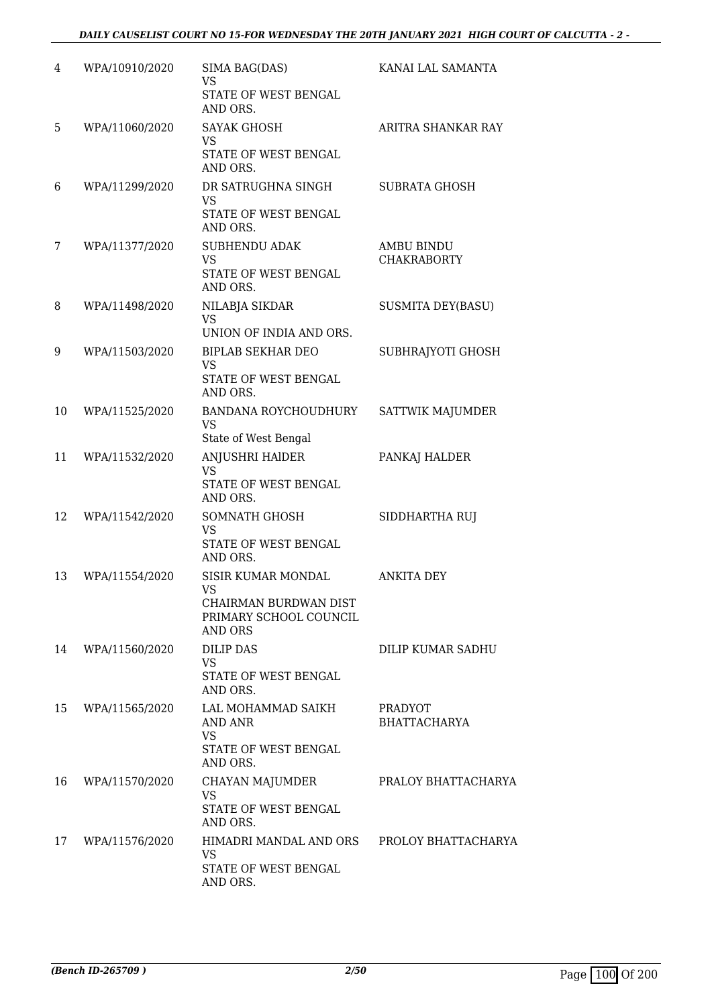| 4  | WPA/10910/2020 | SIMA BAG(DAS)<br><b>VS</b><br>STATE OF WEST BENGAL                                                   | KANAI LAL SAMANTA                       |
|----|----------------|------------------------------------------------------------------------------------------------------|-----------------------------------------|
| 5  | WPA/11060/2020 | AND ORS.<br><b>SAYAK GHOSH</b><br>VS                                                                 | ARITRA SHANKAR RAY                      |
|    |                | STATE OF WEST BENGAL<br>AND ORS.                                                                     |                                         |
| 6  | WPA/11299/2020 | DR SATRUGHNA SINGH<br><b>VS</b><br>STATE OF WEST BENGAL<br>AND ORS.                                  | <b>SUBRATA GHOSH</b>                    |
| 7  | WPA/11377/2020 | <b>SUBHENDU ADAK</b><br><b>VS</b><br>STATE OF WEST BENGAL<br>AND ORS.                                | <b>AMBU BINDU</b><br><b>CHAKRABORTY</b> |
| 8  | WPA/11498/2020 | NILABJA SIKDAR<br><b>VS</b><br>UNION OF INDIA AND ORS.                                               | <b>SUSMITA DEY(BASU)</b>                |
| 9  | WPA/11503/2020 | <b>BIPLAB SEKHAR DEO</b><br>VS<br>STATE OF WEST BENGAL<br>AND ORS.                                   | SUBHRAJYOTI GHOSH                       |
| 10 | WPA/11525/2020 | BANDANA ROYCHOUDHURY<br><b>VS</b><br>State of West Bengal                                            | SATTWIK MAJUMDER                        |
| 11 | WPA/11532/2020 | <b>ANJUSHRI HAIDER</b><br>VS<br>STATE OF WEST BENGAL<br>AND ORS.                                     | PANKAJ HALDER                           |
| 12 | WPA/11542/2020 | SOMNATH GHOSH<br><b>VS</b><br>STATE OF WEST BENGAL<br>AND ORS.                                       | SIDDHARTHA RUJ                          |
| 13 | WPA/11554/2020 | <b>SISIR KUMAR MONDAL</b><br>VS<br>CHAIRMAN BURDWAN DIST<br>PRIMARY SCHOOL COUNCIL<br><b>AND ORS</b> | <b>ANKITA DEY</b>                       |
| 14 | WPA/11560/2020 | <b>DILIP DAS</b><br>VS<br>STATE OF WEST BENGAL<br>AND ORS.                                           | DILIP KUMAR SADHU                       |
| 15 | WPA/11565/2020 | LAL MOHAMMAD SAIKH<br>AND ANR<br>VS<br>STATE OF WEST BENGAL<br>AND ORS.                              | PRADYOT<br><b>BHATTACHARYA</b>          |
| 16 | WPA/11570/2020 | CHAYAN MAJUMDER<br><b>VS</b><br>STATE OF WEST BENGAL<br>AND ORS.                                     | PRALOY BHATTACHARYA                     |
| 17 | WPA/11576/2020 | HIMADRI MANDAL AND ORS PROLOY BHATTACHARYA<br><b>VS</b><br>STATE OF WEST BENGAL<br>AND ORS.          |                                         |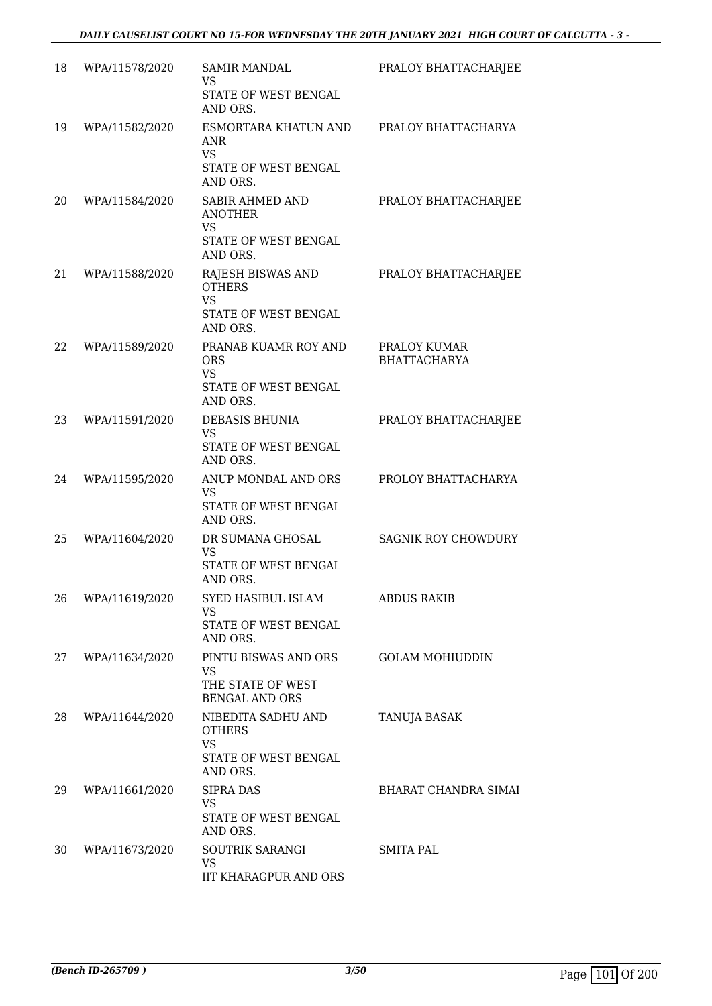| 18 | WPA/11578/2020 | <b>SAMIR MANDAL</b><br><b>VS</b><br>STATE OF WEST BENGAL<br>AND ORS.                      | PRALOY BHATTACHARJEE                |
|----|----------------|-------------------------------------------------------------------------------------------|-------------------------------------|
| 19 | WPA/11582/2020 | ESMORTARA KHATUN AND<br>ANR<br><b>VS</b><br>STATE OF WEST BENGAL<br>AND ORS.              | PRALOY BHATTACHARYA                 |
| 20 | WPA/11584/2020 | <b>SABIR AHMED AND</b><br><b>ANOTHER</b><br><b>VS</b><br>STATE OF WEST BENGAL<br>AND ORS. | PRALOY BHATTACHARJEE                |
| 21 | WPA/11588/2020 | RAJESH BISWAS AND<br><b>OTHERS</b><br><b>VS</b><br>STATE OF WEST BENGAL<br>AND ORS.       | PRALOY BHATTACHARJEE                |
| 22 | WPA/11589/2020 | PRANAB KUAMR ROY AND<br><b>ORS</b><br><b>VS</b><br>STATE OF WEST BENGAL<br>AND ORS.       | PRALOY KUMAR<br><b>BHATTACHARYA</b> |
| 23 | WPA/11591/2020 | <b>DEBASIS BHUNIA</b><br><b>VS</b><br>STATE OF WEST BENGAL<br>AND ORS.                    | PRALOY BHATTACHARJEE                |
| 24 | WPA/11595/2020 | ANUP MONDAL AND ORS<br>VS<br>STATE OF WEST BENGAL<br>AND ORS.                             | PROLOY BHATTACHARYA                 |
| 25 | WPA/11604/2020 | DR SUMANA GHOSAL<br><b>VS</b><br>STATE OF WEST BENGAL<br>AND ORS.                         | <b>SAGNIK ROY CHOWDURY</b>          |
| 26 | WPA/11619/2020 | SYED HASIBUL ISLAM<br>VS<br>STATE OF WEST BENGAL<br>AND ORS.                              | <b>ABDUS RAKIB</b>                  |
| 27 | WPA/11634/2020 | PINTU BISWAS AND ORS<br>VS.<br>THE STATE OF WEST<br><b>BENGAL AND ORS</b>                 | <b>GOLAM MOHIUDDIN</b>              |
| 28 | WPA/11644/2020 | NIBEDITA SADHU AND<br><b>OTHERS</b><br><b>VS</b><br>STATE OF WEST BENGAL<br>AND ORS.      | TANUJA BASAK                        |
| 29 | WPA/11661/2020 | SIPRA DAS<br>VS.<br>STATE OF WEST BENGAL<br>AND ORS.                                      | BHARAT CHANDRA SIMAI                |
| 30 | WPA/11673/2020 | SOUTRIK SARANGI<br>VS<br>IIT KHARAGPUR AND ORS                                            | SMITA PAL                           |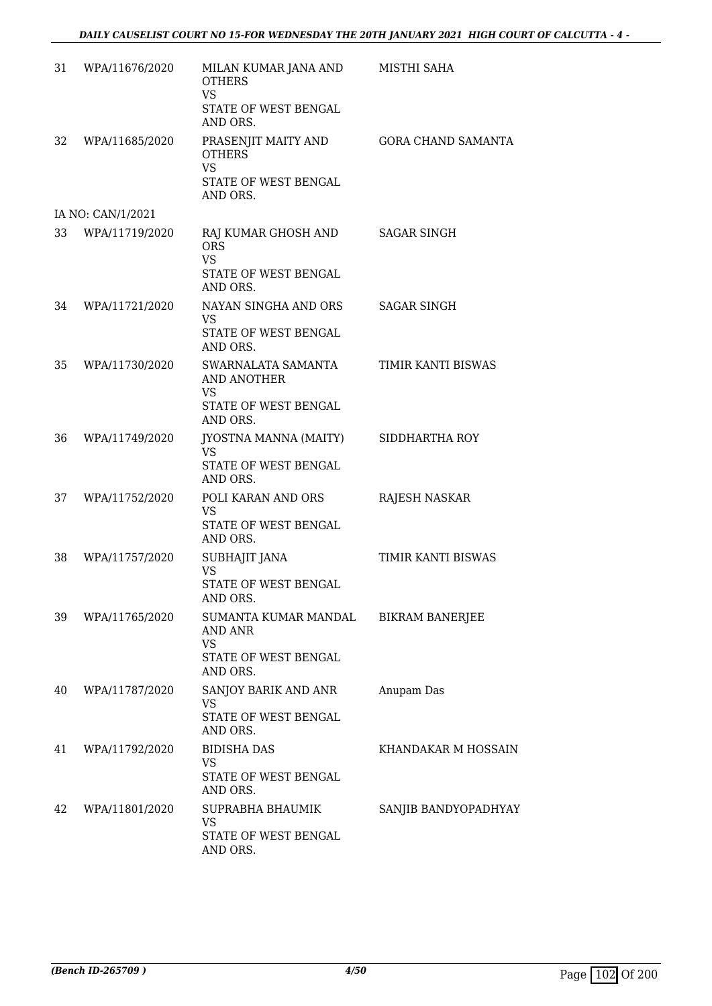| 31 | WPA/11676/2020    | MILAN KUMAR JANA AND<br><b>OTHERS</b><br><b>VS</b><br>STATE OF WEST BENGAL<br>AND ORS.    | MISTHI SAHA               |
|----|-------------------|-------------------------------------------------------------------------------------------|---------------------------|
| 32 | WPA/11685/2020    | PRASENJIT MAITY AND<br><b>OTHERS</b><br><b>VS</b><br>STATE OF WEST BENGAL<br>AND ORS.     | <b>GORA CHAND SAMANTA</b> |
|    | IA NO: CAN/1/2021 |                                                                                           |                           |
| 33 | WPA/11719/2020    | RAJ KUMAR GHOSH AND<br><b>ORS</b><br><b>VS</b><br>STATE OF WEST BENGAL<br>AND ORS.        | SAGAR SINGH               |
| 34 | WPA/11721/2020    | NAYAN SINGHA AND ORS<br><b>VS</b><br>STATE OF WEST BENGAL<br>AND ORS.                     | <b>SAGAR SINGH</b>        |
| 35 | WPA/11730/2020    | SWARNALATA SAMANTA<br><b>AND ANOTHER</b><br><b>VS</b><br>STATE OF WEST BENGAL<br>AND ORS. | TIMIR KANTI BISWAS        |
| 36 | WPA/11749/2020    | JYOSTNA MANNA (MAITY)<br><b>VS</b><br>STATE OF WEST BENGAL<br>AND ORS.                    | SIDDHARTHA ROY            |
| 37 | WPA/11752/2020    | POLI KARAN AND ORS<br>VS<br>STATE OF WEST BENGAL<br>AND ORS.                              | <b>RAJESH NASKAR</b>      |
| 38 | WPA/11757/2020    | SUBHAJIT JANA<br><b>VS</b><br>STATE OF WEST BENGAL<br>AND ORS.                            | TIMIR KANTI BISWAS        |
| 39 | WPA/11765/2020    | SUMANTA KUMAR MANDAL<br><b>AND ANR</b><br>VS<br>STATE OF WEST BENGAL<br>AND ORS.          | <b>BIKRAM BANERJEE</b>    |
| 40 | WPA/11787/2020    | SANJOY BARIK AND ANR<br>VS<br>STATE OF WEST BENGAL<br>AND ORS.                            | Anupam Das                |
| 41 | WPA/11792/2020    | <b>BIDISHA DAS</b><br>VS.<br>STATE OF WEST BENGAL<br>AND ORS.                             | KHANDAKAR M HOSSAIN       |
| 42 | WPA/11801/2020    | SUPRABHA BHAUMIK<br>VS<br>STATE OF WEST BENGAL<br>AND ORS.                                | SANJIB BANDYOPADHYAY      |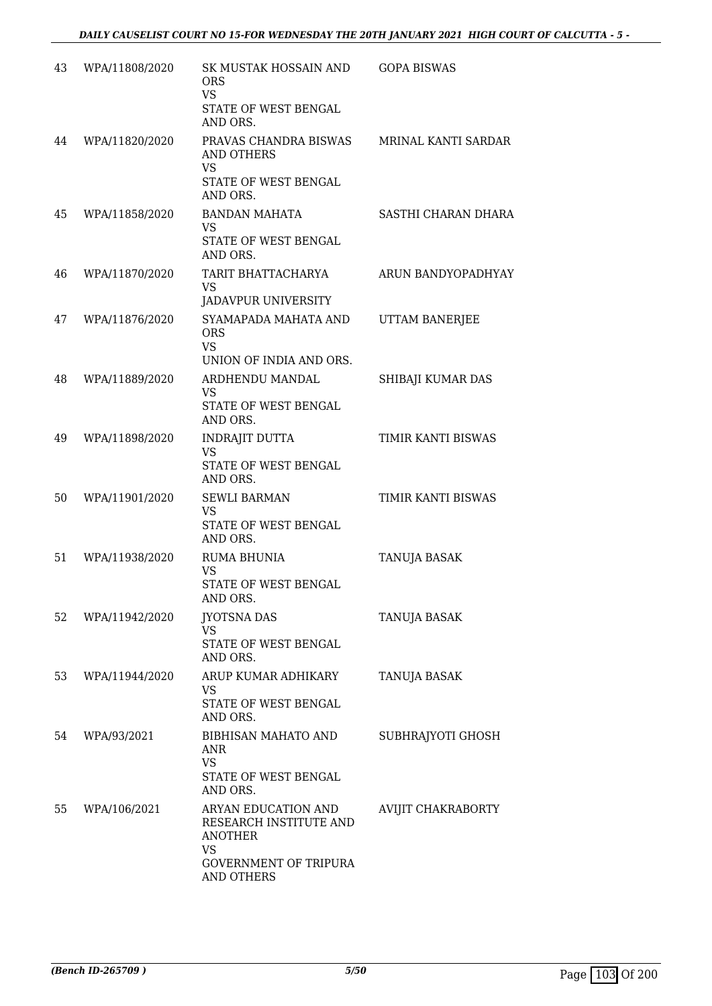| 43 | WPA/11808/2020 | SK MUSTAK HOSSAIN AND<br><b>ORS</b><br><b>VS</b><br>STATE OF WEST BENGAL<br>AND ORS.                                       | <b>GOPA BISWAS</b>    |
|----|----------------|----------------------------------------------------------------------------------------------------------------------------|-----------------------|
| 44 | WPA/11820/2020 | PRAVAS CHANDRA BISWAS<br><b>AND OTHERS</b><br><b>VS</b><br>STATE OF WEST BENGAL<br>AND ORS.                                | MRINAL KANTI SARDAR   |
| 45 | WPA/11858/2020 | <b>BANDAN MAHATA</b><br>VS.<br>STATE OF WEST BENGAL<br>AND ORS.                                                            | SASTHI CHARAN DHARA   |
| 46 | WPA/11870/2020 | TARIT BHATTACHARYA<br><b>VS</b><br><b>JADAVPUR UNIVERSITY</b>                                                              | ARUN BANDYOPADHYAY    |
| 47 | WPA/11876/2020 | SYAMAPADA MAHATA AND<br><b>ORS</b><br><b>VS</b><br>UNION OF INDIA AND ORS.                                                 | <b>UTTAM BANERJEE</b> |
| 48 | WPA/11889/2020 | ARDHENDU MANDAL<br><b>VS</b><br>STATE OF WEST BENGAL<br>AND ORS.                                                           | SHIBAJI KUMAR DAS     |
| 49 | WPA/11898/2020 | INDRAJIT DUTTA<br>VS<br>STATE OF WEST BENGAL<br>AND ORS.                                                                   | TIMIR KANTI BISWAS    |
| 50 | WPA/11901/2020 | <b>SEWLI BARMAN</b><br><b>VS</b><br>STATE OF WEST BENGAL<br>AND ORS.                                                       | TIMIR KANTI BISWAS    |
| 51 | WPA/11938/2020 | <b>RUMA BHUNIA</b><br><b>VS</b><br>STATE OF WEST BENGAL<br>AND ORS.                                                        | TANUJA BASAK          |
| 52 | WPA/11942/2020 | <b>JYOTSNA DAS</b><br><b>VS</b><br>STATE OF WEST BENGAL<br>AND ORS.                                                        | <b>TANUJA BASAK</b>   |
| 53 | WPA/11944/2020 | ARUP KUMAR ADHIKARY<br><b>VS</b><br>STATE OF WEST BENGAL<br>AND ORS.                                                       | TANUJA BASAK          |
| 54 | WPA/93/2021    | <b>BIBHISAN MAHATO AND</b><br>ANR<br><b>VS</b><br>STATE OF WEST BENGAL<br>AND ORS.                                         | SUBHRAJYOTI GHOSH     |
| 55 | WPA/106/2021   | ARYAN EDUCATION AND<br>RESEARCH INSTITUTE AND<br><b>ANOTHER</b><br><b>VS</b><br><b>GOVERNMENT OF TRIPURA</b><br>AND OTHERS | AVIJIT CHAKRABORTY    |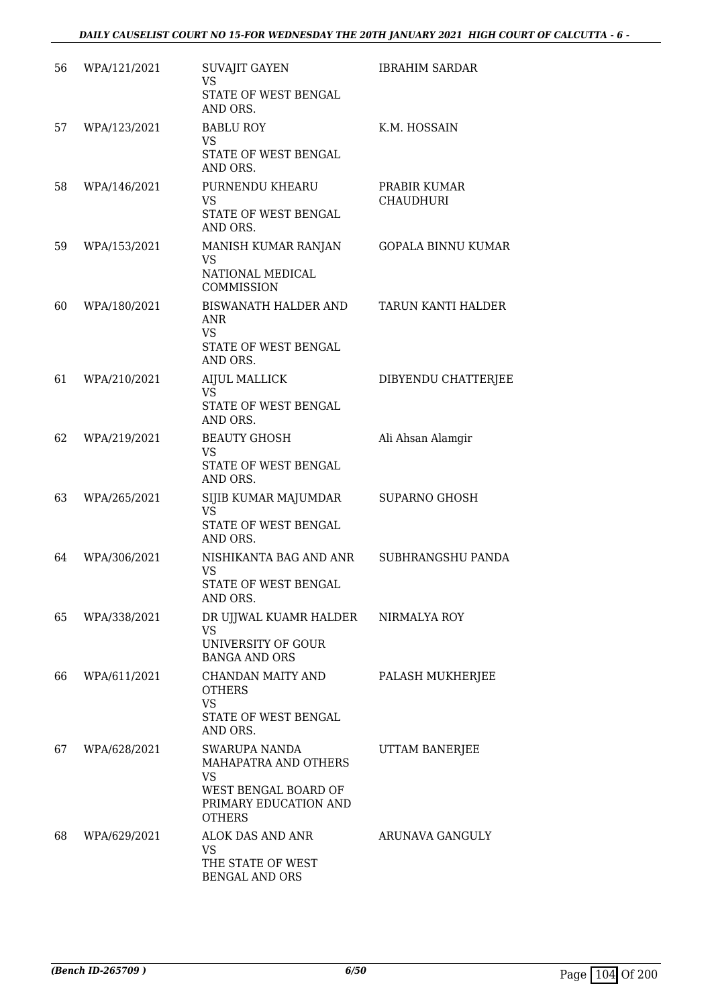| 56 | WPA/121/2021 | <b>SUVAJIT GAYEN</b><br><b>VS</b><br>STATE OF WEST BENGAL<br>AND ORS.                                                | <b>IBRAHIM SARDAR</b>            |
|----|--------------|----------------------------------------------------------------------------------------------------------------------|----------------------------------|
| 57 | WPA/123/2021 | <b>BABLU ROY</b><br><b>VS</b><br>STATE OF WEST BENGAL                                                                | K.M. HOSSAIN                     |
| 58 | WPA/146/2021 | AND ORS.<br>PURNENDU KHEARU<br><b>VS</b><br>STATE OF WEST BENGAL<br>AND ORS.                                         | PRABIR KUMAR<br><b>CHAUDHURI</b> |
| 59 | WPA/153/2021 | MANISH KUMAR RANJAN<br><b>VS</b><br>NATIONAL MEDICAL<br>COMMISSION                                                   | <b>GOPALA BINNU KUMAR</b>        |
| 60 | WPA/180/2021 | BISWANATH HALDER AND<br>ANR<br><b>VS</b><br>STATE OF WEST BENGAL<br>AND ORS.                                         | TARUN KANTI HALDER               |
| 61 | WPA/210/2021 | <b>AIJUL MALLICK</b><br><b>VS</b><br>STATE OF WEST BENGAL<br>AND ORS.                                                | DIBYENDU CHATTERJEE              |
| 62 | WPA/219/2021 | <b>BEAUTY GHOSH</b><br><b>VS</b><br>STATE OF WEST BENGAL<br>AND ORS.                                                 | Ali Ahsan Alamgir                |
| 63 | WPA/265/2021 | SIJIB KUMAR MAJUMDAR<br><b>VS</b><br>STATE OF WEST BENGAL<br>AND ORS.                                                | <b>SUPARNO GHOSH</b>             |
| 64 | WPA/306/2021 | NISHIKANTA BAG AND ANR<br><b>VS</b><br>STATE OF WEST BENGAL<br>AND ORS.                                              | SUBHRANGSHU PANDA                |
| 65 | WPA/338/2021 | DR UJJWAL KUAMR HALDER<br>VS<br>UNIVERSITY OF GOUR<br><b>BANGA AND ORS</b>                                           | NIRMALYA ROY                     |
| 66 | WPA/611/2021 | CHANDAN MAITY AND<br><b>OTHERS</b><br><b>VS</b><br><b>STATE OF WEST BENGAL</b><br>AND ORS.                           | PALASH MUKHERJEE                 |
| 67 | WPA/628/2021 | SWARUPA NANDA<br>MAHAPATRA AND OTHERS<br><b>VS</b><br>WEST BENGAL BOARD OF<br>PRIMARY EDUCATION AND<br><b>OTHERS</b> | UTTAM BANERJEE                   |
| 68 | WPA/629/2021 | ALOK DAS AND ANR<br><b>VS</b><br>THE STATE OF WEST<br><b>BENGAL AND ORS</b>                                          | ARUNAVA GANGULY                  |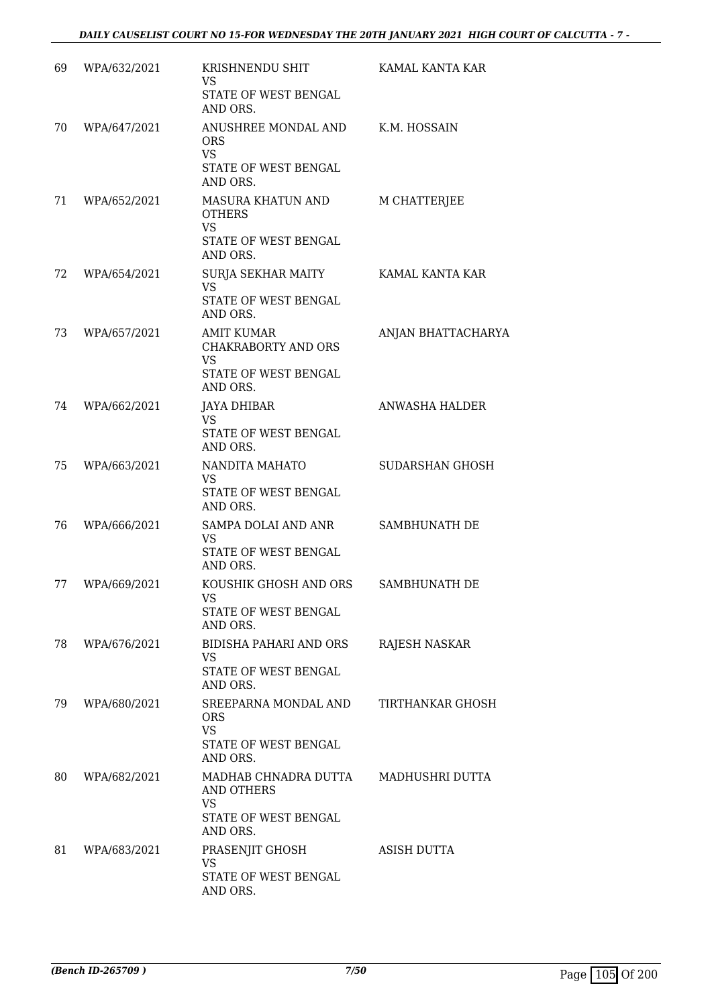| 69 | WPA/632/2021 | KRISHNENDU SHIT<br>VS.<br>STATE OF WEST BENGAL<br>AND ORS.                                 | KAMAL KANTA KAR        |
|----|--------------|--------------------------------------------------------------------------------------------|------------------------|
| 70 | WPA/647/2021 | ANUSHREE MONDAL AND<br><b>ORS</b><br><b>VS</b><br>STATE OF WEST BENGAL<br>AND ORS.         | K.M. HOSSAIN           |
| 71 | WPA/652/2021 | MASURA KHATUN AND<br><b>OTHERS</b><br><b>VS</b><br>STATE OF WEST BENGAL<br>AND ORS.        | M CHATTERJEE           |
| 72 | WPA/654/2021 | SURJA SEKHAR MAITY<br><b>VS</b><br>STATE OF WEST BENGAL<br>AND ORS.                        | KAMAL KANTA KAR        |
| 73 | WPA/657/2021 | <b>AMIT KUMAR</b><br>CHAKRABORTY AND ORS<br>VS.<br>STATE OF WEST BENGAL<br>AND ORS.        | ANJAN BHATTACHARYA     |
| 74 | WPA/662/2021 | JAYA DHIBAR<br><b>VS</b><br>STATE OF WEST BENGAL<br>AND ORS.                               | ANWASHA HALDER         |
| 75 | WPA/663/2021 | NANDITA MAHATO<br>VS<br>STATE OF WEST BENGAL<br>AND ORS.                                   | <b>SUDARSHAN GHOSH</b> |
| 76 | WPA/666/2021 | SAMPA DOLAI AND ANR<br>VS<br>STATE OF WEST BENGAL<br>AND ORS.                              | SAMBHUNATH DE          |
| 77 | WPA/669/2021 | KOUSHIK GHOSH AND ORS<br>VS<br>STATE OF WEST BENGAL<br>AND ORS.                            | SAMBHUNATH DE          |
| 78 | WPA/676/2021 | <b>BIDISHA PAHARI AND ORS</b><br><b>VS</b><br>STATE OF WEST BENGAL<br>AND ORS.             | RAJESH NASKAR          |
| 79 | WPA/680/2021 | SREEPARNA MONDAL AND<br><b>ORS</b><br><b>VS</b><br>STATE OF WEST BENGAL<br>AND ORS.        | TIRTHANKAR GHOSH       |
| 80 | WPA/682/2021 | MADHAB CHNADRA DUTTA<br><b>AND OTHERS</b><br><b>VS</b><br>STATE OF WEST BENGAL<br>AND ORS. | MADHUSHRI DUTTA        |
| 81 | WPA/683/2021 | PRASENJIT GHOSH<br><b>VS</b><br>STATE OF WEST BENGAL<br>AND ORS.                           | ASISH DUTTA            |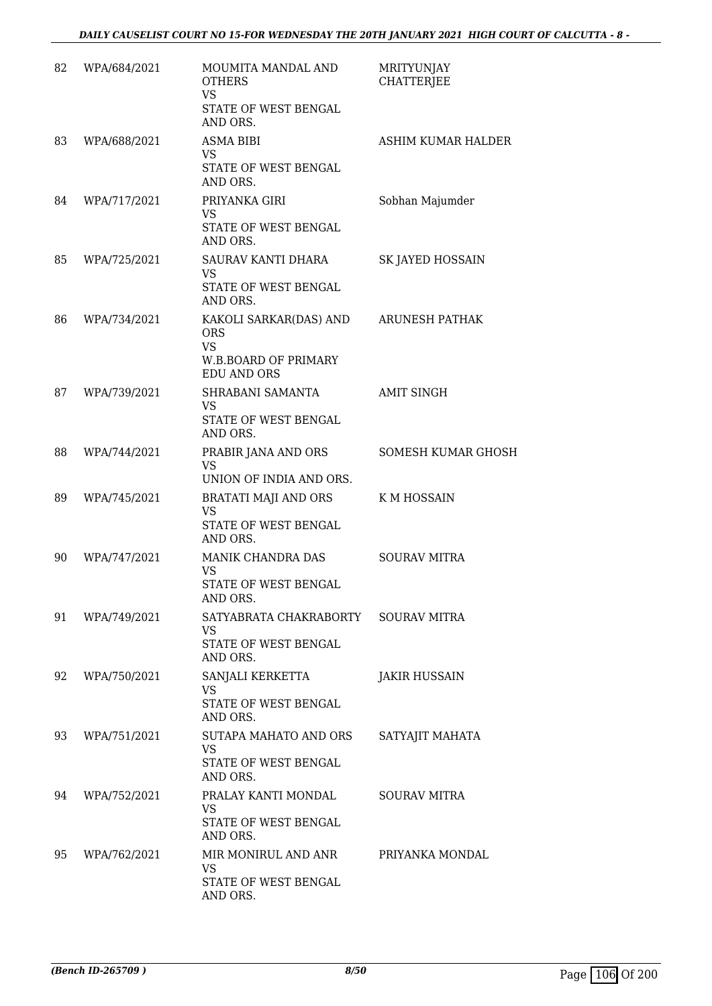| 82 | WPA/684/2021 | MOUMITA MANDAL AND<br><b>OTHERS</b><br><b>VS</b><br>STATE OF WEST BENGAL<br>AND ORS.            | MRITYUNJAY<br><b>CHATTERJEE</b> |
|----|--------------|-------------------------------------------------------------------------------------------------|---------------------------------|
| 83 | WPA/688/2021 | ASMA BIBI<br><b>VS</b><br>STATE OF WEST BENGAL<br>AND ORS.                                      | ASHIM KUMAR HALDER              |
| 84 | WPA/717/2021 | PRIYANKA GIRI<br><b>VS</b><br>STATE OF WEST BENGAL<br>AND ORS.                                  | Sobhan Majumder                 |
| 85 | WPA/725/2021 | SAURAV KANTI DHARA<br><b>VS</b><br>STATE OF WEST BENGAL<br>AND ORS.                             | SK JAYED HOSSAIN                |
| 86 | WPA/734/2021 | KAKOLI SARKAR(DAS) AND<br><b>ORS</b><br><b>VS</b><br>W.B.BOARD OF PRIMARY<br><b>EDU AND ORS</b> | <b>ARUNESH PATHAK</b>           |
| 87 | WPA/739/2021 | SHRABANI SAMANTA<br><b>VS</b><br>STATE OF WEST BENGAL<br>AND ORS.                               | <b>AMIT SINGH</b>               |
| 88 | WPA/744/2021 | PRABIR JANA AND ORS<br><b>VS</b><br>UNION OF INDIA AND ORS.                                     | <b>SOMESH KUMAR GHOSH</b>       |
| 89 | WPA/745/2021 | <b>BRATATI MAJI AND ORS</b><br><b>VS</b><br>STATE OF WEST BENGAL<br>AND ORS.                    | K M HOSSAIN                     |
| 90 | WPA/747/2021 | MANIK CHANDRA DAS<br><b>VS</b><br>STATE OF WEST BENGAL<br>AND ORS.                              | <b>SOURAV MITRA</b>             |
| 91 | WPA/749/2021 | SATYABRATA CHAKRABORTY SOURAV MITRA<br>VS.<br>STATE OF WEST BENGAL<br>AND ORS.                  |                                 |
| 92 | WPA/750/2021 | SANJALI KERKETTA<br>VS<br>STATE OF WEST BENGAL<br>AND ORS.                                      | <b>JAKIR HUSSAIN</b>            |
| 93 | WPA/751/2021 | SUTAPA MAHATO AND ORS<br><b>VS</b><br>STATE OF WEST BENGAL<br>AND ORS.                          | SATYAJIT MAHATA                 |
| 94 | WPA/752/2021 | PRALAY KANTI MONDAL<br>VS.<br>STATE OF WEST BENGAL<br>AND ORS.                                  | <b>SOURAV MITRA</b>             |
| 95 | WPA/762/2021 | MIR MONIRUL AND ANR<br><b>VS</b><br>STATE OF WEST BENGAL<br>AND ORS.                            | PRIYANKA MONDAL                 |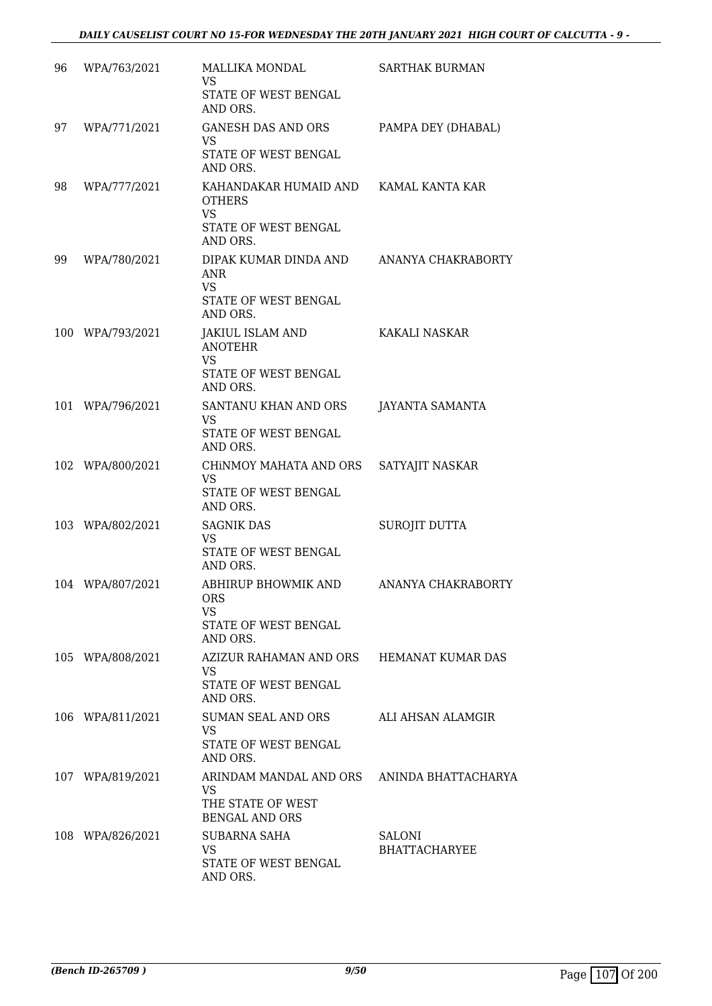| 96 | WPA/763/2021     | MALLIKA MONDAL<br><b>VS</b><br>STATE OF WEST BENGAL<br>AND ORS.                                                     | SARTHAK BURMAN                        |
|----|------------------|---------------------------------------------------------------------------------------------------------------------|---------------------------------------|
| 97 | WPA/771/2021     | GANESH DAS AND ORS<br><b>VS</b><br>STATE OF WEST BENGAL                                                             | PAMPA DEY (DHABAL)                    |
| 98 | WPA/777/2021     | AND ORS.<br>KAHANDAKAR HUMAID AND KAMAL KANTA KAR<br><b>OTHERS</b><br><b>VS</b><br>STATE OF WEST BENGAL<br>AND ORS. |                                       |
| 99 | WPA/780/2021     | DIPAK KUMAR DINDA AND<br>ANR<br><b>VS</b><br>STATE OF WEST BENGAL<br>AND ORS.                                       | ANANYA CHAKRABORTY                    |
|    | 100 WPA/793/2021 | JAKIUL ISLAM AND<br><b>ANOTEHR</b><br><b>VS</b><br>STATE OF WEST BENGAL<br>AND ORS.                                 | <b>KAKALI NASKAR</b>                  |
|    | 101 WPA/796/2021 | SANTANU KHAN AND ORS<br><b>VS</b><br>STATE OF WEST BENGAL<br>AND ORS.                                               | <b>JAYANTA SAMANTA</b>                |
|    | 102 WPA/800/2021 | CHINMOY MAHATA AND ORS<br><b>VS</b><br>STATE OF WEST BENGAL<br>AND ORS.                                             | SATYAJIT NASKAR                       |
|    | 103 WPA/802/2021 | <b>SAGNIK DAS</b><br><b>VS</b><br>STATE OF WEST BENGAL<br>AND ORS.                                                  | SUROJIT DUTTA                         |
|    | 104 WPA/807/2021 | <b>ABHIRUP BHOWMIK AND</b><br><b>ORS</b><br>VS.<br>STATE OF WEST BENGAL<br>AND ORS.                                 | ANANYA CHAKRABORTY                    |
|    | 105 WPA/808/2021 | AZIZUR RAHAMAN AND ORS HEMANAT KUMAR DAS<br>VS.<br>STATE OF WEST BENGAL<br>AND ORS.                                 |                                       |
|    | 106 WPA/811/2021 | SUMAN SEAL AND ORS<br><b>VS</b><br>STATE OF WEST BENGAL<br>AND ORS.                                                 | ALI AHSAN ALAMGIR                     |
|    | 107 WPA/819/2021 | ARINDAM MANDAL AND ORS ANINDA BHATTACHARYA<br><b>VS</b><br>THE STATE OF WEST<br><b>BENGAL AND ORS</b>               |                                       |
|    | 108 WPA/826/2021 | SUBARNA SAHA<br>VS<br>STATE OF WEST BENGAL<br>AND ORS.                                                              | <b>SALONI</b><br><b>BHATTACHARYEE</b> |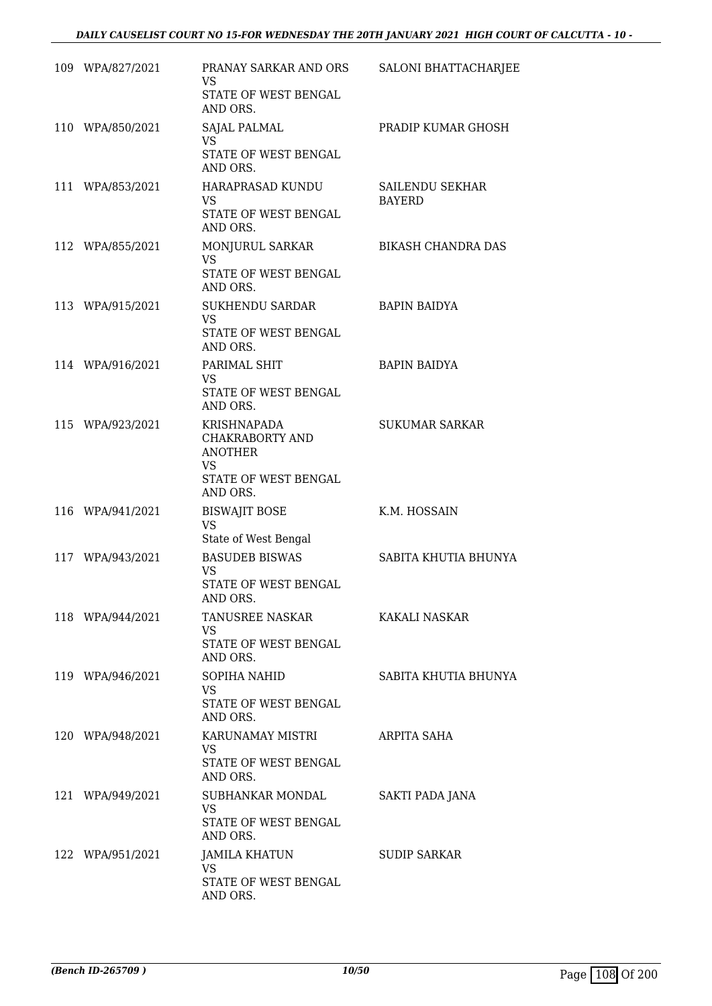| 109 WPA/827/2021 | PRANAY SARKAR AND ORS<br>VS<br>STATE OF WEST BENGAL                                                      | SALONI BHATTACHARJEE                    |
|------------------|----------------------------------------------------------------------------------------------------------|-----------------------------------------|
| 110 WPA/850/2021 | AND ORS.<br>SAJAL PALMAL<br>VS.<br>STATE OF WEST BENGAL                                                  | PRADIP KUMAR GHOSH                      |
| 111 WPA/853/2021 | AND ORS.<br>HARAPRASAD KUNDU<br>VS.<br>STATE OF WEST BENGAL<br>AND ORS.                                  | <b>SAILENDU SEKHAR</b><br><b>BAYERD</b> |
| 112 WPA/855/2021 | MONJURUL SARKAR<br><b>VS</b><br>STATE OF WEST BENGAL<br>AND ORS.                                         | <b>BIKASH CHANDRA DAS</b>               |
| 113 WPA/915/2021 | SUKHENDU SARDAR<br><b>VS</b><br>STATE OF WEST BENGAL<br>AND ORS.                                         | <b>BAPIN BAIDYA</b>                     |
| 114 WPA/916/2021 | PARIMAL SHIT<br>VS.<br>STATE OF WEST BENGAL<br>AND ORS.                                                  | <b>BAPIN BAIDYA</b>                     |
| 115 WPA/923/2021 | <b>KRISHNAPADA</b><br>CHAKRABORTY AND<br><b>ANOTHER</b><br><b>VS</b><br>STATE OF WEST BENGAL<br>AND ORS. | <b>SUKUMAR SARKAR</b>                   |
| 116 WPA/941/2021 | <b>BISWAJIT BOSE</b><br><b>VS</b><br>State of West Bengal                                                | K.M. HOSSAIN                            |
| 117 WPA/943/2021 | <b>BASUDEB BISWAS</b><br><b>VS</b><br>STATE OF WEST BENGAL<br>AND ORS.                                   | SABITA KHUTIA BHUNYA                    |
| 118 WPA/944/2021 | TANUSREE NASKAR<br>VS.<br>STATE OF WEST BENGAL<br>AND ORS.                                               | KAKALI NASKAR                           |
| 119 WPA/946/2021 | SOPIHA NAHID<br><b>VS</b><br>STATE OF WEST BENGAL<br>AND ORS.                                            | SABITA KHUTIA BHUNYA                    |
| 120 WPA/948/2021 | KARUNAMAY MISTRI<br>VS.<br>STATE OF WEST BENGAL<br>AND ORS.                                              | ARPITA SAHA                             |
| 121 WPA/949/2021 | SUBHANKAR MONDAL<br>VS<br>STATE OF WEST BENGAL<br>AND ORS.                                               | SAKTI PADA JANA                         |
| 122 WPA/951/2021 | <b>JAMILA KHATUN</b><br><b>VS</b><br>STATE OF WEST BENGAL<br>AND ORS.                                    | <b>SUDIP SARKAR</b>                     |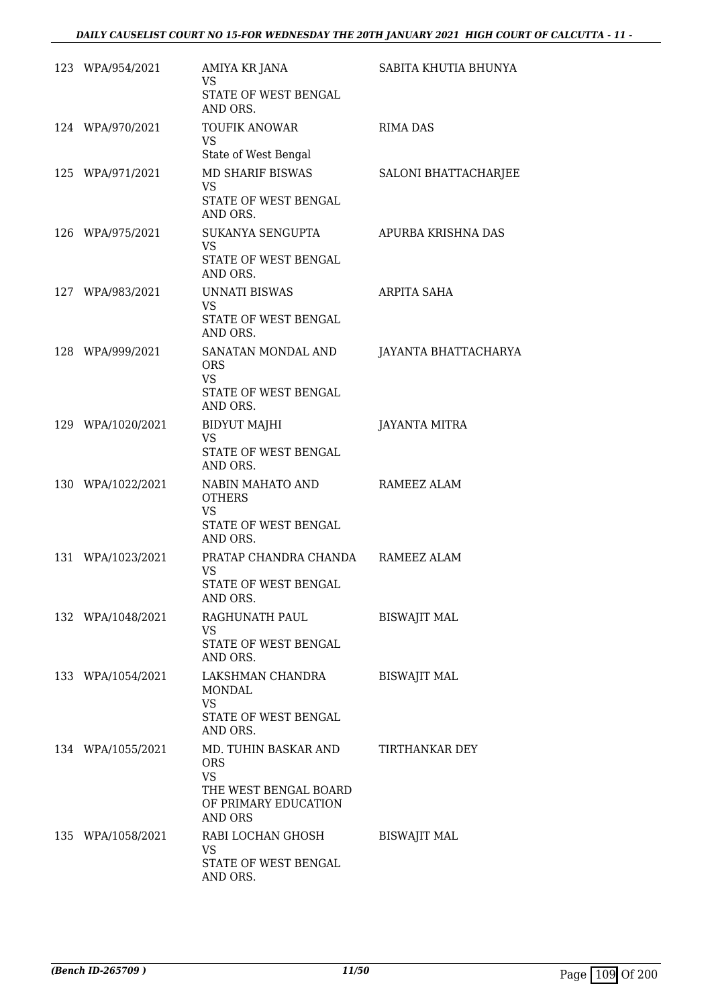| 123 WPA/954/2021  | AMIYA KR JANA<br><b>VS</b>                                                         | SABITA KHUTIA BHUNYA |
|-------------------|------------------------------------------------------------------------------------|----------------------|
|                   | STATE OF WEST BENGAL<br>AND ORS.                                                   |                      |
| 124 WPA/970/2021  | <b>TOUFIK ANOWAR</b><br><b>VS</b>                                                  | <b>RIMA DAS</b>      |
|                   | State of West Bengal                                                               |                      |
| 125 WPA/971/2021  | MD SHARIF BISWAS<br><b>VS</b><br>STATE OF WEST BENGAL<br>AND ORS.                  | SALONI BHATTACHARJEE |
| 126 WPA/975/2021  | SUKANYA SENGUPTA                                                                   | APURBA KRISHNA DAS   |
|                   | <b>VS</b><br>STATE OF WEST BENGAL<br>AND ORS.                                      |                      |
| 127 WPA/983/2021  | UNNATI BISWAS<br><b>VS</b>                                                         | ARPITA SAHA          |
|                   | <b>STATE OF WEST BENGAL</b><br>AND ORS.                                            |                      |
| 128 WPA/999/2021  | SANATAN MONDAL AND<br><b>ORS</b><br>VS.                                            | JAYANTA BHATTACHARYA |
|                   | STATE OF WEST BENGAL<br>AND ORS.                                                   |                      |
| 129 WPA/1020/2021 | BIDYUT MAJHI<br><b>VS</b>                                                          | <b>JAYANTA MITRA</b> |
|                   | STATE OF WEST BENGAL<br>AND ORS.                                                   |                      |
| 130 WPA/1022/2021 | NABIN MAHATO AND<br><b>OTHERS</b><br><b>VS</b><br>STATE OF WEST BENGAL<br>AND ORS. | RAMEEZ ALAM          |
| 131 WPA/1023/2021 | PRATAP CHANDRA CHANDA RAMEEZ ALAM                                                  |                      |
|                   | <b>VS</b><br>STATE OF WEST BENGAL<br>AND ORS.                                      |                      |
| 132 WPA/1048/2021 | RAGHUNATH PAUL<br>VS.                                                              | <b>BISWAJIT MAL</b>  |
|                   | STATE OF WEST BENGAL<br>AND ORS.                                                   |                      |
| 133 WPA/1054/2021 | LAKSHMAN CHANDRA<br>MONDAL<br><b>VS</b><br>STATE OF WEST BENGAL<br>AND ORS.        | <b>BISWAJIT MAL</b>  |
| 134 WPA/1055/2021 | MD. TUHIN BASKAR AND<br><b>ORS</b>                                                 | TIRTHANKAR DEY       |
|                   | <b>VS</b><br>THE WEST BENGAL BOARD<br>OF PRIMARY EDUCATION<br><b>AND ORS</b>       |                      |
| 135 WPA/1058/2021 | RABI LOCHAN GHOSH<br>VS                                                            | <b>BISWAJIT MAL</b>  |
|                   | STATE OF WEST BENGAL<br>AND ORS.                                                   |                      |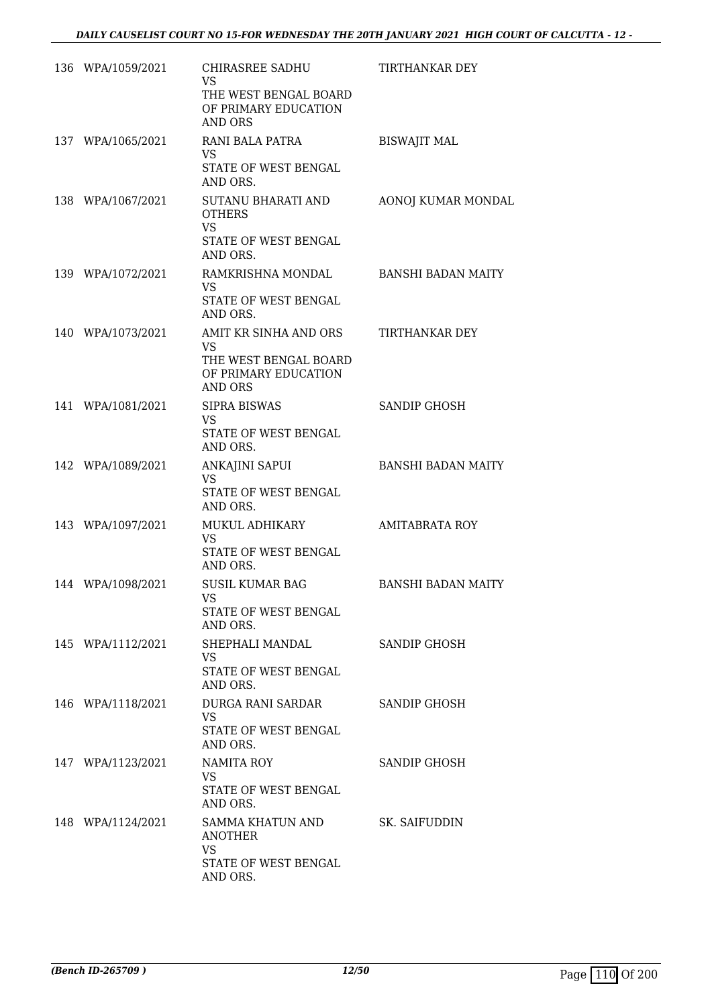| 136 WPA/1059/2021 | CHIRASREE SADHU<br>VS<br>THE WEST BENGAL BOARD<br>OF PRIMARY EDUCATION<br><b>AND ORS</b>              | <b>TIRTHANKAR DEY</b>     |
|-------------------|-------------------------------------------------------------------------------------------------------|---------------------------|
| 137 WPA/1065/2021 | RANI BALA PATRA<br><b>VS</b><br>STATE OF WEST BENGAL<br>AND ORS.                                      | <b>BISWAJIT MAL</b>       |
| 138 WPA/1067/2021 | <b>SUTANU BHARATI AND</b><br><b>OTHERS</b><br><b>VS</b><br>STATE OF WEST BENGAL<br>AND ORS.           | AONOJ KUMAR MONDAL        |
| 139 WPA/1072/2021 | RAMKRISHNA MONDAL<br><b>VS</b><br>STATE OF WEST BENGAL<br>AND ORS.                                    | <b>BANSHI BADAN MAITY</b> |
| 140 WPA/1073/2021 | AMIT KR SINHA AND ORS<br><b>VS</b><br>THE WEST BENGAL BOARD<br>OF PRIMARY EDUCATION<br><b>AND ORS</b> | <b>TIRTHANKAR DEY</b>     |
| 141 WPA/1081/2021 | <b>SIPRA BISWAS</b><br>VS<br>STATE OF WEST BENGAL<br>AND ORS.                                         | SANDIP GHOSH              |
| 142 WPA/1089/2021 | ANKAJINI SAPUI<br><b>VS</b><br>STATE OF WEST BENGAL<br>AND ORS.                                       | <b>BANSHI BADAN MAITY</b> |
| 143 WPA/1097/2021 | MUKUL ADHIKARY<br><b>VS</b><br>STATE OF WEST BENGAL<br>AND ORS.                                       | <b>AMITABRATA ROY</b>     |
| 144 WPA/1098/2021 | <b>SUSIL KUMAR BAG</b><br>VS<br>STATE OF WEST BENGAL<br>AND ORS.                                      | <b>BANSHI BADAN MAITY</b> |
| 145 WPA/1112/2021 | SHEPHALI MANDAL<br><b>VS</b><br>STATE OF WEST BENGAL<br>AND ORS.                                      | SANDIP GHOSH              |
| 146 WPA/1118/2021 | DURGA RANI SARDAR<br><b>VS</b><br><b>STATE OF WEST BENGAL</b><br>AND ORS.                             | SANDIP GHOSH              |
| 147 WPA/1123/2021 | NAMITA ROY<br><b>VS</b><br>STATE OF WEST BENGAL<br>AND ORS.                                           | SANDIP GHOSH              |
| 148 WPA/1124/2021 | SAMMA KHATUN AND<br><b>ANOTHER</b><br><b>VS</b><br>STATE OF WEST BENGAL<br>AND ORS.                   | SK. SAIFUDDIN             |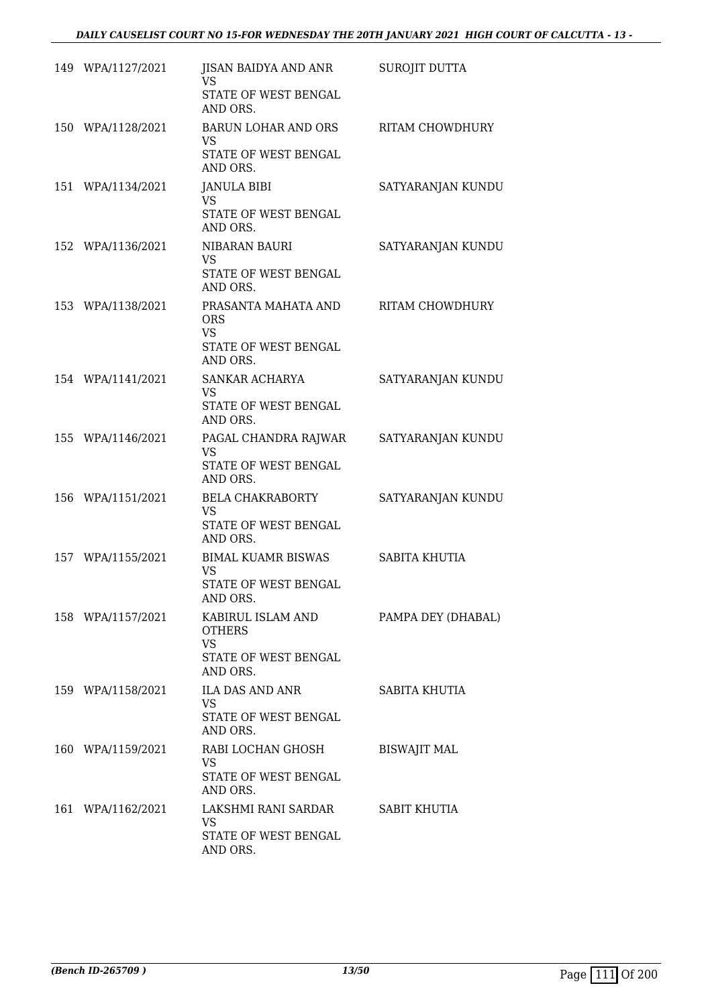| 149 WPA/1127/2021 | JISAN BAIDYA AND ANR<br><b>VS</b><br>STATE OF WEST BENGAL<br>AND ORS.               | <b>SUROJIT DUTTA</b> |
|-------------------|-------------------------------------------------------------------------------------|----------------------|
| 150 WPA/1128/2021 | BARUN LOHAR AND ORS<br>VS<br>STATE OF WEST BENGAL<br>AND ORS.                       | RITAM CHOWDHURY      |
| 151 WPA/1134/2021 | <b>JANULA BIBI</b><br><b>VS</b><br>STATE OF WEST BENGAL<br>AND ORS.                 | SATYARANJAN KUNDU    |
| 152 WPA/1136/2021 | NIBARAN BAURI<br><b>VS</b><br>STATE OF WEST BENGAL<br>AND ORS.                      | SATYARANJAN KUNDU    |
| 153 WPA/1138/2021 | PRASANTA MAHATA AND<br><b>ORS</b><br><b>VS</b><br>STATE OF WEST BENGAL<br>AND ORS.  | RITAM CHOWDHURY      |
| 154 WPA/1141/2021 | SANKAR ACHARYA<br><b>VS</b><br>STATE OF WEST BENGAL<br>AND ORS.                     | SATYARANJAN KUNDU    |
| 155 WPA/1146/2021 | PAGAL CHANDRA RAJWAR<br><b>VS</b><br>STATE OF WEST BENGAL<br>AND ORS.               | SATYARANJAN KUNDU    |
| 156 WPA/1151/2021 | BELA CHAKRABORTY<br><b>VS</b><br>STATE OF WEST BENGAL<br>AND ORS.                   | SATYARANJAN KUNDU    |
| 157 WPA/1155/2021 | <b>BIMAL KUAMR BISWAS</b><br><b>VS</b><br>STATE OF WEST BENGAL<br>AND ORS.          | <b>SABITA KHUTIA</b> |
| 158 WPA/1157/2021 | KABIRUL ISLAM AND<br><b>OTHERS</b><br><b>VS</b><br>STATE OF WEST BENGAL<br>AND ORS. | PAMPA DEY (DHABAL)   |
| 159 WPA/1158/2021 | ILA DAS AND ANR<br>VS.<br>STATE OF WEST BENGAL<br>AND ORS.                          | SABITA KHUTIA        |
| 160 WPA/1159/2021 | RABI LOCHAN GHOSH<br><b>VS</b><br>STATE OF WEST BENGAL<br>AND ORS.                  | <b>BISWAJIT MAL</b>  |
| 161 WPA/1162/2021 | LAKSHMI RANI SARDAR<br><b>VS</b><br>STATE OF WEST BENGAL<br>AND ORS.                | <b>SABIT KHUTIA</b>  |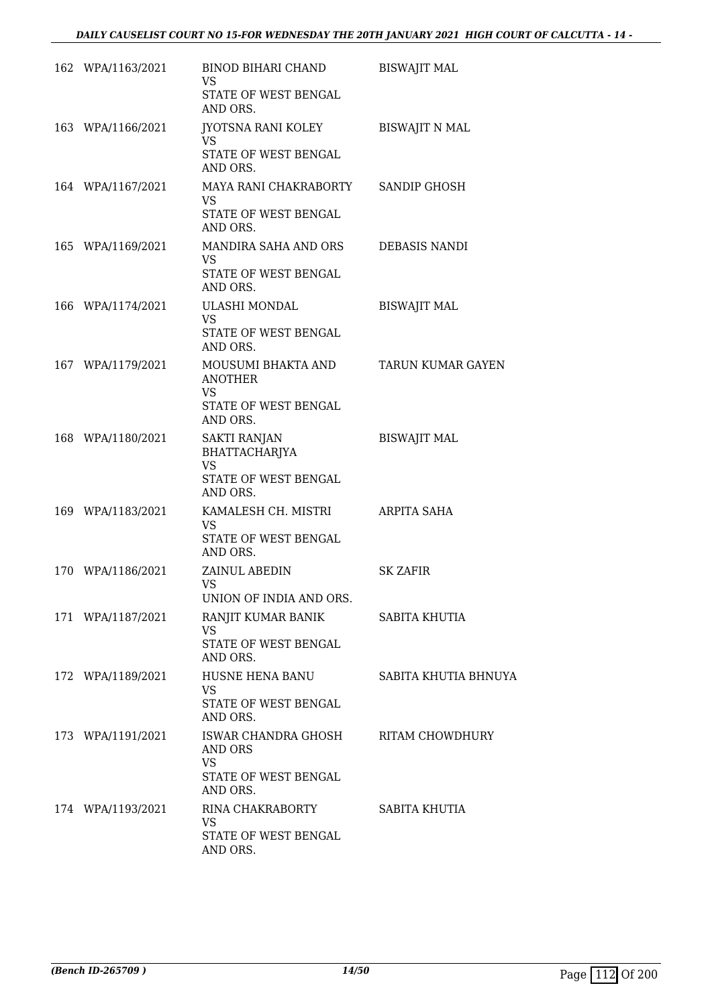| 162 WPA/1163/2021 | BINOD BIHARI CHAND<br>VS.<br>STATE OF WEST BENGAL<br>AND ORS.                            | <b>BISWAJIT MAL</b>   |
|-------------------|------------------------------------------------------------------------------------------|-----------------------|
| 163 WPA/1166/2021 | JYOTSNA RANI KOLEY<br>VS.<br>STATE OF WEST BENGAL<br>AND ORS.                            | <b>BISWAJIT N MAL</b> |
| 164 WPA/1167/2021 | MAYA RANI CHAKRABORTY SANDIP GHOSH<br><b>VS</b><br>STATE OF WEST BENGAL<br>AND ORS.      |                       |
| 165 WPA/1169/2021 | MANDIRA SAHA AND ORS<br><b>VS</b><br>STATE OF WEST BENGAL<br>AND ORS.                    | DEBASIS NANDI         |
| 166 WPA/1174/2021 | ULASHI MONDAL<br>VS.<br>STATE OF WEST BENGAL<br>AND ORS.                                 | <b>BISWAJIT MAL</b>   |
| 167 WPA/1179/2021 | MOUSUMI BHAKTA AND<br><b>ANOTHER</b><br><b>VS</b><br>STATE OF WEST BENGAL<br>AND ORS.    | TARUN KUMAR GAYEN     |
| 168 WPA/1180/2021 | <b>SAKTI RANJAN</b><br>BHATTACHARJYA<br><b>VS</b><br>STATE OF WEST BENGAL<br>AND ORS.    | <b>BISWAJIT MAL</b>   |
| 169 WPA/1183/2021 | KAMALESH CH. MISTRI<br>VS<br>STATE OF WEST BENGAL<br>AND ORS.                            | ARPITA SAHA           |
| 170 WPA/1186/2021 | ZAINUL ABEDIN<br><b>VS</b><br>UNION OF INDIA AND ORS.                                    | <b>SK ZAFIR</b>       |
| 171 WPA/1187/2021 | RANJIT KUMAR BANIK<br>VS.<br>STATE OF WEST BENGAL<br>AND ORS.                            | SABITA KHUTIA         |
| 172 WPA/1189/2021 | HUSNE HENA BANU<br>VS<br>STATE OF WEST BENGAL<br>AND ORS.                                | SABITA KHUTIA BHNUYA  |
| 173 WPA/1191/2021 | ISWAR CHANDRA GHOSH RITAM CHOWDHURY<br>AND ORS<br>VS<br>STATE OF WEST BENGAL<br>AND ORS. |                       |
| 174 WPA/1193/2021 | RINA CHAKRABORTY<br><b>VS</b><br>STATE OF WEST BENGAL<br>AND ORS.                        | SABITA KHUTIA         |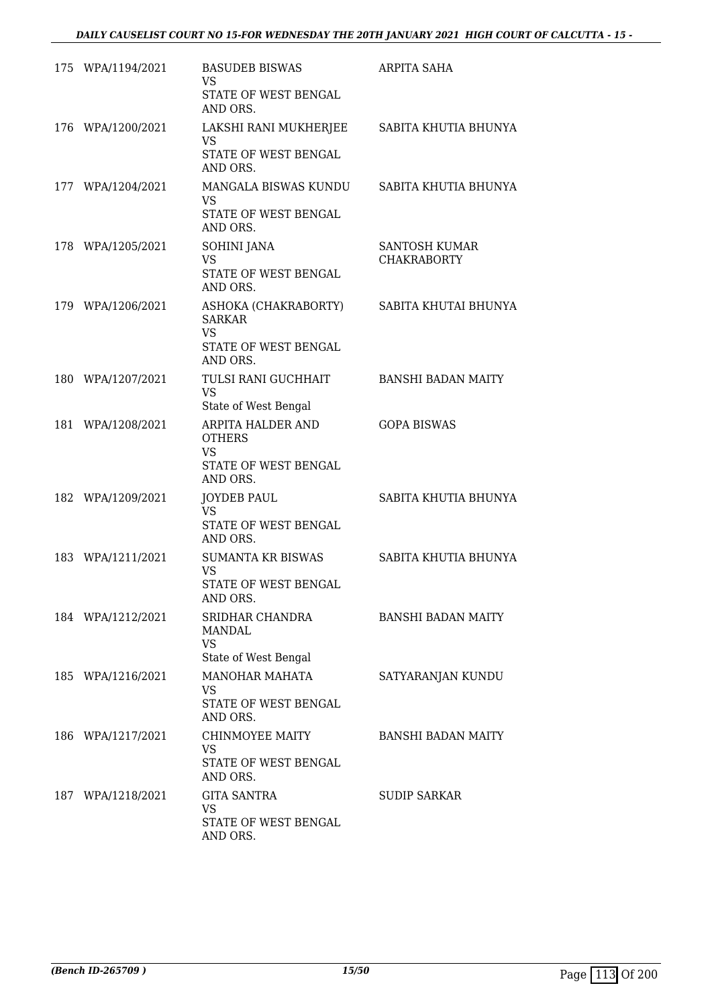| 175 WPA/1194/2021 | <b>BASUDEB BISWAS</b><br>VS.<br>STATE OF WEST BENGAL<br>AND ORS.                            | ARPITA SAHA                         |
|-------------------|---------------------------------------------------------------------------------------------|-------------------------------------|
| 176 WPA/1200/2021 | LAKSHI RANI MUKHERJEE SABITA KHUTIA BHUNYA<br><b>VS</b><br>STATE OF WEST BENGAL<br>AND ORS. |                                     |
| 177 WPA/1204/2021 | MANGALA BISWAS KUNDU<br><b>VS</b><br>STATE OF WEST BENGAL<br>AND ORS.                       | SABITA KHUTIA BHUNYA                |
| 178 WPA/1205/2021 | SOHINI JANA<br><b>VS</b><br>STATE OF WEST BENGAL<br>AND ORS.                                | SANTOSH KUMAR<br><b>CHAKRABORTY</b> |
| 179 WPA/1206/2021 | ASHOKA (CHAKRABORTY)<br><b>SARKAR</b><br><b>VS</b><br>STATE OF WEST BENGAL<br>AND ORS.      | SABITA KHUTAI BHUNYA                |
| 180 WPA/1207/2021 | TULSI RANI GUCHHAIT<br><b>VS</b><br>State of West Bengal                                    | <b>BANSHI BADAN MAITY</b>           |
| 181 WPA/1208/2021 | ARPITA HALDER AND<br><b>OTHERS</b><br>VS.<br>STATE OF WEST BENGAL<br>AND ORS.               | <b>GOPA BISWAS</b>                  |
| 182 WPA/1209/2021 | <b>JOYDEB PAUL</b><br>VS.<br>STATE OF WEST BENGAL<br>AND ORS.                               | SABITA KHUTIA BHUNYA                |
| 183 WPA/1211/2021 | <b>SUMANTA KR BISWAS</b><br><b>VS</b><br>STATE OF WEST BENGAL<br>AND ORS.                   | SABITA KHUTIA BHUNYA                |
| 184 WPA/1212/2021 | SRIDHAR CHANDRA<br>MANDAL<br><b>VS</b><br>State of West Bengal                              | <b>BANSHI BADAN MAITY</b>           |
| 185 WPA/1216/2021 | <b>MANOHAR MAHATA</b><br>VS<br>STATE OF WEST BENGAL<br>AND ORS.                             | SATYARANJAN KUNDU                   |
| 186 WPA/1217/2021 | CHINMOYEE MAITY<br><b>VS</b><br>STATE OF WEST BENGAL<br>AND ORS.                            | <b>BANSHI BADAN MAITY</b>           |
| 187 WPA/1218/2021 | <b>GITA SANTRA</b><br><b>VS</b><br>STATE OF WEST BENGAL<br>AND ORS.                         | <b>SUDIP SARKAR</b>                 |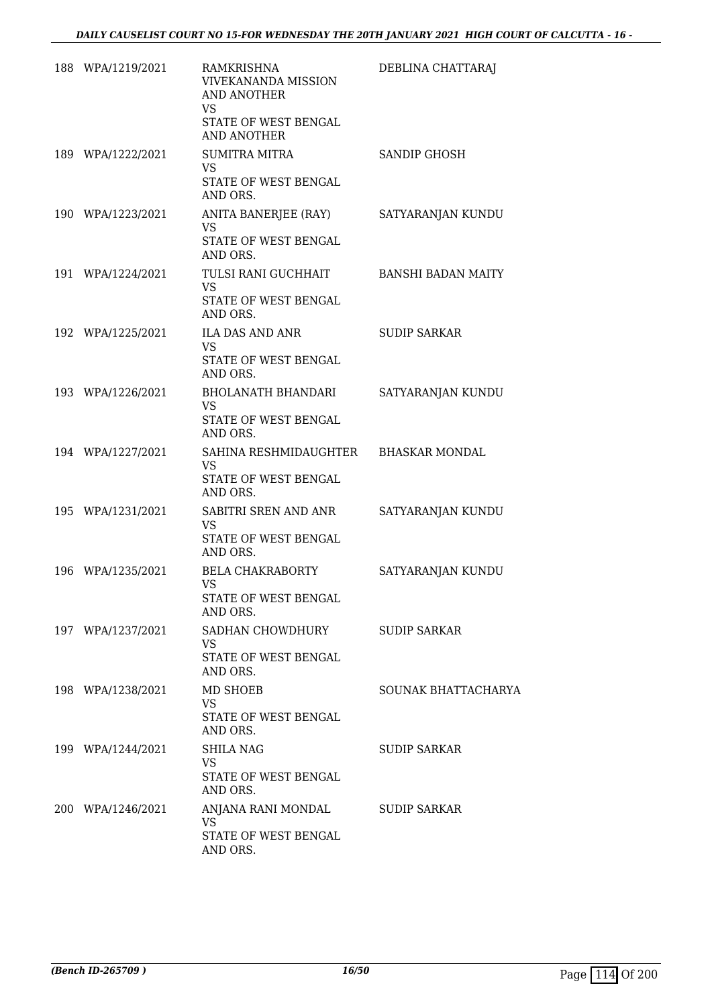| 188 WPA/1219/2021 | RAMKRISHNA<br><b>VIVEKANANDA MISSION</b><br><b>AND ANOTHER</b><br><b>VS</b>           | DEBLINA CHATTARAJ         |
|-------------------|---------------------------------------------------------------------------------------|---------------------------|
|                   | STATE OF WEST BENGAL<br><b>AND ANOTHER</b>                                            |                           |
| 189 WPA/1222/2021 | <b>SUMITRA MITRA</b><br><b>VS</b><br>STATE OF WEST BENGAL<br>AND ORS.                 | SANDIP GHOSH              |
| 190 WPA/1223/2021 | ANITA BANERJEE (RAY)<br><b>VS</b><br>STATE OF WEST BENGAL<br>AND ORS.                 | SATYARANJAN KUNDU         |
| 191 WPA/1224/2021 | TULSI RANI GUCHHAIT<br><b>VS</b><br>STATE OF WEST BENGAL<br>AND ORS.                  | <b>BANSHI BADAN MAITY</b> |
| 192 WPA/1225/2021 | <b>ILA DAS AND ANR</b><br><b>VS</b><br>STATE OF WEST BENGAL<br>AND ORS.               | <b>SUDIP SARKAR</b>       |
| 193 WPA/1226/2021 | <b>BHOLANATH BHANDARI</b><br><b>VS</b><br>STATE OF WEST BENGAL<br>AND ORS.            | SATYARANJAN KUNDU         |
| 194 WPA/1227/2021 | SAHINA RESHMIDAUGHTER BHASKAR MONDAL<br><b>VS</b><br>STATE OF WEST BENGAL<br>AND ORS. |                           |
| 195 WPA/1231/2021 | SABITRI SREN AND ANR<br><b>VS</b><br>STATE OF WEST BENGAL<br>AND ORS.                 | SATYARANJAN KUNDU         |
| 196 WPA/1235/2021 | <b>BELA CHAKRABORTY</b><br><b>VS</b><br>STATE OF WEST BENGAL<br>AND ORS.              | SATYARANJAN KUNDU         |
| 197 WPA/1237/2021 | SADHAN CHOWDHURY<br>VS<br>STATE OF WEST BENGAL<br>AND ORS.                            | SUDIP SARKAR              |
| 198 WPA/1238/2021 | MD SHOEB<br>VS.<br>STATE OF WEST BENGAL<br>AND ORS.                                   | SOUNAK BHATTACHARYA       |
| 199 WPA/1244/2021 | <b>SHILA NAG</b><br>VS.<br>STATE OF WEST BENGAL<br>AND ORS.                           | SUDIP SARKAR              |
| 200 WPA/1246/2021 | ANJANA RANI MONDAL<br><b>VS</b><br>STATE OF WEST BENGAL<br>AND ORS.                   | <b>SUDIP SARKAR</b>       |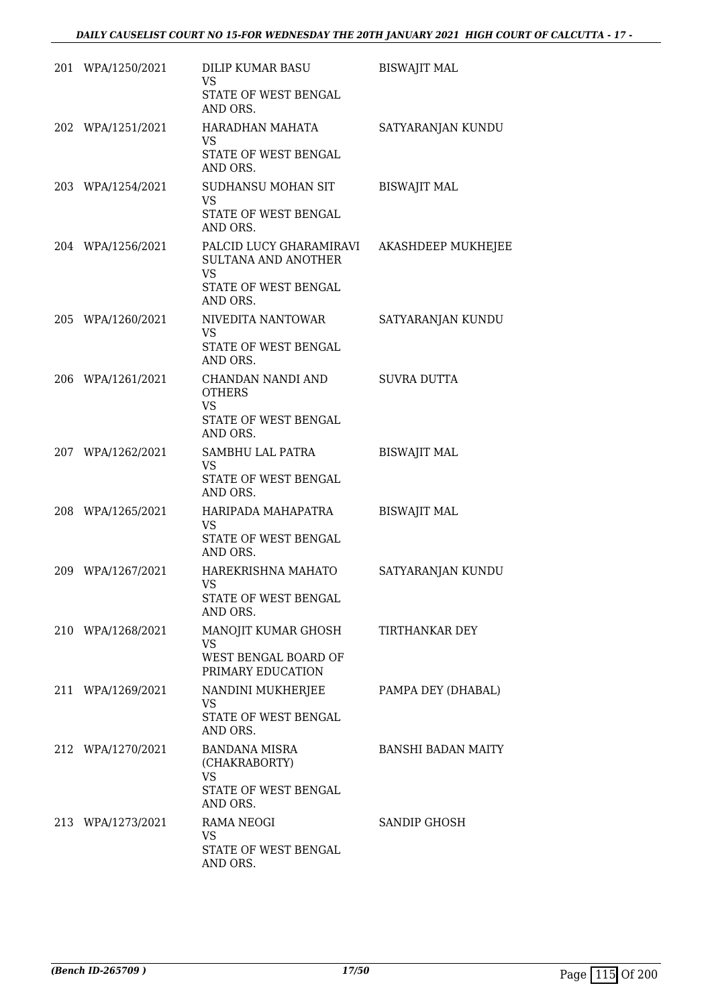|     | 201 WPA/1250/2021 | DILIP KUMAR BASU<br><b>VS</b><br>STATE OF WEST BENGAL<br>AND ORS.                   | <b>BISWAJIT MAL</b>       |
|-----|-------------------|-------------------------------------------------------------------------------------|---------------------------|
|     | 202 WPA/1251/2021 | HARADHAN MAHATA<br><b>VS</b><br>STATE OF WEST BENGAL<br>AND ORS.                    | SATYARANJAN KUNDU         |
|     | 203 WPA/1254/2021 | SUDHANSU MOHAN SIT<br><b>VS</b><br>STATE OF WEST BENGAL<br>AND ORS.                 | <b>BISWAJIT MAL</b>       |
|     | 204 WPA/1256/2021 | PALCID LUCY GHARAMIRAVI<br>SULTANA AND ANOTHER<br><b>VS</b><br>STATE OF WEST BENGAL | AKASHDEEP MUKHEJEE        |
|     | 205 WPA/1260/2021 | AND ORS.<br>NIVEDITA NANTOWAR<br><b>VS</b><br>STATE OF WEST BENGAL<br>AND ORS.      | SATYARANJAN KUNDU         |
|     | 206 WPA/1261/2021 | CHANDAN NANDI AND<br><b>OTHERS</b><br><b>VS</b><br>STATE OF WEST BENGAL<br>AND ORS. | <b>SUVRA DUTTA</b>        |
|     | 207 WPA/1262/2021 | SAMBHU LAL PATRA<br><b>VS</b><br>STATE OF WEST BENGAL<br>AND ORS.                   | <b>BISWAJIT MAL</b>       |
|     | 208 WPA/1265/2021 | HARIPADA MAHAPATRA<br>VS<br>STATE OF WEST BENGAL<br>AND ORS.                        | <b>BISWAJIT MAL</b>       |
| 209 | WPA/1267/2021     | HAREKRISHNA MAHATO<br><b>VS</b><br>STATE OF WEST BENGAL<br>AND ORS.                 | SATYARANJAN KUNDU         |
|     | 210 WPA/1268/2021 | MANOJIT KUMAR GHOSH<br><b>VS</b><br>WEST BENGAL BOARD OF<br>PRIMARY EDUCATION       | TIRTHANKAR DEY            |
|     | 211 WPA/1269/2021 | NANDINI MUKHERJEE<br>VS.<br>STATE OF WEST BENGAL<br>AND ORS.                        | PAMPA DEY (DHABAL)        |
|     | 212 WPA/1270/2021 | <b>BANDANA MISRA</b><br>(CHAKRABORTY)<br>VS<br>STATE OF WEST BENGAL<br>AND ORS.     | <b>BANSHI BADAN MAITY</b> |
|     | 213 WPA/1273/2021 | RAMA NEOGI<br><b>VS</b><br>STATE OF WEST BENGAL<br>AND ORS.                         | SANDIP GHOSH              |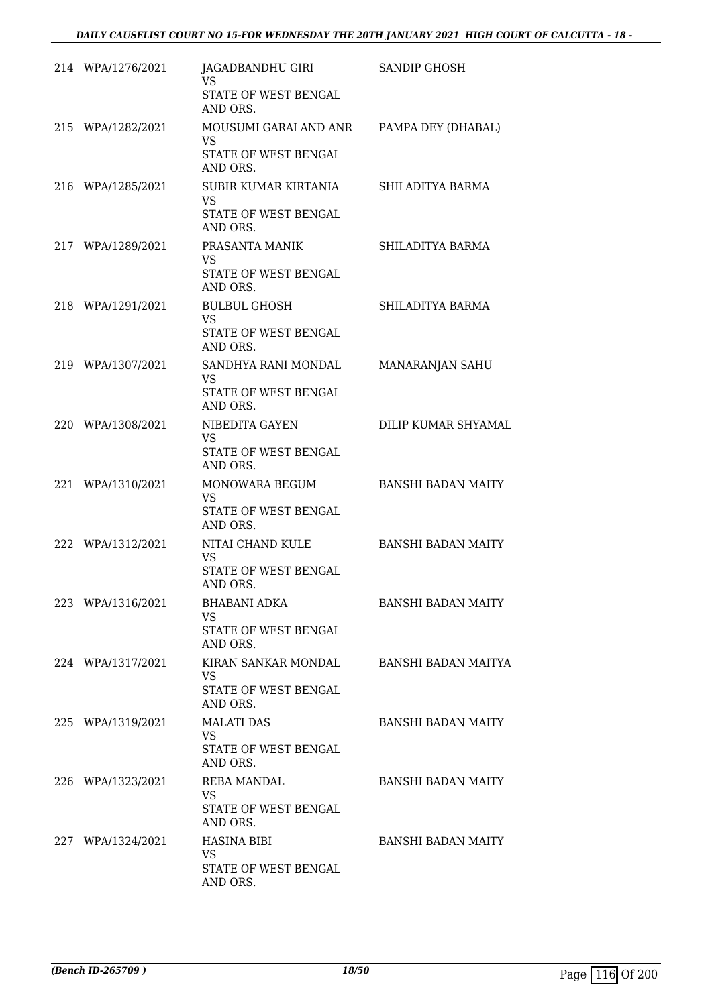| 214 WPA/1276/2021 | JAGADBANDHU GIRI<br>VS.<br>STATE OF WEST BENGAL<br>AND ORS.                        | SANDIP GHOSH              |
|-------------------|------------------------------------------------------------------------------------|---------------------------|
| 215 WPA/1282/2021 | MOUSUMI GARAI AND ANR<br><b>VS</b><br>STATE OF WEST BENGAL<br>AND ORS.             | PAMPA DEY (DHABAL)        |
| 216 WPA/1285/2021 | SUBIR KUMAR KIRTANIA<br><b>VS</b><br>STATE OF WEST BENGAL<br>AND ORS.              | SHILADITYA BARMA          |
| 217 WPA/1289/2021 | PRASANTA MANIK<br><b>VS</b><br>STATE OF WEST BENGAL<br>AND ORS.                    | SHILADITYA BARMA          |
| 218 WPA/1291/2021 | <b>BULBUL GHOSH</b><br><b>VS</b><br>STATE OF WEST BENGAL<br>AND ORS.               | SHILADITYA BARMA          |
| 219 WPA/1307/2021 | SANDHYA RANI MONDAL<br>VS.<br>STATE OF WEST BENGAL<br>AND ORS.                     | MANARANJAN SAHU           |
| 220 WPA/1308/2021 | NIBEDITA GAYEN<br>VS.<br>STATE OF WEST BENGAL<br>AND ORS.                          | DILIP KUMAR SHYAMAL       |
| 221 WPA/1310/2021 | MONOWARA BEGUM<br><b>VS</b><br>STATE OF WEST BENGAL<br>AND ORS.                    | <b>BANSHI BADAN MAITY</b> |
| 222 WPA/1312/2021 | NITAI CHAND KULE<br><b>VS</b><br>STATE OF WEST BENGAL<br>AND ORS.                  | <b>BANSHI BADAN MAITY</b> |
| 223 WPA/1316/2021 | BHABANI ADKA<br><b>VS</b><br>STATE OF WEST BENGAL<br>AND ORS.                      | <b>BANSHI BADAN MAITY</b> |
| 224 WPA/1317/2021 | KIRAN SANKAR MONDAL BANSHI BADAN MAITYA<br>VS.<br>STATE OF WEST BENGAL<br>AND ORS. |                           |
| 225 WPA/1319/2021 | <b>MALATI DAS</b><br><b>VS</b><br>STATE OF WEST BENGAL<br>AND ORS.                 | BANSHI BADAN MAITY        |
| 226 WPA/1323/2021 | REBA MANDAL<br>VS.<br>STATE OF WEST BENGAL<br>AND ORS.                             | BANSHI BADAN MAITY        |
| 227 WPA/1324/2021 | HASINA BIBI<br><b>VS</b><br>STATE OF WEST BENGAL<br>AND ORS.                       | BANSHI BADAN MAITY        |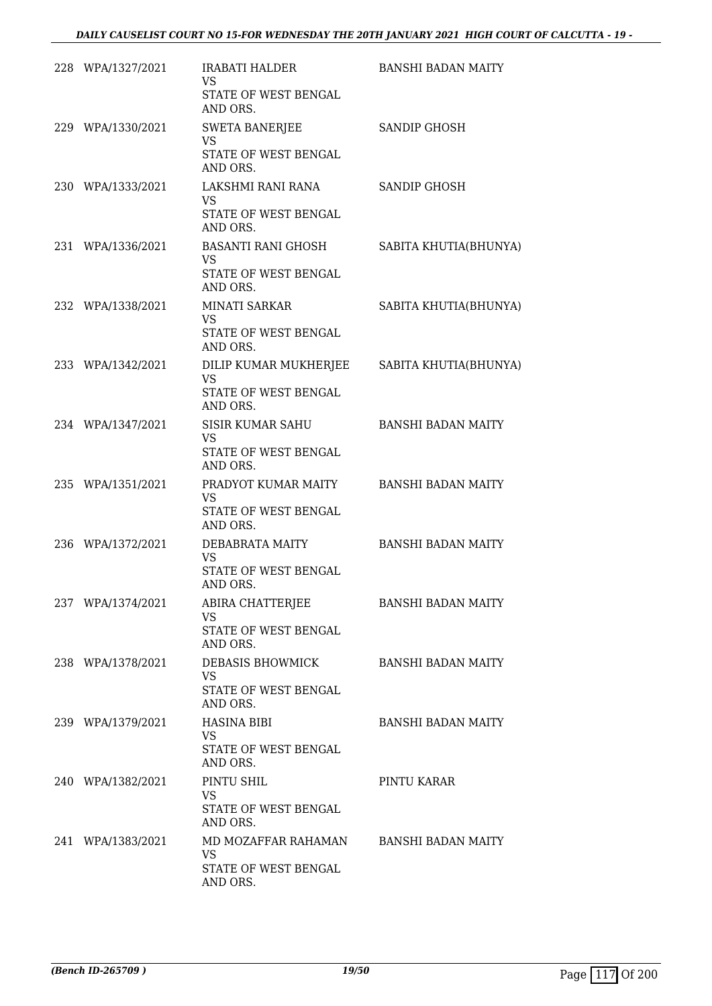| 228 WPA/1327/2021 | IRABATI HALDER<br><b>VS</b>                                | BANSHI BADAN MAITY        |
|-------------------|------------------------------------------------------------|---------------------------|
|                   | STATE OF WEST BENGAL<br>AND ORS.                           |                           |
| 229 WPA/1330/2021 | <b>SWETA BANERJEE</b><br><b>VS</b><br>STATE OF WEST BENGAL | <b>SANDIP GHOSH</b>       |
|                   | AND ORS.                                                   |                           |
| 230 WPA/1333/2021 | LAKSHMI RANI RANA<br><b>VS</b><br>STATE OF WEST BENGAL     | SANDIP GHOSH              |
|                   | AND ORS.                                                   |                           |
| 231 WPA/1336/2021 | BASANTI RANI GHOSH<br><b>VS</b><br>STATE OF WEST BENGAL    | SABITA KHUTIA(BHUNYA)     |
|                   | AND ORS.                                                   |                           |
| 232 WPA/1338/2021 | MINATI SARKAR<br><b>VS</b><br>STATE OF WEST BENGAL         | SABITA KHUTIA(BHUNYA)     |
|                   | AND ORS.                                                   |                           |
| 233 WPA/1342/2021 | DILIP KUMAR MUKHERJEE SABITA KHUTIA(BHUNYA)<br><b>VS</b>   |                           |
|                   | STATE OF WEST BENGAL<br>AND ORS.                           |                           |
| 234 WPA/1347/2021 | SISIR KUMAR SAHU<br>VS.                                    | <b>BANSHI BADAN MAITY</b> |
|                   | STATE OF WEST BENGAL<br>AND ORS.                           |                           |
| 235 WPA/1351/2021 | PRADYOT KUMAR MAITY<br>VS                                  | <b>BANSHI BADAN MAITY</b> |
|                   | STATE OF WEST BENGAL<br>AND ORS.                           |                           |
| 236 WPA/1372/2021 | DEBABRATA MAITY                                            | <b>BANSHI BADAN MAITY</b> |
|                   | <b>VS</b><br>STATE OF WEST BENGAL<br>AND ORS.              |                           |
| 237 WPA/1374/2021 | ABIRA CHATTERJEE                                           | <b>BANSHI BADAN MAITY</b> |
|                   | <b>VS</b><br>STATE OF WEST BENGAL<br>AND ORS.              |                           |
| 238 WPA/1378/2021 | DEBASIS BHOWMICK                                           | <b>BANSHI BADAN MAITY</b> |
|                   | VS<br>STATE OF WEST BENGAL<br>AND ORS.                     |                           |
| 239 WPA/1379/2021 | <b>HASINA BIBI</b>                                         | <b>BANSHI BADAN MAITY</b> |
|                   | VS.<br>STATE OF WEST BENGAL<br>AND ORS.                    |                           |
| 240 WPA/1382/2021 | PINTU SHIL                                                 | PINTU KARAR               |
|                   | <b>VS</b><br>STATE OF WEST BENGAL<br>AND ORS.              |                           |
| 241 WPA/1383/2021 | MD MOZAFFAR RAHAMAN                                        | <b>BANSHI BADAN MAITY</b> |
|                   | <b>VS</b><br>STATE OF WEST BENGAL<br>AND ORS.              |                           |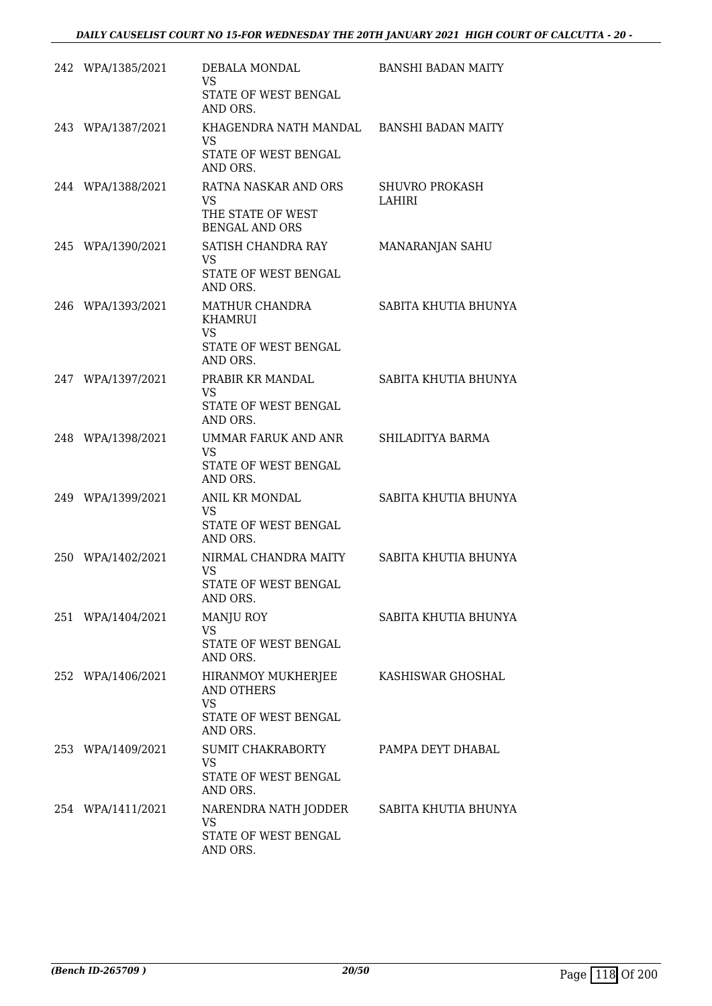| 242 WPA/1385/2021 | DEBALA MONDAL<br><b>VS</b><br>STATE OF WEST BENGAL<br>AND ORS.                             | <b>BANSHI BADAN MAITY</b>       |
|-------------------|--------------------------------------------------------------------------------------------|---------------------------------|
| 243 WPA/1387/2021 | KHAGENDRA NATH MANDAL BANSHI BADAN MAITY<br><b>VS</b><br>STATE OF WEST BENGAL<br>AND ORS.  |                                 |
| 244 WPA/1388/2021 | RATNA NASKAR AND ORS<br><b>VS</b><br>THE STATE OF WEST<br><b>BENGAL AND ORS</b>            | <b>SHUVRO PROKASH</b><br>LAHIRI |
| 245 WPA/1390/2021 | SATISH CHANDRA RAY<br><b>VS</b><br>STATE OF WEST BENGAL<br>AND ORS.                        | MANARANJAN SAHU                 |
| 246 WPA/1393/2021 | MATHUR CHANDRA<br><b>KHAMRUI</b><br><b>VS</b><br>STATE OF WEST BENGAL<br>AND ORS.          | SABITA KHUTIA BHUNYA            |
| 247 WPA/1397/2021 | PRABIR KR MANDAL<br><b>VS</b><br>STATE OF WEST BENGAL<br>AND ORS.                          | SABITA KHUTIA BHUNYA            |
| 248 WPA/1398/2021 | UMMAR FARUK AND ANR<br><b>VS</b><br>STATE OF WEST BENGAL<br>AND ORS.                       | SHILADITYA BARMA                |
| 249 WPA/1399/2021 | ANIL KR MONDAL<br><b>VS</b><br>STATE OF WEST BENGAL<br>AND ORS.                            | SABITA KHUTIA BHUNYA            |
| 250 WPA/1402/2021 | NIRMAL CHANDRA MAITY<br><b>VS</b><br>STATE OF WEST BENGAL<br>AND ORS.                      | SABITA KHUTIA BHUNYA            |
| 251 WPA/1404/2021 | <b>MANJU ROY</b><br><b>VS</b><br>STATE OF WEST BENGAL<br>AND ORS.                          | SABITA KHUTIA BHUNYA            |
| 252 WPA/1406/2021 | HIRANMOY MUKHERJEE<br>AND OTHERS<br><b>VS</b><br>STATE OF WEST BENGAL<br>AND ORS.          | KASHISWAR GHOSHAL               |
| 253 WPA/1409/2021 | SUMIT CHAKRABORTY<br><b>VS</b><br>STATE OF WEST BENGAL<br>AND ORS.                         | PAMPA DEYT DHABAL               |
| 254 WPA/1411/2021 | NARENDRA NATH JODDER SABITA KHUTIA BHUNYA<br><b>VS</b><br>STATE OF WEST BENGAL<br>AND ORS. |                                 |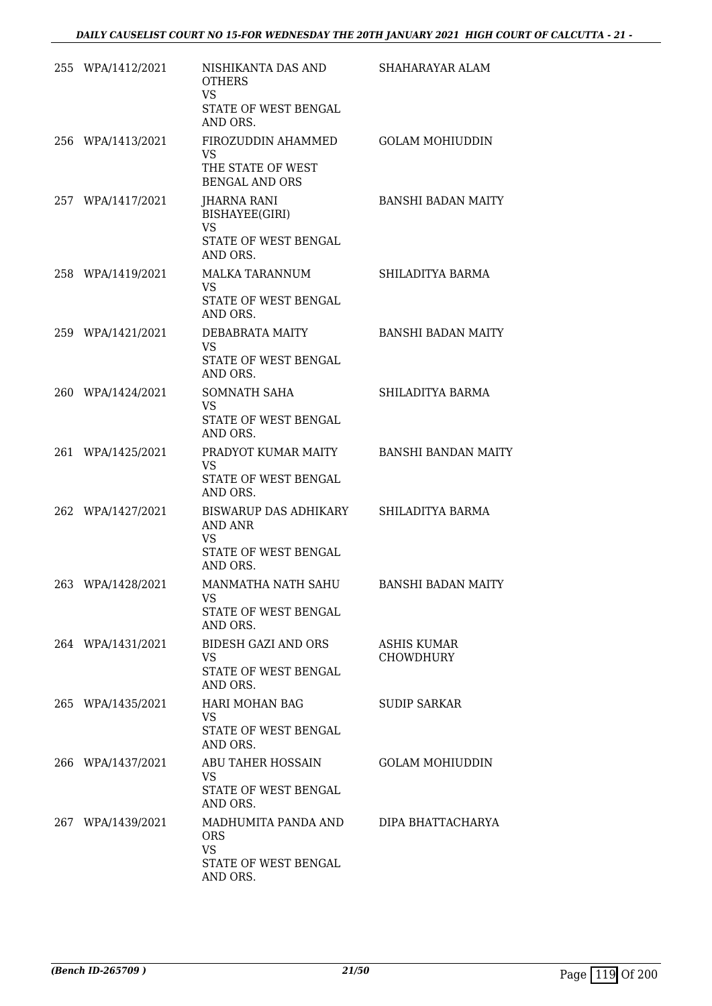| 255 WPA/1412/2021 | NISHIKANTA DAS AND<br><b>OTHERS</b><br><b>VS</b><br>STATE OF WEST BENGAL<br>AND ORS. | SHAHARAYAR ALAM                 |
|-------------------|--------------------------------------------------------------------------------------|---------------------------------|
| 256 WPA/1413/2021 | FIROZUDDIN AHAMMED<br><b>VS</b><br>THE STATE OF WEST<br><b>BENGAL AND ORS</b>        | <b>GOLAM MOHIUDDIN</b>          |
| 257 WPA/1417/2021 | JHARNA RANI<br>BISHAYEE(GIRI)<br><b>VS</b><br>STATE OF WEST BENGAL<br>AND ORS.       | <b>BANSHI BADAN MAITY</b>       |
| 258 WPA/1419/2021 | MALKA TARANNUM<br>VS.<br>STATE OF WEST BENGAL<br>AND ORS.                            | SHILADITYA BARMA                |
| 259 WPA/1421/2021 | DEBABRATA MAITY<br>VS<br>STATE OF WEST BENGAL<br>AND ORS.                            | <b>BANSHI BADAN MAITY</b>       |
| 260 WPA/1424/2021 | SOMNATH SAHA<br><b>VS</b><br>STATE OF WEST BENGAL<br>AND ORS.                        | SHILADITYA BARMA                |
| 261 WPA/1425/2021 | PRADYOT KUMAR MAITY<br>VS<br>STATE OF WEST BENGAL<br>AND ORS.                        | <b>BANSHI BANDAN MAITY</b>      |
| 262 WPA/1427/2021 | BISWARUP DAS ADHIKARY<br>AND ANR<br><b>VS</b><br>STATE OF WEST BENGAL<br>AND ORS.    | SHILADITYA BARMA                |
| 263 WPA/1428/2021 | MANMATHA NATH SAHU<br>VS<br>STATE OF WEST BENGAL<br>AND ORS.                         | <b>BANSHI BADAN MAITY</b>       |
| 264 WPA/1431/2021 | <b>BIDESH GAZI AND ORS</b><br>VS<br>STATE OF WEST BENGAL<br>AND ORS.                 | ASHIS KUMAR<br><b>CHOWDHURY</b> |
| 265 WPA/1435/2021 | HARI MOHAN BAG<br>VS<br>STATE OF WEST BENGAL<br>AND ORS.                             | <b>SUDIP SARKAR</b>             |
| 266 WPA/1437/2021 | ABU TAHER HOSSAIN<br>VS<br>STATE OF WEST BENGAL<br>AND ORS.                          | <b>GOLAM MOHIUDDIN</b>          |
| 267 WPA/1439/2021 | MADHUMITA PANDA AND<br><b>ORS</b><br><b>VS</b><br>STATE OF WEST BENGAL<br>AND ORS.   | DIPA BHATTACHARYA               |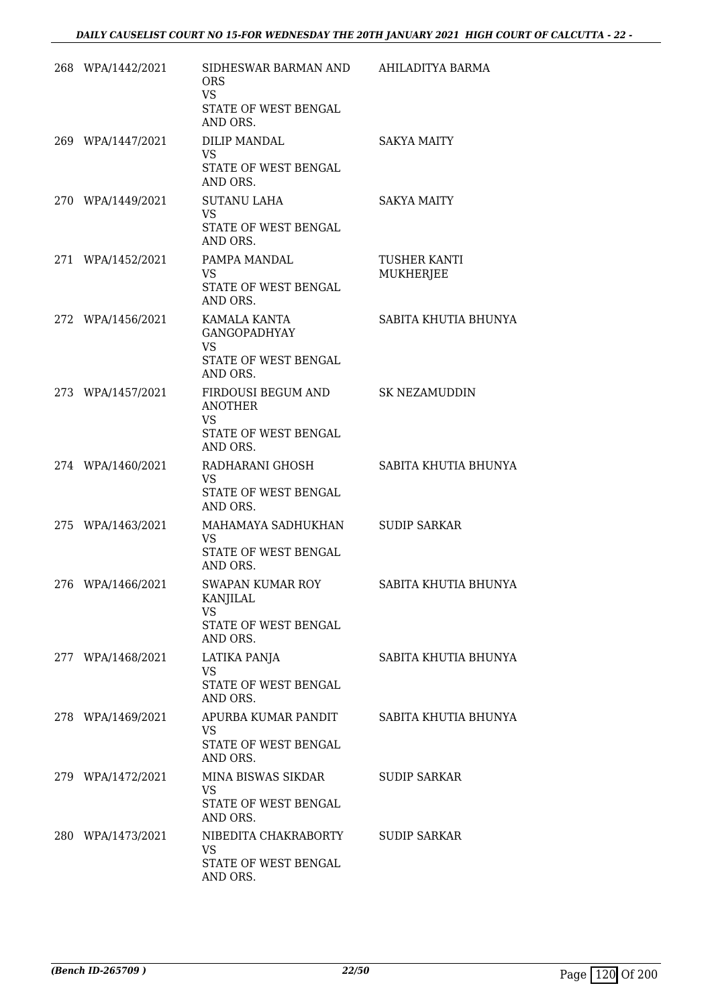| 268 WPA/1442/2021 | SIDHESWAR BARMAN AND<br><b>ORS</b><br><b>VS</b><br>STATE OF WEST BENGAL<br>AND ORS.   | AHILADITYA BARMA                        |
|-------------------|---------------------------------------------------------------------------------------|-----------------------------------------|
| 269 WPA/1447/2021 | DILIP MANDAL<br><b>VS</b><br>STATE OF WEST BENGAL<br>AND ORS.                         | <b>SAKYA MAITY</b>                      |
| 270 WPA/1449/2021 | <b>SUTANU LAHA</b><br>VS.<br>STATE OF WEST BENGAL<br>AND ORS.                         | SAKYA MAITY                             |
| 271 WPA/1452/2021 | PAMPA MANDAL<br><b>VS</b><br>STATE OF WEST BENGAL<br>AND ORS.                         | <b>TUSHER KANTI</b><br><b>MUKHERJEE</b> |
| 272 WPA/1456/2021 | KAMALA KANTA<br><b>GANGOPADHYAY</b><br><b>VS</b><br>STATE OF WEST BENGAL<br>AND ORS.  | SABITA KHUTIA BHUNYA                    |
| 273 WPA/1457/2021 | FIRDOUSI BEGUM AND<br><b>ANOTHER</b><br><b>VS</b><br>STATE OF WEST BENGAL<br>AND ORS. | <b>SK NEZAMUDDIN</b>                    |
| 274 WPA/1460/2021 | RADHARANI GHOSH<br>VS.<br>STATE OF WEST BENGAL<br>AND ORS.                            | SABITA KHUTIA BHUNYA                    |
| 275 WPA/1463/2021 | MAHAMAYA SADHUKHAN<br><b>VS</b><br>STATE OF WEST BENGAL<br>AND ORS.                   | <b>SUDIP SARKAR</b>                     |
| 276 WPA/1466/2021 | <b>SWAPAN KUMAR ROY</b><br>KANJILAL<br><b>VS</b><br>STATE OF WEST BENGAL<br>AND ORS.  | SABITA KHUTIA BHUNYA                    |
| 277 WPA/1468/2021 | LATIKA PANJA<br><b>VS</b><br>STATE OF WEST BENGAL<br>AND ORS.                         | SABITA KHUTIA BHUNYA                    |
| 278 WPA/1469/2021 | APURBA KUMAR PANDIT<br>VS<br>STATE OF WEST BENGAL<br>AND ORS.                         | SABITA KHUTIA BHUNYA                    |
| 279 WPA/1472/2021 | MINA BISWAS SIKDAR<br><b>VS</b><br>STATE OF WEST BENGAL<br>AND ORS.                   | <b>SUDIP SARKAR</b>                     |
| 280 WPA/1473/2021 | NIBEDITA CHAKRABORTY<br><b>VS</b><br>STATE OF WEST BENGAL<br>AND ORS.                 | <b>SUDIP SARKAR</b>                     |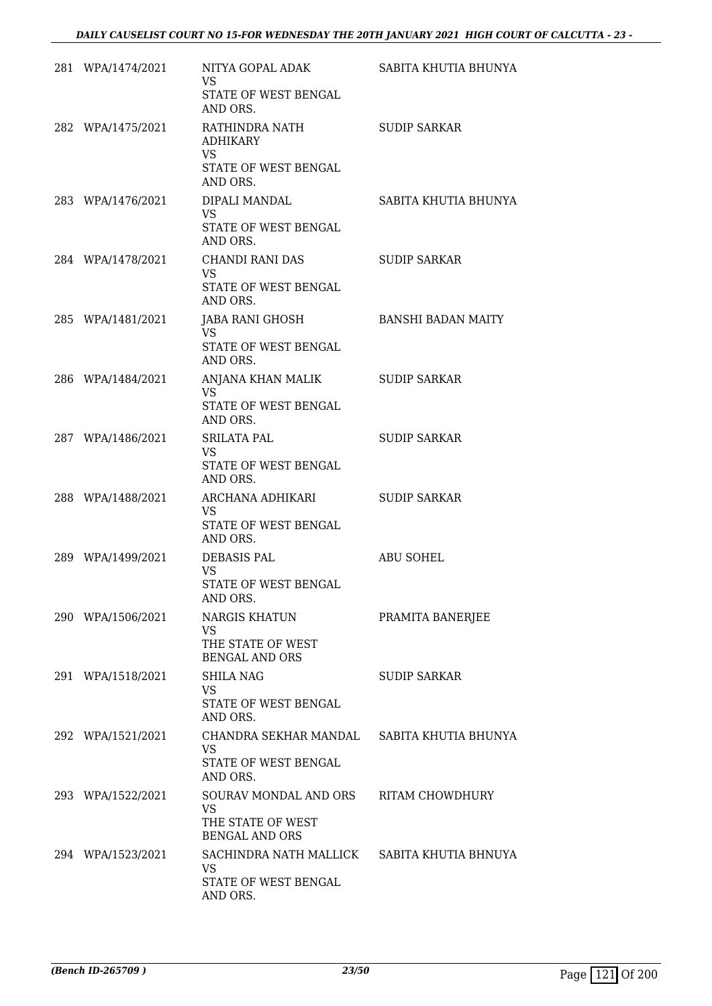| 281 WPA/1474/2021 | NITYA GOPAL ADAK<br><b>VS</b><br>STATE OF WEST BENGAL<br>AND ORS.                  | SABITA KHUTIA BHUNYA      |
|-------------------|------------------------------------------------------------------------------------|---------------------------|
| 282 WPA/1475/2021 | RATHINDRA NATH<br><b>ADHIKARY</b><br><b>VS</b><br>STATE OF WEST BENGAL<br>AND ORS. | <b>SUDIP SARKAR</b>       |
| 283 WPA/1476/2021 | DIPALI MANDAL<br>VS<br>STATE OF WEST BENGAL<br>AND ORS.                            | SABITA KHUTIA BHUNYA      |
| 284 WPA/1478/2021 | CHANDI RANI DAS<br>VS.<br>STATE OF WEST BENGAL<br>AND ORS.                         | <b>SUDIP SARKAR</b>       |
| 285 WPA/1481/2021 | JABA RANI GHOSH<br><b>VS</b><br>STATE OF WEST BENGAL<br>AND ORS.                   | <b>BANSHI BADAN MAITY</b> |
| 286 WPA/1484/2021 | ANJANA KHAN MALIK<br><b>VS</b><br>STATE OF WEST BENGAL<br>AND ORS.                 | <b>SUDIP SARKAR</b>       |
| 287 WPA/1486/2021 | <b>SRILATA PAL</b><br><b>VS</b><br>STATE OF WEST BENGAL<br>AND ORS.                | <b>SUDIP SARKAR</b>       |
| 288 WPA/1488/2021 | ARCHANA ADHIKARI<br><b>VS</b><br>STATE OF WEST BENGAL<br>AND ORS.                  | <b>SUDIP SARKAR</b>       |
| 289 WPA/1499/2021 | <b>DEBASIS PAL</b><br>VS.<br>STATE OF WEST BENGAL<br>AND ORS.                      | <b>ABU SOHEL</b>          |
| 290 WPA/1506/2021 | <b>NARGIS KHATUN</b><br>VS.<br>THE STATE OF WEST<br><b>BENGAL AND ORS</b>          | PRAMITA BANERJEE          |
| 291 WPA/1518/2021 | <b>SHILA NAG</b><br><b>VS</b><br>STATE OF WEST BENGAL<br>AND ORS.                  | SUDIP SARKAR              |
| 292 WPA/1521/2021 | CHANDRA SEKHAR MANDAL<br><b>VS</b><br>STATE OF WEST BENGAL<br>AND ORS.             | SABITA KHUTIA BHUNYA      |
| 293 WPA/1522/2021 | SOURAV MONDAL AND ORS<br>VS<br>THE STATE OF WEST<br><b>BENGAL AND ORS</b>          | RITAM CHOWDHURY           |
| 294 WPA/1523/2021 | SACHINDRA NATH MALLICK<br>VS<br>STATE OF WEST BENGAL<br>AND ORS.                   | SABITA KHUTIA BHNUYA      |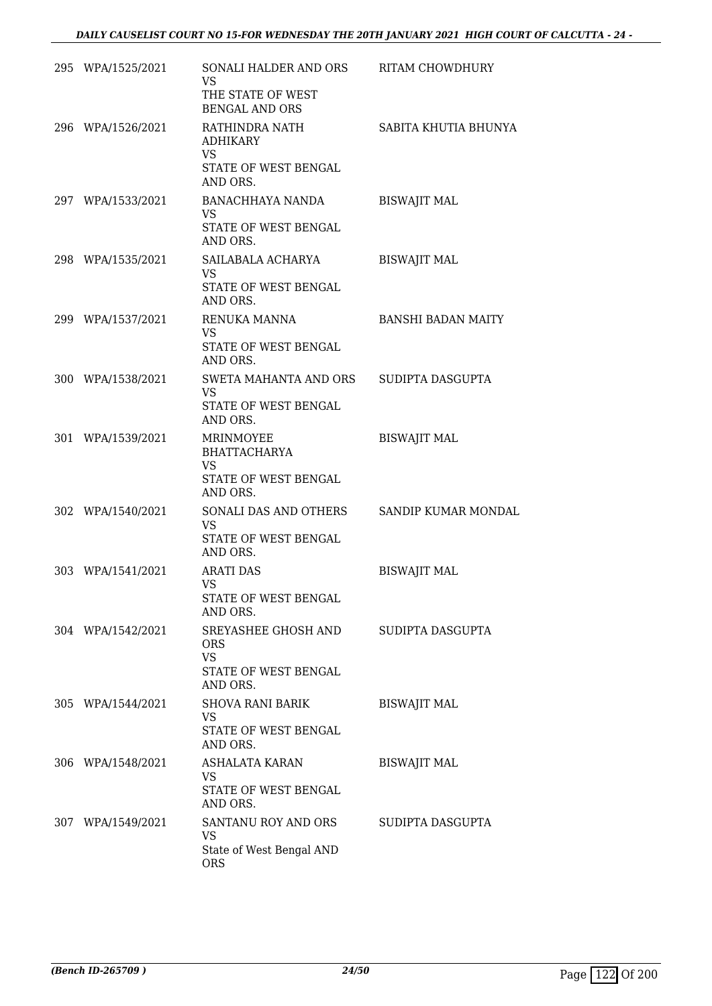| 295 WPA/1525/2021 | SONALI HALDER AND ORS<br><b>VS</b><br>THE STATE OF WEST<br><b>BENGAL AND ORS</b>   | RITAM CHOWDHURY           |
|-------------------|------------------------------------------------------------------------------------|---------------------------|
| 296 WPA/1526/2021 | RATHINDRA NATH<br><b>ADHIKARY</b><br><b>VS</b><br>STATE OF WEST BENGAL<br>AND ORS. | SABITA KHUTIA BHUNYA      |
| 297 WPA/1533/2021 | BANACHHAYA NANDA<br>VS.<br>STATE OF WEST BENGAL<br>AND ORS.                        | <b>BISWAJIT MAL</b>       |
| 298 WPA/1535/2021 | SAILABALA ACHARYA<br><b>VS</b><br>STATE OF WEST BENGAL<br>AND ORS.                 | <b>BISWAJIT MAL</b>       |
| 299 WPA/1537/2021 | RENUKA MANNA<br><b>VS</b><br>STATE OF WEST BENGAL<br>AND ORS.                      | <b>BANSHI BADAN MAITY</b> |
| 300 WPA/1538/2021 | SWETA MAHANTA AND ORS<br><b>VS</b><br>STATE OF WEST BENGAL<br>AND ORS.             | SUDIPTA DASGUPTA          |
| 301 WPA/1539/2021 | MRINMOYEE<br><b>BHATTACHARYA</b><br><b>VS</b><br>STATE OF WEST BENGAL<br>AND ORS.  | <b>BISWAJIT MAL</b>       |
| 302 WPA/1540/2021 | SONALI DAS AND OTHERS<br><b>VS</b><br>STATE OF WEST BENGAL<br>AND ORS.             | SANDIP KUMAR MONDAL       |
| 303 WPA/1541/2021 | <b>ARATI DAS</b><br><b>VS</b><br>STATE OF WEST BENGAL<br>AND ORS.                  | <b>BISWAJIT MAL</b>       |
| 304 WPA/1542/2021 | SREYASHEE GHOSH AND<br><b>ORS</b><br><b>VS</b><br>STATE OF WEST BENGAL<br>AND ORS. | SUDIPTA DASGUPTA          |
| 305 WPA/1544/2021 | <b>SHOVA RANI BARIK</b><br><b>VS</b><br>STATE OF WEST BENGAL<br>AND ORS.           | <b>BISWAJIT MAL</b>       |
| 306 WPA/1548/2021 | ASHALATA KARAN<br><b>VS</b><br>STATE OF WEST BENGAL<br>AND ORS.                    | <b>BISWAJIT MAL</b>       |
| 307 WPA/1549/2021 | SANTANU ROY AND ORS<br>VS<br>State of West Bengal AND<br><b>ORS</b>                | SUDIPTA DASGUPTA          |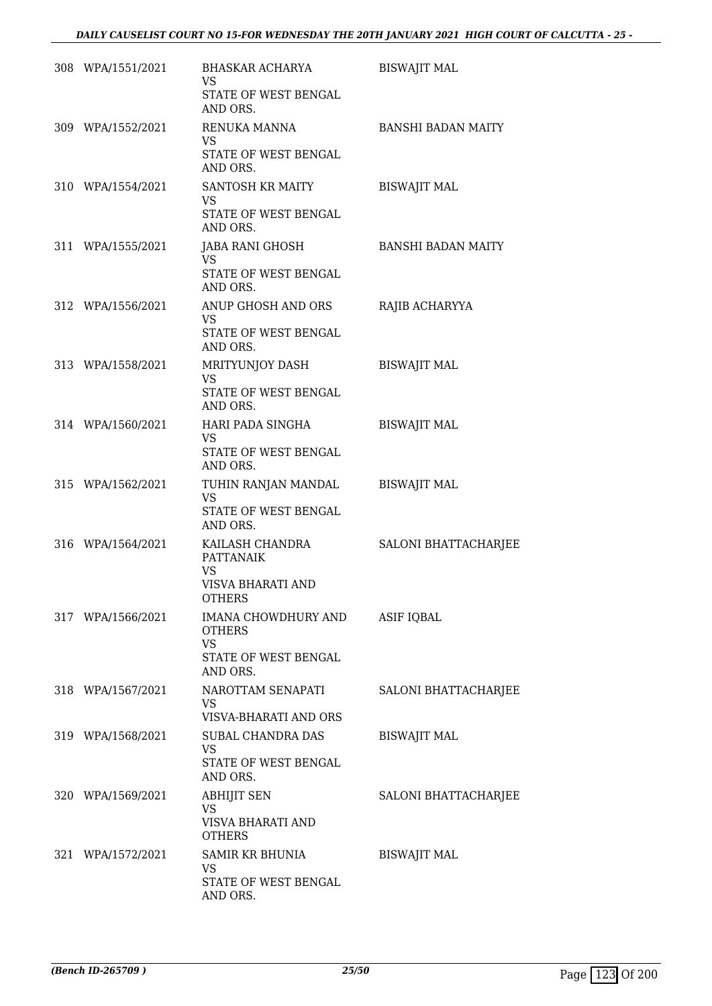| 308 WPA/1551/2021 | BHASKAR ACHARYA<br><b>VS</b><br>STATE OF WEST BENGAL                                      | <b>BISWAJIT MAL</b>       |
|-------------------|-------------------------------------------------------------------------------------------|---------------------------|
| 309 WPA/1552/2021 | AND ORS.<br>RENUKA MANNA<br><b>VS</b><br>STATE OF WEST BENGAL<br>AND ORS.                 | <b>BANSHI BADAN MAITY</b> |
| 310 WPA/1554/2021 | SANTOSH KR MAITY<br>VS<br>STATE OF WEST BENGAL<br>AND ORS.                                | <b>BISWAJIT MAL</b>       |
| 311 WPA/1555/2021 | JABA RANI GHOSH<br><b>VS</b><br>STATE OF WEST BENGAL<br>AND ORS.                          | BANSHI BADAN MAITY        |
| 312 WPA/1556/2021 | ANUP GHOSH AND ORS<br><b>VS</b><br>STATE OF WEST BENGAL<br>AND ORS.                       | RAJIB ACHARYYA            |
| 313 WPA/1558/2021 | MRITYUNJOY DASH<br><b>VS</b><br>STATE OF WEST BENGAL<br>AND ORS.                          | <b>BISWAJIT MAL</b>       |
| 314 WPA/1560/2021 | HARI PADA SINGHA<br><b>VS</b><br>STATE OF WEST BENGAL<br>AND ORS.                         | <b>BISWAJIT MAL</b>       |
| 315 WPA/1562/2021 | TUHIN RANJAN MANDAL<br><b>VS</b><br>STATE OF WEST BENGAL<br>AND ORS.                      | <b>BISWAJIT MAL</b>       |
| 316 WPA/1564/2021 | KAILASH CHANDRA<br><b>PATTANAIK</b><br><b>VS</b><br>VISVA BHARATI AND<br><b>OTHERS</b>    | SALONI BHATTACHARJEE      |
| 317 WPA/1566/2021 | IMANA CHOWDHURY AND ASIF IQBAL<br><b>OTHERS</b><br>VS<br>STATE OF WEST BENGAL<br>AND ORS. |                           |
| 318 WPA/1567/2021 | NAROTTAM SENAPATI<br><b>VS</b><br>VISVA-BHARATI AND ORS                                   | SALONI BHATTACHARJEE      |
| 319 WPA/1568/2021 | SUBAL CHANDRA DAS<br>VS<br>STATE OF WEST BENGAL<br>AND ORS.                               | <b>BISWAJIT MAL</b>       |
| 320 WPA/1569/2021 | <b>ABHIJIT SEN</b><br><b>VS</b><br>VISVA BHARATI AND<br><b>OTHERS</b>                     | SALONI BHATTACHARJEE      |
| 321 WPA/1572/2021 | SAMIR KR BHUNIA<br><b>VS</b><br>STATE OF WEST BENGAL<br>AND ORS.                          | <b>BISWAJIT MAL</b>       |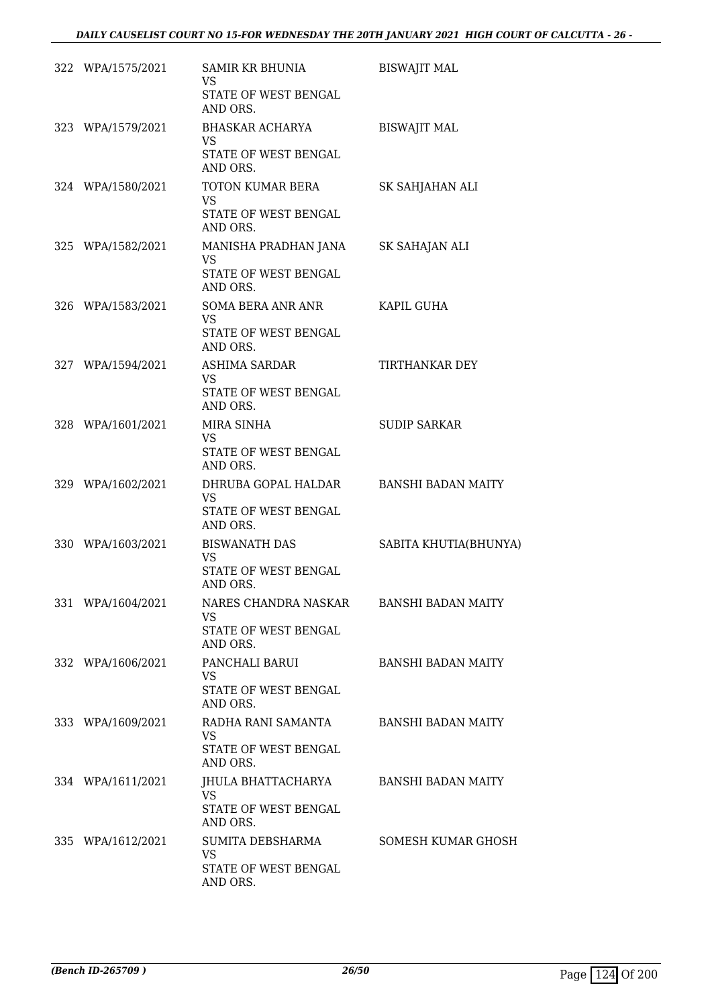| 322 WPA/1575/2021 | SAMIR KR BHUNIA<br><b>VS</b><br>STATE OF WEST BENGAL                          | <b>BISWAJIT MAL</b>       |
|-------------------|-------------------------------------------------------------------------------|---------------------------|
|                   | AND ORS.                                                                      |                           |
| 323 WPA/1579/2021 | BHASKAR ACHARYA<br>VS.                                                        | <b>BISWAJIT MAL</b>       |
|                   | STATE OF WEST BENGAL<br>AND ORS.                                              |                           |
| 324 WPA/1580/2021 | TOTON KUMAR BERA<br><b>VS</b><br>STATE OF WEST BENGAL<br>AND ORS.             | SK SAHJAHAN ALI           |
| 325 WPA/1582/2021 | MANISHA PRADHAN JANA SK SAHAJAN ALI<br>VS<br>STATE OF WEST BENGAL<br>AND ORS. |                           |
| 326 WPA/1583/2021 | SOMA BERA ANR ANR<br>VS.                                                      | KAPIL GUHA                |
|                   | STATE OF WEST BENGAL<br>AND ORS.                                              |                           |
| 327 WPA/1594/2021 | ASHIMA SARDAR<br><b>VS</b><br>STATE OF WEST BENGAL<br>AND ORS.                | TIRTHANKAR DEY            |
| 328 WPA/1601/2021 | MIRA SINHA<br><b>VS</b><br>STATE OF WEST BENGAL                               | <b>SUDIP SARKAR</b>       |
| 329 WPA/1602/2021 | AND ORS.<br>DHRUBA GOPAL HALDAR<br>VS.<br>STATE OF WEST BENGAL<br>AND ORS.    | BANSHI BADAN MAITY        |
| 330 WPA/1603/2021 | BISWANATH DAS<br><b>VS</b><br>STATE OF WEST BENGAL<br>AND ORS.                | SABITA KHUTIA(BHUNYA)     |
| 331 WPA/1604/2021 | NARES CHANDRA NASKAR<br><b>VS</b><br>STATE OF WEST BENGAL<br>AND ORS.         | <b>BANSHI BADAN MAITY</b> |
| 332 WPA/1606/2021 | PANCHALI BARUI<br><b>VS</b><br>STATE OF WEST BENGAL<br>AND ORS.               | <b>BANSHI BADAN MAITY</b> |
| 333 WPA/1609/2021 | RADHA RANI SAMANTA<br>VS<br>STATE OF WEST BENGAL<br>AND ORS.                  | <b>BANSHI BADAN MAITY</b> |
| 334 WPA/1611/2021 | JHULA BHATTACHARYA<br>VS.<br>STATE OF WEST BENGAL<br>AND ORS.                 | BANSHI BADAN MAITY        |
| 335 WPA/1612/2021 | SUMITA DEBSHARMA<br><b>VS</b><br>STATE OF WEST BENGAL<br>AND ORS.             | SOMESH KUMAR GHOSH        |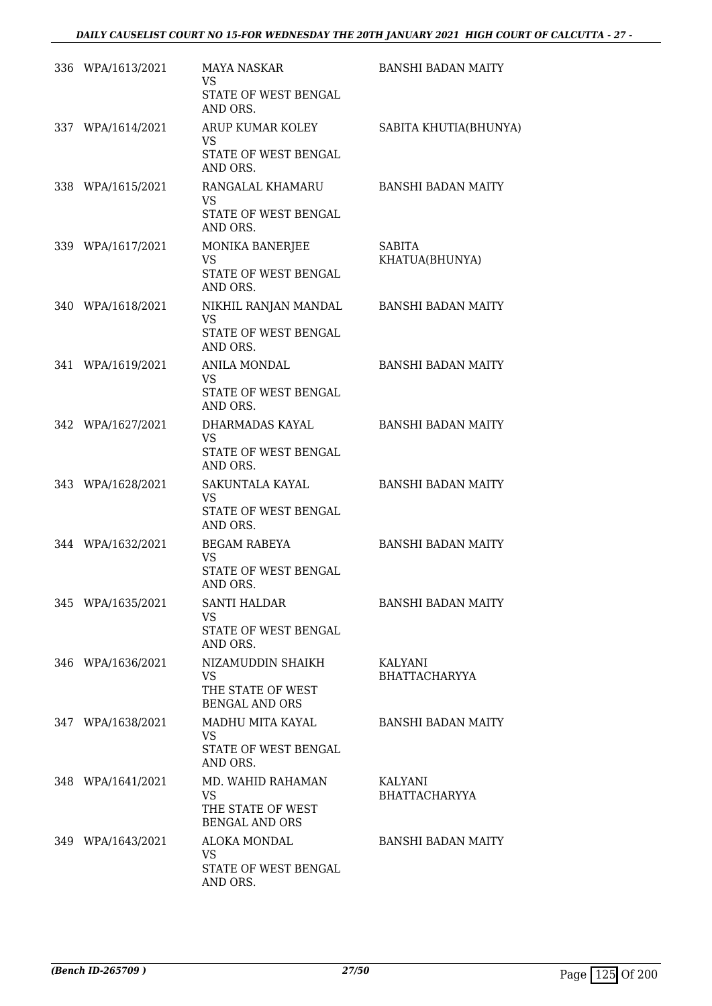| 336 WPA/1613/2021 | MAYA NASKAR<br>VS<br>STATE OF WEST BENGAL<br>AND ORS.                        | <b>BANSHI BADAN MAITY</b>              |
|-------------------|------------------------------------------------------------------------------|----------------------------------------|
| 337 WPA/1614/2021 | ARUP KUMAR KOLEY<br>VS<br>STATE OF WEST BENGAL<br>AND ORS.                   | SABITA KHUTIA(BHUNYA)                  |
| 338 WPA/1615/2021 | RANGALAL KHAMARU<br><b>VS</b><br>STATE OF WEST BENGAL<br>AND ORS.            | <b>BANSHI BADAN MAITY</b>              |
| 339 WPA/1617/2021 | MONIKA BANERJEE<br><b>VS</b><br>STATE OF WEST BENGAL<br>AND ORS.             | <b>SABITA</b><br>KHATUA(BHUNYA)        |
| 340 WPA/1618/2021 | NIKHIL RANJAN MANDAL<br>VS<br>STATE OF WEST BENGAL<br>AND ORS.               | <b>BANSHI BADAN MAITY</b>              |
| 341 WPA/1619/2021 | ANILA MONDAL<br>VS.<br>STATE OF WEST BENGAL<br>AND ORS.                      | <b>BANSHI BADAN MAITY</b>              |
| 342 WPA/1627/2021 | DHARMADAS KAYAL<br>VS.<br>STATE OF WEST BENGAL<br>AND ORS.                   | <b>BANSHI BADAN MAITY</b>              |
| 343 WPA/1628/2021 | SAKUNTALA KAYAL<br>VS<br>STATE OF WEST BENGAL<br>AND ORS.                    | <b>BANSHI BADAN MAITY</b>              |
| 344 WPA/1632/2021 | <b>BEGAM RABEYA</b><br><b>VS</b><br><b>STATE OF WEST BENGAL</b><br>AND ORS.  | <b>BANSHI BADAN MAITY</b>              |
| 345 WPA/1635/2021 | <b>SANTI HALDAR</b><br>VS<br>STATE OF WEST BENGAL<br>AND ORS.                | <b>BANSHI BADAN MAITY</b>              |
| 346 WPA/1636/2021 | NIZAMUDDIN SHAIKH<br>VS.<br>THE STATE OF WEST<br><b>BENGAL AND ORS</b>       | <b>KALYANI</b><br><b>BHATTACHARYYA</b> |
| 347 WPA/1638/2021 | MADHU MITA KAYAL<br>VS<br>STATE OF WEST BENGAL<br>AND ORS.                   | <b>BANSHI BADAN MAITY</b>              |
| 348 WPA/1641/2021 | MD. WAHID RAHAMAN<br><b>VS</b><br>THE STATE OF WEST<br><b>BENGAL AND ORS</b> | KALYANI<br><b>BHATTACHARYYA</b>        |
| 349 WPA/1643/2021 | ALOKA MONDAL<br>VS<br>STATE OF WEST BENGAL<br>AND ORS.                       | <b>BANSHI BADAN MAITY</b>              |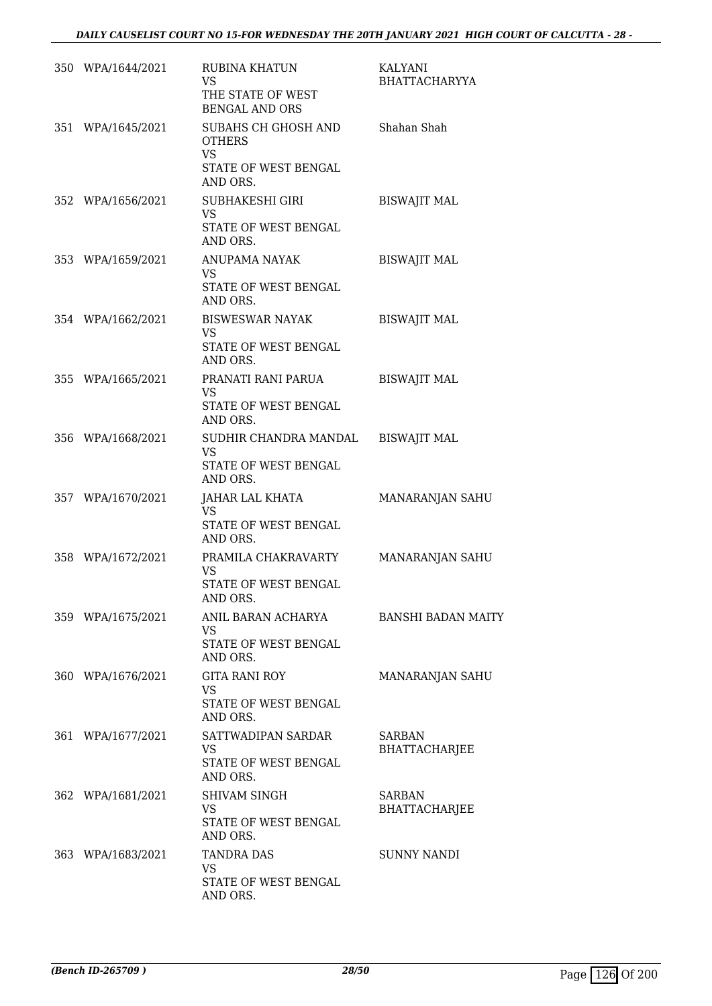| 350 WPA/1644/2021 | <b>RUBINA KHATUN</b><br><b>VS</b><br>THE STATE OF WEST<br><b>BENGAL AND ORS</b>       | KALYANI<br><b>BHATTACHARYYA</b>       |
|-------------------|---------------------------------------------------------------------------------------|---------------------------------------|
| 351 WPA/1645/2021 | SUBAHS CH GHOSH AND<br><b>OTHERS</b><br><b>VS</b><br>STATE OF WEST BENGAL<br>AND ORS. | Shahan Shah                           |
| 352 WPA/1656/2021 | SUBHAKESHI GIRI<br><b>VS</b><br>STATE OF WEST BENGAL<br>AND ORS.                      | <b>BISWAJIT MAL</b>                   |
| 353 WPA/1659/2021 | ANUPAMA NAYAK<br><b>VS</b><br>STATE OF WEST BENGAL<br>AND ORS.                        | <b>BISWAJIT MAL</b>                   |
| 354 WPA/1662/2021 | <b>BISWESWAR NAYAK</b><br><b>VS</b><br>STATE OF WEST BENGAL<br>AND ORS.               | <b>BISWAJIT MAL</b>                   |
| 355 WPA/1665/2021 | PRANATI RANI PARUA<br><b>VS</b><br>STATE OF WEST BENGAL<br>AND ORS.                   | <b>BISWAJIT MAL</b>                   |
| 356 WPA/1668/2021 | SUDHIR CHANDRA MANDAL<br><b>VS</b><br>STATE OF WEST BENGAL<br>AND ORS.                | <b>BISWAJIT MAL</b>                   |
| 357 WPA/1670/2021 | JAHAR LAL KHATA<br><b>VS</b><br>STATE OF WEST BENGAL<br>AND ORS.                      | MANARANJAN SAHU                       |
| 358 WPA/1672/2021 | PRAMILA CHAKRAVARTY<br><b>VS</b><br>STATE OF WEST BENGAL<br>AND ORS.                  | MANARANJAN SAHU                       |
| 359 WPA/1675/2021 | ANIL BARAN ACHARYA<br>VS<br>STATE OF WEST BENGAL<br>AND ORS.                          | <b>BANSHI BADAN MAITY</b>             |
| 360 WPA/1676/2021 | GITA RANI ROY<br><b>VS</b><br>STATE OF WEST BENGAL<br>AND ORS.                        | MANARANJAN SAHU                       |
| 361 WPA/1677/2021 | SATTWADIPAN SARDAR<br>VS.<br>STATE OF WEST BENGAL<br>AND ORS.                         | <b>SARBAN</b><br><b>BHATTACHARJEE</b> |
| 362 WPA/1681/2021 | <b>SHIVAM SINGH</b><br>VS<br>STATE OF WEST BENGAL<br>AND ORS.                         | <b>SARBAN</b><br><b>BHATTACHARJEE</b> |
| 363 WPA/1683/2021 | TANDRA DAS<br><b>VS</b><br>STATE OF WEST BENGAL<br>AND ORS.                           | <b>SUNNY NANDI</b>                    |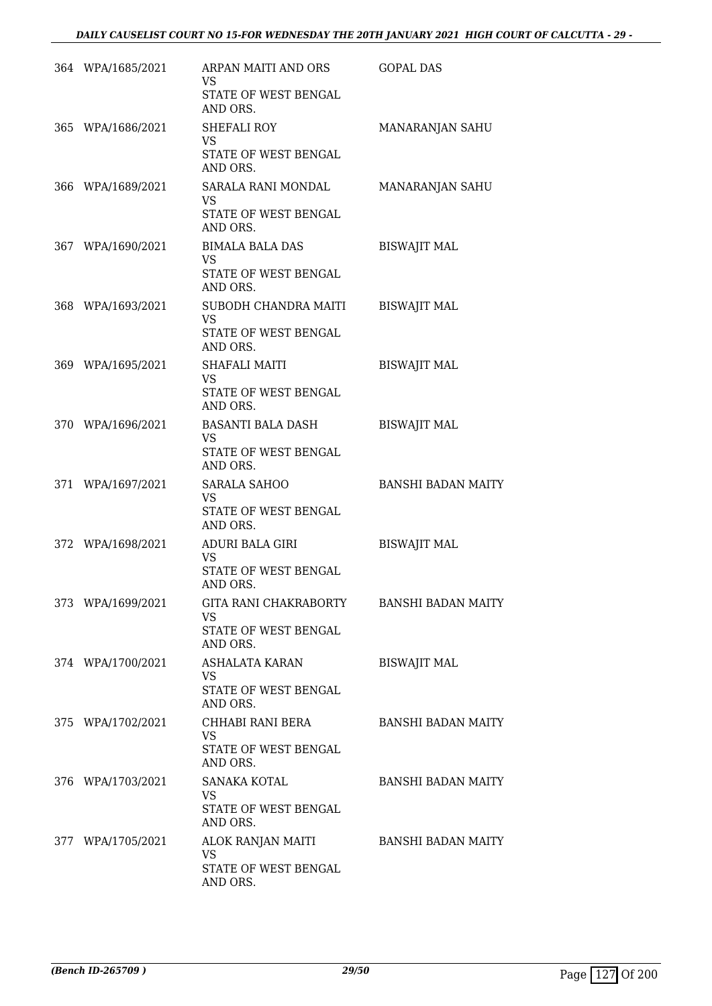| 364 WPA/1685/2021 | ARPAN MAITI AND ORS<br><b>VS</b><br>STATE OF WEST BENGAL<br>AND ORS.   | <b>GOPAL DAS</b>          |
|-------------------|------------------------------------------------------------------------|---------------------------|
| 365 WPA/1686/2021 | SHEFALI ROY<br><b>VS</b><br>STATE OF WEST BENGAL<br>AND ORS.           | MANARANJAN SAHU           |
| 366 WPA/1689/2021 | SARALA RANI MONDAL<br><b>VS</b><br>STATE OF WEST BENGAL<br>AND ORS.    | MANARANJAN SAHU           |
| 367 WPA/1690/2021 | BIMALA BALA DAS<br><b>VS</b><br>STATE OF WEST BENGAL<br>AND ORS.       | <b>BISWAJIT MAL</b>       |
| 368 WPA/1693/2021 | SUBODH CHANDRA MAITI<br><b>VS</b><br>STATE OF WEST BENGAL<br>AND ORS.  | <b>BISWAJIT MAL</b>       |
| 369 WPA/1695/2021 | SHAFALI MAITI<br><b>VS</b><br>STATE OF WEST BENGAL<br>AND ORS.         | <b>BISWAJIT MAL</b>       |
| 370 WPA/1696/2021 | BASANTI BALA DASH<br><b>VS</b><br>STATE OF WEST BENGAL<br>AND ORS.     | <b>BISWAJIT MAL</b>       |
| 371 WPA/1697/2021 | <b>SARALA SAHOO</b><br><b>VS</b><br>STATE OF WEST BENGAL<br>AND ORS.   | <b>BANSHI BADAN MAITY</b> |
| 372 WPA/1698/2021 | ADURI BALA GIRI<br><b>VS</b><br>STATE OF WEST BENGAL<br>AND ORS.       | <b>BISWAJIT MAL</b>       |
| 373 WPA/1699/2021 | GITA RANI CHAKRABORTY<br><b>VS</b><br>STATE OF WEST BENGAL<br>AND ORS. | <b>BANSHI BADAN MAITY</b> |
| 374 WPA/1700/2021 | ASHALATA KARAN<br><b>VS</b><br>STATE OF WEST BENGAL<br>AND ORS.        | <b>BISWAJIT MAL</b>       |
| 375 WPA/1702/2021 | CHHABI RANI BERA<br><b>VS</b><br>STATE OF WEST BENGAL<br>AND ORS.      | <b>BANSHI BADAN MAITY</b> |
| 376 WPA/1703/2021 | SANAKA KOTAL<br>VS.<br>STATE OF WEST BENGAL<br>AND ORS.                | <b>BANSHI BADAN MAITY</b> |
| 377 WPA/1705/2021 | ALOK RANJAN MAITI<br><b>VS</b><br>STATE OF WEST BENGAL<br>AND ORS.     | <b>BANSHI BADAN MAITY</b> |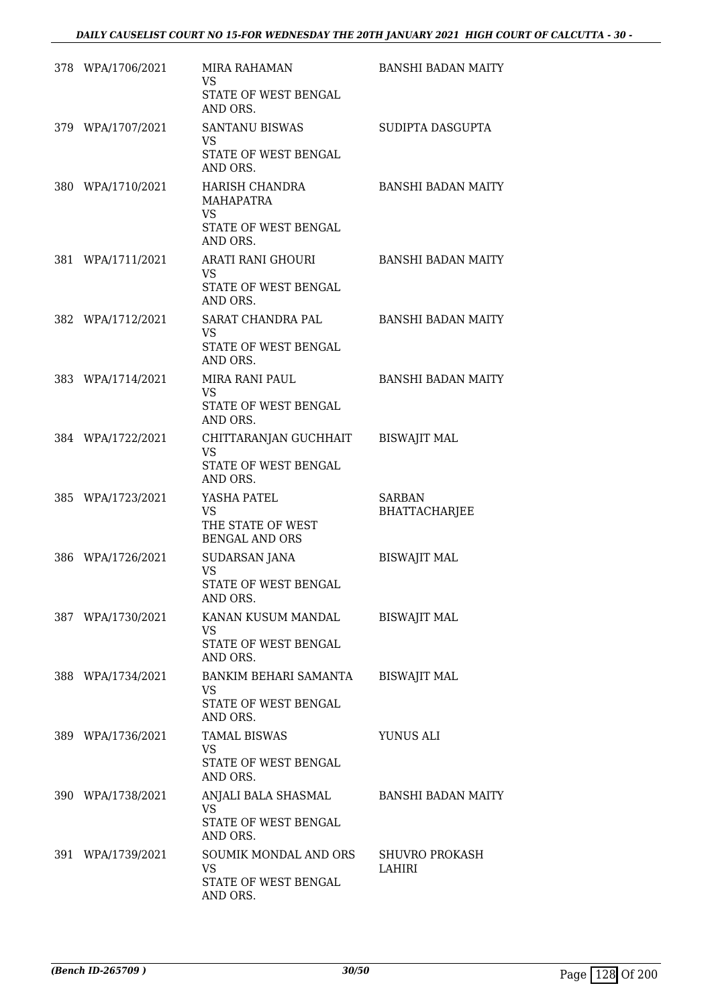| 378 WPA/1706/2021 | MIRA RAHAMAN<br>VS<br>STATE OF WEST BENGAL<br>AND ORS.                        | <b>BANSHI BADAN MAITY</b>             |
|-------------------|-------------------------------------------------------------------------------|---------------------------------------|
| 379 WPA/1707/2021 | <b>SANTANU BISWAS</b><br><b>VS</b><br>STATE OF WEST BENGAL<br>AND ORS.        | SUDIPTA DASGUPTA                      |
| 380 WPA/1710/2021 | HARISH CHANDRA<br><b>MAHAPATRA</b><br>VS.<br>STATE OF WEST BENGAL<br>AND ORS. | <b>BANSHI BADAN MAITY</b>             |
| 381 WPA/1711/2021 | ARATI RANI GHOURI<br>VS.<br>STATE OF WEST BENGAL<br>AND ORS.                  | <b>BANSHI BADAN MAITY</b>             |
| 382 WPA/1712/2021 | SARAT CHANDRA PAL<br>VS.<br>STATE OF WEST BENGAL<br>AND ORS.                  | <b>BANSHI BADAN MAITY</b>             |
| 383 WPA/1714/2021 | <b>MIRA RANI PAUL</b><br><b>VS</b><br>STATE OF WEST BENGAL<br>AND ORS.        | <b>BANSHI BADAN MAITY</b>             |
| 384 WPA/1722/2021 | CHITTARANJAN GUCHHAIT<br><b>VS</b><br>STATE OF WEST BENGAL<br>AND ORS.        | <b>BISWAJIT MAL</b>                   |
| 385 WPA/1723/2021 | YASHA PATEL<br>VS<br>THE STATE OF WEST<br><b>BENGAL AND ORS</b>               | <b>SARBAN</b><br><b>BHATTACHARJEE</b> |
| 386 WPA/1726/2021 | SUDARSAN JANA<br><b>VS</b><br>STATE OF WEST BENGAL<br>AND ORS.                | <b>BISWAJIT MAL</b>                   |
| 387 WPA/1730/2021 | KANAN KUSUM MANDAL<br><b>VS</b><br>STATE OF WEST BENGAL<br>AND ORS.           | <b>BISWAJIT MAL</b>                   |
| 388 WPA/1734/2021 | BANKIM BEHARI SAMANTA<br><b>VS</b><br>STATE OF WEST BENGAL<br>AND ORS.        | <b>BISWAJIT MAL</b>                   |
| 389 WPA/1736/2021 | <b>TAMAL BISWAS</b><br>VS.<br>STATE OF WEST BENGAL<br>AND ORS.                | YUNUS ALI                             |
| 390 WPA/1738/2021 | ANJALI BALA SHASMAL<br>VS.<br>STATE OF WEST BENGAL<br>AND ORS.                | BANSHI BADAN MAITY                    |
| 391 WPA/1739/2021 | SOUMIK MONDAL AND ORS<br><b>VS</b><br>STATE OF WEST BENGAL<br>AND ORS.        | <b>SHUVRO PROKASH</b><br>LAHIRI       |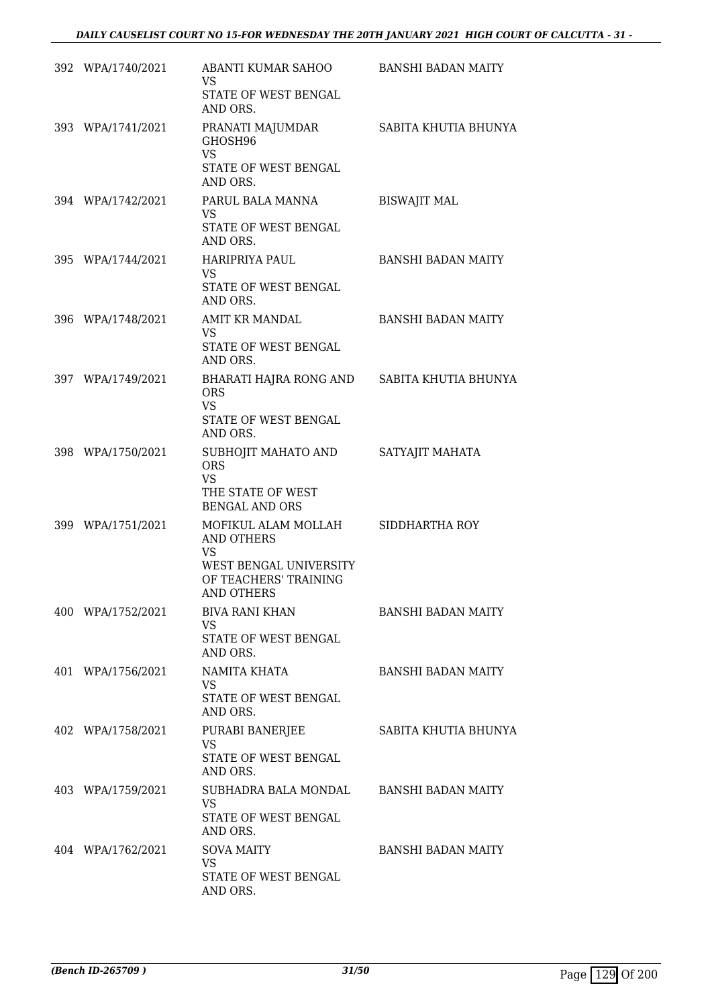| 392 WPA/1740/2021 | ABANTI KUMAR SAHOO<br><b>VS</b><br>STATE OF WEST BENGAL<br>AND ORS.                                                    | <b>BANSHI BADAN MAITY</b> |
|-------------------|------------------------------------------------------------------------------------------------------------------------|---------------------------|
| 393 WPA/1741/2021 | PRANATI MAJUMDAR<br>GHOSH96<br><b>VS</b><br>STATE OF WEST BENGAL<br>AND ORS.                                           | SABITA KHUTIA BHUNYA      |
| 394 WPA/1742/2021 | PARUL BALA MANNA<br><b>VS</b><br>STATE OF WEST BENGAL<br>AND ORS.                                                      | <b>BISWAJIT MAL</b>       |
| 395 WPA/1744/2021 | HARIPRIYA PAUL<br><b>VS</b><br>STATE OF WEST BENGAL<br>AND ORS.                                                        | <b>BANSHI BADAN MAITY</b> |
| 396 WPA/1748/2021 | AMIT KR MANDAL<br><b>VS</b><br>STATE OF WEST BENGAL<br>AND ORS.                                                        | <b>BANSHI BADAN MAITY</b> |
| 397 WPA/1749/2021 | BHARATI HAJRA RONG AND SABITA KHUTIA BHUNYA<br><b>ORS</b><br><b>VS</b><br>STATE OF WEST BENGAL<br>AND ORS.             |                           |
| 398 WPA/1750/2021 | SUBHOJIT MAHATO AND<br><b>ORS</b><br><b>VS</b><br>THE STATE OF WEST<br><b>BENGAL AND ORS</b>                           | SATYAJIT MAHATA           |
| 399 WPA/1751/2021 | MOFIKUL ALAM MOLLAH<br><b>AND OTHERS</b><br><b>VS</b><br>WEST BENGAL UNIVERSITY<br>OF TEACHERS' TRAINING<br>AND OTHERS | SIDDHARTHA ROY            |
| 400 WPA/1752/2021 | <b>BIVA RANI KHAN</b><br><b>VS</b><br>STATE OF WEST BENGAL<br>AND ORS.                                                 | <b>BANSHI BADAN MAITY</b> |
| 401 WPA/1756/2021 | NAMITA KHATA<br>VS.<br>STATE OF WEST BENGAL<br>AND ORS.                                                                | <b>BANSHI BADAN MAITY</b> |
| 402 WPA/1758/2021 | PURABI BANERJEE<br><b>VS</b><br>STATE OF WEST BENGAL<br>AND ORS.                                                       | SABITA KHUTIA BHUNYA      |
| 403 WPA/1759/2021 | SUBHADRA BALA MONDAL<br><b>VS</b><br>STATE OF WEST BENGAL<br>AND ORS.                                                  | <b>BANSHI BADAN MAITY</b> |
| 404 WPA/1762/2021 | <b>SOVA MAITY</b><br><b>VS</b><br>STATE OF WEST BENGAL<br>AND ORS.                                                     | <b>BANSHI BADAN MAITY</b> |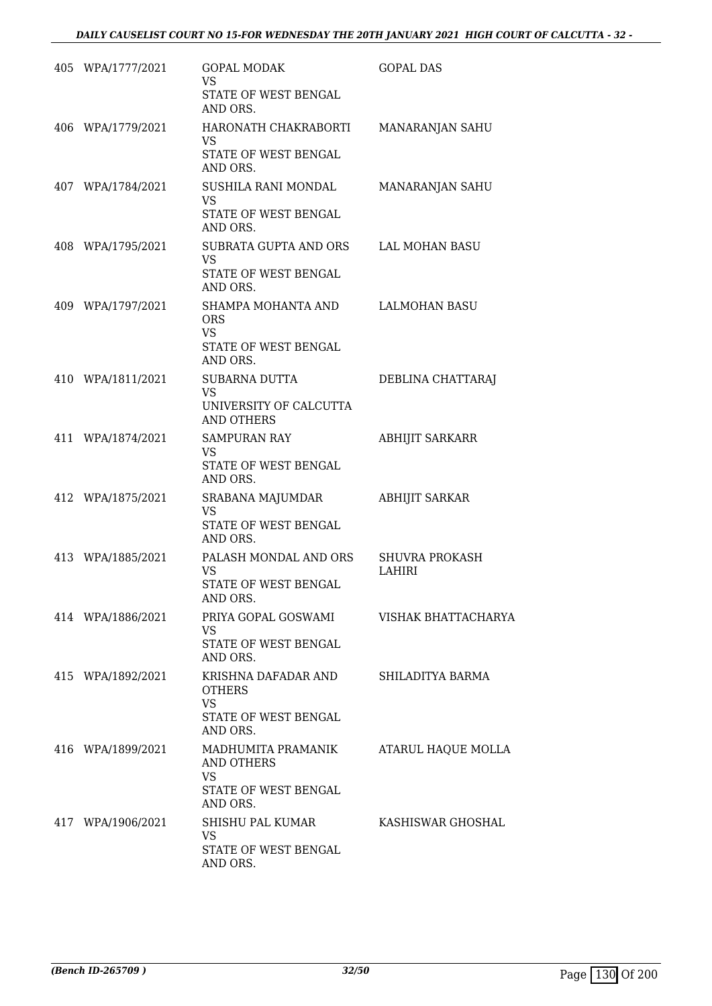| 405 WPA/1777/2021 | <b>GOPAL MODAK</b><br><b>VS</b><br>STATE OF WEST BENGAL                                       | <b>GOPAL DAS</b>                |
|-------------------|-----------------------------------------------------------------------------------------------|---------------------------------|
|                   | AND ORS.                                                                                      |                                 |
| 406 WPA/1779/2021 | HARONATH CHAKRABORTI<br>VS.                                                                   | MANARANJAN SAHU                 |
|                   | STATE OF WEST BENGAL<br>AND ORS.                                                              |                                 |
| 407 WPA/1784/2021 | SUSHILA RANI MONDAL<br><b>VS</b><br>STATE OF WEST BENGAL<br>AND ORS.                          | MANARANJAN SAHU                 |
| 408 WPA/1795/2021 | SUBRATA GUPTA AND ORS<br>VS.                                                                  | LAL MOHAN BASU                  |
|                   | STATE OF WEST BENGAL<br>AND ORS.                                                              |                                 |
| 409 WPA/1797/2021 | SHAMPA MOHANTA AND<br><b>ORS</b><br><b>VS</b><br>STATE OF WEST BENGAL<br>AND ORS.             | LALMOHAN BASU                   |
| 410 WPA/1811/2021 | SUBARNA DUTTA                                                                                 | DEBLINA CHATTARAJ               |
|                   | <b>VS</b><br>UNIVERSITY OF CALCUTTA<br><b>AND OTHERS</b>                                      |                                 |
| 411 WPA/1874/2021 | <b>SAMPURAN RAY</b><br>VS<br>STATE OF WEST BENGAL<br>AND ORS.                                 | ABHIJIT SARKARR                 |
| 412 WPA/1875/2021 | SRABANA MAJUMDAR<br><b>VS</b>                                                                 | <b>ABHIJIT SARKAR</b>           |
|                   | STATE OF WEST BENGAL<br>AND ORS.                                                              |                                 |
| 413 WPA/1885/2021 | PALASH MONDAL AND ORS<br><b>VS</b><br>STATE OF WEST BENGAL<br>AND ORS.                        | <b>SHUVRA PROKASH</b><br>LAHIRI |
| 414 WPA/1886/2021 | PRIYA GOPAL GOSWAMI VISHAK BHATTACHARYA<br><b>VS</b><br>STATE OF WEST BENGAL                  |                                 |
|                   | AND ORS.                                                                                      |                                 |
| 415 WPA/1892/2021 | KRISHNA DAFADAR AND<br><b>OTHERS</b><br><b>VS</b><br>STATE OF WEST BENGAL                     | SHILADITYA BARMA                |
| 416 WPA/1899/2021 | AND ORS.<br>MADHUMITA PRAMANIK<br>AND OTHERS<br><b>VS</b><br>STATE OF WEST BENGAL<br>AND ORS. | ATARUL HAQUE MOLLA              |
| 417 WPA/1906/2021 | SHISHU PAL KUMAR<br><b>VS</b><br>STATE OF WEST BENGAL<br>AND ORS.                             | KASHISWAR GHOSHAL               |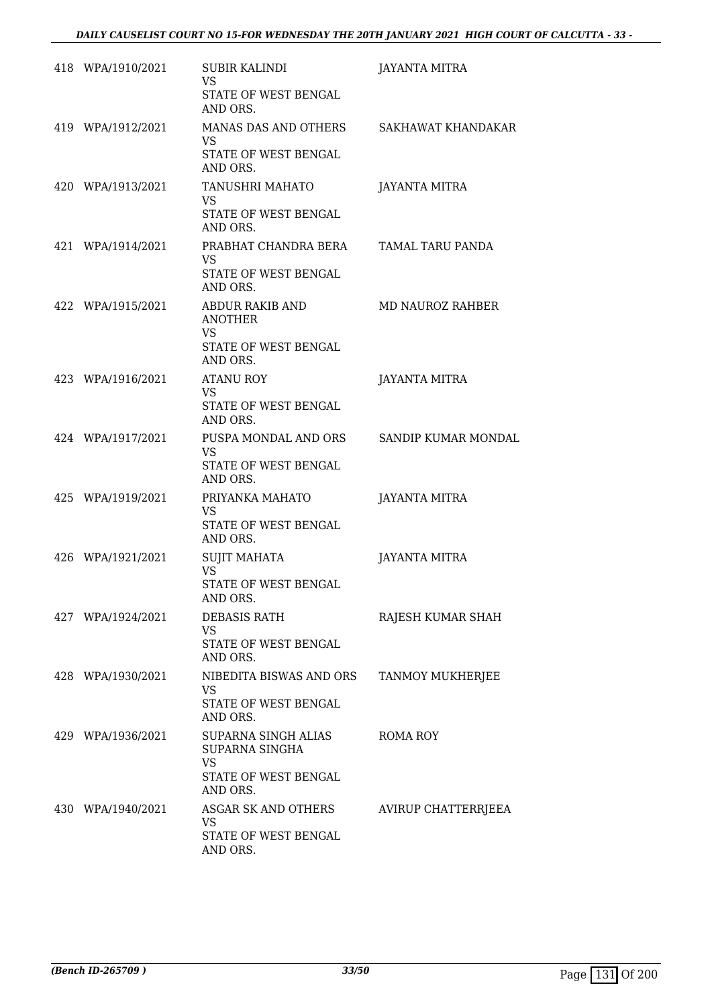| 418 WPA/1910/2021 | SUBIR KALINDI<br><b>VS</b><br>STATE OF WEST BENGAL<br>AND ORS.                           | <b>JAYANTA MITRA</b>    |
|-------------------|------------------------------------------------------------------------------------------|-------------------------|
| 419 WPA/1912/2021 | MANAS DAS AND OTHERS SAKHAWAT KHANDAKAR<br><b>VS</b><br>STATE OF WEST BENGAL<br>AND ORS. |                         |
| 420 WPA/1913/2021 | TANUSHRI MAHATO<br>VS.<br>STATE OF WEST BENGAL<br>AND ORS.                               | <b>JAYANTA MITRA</b>    |
| 421 WPA/1914/2021 | PRABHAT CHANDRA BERA TAMAL TARU PANDA<br><b>VS</b><br>STATE OF WEST BENGAL<br>AND ORS.   |                         |
| 422 WPA/1915/2021 | ABDUR RAKIB AND<br><b>ANOTHER</b><br><b>VS</b><br>STATE OF WEST BENGAL<br>AND ORS.       | <b>MD NAUROZ RAHBER</b> |
| 423 WPA/1916/2021 | ATANU ROY<br><b>VS</b><br>STATE OF WEST BENGAL<br>AND ORS.                               | JAYANTA MITRA           |
| 424 WPA/1917/2021 | PUSPA MONDAL AND ORS<br>VS<br>STATE OF WEST BENGAL<br>AND ORS.                           | SANDIP KUMAR MONDAL     |
| 425 WPA/1919/2021 | PRIYANKA MAHATO<br><b>VS</b><br>STATE OF WEST BENGAL<br>AND ORS.                         | <b>JAYANTA MITRA</b>    |
| 426 WPA/1921/2021 | SUJIT MAHATA<br><b>VS</b><br>STATE OF WEST BENGAL<br>AND ORS.                            | <b>JAYANTA MITRA</b>    |
| 427 WPA/1924/2021 | DEBASIS RATH<br>VS.<br>STATE OF WEST BENGAL<br>AND ORS.                                  | RAJESH KUMAR SHAH       |
| 428 WPA/1930/2021 | NIBEDITA BISWAS AND ORS<br>VS<br>STATE OF WEST BENGAL<br>AND ORS.                        | <b>TANMOY MUKHERJEE</b> |
| 429 WPA/1936/2021 | SUPARNA SINGH ALIAS<br>SUPARNA SINGHA<br><b>VS</b><br>STATE OF WEST BENGAL<br>AND ORS.   | ROMA ROY                |
| 430 WPA/1940/2021 | ASGAR SK AND OTHERS<br><b>VS</b><br>STATE OF WEST BENGAL<br>AND ORS.                     | AVIRUP CHATTERRJEEA     |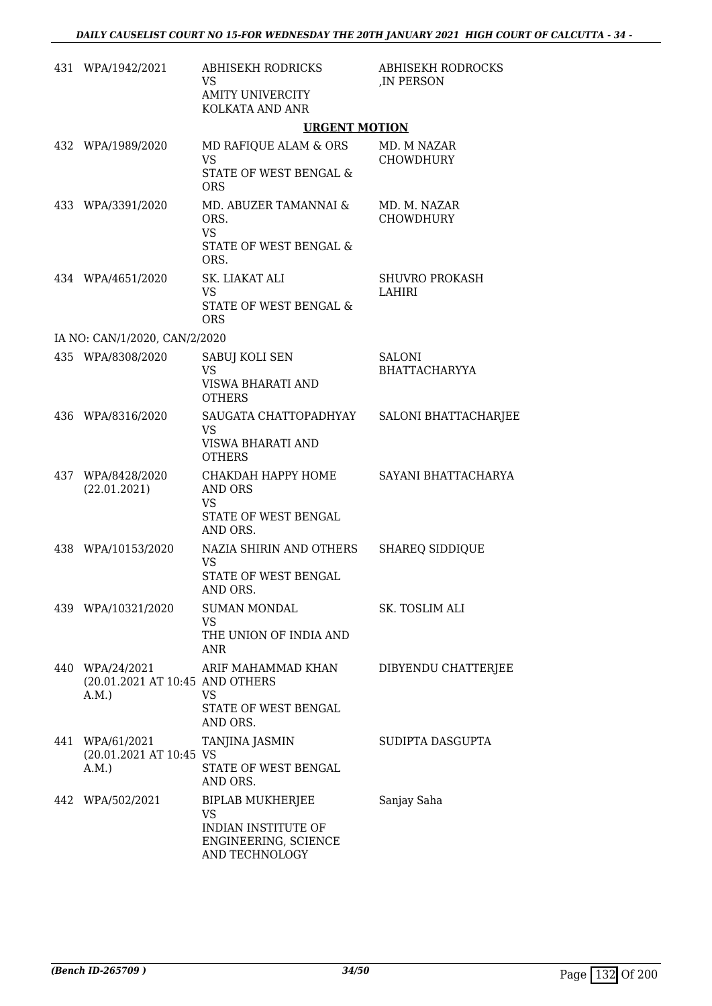| 431 WPA/1942/2021                                          | <b>ABHISEKH RODRICKS</b><br>VS.<br><b>AMITY UNIVERCITY</b><br>KOLKATA AND ANR                  | <b>ABHISEKH RODROCKS</b><br>, IN PERSON |
|------------------------------------------------------------|------------------------------------------------------------------------------------------------|-----------------------------------------|
|                                                            | <b>URGENT MOTION</b>                                                                           |                                         |
| 432 WPA/1989/2020                                          | MD RAFIQUE ALAM & ORS<br><b>VS</b><br>STATE OF WEST BENGAL &<br><b>ORS</b>                     | MD. M NAZAR<br><b>CHOWDHURY</b>         |
| 433 WPA/3391/2020                                          | MD. ABUZER TAMANNAI &<br>ORS.<br><b>VS</b><br>STATE OF WEST BENGAL &<br>ORS.                   | MD. M. NAZAR<br><b>CHOWDHURY</b>        |
| 434 WPA/4651/2020                                          | SK. LIAKAT ALI<br><b>VS</b><br><b>STATE OF WEST BENGAL &amp;</b><br><b>ORS</b>                 | <b>SHUVRO PROKASH</b><br>LAHIRI         |
| IA NO: CAN/1/2020, CAN/2/2020                              |                                                                                                |                                         |
| 435 WPA/8308/2020                                          | SABUJ KOLI SEN<br><b>VS</b><br>VISWA BHARATI AND<br><b>OTHERS</b>                              | <b>SALONI</b><br><b>BHATTACHARYYA</b>   |
| 436 WPA/8316/2020                                          | SAUGATA CHATTOPADHYAY<br><b>VS</b><br>VISWA BHARATI AND<br><b>OTHERS</b>                       | <b>SALONI BHATTACHARJEE</b>             |
| 437 WPA/8428/2020<br>(22.01.2021)                          | СНАКДАН НАРРҮ НОМЕ<br>AND ORS<br><b>VS</b><br>STATE OF WEST BENGAL<br>AND ORS.                 | SAYANI BHATTACHARYA                     |
| 438 WPA/10153/2020                                         | NAZIA SHIRIN AND OTHERS<br><b>VS</b><br>STATE OF WEST BENGAL<br>AND ORS.                       | <b>SHAREQ SIDDIQUE</b>                  |
| 439 WPA/10321/2020                                         | <b>SUMAN MONDAL</b><br>VS<br>THE UNION OF INDIA AND<br>ANR                                     | SK. TOSLIM ALI                          |
| 440 WPA/24/2021<br>(20.01.2021 AT 10:45 AND OTHERS<br>A.M. | ARIF MAHAMMAD KHAN<br><b>VS</b><br>STATE OF WEST BENGAL<br>AND ORS.                            | DIBYENDU CHATTERJEE                     |
| 441 WPA/61/2021<br>(20.01.2021 AT 10:45 VS<br>A.M.         | TANJINA JASMIN<br>STATE OF WEST BENGAL<br>AND ORS.                                             | SUDIPTA DASGUPTA                        |
| 442 WPA/502/2021                                           | BIPLAB MUKHERJEE<br><b>VS</b><br>INDIAN INSTITUTE OF<br>ENGINEERING, SCIENCE<br>AND TECHNOLOGY | Sanjay Saha                             |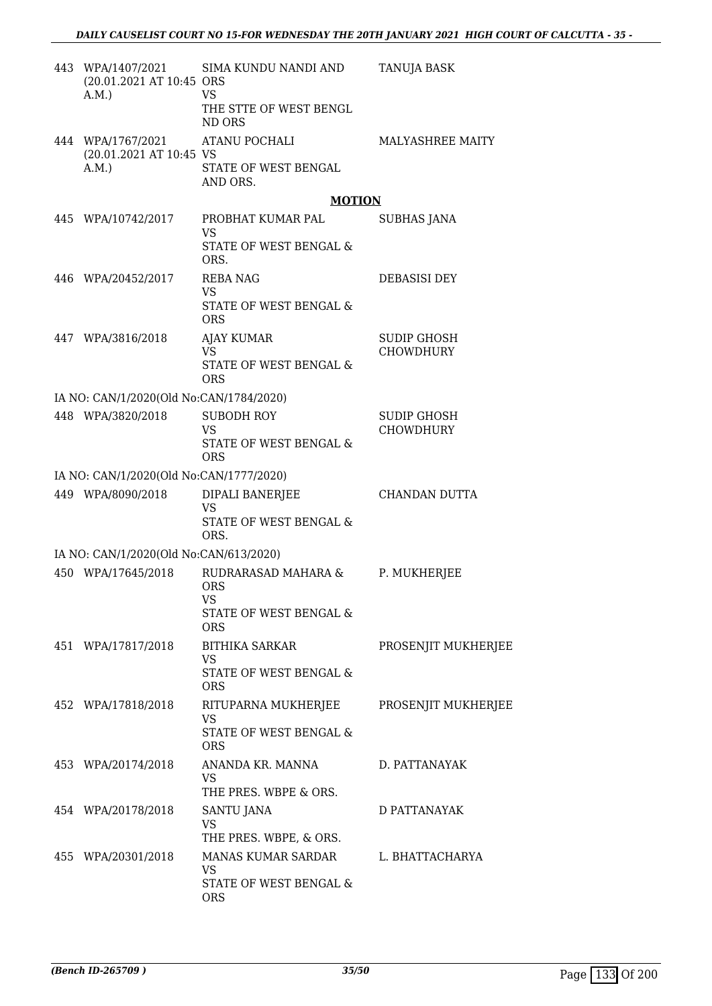| 443 WPA/1407/2021<br>(20.01.2021 AT 10:45 ORS<br>A.M.        | SIMA KUNDU NANDI AND<br><b>VS</b>                                                     | <b>TANUJA BASK</b>                     |
|--------------------------------------------------------------|---------------------------------------------------------------------------------------|----------------------------------------|
|                                                              | THE STTE OF WEST BENGL<br>ND ORS                                                      |                                        |
| 444 WPA/1767/2021<br>(20.01.2021 AT 10:45 VS<br>A.M.         | <b>ATANU POCHALI</b><br>STATE OF WEST BENGAL<br>AND ORS.                              | MALYASHREE MAITY                       |
|                                                              | <b>MOTION</b>                                                                         |                                        |
| 445 WPA/10742/2017                                           | PROBHAT KUMAR PAL<br><b>VS</b><br>STATE OF WEST BENGAL &                              | SUBHAS JANA                            |
|                                                              | ORS.                                                                                  |                                        |
| 446 WPA/20452/2017                                           | <b>REBA NAG</b><br><b>VS</b><br>STATE OF WEST BENGAL &<br><b>ORS</b>                  | <b>DEBASISI DEY</b>                    |
| 447 WPA/3816/2018                                            | <b>AJAY KUMAR</b><br>VS.<br>STATE OF WEST BENGAL &<br><b>ORS</b>                      | <b>SUDIP GHOSH</b><br><b>CHOWDHURY</b> |
| IA NO: CAN/1/2020(Old No:CAN/1784/2020)                      |                                                                                       |                                        |
| 448 WPA/3820/2018                                            | SUBODH ROY<br><b>VS</b><br>STATE OF WEST BENGAL &                                     | SUDIP GHOSH<br>CHOWDHURY               |
|                                                              | <b>ORS</b>                                                                            |                                        |
| IA NO: CAN/1/2020(Old No:CAN/1777/2020)<br>449 WPA/8090/2018 | DIPALI BANERJEE                                                                       | CHANDAN DUTTA                          |
|                                                              | VS<br>STATE OF WEST BENGAL &<br>ORS.                                                  |                                        |
| IA NO: CAN/1/2020(Old No:CAN/613/2020)                       |                                                                                       |                                        |
| 450 WPA/17645/2018                                           | RUDRARASAD MAHARA &<br><b>ORS</b><br>VS<br>STATE OF WEST BENGAL &<br><b>ORS</b>       | P. MUKHERJEE                           |
| 451 WPA/17817/2018                                           | <b>BITHIKA SARKAR</b><br><b>VS</b><br><b>STATE OF WEST BENGAL &amp;</b><br><b>ORS</b> | PROSENJIT MUKHERJEE                    |
| 452 WPA/17818/2018                                           | RITUPARNA MUKHERJEE<br><b>VS</b><br><b>STATE OF WEST BENGAL &amp;</b><br><b>ORS</b>   | PROSENJIT MUKHERJEE                    |
| 453 WPA/20174/2018                                           | ANANDA KR. MANNA<br><b>VS</b><br>THE PRES. WBPE & ORS.                                | D. PATTANAYAK                          |
| 454 WPA/20178/2018                                           | SANTU JANA<br><b>VS</b><br>THE PRES. WBPE, & ORS.                                     | D PATTANAYAK                           |
| 455 WPA/20301/2018                                           | MANAS KUMAR SARDAR<br>VS<br>STATE OF WEST BENGAL &<br><b>ORS</b>                      | L. BHATTACHARYA                        |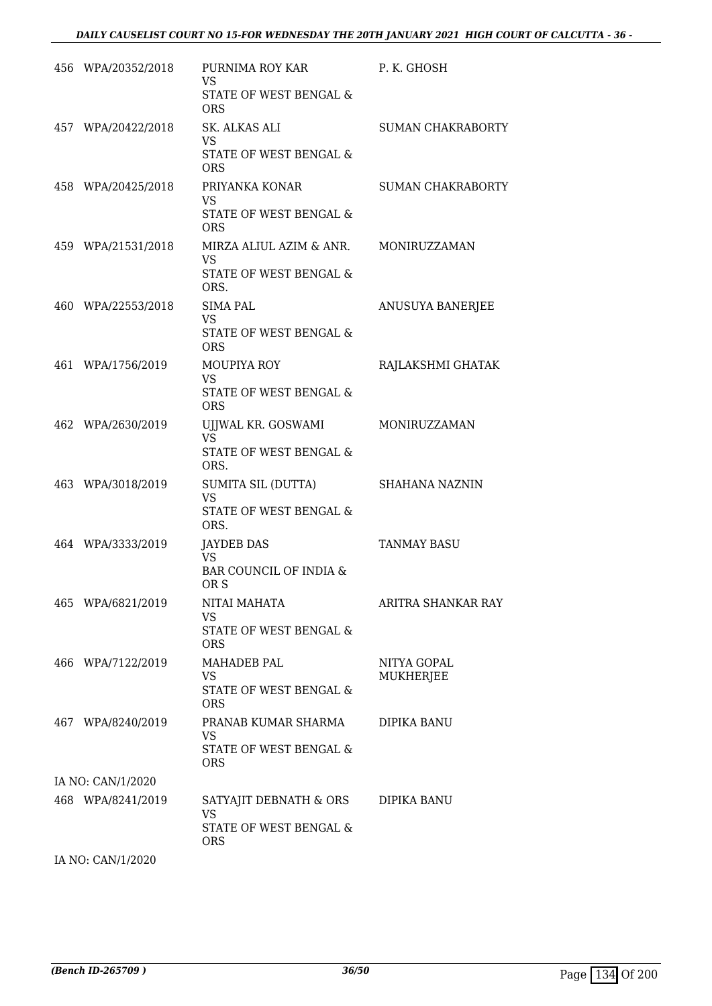| 456 WPA/20352/2018 | PURNIMA ROY KAR<br><b>VS</b>                                                | P. K. GHOSH                     |
|--------------------|-----------------------------------------------------------------------------|---------------------------------|
|                    | STATE OF WEST BENGAL &<br><b>ORS</b>                                        |                                 |
| 457 WPA/20422/2018 | SK. ALKAS ALI<br><b>VS</b>                                                  | <b>SUMAN CHAKRABORTY</b>        |
|                    | STATE OF WEST BENGAL &<br><b>ORS</b>                                        |                                 |
| 458 WPA/20425/2018 | PRIYANKA KONAR<br><b>VS</b><br>STATE OF WEST BENGAL &<br><b>ORS</b>         | <b>SUMAN CHAKRABORTY</b>        |
| 459 WPA/21531/2018 | MIRZA ALIUL AZIM & ANR.<br>VS.<br>STATE OF WEST BENGAL &<br>ORS.            | MONIRUZZAMAN                    |
| 460 WPA/22553/2018 | <b>SIMA PAL</b><br><b>VS</b><br>STATE OF WEST BENGAL &<br><b>ORS</b>        | ANUSUYA BANERJEE                |
| 461 WPA/1756/2019  | MOUPIYA ROY<br><b>VS</b><br>STATE OF WEST BENGAL &<br><b>ORS</b>            | RAJLAKSHMI GHATAK               |
| 462 WPA/2630/2019  | UJJWAL KR. GOSWAMI<br>VS.<br>STATE OF WEST BENGAL &<br>ORS.                 | MONIRUZZAMAN                    |
| 463 WPA/3018/2019  | SUMITA SIL (DUTTA)<br><b>VS</b><br>STATE OF WEST BENGAL &<br>ORS.           | SHAHANA NAZNIN                  |
| 464 WPA/3333/2019  | JAYDEB DAS<br><b>VS</b><br>BAR COUNCIL OF INDIA &<br>OR S                   | <b>TANMAY BASU</b>              |
| 465 WPA/6821/2019  | NITAI MAHATA<br>VS.<br>STATE OF WEST BENGAL &<br><b>ORS</b>                 | ARITRA SHANKAR RAY              |
| 466 WPA/7122/2019  | <b>MAHADEB PAL</b><br>VS<br>STATE OF WEST BENGAL &<br><b>ORS</b>            | NITYA GOPAL<br><b>MUKHERJEE</b> |
| 467 WPA/8240/2019  | PRANAB KUMAR SHARMA<br>VS<br>STATE OF WEST BENGAL &<br><b>ORS</b>           | DIPIKA BANU                     |
| IA NO: CAN/1/2020  |                                                                             |                                 |
| 468 WPA/8241/2019  | SATYAJIT DEBNATH & ORS<br><b>VS</b><br>STATE OF WEST BENGAL &<br><b>ORS</b> | DIPIKA BANU                     |
| IA NO: CAN/1/2020  |                                                                             |                                 |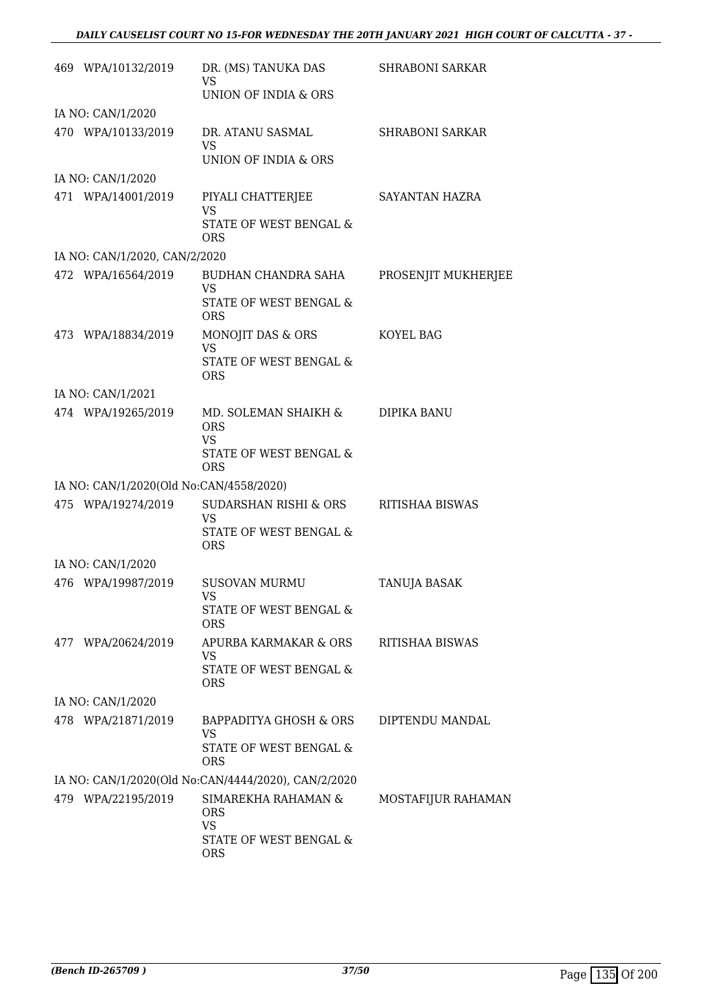| 469 WPA/10132/2019                      | DR. (MS) TANUKA DAS<br>VS                           | <b>SHRABONI SARKAR</b> |
|-----------------------------------------|-----------------------------------------------------|------------------------|
|                                         | UNION OF INDIA & ORS                                |                        |
| IA NO: CAN/1/2020                       |                                                     |                        |
| 470 WPA/10133/2019                      | DR. ATANU SASMAL<br><b>VS</b>                       | <b>SHRABONI SARKAR</b> |
|                                         | UNION OF INDIA & ORS                                |                        |
| IA NO: CAN/1/2020                       |                                                     |                        |
| 471 WPA/14001/2019                      | PIYALI CHATTERJEE<br><b>VS</b>                      | SAYANTAN HAZRA         |
|                                         | STATE OF WEST BENGAL &<br><b>ORS</b>                |                        |
| IA NO: CAN/1/2020, CAN/2/2020           |                                                     |                        |
| 472 WPA/16564/2019                      | BUDHAN CHANDRA SAHA<br><b>VS</b>                    | PROSENJIT MUKHERJEE    |
|                                         | <b>STATE OF WEST BENGAL &amp;</b><br><b>ORS</b>     |                        |
| 473 WPA/18834/2019                      | MONOJIT DAS & ORS<br><b>VS</b>                      | KOYEL BAG              |
|                                         | <b>STATE OF WEST BENGAL &amp;</b><br><b>ORS</b>     |                        |
| IA NO: CAN/1/2021                       |                                                     |                        |
| 474 WPA/19265/2019                      | MD. SOLEMAN SHAIKH &<br><b>ORS</b>                  | DIPIKA BANU            |
|                                         | <b>VS</b><br>STATE OF WEST BENGAL &<br><b>ORS</b>   |                        |
| IA NO: CAN/1/2020(Old No:CAN/4558/2020) |                                                     |                        |
| 475 WPA/19274/2019                      | SUDARSHAN RISHI & ORS<br><b>VS</b>                  | RITISHAA BISWAS        |
|                                         | STATE OF WEST BENGAL &<br><b>ORS</b>                |                        |
| IA NO: CAN/1/2020                       |                                                     |                        |
| 476 WPA/19987/2019                      | <b>SUSOVAN MURMU</b><br>VS                          | <b>TANUJA BASAK</b>    |
|                                         | STATE OF WEST BENGAL &<br><b>ORS</b>                |                        |
| 477 WPA/20624/2019                      | APURBA KARMAKAR & ORS<br><b>VS</b>                  | RITISHAA BISWAS        |
|                                         | STATE OF WEST BENGAL &<br><b>ORS</b>                |                        |
| IA NO: CAN/1/2020                       |                                                     |                        |
| 478 WPA/21871/2019                      | BAPPADITYA GHOSH & ORS<br>VS                        | DIPTENDU MANDAL        |
|                                         | STATE OF WEST BENGAL &<br><b>ORS</b>                |                        |
|                                         | IA NO: CAN/1/2020(Old No:CAN/4444/2020), CAN/2/2020 |                        |
| 479 WPA/22195/2019                      | SIMAREKHA RAHAMAN &<br><b>ORS</b><br><b>VS</b>      | MOSTAFIJUR RAHAMAN     |
|                                         | STATE OF WEST BENGAL &<br><b>ORS</b>                |                        |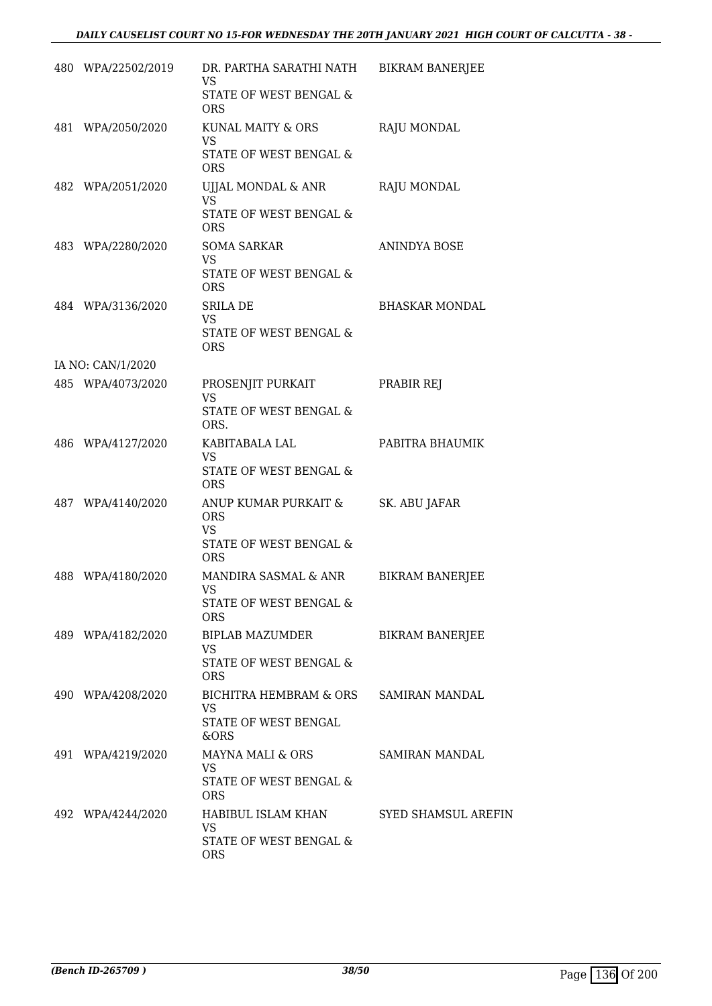| 480 WPA/22502/2019 | DR. PARTHA SARATHI NATH BIKRAM BANERJEE<br>VS<br>STATE OF WEST BENGAL &                 |                            |
|--------------------|-----------------------------------------------------------------------------------------|----------------------------|
| 481 WPA/2050/2020  | <b>ORS</b><br>KUNAL MAITY & ORS<br><b>VS</b>                                            | RAJU MONDAL                |
|                    | STATE OF WEST BENGAL &<br><b>ORS</b>                                                    |                            |
| 482 WPA/2051/2020  | UJJAL MONDAL & ANR<br>VS<br>STATE OF WEST BENGAL &<br><b>ORS</b>                        | RAJU MONDAL                |
| 483 WPA/2280/2020  | SOMA SARKAR<br><b>VS</b><br>STATE OF WEST BENGAL &<br><b>ORS</b>                        | ANINDYA BOSE               |
| 484 WPA/3136/2020  | SRILA DE<br><b>VS</b><br>STATE OF WEST BENGAL &<br><b>ORS</b>                           | <b>BHASKAR MONDAL</b>      |
| IA NO: CAN/1/2020  |                                                                                         |                            |
| 485 WPA/4073/2020  | PROSENJIT PURKAIT<br><b>VS</b><br>STATE OF WEST BENGAL &<br>ORS.                        | PRABIR REJ                 |
| 486 WPA/4127/2020  | KABITABALA LAL<br>VS<br>STATE OF WEST BENGAL &<br><b>ORS</b>                            | PABITRA BHAUMIK            |
| 487 WPA/4140/2020  | ANUP KUMAR PURKAIT &<br><b>ORS</b><br><b>VS</b><br>STATE OF WEST BENGAL &<br><b>ORS</b> | SK. ABU JAFAR              |
| 488 WPA/4180/2020  | MANDIRA SASMAL & ANR<br>VS<br>STATE OF WEST BENGAL &<br><b>ORS</b>                      | <b>BIKRAM BANERJEE</b>     |
| 489 WPA/4182/2020  | BIPLAB MAZUMDER<br>VS.<br>STATE OF WEST BENGAL &<br><b>ORS</b>                          | <b>BIKRAM BANERJEE</b>     |
| 490 WPA/4208/2020  | BICHITRA HEMBRAM & ORS SAMIRAN MANDAL<br>VS<br>STATE OF WEST BENGAL<br>&ORS             |                            |
| 491 WPA/4219/2020  | MAYNA MALI & ORS<br>VS.<br>STATE OF WEST BENGAL &<br><b>ORS</b>                         | SAMIRAN MANDAL             |
| 492 WPA/4244/2020  | HABIBUL ISLAM KHAN<br>VS<br>STATE OF WEST BENGAL &<br><b>ORS</b>                        | <b>SYED SHAMSUL AREFIN</b> |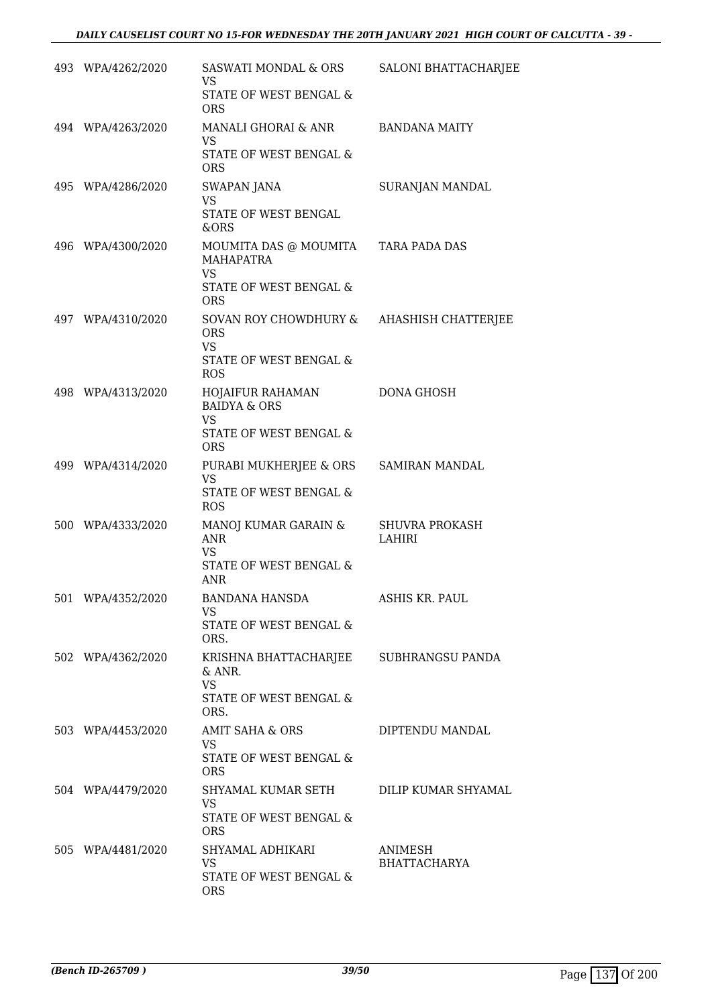| 493 WPA/4262/2020 | SASWATI MONDAL & ORS<br><b>VS</b><br>STATE OF WEST BENGAL &                                                  | SALONI BHATTACHARJEE            |
|-------------------|--------------------------------------------------------------------------------------------------------------|---------------------------------|
| 494 WPA/4263/2020 | <b>ORS</b><br>MANALI GHORAI & ANR<br><b>VS</b><br>STATE OF WEST BENGAL &                                     | <b>BANDANA MAITY</b>            |
| 495 WPA/4286/2020 | <b>ORS</b><br><b>SWAPAN JANA</b><br><b>VS</b><br>STATE OF WEST BENGAL<br>&ORS                                | SURANJAN MANDAL                 |
| 496 WPA/4300/2020 | MOUMITA DAS @ MOUMITA TARA PADA DAS<br><b>MAHAPATRA</b><br><b>VS</b><br>STATE OF WEST BENGAL &<br><b>ORS</b> |                                 |
| 497 WPA/4310/2020 | SOVAN ROY CHOWDHURY &<br><b>ORS</b><br><b>VS</b><br>STATE OF WEST BENGAL &<br><b>ROS</b>                     | AHASHISH CHATTERJEE             |
| 498 WPA/4313/2020 | HOJAIFUR RAHAMAN<br><b>BAIDYA &amp; ORS</b><br><b>VS</b><br>STATE OF WEST BENGAL &<br><b>ORS</b>             | <b>DONA GHOSH</b>               |
| 499 WPA/4314/2020 | PURABI MUKHERJEE & ORS<br><b>VS</b><br>STATE OF WEST BENGAL &<br><b>ROS</b>                                  | SAMIRAN MANDAL                  |
| 500 WPA/4333/2020 | MANOJ KUMAR GARAIN &<br><b>ANR</b><br><b>VS</b><br>STATE OF WEST BENGAL &<br><b>ANR</b>                      | <b>SHUVRA PROKASH</b><br>LAHIRI |
| 501 WPA/4352/2020 | <b>BANDANA HANSDA</b><br><b>VS</b><br>STATE OF WEST BENGAL &<br>ORS.                                         | <b>ASHIS KR. PAUL</b>           |
| 502 WPA/4362/2020 | KRISHNA BHATTACHARJEE SUBHRANGSU PANDA<br>$&$ ANR.<br><b>VS</b><br>STATE OF WEST BENGAL &<br>ORS.            |                                 |
| 503 WPA/4453/2020 | AMIT SAHA & ORS<br><b>VS</b><br>STATE OF WEST BENGAL &<br><b>ORS</b>                                         | DIPTENDU MANDAL                 |
| 504 WPA/4479/2020 | SHYAMAL KUMAR SETH<br>VS.<br>STATE OF WEST BENGAL &<br><b>ORS</b>                                            | DILIP KUMAR SHYAMAL             |
| 505 WPA/4481/2020 | SHYAMAL ADHIKARI<br><b>VS</b><br>STATE OF WEST BENGAL &<br><b>ORS</b>                                        | ANIMESH<br><b>BHATTACHARYA</b>  |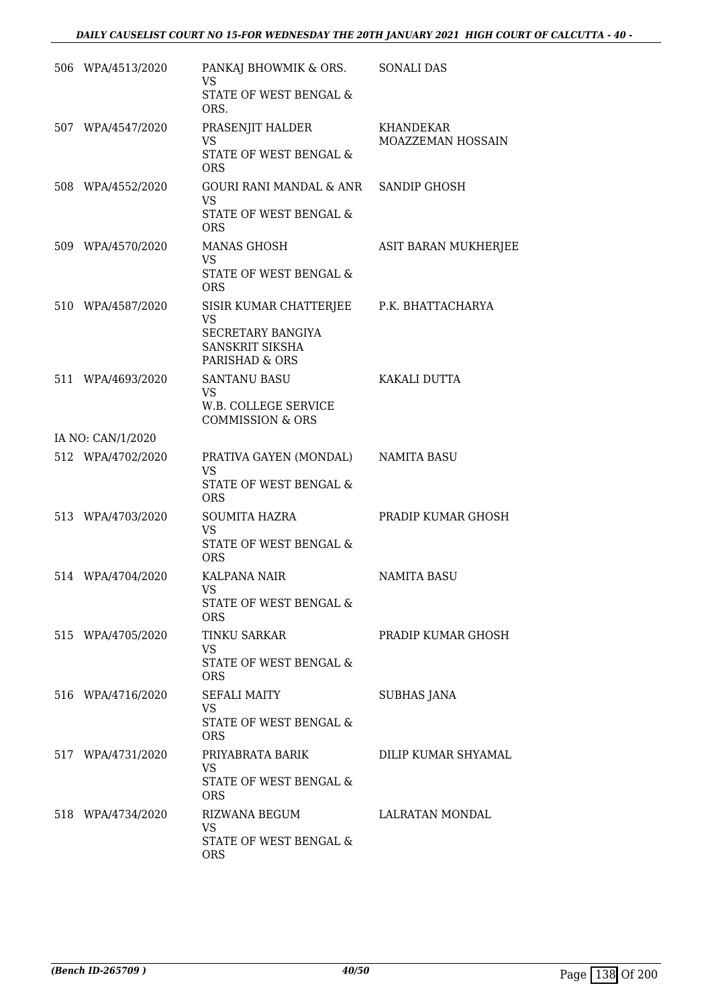| 506 WPA/4513/2020 | PANKAJ BHOWMIK & ORS.<br>VS<br>STATE OF WEST BENGAL &                                                           | <b>SONALI DAS</b>              |
|-------------------|-----------------------------------------------------------------------------------------------------------------|--------------------------------|
|                   | ORS.                                                                                                            |                                |
| 507 WPA/4547/2020 | PRASENJIT HALDER<br>VS.                                                                                         | KHANDEKAR<br>MOAZZEMAN HOSSAIN |
|                   | STATE OF WEST BENGAL &<br><b>ORS</b>                                                                            |                                |
| 508 WPA/4552/2020 | GOURI RANI MANDAL & ANR SANDIP GHOSH<br>VS<br>STATE OF WEST BENGAL &<br><b>ORS</b>                              |                                |
| 509 WPA/4570/2020 | <b>MANAS GHOSH</b><br><b>VS</b><br>STATE OF WEST BENGAL &<br><b>ORS</b>                                         | ASIT BARAN MUKHERJEE           |
| 510 WPA/4587/2020 | SISIR KUMAR CHATTERJEE P.K. BHATTACHARYA<br><b>VS</b><br>SECRETARY BANGIYA<br>SANSKRIT SIKSHA<br>PARISHAD & ORS |                                |
| 511 WPA/4693/2020 | <b>SANTANU BASU</b><br><b>VS</b><br>W.B. COLLEGE SERVICE<br><b>COMMISSION &amp; ORS</b>                         | KAKALI DUTTA                   |
| IA NO: CAN/1/2020 |                                                                                                                 |                                |
| 512 WPA/4702/2020 | PRATIVA GAYEN (MONDAL)<br>VS.<br>STATE OF WEST BENGAL &<br><b>ORS</b>                                           | NAMITA BASU                    |
| 513 WPA/4703/2020 | <b>SOUMITA HAZRA</b><br>VS<br>STATE OF WEST BENGAL &<br><b>ORS</b>                                              | PRADIP KUMAR GHOSH             |
| 514 WPA/4704/2020 | <b>KALPANA NAIR</b><br>VS<br>STATE OF WEST BENGAL &<br><b>ORS</b>                                               | <b>NAMITA BASU</b>             |
| 515 WPA/4705/2020 | TINKU SARKAR<br>VS.<br>STATE OF WEST BENGAL &<br><b>ORS</b>                                                     | PRADIP KUMAR GHOSH             |
| 516 WPA/4716/2020 | <b>SEFALI MAITY</b><br>VS.<br>STATE OF WEST BENGAL &<br><b>ORS</b>                                              | SUBHAS JANA                    |
| 517 WPA/4731/2020 | PRIYABRATA BARIK<br>VS.<br>STATE OF WEST BENGAL &<br><b>ORS</b>                                                 | DILIP KUMAR SHYAMAL            |
| 518 WPA/4734/2020 | RIZWANA BEGUM<br><b>VS</b><br>STATE OF WEST BENGAL &<br><b>ORS</b>                                              | LALRATAN MONDAL                |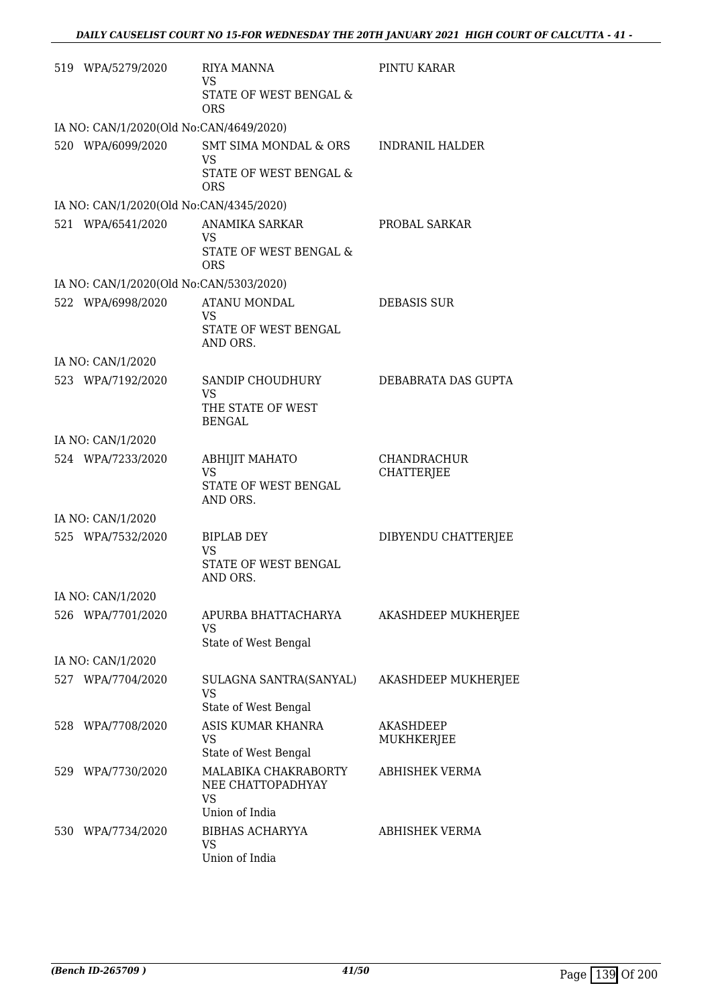|     | 519 WPA/5279/2020                                            | <b>RIYA MANNA</b><br><b>VS</b><br>STATE OF WEST BENGAL &<br><b>ORS</b>   | PINTU KARAR                             |
|-----|--------------------------------------------------------------|--------------------------------------------------------------------------|-----------------------------------------|
|     | IA NO: CAN/1/2020(Old No:CAN/4649/2020)                      |                                                                          |                                         |
|     | 520 WPA/6099/2020                                            | SMT SIMA MONDAL & ORS                                                    | <b>INDRANIL HALDER</b>                  |
|     |                                                              | VS<br>STATE OF WEST BENGAL &<br><b>ORS</b>                               |                                         |
|     | IA NO: CAN/1/2020(Old No:CAN/4345/2020)                      |                                                                          |                                         |
|     | 521 WPA/6541/2020                                            | ANAMIKA SARKAR<br><b>VS</b><br>STATE OF WEST BENGAL &                    | PROBAL SARKAR                           |
|     |                                                              | ORS                                                                      |                                         |
|     | IA NO: CAN/1/2020(Old No:CAN/5303/2020)<br>522 WPA/6998/2020 | <b>ATANU MONDAL</b>                                                      | <b>DEBASIS SUR</b>                      |
|     |                                                              | <b>VS</b><br>STATE OF WEST BENGAL<br>AND ORS.                            |                                         |
|     | IA NO: CAN/1/2020                                            |                                                                          |                                         |
|     | 523 WPA/7192/2020                                            | SANDIP CHOUDHURY<br>VS.                                                  | DEBABRATA DAS GUPTA                     |
|     |                                                              | THE STATE OF WEST<br><b>BENGAL</b>                                       |                                         |
|     | IA NO: CAN/1/2020                                            |                                                                          |                                         |
|     | 524 WPA/7233/2020                                            | <b>ABHIJIT MAHATO</b><br><b>VS</b><br>STATE OF WEST BENGAL<br>AND ORS.   | <b>CHANDRACHUR</b><br><b>CHATTERJEE</b> |
|     | IA NO: CAN/1/2020                                            |                                                                          |                                         |
|     | 525 WPA/7532/2020                                            | <b>BIPLAB DEY</b><br><b>VS</b><br>STATE OF WEST BENGAL<br>AND ORS.       | DIBYENDU CHATTERJEE                     |
|     | IA NO: CAN/1/2020                                            |                                                                          |                                         |
|     | 526 WPA/7701/2020                                            | APURBA BHATTACHARYA<br><b>VS</b>                                         | AKASHDEEP MUKHERJEE                     |
|     |                                                              | State of West Bengal                                                     |                                         |
|     | IA NO: CAN/1/2020                                            |                                                                          |                                         |
|     | 527 WPA/7704/2020                                            | SULAGNA SANTRA(SANYAL)<br><b>VS</b><br>State of West Bengal              | AKASHDEEP MUKHERJEE                     |
|     | 528 WPA/7708/2020                                            | ASIS KUMAR KHANRA<br><b>VS</b><br>State of West Bengal                   | <b>AKASHDEEP</b><br>MUKHKERJEE          |
|     | 529 WPA/7730/2020                                            | MALABIKA CHAKRABORTY<br>NEE CHATTOPADHYAY<br><b>VS</b><br>Union of India | <b>ABHISHEK VERMA</b>                   |
| 530 | WPA/7734/2020                                                | <b>BIBHAS ACHARYYA</b><br><b>VS</b><br>Union of India                    | <b>ABHISHEK VERMA</b>                   |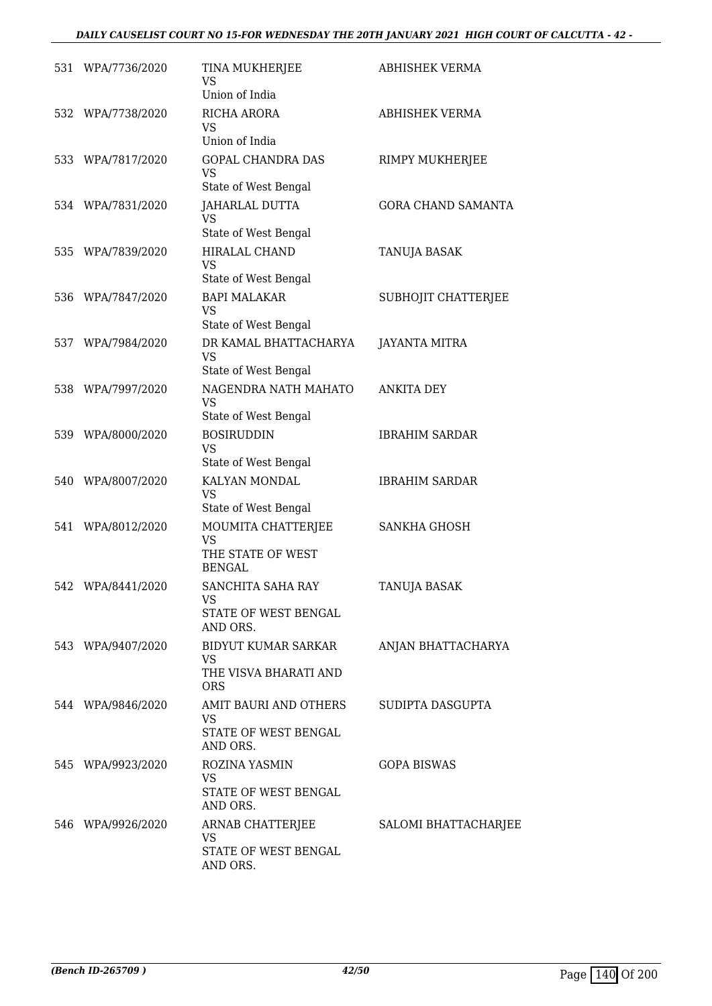## *DAILY CAUSELIST COURT NO 15-FOR WEDNESDAY THE 20TH JANUARY 2021 HIGH COURT OF CALCUTTA - 42 -*

|     | 531 WPA/7736/2020 | TINA MUKHERJEE<br>VS<br>Union of India                                  | <b>ABHISHEK VERMA</b>     |
|-----|-------------------|-------------------------------------------------------------------------|---------------------------|
| 532 | WPA/7738/2020     | RICHA ARORA<br><b>VS</b><br>Union of India                              | <b>ABHISHEK VERMA</b>     |
|     | 533 WPA/7817/2020 | <b>GOPAL CHANDRA DAS</b><br><b>VS</b><br>State of West Bengal           | RIMPY MUKHERJEE           |
|     | 534 WPA/7831/2020 | <b>JAHARLAL DUTTA</b><br>VS<br>State of West Bengal                     | <b>GORA CHAND SAMANTA</b> |
|     | 535 WPA/7839/2020 | HIRALAL CHAND<br><b>VS</b><br>State of West Bengal                      | TANUJA BASAK              |
|     | 536 WPA/7847/2020 | <b>BAPI MALAKAR</b><br><b>VS</b><br>State of West Bengal                | SUBHOJIT CHATTERJEE       |
|     | 537 WPA/7984/2020 | DR KAMAL BHATTACHARYA<br><b>VS</b><br>State of West Bengal              | <b>JAYANTA MITRA</b>      |
|     | 538 WPA/7997/2020 | NAGENDRA NATH MAHATO<br><b>VS</b><br>State of West Bengal               | <b>ANKITA DEY</b>         |
|     | 539 WPA/8000/2020 | <b>BOSIRUDDIN</b><br><b>VS</b><br>State of West Bengal                  | <b>IBRAHIM SARDAR</b>     |
|     | 540 WPA/8007/2020 | KALYAN MONDAL<br><b>VS</b><br>State of West Bengal                      | <b>IBRAHIM SARDAR</b>     |
|     | 541 WPA/8012/2020 | MOUMITA CHATTERJEE<br><b>VS</b><br>THE STATE OF WEST<br><b>BENGAL</b>   | <b>SANKHA GHOSH</b>       |
| 542 | WPA/8441/2020     | SANCHITA SAHA RAY<br>VS<br>STATE OF WEST BENGAL<br>AND ORS.             | TANUJA BASAK              |
|     | 543 WPA/9407/2020 | BIDYUT KUMAR SARKAR<br><b>VS</b><br>THE VISVA BHARATI AND<br><b>ORS</b> | ANJAN BHATTACHARYA        |
|     | 544 WPA/9846/2020 | AMIT BAURI AND OTHERS<br>VS<br>STATE OF WEST BENGAL<br>AND ORS.         | SUDIPTA DASGUPTA          |
|     | 545 WPA/9923/2020 | ROZINA YASMIN<br>VS<br>STATE OF WEST BENGAL<br>AND ORS.                 | <b>GOPA BISWAS</b>        |
|     | 546 WPA/9926/2020 | ARNAB CHATTERJEE<br>VS<br>STATE OF WEST BENGAL<br>AND ORS.              | SALOMI BHATTACHARJEE      |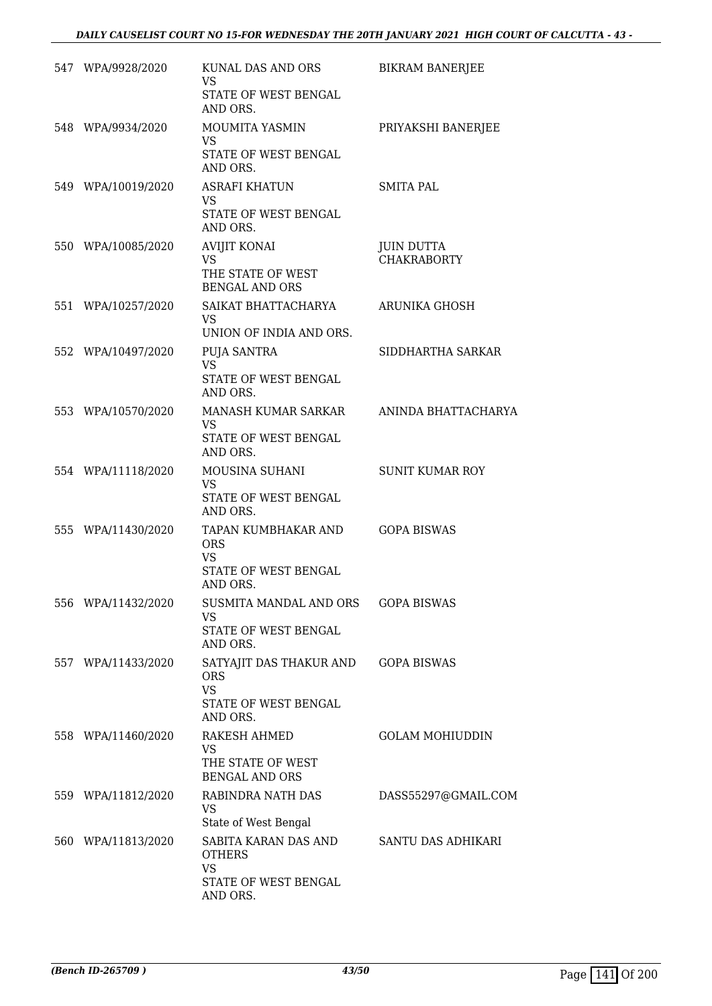| 547 WPA/9928/2020  | KUNAL DAS AND ORS<br>VS.<br>STATE OF WEST BENGAL                                       | <b>BIKRAM BANERJEE</b>                  |
|--------------------|----------------------------------------------------------------------------------------|-----------------------------------------|
| 548 WPA/9934/2020  | AND ORS.<br>MOUMITA YASMIN<br>VS.<br>STATE OF WEST BENGAL                              | PRIYAKSHI BANERJEE                      |
| 549 WPA/10019/2020 | AND ORS.<br><b>ASRAFI KHATUN</b><br>VS<br>STATE OF WEST BENGAL<br>AND ORS.             | <b>SMITA PAL</b>                        |
| 550 WPA/10085/2020 | <b>AVIJIT KONAI</b><br><b>VS</b><br>THE STATE OF WEST<br><b>BENGAL AND ORS</b>         | <b>JUIN DUTTA</b><br><b>CHAKRABORTY</b> |
| 551 WPA/10257/2020 | SAIKAT BHATTACHARYA<br>VS.<br>UNION OF INDIA AND ORS.                                  | ARUNIKA GHOSH                           |
| 552 WPA/10497/2020 | PUJA SANTRA<br><b>VS</b><br>STATE OF WEST BENGAL<br>AND ORS.                           | SIDDHARTHA SARKAR                       |
| 553 WPA/10570/2020 | MANASH KUMAR SARKAR<br>VS.<br>STATE OF WEST BENGAL<br>AND ORS.                         | ANINDA BHATTACHARYA                     |
| 554 WPA/11118/2020 | MOUSINA SUHANI<br>VS<br>STATE OF WEST BENGAL<br>AND ORS.                               | <b>SUNIT KUMAR ROY</b>                  |
| 555 WPA/11430/2020 | TAPAN KUMBHAKAR AND<br><b>ORS</b><br>VS.<br>STATE OF WEST BENGAL<br>AND ORS.           | <b>GOPA BISWAS</b>                      |
| 556 WPA/11432/2020 | SUSMITA MANDAL AND ORS<br><b>VS</b><br>STATE OF WEST BENGAL<br>AND ORS.                | <b>GOPA BISWAS</b>                      |
| 557 WPA/11433/2020 | SATYAJIT DAS THAKUR AND<br><b>ORS</b><br><b>VS</b><br>STATE OF WEST BENGAL<br>AND ORS. | <b>GOPA BISWAS</b>                      |
| 558 WPA/11460/2020 | RAKESH AHMED<br>VS<br>THE STATE OF WEST<br><b>BENGAL AND ORS</b>                       | <b>GOLAM MOHIUDDIN</b>                  |
| 559 WPA/11812/2020 | RABINDRA NATH DAS<br>VS<br>State of West Bengal                                        | DASS55297@GMAIL.COM                     |
| 560 WPA/11813/2020 | SABITA KARAN DAS AND<br><b>OTHERS</b><br><b>VS</b><br>STATE OF WEST BENGAL<br>AND ORS. | SANTU DAS ADHIKARI                      |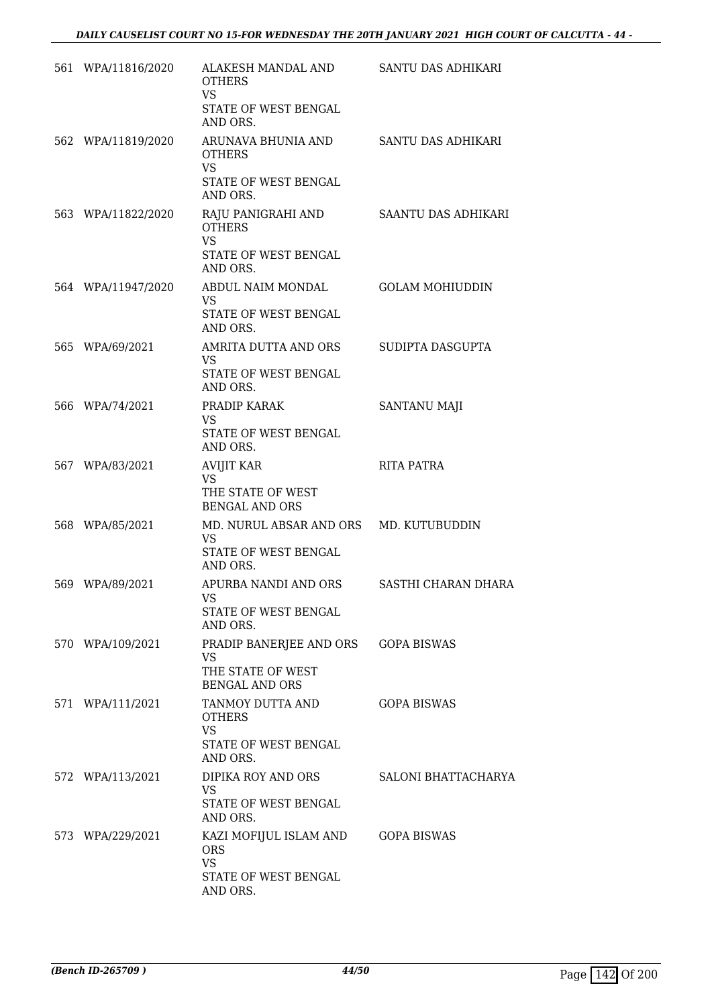| 561 WPA/11816/2020 | ALAKESH MANDAL AND<br><b>OTHERS</b><br><b>VS</b>                                        | SANTU DAS ADHIKARI     |
|--------------------|-----------------------------------------------------------------------------------------|------------------------|
|                    | STATE OF WEST BENGAL<br>AND ORS.                                                        |                        |
| 562 WPA/11819/2020 | ARUNAVA BHUNIA AND<br><b>OTHERS</b><br><b>VS</b><br>STATE OF WEST BENGAL<br>AND ORS.    | SANTU DAS ADHIKARI     |
| 563 WPA/11822/2020 | RAJU PANIGRAHI AND<br><b>OTHERS</b><br><b>VS</b><br>STATE OF WEST BENGAL<br>AND ORS.    | SAANTU DAS ADHIKARI    |
| 564 WPA/11947/2020 | ABDUL NAIM MONDAL<br>VS<br>STATE OF WEST BENGAL<br>AND ORS.                             | <b>GOLAM MOHIUDDIN</b> |
| 565 WPA/69/2021    | AMRITA DUTTA AND ORS<br><b>VS</b><br>STATE OF WEST BENGAL<br>AND ORS.                   | SUDIPTA DASGUPTA       |
| 566 WPA/74/2021    | PRADIP KARAK<br><b>VS</b><br>STATE OF WEST BENGAL<br>AND ORS.                           | SANTANU MAJI           |
| 567 WPA/83/2021    | <b>AVIJIT KAR</b><br><b>VS</b><br>THE STATE OF WEST<br><b>BENGAL AND ORS</b>            | <b>RITA PATRA</b>      |
| 568 WPA/85/2021    | MD. NURUL ABSAR AND ORS MD. KUTUBUDDIN<br><b>VS</b><br>STATE OF WEST BENGAL<br>AND ORS. |                        |
| 569 WPA/89/2021    | APURBA NANDI AND ORS<br>VS<br>STATE OF WEST BENGAL<br>AND ORS.                          | SASTHI CHARAN DHARA    |
| 570 WPA/109/2021   | PRADIP BANERJEE AND ORS<br><b>VS</b><br>THE STATE OF WEST<br><b>BENGAL AND ORS</b>      | <b>GOPA BISWAS</b>     |
| 571 WPA/111/2021   | TANMOY DUTTA AND<br><b>OTHERS</b><br><b>VS</b><br>STATE OF WEST BENGAL<br>AND ORS.      | <b>GOPA BISWAS</b>     |
| 572 WPA/113/2021   | DIPIKA ROY AND ORS<br>VS.<br>STATE OF WEST BENGAL<br>AND ORS.                           | SALONI BHATTACHARYA    |
| 573 WPA/229/2021   | KAZI MOFIJUL ISLAM AND<br><b>ORS</b><br><b>VS</b><br>STATE OF WEST BENGAL<br>AND ORS.   | <b>GOPA BISWAS</b>     |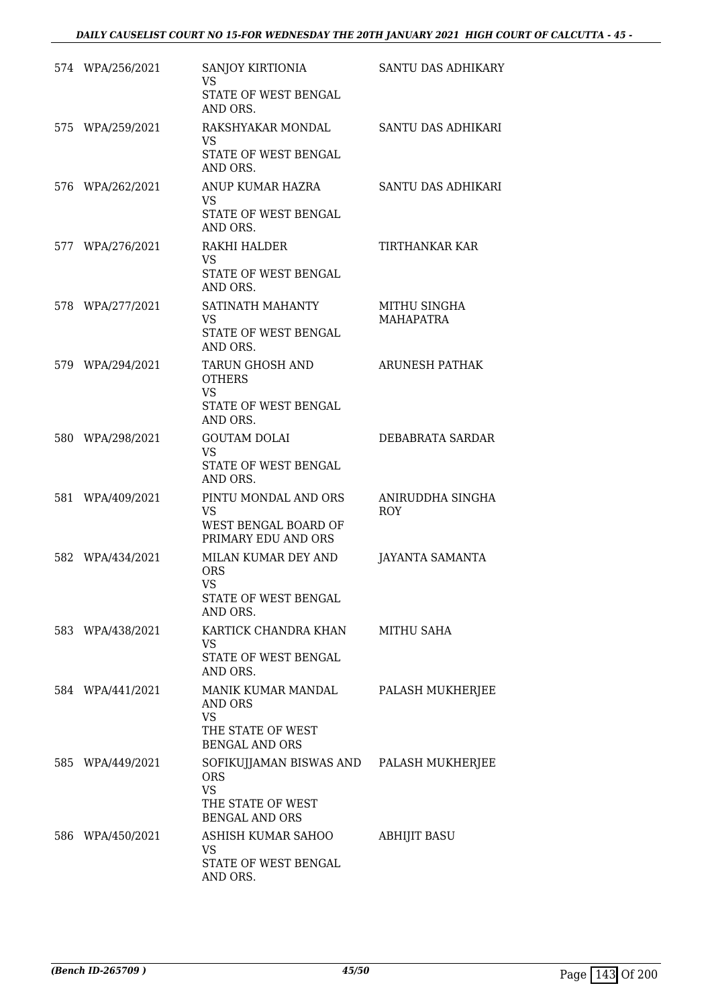|     | 574 WPA/256/2021 | SANJOY KIRTIONIA<br><b>VS</b><br>STATE OF WEST BENGAL<br>AND ORS.                                                 | SANTU DAS ADHIKARY               |
|-----|------------------|-------------------------------------------------------------------------------------------------------------------|----------------------------------|
|     | 575 WPA/259/2021 | RAKSHYAKAR MONDAL<br>VS<br>STATE OF WEST BENGAL<br>AND ORS.                                                       | SANTU DAS ADHIKARI               |
|     | 576 WPA/262/2021 | ANUP KUMAR HAZRA<br>VS<br>STATE OF WEST BENGAL<br>AND ORS.                                                        | SANTU DAS ADHIKARI               |
|     | 577 WPA/276/2021 | RAKHI HALDER<br><b>VS</b><br>STATE OF WEST BENGAL<br>AND ORS.                                                     | TIRTHANKAR KAR                   |
|     | 578 WPA/277/2021 | SATINATH MAHANTY<br>VS<br>STATE OF WEST BENGAL<br>AND ORS.                                                        | MITHU SINGHA<br><b>MAHAPATRA</b> |
|     | 579 WPA/294/2021 | TARUN GHOSH AND<br><b>OTHERS</b><br>VS<br>STATE OF WEST BENGAL<br>AND ORS.                                        | ARUNESH PATHAK                   |
|     | 580 WPA/298/2021 | <b>GOUTAM DOLAI</b><br>VS.<br>STATE OF WEST BENGAL<br>AND ORS.                                                    | DEBABRATA SARDAR                 |
|     | 581 WPA/409/2021 | PINTU MONDAL AND ORS<br><b>VS</b><br>WEST BENGAL BOARD OF<br>PRIMARY EDU AND ORS                                  | ANIRUDDHA SINGHA<br><b>ROY</b>   |
| 582 | WPA/434/2021     | MILAN KUMAR DEY AND<br><b>ORS</b><br><b>VS</b><br>STATE OF WEST BENGAL<br>AND ORS.                                | <b>JAYANTA SAMANTA</b>           |
|     | 583 WPA/438/2021 | KARTICK CHANDRA KHAN<br>VS<br>STATE OF WEST BENGAL<br>AND ORS.                                                    | <b>MITHU SAHA</b>                |
|     | 584 WPA/441/2021 | MANIK KUMAR MANDAL<br>AND ORS<br><b>VS</b><br>THE STATE OF WEST<br><b>BENGAL AND ORS</b>                          | PALASH MUKHERJEE                 |
|     | 585 WPA/449/2021 | SOFIKUJJAMAN BISWAS AND PALASH MUKHERJEE<br><b>ORS</b><br><b>VS</b><br>THE STATE OF WEST<br><b>BENGAL AND ORS</b> |                                  |
|     | 586 WPA/450/2021 | ASHISH KUMAR SAHOO<br><b>VS</b><br>STATE OF WEST BENGAL<br>AND ORS.                                               | <b>ABHIJIT BASU</b>              |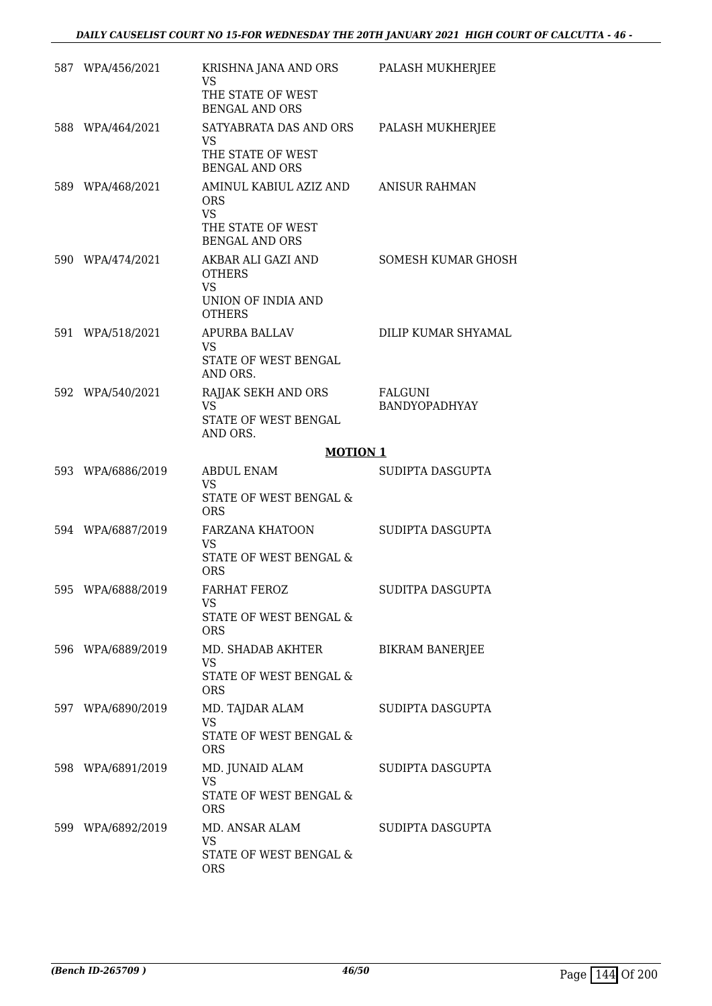| 587 WPA/456/2021  | KRISHNA JANA AND ORS<br><b>VS</b><br>THE STATE OF WEST<br><b>BENGAL AND ORS</b>                 | PALASH MUKHERJEE                       |
|-------------------|-------------------------------------------------------------------------------------------------|----------------------------------------|
| 588 WPA/464/2021  | SATYABRATA DAS AND ORS<br>VS.<br>THE STATE OF WEST<br><b>BENGAL AND ORS</b>                     | PALASH MUKHERJEE                       |
| 589 WPA/468/2021  | AMINUL KABIUL AZIZ AND<br><b>ORS</b><br><b>VS</b><br>THE STATE OF WEST<br><b>BENGAL AND ORS</b> | <b>ANISUR RAHMAN</b>                   |
| 590 WPA/474/2021  | AKBAR ALI GAZI AND<br><b>OTHERS</b><br><b>VS</b><br>UNION OF INDIA AND<br><b>OTHERS</b>         | <b>SOMESH KUMAR GHOSH</b>              |
| 591 WPA/518/2021  | APURBA BALLAV<br>VS<br>STATE OF WEST BENGAL<br>AND ORS.                                         | DILIP KUMAR SHYAMAL                    |
| 592 WPA/540/2021  | RAJJAK SEKH AND ORS<br><b>VS</b><br>STATE OF WEST BENGAL<br>AND ORS.                            | <b>FALGUNI</b><br><b>BANDYOPADHYAY</b> |
|                   | <b>MOTION 1</b>                                                                                 |                                        |
| 593 WPA/6886/2019 | ABDUL ENAM<br>VS.<br>STATE OF WEST BENGAL &                                                     | SUDIPTA DASGUPTA                       |
| 594 WPA/6887/2019 | <b>ORS</b><br><b>FARZANA KHATOON</b><br><b>VS</b><br>STATE OF WEST BENGAL &<br><b>ORS</b>       | SUDIPTA DASGUPTA                       |
| 595 WPA/6888/2019 | FARHAT FEROZ<br>VS<br>STATE OF WEST BENGAL &<br><b>ORS</b>                                      | SUDITPA DASGUPTA                       |
| 596 WPA/6889/2019 | MD. SHADAB AKHTER<br><b>VS</b><br>STATE OF WEST BENGAL &<br><b>ORS</b>                          | <b>BIKRAM BANERJEE</b>                 |
| 597 WPA/6890/2019 | MD. TAJDAR ALAM<br><b>VS</b><br>STATE OF WEST BENGAL &<br><b>ORS</b>                            | SUDIPTA DASGUPTA                       |
| 598 WPA/6891/2019 | MD. JUNAID ALAM<br><b>VS</b><br>STATE OF WEST BENGAL &<br><b>ORS</b>                            | SUDIPTA DASGUPTA                       |
| 599 WPA/6892/2019 | MD. ANSAR ALAM<br><b>VS</b><br>STATE OF WEST BENGAL &<br><b>ORS</b>                             | SUDIPTA DASGUPTA                       |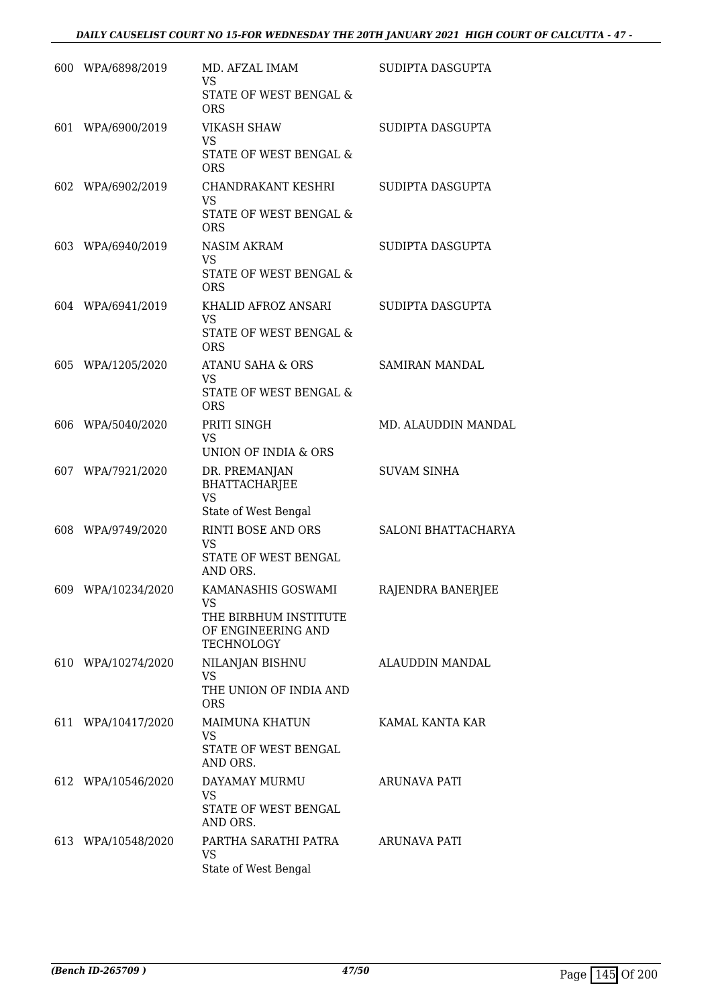| 600 WPA/6898/2019  | MD. AFZAL IMAM<br><b>VS</b>                                                                  | SUDIPTA DASGUPTA           |
|--------------------|----------------------------------------------------------------------------------------------|----------------------------|
|                    | STATE OF WEST BENGAL &<br><b>ORS</b>                                                         |                            |
| 601 WPA/6900/2019  | <b>VIKASH SHAW</b><br><b>VS</b>                                                              | SUDIPTA DASGUPTA           |
|                    | STATE OF WEST BENGAL &<br>ORS                                                                |                            |
| 602 WPA/6902/2019  | CHANDRAKANT KESHRI<br><b>VS</b><br>STATE OF WEST BENGAL &<br><b>ORS</b>                      | SUDIPTA DASGUPTA           |
| 603 WPA/6940/2019  | <b>NASIM AKRAM</b><br><b>VS</b><br>STATE OF WEST BENGAL &<br><b>ORS</b>                      | SUDIPTA DASGUPTA           |
| 604 WPA/6941/2019  | KHALID AFROZ ANSARI<br><b>VS</b><br><b>STATE OF WEST BENGAL &amp;</b><br><b>ORS</b>          | SUDIPTA DASGUPTA           |
| 605 WPA/1205/2020  | ATANU SAHA & ORS<br><b>VS</b><br><b>STATE OF WEST BENGAL &amp;</b><br><b>ORS</b>             | <b>SAMIRAN MANDAL</b>      |
| 606 WPA/5040/2020  | PRITI SINGH<br>VS.<br>UNION OF INDIA & ORS                                                   | MD. ALAUDDIN MANDAL        |
| 607 WPA/7921/2020  | DR. PREMANJAN<br>BHATTACHARJEE<br><b>VS</b><br>State of West Bengal                          | <b>SUVAM SINHA</b>         |
| 608 WPA/9749/2020  | RINTI BOSE AND ORS<br><b>VS</b><br>STATE OF WEST BENGAL<br>AND ORS.                          | <b>SALONI BHATTACHARYA</b> |
| 609 WPA/10234/2020 | KAMANASHIS GOSWAMI<br>VS<br>THE BIRBHUM INSTITUTE<br>OF ENGINEERING AND<br><b>TECHNOLOGY</b> | RAJENDRA BANERJEE          |
| 610 WPA/10274/2020 | NILANJAN BISHNU<br>VS<br>THE UNION OF INDIA AND<br><b>ORS</b>                                | ALAUDDIN MANDAL            |
| 611 WPA/10417/2020 | MAIMUNA KHATUN<br><b>VS</b><br>STATE OF WEST BENGAL<br>AND ORS.                              | KAMAL KANTA KAR            |
| 612 WPA/10546/2020 | DAYAMAY MURMU<br>VS<br>STATE OF WEST BENGAL<br>AND ORS.                                      | <b>ARUNAVA PATI</b>        |
| 613 WPA/10548/2020 | PARTHA SARATHI PATRA<br>VS.<br>State of West Bengal                                          | ARUNAVA PATI               |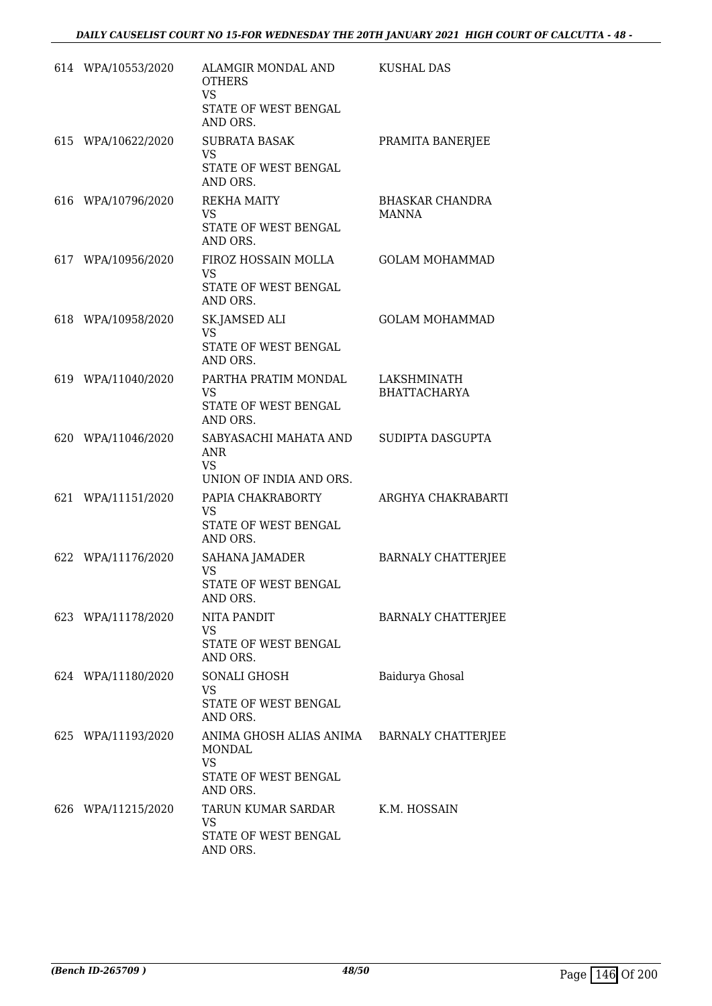| 614 WPA/10553/2020 | ALAMGIR MONDAL AND<br><b>OTHERS</b><br><b>VS</b><br>STATE OF WEST BENGAL<br>AND ORS.                  | KUSHAL DAS                         |
|--------------------|-------------------------------------------------------------------------------------------------------|------------------------------------|
| 615 WPA/10622/2020 | <b>SUBRATA BASAK</b><br><b>VS</b><br>STATE OF WEST BENGAL<br>AND ORS.                                 | PRAMITA BANERJEE                   |
| 616 WPA/10796/2020 | REKHA MAITY<br>VS.<br>STATE OF WEST BENGAL<br>AND ORS.                                                | BHASKAR CHANDRA<br>MANNA           |
| 617 WPA/10956/2020 | FIROZ HOSSAIN MOLLA<br><b>VS</b><br>STATE OF WEST BENGAL<br>AND ORS.                                  | <b>GOLAM MOHAMMAD</b>              |
| 618 WPA/10958/2020 | SK.JAMSED ALI<br>VS.<br>STATE OF WEST BENGAL<br>AND ORS.                                              | <b>GOLAM MOHAMMAD</b>              |
| 619 WPA/11040/2020 | PARTHA PRATIM MONDAL<br><b>VS</b><br>STATE OF WEST BENGAL<br>AND ORS.                                 | LAKSHMINATH<br><b>BHATTACHARYA</b> |
| 620 WPA/11046/2020 | SABYASACHI MAHATA AND<br><b>ANR</b><br><b>VS</b><br>UNION OF INDIA AND ORS.                           | SUDIPTA DASGUPTA                   |
| 621 WPA/11151/2020 | PAPIA CHAKRABORTY<br>VS<br>STATE OF WEST BENGAL<br>AND ORS.                                           | ARGHYA CHAKRABARTI                 |
| 622 WPA/11176/2020 | <b>SAHANA JAMADER</b><br><b>VS</b><br>STATE OF WEST BENGAL<br>AND ORS.                                | <b>BARNALY CHATTERJEE</b>          |
| 623 WPA/11178/2020 | NITA PANDIT<br><b>VS</b><br>STATE OF WEST BENGAL<br>AND ORS.                                          | <b>BARNALY CHATTERJEE</b>          |
| 624 WPA/11180/2020 | SONALI GHOSH<br><b>VS</b><br>STATE OF WEST BENGAL<br>AND ORS.                                         | Baidurya Ghosal                    |
| 625 WPA/11193/2020 | ANIMA GHOSH ALIAS ANIMA BARNALY CHATTERJEE<br>MONDAL<br><b>VS</b><br>STATE OF WEST BENGAL<br>AND ORS. |                                    |
| 626 WPA/11215/2020 | TARUN KUMAR SARDAR<br><b>VS</b><br>STATE OF WEST BENGAL<br>AND ORS.                                   | K.M. HOSSAIN                       |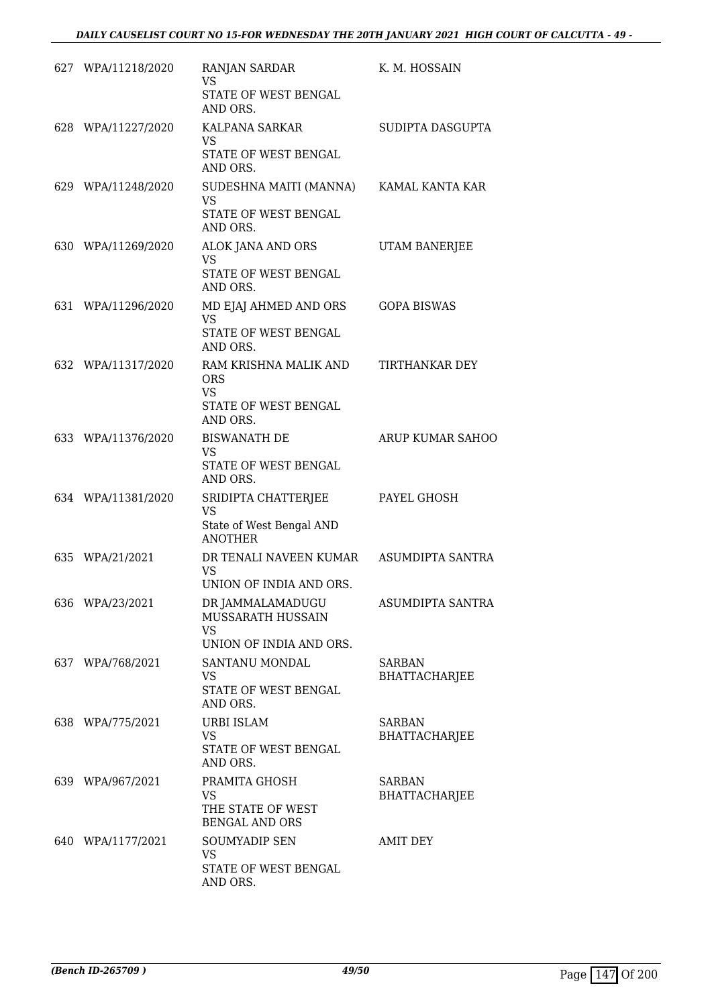| 627 WPA/11218/2020 | <b>RANJAN SARDAR</b><br><b>VS</b>                                                    | K. M. HOSSAIN                         |
|--------------------|--------------------------------------------------------------------------------------|---------------------------------------|
|                    | STATE OF WEST BENGAL<br>AND ORS.                                                     |                                       |
| 628 WPA/11227/2020 | KALPANA SARKAR<br>VS                                                                 | SUDIPTA DASGUPTA                      |
|                    | STATE OF WEST BENGAL<br>AND ORS.                                                     |                                       |
| 629 WPA/11248/2020 | SUDESHNA MAITI (MANNA)<br><b>VS</b><br>STATE OF WEST BENGAL<br>AND ORS.              | KAMAL KANTA KAR                       |
| 630 WPA/11269/2020 | ALOK JANA AND ORS                                                                    | UTAM BANERJEE                         |
|                    | <b>VS</b><br>STATE OF WEST BENGAL<br>AND ORS.                                        |                                       |
| 631 WPA/11296/2020 | MD EJAJ AHMED AND ORS<br><b>VS</b><br><b>STATE OF WEST BENGAL</b><br>AND ORS.        | <b>GOPA BISWAS</b>                    |
| 632 WPA/11317/2020 | RAM KRISHNA MALIK AND<br><b>ORS</b><br><b>VS</b><br>STATE OF WEST BENGAL<br>AND ORS. | TIRTHANKAR DEY                        |
| 633 WPA/11376/2020 | <b>BISWANATH DE</b><br><b>VS</b><br>STATE OF WEST BENGAL<br>AND ORS.                 | <b>ARUP KUMAR SAHOO</b>               |
| 634 WPA/11381/2020 | SRIDIPTA CHATTERJEE<br><b>VS</b><br>State of West Bengal AND<br><b>ANOTHER</b>       | PAYEL GHOSH                           |
| 635 WPA/21/2021    | DR TENALI NAVEEN KUMAR<br><b>VS</b><br>UNION OF INDIA AND ORS.                       | ASUMDIPTA SANTRA                      |
| 636 WPA/23/2021    | DR JAMMALAMADUGU<br>MUSSARATH HUSSAIN<br><b>VS</b><br>UNION OF INDIA AND ORS.        | ASUMDIPTA SANTRA                      |
| 637 WPA/768/2021   | SANTANU MONDAL<br><b>VS</b><br>STATE OF WEST BENGAL<br>AND ORS.                      | SARBAN<br><b>BHATTACHARJEE</b>        |
| 638 WPA/775/2021   | <b>URBI ISLAM</b><br><b>VS</b><br>STATE OF WEST BENGAL<br>AND ORS.                   | <b>SARBAN</b><br><b>BHATTACHARJEE</b> |
| 639 WPA/967/2021   | PRAMITA GHOSH<br><b>VS</b><br>THE STATE OF WEST<br><b>BENGAL AND ORS</b>             | <b>SARBAN</b><br><b>BHATTACHARJEE</b> |
| 640 WPA/1177/2021  | <b>SOUMYADIP SEN</b><br><b>VS</b><br>STATE OF WEST BENGAL<br>AND ORS.                | <b>AMIT DEY</b>                       |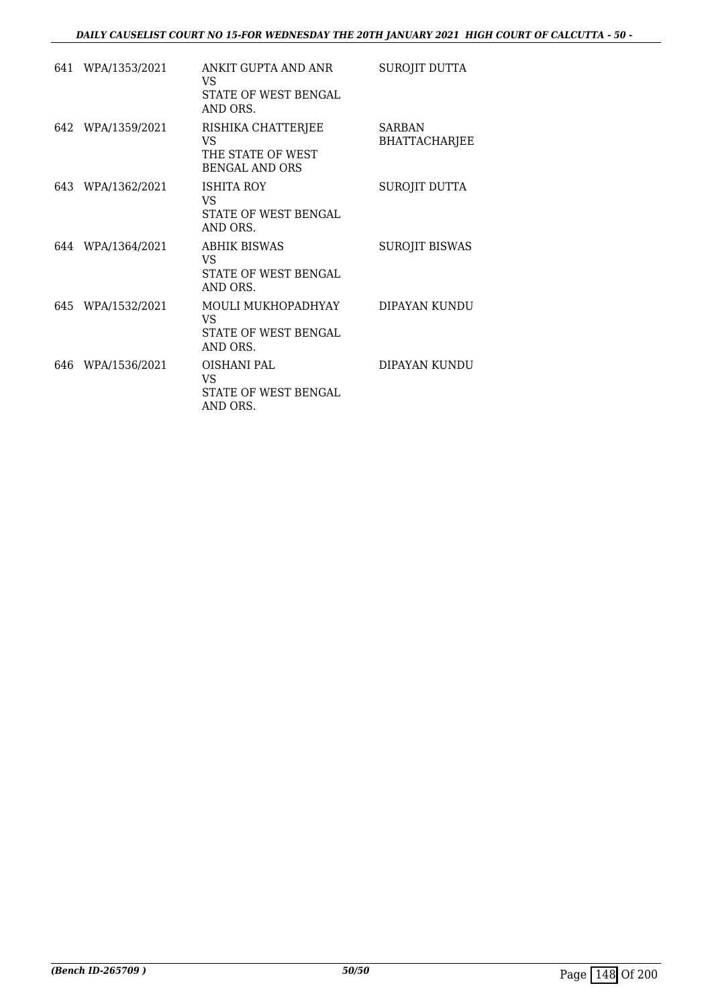|     | 641 WPA/1353/2021 | ANKIT GUPTA AND ANR<br>VS.<br>STATE OF WEST BENGAL<br>AND ORS.          | SUROJIT DUTTA                         |
|-----|-------------------|-------------------------------------------------------------------------|---------------------------------------|
|     | 642 WPA/1359/2021 | RISHIKA CHATTERJEE<br>VS.<br>THE STATE OF WEST<br><b>BENGAL AND ORS</b> | <b>SARBAN</b><br><b>BHATTACHARJEE</b> |
|     | 643 WPA/1362/2021 | <b>ISHITA ROY</b><br>VS<br>STATE OF WEST BENGAL<br>AND ORS.             | SUROJIT DUTTA                         |
|     | 644 WPA/1364/2021 | <b>ABHIK BISWAS</b><br>VS.<br>STATE OF WEST BENGAL<br>AND ORS.          | <b>SUROJIT BISWAS</b>                 |
|     | 645 WPA/1532/2021 | MOULI MUKHOPADHYAY<br>VS.<br>STATE OF WEST BENGAL<br>AND ORS.           | DIPAYAN KUNDU                         |
| 646 | WPA/1536/2021     | OISHANI PAL<br>VS<br>STATE OF WEST BENGAL<br>AND ORS.                   | DIPAYAN KUNDU                         |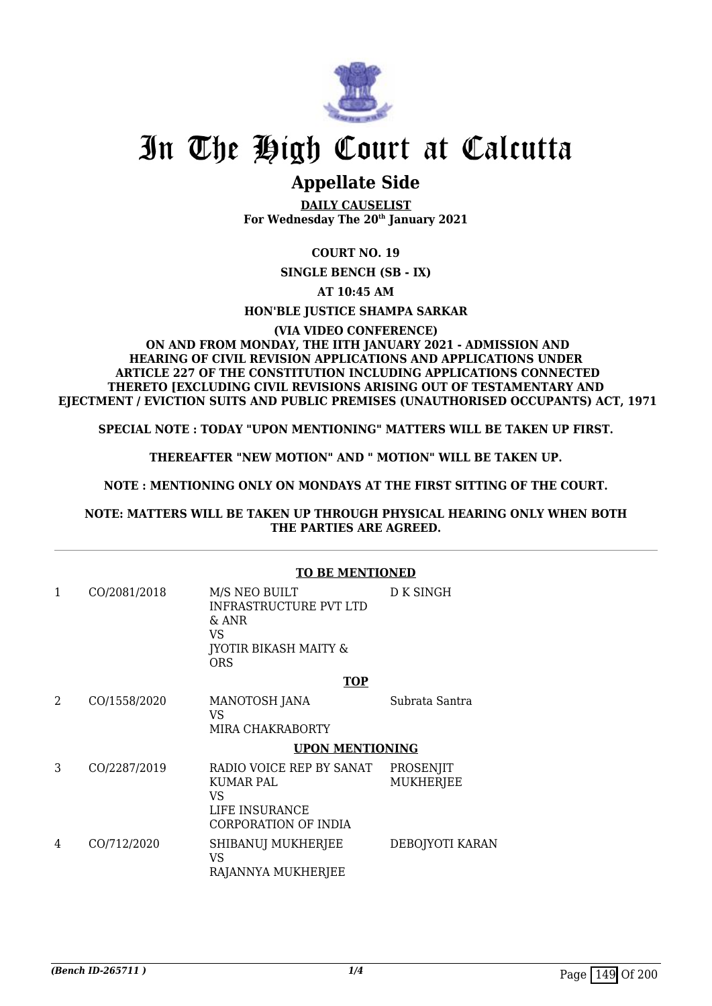

# **Appellate Side**

**DAILY CAUSELIST For Wednesday The 20th January 2021**

# **COURT NO. 19**

**SINGLE BENCH (SB - IX)**

**AT 10:45 AM**

**HON'BLE JUSTICE SHAMPA SARKAR**

#### **(VIA VIDEO CONFERENCE) ON AND FROM MONDAY, THE IITH JANUARY 2021 - ADMISSION AND HEARING OF CIVIL REVISION APPLICATIONS AND APPLICATIONS UNDER ARTICLE 227 OF THE CONSTITUTION INCLUDING APPLICATIONS CONNECTED THERETO [EXCLUDING CIVIL REVISIONS ARISING OUT OF TESTAMENTARY AND EJECTMENT / EVICTION SUITS AND PUBLIC PREMISES (UNAUTHORISED OCCUPANTS) ACT, 1971**

**SPECIAL NOTE : TODAY "UPON MENTIONING" MATTERS WILL BE TAKEN UP FIRST.**

**THEREAFTER "NEW MOTION" AND " MOTION" WILL BE TAKEN UP.**

# **NOTE : MENTIONING ONLY ON MONDAYS AT THE FIRST SITTING OF THE COURT.**

### **NOTE: MATTERS WILL BE TAKEN UP THROUGH PHYSICAL HEARING ONLY WHEN BOTH THE PARTIES ARE AGREED.**

|   |              | <b>TO BE MENTIONED</b>                                                                                            |                        |
|---|--------------|-------------------------------------------------------------------------------------------------------------------|------------------------|
|   | CO/2081/2018 | M/S NEO BUILT<br><b>INFRASTRUCTURE PVT LTD</b><br>$&$ ANR<br>VS<br><b>JYOTIR BIKASH MAITY &amp;</b><br><b>ORS</b> | D K SINGH              |
|   |              | <b>TOP</b>                                                                                                        |                        |
| 2 | CO/1558/2020 | MANOTOSH JANA<br>VS                                                                                               | Subrata Santra         |
|   |              | MIRA CHAKRABORTY                                                                                                  |                        |
|   |              | <b>UPON MENTIONING</b>                                                                                            |                        |
| 3 | CO/2287/2019 | RADIO VOICE REP BY SANAT<br><b>KUMAR PAL</b><br>VS<br>LIFE INSURANCE                                              | PROSENJIT<br>MUKHERJEE |
|   |              | CORPORATION OF INDIA                                                                                              |                        |
| 4 | CO/712/2020  | SHIBANUJ MUKHERJEE<br>VS<br>RAJANNYA MUKHERJEE                                                                    | DEBOJYOTI KARAN        |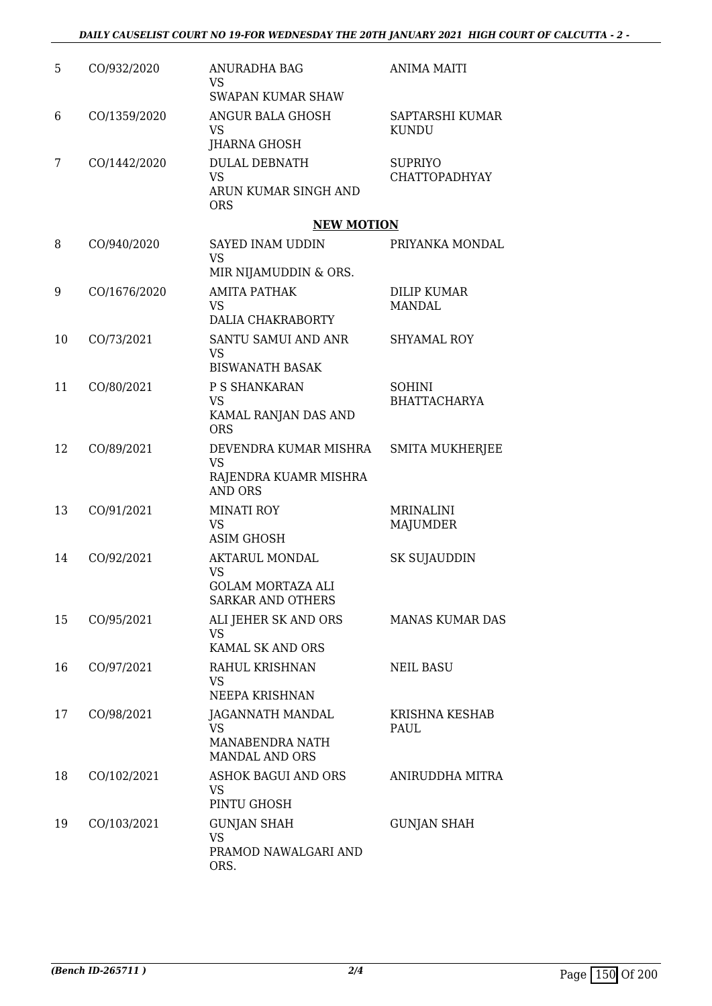| 5  | CO/932/2020  | ANURADHA BAG<br>VS<br><b>SWAPAN KUMAR SHAW</b>                                             | <b>ANIMA MAITI</b>                   |
|----|--------------|--------------------------------------------------------------------------------------------|--------------------------------------|
| 6  | CO/1359/2020 | ANGUR BALA GHOSH<br><b>VS</b><br><b>JHARNA GHOSH</b>                                       | SAPTARSHI KUMAR<br><b>KUNDU</b>      |
| 7  | CO/1442/2020 | <b>DULAL DEBNATH</b><br><b>VS</b><br>ARUN KUMAR SINGH AND<br><b>ORS</b>                    | <b>SUPRIYO</b><br>CHATTOPADHYAY      |
|    |              | <b>NEW MOTION</b>                                                                          |                                      |
| 8  | CO/940/2020  | SAYED INAM UDDIN<br><b>VS</b><br>MIR NIJAMUDDIN & ORS.                                     | PRIYANKA MONDAL                      |
| 9  | CO/1676/2020 | <b>AMITA PATHAK</b><br>VS<br>DALIA CHAKRABORTY                                             | <b>DILIP KUMAR</b><br><b>MANDAL</b>  |
| 10 | CO/73/2021   | SANTU SAMUI AND ANR<br><b>VS</b><br><b>BISWANATH BASAK</b>                                 | <b>SHYAMAL ROY</b>                   |
| 11 | CO/80/2021   | P S SHANKARAN<br><b>VS</b><br>KAMAL RANJAN DAS AND<br><b>ORS</b>                           | <b>SOHINI</b><br><b>BHATTACHARYA</b> |
| 12 | CO/89/2021   | DEVENDRA KUMAR MISHRA<br><b>VS</b><br>RAJENDRA KUAMR MISHRA<br><b>AND ORS</b>              | <b>SMITA MUKHERJEE</b>               |
| 13 | CO/91/2021   | <b>MINATI ROY</b><br><b>VS</b><br><b>ASIM GHOSH</b>                                        | <b>MRINALINI</b><br><b>MAJUMDER</b>  |
| 14 | CO/92/2021   | <b>AKTARUL MONDAL</b><br><b>VS</b><br><b>GOLAM MORTAZA ALI</b><br><b>SARKAR AND OTHERS</b> | SK SUJAUDDIN                         |
| 15 | CO/95/2021   | ALI JEHER SK AND ORS<br>VS.<br>KAMAL SK AND ORS                                            | <b>MANAS KUMAR DAS</b>               |
| 16 | CO/97/2021   | RAHUL KRISHNAN<br><b>VS</b><br>NEEPA KRISHNAN                                              | <b>NEIL BASU</b>                     |
| 17 | CO/98/2021   | <b>JAGANNATH MANDAL</b><br><b>VS</b><br><b>MANABENDRA NATH</b><br><b>MANDAL AND ORS</b>    | KRISHNA KESHAB<br>PAUL               |
| 18 | CO/102/2021  | <b>ASHOK BAGUI AND ORS</b><br>VS<br>PINTU GHOSH                                            | ANIRUDDHA MITRA                      |
| 19 | CO/103/2021  | <b>GUNJAN SHAH</b><br>VS<br>PRAMOD NAWALGARI AND<br>ORS.                                   | <b>GUNJAN SHAH</b>                   |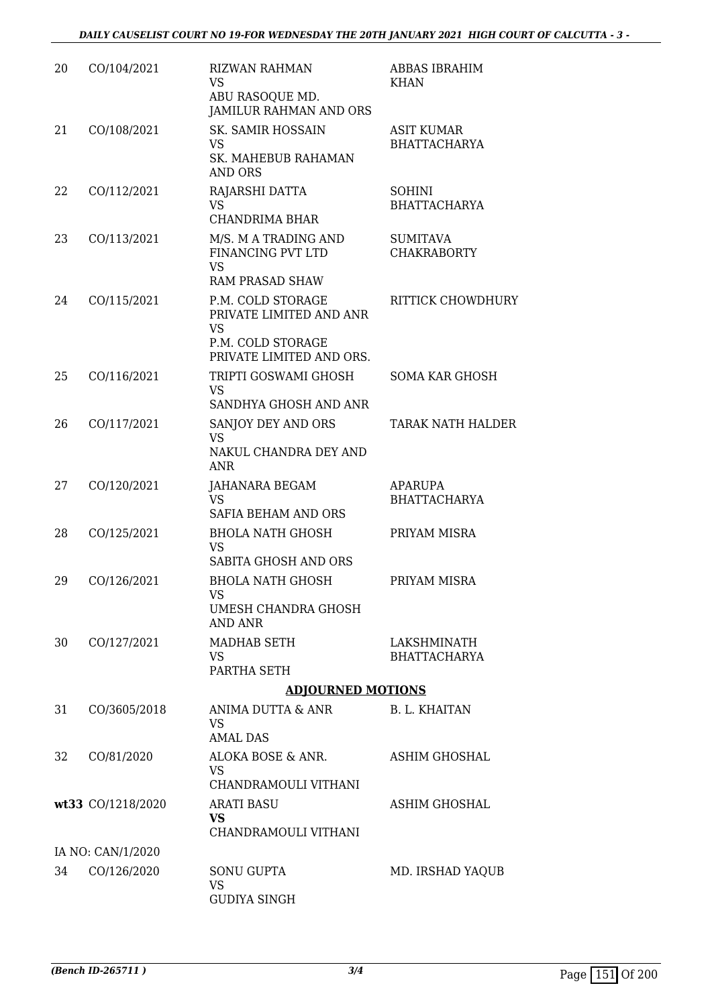| 20 | CO/104/2021       | <b>RIZWAN RAHMAN</b><br><b>VS</b><br>ABU RASOQUE MD.<br>JAMILUR RAHMAN AND ORS                             | ABBAS IBRAHIM<br><b>KHAN</b>             |
|----|-------------------|------------------------------------------------------------------------------------------------------------|------------------------------------------|
| 21 | CO/108/2021       | <b>SK. SAMIR HOSSAIN</b><br><b>VS</b><br>SK. MAHEBUB RAHAMAN<br><b>AND ORS</b>                             | <b>ASIT KUMAR</b><br><b>BHATTACHARYA</b> |
| 22 | CO/112/2021       | RAJARSHI DATTA<br><b>VS</b><br><b>CHANDRIMA BHAR</b>                                                       | <b>SOHINI</b><br><b>BHATTACHARYA</b>     |
| 23 | CO/113/2021       | M/S. M A TRADING AND<br>FINANCING PVT LTD<br><b>VS</b>                                                     | <b>SUMITAVA</b><br><b>CHAKRABORTY</b>    |
|    |                   | <b>RAM PRASAD SHAW</b>                                                                                     |                                          |
| 24 | CO/115/2021       | P.M. COLD STORAGE<br>PRIVATE LIMITED AND ANR<br><b>VS</b><br>P.M. COLD STORAGE<br>PRIVATE LIMITED AND ORS. | <b>RITTICK CHOWDHURY</b>                 |
| 25 | CO/116/2021       | TRIPTI GOSWAMI GHOSH<br><b>VS</b>                                                                          | <b>SOMA KAR GHOSH</b>                    |
|    |                   | SANDHYA GHOSH AND ANR                                                                                      |                                          |
| 26 | CO/117/2021       | SANJOY DEY AND ORS<br><b>VS</b><br>NAKUL CHANDRA DEY AND<br><b>ANR</b>                                     | <b>TARAK NATH HALDER</b>                 |
| 27 | CO/120/2021       | JAHANARA BEGAM<br><b>VS</b><br>SAFIA BEHAM AND ORS                                                         | <b>APARUPA</b><br><b>BHATTACHARYA</b>    |
| 28 | CO/125/2021       | <b>BHOLA NATH GHOSH</b><br><b>VS</b><br>SABITA GHOSH AND ORS                                               | PRIYAM MISRA                             |
| 29 | CO/126/2021       | <b>BHOLA NATH GHOSH</b><br>VS<br>UMESH CHANDRA GHOSH<br>AND ANR                                            | PRIYAM MISRA                             |
| 30 | CO/127/2021       | MADHAB SETH<br><b>VS</b><br>PARTHA SETH                                                                    | LAKSHMINATH<br><b>BHATTACHARYA</b>       |
|    |                   | <b>ADJOURNED MOTIONS</b>                                                                                   |                                          |
| 31 | CO/3605/2018      | ANIMA DUTTA & ANR<br>VS<br><b>AMAL DAS</b>                                                                 | B. L. KHAITAN                            |
| 32 | CO/81/2020        | ALOKA BOSE & ANR.<br><b>VS</b><br>CHANDRAMOULI VITHANI                                                     | ASHIM GHOSHAL                            |
|    | wt33 CO/1218/2020 | <b>ARATI BASU</b><br><b>VS</b><br>CHANDRAMOULI VITHANI                                                     | ASHIM GHOSHAL                            |
|    | IA NO: CAN/1/2020 |                                                                                                            |                                          |
| 34 | CO/126/2020       | <b>SONU GUPTA</b><br><b>VS</b><br><b>GUDIYA SINGH</b>                                                      | MD. IRSHAD YAQUB                         |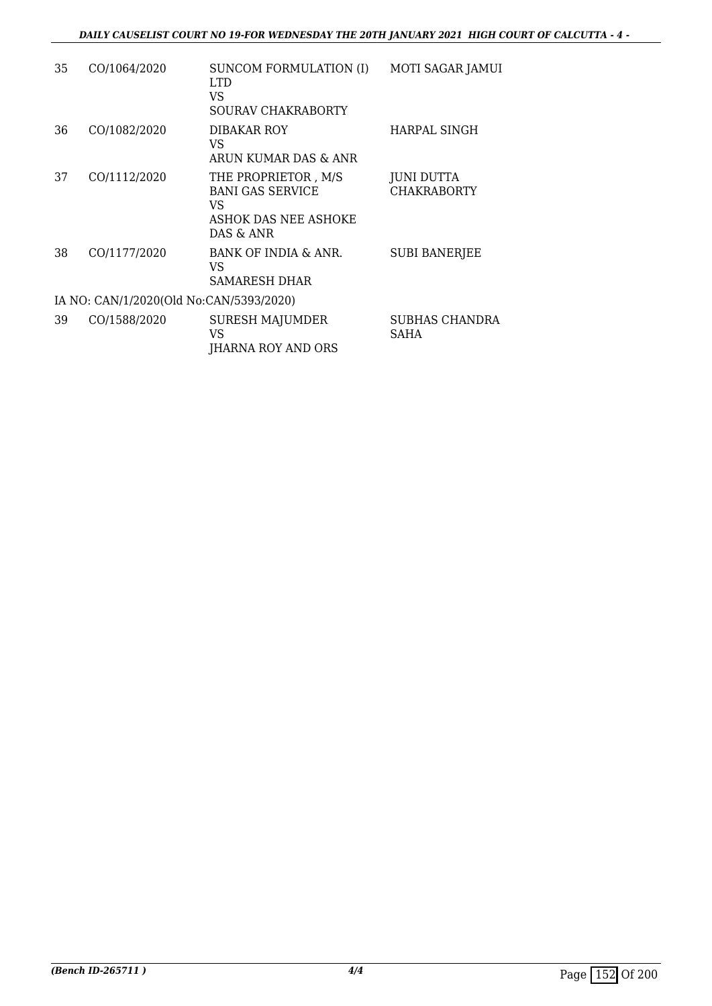| 35 | CO/1064/2020                            | SUNCOM FORMULATION (I)<br>LTD.<br>VS<br>SOURAV CHAKRABORTY                                 | MOTI SAGAR JAMUI                     |
|----|-----------------------------------------|--------------------------------------------------------------------------------------------|--------------------------------------|
| 36 | CO/1082/2020                            | DIBAKAR ROY<br>VS<br>ARUN KUMAR DAS & ANR                                                  | HARPAL SINGH                         |
| 37 | CO/1112/2020                            | THE PROPRIETOR, M/S<br><b>BANI GAS SERVICE</b><br>VS.<br>ASHOK DAS NEE ASHOKE<br>DAS & ANR | JUNI DUTTA<br><b>CHAKRABORTY</b>     |
| 38 | CO/1177/2020                            | BANK OF INDIA & ANR.<br>VS.<br>SAMARESH DHAR                                               | <b>SUBI BANERJEE</b>                 |
|    | IA NO: CAN/1/2020(Old No:CAN/5393/2020) |                                                                                            |                                      |
| 39 | CO/1588/2020                            | SURESH MAJUMDER<br>VS<br><b>JHARNA ROY AND ORS</b>                                         | <b>SUBHAS CHANDRA</b><br><b>SAHA</b> |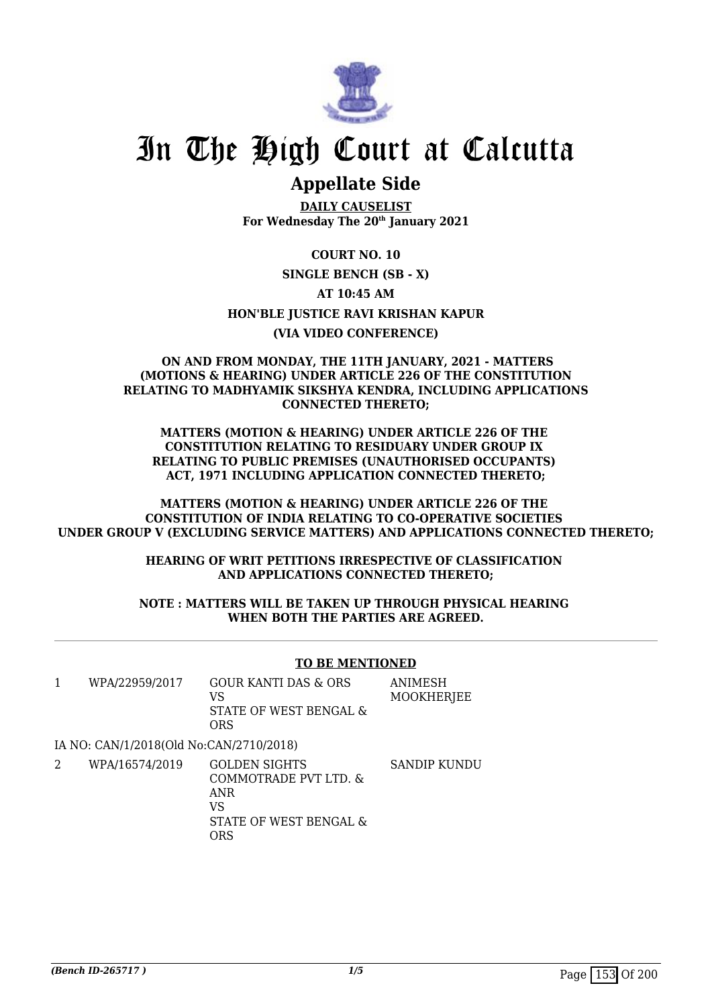

# **Appellate Side**

**DAILY CAUSELIST For Wednesday The 20th January 2021**

**COURT NO. 10**

**SINGLE BENCH (SB - X)**

**AT 10:45 AM**

**HON'BLE JUSTICE RAVI KRISHAN KAPUR**

# **(VIA VIDEO CONFERENCE)**

#### **ON AND FROM MONDAY, THE 11TH JANUARY, 2021 - MATTERS (MOTIONS & HEARING) UNDER ARTICLE 226 OF THE CONSTITUTION RELATING TO MADHYAMIK SIKSHYA KENDRA, INCLUDING APPLICATIONS CONNECTED THERETO;**

**MATTERS (MOTION & HEARING) UNDER ARTICLE 226 OF THE CONSTITUTION RELATING TO RESIDUARY UNDER GROUP IX RELATING TO PUBLIC PREMISES (UNAUTHORISED OCCUPANTS) ACT, 1971 INCLUDING APPLICATION CONNECTED THERETO;**

**MATTERS (MOTION & HEARING) UNDER ARTICLE 226 OF THE CONSTITUTION OF INDIA RELATING TO CO-OPERATIVE SOCIETIES UNDER GROUP V (EXCLUDING SERVICE MATTERS) AND APPLICATIONS CONNECTED THERETO;**

> **HEARING OF WRIT PETITIONS IRRESPECTIVE OF CLASSIFICATION AND APPLICATIONS CONNECTED THERETO;**

**NOTE : MATTERS WILL BE TAKEN UP THROUGH PHYSICAL HEARING WHEN BOTH THE PARTIES ARE AGREED.**

### **TO BE MENTIONED**

| WPA/22959/2017 | GOUR KANTI DAS & ORS   | ANIMESH    |
|----------------|------------------------|------------|
|                | VS                     | MOOKHERJEE |
|                | STATE OF WEST BENGAL & |            |
|                | ORS                    |            |

IA NO: CAN/1/2018(Old No:CAN/2710/2018)

2 WPA/16574/2019 GOLDEN SIGHTS COMMOTRADE PVT LTD. & ANR VS STATE OF WEST BENGAL & ORS SANDIP KUNDU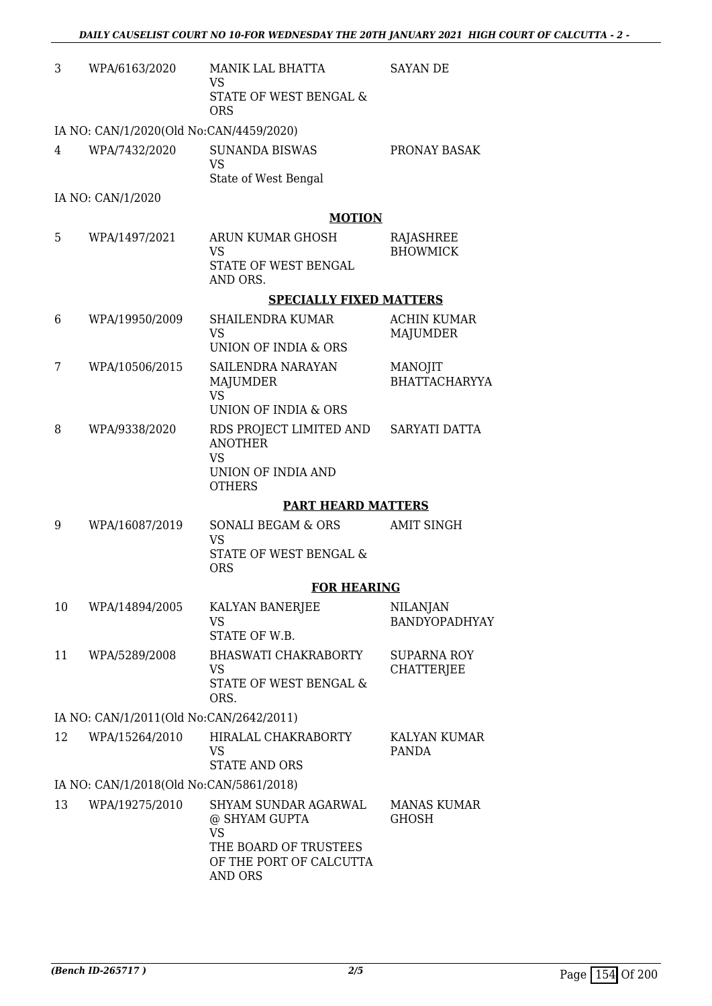| 3  | WPA/6163/2020                           | MANIK LAL BHATTA<br><b>VS</b><br>STATE OF WEST BENGAL &<br><b>ORS</b>                                                    | <b>SAYAN DE</b>                         |
|----|-----------------------------------------|--------------------------------------------------------------------------------------------------------------------------|-----------------------------------------|
|    | IA NO: CAN/1/2020(Old No:CAN/4459/2020) |                                                                                                                          |                                         |
| 4  | WPA/7432/2020                           | <b>SUNANDA BISWAS</b><br><b>VS</b><br>State of West Bengal                                                               | PRONAY BASAK                            |
|    | IA NO: CAN/1/2020                       |                                                                                                                          |                                         |
|    |                                         | <b>MOTION</b>                                                                                                            |                                         |
| 5  | WPA/1497/2021                           | ARUN KUMAR GHOSH<br><b>VS</b><br>STATE OF WEST BENGAL<br>AND ORS.                                                        | RAJASHREE<br><b>BHOWMICK</b>            |
|    |                                         | <b>SPECIALLY FIXED MATTERS</b>                                                                                           |                                         |
| 6  | WPA/19950/2009                          | <b>SHAILENDRA KUMAR</b><br><b>VS</b><br>UNION OF INDIA & ORS                                                             | <b>ACHIN KUMAR</b><br><b>MAJUMDER</b>   |
| 7  | WPA/10506/2015                          | SAILENDRA NARAYAN<br>MAJUMDER<br><b>VS</b>                                                                               | <b>MANOJIT</b><br><b>BHATTACHARYYA</b>  |
|    |                                         | UNION OF INDIA & ORS                                                                                                     |                                         |
| 8  | WPA/9338/2020                           | RDS PROJECT LIMITED AND<br><b>ANOTHER</b><br>VS<br>UNION OF INDIA AND<br><b>OTHERS</b>                                   | SARYATI DATTA                           |
|    |                                         | <b>PART HEARD MATTERS</b>                                                                                                |                                         |
| 9  | WPA/16087/2019                          | SONALI BEGAM & ORS<br><b>VS</b><br>STATE OF WEST BENGAL &                                                                | <b>AMIT SINGH</b>                       |
|    |                                         | <b>ORS</b>                                                                                                               |                                         |
| 10 | WPA/14894/2005                          | <b>FOR HEARING</b><br>KALYAN BANERJEE<br>VS<br>STATE OF W.B.                                                             | <b>NILANJAN</b><br><b>BANDYOPADHYAY</b> |
| 11 | WPA/5289/2008                           | <b>BHASWATI CHAKRABORTY</b><br>VS<br>STATE OF WEST BENGAL &<br>ORS.                                                      | <b>SUPARNA ROY</b><br><b>CHATTERJEE</b> |
|    | IA NO: CAN/1/2011(Old No:CAN/2642/2011) |                                                                                                                          |                                         |
| 12 | WPA/15264/2010                          | HIRALAL CHAKRABORTY<br><b>VS</b><br><b>STATE AND ORS</b>                                                                 | KALYAN KUMAR<br>PANDA                   |
|    | IA NO: CAN/1/2018(Old No:CAN/5861/2018) |                                                                                                                          |                                         |
| 13 | WPA/19275/2010                          | SHYAM SUNDAR AGARWAL<br>@ SHYAM GUPTA<br><b>VS</b><br>THE BOARD OF TRUSTEES<br>OF THE PORT OF CALCUTTA<br><b>AND ORS</b> | <b>MANAS KUMAR</b><br><b>GHOSH</b>      |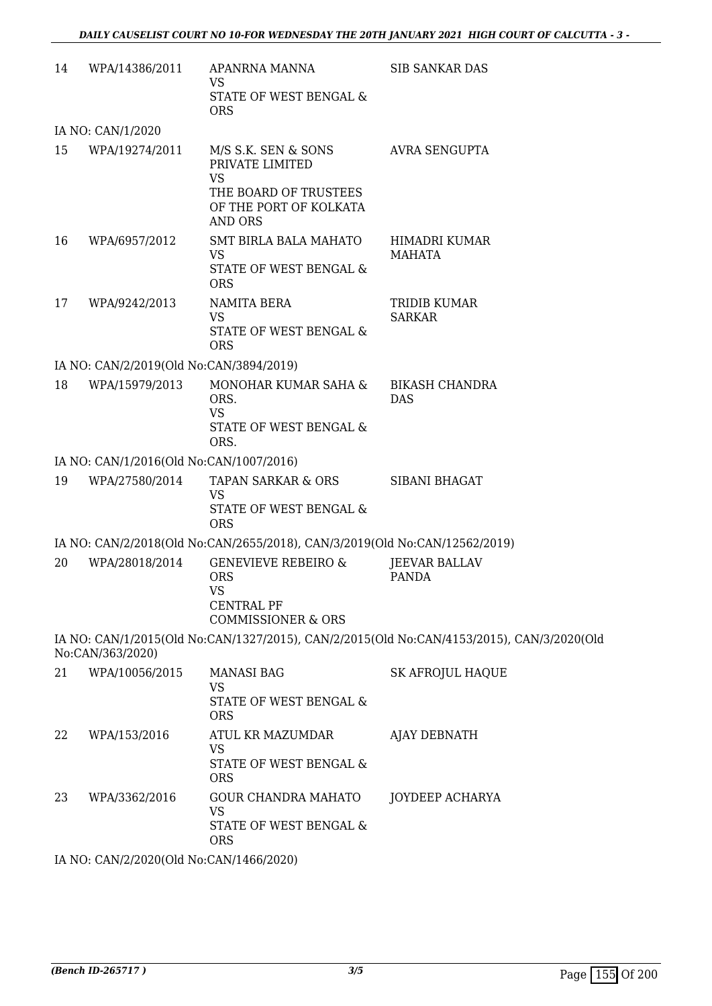| 14 | WPA/14386/2011                          | APANRNA MANNA<br>VS                                                                                    | <b>SIB SANKAR DAS</b>                                                                     |
|----|-----------------------------------------|--------------------------------------------------------------------------------------------------------|-------------------------------------------------------------------------------------------|
|    |                                         | STATE OF WEST BENGAL &<br><b>ORS</b>                                                                   |                                                                                           |
|    | IA NO: CAN/1/2020                       |                                                                                                        |                                                                                           |
| 15 | WPA/19274/2011                          | M/S S.K. SEN & SONS<br>PRIVATE LIMITED<br><b>VS</b><br>THE BOARD OF TRUSTEES<br>OF THE PORT OF KOLKATA | AVRA SENGUPTA                                                                             |
| 16 | WPA/6957/2012                           | <b>AND ORS</b><br>SMT BIRLA BALA MAHATO<br><b>VS</b><br>STATE OF WEST BENGAL &                         | <b>HIMADRI KUMAR</b><br>MAHATA                                                            |
|    |                                         | <b>ORS</b>                                                                                             |                                                                                           |
| 17 | WPA/9242/2013                           | NAMITA BERA<br><b>VS</b><br>STATE OF WEST BENGAL &<br><b>ORS</b>                                       | TRIDIB KUMAR<br><b>SARKAR</b>                                                             |
|    | IA NO: CAN/2/2019(Old No:CAN/3894/2019) |                                                                                                        |                                                                                           |
| 18 | WPA/15979/2013                          | MONOHAR KUMAR SAHA &<br>ORS.<br><b>VS</b><br>STATE OF WEST BENGAL &                                    | <b>BIKASH CHANDRA</b><br><b>DAS</b>                                                       |
|    |                                         | ORS.                                                                                                   |                                                                                           |
|    | IA NO: CAN/1/2016(Old No:CAN/1007/2016) |                                                                                                        |                                                                                           |
| 19 | WPA/27580/2014                          | TAPAN SARKAR & ORS<br><b>VS</b><br>STATE OF WEST BENGAL &                                              | SIBANI BHAGAT                                                                             |
|    |                                         | <b>ORS</b><br>IA NO: CAN/2/2018(Old No:CAN/2655/2018), CAN/3/2019(Old No:CAN/12562/2019)               |                                                                                           |
| 20 | WPA/28018/2014                          | <b>GENEVIEVE REBEIRO &amp;</b>                                                                         | <b>JEEVAR BALLAV</b>                                                                      |
|    |                                         | <b>ORS</b><br><b>VS</b><br><b>CENTRAL PF</b><br><b>COMMISSIONER &amp; ORS</b>                          | <b>PANDA</b>                                                                              |
|    | No:CAN/363/2020)                        |                                                                                                        | IA NO: CAN/1/2015(Old No:CAN/1327/2015), CAN/2/2015(Old No:CAN/4153/2015), CAN/3/2020(Old |
| 21 | WPA/10056/2015                          | <b>MANASI BAG</b><br><b>VS</b><br>STATE OF WEST BENGAL &<br><b>ORS</b>                                 | <b>SK AFROJUL HAQUE</b>                                                                   |
| 22 | WPA/153/2016                            | ATUL KR MAZUMDAR<br><b>VS</b><br>STATE OF WEST BENGAL &                                                | <b>AJAY DEBNATH</b>                                                                       |
| 23 | WPA/3362/2016                           | <b>ORS</b><br><b>GOUR CHANDRA MAHATO</b><br><b>VS</b><br>STATE OF WEST BENGAL &                        | JOYDEEP ACHARYA                                                                           |
|    |                                         | <b>ORS</b>                                                                                             |                                                                                           |
|    | IA NO: CAN/2/2020(Old No:CAN/1466/2020) |                                                                                                        |                                                                                           |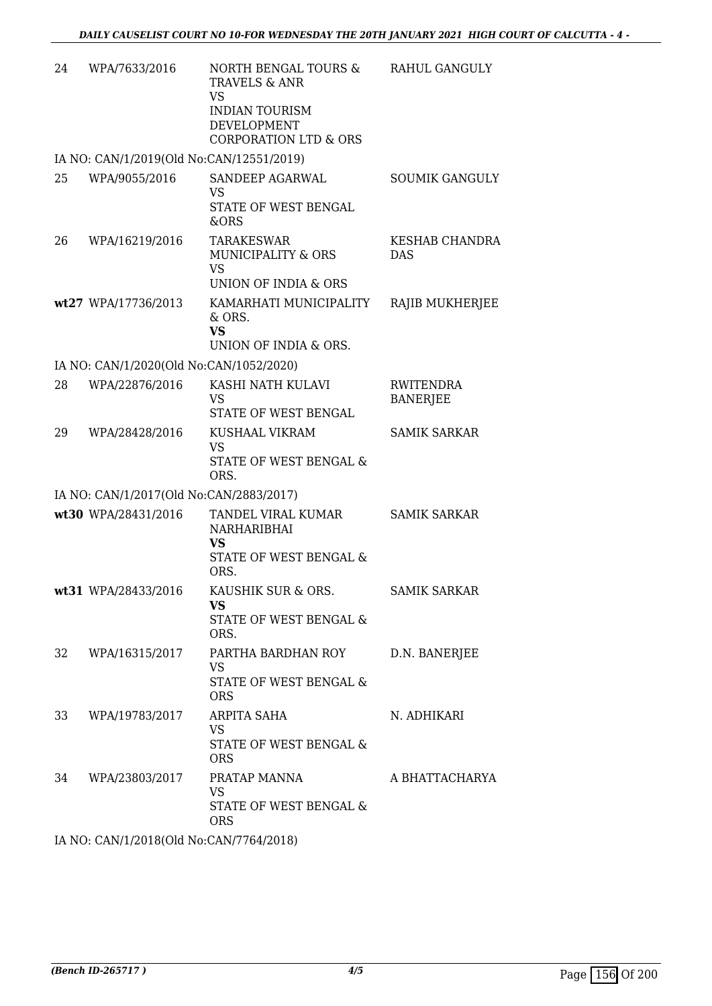| 24 | WPA/7633/2016                            | NORTH BENGAL TOURS &<br>TRAVELS & ANR<br><b>VS</b><br><b>INDIAN TOURISM</b><br><b>DEVELOPMENT</b><br><b>CORPORATION LTD &amp; ORS</b> | RAHUL GANGULY                       |  |  |
|----|------------------------------------------|---------------------------------------------------------------------------------------------------------------------------------------|-------------------------------------|--|--|
|    | IA NO: CAN/1/2019(Old No:CAN/12551/2019) |                                                                                                                                       |                                     |  |  |
| 25 | WPA/9055/2016                            | SANDEEP AGARWAL<br><b>VS</b><br><b>STATE OF WEST BENGAL</b><br>&ORS                                                                   | <b>SOUMIK GANGULY</b>               |  |  |
| 26 | WPA/16219/2016                           | TARAKESWAR<br>MUNICIPALITY & ORS<br><b>VS</b><br>UNION OF INDIA & ORS                                                                 | KESHAB CHANDRA<br><b>DAS</b>        |  |  |
|    | wt27 WPA/17736/2013                      | KAMARHATI MUNICIPALITY<br>& ORS.<br><b>VS</b><br>UNION OF INDIA & ORS.                                                                | RAJIB MUKHERJEE                     |  |  |
|    | IA NO: CAN/1/2020(Old No:CAN/1052/2020)  |                                                                                                                                       |                                     |  |  |
| 28 | WPA/22876/2016                           | KASHI NATH KULAVI<br>VS<br>STATE OF WEST BENGAL                                                                                       | <b>RWITENDRA</b><br><b>BANERJEE</b> |  |  |
| 29 | WPA/28428/2016                           | KUSHAAL VIKRAM<br><b>VS</b><br>STATE OF WEST BENGAL &<br>ORS.                                                                         | <b>SAMIK SARKAR</b>                 |  |  |
|    | IA NO: CAN/1/2017(Old No:CAN/2883/2017)  |                                                                                                                                       |                                     |  |  |
|    | wt30 WPA/28431/2016                      | TANDEL VIRAL KUMAR<br>NARHARIBHAI<br><b>VS</b><br>STATE OF WEST BENGAL &<br>ORS.                                                      | <b>SAMIK SARKAR</b>                 |  |  |
|    | wt31 WPA/28433/2016                      | KAUSHIK SUR & ORS.<br>VS<br>STATE OF WEST BENGAL &<br>ORS.                                                                            | <b>SAMIK SARKAR</b>                 |  |  |
| 32 | WPA/16315/2017                           | PARTHA BARDHAN ROY<br>VS<br>STATE OF WEST BENGAL &<br><b>ORS</b>                                                                      | D.N. BANERJEE                       |  |  |
| 33 | WPA/19783/2017                           | ARPITA SAHA<br><b>VS</b><br><b>STATE OF WEST BENGAL &amp;</b><br><b>ORS</b>                                                           | N. ADHIKARI                         |  |  |
| 34 | WPA/23803/2017                           | PRATAP MANNA<br><b>VS</b><br>STATE OF WEST BENGAL &<br><b>ORS</b>                                                                     | A BHATTACHARYA                      |  |  |
|    | IA NO: CAN/1/2018(Old No:CAN/7764/2018)  |                                                                                                                                       |                                     |  |  |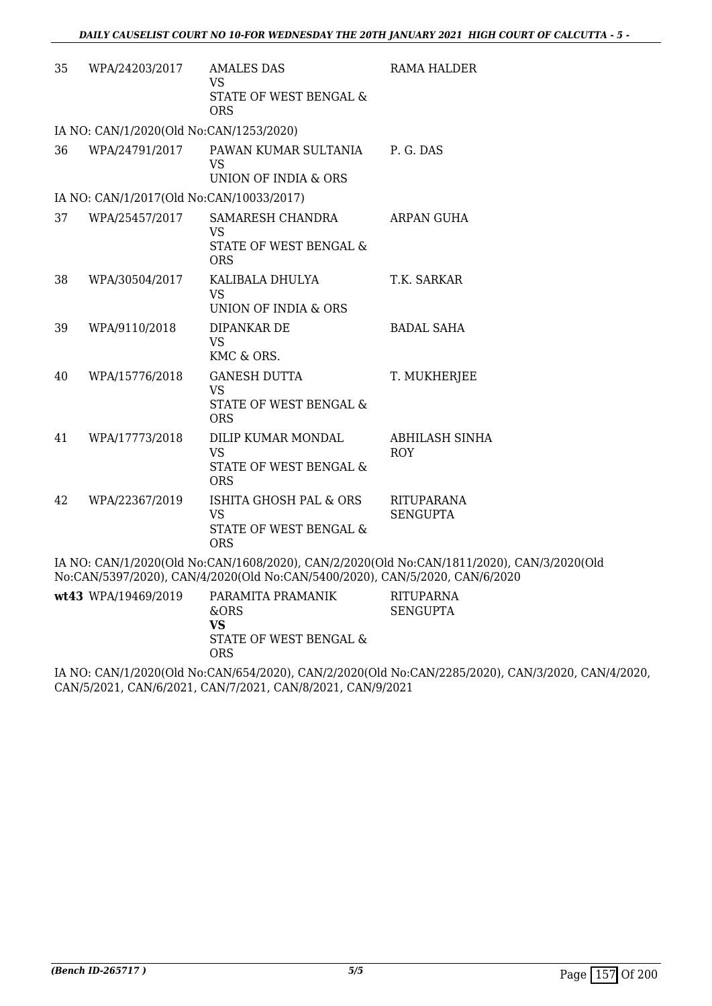| 35 | WPA/24203/2017                           | <b>AMALES DAS</b><br><b>VS</b><br>STATE OF WEST BENGAL &<br><b>ORS</b>                                                                                                                                                                                                                                                             | RAMA HALDER                                                                               |
|----|------------------------------------------|------------------------------------------------------------------------------------------------------------------------------------------------------------------------------------------------------------------------------------------------------------------------------------------------------------------------------------|-------------------------------------------------------------------------------------------|
|    | IA NO: CAN/1/2020(Old No:CAN/1253/2020)  |                                                                                                                                                                                                                                                                                                                                    |                                                                                           |
| 36 | WPA/24791/2017                           | PAWAN KUMAR SULTANIA                                                                                                                                                                                                                                                                                                               | P. G. DAS                                                                                 |
|    |                                          | <b>VS</b>                                                                                                                                                                                                                                                                                                                          |                                                                                           |
|    |                                          | UNION OF INDIA & ORS                                                                                                                                                                                                                                                                                                               |                                                                                           |
|    | IA NO: CAN/1/2017(Old No:CAN/10033/2017) |                                                                                                                                                                                                                                                                                                                                    |                                                                                           |
| 37 | WPA/25457/2017                           | SAMARESH CHANDRA<br><b>VS</b>                                                                                                                                                                                                                                                                                                      | <b>ARPAN GUHA</b>                                                                         |
|    |                                          | STATE OF WEST BENGAL &<br><b>ORS</b>                                                                                                                                                                                                                                                                                               |                                                                                           |
| 38 | WPA/30504/2017                           | KALIBALA DHULYA<br><b>VS</b>                                                                                                                                                                                                                                                                                                       | T.K. SARKAR                                                                               |
|    |                                          | UNION OF INDIA & ORS                                                                                                                                                                                                                                                                                                               |                                                                                           |
| 39 | WPA/9110/2018                            | DIPANKAR DE<br><b>VS</b><br>KMC & ORS.                                                                                                                                                                                                                                                                                             | <b>BADAL SAHA</b>                                                                         |
| 40 | WPA/15776/2018                           | <b>GANESH DUTTA</b>                                                                                                                                                                                                                                                                                                                | T. MUKHERJEE                                                                              |
|    |                                          | <b>VS</b>                                                                                                                                                                                                                                                                                                                          |                                                                                           |
|    |                                          | STATE OF WEST BENGAL &<br><b>ORS</b>                                                                                                                                                                                                                                                                                               |                                                                                           |
| 41 | WPA/17773/2018                           | DILIP KUMAR MONDAL                                                                                                                                                                                                                                                                                                                 | <b>ABHILASH SINHA</b>                                                                     |
|    |                                          | <b>VS</b><br>STATE OF WEST BENGAL &<br><b>ORS</b>                                                                                                                                                                                                                                                                                  | <b>ROY</b>                                                                                |
| 42 | WPA/22367/2019                           | ISHITA GHOSH PAL & ORS                                                                                                                                                                                                                                                                                                             | <b>RITUPARANA</b>                                                                         |
|    |                                          | <b>VS</b><br>STATE OF WEST BENGAL &<br><b>ORS</b>                                                                                                                                                                                                                                                                                  | <b>SENGUPTA</b>                                                                           |
|    |                                          | No:CAN/5397/2020), CAN/4/2020(Old No:CAN/5400/2020), CAN/5/2020, CAN/6/2020                                                                                                                                                                                                                                                        | IA NO: CAN/1/2020(Old No:CAN/1608/2020), CAN/2/2020(Old No:CAN/1811/2020), CAN/3/2020(Old |
|    |                                          | $\mathbf{L}$ $\mathbf{L}$ $\mathbf{L}$ $\mathbf{L}$ $\mathbf{L}$ $\mathbf{L}$ $\mathbf{L}$ $\mathbf{L}$ $\mathbf{L}$ $\mathbf{L}$ $\mathbf{L}$ $\mathbf{L}$ $\mathbf{L}$ $\mathbf{L}$ $\mathbf{L}$ $\mathbf{L}$ $\mathbf{L}$ $\mathbf{L}$ $\mathbf{L}$ $\mathbf{L}$ $\mathbf{L}$ $\mathbf{L}$ $\mathbf{L}$ $\mathbf{L}$ $\mathbf{$ |                                                                                           |

| wt43 WPA/19469/2019 | PARAMITA PRAMANIK<br>&ORS | RITUPARNA<br>SENGUPTA |
|---------------------|---------------------------|-----------------------|
|                     | VS                        |                       |
|                     | STATE OF WEST BENGAL &    |                       |
|                     | <b>ORS</b>                |                       |

IA NO: CAN/1/2020(Old No:CAN/654/2020), CAN/2/2020(Old No:CAN/2285/2020), CAN/3/2020, CAN/4/2020, CAN/5/2021, CAN/6/2021, CAN/7/2021, CAN/8/2021, CAN/9/2021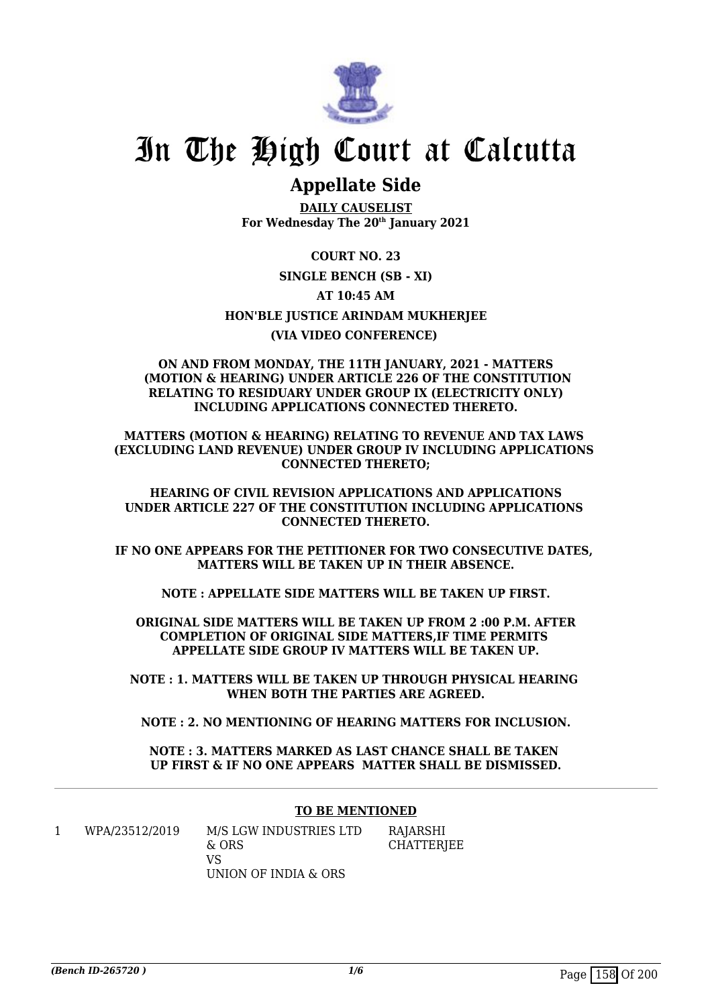

# **Appellate Side**

**DAILY CAUSELIST For Wednesday The 20th January 2021**

**COURT NO. 23 SINGLE BENCH (SB - XI) AT 10:45 AM HON'BLE JUSTICE ARINDAM MUKHERJEE (VIA VIDEO CONFERENCE)** 

#### **ON AND FROM MONDAY, THE 11TH JANUARY, 2021 - MATTERS (MOTION & HEARING) UNDER ARTICLE 226 OF THE CONSTITUTION RELATING TO RESIDUARY UNDER GROUP IX (ELECTRICITY ONLY) INCLUDING APPLICATIONS CONNECTED THERETO.**

**MATTERS (MOTION & HEARING) RELATING TO REVENUE AND TAX LAWS (EXCLUDING LAND REVENUE) UNDER GROUP IV INCLUDING APPLICATIONS CONNECTED THERETO;**

**HEARING OF CIVIL REVISION APPLICATIONS AND APPLICATIONS UNDER ARTICLE 227 OF THE CONSTITUTION INCLUDING APPLICATIONS CONNECTED THERETO.**

**IF NO ONE APPEARS FOR THE PETITIONER FOR TWO CONSECUTIVE DATES, MATTERS WILL BE TAKEN UP IN THEIR ABSENCE.**

**NOTE : APPELLATE SIDE MATTERS WILL BE TAKEN UP FIRST.**

**ORIGINAL SIDE MATTERS WILL BE TAKEN UP FROM 2 :00 P.M. AFTER COMPLETION OF ORIGINAL SIDE MATTERS,IF TIME PERMITS APPELLATE SIDE GROUP IV MATTERS WILL BE TAKEN UP.**

**NOTE : 1. MATTERS WILL BE TAKEN UP THROUGH PHYSICAL HEARING WHEN BOTH THE PARTIES ARE AGREED.**

**NOTE : 2. NO MENTIONING OF HEARING MATTERS FOR INCLUSION.**

**NOTE : 3. MATTERS MARKED AS LAST CHANCE SHALL BE TAKEN UP FIRST & IF NO ONE APPEARS MATTER SHALL BE DISMISSED.**

### **TO BE MENTIONED**

1 WPA/23512/2019 M/S LGW INDUSTRIES LTD & ORS VS UNION OF INDIA & ORS

RAJARSHI **CHATTERIEE**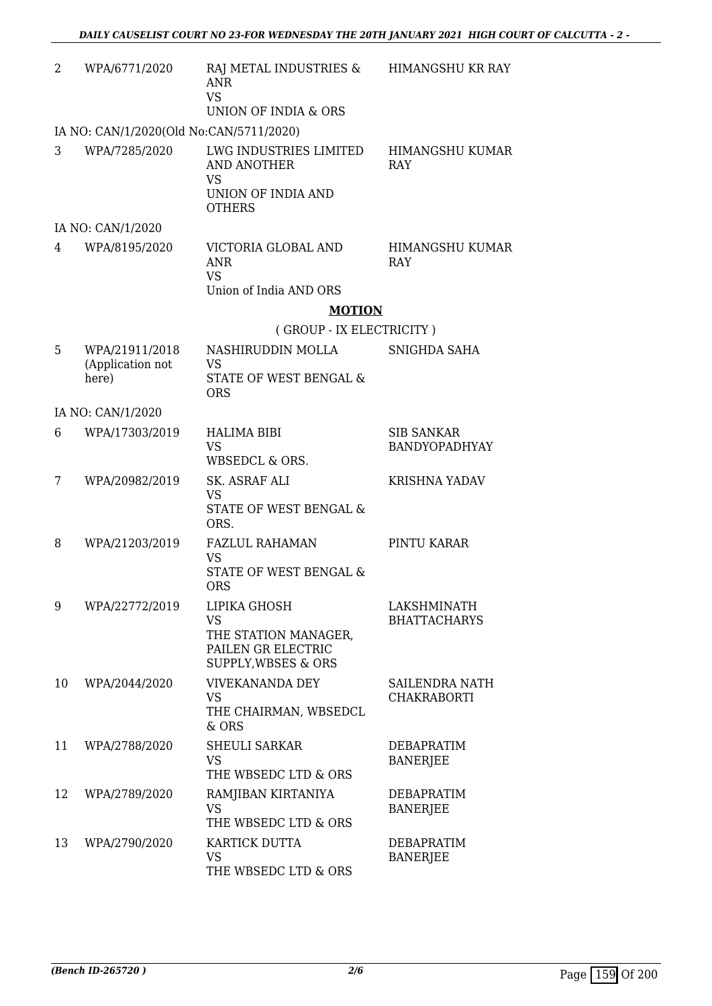| 2  | WPA/6771/2020                               | RAJ METAL INDUSTRIES &<br><b>ANR</b><br><b>VS</b><br>UNION OF INDIA & ORS                        | HIMANGSHU KR RAY                          |
|----|---------------------------------------------|--------------------------------------------------------------------------------------------------|-------------------------------------------|
|    | IA NO: CAN/1/2020(Old No:CAN/5711/2020)     |                                                                                                  |                                           |
| 3  | WPA/7285/2020                               | LWG INDUSTRIES LIMITED<br><b>AND ANOTHER</b><br><b>VS</b><br>UNION OF INDIA AND<br><b>OTHERS</b> | HIMANGSHU KUMAR<br>RAY                    |
|    | IA NO: CAN/1/2020                           |                                                                                                  |                                           |
| 4  | WPA/8195/2020                               | VICTORIA GLOBAL AND<br><b>ANR</b><br><b>VS</b>                                                   | HIMANGSHU KUMAR<br>RAY                    |
|    |                                             | Union of India AND ORS                                                                           |                                           |
|    |                                             | <b>MOTION</b>                                                                                    |                                           |
|    |                                             | (GROUP - IX ELECTRICITY)                                                                         |                                           |
| 5  | WPA/21911/2018<br>(Application not<br>here) | NASHIRUDDIN MOLLA<br><b>VS</b><br>STATE OF WEST BENGAL &<br><b>ORS</b>                           | SNIGHDA SAHA                              |
|    | IA NO: CAN/1/2020                           |                                                                                                  |                                           |
| 6  | WPA/17303/2019                              | <b>HALIMA BIBI</b><br><b>VS</b><br>WBSEDCL & ORS.                                                | <b>SIB SANKAR</b><br><b>BANDYOPADHYAY</b> |
| 7  | WPA/20982/2019                              | SK. ASRAF ALI<br><b>VS</b><br>STATE OF WEST BENGAL &<br>ORS.                                     | <b>KRISHNA YADAV</b>                      |
| 8  | WPA/21203/2019                              | FAZLUL RAHAMAN<br><b>VS</b><br>STATE OF WEST BENGAL &<br><b>ORS</b>                              | PINTU KARAR                               |
| 9  | WPA/22772/2019                              | LIPIKA GHOSH<br><b>VS</b><br>THE STATION MANAGER,<br>PAILEN GR ELECTRIC<br>SUPPLY, WBSES & ORS   | LAKSHMINATH<br><b>BHATTACHARYS</b>        |
| 10 | WPA/2044/2020                               | <b>VIVEKANANDA DEY</b><br><b>VS</b><br>THE CHAIRMAN, WBSEDCL<br>$&$ ORS                          | SAILENDRA NATH<br>CHAKRABORTI             |
| 11 | WPA/2788/2020                               | <b>SHEULI SARKAR</b><br>VS.<br>THE WBSEDC LTD & ORS                                              | <b>DEBAPRATIM</b><br><b>BANERJEE</b>      |
| 12 | WPA/2789/2020                               | RAMJIBAN KIRTANIYA<br><b>VS</b><br>THE WBSEDC LTD & ORS                                          | DEBAPRATIM<br><b>BANERJEE</b>             |
| 13 | WPA/2790/2020                               | KARTICK DUTTA<br><b>VS</b><br>THE WBSEDC LTD & ORS                                               | <b>DEBAPRATIM</b><br><b>BANERJEE</b>      |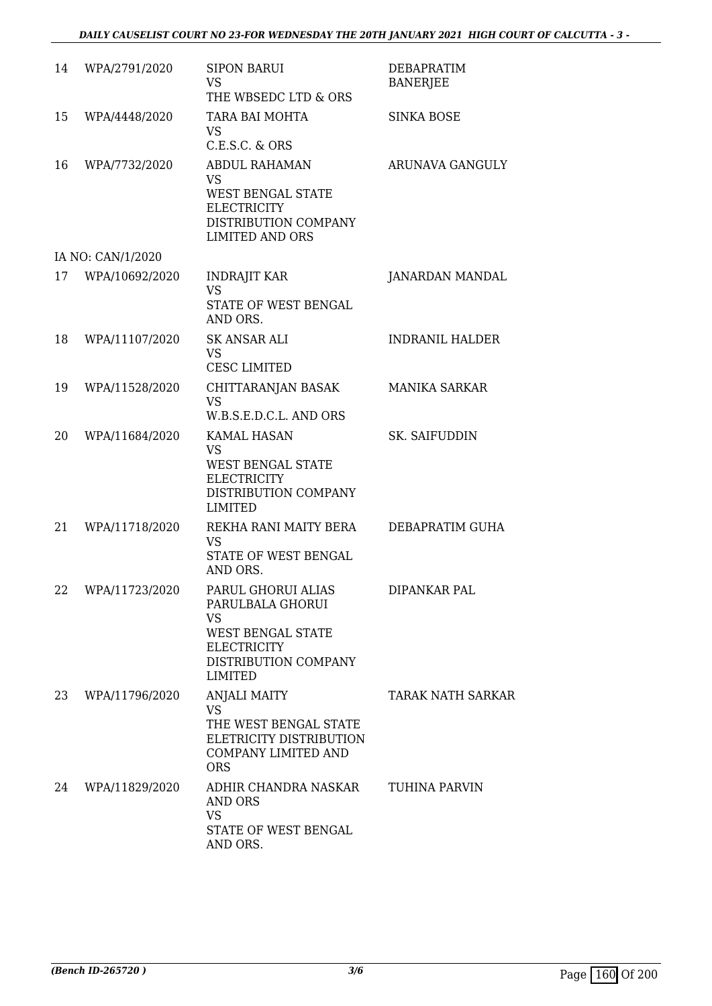| 14 | WPA/2791/2020     | <b>SIPON BARUI</b><br><b>VS</b><br>THE WBSEDC LTD & ORS                                                                                         | <b>DEBAPRATIM</b><br><b>BANERJEE</b> |
|----|-------------------|-------------------------------------------------------------------------------------------------------------------------------------------------|--------------------------------------|
| 15 | WPA/4448/2020     | TARA BAI MOHTA<br><b>VS</b><br>C.E.S.C. & ORS                                                                                                   | <b>SINKA BOSE</b>                    |
| 16 | WPA/7732/2020     | ABDUL RAHAMAN<br><b>VS</b><br><b>WEST BENGAL STATE</b><br><b>ELECTRICITY</b><br>DISTRIBUTION COMPANY<br><b>LIMITED AND ORS</b>                  | ARUNAVA GANGULY                      |
|    | IA NO: CAN/1/2020 |                                                                                                                                                 |                                      |
| 17 | WPA/10692/2020    | <b>INDRAJIT KAR</b><br><b>VS</b><br>STATE OF WEST BENGAL<br>AND ORS.                                                                            | JANARDAN MANDAL                      |
| 18 | WPA/11107/2020    | <b>SK ANSAR ALI</b><br><b>VS</b><br><b>CESC LIMITED</b>                                                                                         | <b>INDRANIL HALDER</b>               |
| 19 | WPA/11528/2020    | CHITTARANJAN BASAK<br><b>VS</b><br>W.B.S.E.D.C.L. AND ORS                                                                                       | <b>MANIKA SARKAR</b>                 |
| 20 | WPA/11684/2020    | <b>KAMAL HASAN</b><br><b>VS</b><br><b>WEST BENGAL STATE</b><br><b>ELECTRICITY</b><br>DISTRIBUTION COMPANY<br><b>LIMITED</b>                     | <b>SK. SAIFUDDIN</b>                 |
| 21 | WPA/11718/2020    | REKHA RANI MAITY BERA<br><b>VS</b><br>STATE OF WEST BENGAL<br>AND ORS.                                                                          | DEBAPRATIM GUHA                      |
| 22 | WPA/11723/2020    | PARUL GHORUI ALIAS<br>PARULBALA GHORUI<br><b>VS</b><br><b>WEST BENGAL STATE</b><br><b>ELECTRICITY</b><br>DISTRIBUTION COMPANY<br><b>LIMITED</b> | DIPANKAR PAL                         |
| 23 | WPA/11796/2020    | <b>ANJALI MAITY</b><br><b>VS</b><br>THE WEST BENGAL STATE<br>ELETRICITY DISTRIBUTION<br><b>COMPANY LIMITED AND</b><br><b>ORS</b>                | TARAK NATH SARKAR                    |
| 24 | WPA/11829/2020    | ADHIR CHANDRA NASKAR<br>AND ORS<br><b>VS</b><br>STATE OF WEST BENGAL<br>AND ORS.                                                                | TUHINA PARVIN                        |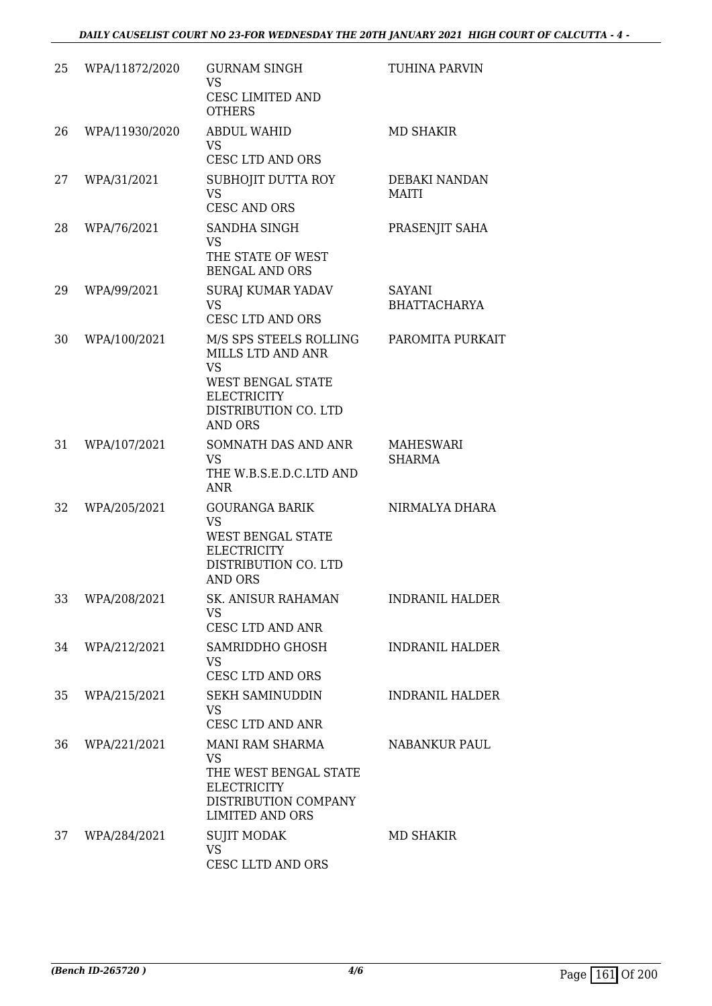| 25 | WPA/11872/2020 | <b>GURNAM SINGH</b><br><b>VS</b><br>CESC LIMITED AND<br><b>OTHERS</b>                                                                         | <b>TUHINA PARVIN</b>                 |
|----|----------------|-----------------------------------------------------------------------------------------------------------------------------------------------|--------------------------------------|
| 26 | WPA/11930/2020 | <b>ABDUL WAHID</b><br><b>VS</b><br><b>CESC LTD AND ORS</b>                                                                                    | <b>MD SHAKIR</b>                     |
| 27 | WPA/31/2021    | SUBHOJIT DUTTA ROY<br><b>VS</b><br><b>CESC AND ORS</b>                                                                                        | DEBAKI NANDAN<br><b>MAITI</b>        |
| 28 | WPA/76/2021    | SANDHA SINGH<br><b>VS</b><br>THE STATE OF WEST<br><b>BENGAL AND ORS</b>                                                                       | PRASENJIT SAHA                       |
| 29 | WPA/99/2021    | <b>SURAJ KUMAR YADAV</b><br><b>VS</b><br><b>CESC LTD AND ORS</b>                                                                              | <b>SAYANI</b><br><b>BHATTACHARYA</b> |
| 30 | WPA/100/2021   | M/S SPS STEELS ROLLING<br>MILLS LTD AND ANR<br><b>VS</b><br>WEST BENGAL STATE<br><b>ELECTRICITY</b><br>DISTRIBUTION CO. LTD<br><b>AND ORS</b> | PAROMITA PURKAIT                     |
| 31 | WPA/107/2021   | SOMNATH DAS AND ANR<br><b>VS</b><br>THE W.B.S.E.D.C.LTD AND<br><b>ANR</b>                                                                     | <b>MAHESWARI</b><br><b>SHARMA</b>    |
| 32 | WPA/205/2021   | <b>GOURANGA BARIK</b><br><b>VS</b><br><b>WEST BENGAL STATE</b><br><b>ELECTRICITY</b><br>DISTRIBUTION CO. LTD<br><b>AND ORS</b>                | NIRMALYA DHARA                       |
| 33 | WPA/208/2021   | SK. ANISUR RAHAMAN<br><b>VS</b><br>CESC LTD AND ANR                                                                                           | <b>INDRANIL HALDER</b>               |
| 34 | WPA/212/2021   | SAMRIDDHO GHOSH<br>VS.<br><b>CESC LTD AND ORS</b>                                                                                             | <b>INDRANIL HALDER</b>               |
| 35 | WPA/215/2021   | <b>SEKH SAMINUDDIN</b><br><b>VS</b><br><b>CESC LTD AND ANR</b>                                                                                | <b>INDRANIL HALDER</b>               |
| 36 | WPA/221/2021   | MANI RAM SHARMA<br><b>VS</b><br>THE WEST BENGAL STATE<br><b>ELECTRICITY</b><br>DISTRIBUTION COMPANY<br><b>LIMITED AND ORS</b>                 | <b>NABANKUR PAUL</b>                 |
| 37 | WPA/284/2021   | <b>SUJIT MODAK</b><br>VS<br>CESC LLTD AND ORS                                                                                                 | MD SHAKIR                            |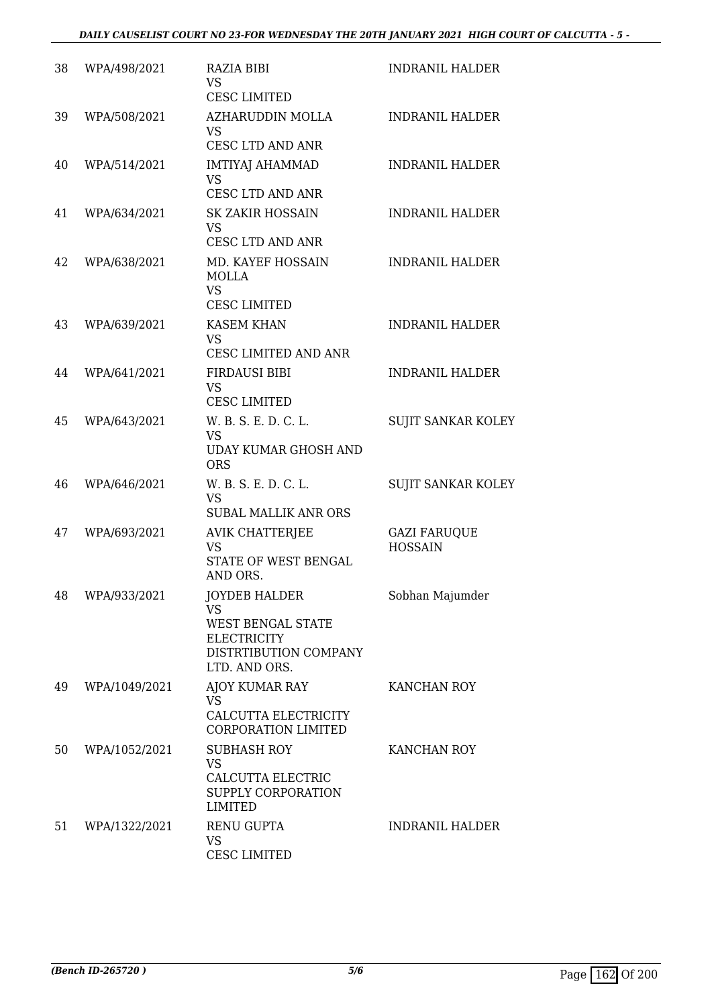| 38 | WPA/498/2021  | RAZIA BIBI<br><b>VS</b><br><b>CESC LIMITED</b>                                                                                | <b>INDRANIL HALDER</b>                |
|----|---------------|-------------------------------------------------------------------------------------------------------------------------------|---------------------------------------|
| 39 | WPA/508/2021  | AZHARUDDIN MOLLA<br><b>VS</b>                                                                                                 | <b>INDRANIL HALDER</b>                |
| 40 | WPA/514/2021  | <b>CESC LTD AND ANR</b><br><b>IMTIYAJ AHAMMAD</b><br><b>VS</b>                                                                | <b>INDRANIL HALDER</b>                |
| 41 | WPA/634/2021  | CESC LTD AND ANR<br><b>SK ZAKIR HOSSAIN</b><br><b>VS</b>                                                                      | <b>INDRANIL HALDER</b>                |
| 42 | WPA/638/2021  | <b>CESC LTD AND ANR</b><br>MD. KAYEF HOSSAIN<br><b>MOLLA</b><br><b>VS</b>                                                     | <b>INDRANIL HALDER</b>                |
| 43 | WPA/639/2021  | <b>CESC LIMITED</b><br><b>KASEM KHAN</b><br><b>VS</b>                                                                         | <b>INDRANIL HALDER</b>                |
| 44 | WPA/641/2021  | CESC LIMITED AND ANR<br><b>FIRDAUSI BIBI</b><br><b>VS</b><br><b>CESC LIMITED</b>                                              | <b>INDRANIL HALDER</b>                |
| 45 | WPA/643/2021  | W. B. S. E. D. C. L.<br><b>VS</b><br><b>UDAY KUMAR GHOSH AND</b><br><b>ORS</b>                                                | <b>SUJIT SANKAR KOLEY</b>             |
| 46 | WPA/646/2021  | W. B. S. E. D. C. L.<br><b>VS</b><br><b>SUBAL MALLIK ANR ORS</b>                                                              | <b>SUJIT SANKAR KOLEY</b>             |
| 47 | WPA/693/2021  | <b>AVIK CHATTERJEE</b><br><b>VS</b><br><b>STATE OF WEST BENGAL</b><br>AND ORS.                                                | <b>GAZI FARUQUE</b><br><b>HOSSAIN</b> |
| 48 | WPA/933/2021  | <b>JOYDEB HALDER</b><br><b>VS</b><br><b>WEST BENGAL STATE</b><br><b>ELECTRICITY</b><br>DISTRTIBUTION COMPANY<br>LTD. AND ORS. | Sobhan Majumder                       |
| 49 | WPA/1049/2021 | AJOY KUMAR RAY<br><b>VS</b><br>CALCUTTA ELECTRICITY<br><b>CORPORATION LIMITED</b>                                             | KANCHAN ROY                           |
| 50 | WPA/1052/2021 | <b>SUBHASH ROY</b><br><b>VS</b><br>CALCUTTA ELECTRIC<br>SUPPLY CORPORATION<br><b>LIMITED</b>                                  | KANCHAN ROY                           |
| 51 | WPA/1322/2021 | <b>RENU GUPTA</b><br><b>VS</b><br><b>CESC LIMITED</b>                                                                         | <b>INDRANIL HALDER</b>                |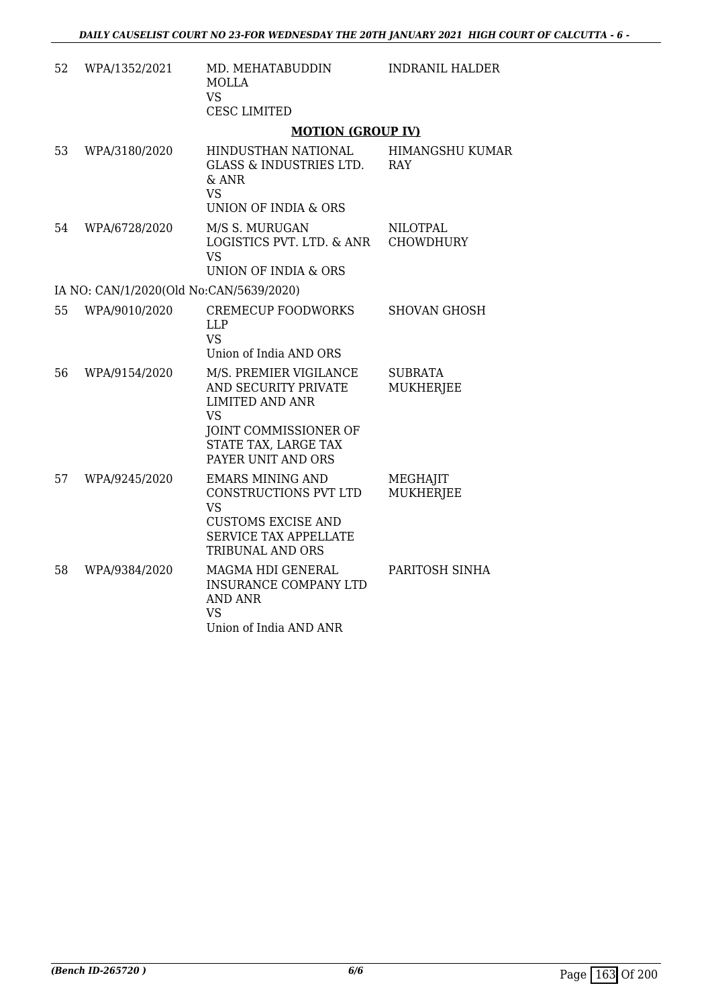| 52 | WPA/1352/2021                           | MD. MEHATABUDDIN<br><b>MOLLA</b><br><b>VS</b><br><b>CESC LIMITED</b>                                                                                         | <b>INDRANIL HALDER</b>              |
|----|-----------------------------------------|--------------------------------------------------------------------------------------------------------------------------------------------------------------|-------------------------------------|
|    |                                         | <b>MOTION (GROUP IV)</b>                                                                                                                                     |                                     |
| 53 | WPA/3180/2020                           | HINDUSTHAN NATIONAL<br><b>GLASS &amp; INDUSTRIES LTD.</b><br>& ANR<br><b>VS</b><br>UNION OF INDIA & ORS                                                      | HIMANGSHU KUMAR<br><b>RAY</b>       |
| 54 | WPA/6728/2020                           | M/S S. MURUGAN<br>LOGISTICS PVT. LTD. & ANR<br><b>VS</b><br>UNION OF INDIA & ORS                                                                             | <b>NILOTPAL</b><br><b>CHOWDHURY</b> |
|    | IA NO: CAN/1/2020(Old No:CAN/5639/2020) |                                                                                                                                                              |                                     |
| 55 | WPA/9010/2020                           | <b>CREMECUP FOODWORKS</b><br><b>LLP</b><br><b>VS</b><br>Union of India AND ORS                                                                               | <b>SHOVAN GHOSH</b>                 |
| 56 | WPA/9154/2020                           | M/S. PREMIER VIGILANCE<br>AND SECURITY PRIVATE<br><b>LIMITED AND ANR</b><br><b>VS</b><br>JOINT COMMISSIONER OF<br>STATE TAX, LARGE TAX<br>PAYER UNIT AND ORS | <b>SUBRATA</b><br>MUKHERJEE         |
| 57 | WPA/9245/2020                           | <b>EMARS MINING AND</b><br>CONSTRUCTIONS PVT LTD<br><b>VS</b><br><b>CUSTOMS EXCISE AND</b><br><b>SERVICE TAX APPELLATE</b><br>TRIBUNAL AND ORS               | MEGHAJIT<br>MUKHERJEE               |
| 58 | WPA/9384/2020                           | MAGMA HDI GENERAL<br><b>INSURANCE COMPANY LTD</b><br><b>AND ANR</b><br><b>VS</b><br>Union of India AND ANR                                                   | PARITOSH SINHA                      |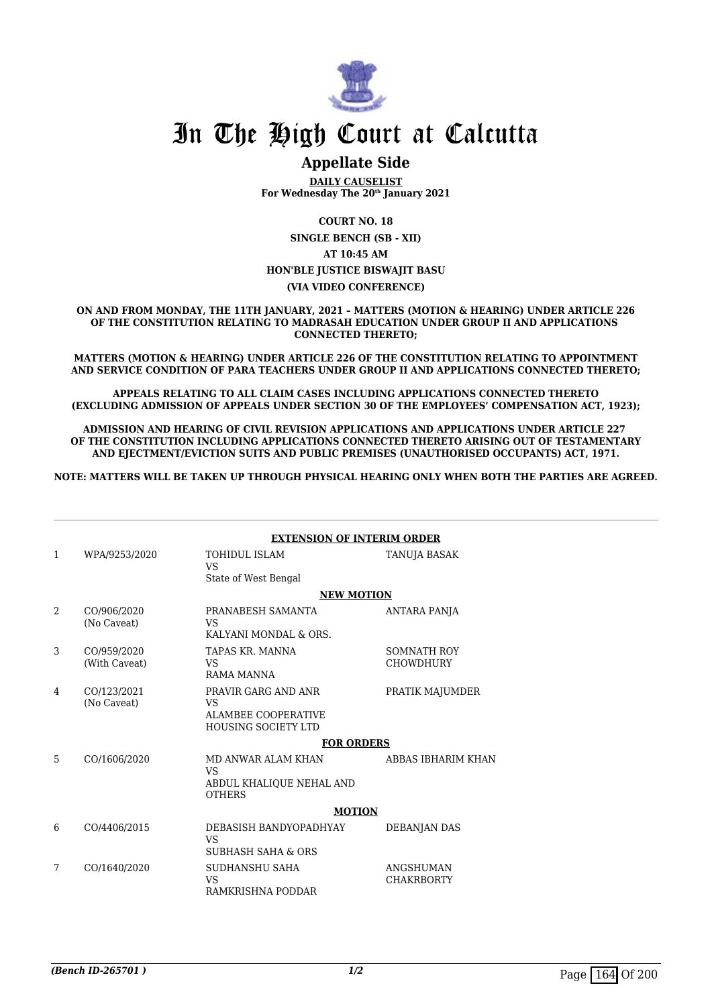

# **Appellate Side**

**DAILY CAUSELIST For Wednesday The 20th January 2021**

**COURT NO. 18**

**SINGLE BENCH (SB - XII) AT 10:45 AM HON'BLE JUSTICE BISWAJIT BASU (VIA VIDEO CONFERENCE)**

**ON AND FROM MONDAY, THE 11TH JANUARY, 2021 – MATTERS (MOTION & HEARING) UNDER ARTICLE 226 OF THE CONSTITUTION RELATING TO MADRASAH EDUCATION UNDER GROUP II AND APPLICATIONS CONNECTED THERETO;**

**MATTERS (MOTION & HEARING) UNDER ARTICLE 226 OF THE CONSTITUTION RELATING TO APPOINTMENT AND SERVICE CONDITION OF PARA TEACHERS UNDER GROUP II AND APPLICATIONS CONNECTED THERETO;**

**APPEALS RELATING TO ALL CLAIM CASES INCLUDING APPLICATIONS CONNECTED THERETO (EXCLUDING ADMISSION OF APPEALS UNDER SECTION 30 OF THE EMPLOYEES' COMPENSATION ACT, 1923);**

**ADMISSION AND HEARING OF CIVIL REVISION APPLICATIONS AND APPLICATIONS UNDER ARTICLE 227 OF THE CONSTITUTION INCLUDING APPLICATIONS CONNECTED THERETO ARISING OUT OF TESTAMENTARY AND EJECTMENT/EVICTION SUITS AND PUBLIC PREMISES (UNAUTHORISED OCCUPANTS) ACT, 1971.**

**NOTE: MATTERS WILL BE TAKEN UP THROUGH PHYSICAL HEARING ONLY WHEN BOTH THE PARTIES ARE AGREED.**

|              |                              | <b>EXTENSION OF INTERIM ORDER</b>                                               |                                        |
|--------------|------------------------------|---------------------------------------------------------------------------------|----------------------------------------|
| $\mathbf{1}$ | WPA/9253/2020                | <b>TOHIDUL ISLAM</b><br><b>VS</b><br>State of West Bengal                       | TANUJA BASAK                           |
|              |                              | <b>NEW MOTION</b>                                                               |                                        |
| 2            | CO/906/2020<br>(No Caveat)   | PRANABESH SAMANTA<br>VS.<br>KALYANI MONDAL & ORS.                               | ANTARA PANJA                           |
| 3            | CO/959/2020<br>(With Caveat) | TAPAS KR. MANNA<br>VS.<br>RAMA MANNA                                            | <b>SOMNATH ROY</b><br><b>CHOWDHURY</b> |
| 4            | CO/123/2021<br>(No Caveat)   | PRAVIR GARG AND ANR<br>VS.<br>ALAMBEE COOPERATIVE<br><b>HOUSING SOCIETY LTD</b> | PRATIK MAJUMDER                        |
|              |                              | <b>FOR ORDERS</b>                                                               |                                        |
| 5            | CO/1606/2020                 | MD ANWAR ALAM KHAN<br><b>VS</b><br>ABDUL KHALIQUE NEHAL AND<br><b>OTHERS</b>    | ABBAS IBHARIM KHAN                     |
|              |                              | <b>MOTION</b>                                                                   |                                        |
| 6            | CO/4406/2015                 | DEBASISH BANDYOPADHYAY<br>VS<br><b>SUBHASH SAHA &amp; ORS</b>                   | <b>DEBANJAN DAS</b>                    |
| 7            | CO/1640/2020                 | SUDHANSHU SAHA<br>VS<br>RAMKRISHNA PODDAR                                       | ANGSHUMAN<br><b>CHAKRBORTY</b>         |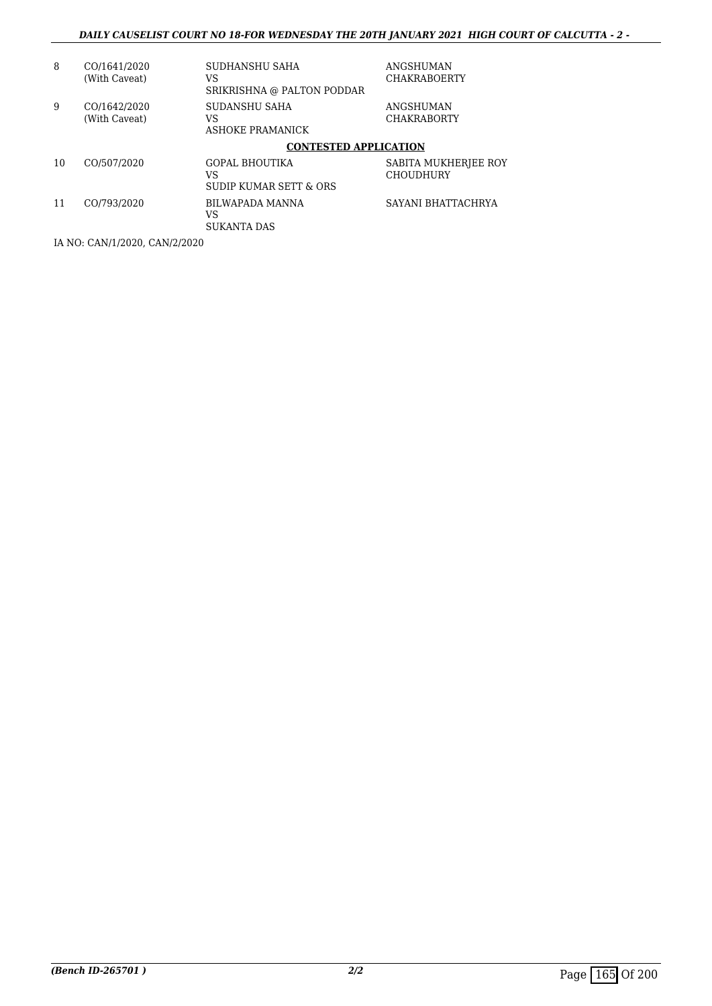| 8                             | CO/1641/2020<br>(With Caveat) | SUDHANSHU SAHA<br>VS<br>SRIKRISHNA @ PALTON PODDAR    | ANGSHUMAN<br><b>CHAKRABOERTY</b>         |  |
|-------------------------------|-------------------------------|-------------------------------------------------------|------------------------------------------|--|
| 9                             | CO/1642/2020<br>(With Caveat) | SUDANSHU SAHA<br>VS<br>ASHOKE PRAMANICK               | ANGSHUMAN<br><b>CHAKRABORTY</b>          |  |
|                               |                               | <b>CONTESTED APPLICATION</b>                          |                                          |  |
| 10                            | CO/507/2020                   | <b>GOPAL BHOUTIKA</b><br>VS<br>SUDIP KUMAR SETT & ORS | SABITA MUKHERJEE ROY<br><b>CHOUDHURY</b> |  |
| 11                            | CO/793/2020                   | BILWAPADA MANNA<br>VS<br><b>SUKANTA DAS</b>           | SAYANI BHATTACHRYA                       |  |
| IA NO: CAN/1/2020, CAN/2/2020 |                               |                                                       |                                          |  |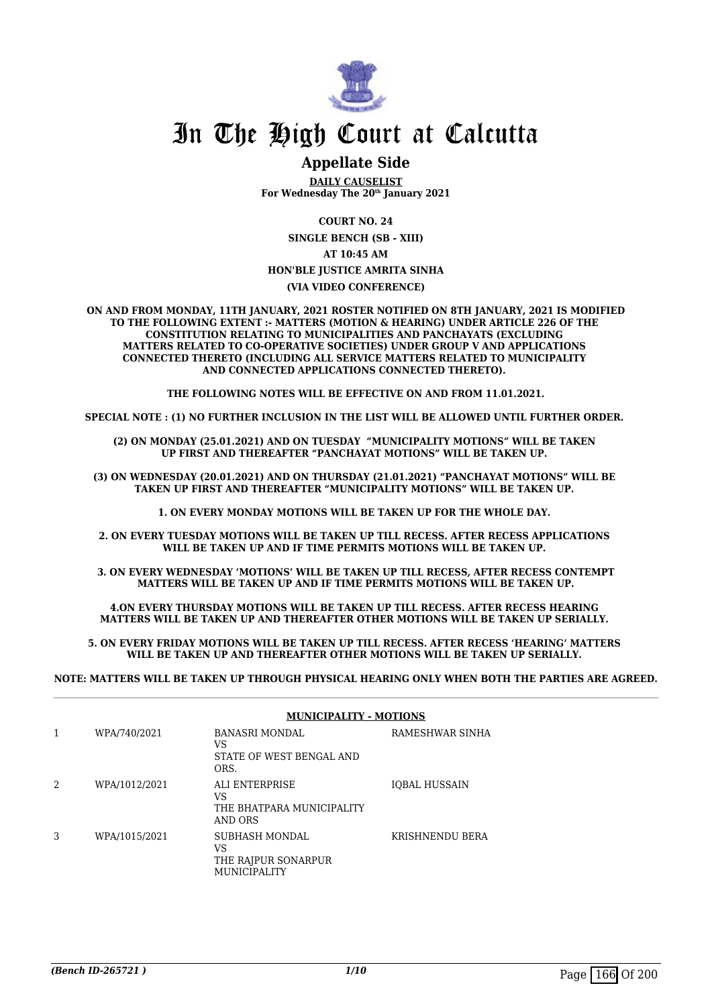

# **Appellate Side**

**DAILY CAUSELIST For Wednesday The 20th January 2021**

**COURT NO. 24**

**SINGLE BENCH (SB - XIII) AT 10:45 AM HON'BLE JUSTICE AMRITA SINHA**

#### **(VIA VIDEO CONFERENCE)**

**ON AND FROM MONDAY, 11TH JANUARY, 2021 ROSTER NOTIFIED ON 8TH JANUARY, 2021 IS MODIFIED TO THE FOLLOWING EXTENT :- MATTERS (MOTION & HEARING) UNDER ARTICLE 226 OF THE CONSTITUTION RELATING TO MUNICIPALITIES AND PANCHAYATS (EXCLUDING MATTERS RELATED TO CO-OPERATIVE SOCIETIES) UNDER GROUP V AND APPLICATIONS CONNECTED THERETO (INCLUDING ALL SERVICE MATTERS RELATED TO MUNICIPALITY AND CONNECTED APPLICATIONS CONNECTED THERETO).** 

**THE FOLLOWING NOTES WILL BE EFFECTIVE ON AND FROM 11.01.2021.**

**SPECIAL NOTE : (1) NO FURTHER INCLUSION IN THE LIST WILL BE ALLOWED UNTIL FURTHER ORDER.** 

**(2) ON MONDAY (25.01.2021) AND ON TUESDAY "MUNICIPALITY MOTIONS" WILL BE TAKEN UP FIRST AND THEREAFTER "PANCHAYAT MOTIONS" WILL BE TAKEN UP.** 

**(3) ON WEDNESDAY (20.01.2021) AND ON THURSDAY (21.01.2021) "PANCHAYAT MOTIONS" WILL BE TAKEN UP FIRST AND THEREAFTER "MUNICIPALITY MOTIONS" WILL BE TAKEN UP.** 

**1. ON EVERY MONDAY MOTIONS WILL BE TAKEN UP FOR THE WHOLE DAY.** 

**2. ON EVERY TUESDAY MOTIONS WILL BE TAKEN UP TILL RECESS. AFTER RECESS APPLICATIONS**  WILL BE TAKEN UP AND IF TIME PERMITS MOTIONS WILL BE TAKEN UP.

**3. ON EVERY WEDNESDAY 'MOTIONS' WILL BE TAKEN UP TILL RECESS, AFTER RECESS CONTEMPT MATTERS WILL BE TAKEN UP AND IF TIME PERMITS MOTIONS WILL BE TAKEN UP.**

**4.ON EVERY THURSDAY MOTIONS WILL BE TAKEN UP TILL RECESS. AFTER RECESS HEARING MATTERS WILL BE TAKEN UP AND THEREAFTER OTHER MOTIONS WILL BE TAKEN UP SERIALLY.** 

**5. ON EVERY FRIDAY MOTIONS WILL BE TAKEN UP TILL RECESS. AFTER RECESS 'HEARING' MATTERS WILL BE TAKEN UP AND THEREAFTER OTHER MOTIONS WILL BE TAKEN UP SERIALLY.** 

**NOTE: MATTERS WILL BE TAKEN UP THROUGH PHYSICAL HEARING ONLY WHEN BOTH THE PARTIES ARE AGREED.**

|   |               | <b>MUNICIPALITY - MOTIONS</b>                                             |                 |
|---|---------------|---------------------------------------------------------------------------|-----------------|
|   | WPA/740/2021  | BANASRI MONDAL<br>VS<br>STATE OF WEST BENGAL AND<br>ORS.                  | RAMESHWAR SINHA |
| 2 | WPA/1012/2021 | ALI ENTERPRISE<br>VS<br>THE BHATPARA MUNICIPALITY<br>AND ORS              | IOBAL HUSSAIN   |
| 3 | WPA/1015/2021 | <b>SUBHASH MONDAL</b><br>VS<br>THE RAJPUR SONARPUR<br><b>MUNICIPALITY</b> | KRISHNENDU BERA |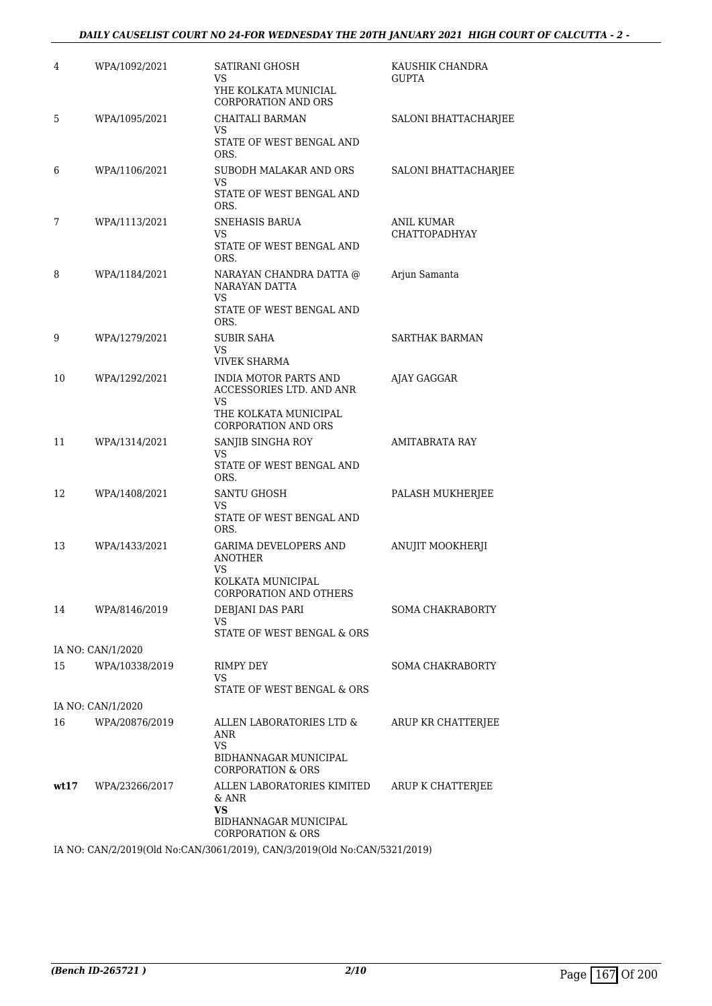# *DAILY CAUSELIST COURT NO 24-FOR WEDNESDAY THE 20TH JANUARY 2021 HIGH COURT OF CALCUTTA - 2 -*

| 4    | WPA/1092/2021     | SATIRANI GHOSH<br>VS<br>YHE KOLKATA MUNICIAL                              | KAUSHIK CHANDRA<br><b>GUPTA</b>    |
|------|-------------------|---------------------------------------------------------------------------|------------------------------------|
| 5    | WPA/1095/2021     | <b>CORPORATION AND ORS</b><br>CHAITALI BARMAN<br>VS                       | SALONI BHATTACHARJEE               |
|      |                   | STATE OF WEST BENGAL AND<br>ORS.                                          |                                    |
| 6    | WPA/1106/2021     | SUBODH MALAKAR AND ORS<br>VS                                              | SALONI BHATTACHARJEE               |
|      |                   | STATE OF WEST BENGAL AND<br>ORS.                                          |                                    |
| 7    | WPA/1113/2021     | SNEHASIS BARUA<br>VS                                                      | ANIL KUMAR<br><b>CHATTOPADHYAY</b> |
|      |                   | STATE OF WEST BENGAL AND<br>ORS.                                          |                                    |
| 8    | WPA/1184/2021     | NARAYAN CHANDRA DATTA @<br>NARAYAN DATTA                                  | Arjun Samanta                      |
|      |                   | VS<br>STATE OF WEST BENGAL AND<br>ORS.                                    |                                    |
| 9    | WPA/1279/2021     | SUBIR SAHA                                                                | SARTHAK BARMAN                     |
|      |                   | VS<br><b>VIVEK SHARMA</b>                                                 |                                    |
| 10   | WPA/1292/2021     | <b>INDIA MOTOR PARTS AND</b><br>ACCESSORIES LTD. AND ANR                  | AJAY GAGGAR                        |
|      |                   | VS<br>THE KOLKATA MUNICIPAL<br><b>CORPORATION AND ORS</b>                 |                                    |
| 11   | WPA/1314/2021     | SANJIB SINGHA ROY                                                         | <b>AMITABRATA RAY</b>              |
|      |                   | VS<br>STATE OF WEST BENGAL AND<br>ORS.                                    |                                    |
| 12   | WPA/1408/2021     | SANTU GHOSH<br>VS                                                         | PALASH MUKHERJEE                   |
|      |                   | STATE OF WEST BENGAL AND<br>ORS.                                          |                                    |
| 13   | WPA/1433/2021     | <b>GARIMA DEVELOPERS AND</b><br><b>ANOTHER</b>                            | ANUJIT MOOKHERJI                   |
|      |                   | VS.<br>KOLKATA MUNICIPAL<br><b>CORPORATION AND OTHERS</b>                 |                                    |
| 14   | WPA/8146/2019     | DEBJANI DAS PARI                                                          | <b>SOMA CHAKRABORTY</b>            |
|      |                   | VS<br>STATE OF WEST BENGAL & ORS                                          |                                    |
|      | IA NO: CAN/1/2020 |                                                                           |                                    |
| 15   | WPA/10338/2019    | RIMPY DEY<br>VS                                                           | <b>SOMA CHAKRABORTY</b>            |
|      | IA NO: CAN/1/2020 | STATE OF WEST BENGAL & ORS                                                |                                    |
| 16   | WPA/20876/2019    | ALLEN LABORATORIES LTD &                                                  | ARUP KR CHATTERJEE                 |
|      |                   | ANR<br>VS<br>BIDHANNAGAR MUNICIPAL                                        |                                    |
| wt17 | WPA/23266/2017    | <b>CORPORATION &amp; ORS</b><br>ALLEN LABORATORIES KIMITED                | ARUP K CHATTERJEE                  |
|      |                   | & ANR<br><b>VS</b><br>BIDHANNAGAR MUNICIPAL                               |                                    |
|      |                   | <b>CORPORATION &amp; ORS</b>                                              |                                    |
|      |                   | IA NO: CAN/2/2019(Old No:CAN/3061/2019), CAN/3/2019(Old No:CAN/5321/2019) |                                    |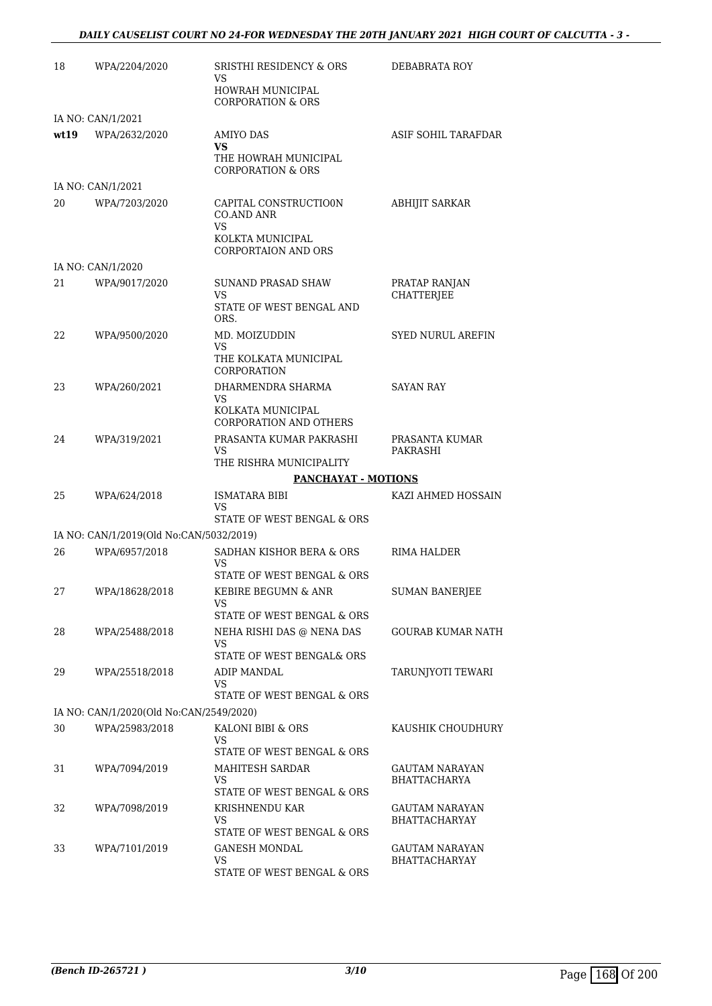# *DAILY CAUSELIST COURT NO 24-FOR WEDNESDAY THE 20TH JANUARY 2021 HIGH COURT OF CALCUTTA - 3 -*

| 18   | WPA/2204/2020                           | SRISTHI RESIDENCY & ORS<br>VS                                | DEBABRATA ROY                                 |
|------|-----------------------------------------|--------------------------------------------------------------|-----------------------------------------------|
|      |                                         | HOWRAH MUNICIPAL<br><b>CORPORATION &amp; ORS</b>             |                                               |
|      | IA NO: CAN/1/2021                       |                                                              |                                               |
| wt19 | WPA/2632/2020                           | AMIYO DAS<br><b>VS</b><br>THE HOWRAH MUNICIPAL               | ASIF SOHIL TARAFDAR                           |
|      |                                         | <b>CORPORATION &amp; ORS</b>                                 |                                               |
|      | IA NO: CAN/1/2021                       |                                                              |                                               |
| 20   | WPA/7203/2020                           | CAPITAL CONSTRUCTIO0N<br><b>CO.AND ANR</b><br>VS             | <b>ABHIJIT SARKAR</b>                         |
|      |                                         | KOLKTA MUNICIPAL<br>CORPORTAION AND ORS                      |                                               |
|      | IA NO: CAN/1/2020                       |                                                              |                                               |
| 21   | WPA/9017/2020                           | <b>SUNAND PRASAD SHAW</b><br>VS                              | PRATAP RANJAN<br><b>CHATTERJEE</b>            |
|      |                                         | STATE OF WEST BENGAL AND<br>ORS.                             |                                               |
| 22   | WPA/9500/2020                           | MD. MOIZUDDIN<br>VS.                                         | <b>SYED NURUL AREFIN</b>                      |
|      |                                         | THE KOLKATA MUNICIPAL<br>CORPORATION                         |                                               |
| 23   | WPA/260/2021                            | DHARMENDRA SHARMA<br>VS.                                     | <b>SAYAN RAY</b>                              |
|      |                                         | KOLKATA MUNICIPAL<br>CORPORATION AND OTHERS                  |                                               |
| 24   | WPA/319/2021                            | PRASANTA KUMAR PAKRASHI<br>VS.                               | PRASANTA KUMAR<br>PAKRASHI                    |
|      |                                         | THE RISHRA MUNICIPALITY                                      |                                               |
|      |                                         | <b>PANCHAYAT - MOTIONS</b>                                   |                                               |
| 25   | WPA/624/2018                            | ISMATARA BIBI<br>VS<br>STATE OF WEST BENGAL & ORS            | KAZI AHMED HOSSAIN                            |
|      | IA NO: CAN/1/2019(Old No:CAN/5032/2019) |                                                              |                                               |
| 26   | WPA/6957/2018                           | SADHAN KISHOR BERA & ORS                                     | RIMA HALDER                                   |
|      |                                         | VS<br>STATE OF WEST BENGAL & ORS                             |                                               |
| 27   | WPA/18628/2018                          | KEBIRE BEGUMN & ANR<br>VS                                    | <b>SUMAN BANERJEE</b>                         |
|      |                                         | STATE OF WEST BENGAL & ORS                                   |                                               |
| 28   | WPA/25488/2018                          | NEHA RISHI DAS @ NENA DAS<br>VS<br>STATE OF WEST BENGAL& ORS | GOURAB KUMAR NATH                             |
| 29   | WPA/25518/2018                          | ADIP MANDAL                                                  | TARUNJYOTI TEWARI                             |
|      |                                         | VS.                                                          |                                               |
|      |                                         | STATE OF WEST BENGAL & ORS                                   |                                               |
|      | IA NO: CAN/1/2020(Old No:CAN/2549/2020) |                                                              |                                               |
| 30   | WPA/25983/2018                          | KALONI BIBI & ORS<br>VS<br>STATE OF WEST BENGAL & ORS        | KAUSHIK CHOUDHURY                             |
| 31   | WPA/7094/2019                           | MAHITESH SARDAR                                              | GAUTAM NARAYAN                                |
|      |                                         | VS<br>STATE OF WEST BENGAL & ORS                             | <b>BHATTACHARYA</b>                           |
| 32   | WPA/7098/2019                           | KRISHNENDU KAR<br>VS                                         | GAUTAM NARAYAN<br><b>BHATTACHARYAY</b>        |
|      |                                         | STATE OF WEST BENGAL & ORS                                   |                                               |
| 33   | WPA/7101/2019                           | GANESH MONDAL<br>VS                                          | <b>GAUTAM NARAYAN</b><br><b>BHATTACHARYAY</b> |
|      |                                         | STATE OF WEST BENGAL & ORS                                   |                                               |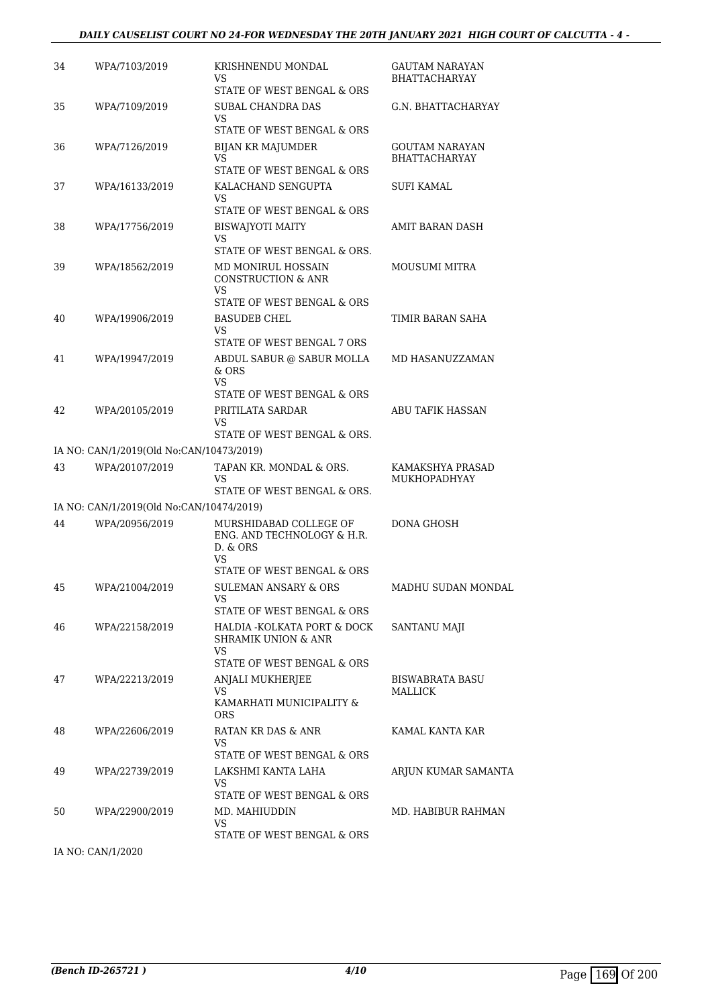# *DAILY CAUSELIST COURT NO 24-FOR WEDNESDAY THE 20TH JANUARY 2021 HIGH COURT OF CALCUTTA - 4 -*

| 34 | WPA/7103/2019                            | KRISHNENDU MONDAL<br>VS<br>STATE OF WEST BENGAL & ORS                                                | GAUTAM NARAYAN<br><b>BHATTACHARYAY</b> |
|----|------------------------------------------|------------------------------------------------------------------------------------------------------|----------------------------------------|
| 35 | WPA/7109/2019                            | SUBAL CHANDRA DAS<br>VS                                                                              | G.N. BHATTACHARYAY                     |
| 36 | WPA/7126/2019                            | STATE OF WEST BENGAL & ORS<br>BIJAN KR MAJUMDER<br>VS<br>STATE OF WEST BENGAL & ORS                  | GOUTAM NARAYAN<br><b>BHATTACHARYAY</b> |
| 37 | WPA/16133/2019                           | KALACHAND SENGUPTA<br>VS<br>STATE OF WEST BENGAL & ORS                                               | <b>SUFI KAMAL</b>                      |
| 38 | WPA/17756/2019                           | <b>BISWAJYOTI MAITY</b><br>VS<br>STATE OF WEST BENGAL & ORS.                                         | AMIT BARAN DASH                        |
| 39 | WPA/18562/2019                           | MD MONIRUL HOSSAIN<br><b>CONSTRUCTION &amp; ANR</b><br>VS<br>STATE OF WEST BENGAL & ORS              | <b>MOUSUMI MITRA</b>                   |
| 40 | WPA/19906/2019                           | <b>BASUDEB CHEL</b><br>VS                                                                            | TIMIR BARAN SAHA                       |
| 41 | WPA/19947/2019                           | STATE OF WEST BENGAL 7 ORS<br>ABDUL SABUR @ SABUR MOLLA<br>$&$ ORS<br>VS.                            | MD HASANUZZAMAN                        |
| 42 | WPA/20105/2019                           | STATE OF WEST BENGAL & ORS<br>PRITILATA SARDAR<br>VS<br>STATE OF WEST BENGAL & ORS.                  | <b>ABU TAFIK HASSAN</b>                |
|    | IA NO: CAN/1/2019(Old No:CAN/10473/2019) |                                                                                                      |                                        |
| 43 | WPA/20107/2019                           | TAPAN KR. MONDAL & ORS.<br>VS<br>STATE OF WEST BENGAL & ORS.                                         | KAMAKSHYA PRASAD<br>MUKHOPADHYAY       |
|    | IA NO: CAN/1/2019(Old No:CAN/10474/2019) |                                                                                                      |                                        |
| 44 | WPA/20956/2019                           | MURSHIDABAD COLLEGE OF<br>ENG. AND TECHNOLOGY & H.R.<br>D. & ORS<br>VS<br>STATE OF WEST BENGAL & ORS | DONA GHOSH                             |
| 45 | WPA/21004/2019                           | SULEMAN ANSARY & ORS<br>VS<br>STATE OF WEST BENGAL & ORS                                             | MADHU SUDAN MONDAL                     |
| 46 | WPA/22158/2019                           | HALDIA -KOLKATA PORT & DOCK<br>SHRAMIK UNION & ANR<br>VS                                             | <b>SANTANU MAJI</b>                    |
| 47 | WPA/22213/2019                           | STATE OF WEST BENGAL & ORS<br>ANJALI MUKHERJEE<br>VS.<br>KAMARHATI MUNICIPALITY &<br><b>ORS</b>      | <b>BISWABRATA BASU</b><br>MALLICK      |
| 48 | WPA/22606/2019                           | RATAN KR DAS & ANR<br>VS<br>STATE OF WEST BENGAL & ORS                                               | KAMAL KANTA KAR                        |
| 49 | WPA/22739/2019                           | LAKSHMI KANTA LAHA<br>VS.                                                                            | ARJUN KUMAR SAMANTA                    |
| 50 | WPA/22900/2019                           | STATE OF WEST BENGAL & ORS<br>MD. MAHIUDDIN<br>VS                                                    | MD. HABIBUR RAHMAN                     |
|    |                                          | STATE OF WEST BENGAL & ORS                                                                           |                                        |

IA NO: CAN/1/2020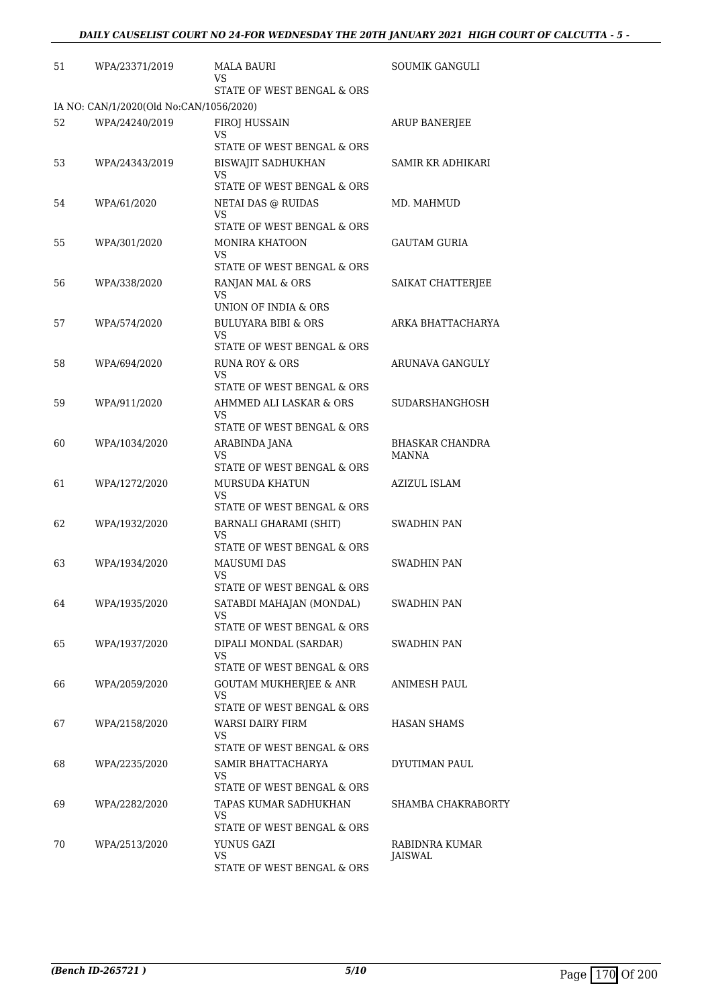| 51 | WPA/23371/2019                          | MALA BAURI<br>VS                                                      | SOUMIK GANGULI           |
|----|-----------------------------------------|-----------------------------------------------------------------------|--------------------------|
|    |                                         | STATE OF WEST BENGAL & ORS                                            |                          |
|    | IA NO: CAN/1/2020(Old No:CAN/1056/2020) |                                                                       |                          |
| 52 | WPA/24240/2019                          | FIROJ HUSSAIN<br>VS<br>STATE OF WEST BENGAL & ORS                     | <b>ARUP BANERJEE</b>     |
| 53 | WPA/24343/2019                          | <b>BISWAJIT SADHUKHAN</b><br>VS                                       | SAMIR KR ADHIKARI        |
|    |                                         | STATE OF WEST BENGAL & ORS                                            |                          |
| 54 | WPA/61/2020                             | NETAI DAS @ RUIDAS<br>VS                                              | MD. MAHMUD               |
|    |                                         | STATE OF WEST BENGAL & ORS                                            |                          |
| 55 | WPA/301/2020                            | MONIRA KHATOON<br>VS                                                  | <b>GAUTAM GURIA</b>      |
|    |                                         | STATE OF WEST BENGAL & ORS                                            |                          |
| 56 | WPA/338/2020                            | RANJAN MAL & ORS<br>VS<br>UNION OF INDIA & ORS                        | SAIKAT CHATTERJEE        |
|    |                                         |                                                                       |                          |
| 57 | WPA/574/2020                            | <b>BULUYARA BIBI &amp; ORS</b><br>VS.<br>STATE OF WEST BENGAL & ORS   | ARKA BHATTACHARYA        |
| 58 | WPA/694/2020                            | <b>RUNA ROY &amp; ORS</b><br>VS                                       | ARUNAVA GANGULY          |
|    |                                         | STATE OF WEST BENGAL & ORS                                            |                          |
| 59 | WPA/911/2020                            | AHMMED ALI LASKAR & ORS<br>VS                                         | <b>SUDARSHANGHOSH</b>    |
|    |                                         | STATE OF WEST BENGAL & ORS                                            |                          |
| 60 | WPA/1034/2020                           | ARABINDA JANA<br>VS<br>STATE OF WEST BENGAL & ORS                     | BHASKAR CHANDRA<br>MANNA |
| 61 | WPA/1272/2020                           | MURSUDA KHATUN<br>VS                                                  | AZIZUL ISLAM             |
|    |                                         | STATE OF WEST BENGAL & ORS                                            |                          |
| 62 | WPA/1932/2020                           | BARNALI GHARAMI (SHIT)<br>VS                                          | SWADHIN PAN              |
|    |                                         | STATE OF WEST BENGAL & ORS                                            |                          |
| 63 | WPA/1934/2020                           | <b>MAUSUMI DAS</b><br>VS<br>STATE OF WEST BENGAL & ORS                | SWADHIN PAN              |
| 64 | WPA/1935/2020                           | SATABDI MAHAJAN (MONDAL)                                              | SWADHIN PAN              |
|    |                                         | VS                                                                    |                          |
|    |                                         | STATE OF WEST BENGAL & ORS                                            |                          |
| 65 | WPA/1937/2020                           | DIPALI MONDAL (SARDAR)<br>VS                                          | SWADHIN PAN              |
|    |                                         | STATE OF WEST BENGAL & ORS                                            |                          |
| 66 | WPA/2059/2020                           | <b>GOUTAM MUKHERJEE &amp; ANR</b><br>VS<br>STATE OF WEST BENGAL & ORS | ANIMESH PAUL             |
| 67 | WPA/2158/2020                           | WARSI DAIRY FIRM                                                      | HASAN SHAMS              |
|    |                                         | VS                                                                    |                          |
|    |                                         | STATE OF WEST BENGAL & ORS                                            |                          |
| 68 | WPA/2235/2020                           | SAMIR BHATTACHARYA<br>VS<br>STATE OF WEST BENGAL & ORS                | DYUTIMAN PAUL            |
| 69 | WPA/2282/2020                           | TAPAS KUMAR SADHUKHAN                                                 | SHAMBA CHAKRABORTY       |
|    |                                         | VS<br>STATE OF WEST BENGAL & ORS                                      |                          |
| 70 | WPA/2513/2020                           | YUNUS GAZI                                                            | RABIDNRA KUMAR           |
|    |                                         | VS<br>STATE OF WEST BENGAL & ORS                                      | JAISWAL                  |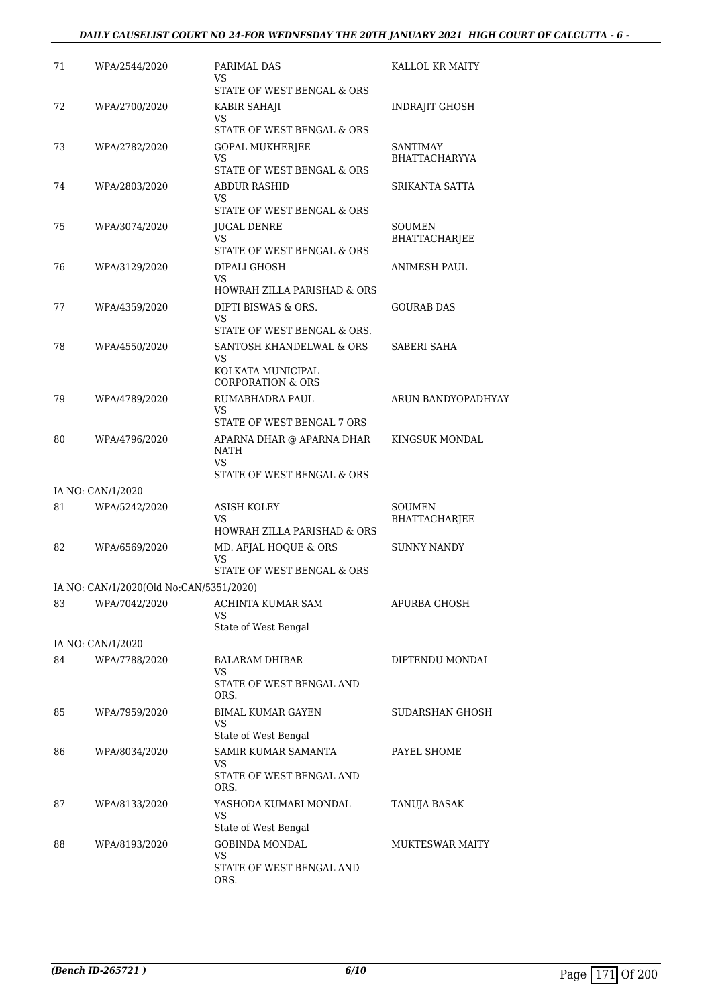# *DAILY CAUSELIST COURT NO 24-FOR WEDNESDAY THE 20TH JANUARY 2021 HIGH COURT OF CALCUTTA - 6 -*

| 71 | WPA/2544/2020                           | PARIMAL DAS<br>VS                                  | KALLOL KR MAITY         |
|----|-----------------------------------------|----------------------------------------------------|-------------------------|
|    |                                         | STATE OF WEST BENGAL & ORS                         |                         |
| 72 | WPA/2700/2020                           | KABIR SAHAJI<br>VS                                 | INDRAJIT GHOSH          |
|    |                                         | STATE OF WEST BENGAL & ORS                         |                         |
| 73 | WPA/2782/2020                           | <b>GOPAL MUKHERJEE</b>                             | SANTIMAY                |
|    |                                         | VS<br>STATE OF WEST BENGAL & ORS                   | <b>BHATTACHARYYA</b>    |
| 74 | WPA/2803/2020                           | <b>ABDUR RASHID</b>                                | SRIKANTA SATTA          |
|    |                                         | VS                                                 |                         |
|    |                                         | STATE OF WEST BENGAL & ORS                         |                         |
| 75 | WPA/3074/2020                           | JUGAL DENRE<br>VS                                  | SOUMEN<br>BHATTACHARJEE |
|    |                                         | STATE OF WEST BENGAL & ORS                         |                         |
| 76 | WPA/3129/2020                           | DIPALI GHOSH                                       | ANIMESH PAUL            |
|    |                                         | VS                                                 |                         |
| 77 |                                         | HOWRAH ZILLA PARISHAD & ORS<br>DIPTI BISWAS & ORS. | <b>GOURAB DAS</b>       |
|    | WPA/4359/2020                           | VS.                                                |                         |
|    |                                         | STATE OF WEST BENGAL & ORS.                        |                         |
| 78 | WPA/4550/2020                           | SANTOSH KHANDELWAL & ORS                           | SABERI SAHA             |
|    |                                         | VS<br>KOLKATA MUNICIPAL                            |                         |
|    |                                         | <b>CORPORATION &amp; ORS</b>                       |                         |
| 79 | WPA/4789/2020                           | RUMABHADRA PAUL                                    | ARUN BANDYOPADHYAY      |
|    |                                         | VS<br>STATE OF WEST BENGAL 7 ORS                   |                         |
| 80 | WPA/4796/2020                           | APARNA DHAR @ APARNA DHAR                          | KINGSUK MONDAL          |
|    |                                         | NATH                                               |                         |
|    |                                         | VS.<br>STATE OF WEST BENGAL & ORS                  |                         |
|    | IA NO: CAN/1/2020                       |                                                    |                         |
| 81 | WPA/5242/2020                           | ASISH KOLEY                                        | SOUMEN                  |
|    |                                         | VS                                                 | BHATTACHARJEE           |
|    |                                         | HOWRAH ZILLA PARISHAD & ORS                        |                         |
| 82 | WPA/6569/2020                           | MD. AFJAL HOQUE & ORS<br><b>VS</b>                 | SUNNY NANDY             |
|    |                                         | STATE OF WEST BENGAL & ORS                         |                         |
|    | IA NO: CAN/1/2020(Old No:CAN/5351/2020) |                                                    |                         |
| 83 | WPA/7042/2020                           | ACHINTA KUMAR SAM                                  | <b>APURBA GHOSH</b>     |
|    |                                         | VS<br>State of West Bengal                         |                         |
|    | IA NO: CAN/1/2020                       |                                                    |                         |
| 84 | WPA/7788/2020                           | <b>BALARAM DHIBAR</b>                              | DIPTENDU MONDAL         |
|    |                                         | VS<br>STATE OF WEST BENGAL AND                     |                         |
|    |                                         | ORS.                                               |                         |
| 85 | WPA/7959/2020                           | <b>BIMAL KUMAR GAYEN</b>                           | SUDARSHAN GHOSH         |
|    |                                         | VS                                                 |                         |
| 86 | WPA/8034/2020                           | State of West Bengal<br>SAMIR KUMAR SAMANTA        | PAYEL SHOME             |
|    |                                         | VS                                                 |                         |
|    |                                         | STATE OF WEST BENGAL AND<br>ORS.                   |                         |
| 87 | WPA/8133/2020                           | YASHODA KUMARI MONDAL                              | TANUJA BASAK            |
|    |                                         | VS<br>State of West Bengal                         |                         |
| 88 | WPA/8193/2020                           | <b>GOBINDA MONDAL</b>                              | <b>MUKTESWAR MAITY</b>  |
|    |                                         | VS                                                 |                         |
|    |                                         | STATE OF WEST BENGAL AND<br>ORS.                   |                         |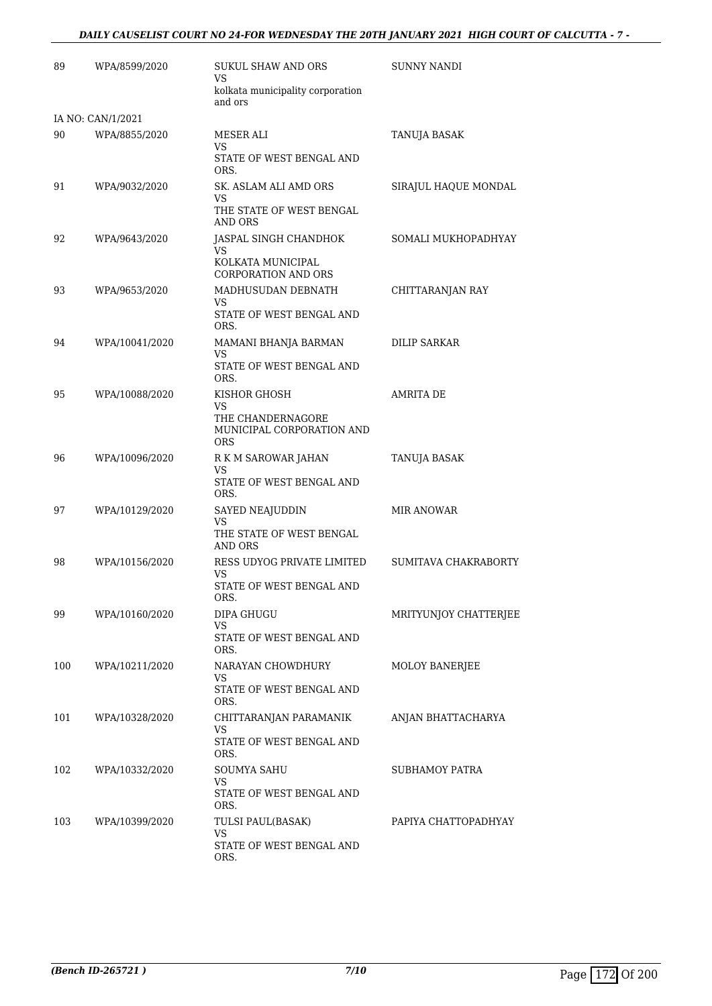# *DAILY CAUSELIST COURT NO 24-FOR WEDNESDAY THE 20TH JANUARY 2021 HIGH COURT OF CALCUTTA - 7 -*

| 89  | WPA/8599/2020     | SUKUL SHAW AND ORS<br>VS                                     | <b>SUNNY NANDI</b>    |
|-----|-------------------|--------------------------------------------------------------|-----------------------|
|     |                   | kolkata municipality corporation<br>and ors                  |                       |
|     | IA NO: CAN/1/2021 |                                                              |                       |
| 90  | WPA/8855/2020     | MESER ALI<br><b>VS</b>                                       | TANUJA BASAK          |
|     |                   | STATE OF WEST BENGAL AND<br>ORS.                             |                       |
| 91  | WPA/9032/2020     | SK. ASLAM ALI AMD ORS<br>VS                                  | SIRAJUL HAQUE MONDAL  |
|     |                   | THE STATE OF WEST BENGAL<br>AND ORS                          |                       |
| 92  | WPA/9643/2020     | JASPAL SINGH CHANDHOK<br>VS                                  | SOMALI MUKHOPADHYAY   |
|     |                   | KOLKATA MUNICIPAL<br><b>CORPORATION AND ORS</b>              |                       |
| 93  | WPA/9653/2020     | MADHUSUDAN DEBNATH<br>VS                                     | CHITTARANJAN RAY      |
|     |                   | STATE OF WEST BENGAL AND<br>ORS.                             |                       |
| 94  | WPA/10041/2020    | MAMANI BHANJA BARMAN<br>VS                                   | <b>DILIP SARKAR</b>   |
|     |                   | STATE OF WEST BENGAL AND<br>ORS.                             |                       |
| 95  | WPA/10088/2020    | KISHOR GHOSH<br>VS                                           | <b>AMRITA DE</b>      |
|     |                   | THE CHANDERNAGORE<br>MUNICIPAL CORPORATION AND<br><b>ORS</b> |                       |
| 96  | WPA/10096/2020    | R K M SAROWAR JAHAN<br>VS                                    | TANUJA BASAK          |
|     |                   | STATE OF WEST BENGAL AND<br>ORS.                             |                       |
| 97  | WPA/10129/2020    | SAYED NEAJUDDIN<br>VS                                        | MIR ANOWAR            |
|     |                   | THE STATE OF WEST BENGAL<br>AND ORS                          |                       |
| 98  | WPA/10156/2020    | RESS UDYOG PRIVATE LIMITED<br>VS                             | SUMITAVA CHAKRABORTY  |
|     |                   | STATE OF WEST BENGAL AND<br>ORS.                             |                       |
| 99  | WPA/10160/2020    | DIPA GHUGU<br>VS                                             | MRITYUNJOY CHATTERJEE |
|     |                   | STATE OF WEST BENGAL AND<br>ORS.                             |                       |
| 100 | WPA/10211/2020    | NARAYAN CHOWDHURY<br>VS                                      | MOLOY BANERJEE        |
|     |                   | STATE OF WEST BENGAL AND<br>ORS.                             |                       |
| 101 | WPA/10328/2020    | CHITTARANJAN PARAMANIK<br>VS                                 | ANJAN BHATTACHARYA    |
|     |                   | STATE OF WEST BENGAL AND<br>ORS.                             |                       |
| 102 | WPA/10332/2020    | SOUMYA SAHU<br>VS                                            | SUBHAMOY PATRA        |
|     |                   | STATE OF WEST BENGAL AND<br>ORS.                             |                       |
| 103 | WPA/10399/2020    | TULSI PAUL(BASAK)<br>VS                                      | PAPIYA CHATTOPADHYAY  |
|     |                   | STATE OF WEST BENGAL AND<br>ORS.                             |                       |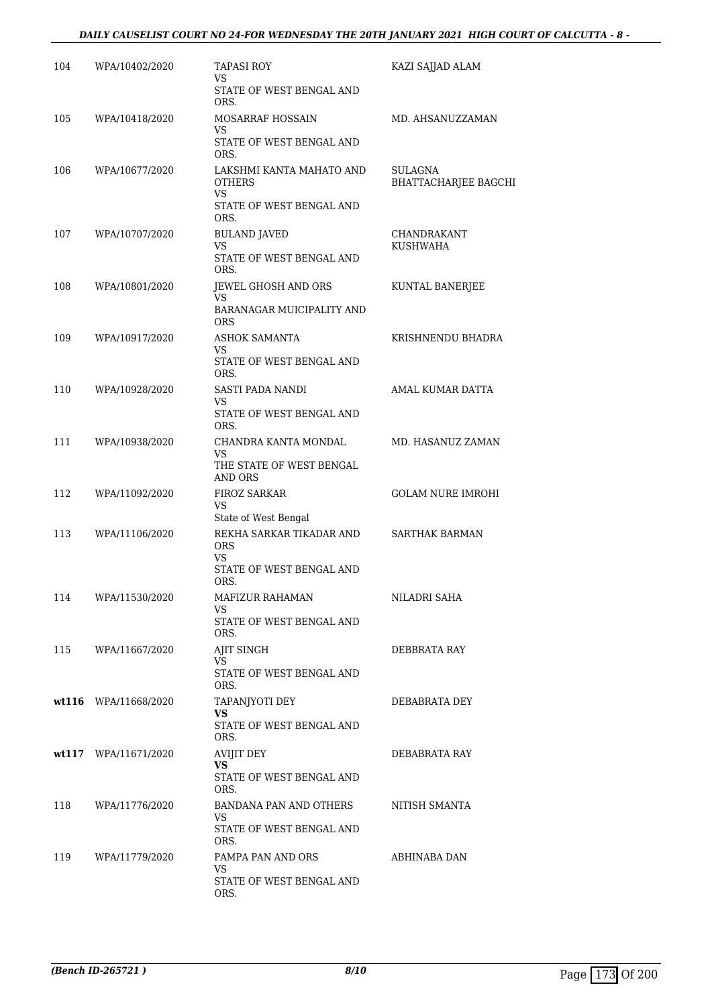# *DAILY CAUSELIST COURT NO 24-FOR WEDNESDAY THE 20TH JANUARY 2021 HIGH COURT OF CALCUTTA - 8 -*

| 104 | WPA/10402/2020       | <b>TAPASI ROY</b><br>VS.<br>STATE OF WEST BENGAL AND                         | KAZI SAJJAD ALAM                       |
|-----|----------------------|------------------------------------------------------------------------------|----------------------------------------|
| 105 | WPA/10418/2020       | ORS.<br>MOSARRAF HOSSAIN<br>VS<br>STATE OF WEST BENGAL AND                   | MD. AHSANUZZAMAN                       |
| 106 | WPA/10677/2020       | ORS.<br>LAKSHMI KANTA MAHATO AND<br>OTHERS<br>VS<br>STATE OF WEST BENGAL AND | SULAGNA<br><b>BHATTACHARJEE BAGCHI</b> |
| 107 | WPA/10707/2020       | ORS.<br><b>BULAND JAVED</b><br><b>VS</b><br>STATE OF WEST BENGAL AND         | CHANDRAKANT<br>KUSHWAHA                |
| 108 | WPA/10801/2020       | ORS.<br>JEWEL GHOSH AND ORS<br>VS.<br>BARANAGAR MUICIPALITY AND              | KUNTAL BANERJEE                        |
| 109 | WPA/10917/2020       | <b>ORS</b><br>ASHOK SAMANTA<br>VS<br>STATE OF WEST BENGAL AND                | KRISHNENDU BHADRA                      |
| 110 | WPA/10928/2020       | ORS.<br><b>SASTI PADA NANDI</b><br>VS<br>STATE OF WEST BENGAL AND            | AMAL KUMAR DATTA                       |
| 111 | WPA/10938/2020       | ORS.<br>CHANDRA KANTA MONDAL<br>VS.<br>THE STATE OF WEST BENGAL              | MD. HASANUZ ZAMAN                      |
| 112 | WPA/11092/2020       | AND ORS<br><b>FIROZ SARKAR</b><br>VS<br>State of West Bengal                 | <b>GOLAM NURE IMROHI</b>               |
| 113 | WPA/11106/2020       | REKHA SARKAR TIKADAR AND<br><b>ORS</b><br>VS<br>STATE OF WEST BENGAL AND     | <b>SARTHAK BARMAN</b>                  |
| 114 | WPA/11530/2020       | ORS.<br>MAFIZUR RAHAMAN<br>VS<br>STATE OF WEST BENGAL AND                    | NILADRI SAHA                           |
| 115 | WPA/11667/2020       | ORS.<br>AJIT SINGH<br>VS.<br>STATE OF WEST BENGAL AND                        | DEBBRATA RAY                           |
|     | wt116 WPA/11668/2020 | ORS.<br>TAPANJYOTI DEY<br>VS.<br>STATE OF WEST BENGAL AND<br>ORS.            | DEBABRATA DEY                          |
|     | wt117 WPA/11671/2020 | AVIJIT DEY<br>VS<br>STATE OF WEST BENGAL AND<br>ORS.                         | DEBABRATA RAY                          |
| 118 | WPA/11776/2020       | BANDANA PAN AND OTHERS<br>VS.<br>STATE OF WEST BENGAL AND<br>ORS.            | NITISH SMANTA                          |
| 119 | WPA/11779/2020       | PAMPA PAN AND ORS<br>VS.<br>STATE OF WEST BENGAL AND<br>ORS.                 | ABHINABA DAN                           |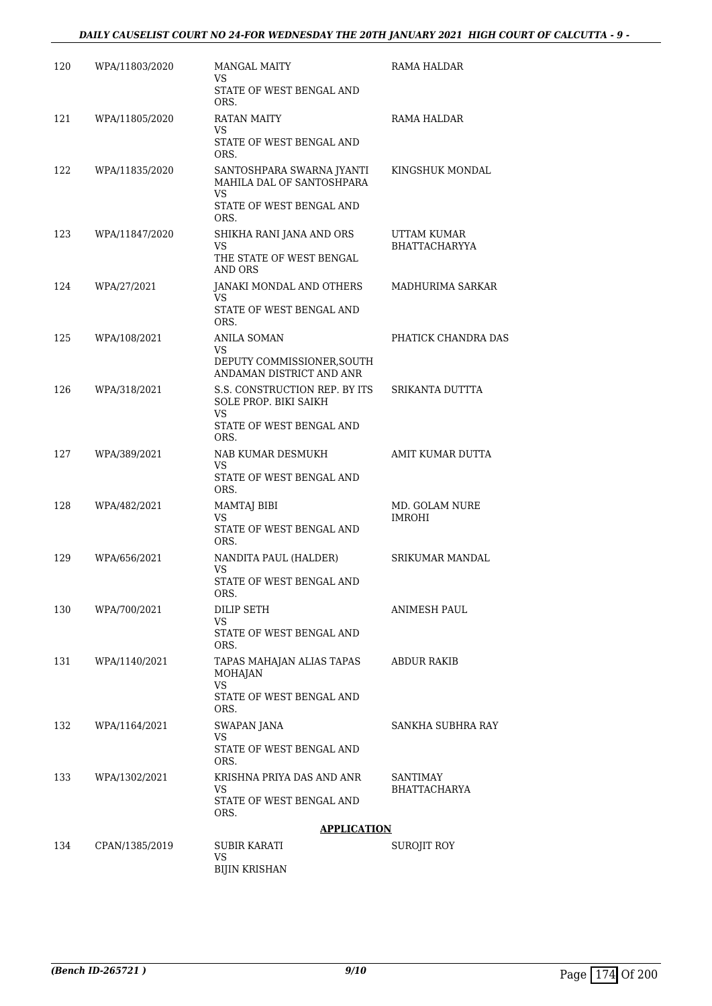| 120 | WPA/11803/2020 | <b>MANGAL MAITY</b>                                                                                     | RAMA HALDAR                         |
|-----|----------------|---------------------------------------------------------------------------------------------------------|-------------------------------------|
|     |                | VS<br>STATE OF WEST BENGAL AND<br>ORS.                                                                  |                                     |
| 121 | WPA/11805/2020 | RATAN MAITY<br>VS<br>STATE OF WEST BENGAL AND<br>ORS.                                                   | RAMA HALDAR                         |
| 122 | WPA/11835/2020 | SANTOSHPARA SWARNA JYANTI<br>MAHILA DAL OF SANTOSHPARA<br><b>VS</b><br>STATE OF WEST BENGAL AND<br>ORS. | KINGSHUK MONDAL                     |
| 123 | WPA/11847/2020 | SHIKHA RANI JANA AND ORS<br><b>VS</b><br>THE STATE OF WEST BENGAL<br>AND ORS                            | UTTAM KUMAR<br><b>BHATTACHARYYA</b> |
| 124 | WPA/27/2021    | JANAKI MONDAL AND OTHERS<br>VS<br>STATE OF WEST BENGAL AND<br>ORS.                                      | MADHURIMA SARKAR                    |
| 125 | WPA/108/2021   | <b>ANILA SOMAN</b><br>VS<br>DEPUTY COMMISSIONER, SOUTH<br>ANDAMAN DISTRICT AND ANR                      | PHATICK CHANDRA DAS                 |
| 126 | WPA/318/2021   | S.S. CONSTRUCTION REP. BY ITS<br><b>SOLE PROP. BIKI SAIKH</b><br>VS<br>STATE OF WEST BENGAL AND<br>ORS. | SRIKANTA DUTTTA                     |
| 127 | WPA/389/2021   | NAB KUMAR DESMUKH<br>VS<br>STATE OF WEST BENGAL AND<br>ORS.                                             | AMIT KUMAR DUTTA                    |
| 128 | WPA/482/2021   | <b>MAMTAJ BIBI</b><br><b>VS</b><br>STATE OF WEST BENGAL AND<br>ORS.                                     | MD. GOLAM NURE<br><b>IMROHI</b>     |
| 129 | WPA/656/2021   | NANDITA PAUL (HALDER)<br>VS<br>STATE OF WEST BENGAL AND<br>ORS.                                         | <b>SRIKUMAR MANDAL</b>              |
| 130 | WPA/700/2021   | DILIP SETH<br>VS<br>STATE OF WEST BENGAL AND<br>ORS.                                                    | ANIMESH PAUL                        |
| 131 | WPA/1140/2021  | TAPAS MAHAJAN ALIAS TAPAS<br><b>MOHAJAN</b><br>VS.<br>STATE OF WEST BENGAL AND<br>ORS.                  | ABDUR RAKIB                         |
| 132 | WPA/1164/2021  | SWAPAN JANA<br>VS<br>STATE OF WEST BENGAL AND<br>ORS.                                                   | SANKHA SUBHRA RAY                   |
| 133 | WPA/1302/2021  | KRISHNA PRIYA DAS AND ANR<br>VS<br>STATE OF WEST BENGAL AND<br>ORS.                                     | SANTIMAY<br><b>BHATTACHARYA</b>     |
|     |                | <b>APPLICATION</b>                                                                                      |                                     |
| 134 | CPAN/1385/2019 | SUBIR KARATI<br>VS<br><b>BIJIN KRISHAN</b>                                                              | SUROJIT ROY                         |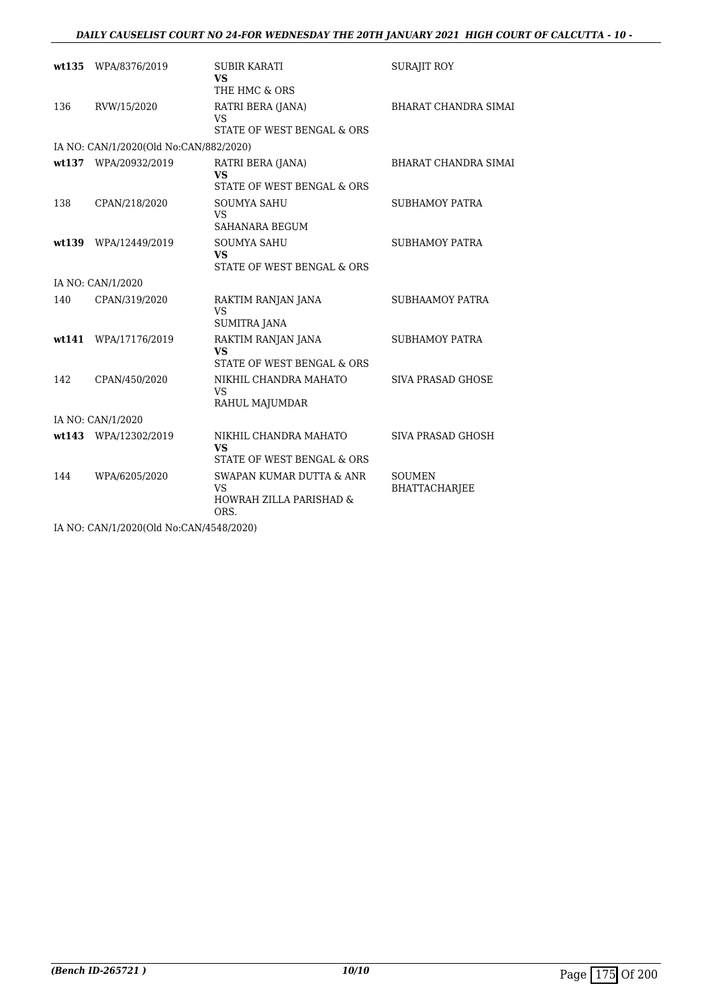### *DAILY CAUSELIST COURT NO 24-FOR WEDNESDAY THE 20TH JANUARY 2021 HIGH COURT OF CALCUTTA - 10 -*

|     | wt135 WPA/8376/2019                    | <b>SUBIR KARATI</b><br><b>VS</b>                                                    | <b>SURAJIT ROY</b>             |
|-----|----------------------------------------|-------------------------------------------------------------------------------------|--------------------------------|
|     |                                        | THE HMC & ORS                                                                       |                                |
| 136 | RVW/15/2020                            | RATRI BERA (JANA)<br>VS                                                             | <b>BHARAT CHANDRA SIMAI</b>    |
|     |                                        | STATE OF WEST BENGAL & ORS                                                          |                                |
|     | IA NO: CAN/1/2020(Old No:CAN/882/2020) |                                                                                     |                                |
|     | wt137 WPA/20932/2019                   | RATRI BERA (JANA)<br><b>VS</b>                                                      | <b>BHARAT CHANDRA SIMAI</b>    |
|     |                                        | STATE OF WEST BENGAL & ORS                                                          |                                |
| 138 | CPAN/218/2020                          | <b>SOUMYA SAHU</b><br><b>VS</b><br>SAHANARA BEGUM                                   | <b>SUBHAMOY PATRA</b>          |
|     |                                        |                                                                                     |                                |
|     | wt139 WPA/12449/2019                   | <b>SOUMYA SAHU</b><br><b>VS</b><br>STATE OF WEST BENGAL & ORS                       | <b>SUBHAMOY PATRA</b>          |
|     | IA NO: CAN/1/2020                      |                                                                                     |                                |
| 140 | CPAN/319/2020                          | RAKTIM RANJAN JANA                                                                  | <b>SUBHAAMOY PATRA</b>         |
|     |                                        | <b>VS</b>                                                                           |                                |
|     |                                        | <b>SUMITRA JANA</b>                                                                 |                                |
|     | wt141 WPA/17176/2019                   | RAKTIM RANJAN JANA<br><b>VS</b>                                                     | <b>SUBHAMOY PATRA</b>          |
|     |                                        | STATE OF WEST BENGAL & ORS                                                          |                                |
| 142 | CPAN/450/2020                          | NIKHIL CHANDRA MAHATO<br>VS.<br>RAHUL MAJUMDAR                                      | <b>SIVA PRASAD GHOSE</b>       |
|     | IA NO: CAN/1/2020                      |                                                                                     |                                |
|     | wt143 WPA/12302/2019                   | NIKHIL CHANDRA MAHATO                                                               | SIVA PRASAD GHOSH              |
|     |                                        | <b>VS</b><br>STATE OF WEST BENGAL & ORS                                             |                                |
| 144 | WPA/6205/2020                          | SWAPAN KUMAR DUTTA & ANR<br><b>VS</b><br><b>HOWRAH ZILLA PARISHAD &amp;</b><br>ORS. | <b>SOUMEN</b><br>BHATTACHARJEE |

IA NO: CAN/1/2020(Old No:CAN/4548/2020)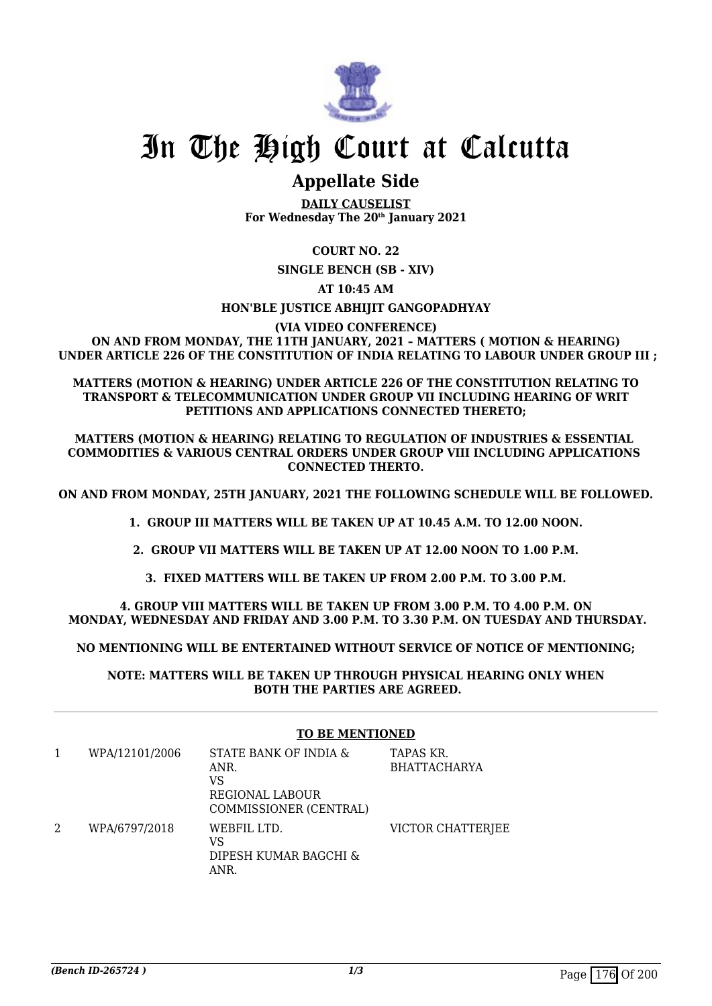

# **Appellate Side**

**DAILY CAUSELIST For Wednesday The 20th January 2021**

# **COURT NO. 22**

**SINGLE BENCH (SB - XIV)**

**AT 10:45 AM**

# **HON'BLE JUSTICE ABHIJIT GANGOPADHYAY**

**(VIA VIDEO CONFERENCE) ON AND FROM MONDAY, THE 11TH JANUARY, 2021 – MATTERS ( MOTION & HEARING) UNDER ARTICLE 226 OF THE CONSTITUTION OF INDIA RELATING TO LABOUR UNDER GROUP III ;**

#### **MATTERS (MOTION & HEARING) UNDER ARTICLE 226 OF THE CONSTITUTION RELATING TO TRANSPORT & TELECOMMUNICATION UNDER GROUP VII INCLUDING HEARING OF WRIT PETITIONS AND APPLICATIONS CONNECTED THERETO;**

**MATTERS (MOTION & HEARING) RELATING TO REGULATION OF INDUSTRIES & ESSENTIAL COMMODITIES & VARIOUS CENTRAL ORDERS UNDER GROUP VIII INCLUDING APPLICATIONS CONNECTED THERTO.**

**ON AND FROM MONDAY, 25TH JANUARY, 2021 THE FOLLOWING SCHEDULE WILL BE FOLLOWED.**

**1. GROUP III MATTERS WILL BE TAKEN UP AT 10.45 A.M. TO 12.00 NOON.**

**2. GROUP VII MATTERS WILL BE TAKEN UP AT 12.00 NOON TO 1.00 P.M.**

**3. FIXED MATTERS WILL BE TAKEN UP FROM 2.00 P.M. TO 3.00 P.M.**

**4. GROUP VIII MATTERS WILL BE TAKEN UP FROM 3.00 P.M. TO 4.00 P.M. ON MONDAY, WEDNESDAY AND FRIDAY AND 3.00 P.M. TO 3.30 P.M. ON TUESDAY AND THURSDAY.**

**NO MENTIONING WILL BE ENTERTAINED WITHOUT SERVICE OF NOTICE OF MENTIONING;**

**NOTE: MATTERS WILL BE TAKEN UP THROUGH PHYSICAL HEARING ONLY WHEN BOTH THE PARTIES ARE AGREED.**

### **TO BE MENTIONED**

|   | WPA/12101/2006 | STATE BANK OF INDIA &<br>ANR.<br>VS<br>REGIONAL LABOUR<br>COMMISSIONER (CENTRAL) | TAPAS KR.<br><b>BHATTACHARYA</b> |
|---|----------------|----------------------------------------------------------------------------------|----------------------------------|
| 2 | WPA/6797/2018  | WEBFIL LTD.<br>VS<br>DIPESH KUMAR BAGCHI &<br>ANR.                               | VICTOR CHATTERJEE                |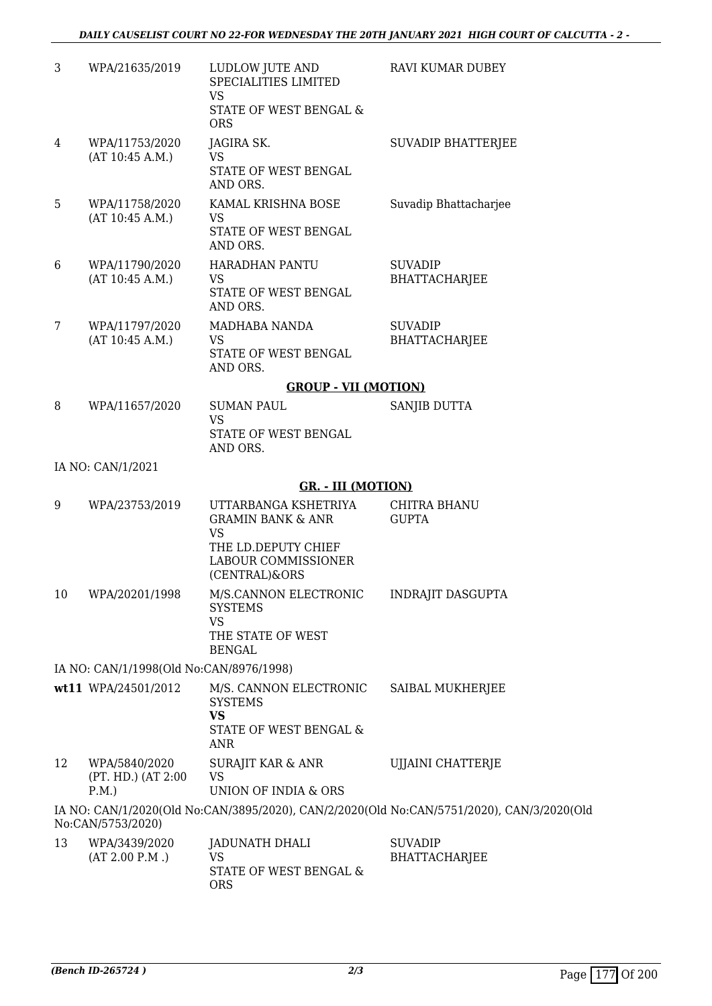| 3  | WPA/21635/2019                                                 | LUDLOW JUTE AND<br>SPECIALITIES LIMITED<br><b>VS</b>                      | RAVI KUMAR DUBEY                                                                          |
|----|----------------------------------------------------------------|---------------------------------------------------------------------------|-------------------------------------------------------------------------------------------|
|    |                                                                | STATE OF WEST BENGAL &<br><b>ORS</b>                                      |                                                                                           |
| 4  | WPA/11753/2020<br>(AT 10:45 A.M.)                              | JAGIRA SK.<br><b>VS</b>                                                   | <b>SUVADIP BHATTERJEE</b>                                                                 |
|    |                                                                | STATE OF WEST BENGAL<br>AND ORS.                                          |                                                                                           |
| 5  | WPA/11758/2020<br>(AT 10:45 A.M.)                              | KAMAL KRISHNA BOSE<br><b>VS</b>                                           | Suvadip Bhattacharjee                                                                     |
|    |                                                                | STATE OF WEST BENGAL<br>AND ORS.                                          |                                                                                           |
| 6  | WPA/11790/2020<br>(AT 10:45 A.M.)                              | <b>HARADHAN PANTU</b><br>VS                                               | <b>SUVADIP</b><br><b>BHATTACHARJEE</b>                                                    |
|    |                                                                | STATE OF WEST BENGAL<br>AND ORS.                                          |                                                                                           |
| 7  | WPA/11797/2020                                                 | MADHABA NANDA                                                             | <b>SUVADIP</b>                                                                            |
|    | (AT 10:45 A.M.)                                                | <b>VS</b><br>STATE OF WEST BENGAL<br>AND ORS.                             | <b>BHATTACHARJEE</b>                                                                      |
|    |                                                                | <b>GROUP - VII (MOTION)</b>                                               |                                                                                           |
| 8  | WPA/11657/2020                                                 | <b>SUMAN PAUL</b><br><b>VS</b><br>STATE OF WEST BENGAL                    | SANJIB DUTTA                                                                              |
|    | IA NO: CAN/1/2021                                              | AND ORS.                                                                  |                                                                                           |
|    |                                                                | <b>GR. - III (MOTION)</b>                                                 |                                                                                           |
| 9  | WPA/23753/2019                                                 | UTTARBANGA KSHETRIYA<br><b>GRAMIN BANK &amp; ANR</b><br><b>VS</b>         | <b>CHITRA BHANU</b><br><b>GUPTA</b>                                                       |
|    |                                                                | THE LD.DEPUTY CHIEF<br><b>LABOUR COMMISSIONER</b><br>(CENTRAL)&ORS        |                                                                                           |
| 10 | WPA/20201/1998                                                 | M/S.CANNON ELECTRONIC<br><b>SYSTEMS</b><br><b>VS</b><br>THE STATE OF WEST | <b>INDRAJIT DASGUPTA</b>                                                                  |
|    |                                                                | <b>BENGAL</b>                                                             |                                                                                           |
|    | IA NO: CAN/1/1998(Old No:CAN/8976/1998)<br>wt11 WPA/24501/2012 | M/S. CANNON ELECTRONIC                                                    | SAIBAL MUKHERJEE                                                                          |
|    |                                                                | <b>SYSTEMS</b><br><b>VS</b>                                               |                                                                                           |
|    |                                                                | STATE OF WEST BENGAL &<br>ANR                                             |                                                                                           |
| 12 | WPA/5840/2020<br>(PT. HD.) (AT 2:00<br>P.M.                    | SURAJIT KAR & ANR<br>VS<br>UNION OF INDIA & ORS                           | UJJAINI CHATTERJE                                                                         |
|    |                                                                |                                                                           | IA NO: CAN/1/2020(Old No:CAN/3895/2020), CAN/2/2020(Old No:CAN/5751/2020), CAN/3/2020(Old |
| 13 | No:CAN/5753/2020)<br>WPA/3439/2020                             | <b>JADUNATH DHALI</b>                                                     | <b>SUVADIP</b>                                                                            |
|    | (AT 2.00 P.M.)                                                 | VS<br>STATE OF WEST BENGAL &<br><b>ORS</b>                                | <b>BHATTACHARJEE</b>                                                                      |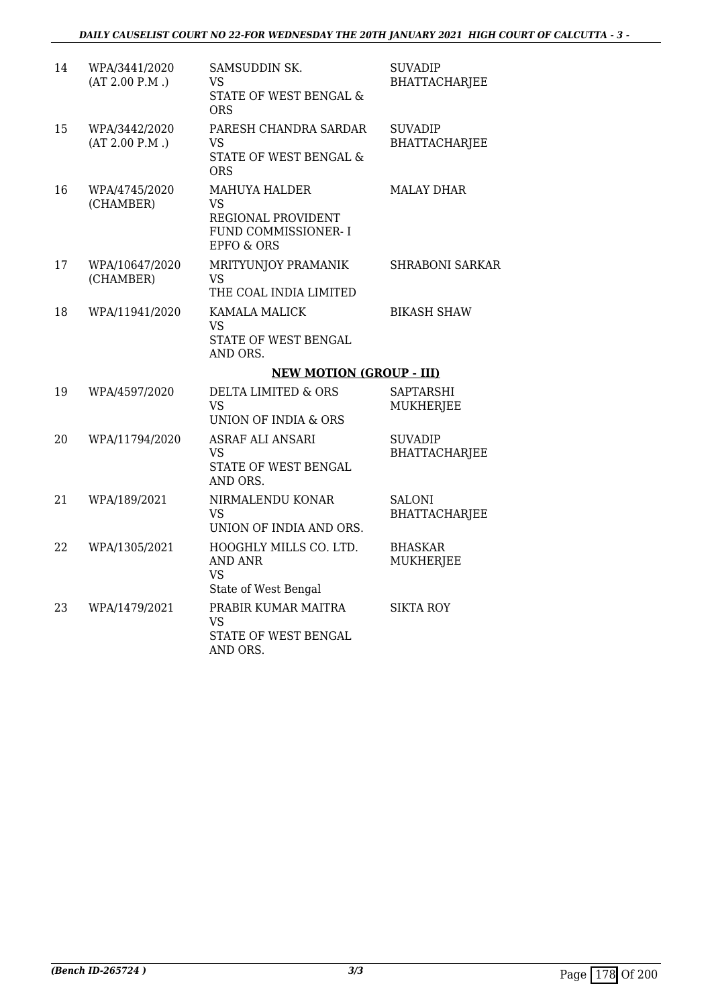| 14 | WPA/3441/2020<br>(AT 2.00 P.M.) | SAMSUDDIN SK.<br>VS<br>STATE OF WEST BENGAL &<br><b>ORS</b>                                              | <b>SUVADIP</b><br><b>BHATTACHARJEE</b> |
|----|---------------------------------|----------------------------------------------------------------------------------------------------------|----------------------------------------|
| 15 | WPA/3442/2020<br>(AT 2.00 P.M.) | PARESH CHANDRA SARDAR<br>VS<br>STATE OF WEST BENGAL &<br><b>ORS</b>                                      | <b>SUVADIP</b><br><b>BHATTACHARJEE</b> |
| 16 | WPA/4745/2020<br>(CHAMBER)      | <b>MAHUYA HALDER</b><br><b>VS</b><br>REGIONAL PROVIDENT<br>FUND COMMISSIONER- I<br><b>EPFO &amp; ORS</b> | <b>MALAY DHAR</b>                      |
| 17 | WPA/10647/2020<br>(CHAMBER)     | MRITYUNJOY PRAMANIK<br>VS<br>THE COAL INDIA LIMITED                                                      | <b>SHRABONI SARKAR</b>                 |
| 18 | WPA/11941/2020                  | KAMALA MALICK<br>VS<br>STATE OF WEST BENGAL<br>AND ORS.                                                  | <b>BIKASH SHAW</b>                     |
|    |                                 | <b>NEW MOTION (GROUP - III)</b>                                                                          |                                        |
| 19 | WPA/4597/2020                   | <b>DELTA LIMITED &amp; ORS</b><br>VS<br>UNION OF INDIA & ORS                                             | SAPTARSHI<br><b>MUKHERJEE</b>          |
| 20 | WPA/11794/2020                  | <b>ASRAF ALI ANSARI</b><br>VS<br>STATE OF WEST BENGAL<br>AND ORS.                                        | <b>SUVADIP</b><br><b>BHATTACHARJEE</b> |
| 21 | WPA/189/2021                    | NIRMALENDU KONAR<br>VS<br>UNION OF INDIA AND ORS.                                                        | <b>SALONI</b><br><b>BHATTACHARJEE</b>  |
| 22 | WPA/1305/2021                   | HOOGHLY MILLS CO. LTD.<br><b>AND ANR</b><br>VS<br>State of West Bengal                                   | <b>BHASKAR</b><br><b>MUKHERJEE</b>     |
| 23 | WPA/1479/2021                   | PRABIR KUMAR MAITRA<br>VS<br><b>STATE OF WEST BENGAL</b><br>AND ORS.                                     | <b>SIKTA ROY</b>                       |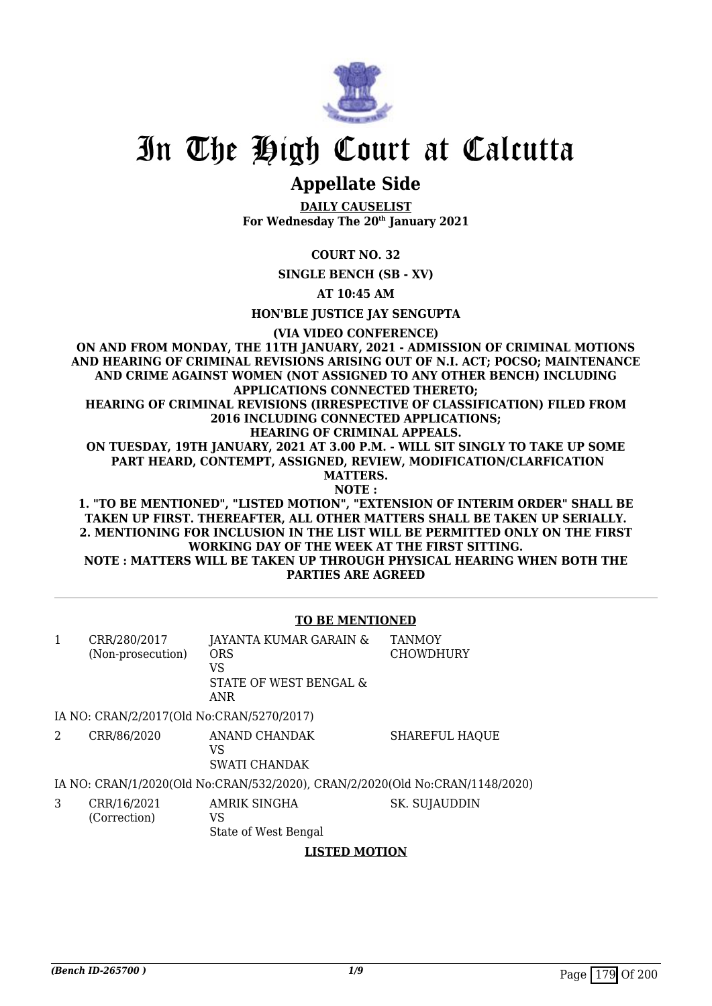

# **Appellate Side**

**DAILY CAUSELIST For Wednesday The 20th January 2021**

## **COURT NO. 32**

**SINGLE BENCH (SB - XV)**

**AT 10:45 AM**

**HON'BLE JUSTICE JAY SENGUPTA**

**(VIA VIDEO CONFERENCE)**

**ON AND FROM MONDAY, THE 11TH JANUARY, 2021 - ADMISSION OF CRIMINAL MOTIONS AND HEARING OF CRIMINAL REVISIONS ARISING OUT OF N.I. ACT; POCSO; MAINTENANCE AND CRIME AGAINST WOMEN (NOT ASSIGNED TO ANY OTHER BENCH) INCLUDING APPLICATIONS CONNECTED THERETO; HEARING OF CRIMINAL REVISIONS (IRRESPECTIVE OF CLASSIFICATION) FILED FROM 2016 INCLUDING CONNECTED APPLICATIONS; HEARING OF CRIMINAL APPEALS. ON TUESDAY, 19TH JANUARY, 2021 AT 3.00 P.M. - WILL SIT SINGLY TO TAKE UP SOME PART HEARD, CONTEMPT, ASSIGNED, REVIEW, MODIFICATION/CLARFICATION MATTERS. NOTE : 1. "TO BE MENTIONED", "LISTED MOTION", "EXTENSION OF INTERIM ORDER" SHALL BE TAKEN UP FIRST. THEREAFTER, ALL OTHER MATTERS SHALL BE TAKEN UP SERIALLY. 2. MENTIONING FOR INCLUSION IN THE LIST WILL BE PERMITTED ONLY ON THE FIRST**

**WORKING DAY OF THE WEEK AT THE FIRST SITTING. NOTE : MATTERS WILL BE TAKEN UP THROUGH PHYSICAL HEARING WHEN BOTH THE PARTIES ARE AGREED**

#### **TO BE MENTIONED**

| 1 | CRR/280/2017<br>(Non-prosecution)         | JAYANTA KUMAR GARAIN &<br><b>ORS</b><br>VS<br>STATE OF WEST BENGAL &<br><b>ANR</b> | <b>TANMOY</b><br><b>CHOWDHURY</b> |
|---|-------------------------------------------|------------------------------------------------------------------------------------|-----------------------------------|
|   | IA NO: CRAN/2/2017(Old No:CRAN/5270/2017) |                                                                                    |                                   |
| 2 | CRR/86/2020                               | ANAND CHANDAK<br>VS<br><b>SWATI CHANDAK</b>                                        | <b>SHAREFUL HAQUE</b>             |
|   |                                           | IA NO: CRAN/1/2020(Old No:CRAN/532/2020), CRAN/2/2020(Old No:CRAN/1148/2020)       |                                   |
| 3 | CRR/16/2021<br>(Correction)               | AMRIK SINGHA<br>VS.<br>State of West Bengal<br><b>LISTED MOTION</b>                | SK. SUJAUDDIN                     |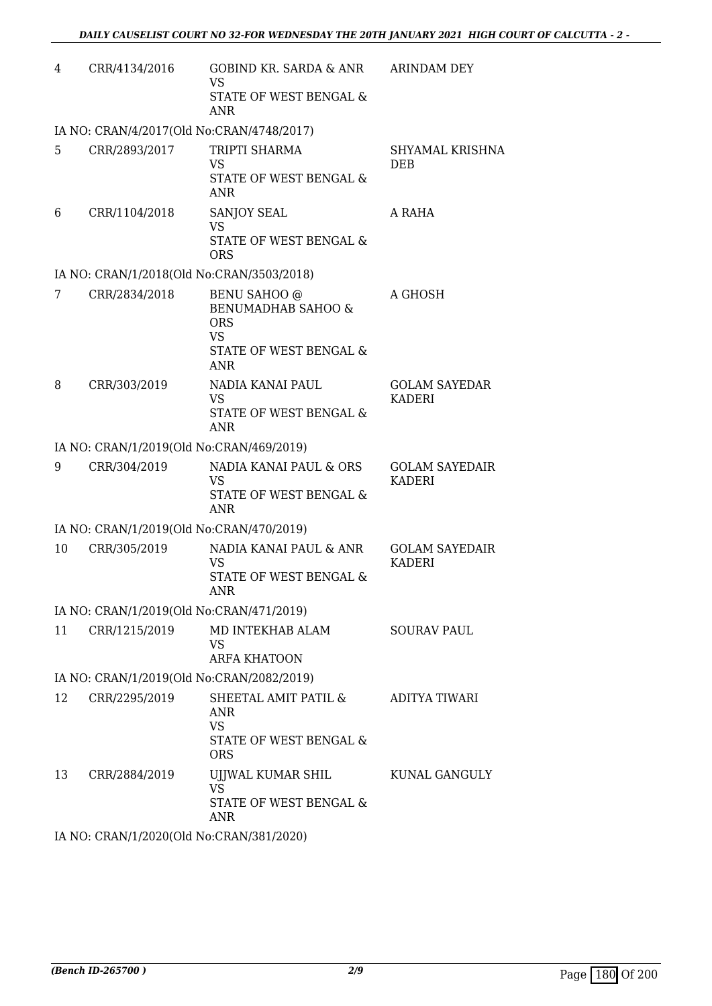| 4                                         | CRR/4134/2016                             | GOBIND KR. SARDA & ANR<br><b>VS</b><br>STATE OF WEST BENGAL &<br>ANR                                                    | ARINDAM DEY                            |  |  |
|-------------------------------------------|-------------------------------------------|-------------------------------------------------------------------------------------------------------------------------|----------------------------------------|--|--|
|                                           | IA NO: CRAN/4/2017(Old No:CRAN/4748/2017) |                                                                                                                         |                                        |  |  |
| 5.                                        | CRR/2893/2017                             | TRIPTI SHARMA<br><b>VS</b><br>STATE OF WEST BENGAL &<br><b>ANR</b>                                                      | SHYAMAL KRISHNA<br><b>DEB</b>          |  |  |
| 6                                         | CRR/1104/2018                             | SANJOY SEAL<br><b>VS</b><br>STATE OF WEST BENGAL &<br><b>ORS</b>                                                        | A RAHA                                 |  |  |
|                                           | IA NO: CRAN/1/2018(Old No:CRAN/3503/2018) |                                                                                                                         |                                        |  |  |
| 7                                         | CRR/2834/2018                             | <b>BENU SAHOO</b> @<br><b>BENUMADHAB SAHOO &amp;</b><br><b>ORS</b><br><b>VS</b><br>STATE OF WEST BENGAL &<br><b>ANR</b> | A GHOSH                                |  |  |
| 8                                         | CRR/303/2019                              | NADIA KANAI PAUL<br><b>VS</b><br>STATE OF WEST BENGAL &<br><b>ANR</b>                                                   | <b>GOLAM SAYEDAR</b><br><b>KADERI</b>  |  |  |
|                                           | IA NO: CRAN/1/2019(Old No:CRAN/469/2019)  |                                                                                                                         |                                        |  |  |
| 9                                         | CRR/304/2019                              | NADIA KANAI PAUL & ORS<br>VS<br>STATE OF WEST BENGAL &<br><b>ANR</b>                                                    | <b>GOLAM SAYEDAIR</b><br><b>KADERI</b> |  |  |
|                                           | IA NO: CRAN/1/2019(Old No:CRAN/470/2019)  |                                                                                                                         |                                        |  |  |
| 10                                        | CRR/305/2019                              | NADIA KANAI PAUL & ANR<br>VS.<br>STATE OF WEST BENGAL &<br><b>ANR</b>                                                   | <b>GOLAM SAYEDAIR</b><br><b>KADERI</b> |  |  |
|                                           | IA NO: CRAN/1/2019(Old No:CRAN/471/2019)  |                                                                                                                         |                                        |  |  |
| 11                                        | CRR/1215/2019                             | MD INTEKHAB ALAM<br><b>VS</b><br><b>ARFA KHATOON</b>                                                                    | <b>SOURAV PAUL</b>                     |  |  |
| IA NO: CRAN/1/2019(Old No:CRAN/2082/2019) |                                           |                                                                                                                         |                                        |  |  |
| 12                                        | CRR/2295/2019                             | SHEETAL AMIT PATIL &<br>ANR<br><b>VS</b><br>STATE OF WEST BENGAL &<br><b>ORS</b>                                        | ADITYA TIWARI                          |  |  |
| 13                                        | CRR/2884/2019                             | UJJWAL KUMAR SHIL<br><b>VS</b><br>STATE OF WEST BENGAL &<br><b>ANR</b>                                                  | KUNAL GANGULY                          |  |  |

IA NO: CRAN/1/2020(Old No:CRAN/381/2020)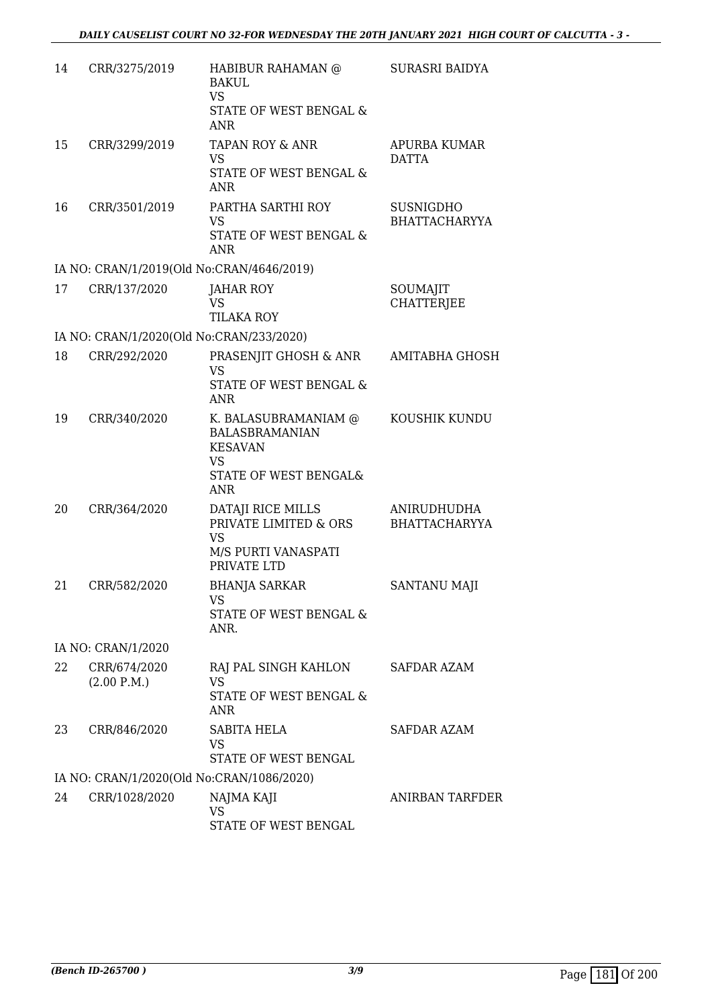| 14 | CRR/3275/2019                            | HABIBUR RAHAMAN @<br>BAKUL<br><b>VS</b><br>STATE OF WEST BENGAL &<br><b>ANR</b>                                     | <b>SURASRI BAIDYA</b>                    |
|----|------------------------------------------|---------------------------------------------------------------------------------------------------------------------|------------------------------------------|
| 15 | CRR/3299/2019                            | <b>TAPAN ROY &amp; ANR</b><br>VS<br>STATE OF WEST BENGAL &<br><b>ANR</b>                                            | <b>APURBA KUMAR</b><br><b>DATTA</b>      |
| 16 | CRR/3501/2019                            | PARTHA SARTHI ROY<br><b>VS</b><br>STATE OF WEST BENGAL &<br><b>ANR</b>                                              | <b>SUSNIGDHO</b><br><b>BHATTACHARYYA</b> |
|    |                                          | IA NO: CRAN/1/2019(Old No:CRAN/4646/2019)                                                                           |                                          |
| 17 | CRR/137/2020                             | <b>JAHAR ROY</b><br>VS<br><b>TILAKA ROY</b>                                                                         | SOUMAJIT<br><b>CHATTERJEE</b>            |
|    | IA NO: CRAN/1/2020(Old No:CRAN/233/2020) |                                                                                                                     |                                          |
| 18 | CRR/292/2020                             | PRASENJIT GHOSH & ANR<br><b>VS</b><br>STATE OF WEST BENGAL &<br><b>ANR</b>                                          | AMITABHA GHOSH                           |
| 19 | CRR/340/2020                             | K. BALASUBRAMANIAM @<br><b>BALASBRAMANIAN</b><br><b>KESAVAN</b><br><b>VS</b><br>STATE OF WEST BENGAL&<br><b>ANR</b> | KOUSHIK KUNDU                            |
| 20 | CRR/364/2020                             | DATAJI RICE MILLS<br>PRIVATE LIMITED & ORS<br><b>VS</b><br>M/S PURTI VANASPATI<br>PRIVATE LTD                       | ANIRUDHUDHA<br><b>BHATTACHARYYA</b>      |
| 21 | CRR/582/2020                             | <b>BHANJA SARKAR</b><br><b>VS</b><br>STATE OF WEST BENGAL &<br>ANR.                                                 | <b>SANTANU MAJI</b>                      |
|    | IA NO: CRAN/1/2020                       |                                                                                                                     |                                          |
| 22 | CRR/674/2020<br>(2.00 P.M.)              | RAJ PAL SINGH KAHLON<br><b>VS</b><br>STATE OF WEST BENGAL &<br>ANR                                                  | SAFDAR AZAM                              |
| 23 | CRR/846/2020                             | SABITA HELA<br><b>VS</b><br>STATE OF WEST BENGAL                                                                    | SAFDAR AZAM                              |
|    |                                          | IA NO: CRAN/1/2020(Old No:CRAN/1086/2020)                                                                           |                                          |
| 24 | CRR/1028/2020                            | NAJMA KAJI<br>VS<br>STATE OF WEST BENGAL                                                                            | ANIRBAN TARFDER                          |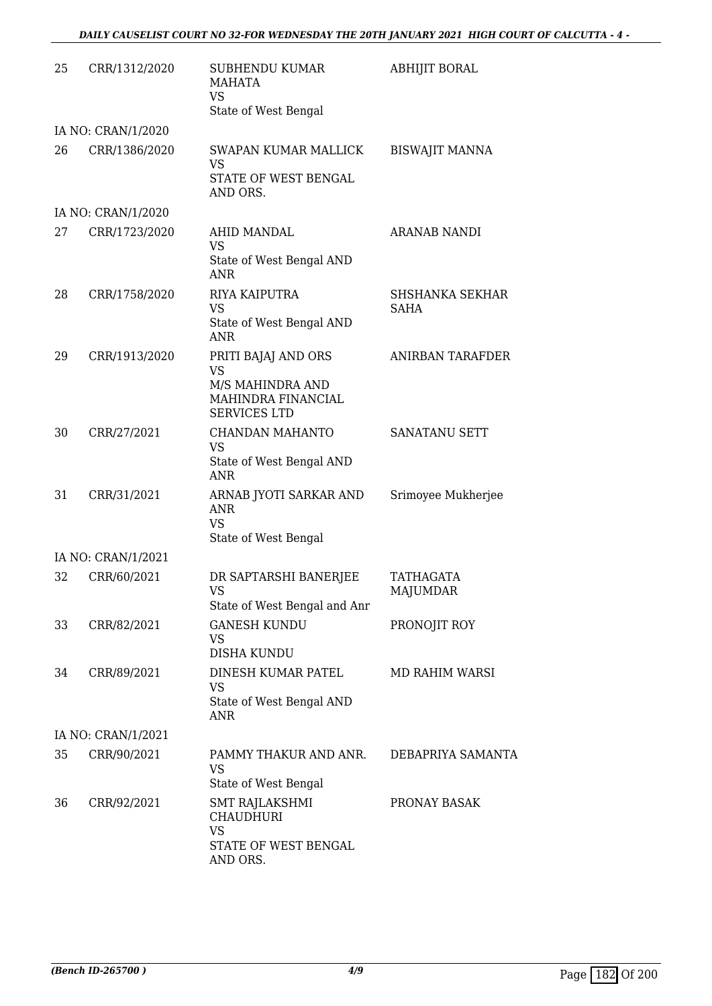### *DAILY CAUSELIST COURT NO 32-FOR WEDNESDAY THE 20TH JANUARY 2021 HIGH COURT OF CALCUTTA - 4 -*

| 25 | CRR/1312/2020      | <b>SUBHENDU KUMAR</b><br>MAHATA<br><b>VS</b><br>State of West Bengal                              | ABHIJIT BORAL                         |
|----|--------------------|---------------------------------------------------------------------------------------------------|---------------------------------------|
|    | IA NO: CRAN/1/2020 |                                                                                                   |                                       |
| 26 | CRR/1386/2020      | SWAPAN KUMAR MALLICK<br><b>VS</b><br>STATE OF WEST BENGAL<br>AND ORS.                             | <b>BISWAJIT MANNA</b>                 |
|    | IA NO: CRAN/1/2020 |                                                                                                   |                                       |
| 27 | CRR/1723/2020      | <b>AHID MANDAL</b><br><b>VS</b><br>State of West Bengal AND<br><b>ANR</b>                         | <b>ARANAB NANDI</b>                   |
| 28 | CRR/1758/2020      | RIYA KAIPUTRA<br><b>VS</b><br>State of West Bengal AND<br><b>ANR</b>                              | <b>SHSHANKA SEKHAR</b><br><b>SAHA</b> |
| 29 | CRR/1913/2020      | PRITI BAJAJ AND ORS<br><b>VS</b><br>M/S MAHINDRA AND<br>MAHINDRA FINANCIAL<br><b>SERVICES LTD</b> | ANIRBAN TARAFDER                      |
| 30 | CRR/27/2021        | CHANDAN MAHANTO<br><b>VS</b><br>State of West Bengal AND<br><b>ANR</b>                            | SANATANU SETT                         |
| 31 | CRR/31/2021        | ARNAB JYOTI SARKAR AND<br><b>ANR</b><br><b>VS</b><br>State of West Bengal                         | Srimoyee Mukherjee                    |
|    | IA NO: CRAN/1/2021 |                                                                                                   |                                       |
| 32 | CRR/60/2021        | DR SAPTARSHI BANERJEE<br>VS<br>State of West Bengal and Anr                                       | TATHAGATA<br>MAJUMDAR                 |
| 33 | CRR/82/2021        | <b>GANESH KUNDU</b><br>VS<br>DISHA KUNDU                                                          | PRONOJIT ROY                          |
| 34 | CRR/89/2021        | DINESH KUMAR PATEL<br><b>VS</b><br>State of West Bengal AND<br>ANR                                | MD RAHIM WARSI                        |
|    | IA NO: CRAN/1/2021 |                                                                                                   |                                       |
| 35 | CRR/90/2021        | PAMMY THAKUR AND ANR.<br><b>VS</b><br>State of West Bengal                                        | DEBAPRIYA SAMANTA                     |
| 36 | CRR/92/2021        | SMT RAJLAKSHMI<br><b>CHAUDHURI</b><br><b>VS</b><br>STATE OF WEST BENGAL<br>AND ORS.               | PRONAY BASAK                          |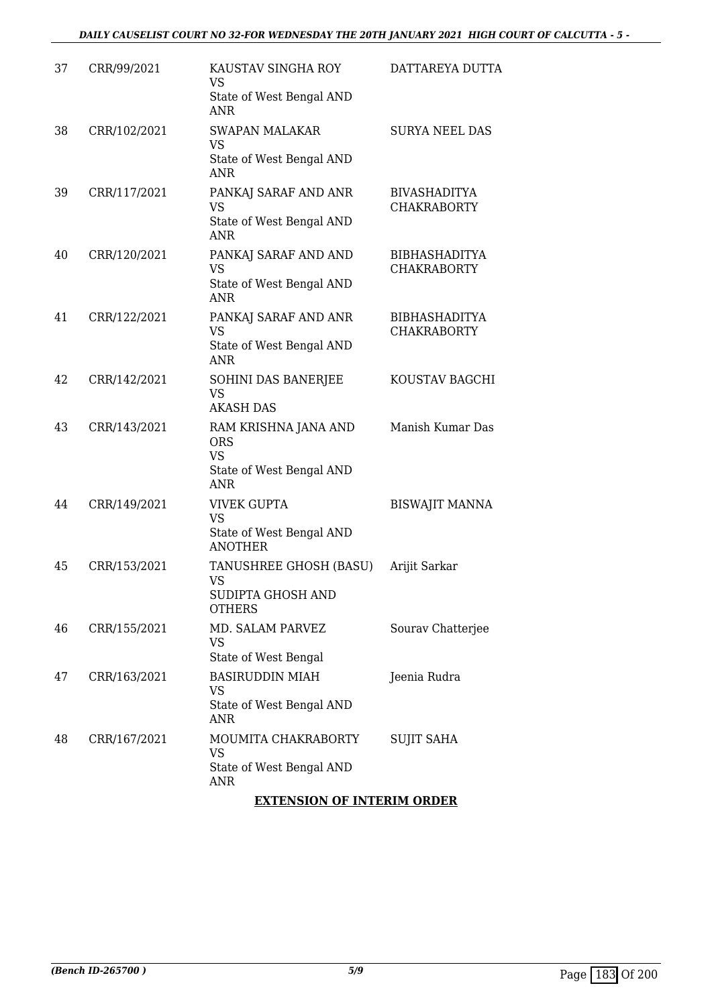| 37 | CRR/99/2021  | KAUSTAV SINGHA ROY<br>VS<br>State of West Bengal AND<br>ANR                        | DATTAREYA DUTTA                            |
|----|--------------|------------------------------------------------------------------------------------|--------------------------------------------|
| 38 | CRR/102/2021 | <b>SWAPAN MALAKAR</b><br><b>VS</b><br>State of West Bengal AND<br><b>ANR</b>       | <b>SURYA NEEL DAS</b>                      |
| 39 | CRR/117/2021 | PANKAJ SARAF AND ANR<br><b>VS</b><br>State of West Bengal AND<br><b>ANR</b>        | <b>BIVASHADITYA</b><br><b>CHAKRABORTY</b>  |
| 40 | CRR/120/2021 | PANKAJ SARAF AND AND<br>VS<br>State of West Bengal AND<br><b>ANR</b>               | <b>BIBHASHADITYA</b><br><b>CHAKRABORTY</b> |
| 41 | CRR/122/2021 | PANKAJ SARAF AND ANR<br><b>VS</b><br>State of West Bengal AND<br><b>ANR</b>        | <b>BIBHASHADITYA</b><br><b>CHAKRABORTY</b> |
| 42 | CRR/142/2021 | SOHINI DAS BANERJEE<br><b>VS</b><br><b>AKASH DAS</b>                               | KOUSTAV BAGCHI                             |
| 43 | CRR/143/2021 | RAM KRISHNA JANA AND<br><b>ORS</b><br><b>VS</b><br>State of West Bengal AND<br>ANR | Manish Kumar Das                           |
| 44 | CRR/149/2021 | <b>VIVEK GUPTA</b><br><b>VS</b><br>State of West Bengal AND<br><b>ANOTHER</b>      | <b>BISWAJIT MANNA</b>                      |
| 45 | CRR/153/2021 | TANUSHREE GHOSH (BASU)<br>VS<br>SUDIPTA GHOSH AND<br><b>OTHERS</b>                 | Arijit Sarkar                              |
| 46 | CRR/155/2021 | MD. SALAM PARVEZ<br>VS<br>State of West Bengal                                     | Sourav Chatterjee                          |
| 47 | CRR/163/2021 | <b>BASIRUDDIN MIAH</b><br>VS<br>State of West Bengal AND<br>ANR                    | Jeenia Rudra                               |
| 48 | CRR/167/2021 | MOUMITA CHAKRABORTY<br><b>VS</b><br>State of West Bengal AND<br>ANR                | <b>SUJIT SAHA</b>                          |

## **EXTENSION OF INTERIM ORDER**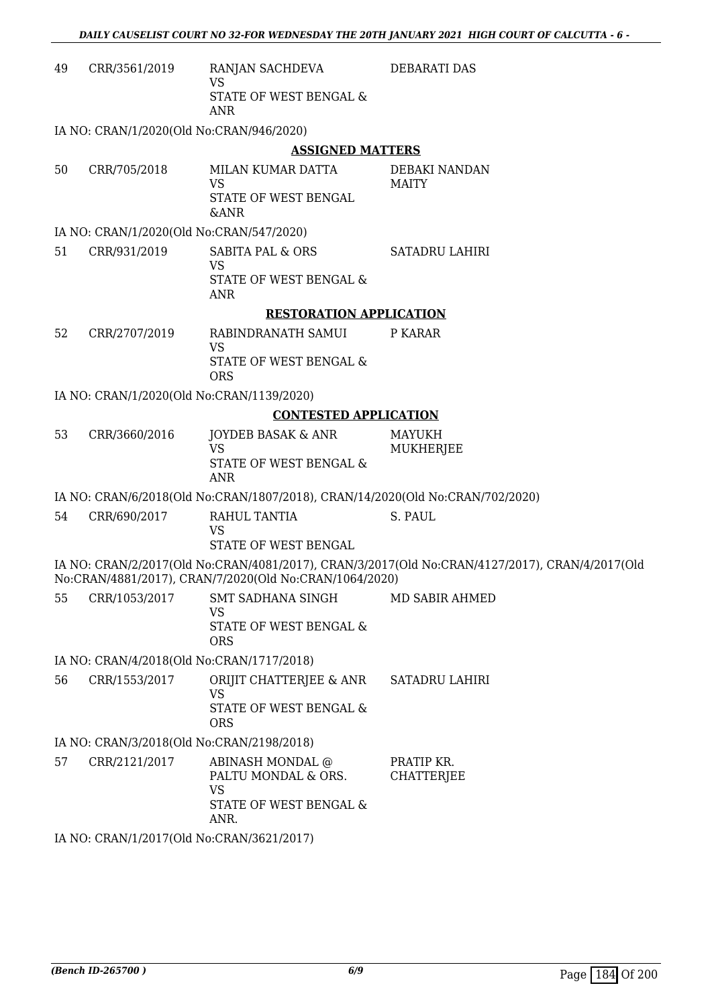| 49 | CRR/3561/2019                             | RANJAN SACHDEVA<br><b>VS</b>                                                  | DEBARATI DAS                                                                                   |  |  |
|----|-------------------------------------------|-------------------------------------------------------------------------------|------------------------------------------------------------------------------------------------|--|--|
|    |                                           | STATE OF WEST BENGAL &<br><b>ANR</b>                                          |                                                                                                |  |  |
|    | IA NO: CRAN/1/2020(Old No:CRAN/946/2020)  |                                                                               |                                                                                                |  |  |
|    |                                           | <b>ASSIGNED MATTERS</b>                                                       |                                                                                                |  |  |
| 50 | CRR/705/2018                              | MILAN KUMAR DATTA                                                             | DEBAKI NANDAN                                                                                  |  |  |
|    |                                           | <b>VS</b>                                                                     | <b>MAITY</b>                                                                                   |  |  |
|    |                                           | STATE OF WEST BENGAL<br><b>&amp;ANR</b>                                       |                                                                                                |  |  |
|    | IA NO: CRAN/1/2020(Old No:CRAN/547/2020)  |                                                                               |                                                                                                |  |  |
| 51 | CRR/931/2019                              | <b>SABITA PAL &amp; ORS</b>                                                   | <b>SATADRU LAHIRI</b>                                                                          |  |  |
|    |                                           | <b>VS</b>                                                                     |                                                                                                |  |  |
|    |                                           | STATE OF WEST BENGAL &<br><b>ANR</b>                                          |                                                                                                |  |  |
|    |                                           | <b>RESTORATION APPLICATION</b>                                                |                                                                                                |  |  |
| 52 | CRR/2707/2019                             | RABINDRANATH SAMUI                                                            | P KARAR                                                                                        |  |  |
|    |                                           | <b>VS</b>                                                                     |                                                                                                |  |  |
|    |                                           | STATE OF WEST BENGAL &<br><b>ORS</b>                                          |                                                                                                |  |  |
|    | IA NO: CRAN/1/2020(Old No:CRAN/1139/2020) |                                                                               |                                                                                                |  |  |
|    |                                           | <b>CONTESTED APPLICATION</b>                                                  |                                                                                                |  |  |
| 53 | CRR/3660/2016                             | <b>JOYDEB BASAK &amp; ANR</b>                                                 | MAYUKH                                                                                         |  |  |
|    |                                           | <b>VS</b><br>STATE OF WEST BENGAL &<br><b>ANR</b>                             | MUKHERJEE                                                                                      |  |  |
|    |                                           | IA NO: CRAN/6/2018(Old No:CRAN/1807/2018), CRAN/14/2020(Old No:CRAN/702/2020) |                                                                                                |  |  |
| 54 | CRR/690/2017                              | RAHUL TANTIA                                                                  | S. PAUL                                                                                        |  |  |
|    |                                           | <b>VS</b>                                                                     |                                                                                                |  |  |
|    |                                           | <b>STATE OF WEST BENGAL</b>                                                   |                                                                                                |  |  |
|    |                                           | No:CRAN/4881/2017), CRAN/7/2020(Old No:CRAN/1064/2020)                        | IA NO: CRAN/2/2017(Old No:CRAN/4081/2017), CRAN/3/2017(Old No:CRAN/4127/2017), CRAN/4/2017(Old |  |  |
| 55 | CRR/1053/2017                             | SMT SADHANA SINGH                                                             | MD SABIR AHMED                                                                                 |  |  |
|    |                                           | <b>VS</b><br>STATE OF WEST BENGAL &                                           |                                                                                                |  |  |
|    |                                           | <b>ORS</b>                                                                    |                                                                                                |  |  |
|    | IA NO: CRAN/4/2018(Old No:CRAN/1717/2018) |                                                                               |                                                                                                |  |  |
| 56 | CRR/1553/2017                             | ORIJIT CHATTERJEE & ANR                                                       | <b>SATADRU LAHIRI</b>                                                                          |  |  |
|    |                                           | <b>VS</b><br>STATE OF WEST BENGAL &                                           |                                                                                                |  |  |
|    |                                           | <b>ORS</b>                                                                    |                                                                                                |  |  |
|    | IA NO: CRAN/3/2018(Old No:CRAN/2198/2018) |                                                                               |                                                                                                |  |  |
| 57 | CRR/2121/2017                             | ABINASH MONDAL @                                                              | PRATIP KR.                                                                                     |  |  |
|    |                                           | PALTU MONDAL & ORS.<br><b>VS</b>                                              | <b>CHATTERJEE</b>                                                                              |  |  |
|    |                                           | STATE OF WEST BENGAL &                                                        |                                                                                                |  |  |
|    |                                           | ANR.                                                                          |                                                                                                |  |  |
|    | IA NO: CRAN/1/2017(Old No:CRAN/3621/2017) |                                                                               |                                                                                                |  |  |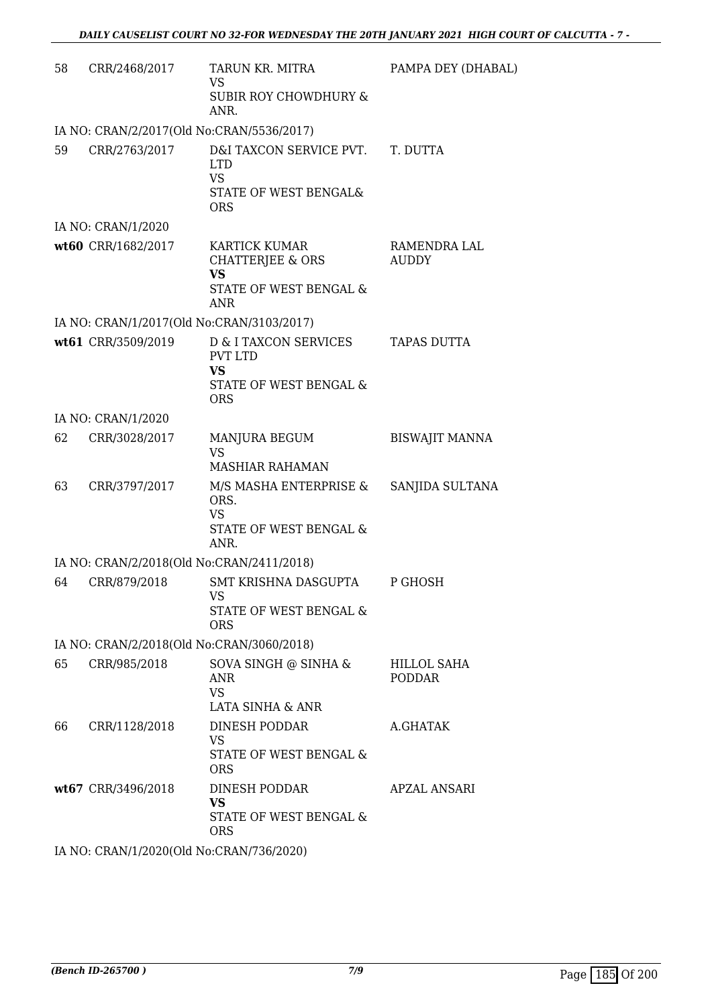| 58 | CRR/2468/2017                             | TARUN KR. MITRA<br><b>VS</b><br><b>SUBIR ROY CHOWDHURY &amp;</b><br>ANR.                      | PAMPA DEY (DHABAL)           |
|----|-------------------------------------------|-----------------------------------------------------------------------------------------------|------------------------------|
|    | IA NO: CRAN/2/2017(Old No:CRAN/5536/2017) |                                                                                               |                              |
| 59 | CRR/2763/2017                             | D&I TAXCON SERVICE PVT.<br><b>LTD</b><br><b>VS</b><br>STATE OF WEST BENGAL&<br><b>ORS</b>     | T. DUTTA                     |
|    | IA NO: CRAN/1/2020                        |                                                                                               |                              |
|    | wt60 CRR/1682/2017                        | <b>KARTICK KUMAR</b><br>CHATTERJEE & ORS<br><b>VS</b><br>STATE OF WEST BENGAL &<br><b>ANR</b> | RAMENDRA LAL<br><b>AUDDY</b> |
|    | IA NO: CRAN/1/2017(Old No:CRAN/3103/2017) |                                                                                               |                              |
|    | wt61 CRR/3509/2019                        | D & I TAXCON SERVICES<br><b>PVT LTD</b><br><b>VS</b><br>STATE OF WEST BENGAL &                | TAPAS DUTTA                  |
|    | IA NO: CRAN/1/2020                        | <b>ORS</b>                                                                                    |                              |
| 62 | CRR/3028/2017                             | MANJURA BEGUM                                                                                 | <b>BISWAJIT MANNA</b>        |
|    |                                           | <b>VS</b><br><b>MASHIAR RAHAMAN</b>                                                           |                              |
| 63 | CRR/3797/2017                             | M/S MASHA ENTERPRISE &<br>ORS.<br><b>VS</b><br>STATE OF WEST BENGAL &<br>ANR.                 | SANJIDA SULTANA              |
|    | IA NO: CRAN/2/2018(Old No:CRAN/2411/2018) |                                                                                               |                              |
| 64 | CRR/879/2018                              | SMT KRISHNA DASGUPTA<br>VS<br>STATE OF WEST BENGAL &<br><b>ORS</b>                            | P GHOSH                      |
|    | IA NO: CRAN/2/2018(Old No:CRAN/3060/2018) |                                                                                               |                              |
| 65 | CRR/985/2018                              | SOVA SINGH @ SINHA &<br>ANR<br><b>VS</b><br>LATA SINHA & ANR                                  | HILLOL SAHA<br><b>PODDAR</b> |
| 66 | CRR/1128/2018                             | <b>DINESH PODDAR</b><br><b>VS</b><br>STATE OF WEST BENGAL &<br><b>ORS</b>                     | A.GHATAK                     |
|    | wt67 CRR/3496/2018                        | DINESH PODDAR<br><b>VS</b><br>STATE OF WEST BENGAL &<br><b>ORS</b>                            | APZAL ANSARI                 |
|    |                                           |                                                                                               |                              |

IA NO: CRAN/1/2020(Old No:CRAN/736/2020)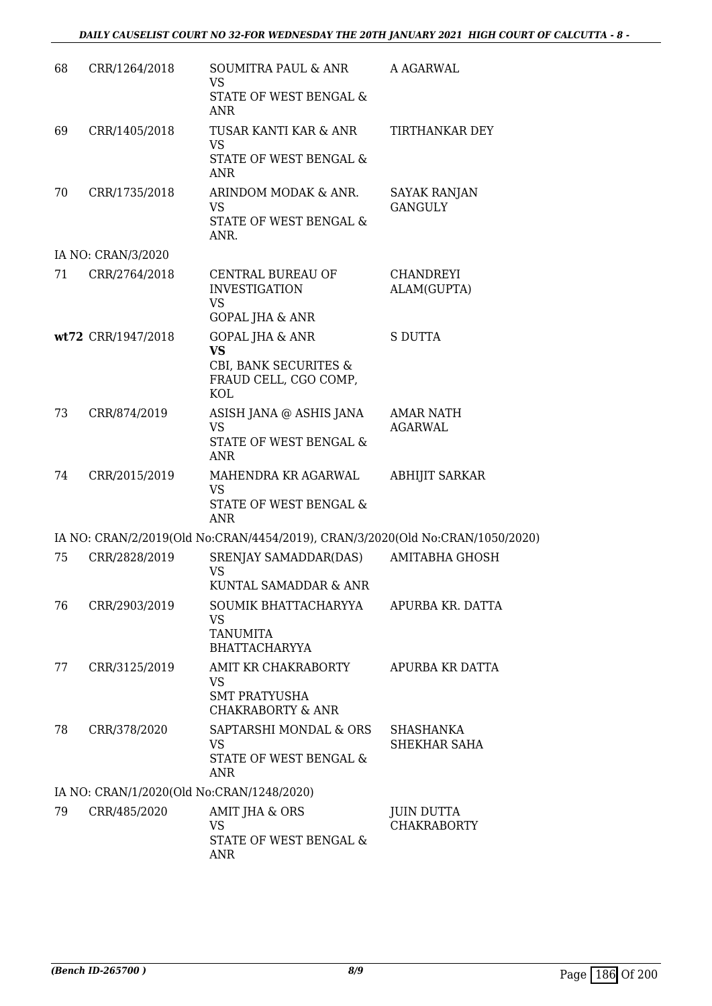| 68 | CRR/1264/2018                             | SOUMITRA PAUL & ANR<br><b>VS</b><br>STATE OF WEST BENGAL &                                              | A AGARWAL                             |
|----|-------------------------------------------|---------------------------------------------------------------------------------------------------------|---------------------------------------|
|    |                                           | ANR                                                                                                     |                                       |
| 69 | CRR/1405/2018                             | TUSAR KANTI KAR & ANR<br><b>VS</b><br>STATE OF WEST BENGAL &<br><b>ANR</b>                              | TIRTHANKAR DEY                        |
| 70 | CRR/1735/2018                             | ARINDOM MODAK & ANR.<br>VS<br>STATE OF WEST BENGAL &<br>ANR.                                            | <b>SAYAK RANJAN</b><br><b>GANGULY</b> |
|    | IA NO: CRAN/3/2020                        |                                                                                                         |                                       |
| 71 | CRR/2764/2018                             | CENTRAL BUREAU OF<br><b>INVESTIGATION</b><br><b>VS</b>                                                  | CHANDREYI<br>ALAM(GUPTA)              |
|    |                                           | <b>GOPAL JHA &amp; ANR</b>                                                                              |                                       |
|    | wt72 CRR/1947/2018                        | <b>GOPAL JHA &amp; ANR</b><br><b>VS</b><br>CBI, BANK SECURITES &<br>FRAUD CELL, CGO COMP,<br><b>KOL</b> | <b>S DUTTA</b>                        |
| 73 | CRR/874/2019                              | ASISH JANA @ ASHIS JANA<br><b>VS</b><br>STATE OF WEST BENGAL &<br>ANR                                   | <b>AMAR NATH</b><br><b>AGARWAL</b>    |
| 74 | CRR/2015/2019                             | MAHENDRA KR AGARWAL<br><b>VS</b><br>STATE OF WEST BENGAL &<br><b>ANR</b>                                | <b>ABHIJIT SARKAR</b>                 |
|    |                                           | IA NO: CRAN/2/2019(Old No:CRAN/4454/2019), CRAN/3/2020(Old No:CRAN/1050/2020)                           |                                       |
| 75 | CRR/2828/2019                             | SRENJAY SAMADDAR(DAS)<br><b>VS</b><br>KUNTAL SAMADDAR & ANR                                             | <b>AMITABHA GHOSH</b>                 |
| 76 | CRR/2903/2019                             | SOUMIK BHATTACHARYYA<br>VS<br><b>TANUMITA</b><br><b>BHATTACHARYYA</b>                                   | APURBA KR. DATTA                      |
| 77 | CRR/3125/2019                             | AMIT KR CHAKRABORTY<br>VS<br><b>SMT PRATYUSHA</b><br><b>CHAKRABORTY &amp; ANR</b>                       | APURBA KR DATTA                       |
| 78 | CRR/378/2020                              | SAPTARSHI MONDAL & ORS<br>VS<br>STATE OF WEST BENGAL &<br><b>ANR</b>                                    | SHASHANKA<br>SHEKHAR SAHA             |
|    | IA NO: CRAN/1/2020(Old No:CRAN/1248/2020) |                                                                                                         |                                       |
| 79 | CRR/485/2020                              | AMIT JHA & ORS<br><b>VS</b><br>STATE OF WEST BENGAL &<br>ANR                                            | JUIN DUTTA<br><b>CHAKRABORTY</b>      |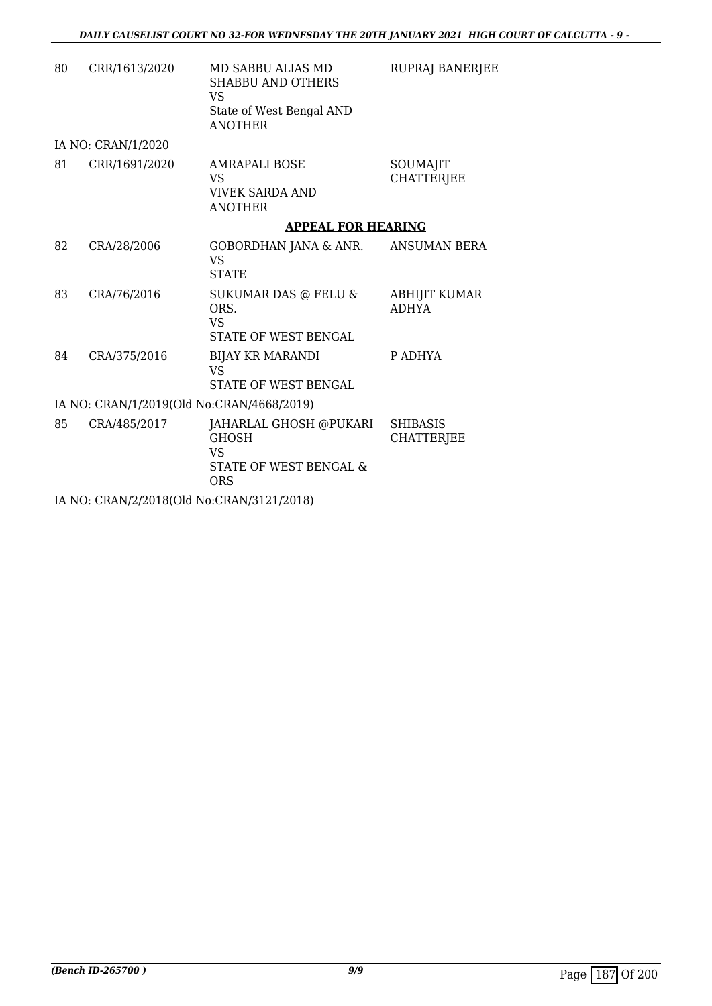| 80 | CRR/1613/2020                             | MD SABBU ALIAS MD<br><b>SHABBU AND OTHERS</b><br><b>VS</b><br>State of West Bengal AND<br><b>ANOTHER</b> | RUPRAJ BANERJEE                      |
|----|-------------------------------------------|----------------------------------------------------------------------------------------------------------|--------------------------------------|
|    | IA NO: CRAN/1/2020                        |                                                                                                          |                                      |
| 81 | CRR/1691/2020                             | <b>AMRAPALI BOSE</b><br><b>VS</b><br><b>VIVEK SARDA AND</b><br><b>ANOTHER</b>                            | SOUMAJIT<br><b>CHATTERJEE</b>        |
|    |                                           | <b>APPEAL FOR HEARING</b>                                                                                |                                      |
| 82 | CRA/28/2006                               | GOBORDHAN JANA & ANR.<br>VS.<br><b>STATE</b>                                                             | ANSUMAN BERA                         |
| 83 | CRA/76/2016                               | SUKUMAR DAS @ FELU &<br>ORS.<br><b>VS</b><br>STATE OF WEST BENGAL                                        | <b>ABHIJIT KUMAR</b><br><b>ADHYA</b> |
| 84 | CRA/375/2016                              | <b>BIJAY KR MARANDI</b><br><b>VS</b><br>STATE OF WEST BENGAL                                             | P ADHYA                              |
|    | IA NO: CRAN/1/2019(Old No:CRAN/4668/2019) |                                                                                                          |                                      |
| 85 | CRA/485/2017                              | JAHARLAL GHOSH @PUKARI<br><b>GHOSH</b><br><b>VS</b><br>STATE OF WEST BENGAL &<br><b>ORS</b>              | <b>SHIBASIS</b><br><b>CHATTERJEE</b> |
|    | IA NO: CRAN/2/2018(Old No:CRAN/3121/2018) |                                                                                                          |                                      |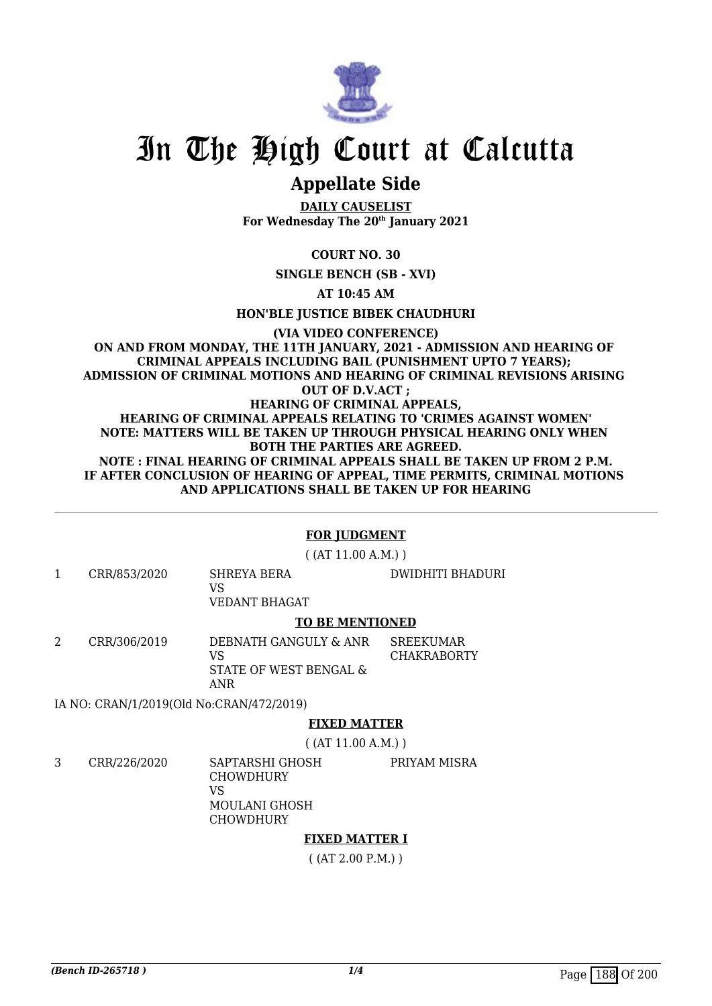

# **Appellate Side**

**DAILY CAUSELIST For Wednesday The 20th January 2021**

### **COURT NO. 30**

**SINGLE BENCH (SB - XVI)**

**AT 10:45 AM**

**HON'BLE JUSTICE BIBEK CHAUDHURI**

#### **(VIA VIDEO CONFERENCE) ON AND FROM MONDAY, THE 11TH JANUARY, 2021 - ADMISSION AND HEARING OF CRIMINAL APPEALS INCLUDING BAIL (PUNISHMENT UPTO 7 YEARS); ADMISSION OF CRIMINAL MOTIONS AND HEARING OF CRIMINAL REVISIONS ARISING OUT OF D.V.ACT ; HEARING OF CRIMINAL APPEALS, HEARING OF CRIMINAL APPEALS RELATING TO 'CRIMES AGAINST WOMEN' NOTE: MATTERS WILL BE TAKEN UP THROUGH PHYSICAL HEARING ONLY WHEN BOTH THE PARTIES ARE AGREED. NOTE : FINAL HEARING OF CRIMINAL APPEALS SHALL BE TAKEN UP FROM 2 P.M. IF AFTER CONCLUSION OF HEARING OF APPEAL, TIME PERMITS, CRIMINAL MOTIONS AND APPLICATIONS SHALL BE TAKEN UP FOR HEARING**

#### **FOR JUDGMENT**

( (AT 11.00 A.M.) )

1 CRR/853/2020 SHREYA BERA  $V<sup>Q</sup>$ VEDANT BHAGAT

#### **TO BE MENTIONED**

2 CRR/306/2019 DEBNATH GANGULY & ANR VS STATE OF WEST BENGAL & ANR **SREEKUMAR** CHAKRABORTY

IA NO: CRAN/1/2019(Old No:CRAN/472/2019)

### **FIXED MATTER**

( (AT 11.00 A.M.) )

3 CRR/226/2020 SAPTARSHI GHOSH

PRIYAM MISRA

DWIDHITI BHADURI

CHOWDHURY VS MOULANI GHOSH **CHOWDHURY** 

### **FIXED MATTER I**

( (AT 2.00 P.M.) )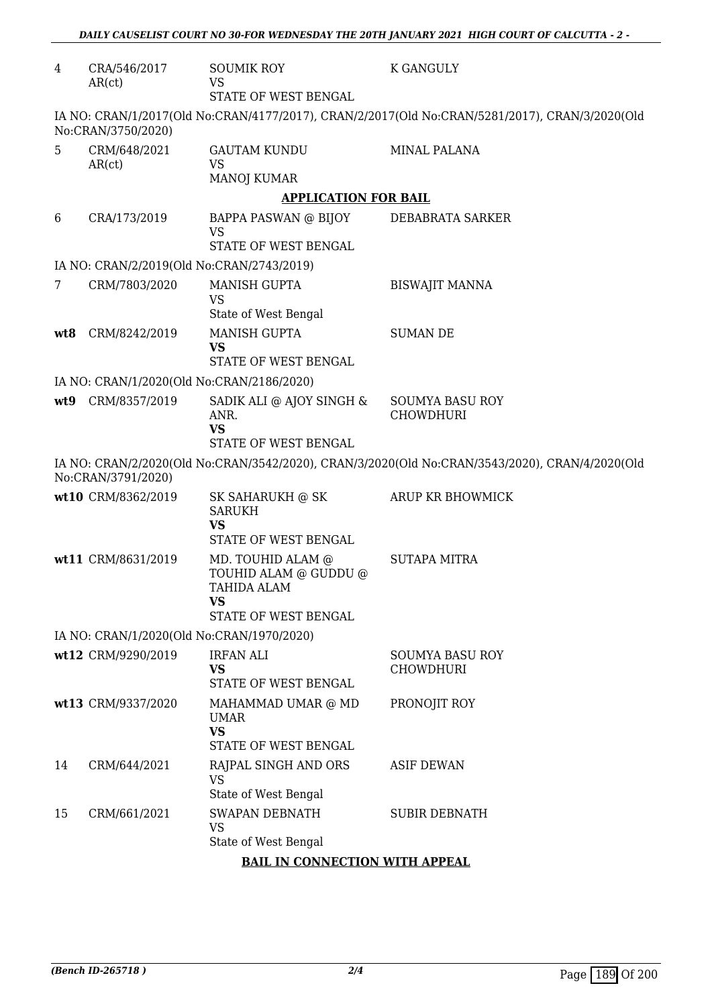| 4   | CRA/546/2017<br>AR(ct)                    | <b>SOUMIK ROY</b><br><b>VS</b><br>STATE OF WEST BENGAL                                  | <b>K GANGULY</b>                                                                               |  |  |
|-----|-------------------------------------------|-----------------------------------------------------------------------------------------|------------------------------------------------------------------------------------------------|--|--|
|     | No:CRAN/3750/2020)                        |                                                                                         | IA NO: CRAN/1/2017(Old No:CRAN/4177/2017), CRAN/2/2017(Old No:CRAN/5281/2017), CRAN/3/2020(Old |  |  |
| 5   | CRM/648/2021<br>AR(ct)                    | <b>GAUTAM KUNDU</b><br><b>VS</b><br><b>MANOJ KUMAR</b>                                  | MINAL PALANA                                                                                   |  |  |
|     |                                           | <b>APPLICATION FOR BAIL</b>                                                             |                                                                                                |  |  |
| 6   | CRA/173/2019                              | BAPPA PASWAN @ BIJOY<br><b>VS</b><br>STATE OF WEST BENGAL                               | DEBABRATA SARKER                                                                               |  |  |
|     | IA NO: CRAN/2/2019(Old No:CRAN/2743/2019) |                                                                                         |                                                                                                |  |  |
| 7   | CRM/7803/2020                             | <b>MANISH GUPTA</b>                                                                     | <b>BISWAJIT MANNA</b>                                                                          |  |  |
|     |                                           | <b>VS</b><br>State of West Bengal                                                       |                                                                                                |  |  |
| wt8 | CRM/8242/2019                             | <b>MANISH GUPTA</b>                                                                     | <b>SUMAN DE</b>                                                                                |  |  |
|     |                                           | <b>VS</b><br><b>STATE OF WEST BENGAL</b>                                                |                                                                                                |  |  |
|     | IA NO: CRAN/1/2020(Old No:CRAN/2186/2020) |                                                                                         |                                                                                                |  |  |
| wt9 | CRM/8357/2019                             | SADIK ALI @ AJOY SINGH &                                                                | <b>SOUMYA BASU ROY</b>                                                                         |  |  |
|     |                                           | ANR.<br><b>VS</b><br>STATE OF WEST BENGAL                                               | <b>CHOWDHURI</b>                                                                               |  |  |
|     |                                           |                                                                                         | IA NO: CRAN/2/2020(Old No:CRAN/3542/2020), CRAN/3/2020(Old No:CRAN/3543/2020), CRAN/4/2020(Old |  |  |
|     | No:CRAN/3791/2020)                        |                                                                                         |                                                                                                |  |  |
|     | wt10 CRM/8362/2019                        | SK SAHARUKH @ SK<br><b>SARUKH</b>                                                       | ARUP KR BHOWMICK                                                                               |  |  |
|     |                                           | <b>VS</b><br>STATE OF WEST BENGAL                                                       |                                                                                                |  |  |
|     | wt11 CRM/8631/2019                        | MD. TOUHID ALAM @<br>TOUHID ALAM @ GUDDU @<br>TAHIDA ALAM<br>VS<br>STATE OF WEST BENGAL | <b>SUTAPA MITRA</b>                                                                            |  |  |
|     | IA NO: CRAN/1/2020(Old No:CRAN/1970/2020) |                                                                                         |                                                                                                |  |  |
|     | wt12 CRM/9290/2019                        | <b>IRFAN ALI</b>                                                                        | <b>SOUMYA BASU ROY</b>                                                                         |  |  |
|     |                                           | <b>VS</b><br>STATE OF WEST BENGAL                                                       | <b>CHOWDHURI</b>                                                                               |  |  |
|     | wt13 CRM/9337/2020                        | MAHAMMAD UMAR @ MD<br>UMAR<br><b>VS</b>                                                 | PRONOJIT ROY                                                                                   |  |  |
|     |                                           | STATE OF WEST BENGAL                                                                    |                                                                                                |  |  |
| 14  | CRM/644/2021                              | RAJPAL SINGH AND ORS<br>VS                                                              | <b>ASIF DEWAN</b>                                                                              |  |  |
|     |                                           | State of West Bengal                                                                    |                                                                                                |  |  |
| 15  | CRM/661/2021                              | <b>SWAPAN DEBNATH</b><br><b>VS</b><br>State of West Bengal                              | <b>SUBIR DEBNATH</b>                                                                           |  |  |
|     | <b>BAIL IN CONNECTION WITH APPEAL</b>     |                                                                                         |                                                                                                |  |  |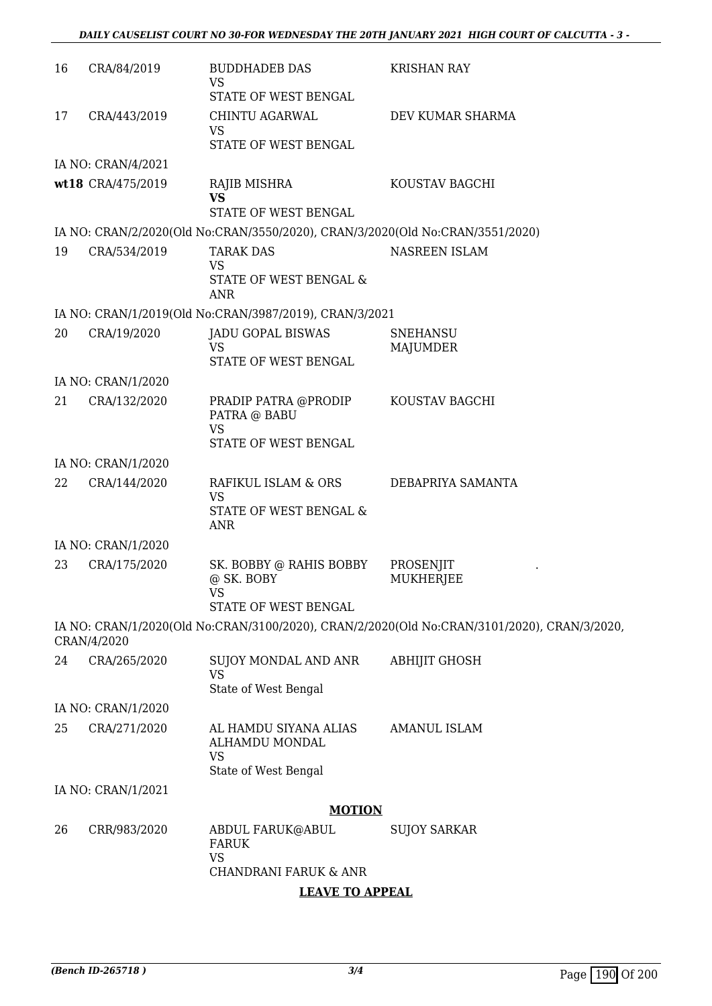| 16 | CRA/84/2019        | <b>BUDDHADEB DAS</b><br><b>VS</b><br>STATE OF WEST BENGAL                     | <b>KRISHAN RAY</b>                                                                          |
|----|--------------------|-------------------------------------------------------------------------------|---------------------------------------------------------------------------------------------|
| 17 | CRA/443/2019       | CHINTU AGARWAL<br><b>VS</b><br>STATE OF WEST BENGAL                           | DEV KUMAR SHARMA                                                                            |
|    | IA NO: CRAN/4/2021 |                                                                               |                                                                                             |
|    | wt18 CRA/475/2019  | RAJIB MISHRA<br><b>VS</b><br><b>STATE OF WEST BENGAL</b>                      | KOUSTAV BAGCHI                                                                              |
|    |                    | IA NO: CRAN/2/2020(Old No:CRAN/3550/2020), CRAN/3/2020(Old No:CRAN/3551/2020) |                                                                                             |
| 19 | CRA/534/2019       | <b>TARAK DAS</b><br><b>VS</b><br>STATE OF WEST BENGAL &<br><b>ANR</b>         | NASREEN ISLAM                                                                               |
|    |                    | IA NO: CRAN/1/2019(Old No:CRAN/3987/2019), CRAN/3/2021                        |                                                                                             |
| 20 | CRA/19/2020        | <b>JADU GOPAL BISWAS</b><br><b>VS</b><br><b>STATE OF WEST BENGAL</b>          | <b>SNEHANSU</b><br>MAJUMDER                                                                 |
|    | IA NO: CRAN/1/2020 |                                                                               |                                                                                             |
| 21 | CRA/132/2020       | PRADIP PATRA @PRODIP<br>PATRA @ BABU<br><b>VS</b>                             | KOUSTAV BAGCHI                                                                              |
|    |                    | STATE OF WEST BENGAL                                                          |                                                                                             |
|    | IA NO: CRAN/1/2020 |                                                                               |                                                                                             |
| 22 | CRA/144/2020       | RAFIKUL ISLAM & ORS<br><b>VS</b><br>STATE OF WEST BENGAL &<br><b>ANR</b>      | DEBAPRIYA SAMANTA                                                                           |
|    | IA NO: CRAN/1/2020 |                                                                               |                                                                                             |
| 23 | CRA/175/2020       | SK. BOBBY @ RAHIS BOBBY<br>@ SK. BOBY<br>VS<br>STATE OF WEST BENGAL           | PROSENJIT<br><b>MUKHERJEE</b>                                                               |
|    | CRAN/4/2020        |                                                                               | IA NO: CRAN/1/2020(Old No:CRAN/3100/2020), CRAN/2/2020(Old No:CRAN/3101/2020), CRAN/3/2020, |
| 24 | CRA/265/2020       | SUJOY MONDAL AND ANR<br><b>VS</b><br>State of West Bengal                     | <b>ABHIJIT GHOSH</b>                                                                        |
|    | IA NO: CRAN/1/2020 |                                                                               |                                                                                             |
| 25 | CRA/271/2020       | AL HAMDU SIYANA ALIAS<br>ALHAMDU MONDAL<br><b>VS</b><br>State of West Bengal  | <b>AMANUL ISLAM</b>                                                                         |
|    | IA NO: CRAN/1/2021 |                                                                               |                                                                                             |
|    |                    | <b>MOTION</b>                                                                 |                                                                                             |
| 26 | CRR/983/2020       | ABDUL FARUK@ABUL<br><b>FARUK</b><br><b>VS</b><br>CHANDRANI FARUK & ANR        | <b>SUJOY SARKAR</b>                                                                         |

**LEAVE TO APPEAL**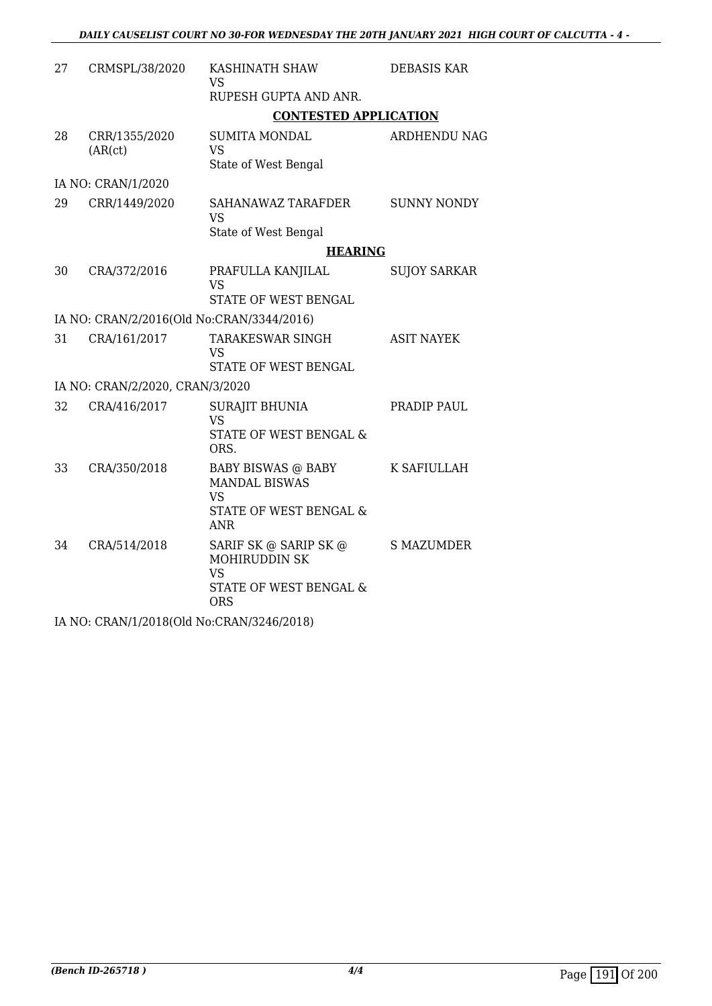| CRMSPL/38/2020           | KASHINATH SHAW<br><b>VS</b><br>RUPESH GUPTA AND ANR.                                                          | <b>DEBASIS KAR</b>                                                                                                                                                                                                                                        |
|--------------------------|---------------------------------------------------------------------------------------------------------------|-----------------------------------------------------------------------------------------------------------------------------------------------------------------------------------------------------------------------------------------------------------|
|                          |                                                                                                               |                                                                                                                                                                                                                                                           |
| CRR/1355/2020<br>(AR(ct) | <b>SUMITA MONDAL</b><br><b>VS</b><br>State of West Bengal                                                     | <b>ARDHENDU NAG</b>                                                                                                                                                                                                                                       |
| IA NO: CRAN/1/2020       |                                                                                                               |                                                                                                                                                                                                                                                           |
| CRR/1449/2020            | SAHANAWAZ TARAFDER<br><b>VS</b>                                                                               | <b>SUNNY NONDY</b>                                                                                                                                                                                                                                        |
|                          |                                                                                                               |                                                                                                                                                                                                                                                           |
| CRA/372/2016             | PRAFULLA KANJILAL<br><b>VS</b>                                                                                | <b>SUJOY SARKAR</b>                                                                                                                                                                                                                                       |
|                          |                                                                                                               |                                                                                                                                                                                                                                                           |
|                          |                                                                                                               |                                                                                                                                                                                                                                                           |
|                          | VS<br>STATE OF WEST BENGAL                                                                                    | <b>ASIT NAYEK</b>                                                                                                                                                                                                                                         |
|                          |                                                                                                               |                                                                                                                                                                                                                                                           |
| CRA/416/2017             | <b>SURAJIT BHUNIA</b><br><b>VS</b><br>STATE OF WEST BENGAL &<br>ORS.                                          | PRADIP PAUL                                                                                                                                                                                                                                               |
| CRA/350/2018             | <b>BABY BISWAS @ BABY</b><br><b>MANDAL BISWAS</b><br><b>VS</b><br>STATE OF WEST BENGAL &<br><b>ANR</b>        | K SAFIULLAH                                                                                                                                                                                                                                               |
| CRA/514/2018             | SARIF SK @ SARIP SK @<br><b>MOHIRUDDIN SK</b><br><b>VS</b><br><b>STATE OF WEST BENGAL &amp;</b><br><b>ORS</b> | <b>S MAZUMDER</b>                                                                                                                                                                                                                                         |
|                          | CRA/161/2017                                                                                                  | <b>CONTESTED APPLICATION</b><br>State of West Bengal<br><b>HEARING</b><br><b>STATE OF WEST BENGAL</b><br>IA NO: CRAN/2/2016(Old No:CRAN/3344/2016)<br>TARAKESWAR SINGH<br>IA NO: CRAN/2/2020, CRAN/3/2020<br>$I$ AIO, ODAALI4 (0040(OLLAL) ODAAL(0040) ON |

IA NO: CRAN/1/2018(Old No:CRAN/3246/2018)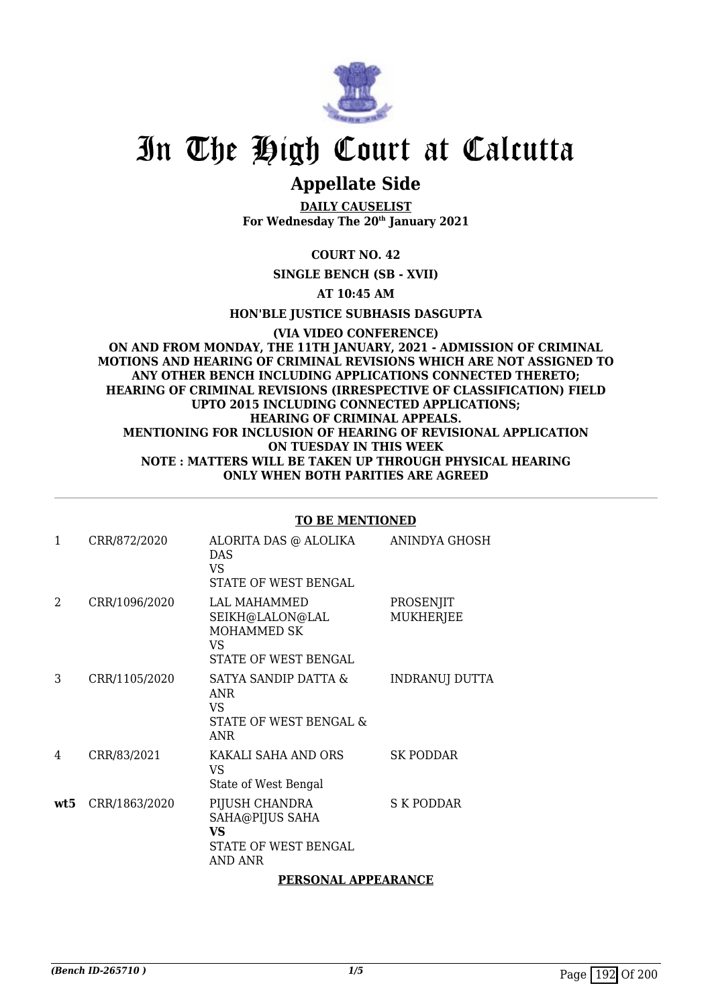

# **Appellate Side**

**DAILY CAUSELIST For Wednesday The 20th January 2021**

### **COURT NO. 42**

**SINGLE BENCH (SB - XVII)**

**AT 10:45 AM**

**HON'BLE JUSTICE SUBHASIS DASGUPTA**

**(VIA VIDEO CONFERENCE) ON AND FROM MONDAY, THE 11TH JANUARY, 2021 - ADMISSION OF CRIMINAL MOTIONS AND HEARING OF CRIMINAL REVISIONS WHICH ARE NOT ASSIGNED TO ANY OTHER BENCH INCLUDING APPLICATIONS CONNECTED THERETO; HEARING OF CRIMINAL REVISIONS (IRRESPECTIVE OF CLASSIFICATION) FIELD UPTO 2015 INCLUDING CONNECTED APPLICATIONS; HEARING OF CRIMINAL APPEALS. MENTIONING FOR INCLUSION OF HEARING OF REVISIONAL APPLICATION ON TUESDAY IN THIS WEEK NOTE : MATTERS WILL BE TAKEN UP THROUGH PHYSICAL HEARING ONLY WHEN BOTH PARITIES ARE AGREED**

#### **TO BE MENTIONED**

| $\mathbf{1}$ | CRR/872/2020  | ALORITA DAS @ ALOLIKA<br><b>DAS</b>                                               | ANINDYA GHOSH                 |
|--------------|---------------|-----------------------------------------------------------------------------------|-------------------------------|
|              |               | VS.<br>STATE OF WEST BENGAL                                                       |                               |
| 2            | CRR/1096/2020 | LAL MAHAMMED<br>SEIKH@LALON@LAL<br>MOHAMMED SK<br>VS<br>STATE OF WEST BENGAL      | PROSENJIT<br><b>MUKHERJEE</b> |
| 3            | CRR/1105/2020 | SATYA SANDIP DATTA &<br><b>ANR</b><br>VS.<br>STATE OF WEST BENGAL &<br><b>ANR</b> | INDRANUJ DUTTA                |
| 4            | CRR/83/2021   | KAKALI SAHA AND ORS<br>VS<br>State of West Bengal                                 | SK PODDAR                     |
| wt5.         | CRR/1863/2020 | PIJUSH CHANDRA<br>SAHA@PIJUS SAHA<br>VS<br>STATE OF WEST BENGAL<br>AND ANR        | S K PODDAR                    |
|              |               | PERSONAL APPEARANCE                                                               |                               |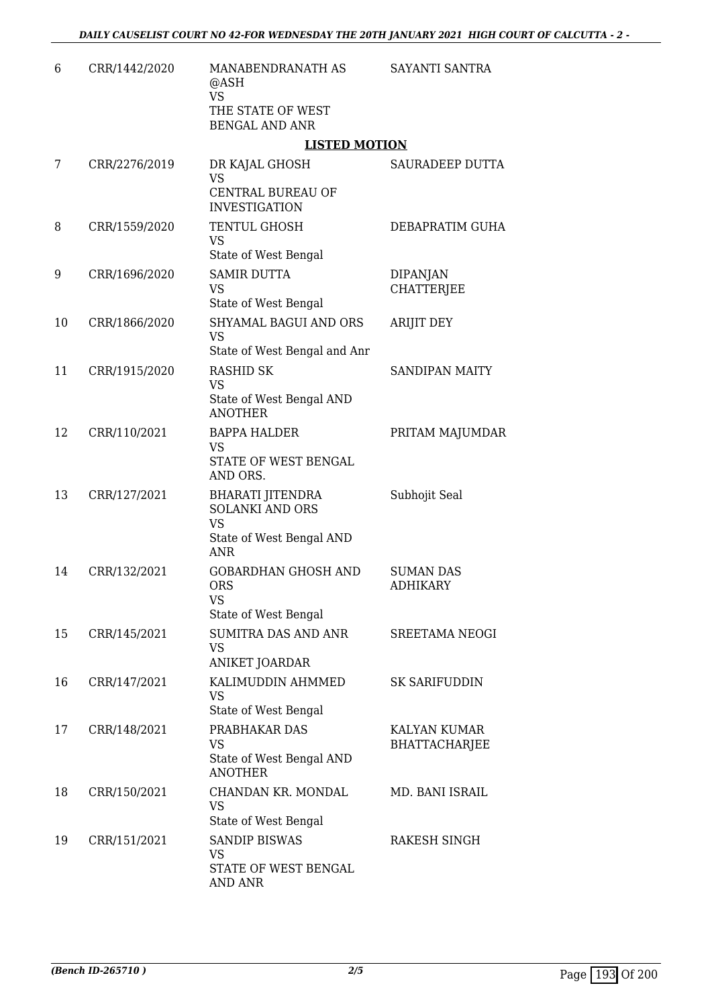| 6  | CRR/1442/2020 | MANABENDRANATH AS<br>@ASH<br><b>VS</b><br>THE STATE OF WEST<br><b>BENGAL AND ANR</b>                     | SAYANTI SANTRA                       |
|----|---------------|----------------------------------------------------------------------------------------------------------|--------------------------------------|
|    |               | <b>LISTED MOTION</b>                                                                                     |                                      |
| 7  | CRR/2276/2019 | DR KAJAL GHOSH<br><b>VS</b><br>CENTRAL BUREAU OF                                                         | SAURADEEP DUTTA                      |
| 8  | CRR/1559/2020 | <b>INVESTIGATION</b><br>TENTUL GHOSH<br><b>VS</b><br>State of West Bengal                                | DEBAPRATIM GUHA                      |
| 9  | CRR/1696/2020 | <b>SAMIR DUTTA</b><br><b>VS</b><br>State of West Bengal                                                  | <b>DIPANJAN</b><br><b>CHATTERJEE</b> |
| 10 | CRR/1866/2020 | SHYAMAL BAGUI AND ORS<br><b>VS</b><br>State of West Bengal and Anr                                       | <b>ARIJIT DEY</b>                    |
| 11 | CRR/1915/2020 | <b>RASHID SK</b><br><b>VS</b><br>State of West Bengal AND<br><b>ANOTHER</b>                              | <b>SANDIPAN MAITY</b>                |
| 12 | CRR/110/2021  | <b>BAPPA HALDER</b><br>VS<br>STATE OF WEST BENGAL<br>AND ORS.                                            | PRITAM MAJUMDAR                      |
| 13 | CRR/127/2021  | <b>BHARATI JITENDRA</b><br><b>SOLANKI AND ORS</b><br><b>VS</b><br>State of West Bengal AND<br><b>ANR</b> | Subhojit Seal                        |
| 14 | CRR/132/2021  | <b>GOBARDHAN GHOSH AND</b><br><b>ORS</b><br><b>VS</b><br>State of West Bengal                            | <b>SUMAN DAS</b><br><b>ADHIKARY</b>  |
| 15 | CRR/145/2021  | SUMITRA DAS AND ANR<br><b>VS</b><br>ANIKET JOARDAR                                                       | SREETAMA NEOGI                       |
| 16 | CRR/147/2021  | KALIMUDDIN AHMMED<br><b>VS</b><br>State of West Bengal                                                   | <b>SK SARIFUDDIN</b>                 |
| 17 | CRR/148/2021  | PRABHAKAR DAS<br><b>VS</b><br>State of West Bengal AND<br><b>ANOTHER</b>                                 | KALYAN KUMAR<br><b>BHATTACHARJEE</b> |
| 18 | CRR/150/2021  | CHANDAN KR. MONDAL<br><b>VS</b><br>State of West Bengal                                                  | MD. BANI ISRAIL                      |
| 19 | CRR/151/2021  | <b>SANDIP BISWAS</b><br><b>VS</b><br>STATE OF WEST BENGAL<br>AND ANR                                     | RAKESH SINGH                         |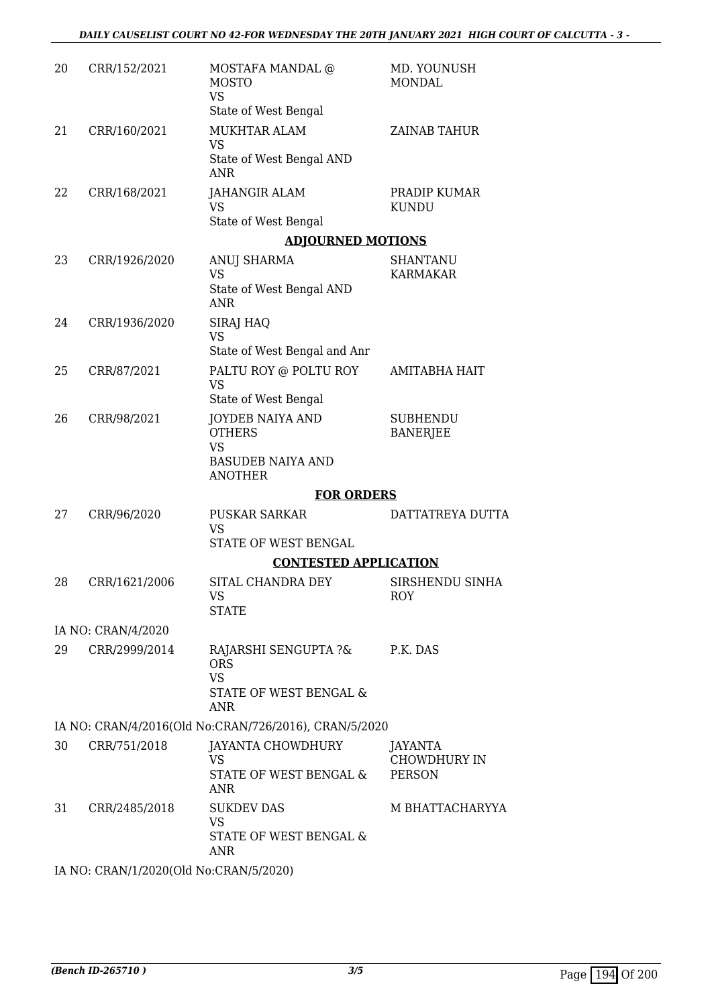| 20 | CRR/152/2021                           | MOSTAFA MANDAL @<br><b>MOSTO</b><br><b>VS</b><br>State of West Bengal                               | MD. YOUNUSH<br><b>MONDAL</b>                           |
|----|----------------------------------------|-----------------------------------------------------------------------------------------------------|--------------------------------------------------------|
| 21 | CRR/160/2021                           | <b>MUKHTAR ALAM</b><br><b>VS</b><br>State of West Bengal AND<br><b>ANR</b>                          | ZAINAB TAHUR                                           |
| 22 | CRR/168/2021                           | <b>JAHANGIR ALAM</b><br><b>VS</b><br>State of West Bengal                                           | PRADIP KUMAR<br><b>KUNDU</b>                           |
|    |                                        | <b>ADJOURNED MOTIONS</b>                                                                            |                                                        |
| 23 | CRR/1926/2020                          | ANUJ SHARMA<br><b>VS</b><br>State of West Bengal AND<br><b>ANR</b>                                  | <b>SHANTANU</b><br><b>KARMAKAR</b>                     |
| 24 | CRR/1936/2020                          | SIRAJ HAQ<br><b>VS</b><br>State of West Bengal and Anr                                              |                                                        |
| 25 | CRR/87/2021                            | PALTU ROY @ POLTU ROY<br><b>VS</b><br>State of West Bengal                                          | <b>AMITABHA HAIT</b>                                   |
| 26 | CRR/98/2021                            | <b>JOYDEB NAIYA AND</b><br><b>OTHERS</b><br><b>VS</b><br><b>BASUDEB NAIYA AND</b><br><b>ANOTHER</b> | <b>SUBHENDU</b><br><b>BANERJEE</b>                     |
|    |                                        | <b>FOR ORDERS</b>                                                                                   |                                                        |
| 27 | CRR/96/2020                            | <b>PUSKAR SARKAR</b><br><b>VS</b><br>STATE OF WEST BENGAL                                           | DATTATREYA DUTTA                                       |
|    |                                        | <b>CONTESTED APPLICATION</b>                                                                        |                                                        |
| 28 | CRR/1621/2006                          | SITAL CHANDRA DEY<br>VS<br><b>STATE</b>                                                             | SIRSHENDU SINHA<br>ROY                                 |
|    | IA NO: CRAN/4/2020                     |                                                                                                     |                                                        |
| 29 | CRR/2999/2014                          | RAJARSHI SENGUPTA ?& P.K. DAS<br><b>ORS</b><br><b>VS</b><br>STATE OF WEST BENGAL &<br><b>ANR</b>    |                                                        |
|    |                                        | IA NO: CRAN/4/2016(Old No:CRAN/726/2016), CRAN/5/2020                                               |                                                        |
| 30 | CRR/751/2018                           | JAYANTA CHOWDHURY<br><b>VS</b><br>STATE OF WEST BENGAL &<br><b>ANR</b>                              | <b>JAYANTA</b><br><b>CHOWDHURY IN</b><br><b>PERSON</b> |
| 31 | CRR/2485/2018                          | <b>SUKDEV DAS</b><br><b>VS</b><br>STATE OF WEST BENGAL &<br><b>ANR</b>                              | M BHATTACHARYYA                                        |
|    | IA NO: CRAN/1/2020(Old No:CRAN/5/2020) |                                                                                                     |                                                        |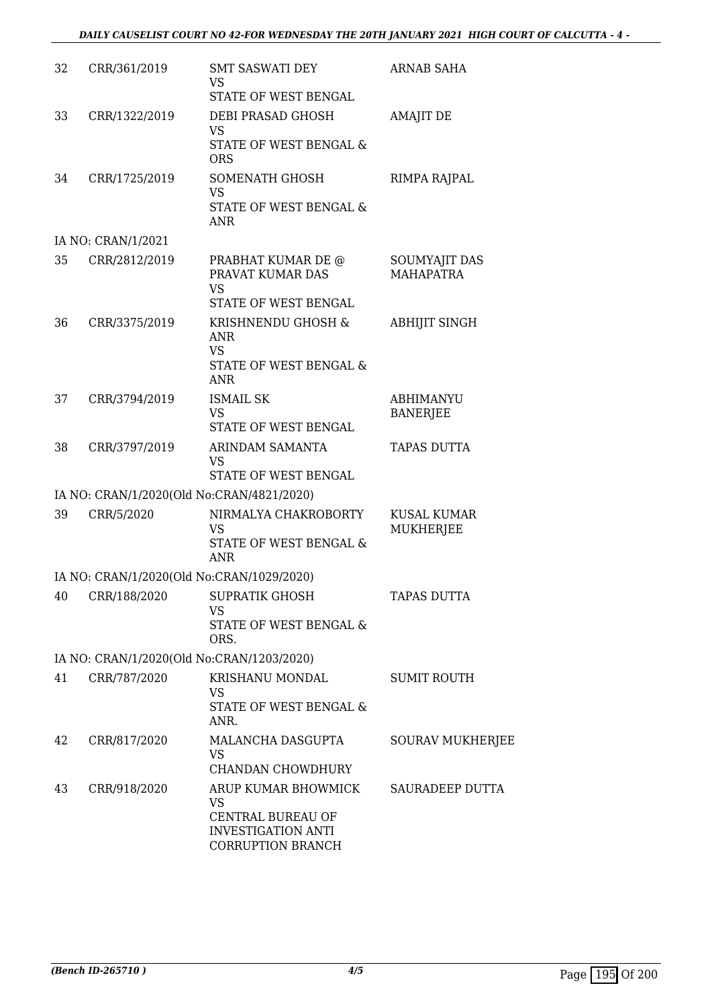| 32 | CRR/361/2019       | <b>SMT SASWATI DEY</b><br><b>VS</b><br>STATE OF WEST BENGAL                                             | <b>ARNAB SAHA</b>                      |
|----|--------------------|---------------------------------------------------------------------------------------------------------|----------------------------------------|
| 33 | CRR/1322/2019      | DEBI PRASAD GHOSH<br><b>VS</b><br><b>STATE OF WEST BENGAL &amp;</b><br><b>ORS</b>                       | <b>AMAJIT DE</b>                       |
| 34 | CRR/1725/2019      | SOMENATH GHOSH<br><b>VS</b><br>STATE OF WEST BENGAL &<br><b>ANR</b>                                     | RIMPA RAJPAL                           |
|    | IA NO: CRAN/1/2021 |                                                                                                         |                                        |
| 35 | CRR/2812/2019      | PRABHAT KUMAR DE @<br>PRAVAT KUMAR DAS<br><b>VS</b>                                                     | SOUMYAJIT DAS<br><b>MAHAPATRA</b>      |
|    |                    | STATE OF WEST BENGAL                                                                                    |                                        |
| 36 | CRR/3375/2019      | KRISHNENDU GHOSH &<br><b>ANR</b><br><b>VS</b><br>STATE OF WEST BENGAL &<br><b>ANR</b>                   | <b>ABHIJIT SINGH</b>                   |
| 37 | CRR/3794/2019      | <b>ISMAIL SK</b><br><b>VS</b><br>STATE OF WEST BENGAL                                                   | <b>ABHIMANYU</b><br><b>BANERJEE</b>    |
| 38 | CRR/3797/2019      | ARINDAM SAMANTA<br><b>VS</b><br>STATE OF WEST BENGAL                                                    | <b>TAPAS DUTTA</b>                     |
|    |                    | IA NO: CRAN/1/2020(Old No:CRAN/4821/2020)                                                               |                                        |
| 39 | CRR/5/2020         | NIRMALYA CHAKROBORTY<br><b>VS</b><br>STATE OF WEST BENGAL &<br><b>ANR</b>                               | <b>KUSAL KUMAR</b><br><b>MUKHERJEE</b> |
|    |                    | IA NO: CRAN/1/2020(Old No:CRAN/1029/2020)                                                               |                                        |
| 40 | CRR/188/2020       | <b>SUPRATIK GHOSH</b><br><b>VS</b><br>STATE OF WEST BENGAL &                                            | TAPAS DUTTA                            |
|    |                    | ORS.<br>IA NO: CRAN/1/2020(Old No:CRAN/1203/2020)                                                       |                                        |
| 41 | CRR/787/2020       | KRISHANU MONDAL                                                                                         | <b>SUMIT ROUTH</b>                     |
|    |                    | <b>VS</b><br>STATE OF WEST BENGAL &<br>ANR.                                                             |                                        |
| 42 | CRR/817/2020       | MALANCHA DASGUPTA<br><b>VS</b><br><b>CHANDAN CHOWDHURY</b>                                              | <b>SOURAV MUKHERJEE</b>                |
| 43 | CRR/918/2020       | ARUP KUMAR BHOWMICK<br><b>VS</b><br>CENTRAL BUREAU OF<br><b>INVESTIGATION ANTI</b><br>CORRUPTION BRANCH | SAURADEEP DUTTA                        |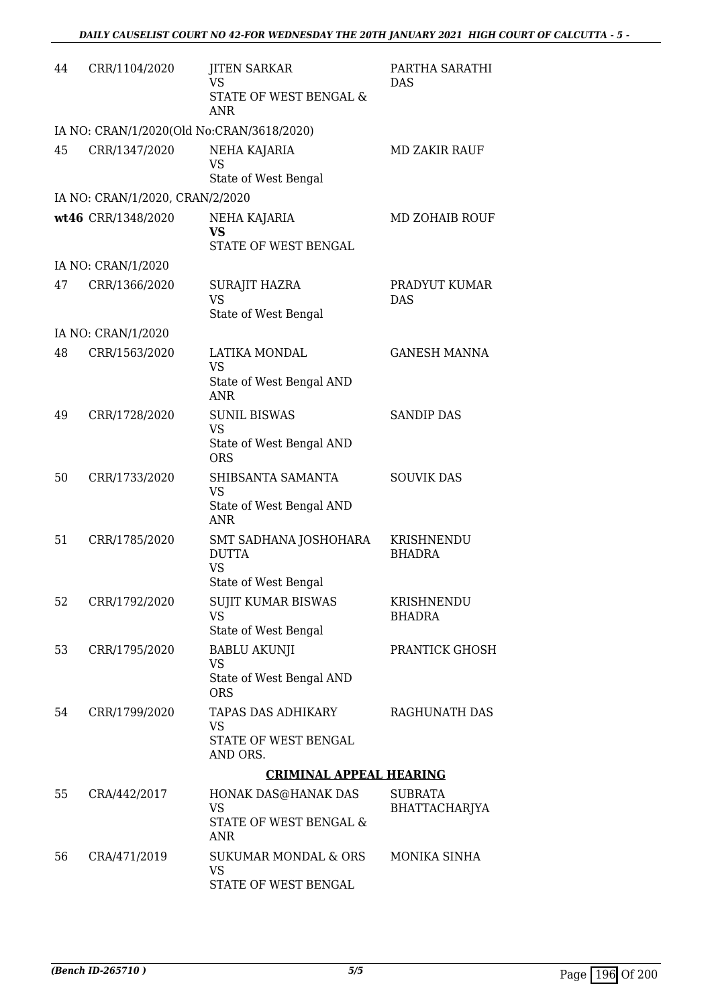| 44 | CRR/1104/2020                             | <b>JITEN SARKAR</b><br><b>VS</b><br>STATE OF WEST BENGAL &<br><b>ANR</b> | PARTHA SARATHI<br>DAS       |  |
|----|-------------------------------------------|--------------------------------------------------------------------------|-----------------------------|--|
|    | IA NO: CRAN/1/2020(Old No:CRAN/3618/2020) |                                                                          |                             |  |
| 45 | CRR/1347/2020                             | NEHA KAJARIA<br><b>VS</b><br>State of West Bengal                        | <b>MD ZAKIR RAUF</b>        |  |
|    | IA NO: CRAN/1/2020, CRAN/2/2020           |                                                                          |                             |  |
|    | wt46 CRR/1348/2020                        | NEHA KAJARIA                                                             | <b>MD ZOHAIB ROUF</b>       |  |
|    |                                           | <b>VS</b><br>STATE OF WEST BENGAL                                        |                             |  |
|    | IA NO: CRAN/1/2020                        |                                                                          |                             |  |
| 47 | CRR/1366/2020                             | <b>SURAJIT HAZRA</b><br><b>VS</b>                                        | PRADYUT KUMAR<br><b>DAS</b> |  |
|    |                                           | State of West Bengal                                                     |                             |  |
| 48 | IA NO: CRAN/1/2020<br>CRR/1563/2020       | LATIKA MONDAL                                                            | <b>GANESH MANNA</b>         |  |
|    |                                           | <b>VS</b>                                                                |                             |  |
|    |                                           | State of West Bengal AND<br><b>ANR</b>                                   |                             |  |
| 49 | CRR/1728/2020                             | <b>SUNIL BISWAS</b><br><b>VS</b>                                         | <b>SANDIP DAS</b>           |  |
|    |                                           | State of West Bengal AND<br><b>ORS</b>                                   |                             |  |
| 50 | CRR/1733/2020                             | SHIBSANTA SAMANTA<br><b>VS</b>                                           | <b>SOUVIK DAS</b>           |  |
|    |                                           | State of West Bengal AND<br><b>ANR</b>                                   |                             |  |
| 51 | CRR/1785/2020                             | SMT SADHANA JOSHOHARA<br><b>DUTTA</b><br><b>VS</b>                       | KRISHNENDU<br><b>BHADRA</b> |  |
| 52 | CRR/1792/2020                             | State of West Bengal<br>SUJIT KUMAR BISWAS                               | KRISHNENDU                  |  |
|    |                                           | <b>VS</b><br>State of West Bengal                                        | <b>BHADRA</b>               |  |
| 53 | CRR/1795/2020                             | <b>BABLU AKUNJI</b><br><b>VS</b>                                         | PRANTICK GHOSH              |  |
|    |                                           | State of West Bengal AND<br><b>ORS</b>                                   |                             |  |
| 54 | CRR/1799/2020                             | TAPAS DAS ADHIKARY<br><b>VS</b>                                          | RAGHUNATH DAS               |  |
|    |                                           | STATE OF WEST BENGAL<br>AND ORS.                                         |                             |  |
|    | <b>CRIMINAL APPEAL HEARING</b>            |                                                                          |                             |  |
| 55 | CRA/442/2017                              | HONAK DAS@HANAK DAS                                                      | <b>SUBRATA</b>              |  |
|    |                                           | VS<br>STATE OF WEST BENGAL &<br>ANR                                      | BHATTACHARJYA               |  |
| 56 | CRA/471/2019                              | <b>SUKUMAR MONDAL &amp; ORS</b><br><b>VS</b><br>STATE OF WEST BENGAL     | MONIKA SINHA                |  |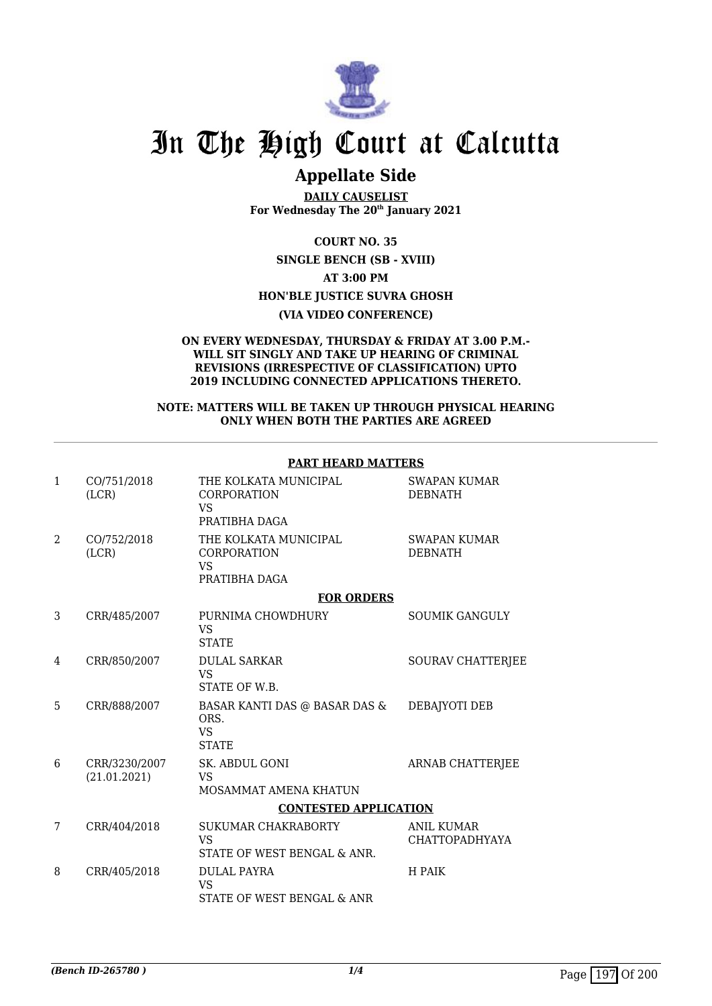

## **Appellate Side**

**DAILY CAUSELIST For Wednesday The 20th January 2021**

**COURT NO. 35**

**SINGLE BENCH (SB - XVIII) AT 3:00 PM HON'BLE JUSTICE SUVRA GHOSH (VIA VIDEO CONFERENCE)**

#### **ON EVERY WEDNESDAY, THURSDAY & FRIDAY AT 3.00 P.M.- WILL SIT SINGLY AND TAKE UP HEARING OF CRIMINAL REVISIONS (IRRESPECTIVE OF CLASSIFICATION) UPTO 2019 INCLUDING CONNECTED APPLICATIONS THERETO.**

#### **NOTE: MATTERS WILL BE TAKEN UP THROUGH PHYSICAL HEARING ONLY WHEN BOTH THE PARTIES ARE AGREED**

| 1              | CO/751/2018<br>(LCR)          | THE KOLKATA MUNICIPAL<br><b>CORPORATION</b><br><b>VS</b><br>PRATIBHA DAGA     | <b>SWAPAN KUMAR</b><br><b>DEBNATH</b>      |
|----------------|-------------------------------|-------------------------------------------------------------------------------|--------------------------------------------|
| $\overline{a}$ | CO/752/2018<br>(LCR)          | THE KOLKATA MUNICIPAL<br><b>CORPORATION</b><br><b>VS</b><br>PRATIBHA DAGA     | <b>SWAPAN KUMAR</b><br><b>DEBNATH</b>      |
|                |                               | <b>FOR ORDERS</b>                                                             |                                            |
| 3              | CRR/485/2007                  | PURNIMA CHOWDHURY<br><b>VS</b><br><b>STATE</b>                                | <b>SOUMIK GANGULY</b>                      |
| 4              | CRR/850/2007                  | <b>DULAL SARKAR</b><br><b>VS</b><br>STATE OF W.B.                             | <b>SOURAV CHATTERJEE</b>                   |
| 5              | CRR/888/2007                  | <b>BASAR KANTI DAS @ BASAR DAS &amp;</b><br>ORS.<br><b>VS</b><br><b>STATE</b> | DEBAJYOTI DEB                              |
| 6              | CRR/3230/2007<br>(21.01.2021) | SK. ABDUL GONI<br>VS<br>MOSAMMAT AMENA KHATUN                                 | <b>ARNAB CHATTERJEE</b>                    |
|                |                               | <b>CONTESTED APPLICATION</b>                                                  |                                            |
| 7              | CRR/404/2018                  | SUKUMAR CHAKRABORTY<br><b>VS</b><br>STATE OF WEST BENGAL & ANR.               | <b>ANIL KUMAR</b><br><b>CHATTOPADHYAYA</b> |
| 8              | CRR/405/2018                  | <b>DULAL PAYRA</b><br><b>VS</b><br>STATE OF WEST BENGAL & ANR                 | H PAIK                                     |

#### **PART HEARD MATTERS**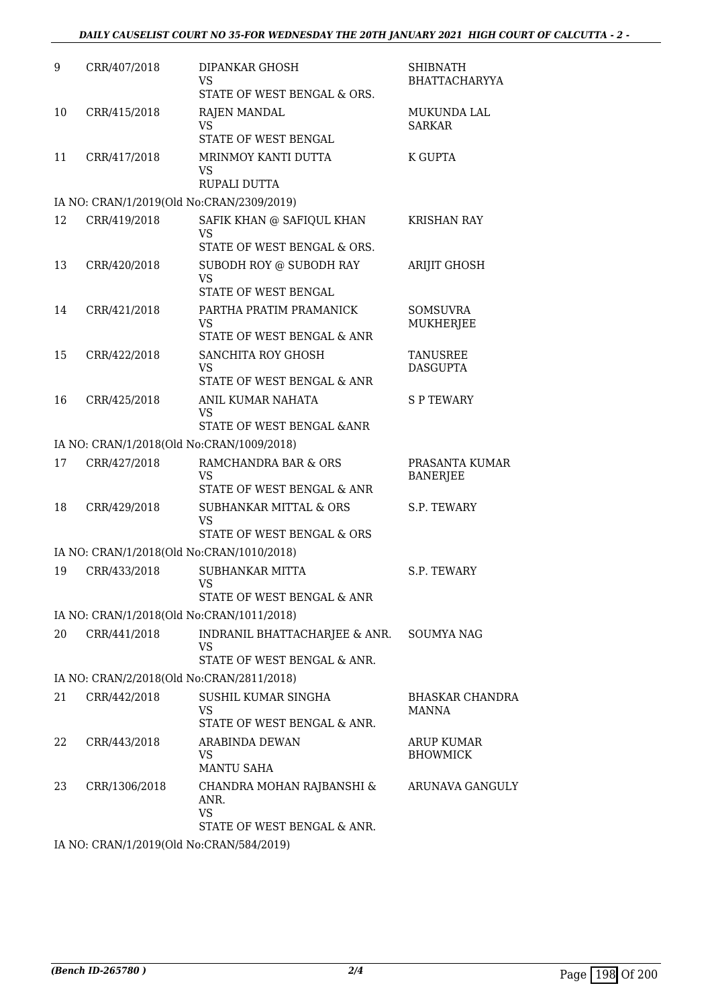| 9  | CRR/407/2018  | DIPANKAR GHOSH<br>VS<br>STATE OF WEST BENGAL & ORS.                           | SHIBNATH<br><b>BHATTACHARYYA</b>       |
|----|---------------|-------------------------------------------------------------------------------|----------------------------------------|
| 10 | CRR/415/2018  | <b>RAJEN MANDAL</b><br><b>VS</b><br>STATE OF WEST BENGAL                      | MUKUNDA LAL<br><b>SARKAR</b>           |
| 11 | CRR/417/2018  | MRINMOY KANTI DUTTA<br>VS<br>RUPALI DUTTA                                     | K GUPTA                                |
|    |               | IA NO: CRAN/1/2019(Old No:CRAN/2309/2019)                                     |                                        |
| 12 | CRR/419/2018  | SAFIK KHAN @ SAFIQUL KHAN<br>VS<br>STATE OF WEST BENGAL & ORS.                | <b>KRISHAN RAY</b>                     |
| 13 | CRR/420/2018  | SUBODH ROY @ SUBODH RAY<br><b>VS</b><br>STATE OF WEST BENGAL                  | <b>ARIJIT GHOSH</b>                    |
| 14 | CRR/421/2018  | PARTHA PRATIM PRAMANICK<br><b>VS</b><br>STATE OF WEST BENGAL & ANR            | SOMSUVRA<br><b>MUKHERJEE</b>           |
| 15 | CRR/422/2018  | SANCHITA ROY GHOSH<br>VS<br>STATE OF WEST BENGAL & ANR                        | TANUSREE<br><b>DASGUPTA</b>            |
| 16 | CRR/425/2018  | ANIL KUMAR NAHATA<br><b>VS</b><br>STATE OF WEST BENGAL & ANR                  | <b>SPTEWARY</b>                        |
|    |               | IA NO: CRAN/1/2018(Old No:CRAN/1009/2018)                                     |                                        |
| 17 | CRR/427/2018  | RAMCHANDRA BAR & ORS<br><b>VS</b><br>STATE OF WEST BENGAL & ANR               | PRASANTA KUMAR<br><b>BANERJEE</b>      |
| 18 | CRR/429/2018  | SUBHANKAR MITTAL & ORS<br><b>VS</b><br>STATE OF WEST BENGAL & ORS             | S.P. TEWARY                            |
|    |               | IA NO: CRAN/1/2018(Old No:CRAN/1010/2018)                                     |                                        |
| 19 | CRR/433/2018  | <b>SUBHANKAR MITTA</b><br><b>VS</b><br>STATE OF WEST BENGAL & ANR             | S.P. TEWARY                            |
|    |               | IA NO: CRAN/1/2018(Old No:CRAN/1011/2018)                                     |                                        |
| 20 | CRR/441/2018  | INDRANIL BHATTACHARJEE & ANR. SOUMYA NAG<br>VS<br>STATE OF WEST BENGAL & ANR. |                                        |
|    |               | IA NO: CRAN/2/2018(Old No:CRAN/2811/2018)                                     |                                        |
| 21 | CRR/442/2018  | SUSHIL KUMAR SINGHA<br><b>VS</b><br>STATE OF WEST BENGAL & ANR.               | <b>BHASKAR CHANDRA</b><br><b>MANNA</b> |
| 22 | CRR/443/2018  | <b>ARABINDA DEWAN</b><br>VS<br><b>MANTU SAHA</b>                              | ARUP KUMAR<br><b>BHOWMICK</b>          |
| 23 | CRR/1306/2018 | CHANDRA MOHAN RAJBANSHI &<br>ANR.<br><b>VS</b>                                | ARUNAVA GANGULY                        |
|    |               | STATE OF WEST BENGAL & ANR.                                                   |                                        |

IA NO: CRAN/1/2019(Old No:CRAN/584/2019)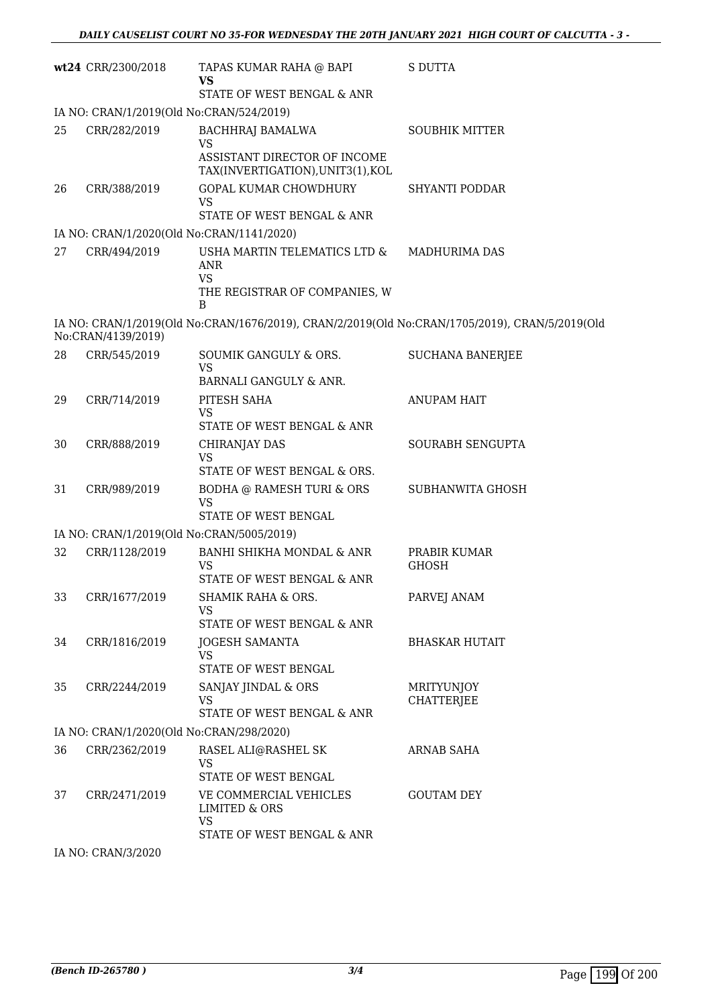|    | wt24 CRR/2300/2018                                        | TAPAS KUMAR RAHA @ BAPI<br>VS<br>STATE OF WEST BENGAL & ANR                                    | <b>S DUTTA</b>                  |  |  |  |
|----|-----------------------------------------------------------|------------------------------------------------------------------------------------------------|---------------------------------|--|--|--|
|    | IA NO: CRAN/1/2019(Old No:CRAN/524/2019)                  |                                                                                                |                                 |  |  |  |
| 25 | CRR/282/2019                                              | <b>BACHHRAJ BAMALWA</b>                                                                        | <b>SOUBHIK MITTER</b>           |  |  |  |
|    |                                                           | <b>VS</b><br>ASSISTANT DIRECTOR OF INCOME<br>TAX(INVERTIGATION), UNIT3(1), KOL                 |                                 |  |  |  |
| 26 | CRR/388/2019                                              | GOPAL KUMAR CHOWDHURY<br><b>VS</b>                                                             | SHYANTI PODDAR                  |  |  |  |
|    | IA NO: CRAN/1/2020(Old No:CRAN/1141/2020)                 | STATE OF WEST BENGAL & ANR                                                                     |                                 |  |  |  |
| 27 | CRR/494/2019                                              | USHA MARTIN TELEMATICS LTD &                                                                   | MADHURIMA DAS                   |  |  |  |
|    |                                                           | <b>ANR</b><br><b>VS</b><br>THE REGISTRAR OF COMPANIES, W<br>B                                  |                                 |  |  |  |
|    | No:CRAN/4139/2019)                                        | IA NO: CRAN/1/2019(Old No:CRAN/1676/2019), CRAN/2/2019(Old No:CRAN/1705/2019), CRAN/5/2019(Old |                                 |  |  |  |
| 28 | CRR/545/2019                                              | SOUMIK GANGULY & ORS.<br><b>VS</b>                                                             | <b>SUCHANA BANERJEE</b>         |  |  |  |
| 29 |                                                           | <b>BARNALI GANGULY &amp; ANR.</b>                                                              | <b>ANUPAM HAIT</b>              |  |  |  |
|    | CRR/714/2019                                              | PITESH SAHA<br><b>VS</b><br>STATE OF WEST BENGAL & ANR                                         |                                 |  |  |  |
| 30 | CRR/888/2019                                              | CHIRANJAY DAS<br><b>VS</b>                                                                     | SOURABH SENGUPTA                |  |  |  |
|    |                                                           | STATE OF WEST BENGAL & ORS.                                                                    |                                 |  |  |  |
| 31 | CRR/989/2019                                              | <b>BODHA @ RAMESH TURI &amp; ORS</b><br><b>VS</b><br>STATE OF WEST BENGAL                      | SUBHANWITA GHOSH                |  |  |  |
|    | IA NO: CRAN/1/2019(Old No:CRAN/5005/2019)                 |                                                                                                |                                 |  |  |  |
| 32 | CRR/1128/2019                                             | BANHI SHIKHA MONDAL & ANR<br>VS<br>STATE OF WEST BENGAL & ANR                                  | PRABIR KUMAR<br><b>GHOSH</b>    |  |  |  |
| 33 | CRR/1677/2019                                             | SHAMIK RAHA & ORS.                                                                             | PARVEJ ANAM                     |  |  |  |
|    |                                                           | <b>VS</b><br>STATE OF WEST BENGAL & ANR                                                        |                                 |  |  |  |
| 34 | CRR/1816/2019                                             | <b>JOGESH SAMANTA</b><br><b>VS</b>                                                             | <b>BHASKAR HUTAIT</b>           |  |  |  |
|    |                                                           | STATE OF WEST BENGAL                                                                           |                                 |  |  |  |
| 35 | CRR/2244/2019                                             | SANJAY JINDAL & ORS<br>VS                                                                      | MRITYUNJOY<br><b>CHATTERJEE</b> |  |  |  |
|    |                                                           | STATE OF WEST BENGAL & ANR                                                                     |                                 |  |  |  |
| 36 | IA NO: CRAN/1/2020(Old No:CRAN/298/2020)<br>CRR/2362/2019 | RASEL ALI@RASHEL SK                                                                            | ARNAB SAHA                      |  |  |  |
|    |                                                           | VS<br>STATE OF WEST BENGAL                                                                     |                                 |  |  |  |
| 37 | CRR/2471/2019                                             | VE COMMERCIAL VEHICLES<br>LIMITED & ORS<br><b>VS</b>                                           | <b>GOUTAM DEY</b>               |  |  |  |
|    | IA NO: CRAN/3/2020                                        | STATE OF WEST BENGAL & ANR                                                                     |                                 |  |  |  |